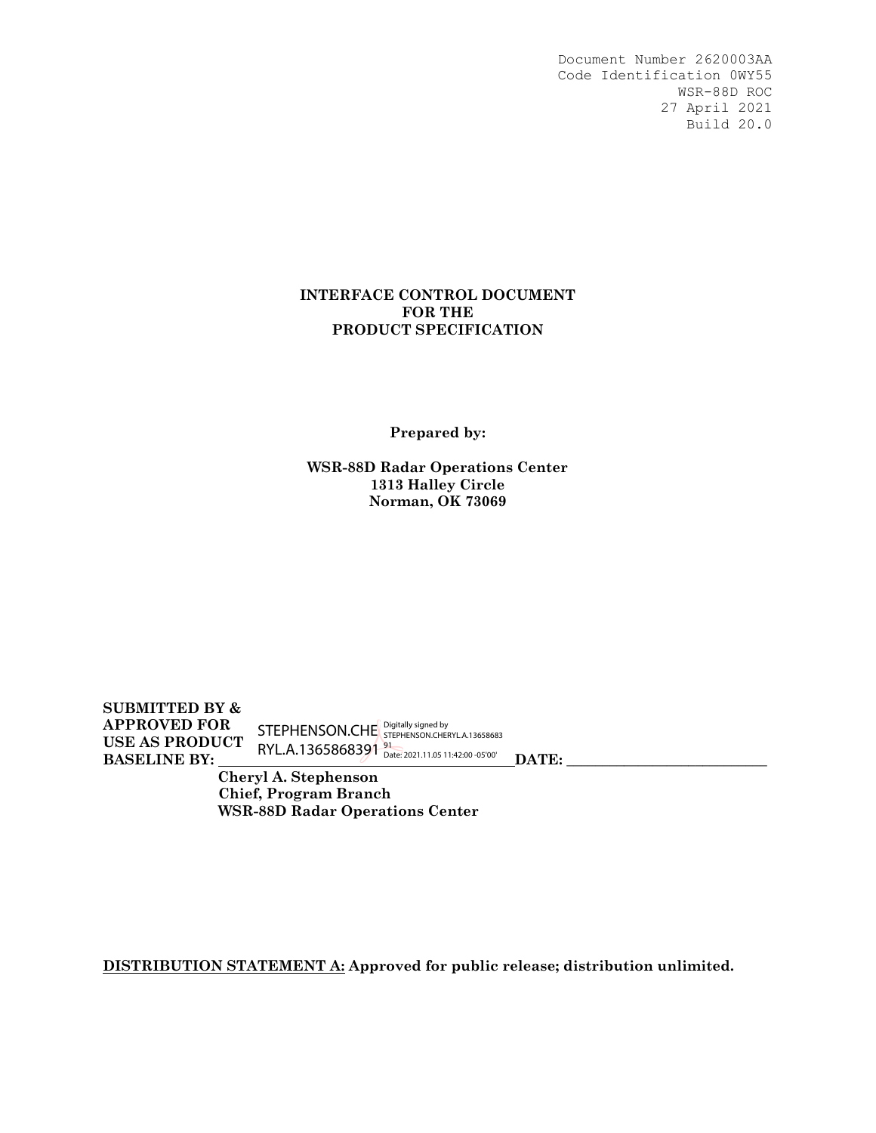#### **INTERFACE CONTROL DOCUMENT FOR THE PRODUCT SPECIFICATION**

**Prepared by:** 

**WSR-88D Radar Operations Center 1313 Halley Circle Norman, OK 73069** 

**SUBMITTED BY & APPROVED FOR USE AS PRODUCT BASELINE BY:**  $\cdots$   $\cdots$   $\cdots$   $\cdots$   $\cdots$   $\cdots$   $\cdots$   $\cdots$   $\cdots$   $\cdots$   $\cdots$   $\cdots$   $\cdots$   $\cdots$   $\cdots$   $\cdots$   $\cdots$   $\cdots$   $\cdots$   $\cdots$   $\cdots$   $\cdots$   $\cdots$   $\cdots$   $\cdots$   $\cdots$   $\cdots$   $\cdots$   $\cdots$   $\cdots$   $\cdots$   $\cdots$   $\cdots$   $\cdots$   $\cd$ STEPHENSON.CHE Digitally signed by<br>STEPHENSON.CHE STEPHENSON.CHERYL.A.13658683 RYL.A.1365868391 <sup>91</sup> Date: 2021.11.05 11:42:00 -05'00'

 **Cheryl A. Stephenson Chief, Program Branch WSR-88D Radar Operations Center** 

**DISTRIBUTION STATEMENT A: Approved for public release; distribution unlimited.**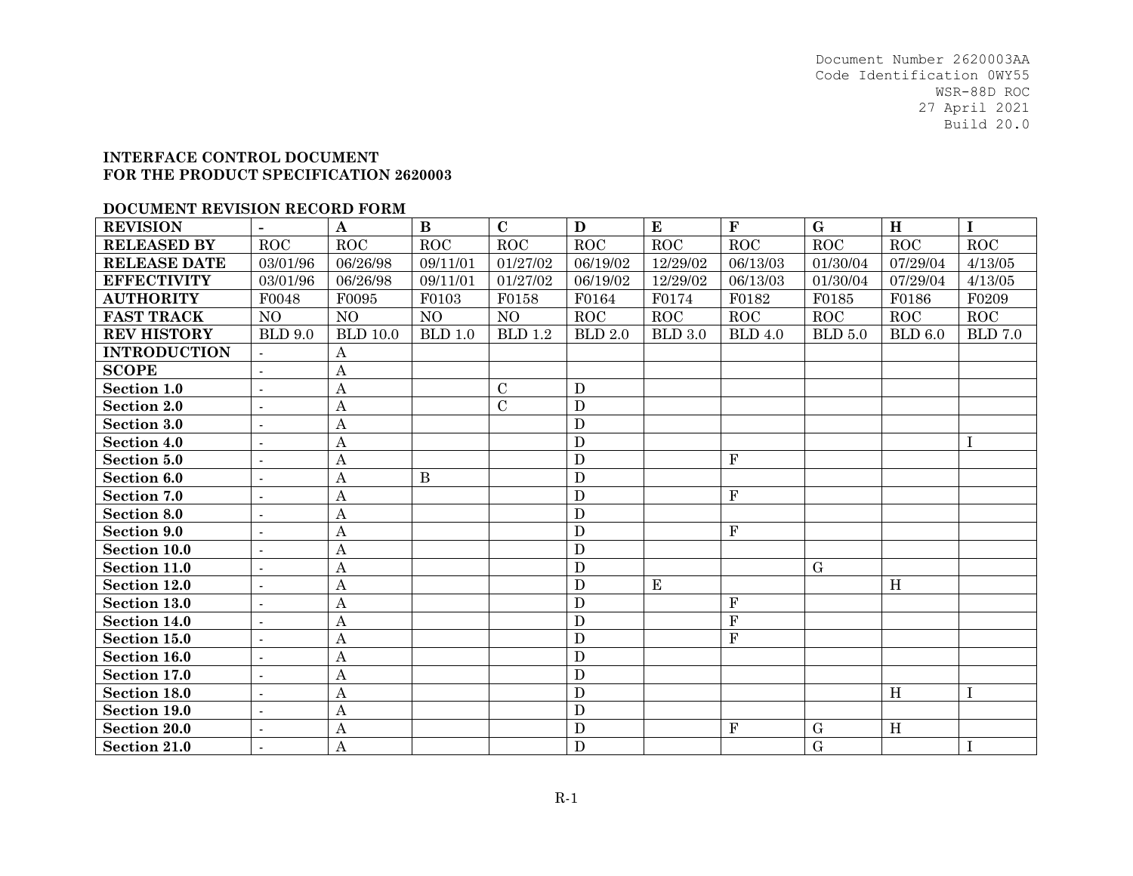#### **INTERFACE CONTROL DOCUMENT FOR THE PRODUCT SPECIFICATION 2620003**

#### **DOCUMENT REVISION RECORD FORM**

| <b>REVISION</b>     | $\blacksquare$           | $\mathbf A$      | $\bf{B}$       | $\mathbf C$    | D              | E              | $\mathbf F$    | $\mathbf G$    | H          | $\mathbf I$    |
|---------------------|--------------------------|------------------|----------------|----------------|----------------|----------------|----------------|----------------|------------|----------------|
| <b>RELEASED BY</b>  | ROC                      | ROC              | ROC            | ROC            | ROC            | ROC            | ROC            | ROC            | ROC        | ROC            |
| <b>RELEASE DATE</b> | 03/01/96                 | 06/26/98         | 09/11/01       | 01/27/02       | 06/19/02       | 12/29/02       | 06/13/03       | 01/30/04       | 07/29/04   | 4/13/05        |
| <b>EFFECTIVITY</b>  | 03/01/96                 | 06/26/98         | 09/11/01       | 01/27/02       | 06/19/02       | 12/29/02       | 06/13/03       | 01/30/04       | 07/29/04   | 4/13/05        |
| <b>AUTHORITY</b>    | F0048                    | F0095            | F0103          | F0158          | F0164          | F0174          | F0182          | F0185          | F0186      | F0209          |
| <b>FAST TRACK</b>   | NO                       | NO               | N <sub>O</sub> | NO             | ROC            | <b>ROC</b>     | ROC            | <b>ROC</b>     | <b>ROC</b> | <b>ROC</b>     |
| <b>REV HISTORY</b>  | <b>BLD</b> 9.0           | <b>BLD</b> 10.0  | BLD 1.0        | <b>BLD</b> 1.2 | <b>BLD 2.0</b> | <b>BLD 3.0</b> | <b>BLD</b> 4.0 | <b>BLD</b> 5.0 | BLD 6.0    | <b>BLD 7.0</b> |
| <b>INTRODUCTION</b> |                          | A                |                |                |                |                |                |                |            |                |
| <b>SCOPE</b>        | $\sim$                   | Α                |                |                |                |                |                |                |            |                |
| Section 1.0         | $\overline{a}$           | A                |                | $\mathcal{C}$  | D              |                |                |                |            |                |
| <b>Section 2.0</b>  | $\sim$                   | $\boldsymbol{A}$ |                | $\mathcal{C}$  | D              |                |                |                |            |                |
| <b>Section 3.0</b>  | $\sim$                   | $\boldsymbol{A}$ |                |                | $\mathbf D$    |                |                |                |            |                |
| Section 4.0         | $\overline{\phantom{a}}$ | Α                |                |                | $\mathbf D$    |                |                |                |            |                |
| Section 5.0         | $\sim$                   | $\boldsymbol{A}$ |                |                | $\mathbf D$    |                | $\mathbf{F}$   |                |            |                |
| Section 6.0         | $\blacksquare$           | $\boldsymbol{A}$ | $\bf{B}$       |                | D              |                |                |                |            |                |
| Section 7.0         | $\sim$                   | Α                |                |                | $\mathbf D$    |                | $\mathbf{F}$   |                |            |                |
| Section 8.0         | $\sim$                   | $\boldsymbol{A}$ |                |                | $\mathbf D$    |                |                |                |            |                |
| <b>Section 9.0</b>  | $\sim$                   | $\boldsymbol{A}$ |                |                | $\mathbf D$    |                | $\mathbf{F}$   |                |            |                |
| Section 10.0        | $\sim$                   | $\boldsymbol{A}$ |                |                | $\mathbf D$    |                |                |                |            |                |
| Section 11.0        | $\sim$                   | $\mathbf{A}$     |                |                | $\mathbf D$    |                |                | $\mathbf G$    |            |                |
| Section 12.0        | $\blacksquare$           | Α                |                |                | $\mathbf D$    | E              |                |                | H          |                |
| Section 13.0        | $\sim$                   | $\boldsymbol{A}$ |                |                | $\mathbf D$    |                | $\mathbf{F}$   |                |            |                |
| Section 14.0        | $\sim$                   | Α                |                |                | $\mathbf D$    |                | $\mathbf{F}$   |                |            |                |
| Section 15.0        | $\blacksquare$           | $\boldsymbol{A}$ |                |                | $\mathbf D$    |                | $\overline{F}$ |                |            |                |
| Section 16.0        | $\sim$                   | Α                |                |                | $\mathbf D$    |                |                |                |            |                |
| Section 17.0        | $\sim$                   | $\boldsymbol{A}$ |                |                | $\mathbf D$    |                |                |                |            |                |
| Section 18.0        | $\sim$                   | $\boldsymbol{A}$ |                |                | $\mathbf D$    |                |                |                | H          |                |
| Section 19.0        | $\overline{a}$           | $\mathbf{A}$     |                |                | $\mathbf D$    |                |                |                |            |                |
| <b>Section 20.0</b> | $\blacksquare$           | Α                |                |                | $\mathbf D$    |                | F              | $\mathbf G$    | H          |                |
| <b>Section 21.0</b> |                          | $\mathbf{A}$     |                |                | D              |                |                | $\mathbf G$    |            | $\mathbf I$    |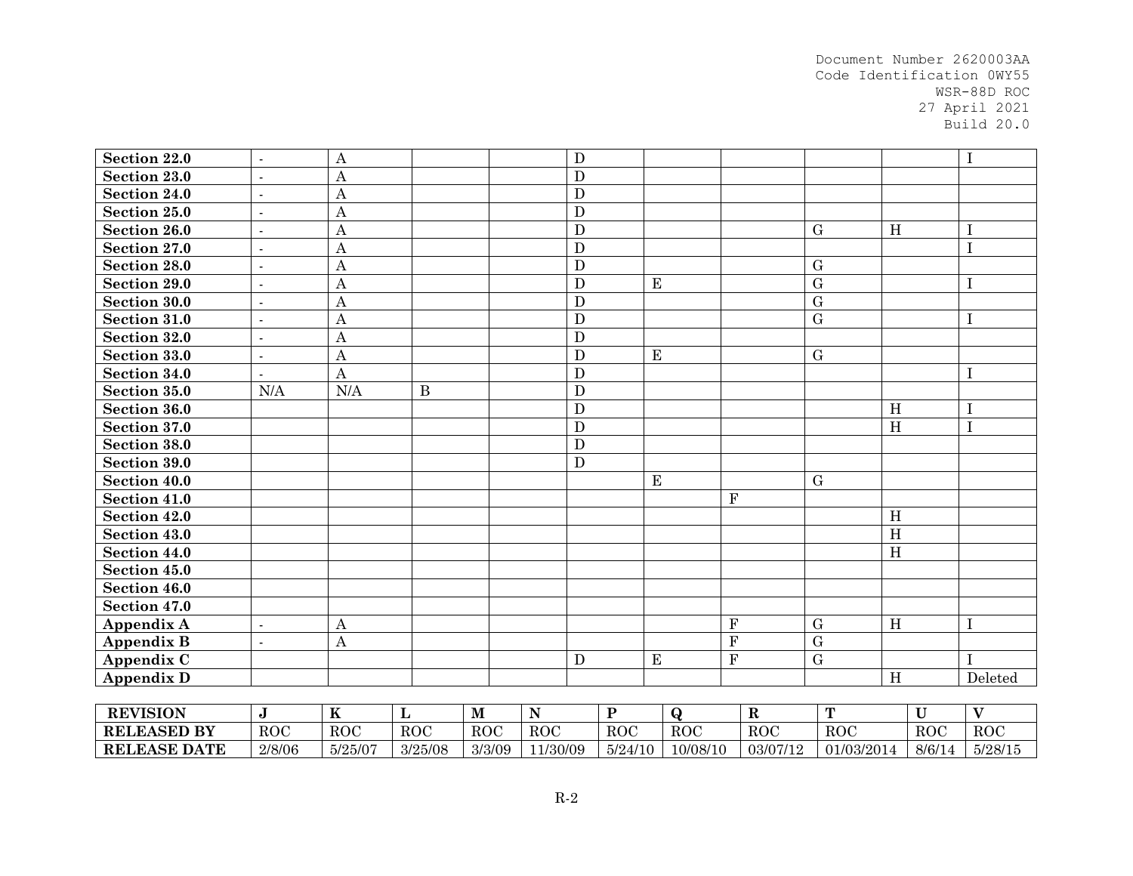| Section 22.0        | $\blacksquare$ | A                |              |             | $\mathbf D$    |           |             |                |             |                |                |             | I                       |
|---------------------|----------------|------------------|--------------|-------------|----------------|-----------|-------------|----------------|-------------|----------------|----------------|-------------|-------------------------|
| Section 23.0        | $\overline{a}$ | $\mathbf{A}$     |              |             | $\mathbf D$    |           |             |                |             |                |                |             |                         |
| Section 24.0        |                | $\boldsymbol{A}$ |              |             | $\overline{D}$ |           |             |                |             |                |                |             |                         |
| Section 25.0        | $\blacksquare$ | $\boldsymbol{A}$ |              |             | $\mathbf D$    |           |             |                |             |                |                |             |                         |
| Section 26.0        | $\overline{a}$ | $\boldsymbol{A}$ |              |             | $\overline{D}$ |           |             |                |             | $\mathbf G$    | H              |             |                         |
| Section 27.0        | $\overline{a}$ | $\mathbf{A}$     |              |             | $\mathbf D$    |           |             |                |             |                |                |             |                         |
| Section 28.0        | $\blacksquare$ | $\mathbf{A}$     |              |             | $\overline{D}$ |           |             |                |             | G              |                |             |                         |
| Section 29.0        |                | $\mathbf{A}$     |              |             | $\overline{D}$ |           | $\bf E$     |                |             | $\overline{G}$ |                |             | Τ                       |
| Section 30.0        | $\overline{a}$ | $\mathbf{A}$     |              |             | $\overline{D}$ |           |             |                |             | $\mathbf G$    |                |             |                         |
| Section 31.0        | $\overline{a}$ | $\boldsymbol{A}$ |              |             | $\mathbf D$    |           |             |                |             | $\mathbf G$    |                |             |                         |
| Section 32.0        | $\overline{a}$ | $\mathbf{A}$     |              |             | $\mathbf D$    |           |             |                |             |                |                |             |                         |
| Section 33.0        | $\blacksquare$ | $\overline{A}$   |              |             | $\mathbf D$    |           | E           |                |             | G              |                |             |                         |
| Section 34.0        | $\overline{a}$ | A                |              |             | $\mathbf D$    |           |             |                |             |                |                |             | 1                       |
| Section 35.0        | N/A            | N/A              | $\, {\bf B}$ |             | $\overline{D}$ |           |             |                |             |                |                |             |                         |
| Section 36.0        |                |                  |              |             | $\mathbf D$    |           |             |                |             |                | H              |             |                         |
| Section 37.0        |                |                  |              |             | $\overline{D}$ |           |             |                |             |                | $\overline{H}$ |             |                         |
| Section 38.0        |                |                  |              |             | $\mathbf D$    |           |             |                |             |                |                |             |                         |
| Section 39.0        |                |                  |              |             | $\overline{D}$ |           |             |                |             |                |                |             |                         |
| Section 40.0        |                |                  |              |             |                |           | $\mathbf E$ |                |             | ${\bf G}$      |                |             |                         |
| Section 41.0        |                |                  |              |             |                |           |             | ${\bf F}$      |             |                |                |             |                         |
| Section 42.0        |                |                  |              |             |                |           |             |                |             |                | H              |             |                         |
| Section 43.0        |                |                  |              |             |                |           |             |                |             |                | H              |             |                         |
| Section 44.0        |                |                  |              |             |                |           |             |                |             |                | H              |             |                         |
| Section 45.0        |                |                  |              |             |                |           |             |                |             |                |                |             |                         |
| Section 46.0        |                |                  |              |             |                |           |             |                |             |                |                |             |                         |
| Section 47.0        |                |                  |              |             |                |           |             |                |             |                |                |             |                         |
| <b>Appendix A</b>   | $\overline{a}$ | $\mathbf{A}$     |              |             |                |           |             | F              |             | $\mathbf G$    | H              |             |                         |
| <b>Appendix B</b>   | $\overline{a}$ | A                |              |             |                |           |             | $\overline{F}$ |             | $\mathbf G$    |                |             |                         |
| Appendix C          |                |                  |              |             | $\mathbf D$    |           | $\mathbf E$ | $\overline{F}$ |             | $\overline{G}$ |                |             |                         |
| <b>Appendix D</b>   |                |                  |              |             |                |           |             |                |             |                | H              |             | Deleted                 |
|                     |                |                  |              |             |                |           |             |                |             |                |                |             |                         |
| <b>REVISION</b>     | $\mathbf J$    | $\mathbf K$      | L            | $\mathbf M$ | $\mathbf N$    | ${\bf P}$ | $\bf{Q}$    |                | $\mathbf R$ | T              |                | $\mathbf U$ | $\overline{\mathbf{V}}$ |
| <b>RELEASED BY</b>  | <b>ROC</b>     | ROC              | <b>ROC</b>   | <b>ROC</b>  | <b>ROC</b>     | ROC       |             | <b>ROC</b>     | <b>ROC</b>  | ROC            |                | <b>ROC</b>  | ROC                     |
| <b>RELEASE DATE</b> | 2/8/06         | 5/25/07          | 3/25/08      | 3/3/09      | 11/30/09       | 5/24/10   |             | 10/08/10       | 03/07/12    | 01/03/2014     |                | 8/6/14      | 5/28/15                 |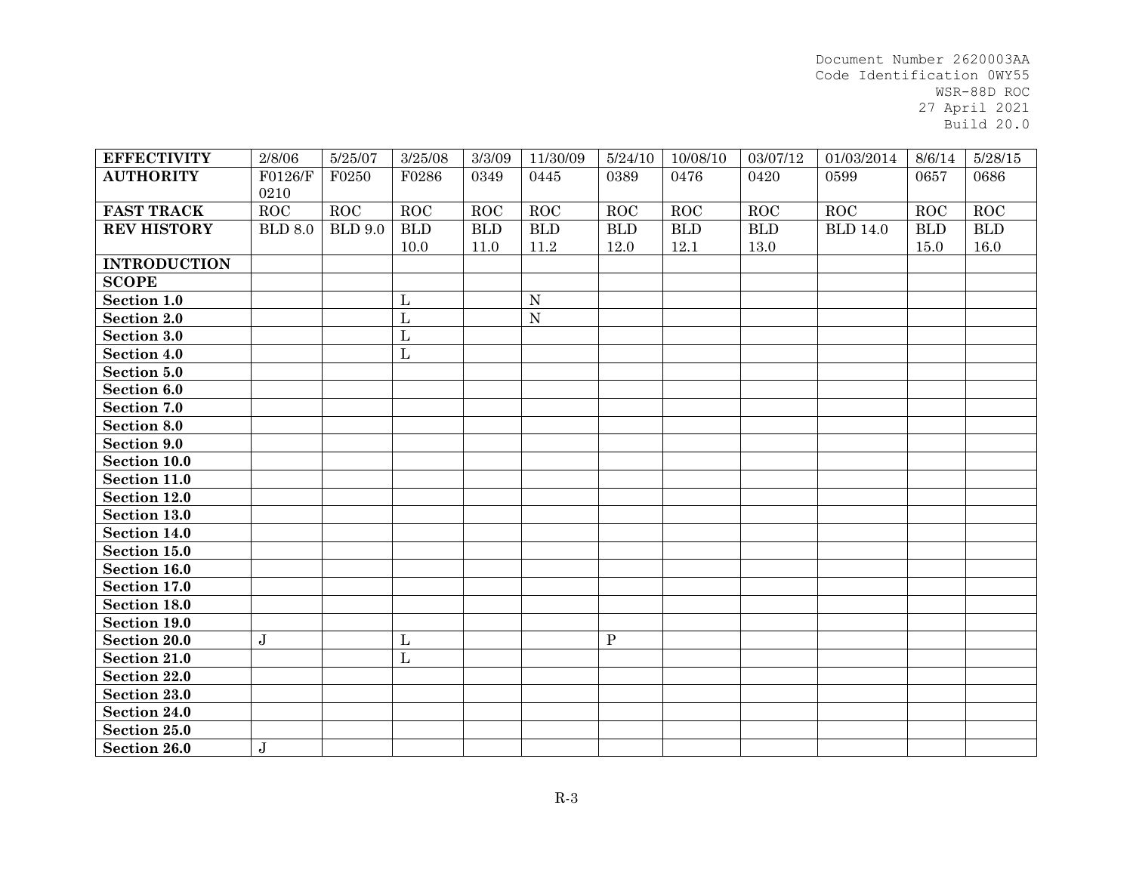| <b>EFFECTIVITY</b>  | 2/8/06         | 5/25/07        | 3/25/08        | 3/3/09     | 11/30/09    | 5/24/10     | 10/08/10    | 03/07/12    | 01/03/2014      | 8/6/14     | 5/28/15     |
|---------------------|----------------|----------------|----------------|------------|-------------|-------------|-------------|-------------|-----------------|------------|-------------|
| <b>AUTHORITY</b>    | F0126/F        | F0250          | F0286          | 0349       | 0445        | 0389        | 0476        | 0420        | 0599            | 0657       | 0686        |
|                     | 0210           |                |                |            |             |             |             |             |                 |            |             |
| <b>FAST TRACK</b>   | ROC            | $_{\rm ROC}$   | ROC            | ROC        | ROC         | ROC         | ROC         | ROC         | ROC             | <b>ROC</b> | ROC         |
| <b>REV HISTORY</b>  | <b>BLD 8.0</b> | <b>BLD 9.0</b> | <b>BLD</b>     | <b>BLD</b> | ${\bf BLD}$ | ${\bf BLD}$ | ${\bf BLD}$ | ${\bf BLD}$ | <b>BLD 14.0</b> | <b>BLD</b> | ${\bf BLD}$ |
|                     |                |                | 10.0           | 11.0       | 11.2        | 12.0        | 12.1        | 13.0        |                 | 15.0       | 16.0        |
| <b>INTRODUCTION</b> |                |                |                |            |             |             |             |             |                 |            |             |
| <b>SCOPE</b>        |                |                |                |            |             |             |             |             |                 |            |             |
| Section 1.0         |                |                | $\mathbf{L}$   |            | ${\bf N}$   |             |             |             |                 |            |             |
| <b>Section 2.0</b>  |                |                | $\mathbf{L}$   |            | ${\bf N}$   |             |             |             |                 |            |             |
| Section 3.0         |                |                | $\overline{L}$ |            |             |             |             |             |                 |            |             |
| Section 4.0         |                |                | $\overline{L}$ |            |             |             |             |             |                 |            |             |
| Section 5.0         |                |                |                |            |             |             |             |             |                 |            |             |
| Section 6.0         |                |                |                |            |             |             |             |             |                 |            |             |
| Section 7.0         |                |                |                |            |             |             |             |             |                 |            |             |
| Section 8.0         |                |                |                |            |             |             |             |             |                 |            |             |
| Section 9.0         |                |                |                |            |             |             |             |             |                 |            |             |
| Section 10.0        |                |                |                |            |             |             |             |             |                 |            |             |
| Section 11.0        |                |                |                |            |             |             |             |             |                 |            |             |
| Section 12.0        |                |                |                |            |             |             |             |             |                 |            |             |
| Section 13.0        |                |                |                |            |             |             |             |             |                 |            |             |
| Section 14.0        |                |                |                |            |             |             |             |             |                 |            |             |
| Section 15.0        |                |                |                |            |             |             |             |             |                 |            |             |
| Section 16.0        |                |                |                |            |             |             |             |             |                 |            |             |
| Section 17.0        |                |                |                |            |             |             |             |             |                 |            |             |
| Section 18.0        |                |                |                |            |             |             |             |             |                 |            |             |
| Section 19.0        |                |                |                |            |             |             |             |             |                 |            |             |
| <b>Section 20.0</b> | $\bf J$        |                | $\mathbf L$    |            |             | $\mathbf P$ |             |             |                 |            |             |
| Section 21.0        |                |                | $\overline{L}$ |            |             |             |             |             |                 |            |             |
| Section 22.0        |                |                |                |            |             |             |             |             |                 |            |             |
| Section 23.0        |                |                |                |            |             |             |             |             |                 |            |             |
| Section 24.0        |                |                |                |            |             |             |             |             |                 |            |             |
| Section 25.0        |                |                |                |            |             |             |             |             |                 |            |             |
| Section 26.0        | $\mathbf J$    |                |                |            |             |             |             |             |                 |            |             |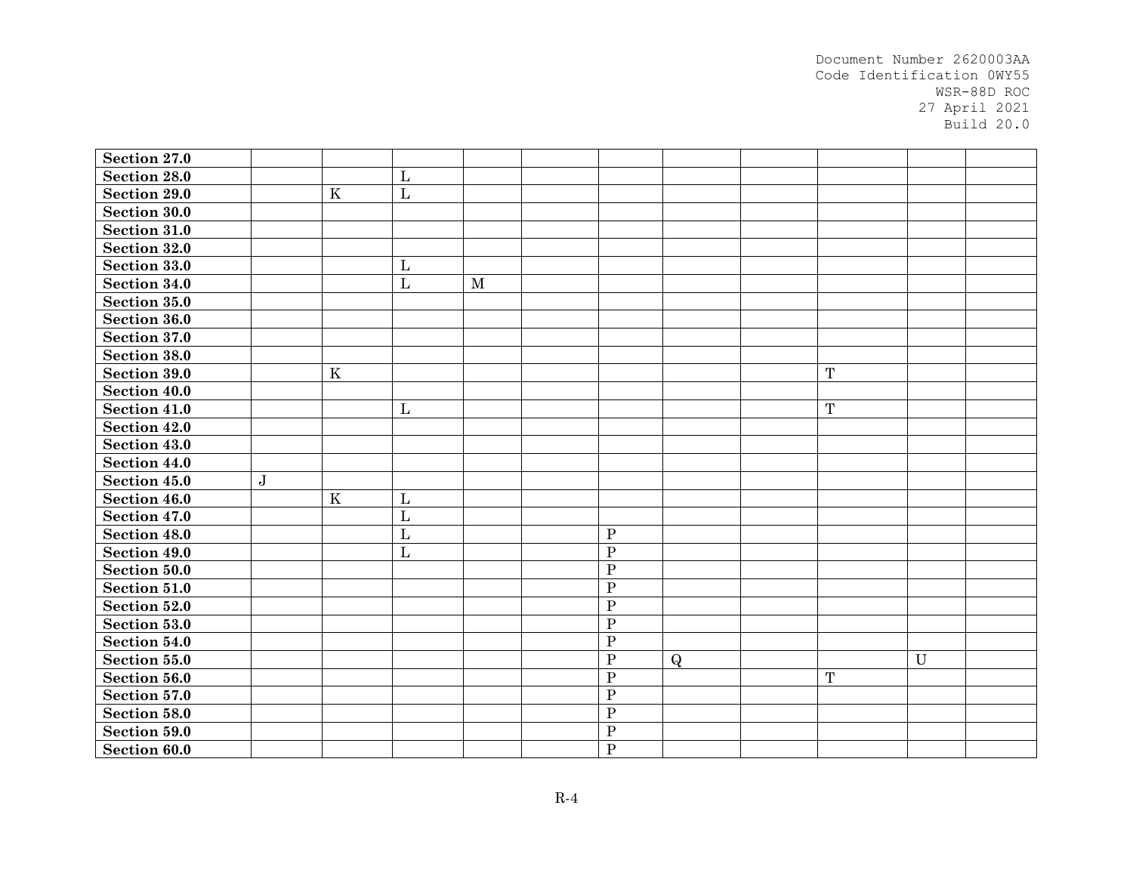| Section 27.0        |           |         |                |              |                |              |             |              |  |
|---------------------|-----------|---------|----------------|--------------|----------------|--------------|-------------|--------------|--|
| Section 28.0        |           |         | $\mathbf{L}$   |              |                |              |             |              |  |
| <b>Section 29.0</b> |           | $\rm K$ | $\mathbf{L}$   |              |                |              |             |              |  |
| Section 30.0        |           |         |                |              |                |              |             |              |  |
| Section 31.0        |           |         |                |              |                |              |             |              |  |
| Section 32.0        |           |         |                |              |                |              |             |              |  |
| Section 33.0        |           |         | $\mathbf{L}$   |              |                |              |             |              |  |
| Section 34.0        |           |         | $\mathbf{L}$   | $\mathbf{M}$ |                |              |             |              |  |
| Section 35.0        |           |         |                |              |                |              |             |              |  |
| Section 36.0        |           |         |                |              |                |              |             |              |  |
| Section 37.0        |           |         |                |              |                |              |             |              |  |
| Section 38.0        |           |         |                |              |                |              |             |              |  |
| Section 39.0        |           | $\rm K$ |                |              |                |              | $\mathbf T$ |              |  |
| Section 40.0        |           |         |                |              |                |              |             |              |  |
| Section 41.0        |           |         | $\mathbf{L}$   |              |                |              | $\mathbf T$ |              |  |
| Section 42.0        |           |         |                |              |                |              |             |              |  |
| Section 43.0        |           |         |                |              |                |              |             |              |  |
| Section 44.0        |           |         |                |              |                |              |             |              |  |
| Section 45.0        | ${\bf J}$ |         |                |              |                |              |             |              |  |
| Section 46.0        |           | $\rm K$ | $\mathbf L$    |              |                |              |             |              |  |
| Section 47.0        |           |         | $\mathbf{L}$   |              |                |              |             |              |  |
| Section 48.0        |           |         | $\mathbf{L}$   |              | ${\bf P}$      |              |             |              |  |
| Section 49.0        |           |         | $\overline{L}$ |              | $\overline{P}$ |              |             |              |  |
| Section 50.0        |           |         |                |              | ${\bf P}$      |              |             |              |  |
| Section 51.0        |           |         |                |              | ${\bf P}$      |              |             |              |  |
| Section 52.0        |           |         |                |              | $\overline{P}$ |              |             |              |  |
| Section 53.0        |           |         |                |              | ${\bf P}$      |              |             |              |  |
| Section 54.0        |           |         |                |              | ${\bf P}$      |              |             |              |  |
| Section 55.0        |           |         |                |              | $\overline{P}$ | $\mathbf{Q}$ |             | $\mathbf{U}$ |  |
| Section 56.0        |           |         |                |              | ${\bf P}$      |              | $\mathbf T$ |              |  |
| Section 57.0        |           |         |                |              | ${\bf P}$      |              |             |              |  |
| Section 58.0        |           |         |                |              | $\overline{P}$ |              |             |              |  |
| Section 59.0        |           |         |                |              | ${\bf P}$      |              |             |              |  |
| Section 60.0        |           |         |                |              | $\mathbf{P}$   |              |             |              |  |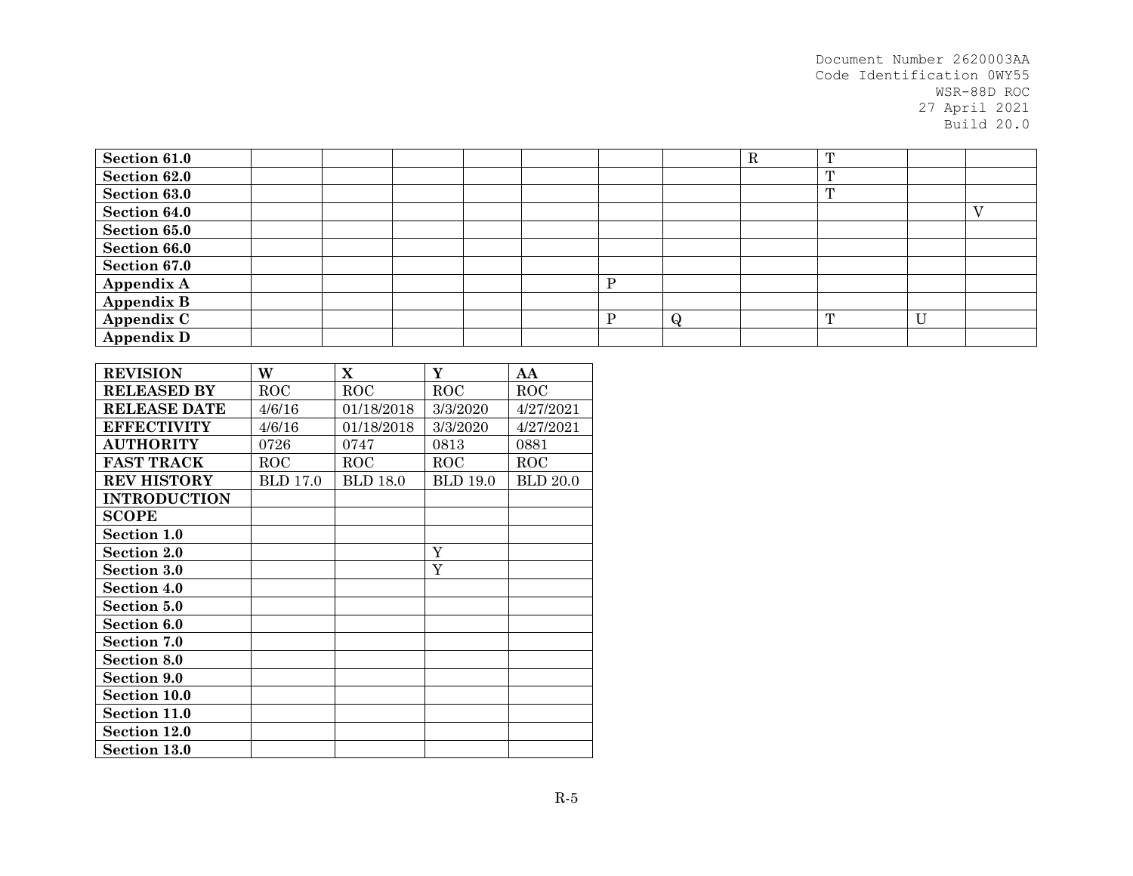| Section 61.0        |  |  |  |   | ĸ | $^{\prime}$  |   |  |
|---------------------|--|--|--|---|---|--------------|---|--|
| Section 62.0        |  |  |  |   |   | $\mathbf{r}$ |   |  |
| <b>Section 63.0</b> |  |  |  |   |   | $\mathbf{r}$ |   |  |
| Section 64.0        |  |  |  |   |   |              |   |  |
| Section 65.0        |  |  |  |   |   |              |   |  |
| Section 66.0        |  |  |  |   |   |              |   |  |
| Section 67.0        |  |  |  |   |   |              |   |  |
| Appendix A          |  |  |  |   |   |              |   |  |
| <b>Appendix B</b>   |  |  |  |   |   |              |   |  |
| Appendix C          |  |  |  | ₩ |   | $\mathbf{m}$ | U |  |
| <b>Appendix D</b>   |  |  |  |   |   |              |   |  |

| <b>REVISION</b>     | W               | X               | Y               | AA              |
|---------------------|-----------------|-----------------|-----------------|-----------------|
| <b>RELEASED BY</b>  | ROC             | <b>ROC</b>      | ROC             | <b>ROC</b>      |
| <b>RELEASE DATE</b> | 4/6/16          | 01/18/2018      | 3/3/2020        | 4/27/2021       |
| <b>EFFECTIVITY</b>  | 4/6/16          | 01/18/2018      | 3/3/2020        | 4/27/2021       |
| <b>AUTHORITY</b>    | 0726            | 0747            | 0813            | 0881            |
| <b>FAST TRACK</b>   | ROC             | <b>ROC</b>      | $_{\rm ROC}$    | ROC             |
| <b>REV HISTORY</b>  | <b>BLD</b> 17.0 | <b>BLD</b> 18.0 | <b>BLD 19.0</b> | <b>BLD 20.0</b> |
| <b>INTRODUCTION</b> |                 |                 |                 |                 |
| <b>SCOPE</b>        |                 |                 |                 |                 |
| Section 1.0         |                 |                 |                 |                 |
| <b>Section 2.0</b>  |                 |                 | Y               |                 |
| Section 3.0         |                 |                 | Y               |                 |
| Section 4.0         |                 |                 |                 |                 |
| Section 5.0         |                 |                 |                 |                 |
| Section 6.0         |                 |                 |                 |                 |
| <b>Section 7.0</b>  |                 |                 |                 |                 |
| <b>Section 8.0</b>  |                 |                 |                 |                 |
| <b>Section 9.0</b>  |                 |                 |                 |                 |
| Section 10.0        |                 |                 |                 |                 |
| Section 11.0        |                 |                 |                 |                 |
| Section 12.0        |                 |                 |                 |                 |
| <b>Section 13.0</b> |                 |                 |                 |                 |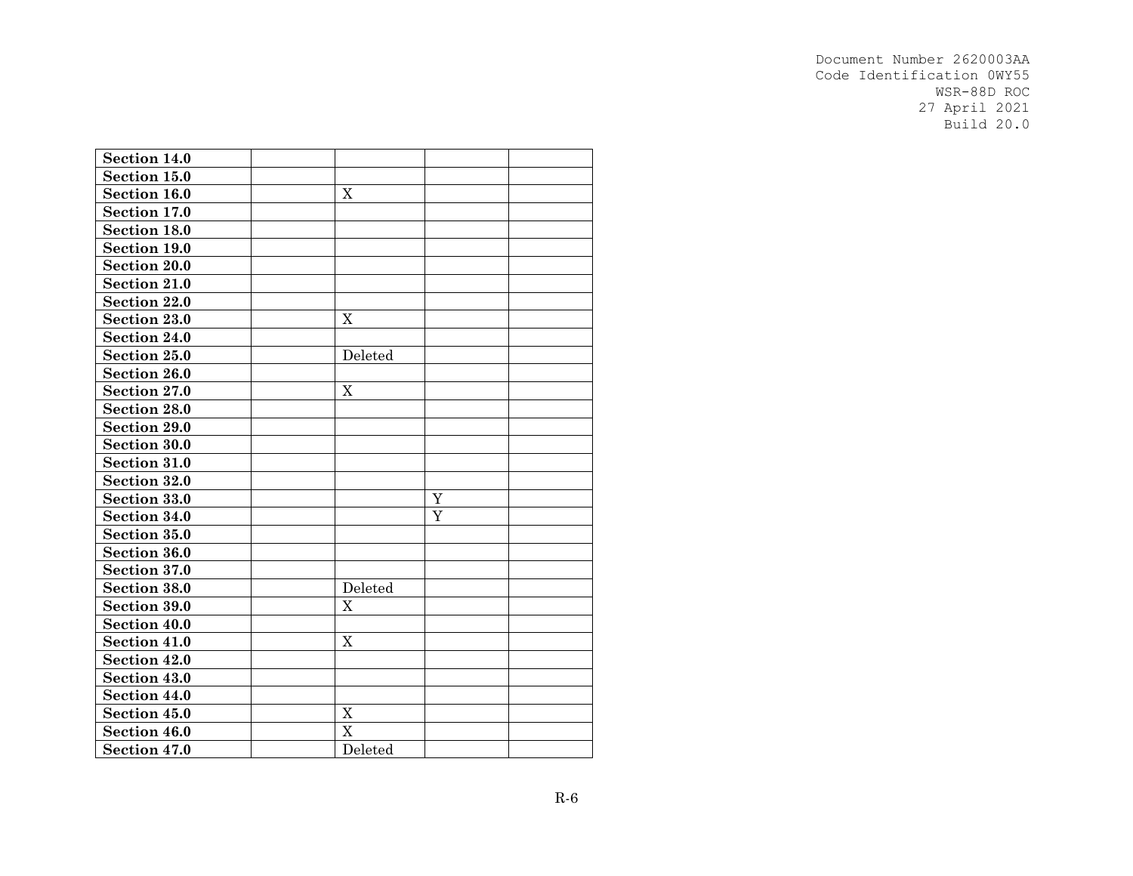| Section 14.0        |             |   |  |
|---------------------|-------------|---|--|
| Section 15.0        |             |   |  |
| Section 16.0        | X           |   |  |
| Section 17.0        |             |   |  |
| Section 18.0        |             |   |  |
| Section 19.0        |             |   |  |
| <b>Section 20.0</b> |             |   |  |
| Section 21.0        |             |   |  |
| Section 22.0        |             |   |  |
| Section 23.0        | X           |   |  |
| Section 24.0        |             |   |  |
| Section 25.0        | Deleted     |   |  |
| Section 26.0        |             |   |  |
| Section 27.0        | X           |   |  |
| <b>Section 28.0</b> |             |   |  |
| Section 29.0        |             |   |  |
| <b>Section 30.0</b> |             |   |  |
| Section 31.0        |             |   |  |
| <b>Section 32.0</b> |             |   |  |
| <b>Section 33.0</b> |             | Y |  |
| Section 34.0        |             | Y |  |
| Section 35.0        |             |   |  |
| Section 36.0        |             |   |  |
| Section 37.0        |             |   |  |
| Section 38.0        | Deleted     |   |  |
| Section 39.0        | X           |   |  |
| Section 40.0        |             |   |  |
| Section 41.0        | X           |   |  |
| Section 42.0        |             |   |  |
| Section 43.0        |             |   |  |
| Section 44.0        |             |   |  |
| Section 45.0        | $\mathbf X$ |   |  |
| Section 46.0        | X           |   |  |
| Section 47.0        | Deleted     |   |  |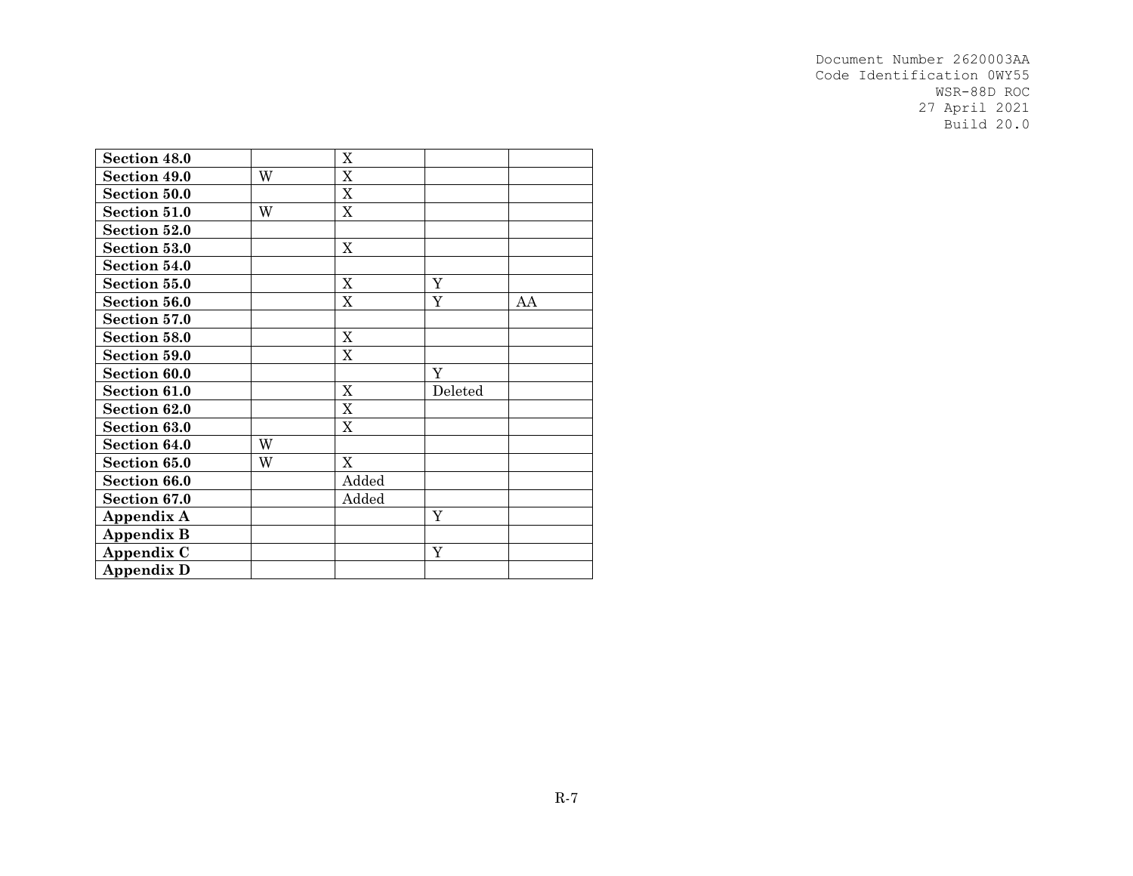| Section 48.0      |   | $\mathbf X$ |             |    |
|-------------------|---|-------------|-------------|----|
| Section 49.0      | W | $\mathbf X$ |             |    |
| Section 50.0      |   | X           |             |    |
| Section 51.0      | W | X           |             |    |
| Section 52.0      |   |             |             |    |
| Section 53.0      |   | $\mathbf X$ |             |    |
| Section 54.0      |   |             |             |    |
| Section 55.0      |   | $\mathbf X$ | Y           |    |
| Section 56.0      |   | $\mathbf X$ | Y           | AA |
| Section 57.0      |   |             |             |    |
| Section 58.0      |   | $\mathbf X$ |             |    |
| Section 59.0      |   | $\mathbf X$ |             |    |
| Section 60.0      |   |             | Y           |    |
| Section 61.0      |   | $\mathbf X$ | Deleted     |    |
| Section 62.0      |   | X           |             |    |
| Section 63.0      |   | X           |             |    |
| Section 64.0      | W |             |             |    |
| Section 65.0      | W | $\mathbf X$ |             |    |
| Section 66.0      |   | Added       |             |    |
| Section 67.0      |   | Added       |             |    |
| Appendix A        |   |             | $\mathbf Y$ |    |
| <b>Appendix B</b> |   |             |             |    |
| Appendix C        |   |             | $\mathbf Y$ |    |
| <b>Appendix D</b> |   |             |             |    |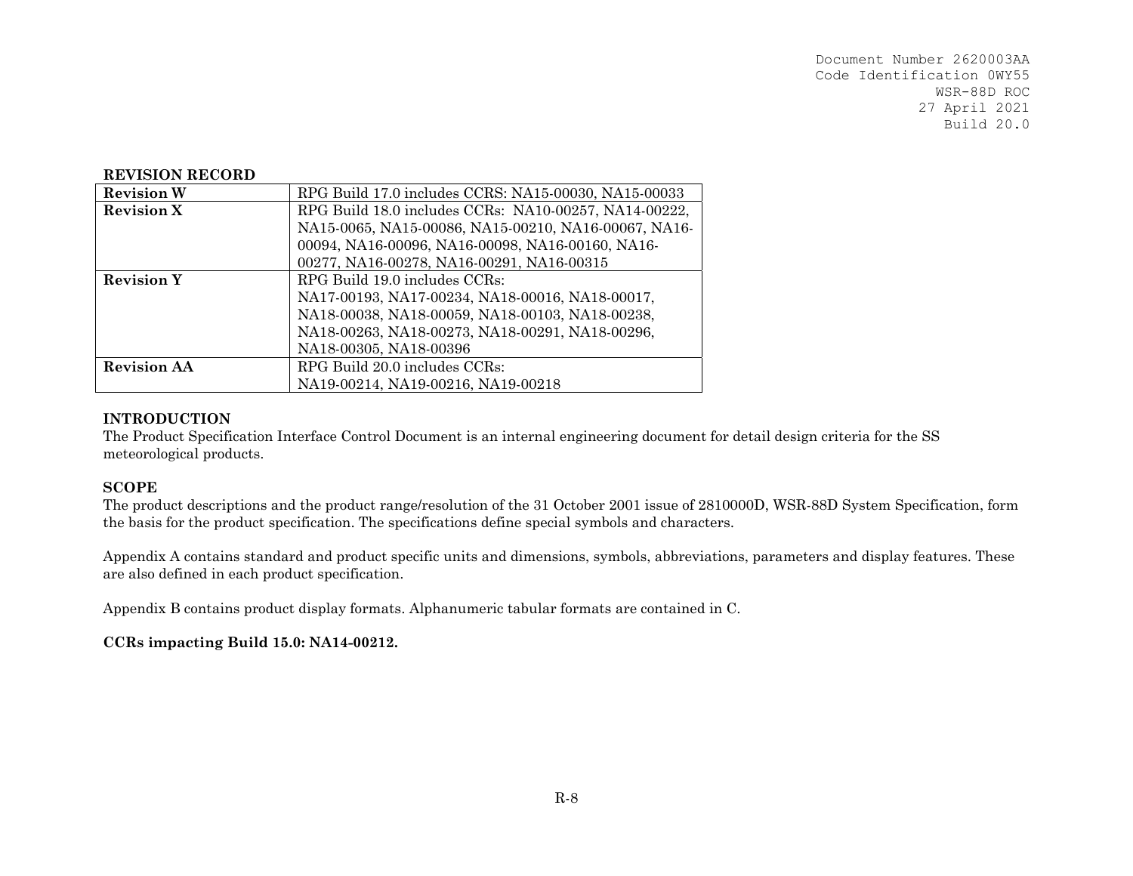#### **REVISION RECORD**

| <b>Revision W</b>  | RPG Build 17.0 includes CCRS: NA15-00030, NA15-00033  |
|--------------------|-------------------------------------------------------|
| <b>Revision X</b>  | RPG Build 18.0 includes CCRs: NA10-00257, NA14-00222, |
|                    | NA15-0065, NA15-00086, NA15-00210, NA16-00067, NA16-  |
|                    | 00094, NA16-00096, NA16-00098, NA16-00160, NA16-      |
|                    | 00277, NA16-00278, NA16-00291, NA16-00315             |
| <b>Revision Y</b>  | RPG Build 19.0 includes CCRs:                         |
|                    | NA17-00193, NA17-00234, NA18-00016, NA18-00017,       |
|                    | NA18-00038, NA18-00059, NA18-00103, NA18-00238,       |
|                    | NA18-00263, NA18-00273, NA18-00291, NA18-00296,       |
|                    | NA18-00305, NA18-00396                                |
| <b>Revision AA</b> | RPG Build 20.0 includes CCRs:                         |
|                    | NA19-00214, NA19-00216, NA19-00218                    |

#### **INTRODUCTION**

The Product Specification Interface Control Document is an internal engineering document for detail design criteria for the SS meteorological products.

#### **SCOPE**

The product descriptions and the product range/resolution of the 31 October 2001 issue of 2810000D, WSR-88D System Specification, form the basis for the product specification. The specifications define special symbols and characters.

Appendix A contains standard and product specific units and dimensions, symbols, abbreviations, parameters and display features. These are also defined in each product specification.

Appendix B contains product display formats. Alphanumeric tabular formats are contained in C.

#### **CCRs impacting Build 15.0: NA14-00212.**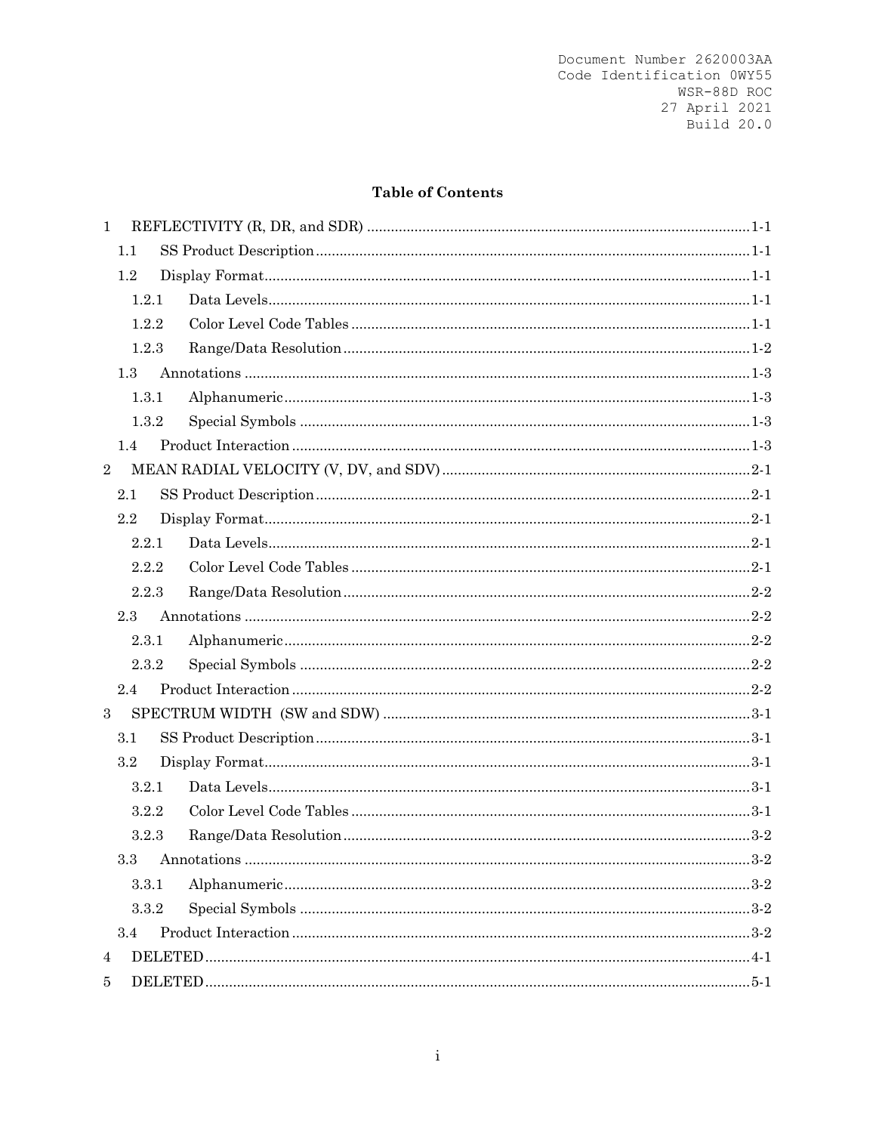# **Table of Contents**

| $\mathbf{1}$   |     |       |  |
|----------------|-----|-------|--|
|                | 1.1 |       |  |
|                | 1.2 |       |  |
|                |     | 1.2.1 |  |
|                |     | 1.2.2 |  |
|                |     | 1.2.3 |  |
|                | 1.3 |       |  |
|                |     | 1.3.1 |  |
|                |     | 1.3.2 |  |
|                | 1.4 |       |  |
| $\sqrt{2}$     |     |       |  |
|                | 2.1 |       |  |
|                | 2.2 |       |  |
|                |     | 2.2.1 |  |
|                |     | 2.2.2 |  |
|                |     | 2.2.3 |  |
|                | 2.3 |       |  |
|                |     | 2.3.1 |  |
|                |     | 2.3.2 |  |
|                | 2.4 |       |  |
| $\sqrt{3}$     |     |       |  |
|                | 3.1 |       |  |
|                | 3.2 |       |  |
|                |     | 3.2.1 |  |
|                |     | 3.2.2 |  |
|                |     | 3.2.3 |  |
|                |     |       |  |
|                |     | 3.3.1 |  |
|                |     | 3.3.2 |  |
|                | 3.4 |       |  |
| $\overline{4}$ |     |       |  |
| 5              |     |       |  |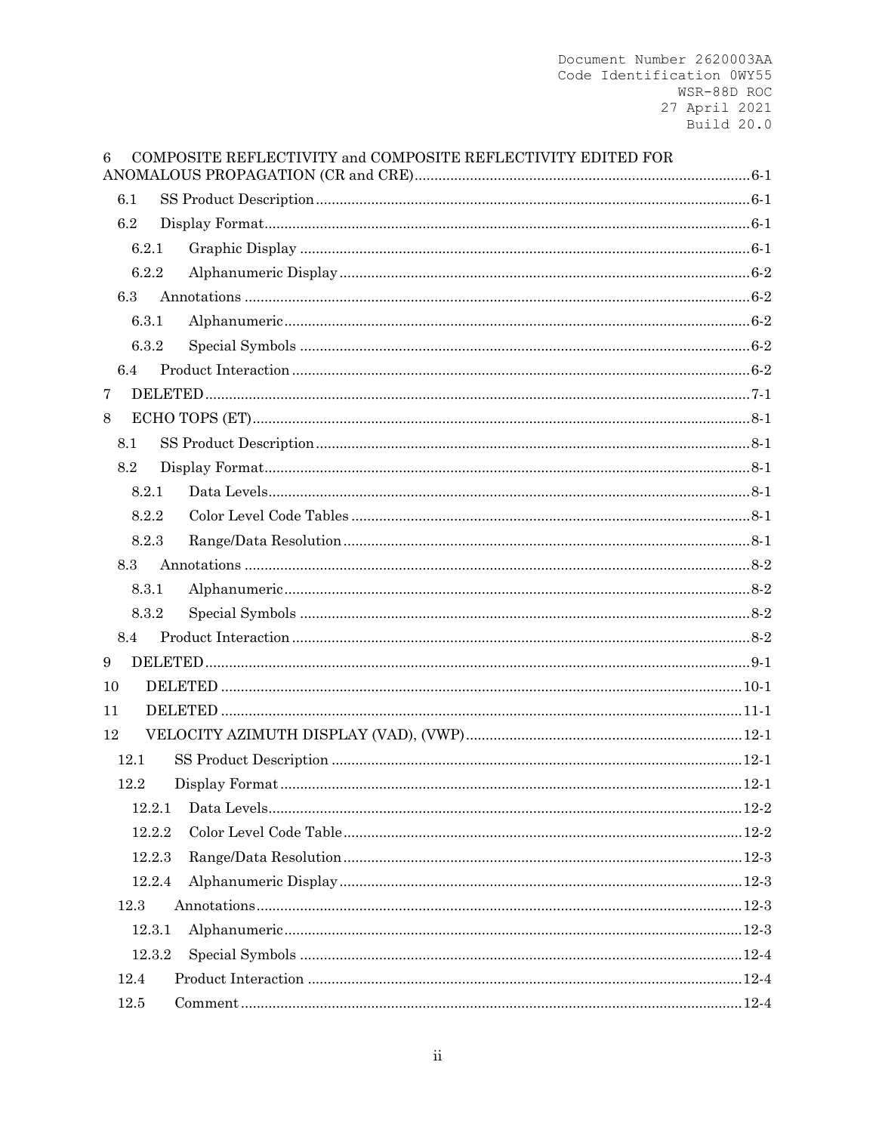| 6                |        | COMPOSITE REFLECTIVITY and COMPOSITE REFLECTIVITY EDITED FOR |         |
|------------------|--------|--------------------------------------------------------------|---------|
| 6.1              |        |                                                              |         |
| 6.2              |        |                                                              |         |
|                  | 6.2.1  |                                                              |         |
|                  | 6.2.2  |                                                              |         |
| 6.3              |        |                                                              |         |
|                  | 6.3.1  |                                                              |         |
|                  | 6.3.2  |                                                              |         |
| 6.4              |        |                                                              |         |
| $\overline{7}$   |        |                                                              |         |
| $8\,$            |        |                                                              |         |
| 8.1              |        |                                                              |         |
| 8.2              |        |                                                              |         |
|                  | 8.2.1  |                                                              |         |
|                  | 8.2.2  |                                                              |         |
|                  | 8.2.3  |                                                              |         |
| 8.3              |        |                                                              |         |
|                  | 8.3.1  |                                                              |         |
|                  | 8.3.2  |                                                              |         |
| 8.4              |        |                                                              |         |
| $\boldsymbol{9}$ |        |                                                              |         |
| 10               |        |                                                              |         |
| 11               |        |                                                              |         |
| 12               |        |                                                              |         |
| 12.1             |        |                                                              |         |
| 12.2             |        | $\label{eq:optimal} \text{Display Format} \text{.}$          | $.12-1$ |
|                  | 12.2.1 |                                                              |         |
|                  | 12.2.2 |                                                              |         |
|                  | 12.2.3 |                                                              |         |
|                  | 12.2.4 |                                                              |         |
| 12.3             |        |                                                              |         |
|                  | 12.3.1 |                                                              |         |
|                  | 12.3.2 |                                                              |         |
| 12.4             |        |                                                              |         |
| 12.5             |        |                                                              |         |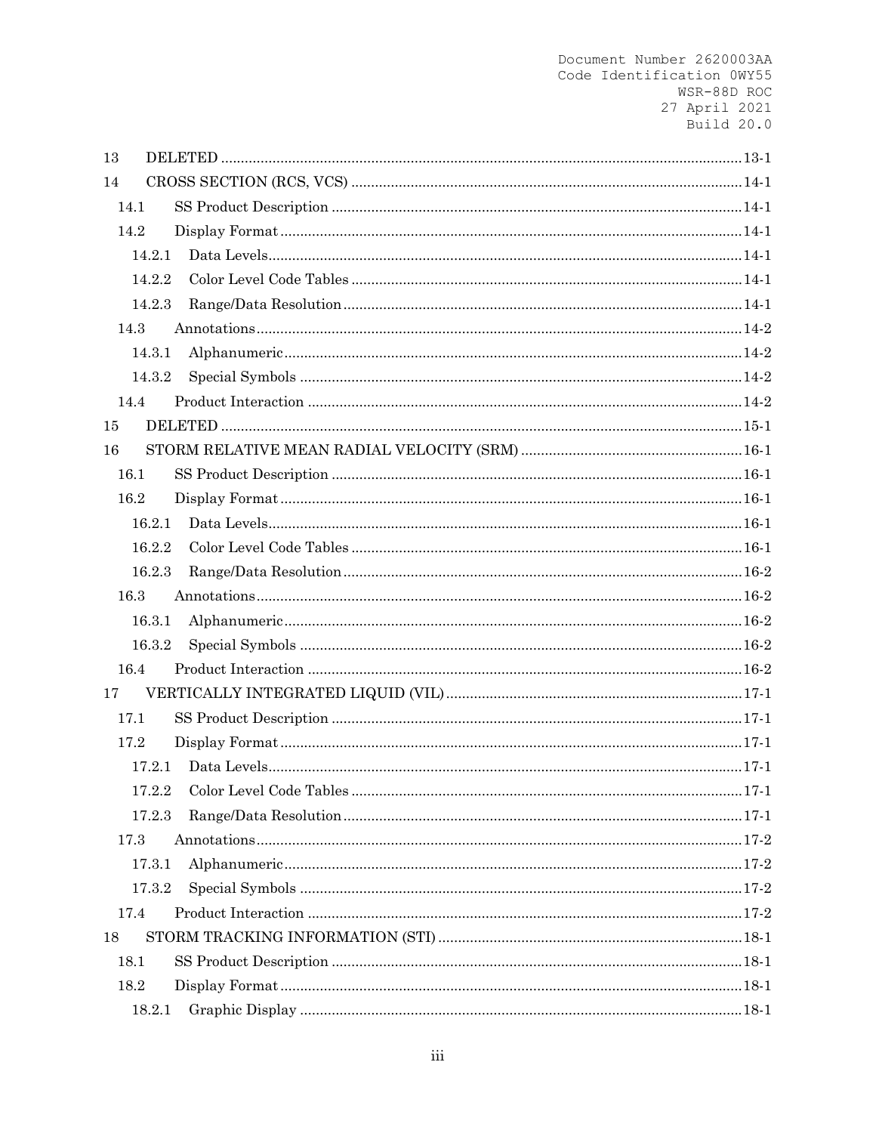| 13     |  |
|--------|--|
| 14     |  |
| 14.1   |  |
| 14.2   |  |
| 14.2.1 |  |
| 14.2.2 |  |
| 14.2.3 |  |
| 14.3   |  |
| 14.3.1 |  |
| 14.3.2 |  |
| 14.4   |  |
| 15     |  |
| 16     |  |
| 16.1   |  |
| 16.2   |  |
| 16.2.1 |  |
| 16.2.2 |  |
| 16.2.3 |  |
| 16.3   |  |
| 16.3.1 |  |
| 16.3.2 |  |
| 16.4   |  |
| 17     |  |
| 17.1   |  |
| 17.2   |  |
| 17.2.1 |  |
| 17.2.2 |  |
| 17.2.3 |  |
| 17.3   |  |
| 17.3.1 |  |
| 17.3.2 |  |
| 17.4   |  |
| 18     |  |
| 18.1   |  |
| 18.2   |  |
| 18.2.1 |  |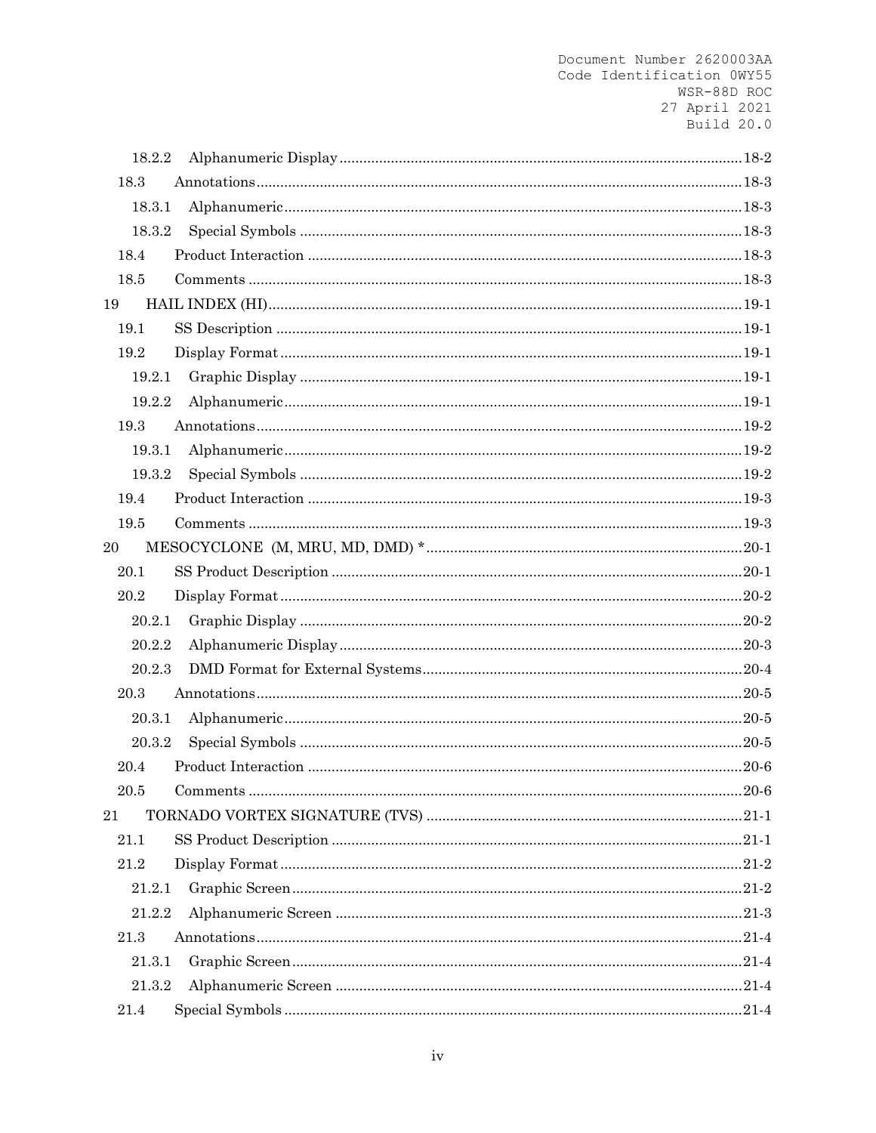| 18.2.2 |  |
|--------|--|
| 18.3   |  |
| 18.3.1 |  |
| 18.3.2 |  |
| 18.4   |  |
| 18.5   |  |
| 19     |  |
| 19.1   |  |
| 19.2   |  |
| 19.2.1 |  |
| 19.2.2 |  |
| 19.3   |  |
| 19.3.1 |  |
| 19.3.2 |  |
| 19.4   |  |
| 19.5   |  |
| 20     |  |
| 20.1   |  |
|        |  |
| 20.2   |  |
| 20.2.1 |  |
| 20.2.2 |  |
| 20.2.3 |  |
| 20.3   |  |
| 20.3.1 |  |
| 20.3.2 |  |
| 20.4   |  |
| 20.5   |  |
| 21     |  |
| 21.1   |  |
| 21.2   |  |
| 21.2.1 |  |
| 21.2.2 |  |
| 21.3   |  |
| 21.3.1 |  |
| 21.3.2 |  |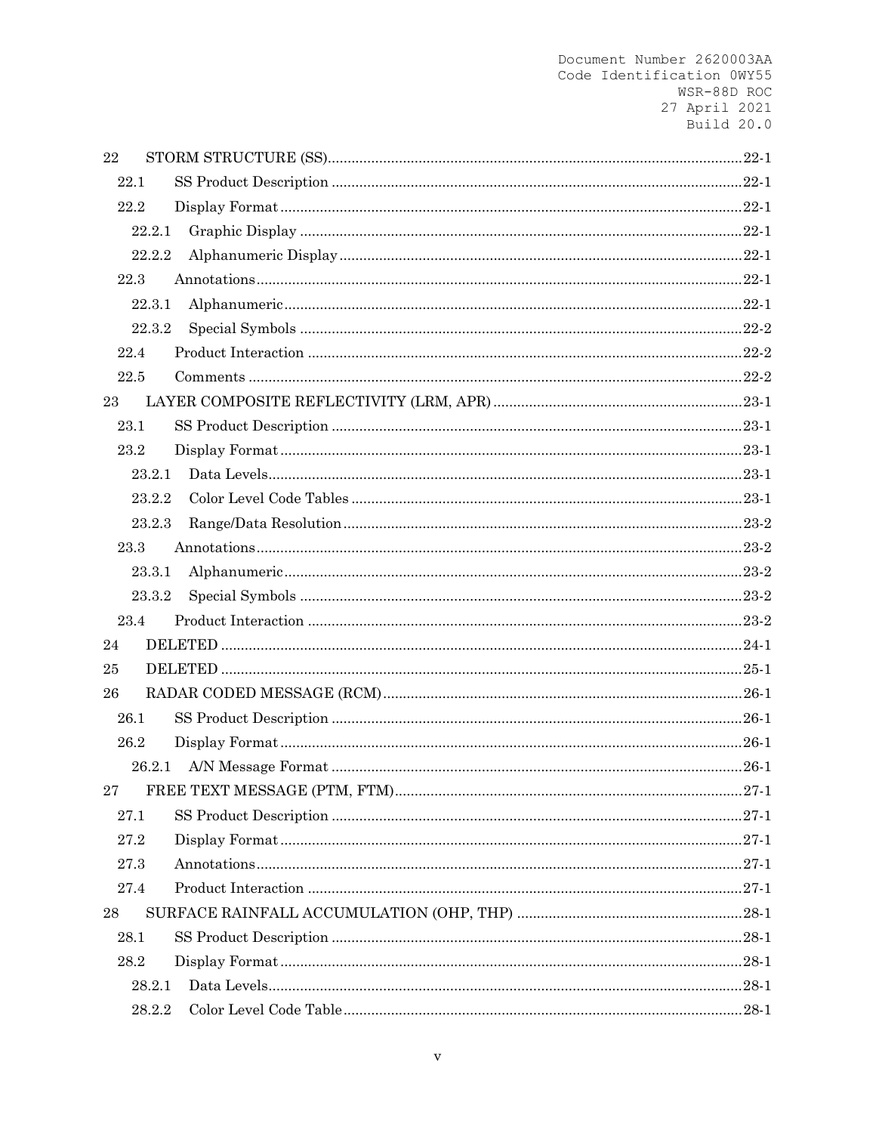| 22 |        |  |
|----|--------|--|
|    | 22.1   |  |
|    | 22.2   |  |
|    | 22.2.1 |  |
|    | 22.2.2 |  |
|    | 22.3   |  |
|    | 22.3.1 |  |
|    | 22.3.2 |  |
|    | 22.4   |  |
|    | 22.5   |  |
| 23 |        |  |
|    | 23.1   |  |
|    | 23.2   |  |
|    | 23.2.1 |  |
|    | 23.2.2 |  |
|    | 23.2.3 |  |
|    | 23.3   |  |
|    | 23.3.1 |  |
|    | 23.3.2 |  |
|    | 23.4   |  |
| 24 |        |  |
| 25 |        |  |
| 26 |        |  |
|    | 26.1   |  |
|    | 26.2   |  |
|    | 26.2.1 |  |
| 27 |        |  |
|    | 27.1   |  |
|    | 27.2   |  |
|    | 27.3   |  |
|    | 27.4   |  |
| 28 |        |  |
|    | 28.1   |  |
|    | 28.2   |  |
|    | 28.2.1 |  |
|    | 28.2.2 |  |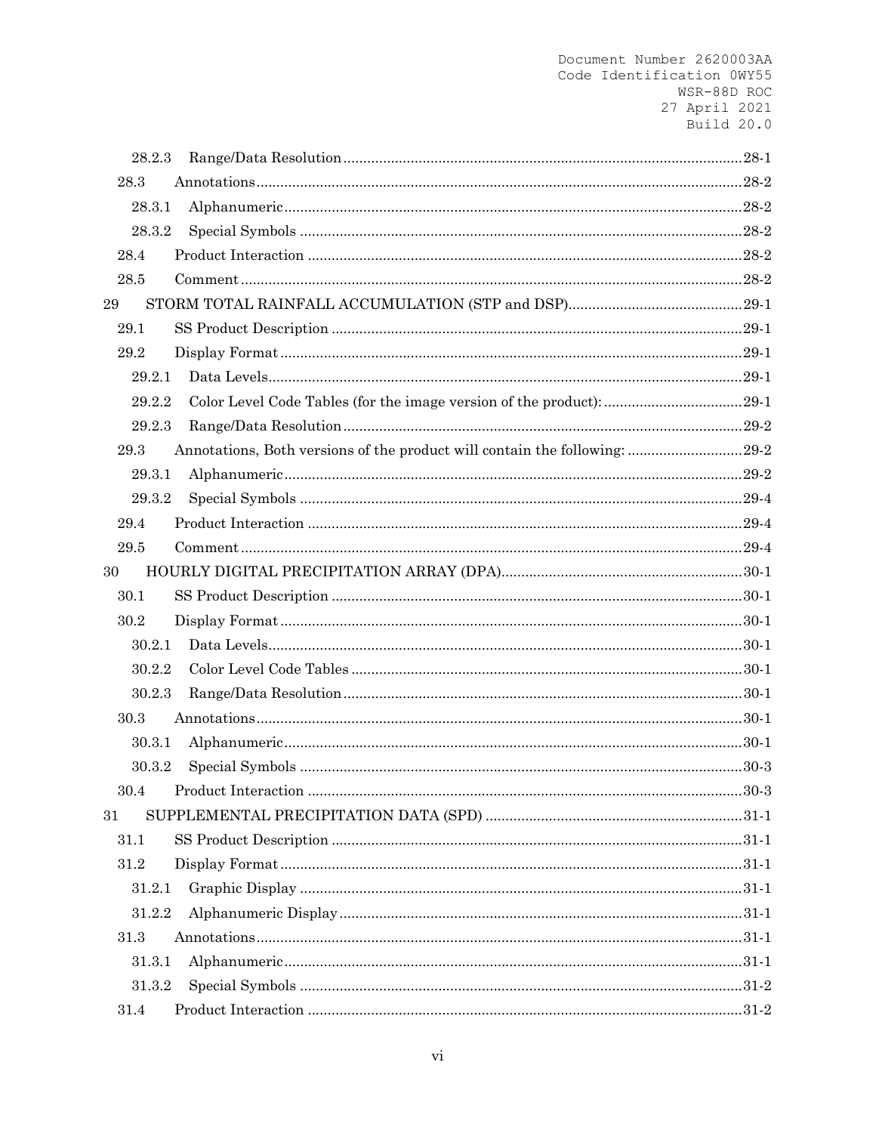| 28.2.3 |                                                                            |  |
|--------|----------------------------------------------------------------------------|--|
| 28.3   |                                                                            |  |
| 28.3.1 |                                                                            |  |
| 28.3.2 |                                                                            |  |
| 28.4   |                                                                            |  |
| 28.5   |                                                                            |  |
| 29     |                                                                            |  |
| 29.1   |                                                                            |  |
| 29.2   |                                                                            |  |
| 29.2.1 |                                                                            |  |
| 29.2.2 |                                                                            |  |
| 29.2.3 |                                                                            |  |
| 29.3   | Annotations, Both versions of the product will contain the following: 29-2 |  |
| 29.3.1 |                                                                            |  |
| 29.3.2 |                                                                            |  |
| 29.4   |                                                                            |  |
| 29.5   |                                                                            |  |
| 30     |                                                                            |  |
| 30.1   |                                                                            |  |
| 30.2   |                                                                            |  |
| 30.2.1 |                                                                            |  |
| 30.2.2 |                                                                            |  |
| 30.2.3 |                                                                            |  |
| 30.3   |                                                                            |  |
| 30.3.1 |                                                                            |  |
| 30.3.2 |                                                                            |  |
| 30.4   |                                                                            |  |
| 31     |                                                                            |  |
| 31.1   |                                                                            |  |
| 31.2   |                                                                            |  |
| 31.2.1 |                                                                            |  |
| 31.2.2 |                                                                            |  |
| 31.3   |                                                                            |  |
| 31.3.1 |                                                                            |  |
| 31.3.2 |                                                                            |  |
| 31.4   |                                                                            |  |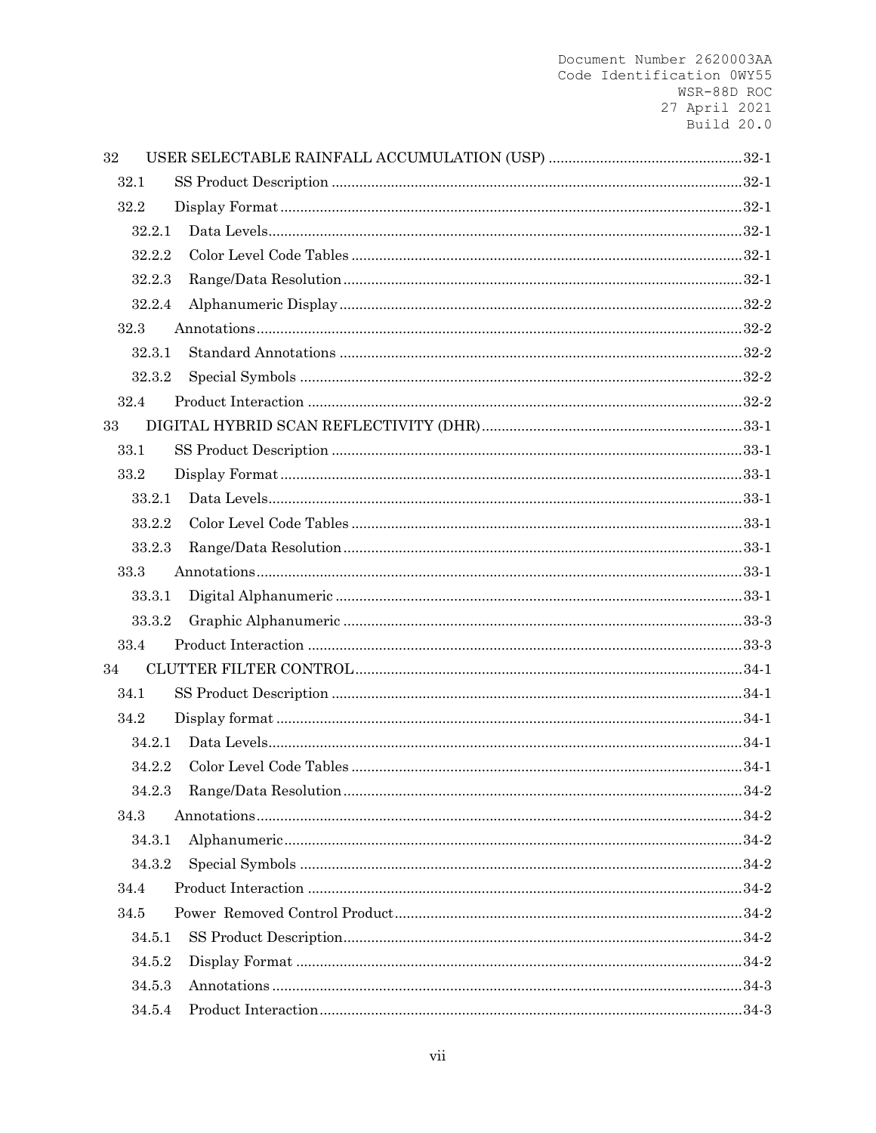| 32   |        |  |
|------|--------|--|
| 32.1 |        |  |
| 32.2 |        |  |
|      | 32.2.1 |  |
|      | 32.2.2 |  |
|      | 32.2.3 |  |
|      | 32.2.4 |  |
| 32.3 |        |  |
|      | 32.3.1 |  |
|      | 32.3.2 |  |
| 32.4 |        |  |
| 33   |        |  |
| 33.1 |        |  |
| 33.2 |        |  |
|      | 33.2.1 |  |
|      | 33.2.2 |  |
|      | 33.2.3 |  |
| 33.3 |        |  |
|      | 33.3.1 |  |
|      | 33.3.2 |  |
| 33.4 |        |  |
| 34   |        |  |
| 34.1 |        |  |
| 34.2 |        |  |
|      | 34.2.1 |  |
|      | 34.2.2 |  |
|      | 34.2.3 |  |
| 34.3 |        |  |
|      | 34.3.1 |  |
|      | 34.3.2 |  |
| 34.4 |        |  |
| 34.5 |        |  |
|      | 34.5.1 |  |
|      | 34.5.2 |  |
|      | 34.5.3 |  |
|      | 34.5.4 |  |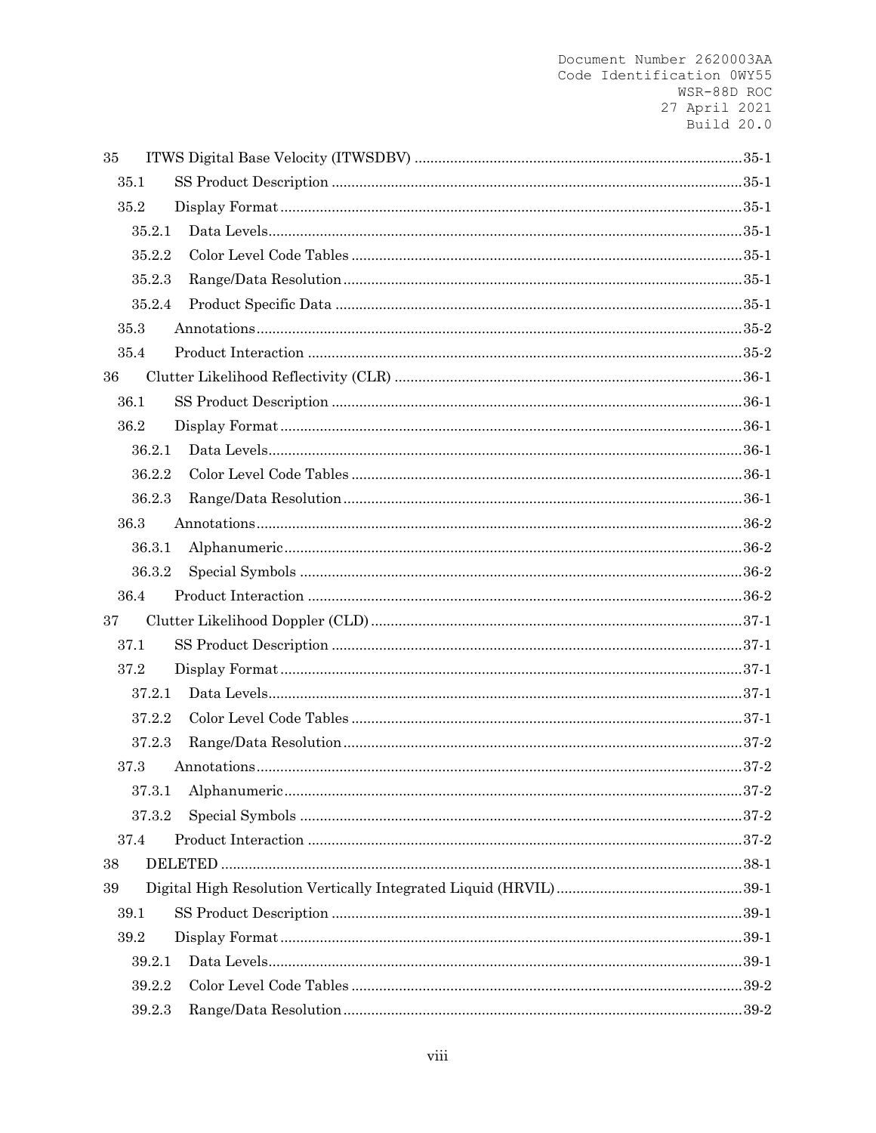| 35 |        |  |
|----|--------|--|
|    | 35.1   |  |
|    | 35.2   |  |
|    | 35.2.1 |  |
|    | 35.2.2 |  |
|    | 35.2.3 |  |
|    | 35.2.4 |  |
|    | 35.3   |  |
|    | 35.4   |  |
| 36 |        |  |
|    | 36.1   |  |
|    | 36.2   |  |
|    | 36.2.1 |  |
|    | 36.2.2 |  |
|    | 36.2.3 |  |
|    | 36.3   |  |
|    | 36.3.1 |  |
|    | 36.3.2 |  |
|    | 36.4   |  |
| 37 |        |  |
|    | 37.1   |  |
|    | 37.2   |  |
|    | 37.2.1 |  |
|    | 37.2.2 |  |
|    | 37.2.3 |  |
|    | 37.3   |  |
|    | 37.3.1 |  |
|    | 37.3.2 |  |
|    | 37.4   |  |
| 38 |        |  |
| 39 |        |  |
|    | 39.1   |  |
|    | 39.2   |  |
|    | 39.2.1 |  |
|    | 39.2.2 |  |
|    | 39.2.3 |  |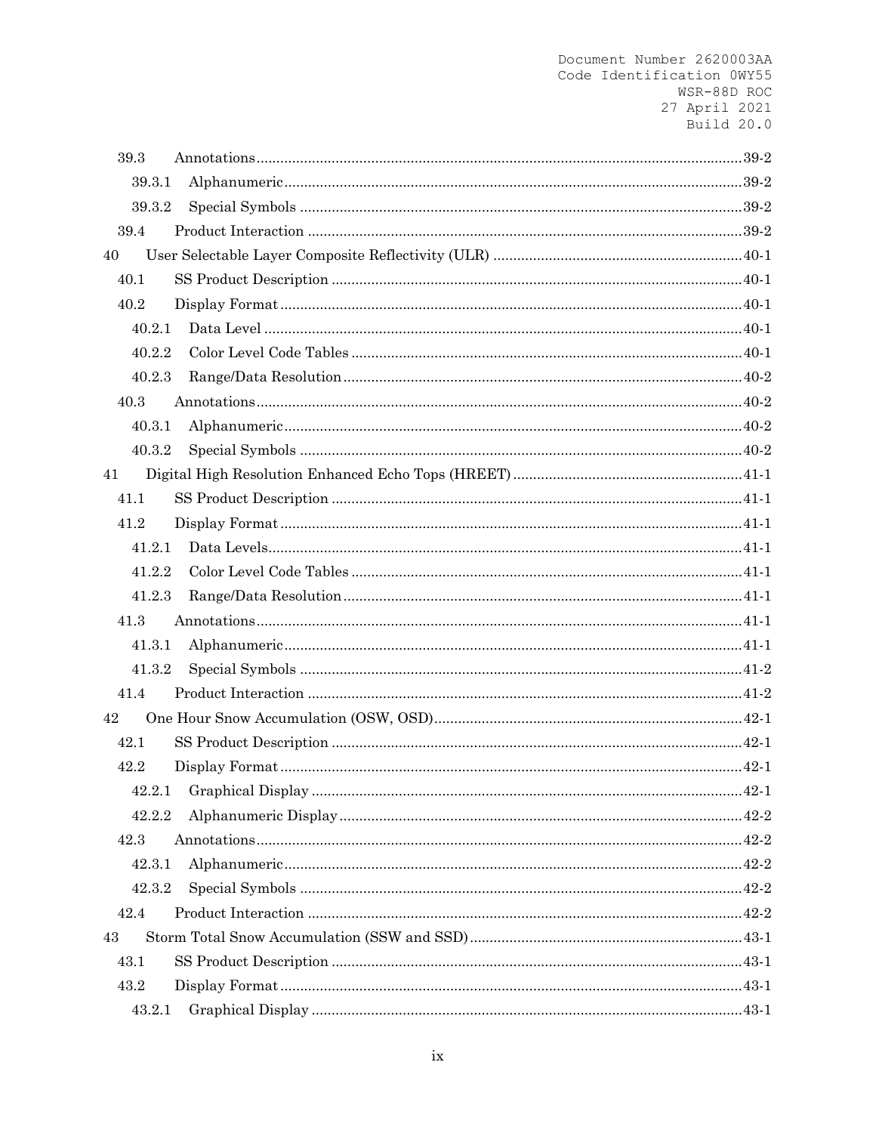| 39.3   |  |
|--------|--|
| 39.3.1 |  |
| 39.3.2 |  |
| 39.4   |  |
| 40     |  |
| 40.1   |  |
| 40.2   |  |
| 40.2.1 |  |
| 40.2.2 |  |
| 40.2.3 |  |
| 40.3   |  |
| 40.3.1 |  |
| 40.3.2 |  |
| 41     |  |
| 41.1   |  |
| 41.2   |  |
| 41.2.1 |  |
| 41.2.2 |  |
| 41.2.3 |  |
| 41.3   |  |
| 41.3.1 |  |
| 41.3.2 |  |
| 41.4   |  |
| 42     |  |
| 42.1   |  |
| 42.2   |  |
| 42.2.1 |  |
| 42.2.2 |  |
| 42.3   |  |
| 42.3.1 |  |
| 42.3.2 |  |
| 42.4   |  |
| 43     |  |
| 43.1   |  |
| 43.2   |  |
| 43.2.1 |  |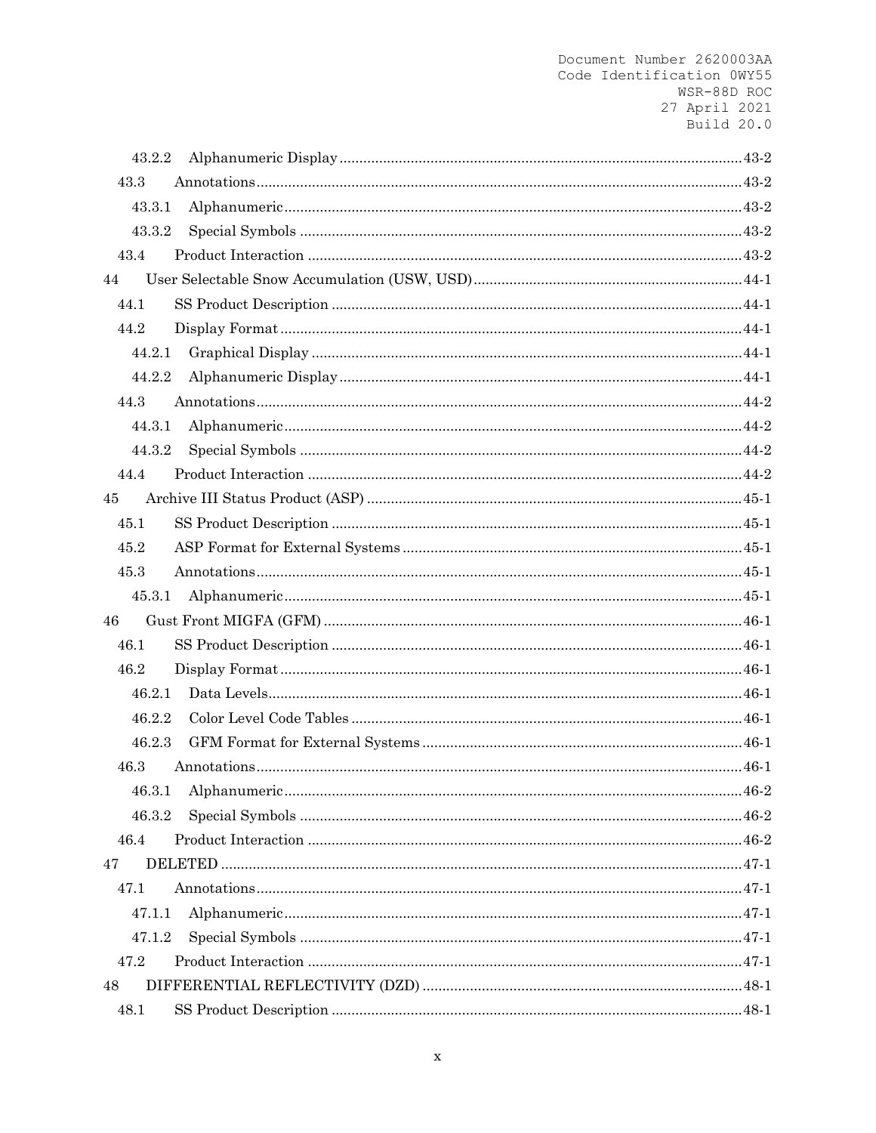| 43.2.2 |  |
|--------|--|
| 43.3   |  |
| 43.3.1 |  |
| 43.3.2 |  |
| 43.4   |  |
| 44     |  |
| 44.1   |  |
| 44.2   |  |
| 44.2.1 |  |
| 44.2.2 |  |
| 44.3   |  |
| 44.3.1 |  |
| 44.3.2 |  |
| 44.4   |  |
| 45     |  |
| 45.1   |  |
| 45.2   |  |
| 45.3   |  |
| 45.3.1 |  |
| 46     |  |
| 46.1   |  |
| 46.2   |  |
| 46.2.1 |  |
| 46.2.2 |  |
| 46.2.3 |  |
| 46.3   |  |
|        |  |
| 46.3.2 |  |
| 46.4   |  |
| 47     |  |
| 47.1   |  |
| 47.1.1 |  |
| 47.1.2 |  |
| 47.2   |  |
| 48     |  |
| 48.1   |  |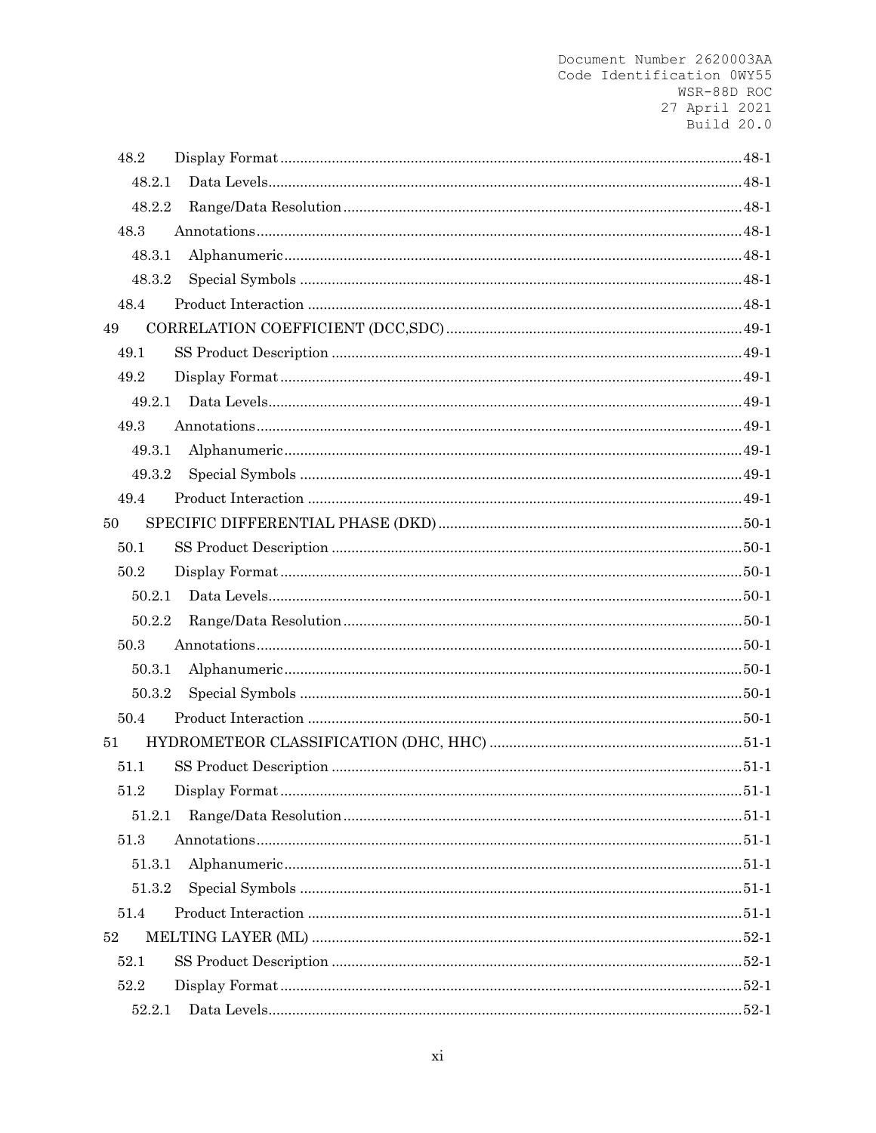| 48.2   |  |
|--------|--|
| 48.2.1 |  |
| 48.2.2 |  |
| 48.3   |  |
| 48.3.1 |  |
| 48.3.2 |  |
| 48.4   |  |
| 49     |  |
| 49.1   |  |
| 49.2   |  |
| 49.2.1 |  |
| 49.3   |  |
| 49.3.1 |  |
| 49.3.2 |  |
| 49.4   |  |
| 50     |  |
| 50.1   |  |
| 50.2   |  |
| 50.2.1 |  |
| 50.2.2 |  |
| 50.3   |  |
| 50.3.1 |  |
| 50.3.2 |  |
| 50.4   |  |
| 51     |  |
| 51.1   |  |
| 51.2   |  |
| 51.2.1 |  |
| 51.3   |  |
| 51.3.1 |  |
| 51.3.2 |  |
| 51.4   |  |
| 52     |  |
| 52.1   |  |
| 52.2   |  |
| 52.2.1 |  |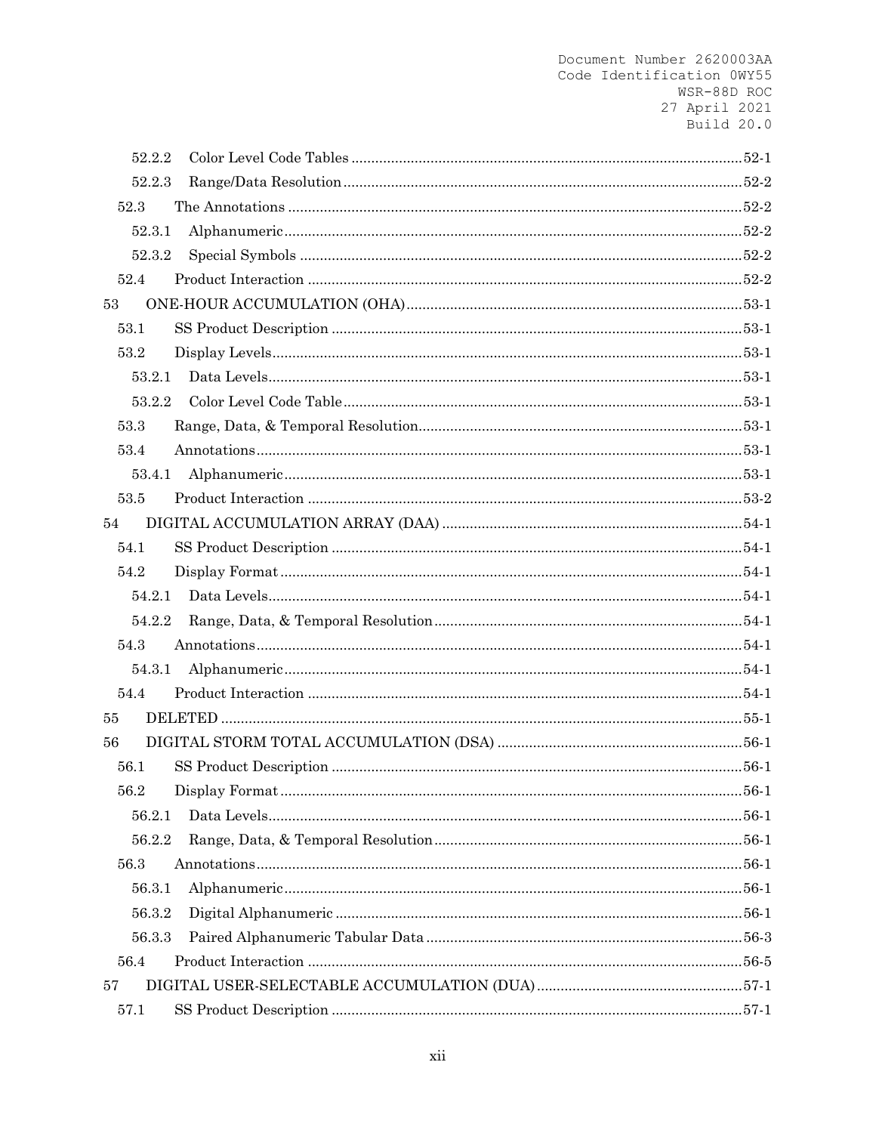| 52.2.2 |  |
|--------|--|
| 52.2.3 |  |
| 52.3   |  |
| 52.3.1 |  |
| 52.3.2 |  |
| 52.4   |  |
| 53     |  |
| 53.1   |  |
| 53.2   |  |
| 53.2.1 |  |
| 53.2.2 |  |
| 53.3   |  |
| 53.4   |  |
| 53.4.1 |  |
| 53.5   |  |
| 54     |  |
| 54.1   |  |
| 54.2   |  |
| 54.2.1 |  |
| 54.2.2 |  |
| 54.3   |  |
| 54.3.1 |  |
| 54.4   |  |
| 55     |  |
| 56     |  |
| 56.1   |  |
| 56.2   |  |
| 56.2.1 |  |
| 56.2.2 |  |
| 56.3   |  |
| 56.3.1 |  |
| 56.3.2 |  |
| 56.3.3 |  |
| 56.4   |  |
| 57     |  |
| 57.1   |  |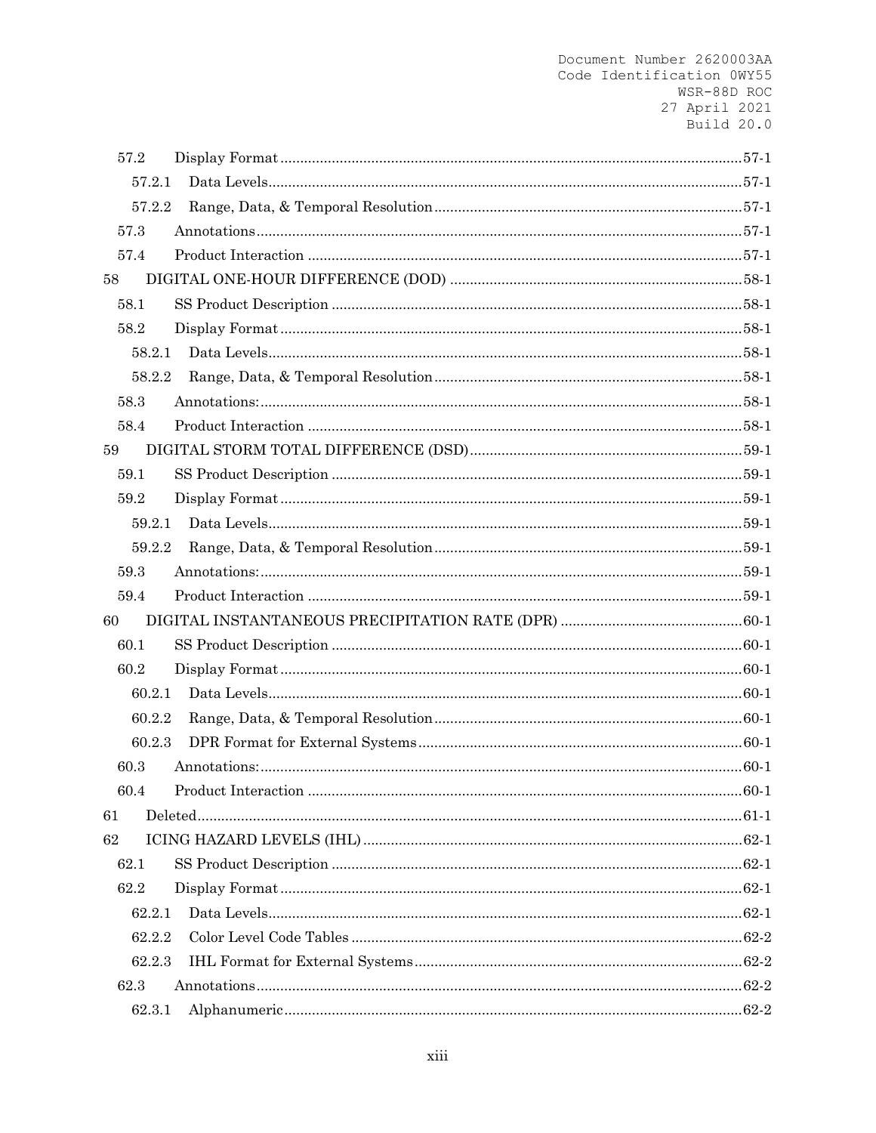| 57.2   |  |
|--------|--|
| 57.2.1 |  |
| 57.2.2 |  |
| 57.3   |  |
| 57.4   |  |
| 58     |  |
| 58.1   |  |
| 58.2   |  |
| 58.2.1 |  |
| 58.2.2 |  |
| 58.3   |  |
| 58.4   |  |
| 59     |  |
| 59.1   |  |
| 59.2   |  |
| 59.2.1 |  |
| 59.2.2 |  |
| 59.3   |  |
| 59.4   |  |
| 60     |  |
| 60.1   |  |
| 60.2   |  |
| 60.2.1 |  |
| 60.2.2 |  |
| 60.2.3 |  |
| 60.3   |  |
| 60.4   |  |
| 61     |  |
| 62     |  |
| 62.1   |  |
| 62.2   |  |
| 62.2.1 |  |
| 62.2.2 |  |
| 62.2.3 |  |
| 62.3   |  |
| 62.3.1 |  |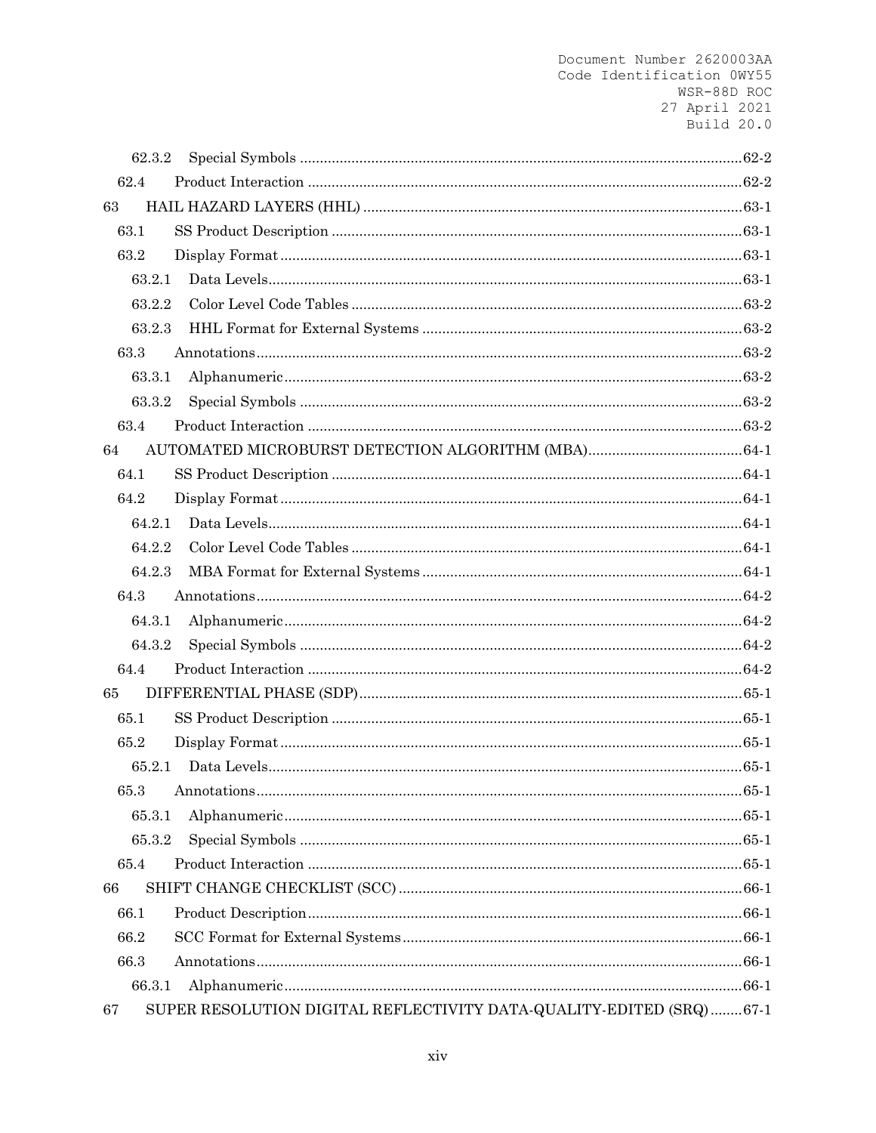| 62.3.2 |                                                                     |  |
|--------|---------------------------------------------------------------------|--|
| 62.4   |                                                                     |  |
| 63     |                                                                     |  |
| 63.1   |                                                                     |  |
| 63.2   |                                                                     |  |
| 63.2.1 |                                                                     |  |
| 63.2.2 |                                                                     |  |
| 63.2.3 |                                                                     |  |
| 63.3   |                                                                     |  |
| 63.3.1 |                                                                     |  |
| 63.3.2 |                                                                     |  |
| 63.4   |                                                                     |  |
| 64     |                                                                     |  |
| 64.1   |                                                                     |  |
| 64.2   |                                                                     |  |
| 64.2.1 |                                                                     |  |
| 64.2.2 |                                                                     |  |
| 64.2.3 |                                                                     |  |
| 64.3   |                                                                     |  |
| 64.3.1 |                                                                     |  |
| 64.3.2 |                                                                     |  |
| 64.4   |                                                                     |  |
| 65     |                                                                     |  |
| 65.1   |                                                                     |  |
| 65.2   |                                                                     |  |
| 65.2.1 |                                                                     |  |
| 65.3   |                                                                     |  |
| 65.3.1 |                                                                     |  |
| 65.3.2 |                                                                     |  |
| 65.4   |                                                                     |  |
| 66     |                                                                     |  |
| 66.1   |                                                                     |  |
| 66.2   |                                                                     |  |
| 66.3   |                                                                     |  |
| 66.3.1 |                                                                     |  |
| 67     | SUPER RESOLUTION DIGITAL REFLECTIVITY DATA-QUALITY-EDITED (SRQ)67-1 |  |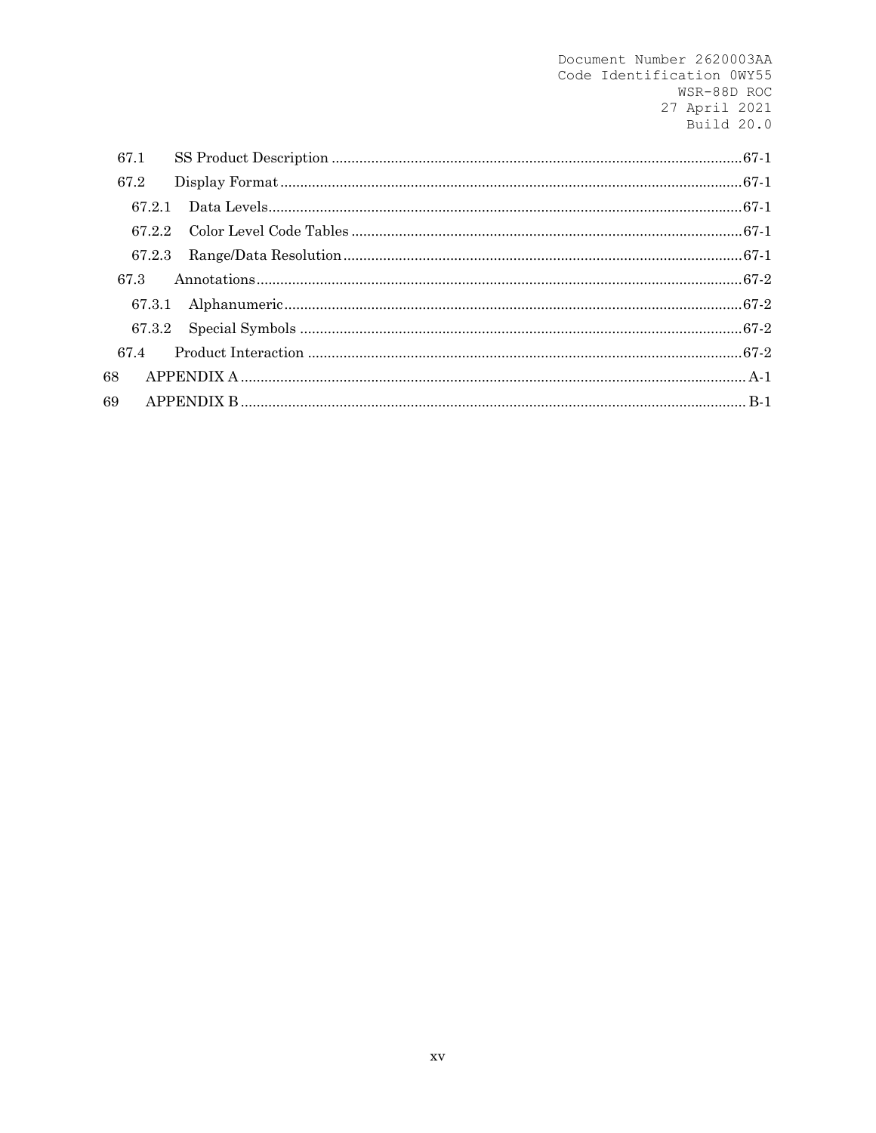| 67.1   |  |
|--------|--|
| 67.2   |  |
| 67 2 1 |  |
| 67.2.2 |  |
| 67.2.3 |  |
| 67.3   |  |
| 67.3.1 |  |
| 67.3.2 |  |
| 67.4   |  |
| 68     |  |
| 69     |  |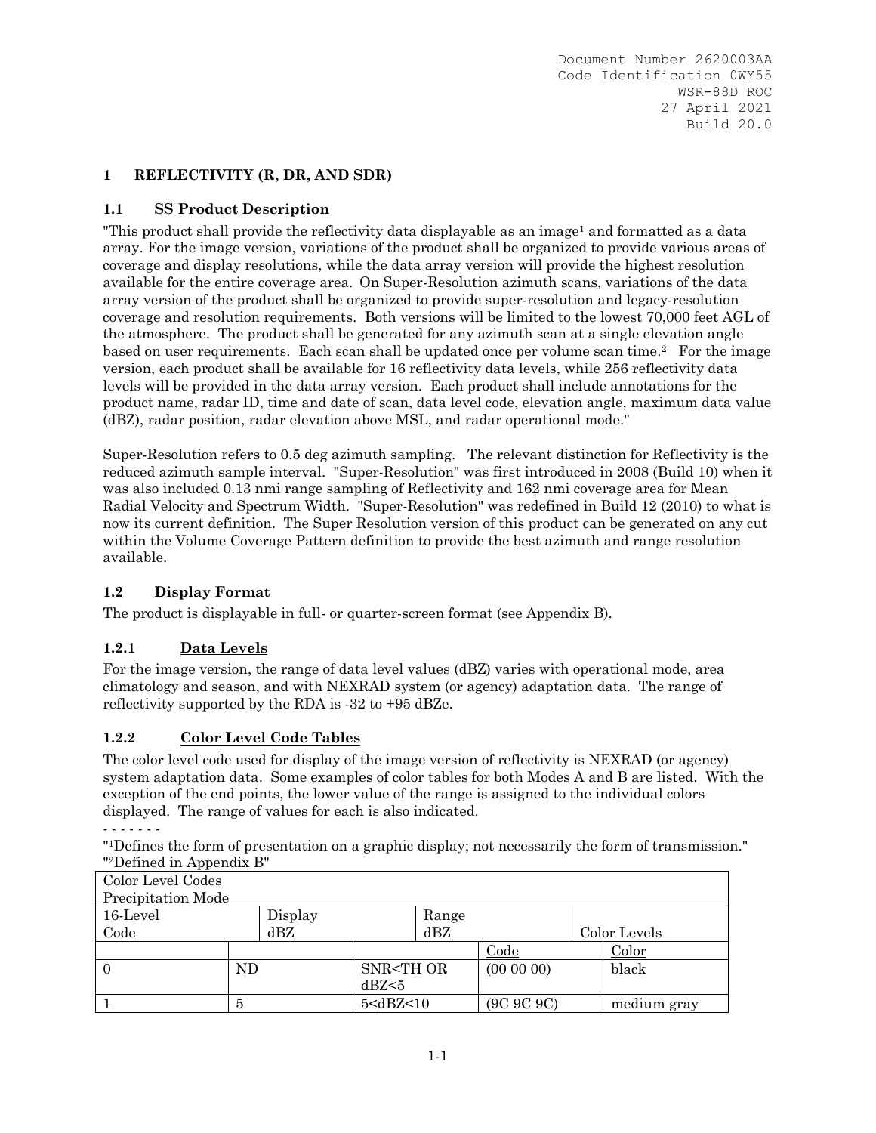## **1 REFLECTIVITY (R, DR, AND SDR)**

### **1.1 SS Product Description**

"This product shall provide the reflectivity data displayable as an image<sup>1</sup> and formatted as a data array. For the image version, variations of the product shall be organized to provide various areas of coverage and display resolutions, while the data array version will provide the highest resolution available for the entire coverage area. On Super-Resolution azimuth scans, variations of the data array version of the product shall be organized to provide super-resolution and legacy-resolution coverage and resolution requirements. Both versions will be limited to the lowest 70,000 feet AGL of the atmosphere. The product shall be generated for any azimuth scan at a single elevation angle based on user requirements. Each scan shall be updated once per volume scan time.2 For the image version, each product shall be available for 16 reflectivity data levels, while 256 reflectivity data levels will be provided in the data array version. Each product shall include annotations for the product name, radar ID, time and date of scan, data level code, elevation angle, maximum data value (dBZ), radar position, radar elevation above MSL, and radar operational mode."

Super-Resolution refers to 0.5 deg azimuth sampling. The relevant distinction for Reflectivity is the reduced azimuth sample interval. "Super-Resolution" was first introduced in 2008 (Build 10) when it was also included 0.13 nmi range sampling of Reflectivity and 162 nmi coverage area for Mean Radial Velocity and Spectrum Width. "Super-Resolution" was redefined in Build 12 (2010) to what is now its current definition. The Super Resolution version of this product can be generated on any cut within the Volume Coverage Pattern definition to provide the best azimuth and range resolution available.

### **1.2 Display Format**

The product is displayable in full- or quarter-screen format (see Appendix B).

### **1.2.1 Data Levels**

For the image version, the range of data level values (dBZ) varies with operational mode, area climatology and season, and with NEXRAD system (or agency) adaptation data. The range of reflectivity supported by the RDA is -32 to +95 dBZe.

### **1.2.2 Color Level Code Tables**

The color level code used for display of the image version of reflectivity is NEXRAD (or agency) system adaptation data. Some examples of color tables for both Modes A and B are listed. With the exception of the end points, the lower value of the range is assigned to the individual colors displayed. The range of values for each is also indicated.

- - - - - - -

"1Defines the form of presentation on a graphic display; not necessarily the form of transmission." "2Defined in Appendix B" Color Level Codes

| <b>COLOL LEVEL COULS</b> |     |         |                                                                                     |                                                             |            |                |       |
|--------------------------|-----|---------|-------------------------------------------------------------------------------------|-------------------------------------------------------------|------------|----------------|-------|
| Precipitation Mode       |     |         |                                                                                     |                                                             |            |                |       |
| 16-Level                 |     | Display |                                                                                     | Range                                                       |            |                |       |
| Code                     |     | dBZ     |                                                                                     | dBZ                                                         |            | Color Levels   |       |
|                          |     |         |                                                                                     |                                                             | Code       | Color          |       |
| - 0                      | ND. |         | SNR <th or<="" td=""><td></td><td><math>(00\ 00\ 00)</math></td><td>black</td></th> | <td></td> <td><math>(00\ 00\ 00)</math></td> <td>black</td> |            | $(00\ 00\ 00)$ | black |
|                          |     |         | dBZ <sub>5</sub>                                                                    |                                                             |            |                |       |
|                          | 5   |         | 5 <dbz<10< td=""><td></td><td>(9C 9C 9C)</td><td>medium gray</td></dbz<10<>         |                                                             | (9C 9C 9C) | medium gray    |       |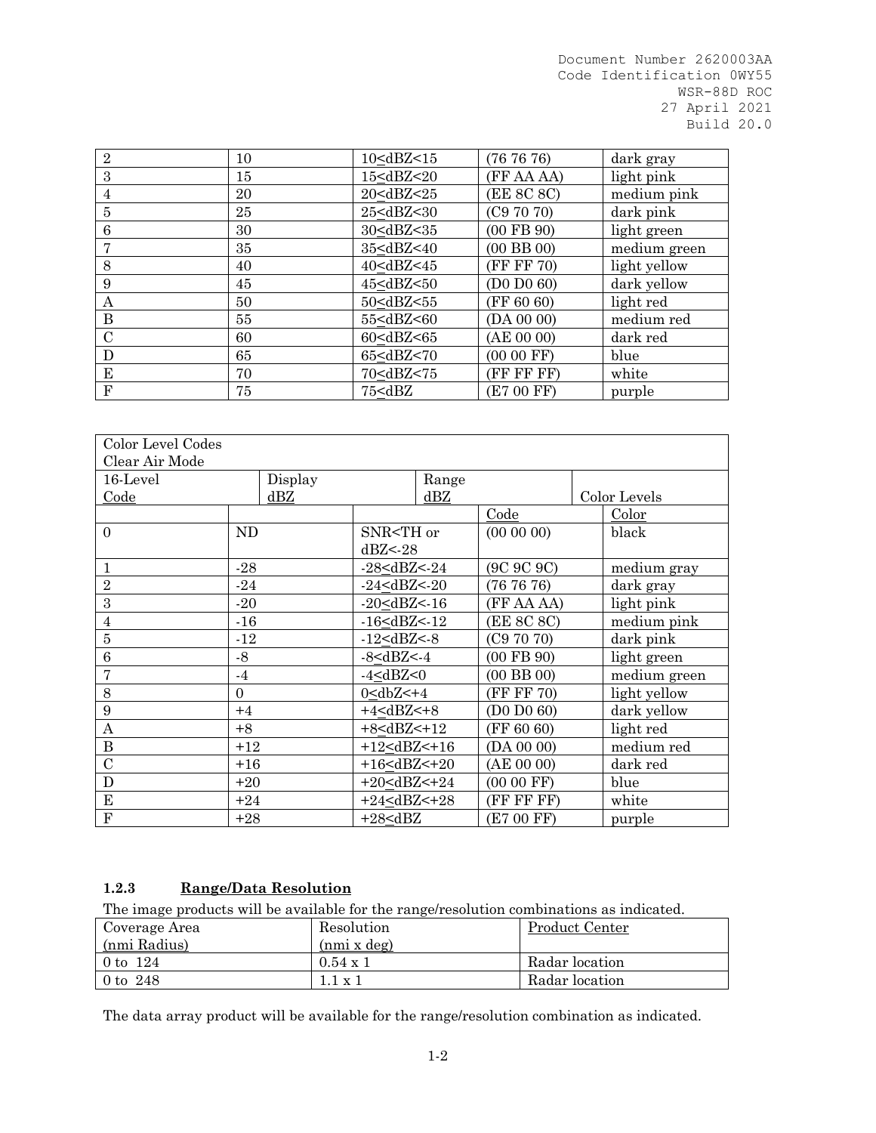| $\overline{2}$ | 10 | 10 <dbz<15< td=""><td>(767676)</td><td>dark gray</td></dbz<15<>                                | (767676)       | dark gray    |
|----------------|----|------------------------------------------------------------------------------------------------|----------------|--------------|
| 3              | 15 | 15 <dbz<20< td=""><td>(FF AA AA)</td><td>light pink</td></dbz<20<>                             | (FF AA AA)     | light pink   |
| 4              | 20 | 20 <dbz<25< td=""><td>(EE 8C 8C)</td><td>medium pink</td></dbz<25<>                            | (EE 8C 8C)     | medium pink  |
| 5              | 25 | 25 <dbz<30< td=""><td>(C97070)</td><td>dark pink</td></dbz<30<>                                | (C97070)       | dark pink    |
| 6              | 30 | 30 <dbz<35< td=""><td><math>(00</math> FB <math>90)</math></td><td>light green</td></dbz<35<>  | $(00$ FB $90)$ | light green  |
| 7              | 35 | 35 <dbz<40< td=""><td><math>(00</math> BB <math>00)</math></td><td>medium green</td></dbz<40<> | $(00$ BB $00)$ | medium green |
| 8              | 40 | 40 <dbz<45< td=""><td>(FF FF 70)</td><td>light yellow</td></dbz<45<>                           | (FF FF 70)     | light yellow |
| 9              | 45 | 45 <dbz<50< td=""><td>(D0 D0 60)</td><td>dark yellow</td></dbz<50<>                            | (D0 D0 60)     | dark yellow  |
| А              | 50 | 50 <dbz<55< td=""><td>(FF 60 60)</td><td>light red</td></dbz<55<>                              | (FF 60 60)     | light red    |
| B              | 55 | 55 <dbz<60< td=""><td>(DA 00 00)</td><td>medium red</td></dbz<60<>                             | (DA 00 00)     | medium red   |
| $\mathcal{C}$  | 60 | 60 <dbz<65< td=""><td>(AE 00 00)</td><td>dark red</td></dbz<65<>                               | (AE 00 00)     | dark red     |
| D              | 65 | 65 <dbz<70< td=""><td><math>(0000)</math> FF)</td><td>blue</td></dbz<70<>                      | $(0000)$ FF)   | blue         |
| E              | 70 | 70 <dbz<75< td=""><td>(FF FF FF)</td><td>white</td></dbz<75<>                                  | (FF FF FF)     | white        |
| $_{\rm F}$     | 75 | 75 <dbz< td=""><td>(E7 00 FF)</td><td>purple</td></dbz<>                                       | (E7 00 FF)     | purple       |

| Color Level Codes<br>Clear Air Mode |           |         |                                                                                     |                                                             |                                                          |                |       |
|-------------------------------------|-----------|---------|-------------------------------------------------------------------------------------|-------------------------------------------------------------|----------------------------------------------------------|----------------|-------|
| 16-Level                            |           | Display |                                                                                     | Range                                                       |                                                          |                |       |
| Code                                |           | dBZ     |                                                                                     | dBZ                                                         |                                                          | Color Levels   |       |
|                                     |           |         |                                                                                     |                                                             | Code                                                     | Color          |       |
| $\Omega$                            | <b>ND</b> |         | SNR <th or<="" td=""><td></td><td><math>(00\ 00\ 00)</math></td><td>black</td></th> | <td></td> <td><math>(00\ 00\ 00)</math></td> <td>black</td> |                                                          | $(00\ 00\ 00)$ | black |
|                                     |           |         | dBZ < 28                                                                            |                                                             |                                                          |                |       |
| 1                                   | $-28$     |         | $-28 < dBZ < 24$                                                                    |                                                             | (9C 9C 9C)                                               | medium gray    |       |
| $\overline{2}$                      | $-24$     |         | $-24 < dBZ < -20$                                                                   |                                                             | (767676)                                                 | dark gray      |       |
| 3                                   | $-20$     |         | $-20 < dBZ < -16$                                                                   |                                                             | (FF AA AA)                                               | light pink     |       |
| $\overline{4}$                      | $-16$     |         | $-16 < dBZ < 12$                                                                    |                                                             | (EE 8C 8C)                                               | medium pink    |       |
| $\overline{5}$                      | $-12$     |         | $-12 < dBZ < -8$                                                                    |                                                             | (C97070)                                                 | dark pink      |       |
| 6                                   | $-8$      |         | $-8 < dBZ < -4$                                                                     |                                                             | $(00$ FB $90)$                                           | light green    |       |
| 7                                   | $-4$      |         | $-4 < dBZ < 0$                                                                      |                                                             | $(00$ BB $00)$                                           | medium green   |       |
| 8                                   | $\Omega$  |         | $0 < dbZ < +4$                                                                      |                                                             | (FF FF 70)                                               | light yellow   |       |
| 9                                   | $+4$      |         | $+4$                                                                                |                                                             | $($ D <sub>0</sub> $D$ <sub>0</sub> $6$ <sub>0</sub> $)$ | dark yellow    |       |
| A                                   | $+8$      |         | $+8$                                                                                |                                                             | (FF 60 60)                                               | light red      |       |
| $\bf{B}$                            | $+12$     |         | $+12 < dBZ < +16$                                                                   |                                                             | (DA 00 00)                                               | medium red     |       |
| $\mathcal{C}$                       | $+16$     |         | $+16 < dBZ < +20$                                                                   |                                                             | (AE 00 00)                                               | dark red       |       |
| D                                   | $+20$     |         | $+20 < dBZ < +24$                                                                   |                                                             | $(0000$ FF)                                              | blue           |       |
| E                                   | $+24$     |         | $+24 < dBZ < +28$                                                                   |                                                             | (FF FF FF)                                               | white          |       |
| ${\bf F}$                           | $+28$     |         | $+28<$ dBZ                                                                          |                                                             | (E7 00 FF)                                               | purple         |       |

## **1.2.3 Range/Data Resolution**

The image products will be available for the range/resolution combinations as indicated.

| Coverage Area | Resolution         | Product Center |
|---------------|--------------------|----------------|
| (nmi Radius)  | $(nmi \times deg)$ |                |
| 0 to $124$    | $0.54 \times 1$    | Radar location |
| 0 to $248$    | $1.1 \times 1$     | Radar location |

The data array product will be available for the range/resolution combination as indicated.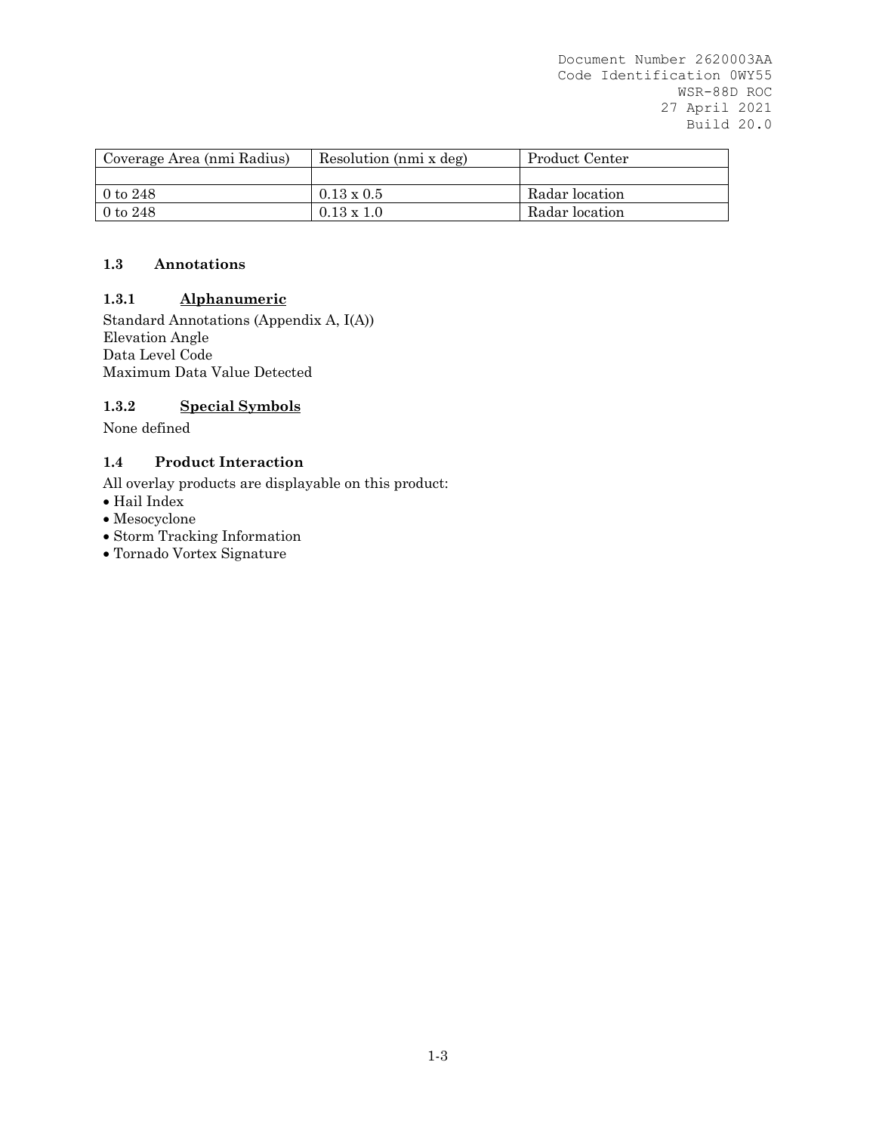| Coverage Area (nmi Radius) | Resolution (nmi x deg) | Product Center |
|----------------------------|------------------------|----------------|
|                            |                        |                |
| $0$ to $248$               | $0.13 \times 0.5$      | Radar location |
| $0$ to $248$               | $0.13 \times 1.0$      | Radar location |

### **1.3 Annotations**

### **1.3.1 Alphanumeric**

Standard Annotations (Appendix A, I(A)) Elevation Angle Data Level Code Maximum Data Value Detected

### **1.3.2 Special Symbols**

None defined

#### **1.4 Product Interaction**

All overlay products are displayable on this product:

- Hail Index
- Mesocyclone
- Storm Tracking Information
- Tornado Vortex Signature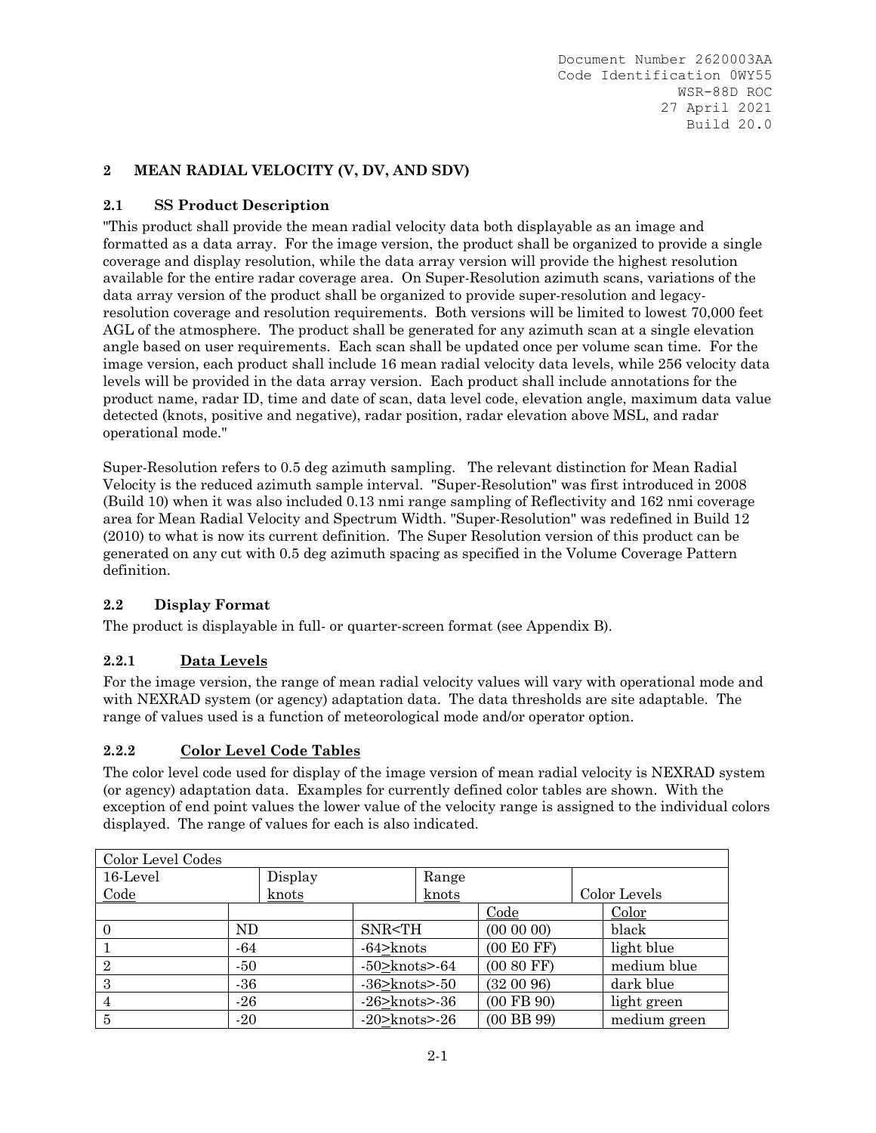## **2 MEAN RADIAL VELOCITY (V, DV, AND SDV)**

### **2.1 SS Product Description**

"This product shall provide the mean radial velocity data both displayable as an image and formatted as a data array. For the image version, the product shall be organized to provide a single coverage and display resolution, while the data array version will provide the highest resolution available for the entire radar coverage area. On Super-Resolution azimuth scans, variations of the data array version of the product shall be organized to provide super-resolution and legacyresolution coverage and resolution requirements. Both versions will be limited to lowest 70,000 feet AGL of the atmosphere. The product shall be generated for any azimuth scan at a single elevation angle based on user requirements. Each scan shall be updated once per volume scan time. For the image version, each product shall include 16 mean radial velocity data levels, while 256 velocity data levels will be provided in the data array version. Each product shall include annotations for the product name, radar ID, time and date of scan, data level code, elevation angle, maximum data value detected (knots, positive and negative), radar position, radar elevation above MSL, and radar operational mode."

Super-Resolution refers to 0.5 deg azimuth sampling. The relevant distinction for Mean Radial Velocity is the reduced azimuth sample interval. "Super-Resolution" was first introduced in 2008 (Build 10) when it was also included 0.13 nmi range sampling of Reflectivity and 162 nmi coverage area for Mean Radial Velocity and Spectrum Width. "Super-Resolution" was redefined in Build 12 (2010) to what is now its current definition. The Super Resolution version of this product can be generated on any cut with 0.5 deg azimuth spacing as specified in the Volume Coverage Pattern definition.

### **2.2 Display Format**

The product is displayable in full- or quarter-screen format (see Appendix B).

### **2.2.1 Data Levels**

For the image version, the range of mean radial velocity values will vary with operational mode and with NEXRAD system (or agency) adaptation data. The data thresholds are site adaptable.The range of values used is a function of meteorological mode and/or operator option.

### **2.2.2 Color Level Code Tables**

The color level code used for display of the image version of mean radial velocity is NEXRAD system (or agency) adaptation data. Examples for currently defined color tables are shown. With the exception of end point values the lower value of the velocity range is assigned to the individual colors displayed. The range of values for each is also indicated.

| Color Level Codes |       |         |                                                               |       |                |              |
|-------------------|-------|---------|---------------------------------------------------------------|-------|----------------|--------------|
| 16-Level          |       | Display |                                                               | Range |                |              |
| Code              |       | knots   |                                                               | knots |                | Color Levels |
|                   |       |         |                                                               |       | Code           | Color        |
|                   | ND.   |         | SNR <th< td=""><td></td><td>(000000)</td><td>black</td></th<> |       | (000000)       | black        |
|                   | $-64$ |         | $-64$ >knots                                                  |       | (00 E0 FF)     | light blue   |
| $\overline{2}$    | $-50$ |         | $-50$ knots $-64$                                             |       | (00 80 FF)     | medium blue  |
| 3                 | $-36$ |         | $-36$ > knots > $-50$                                         |       | (320096)       | dark blue    |
| 4                 | $-26$ |         | $-26$ > knots > $-36$                                         |       | $(00$ FB $90)$ | light green  |
| 5                 | $-20$ |         | $-20$ >knots> $-26$                                           |       | $(00$ BB $99)$ | medium green |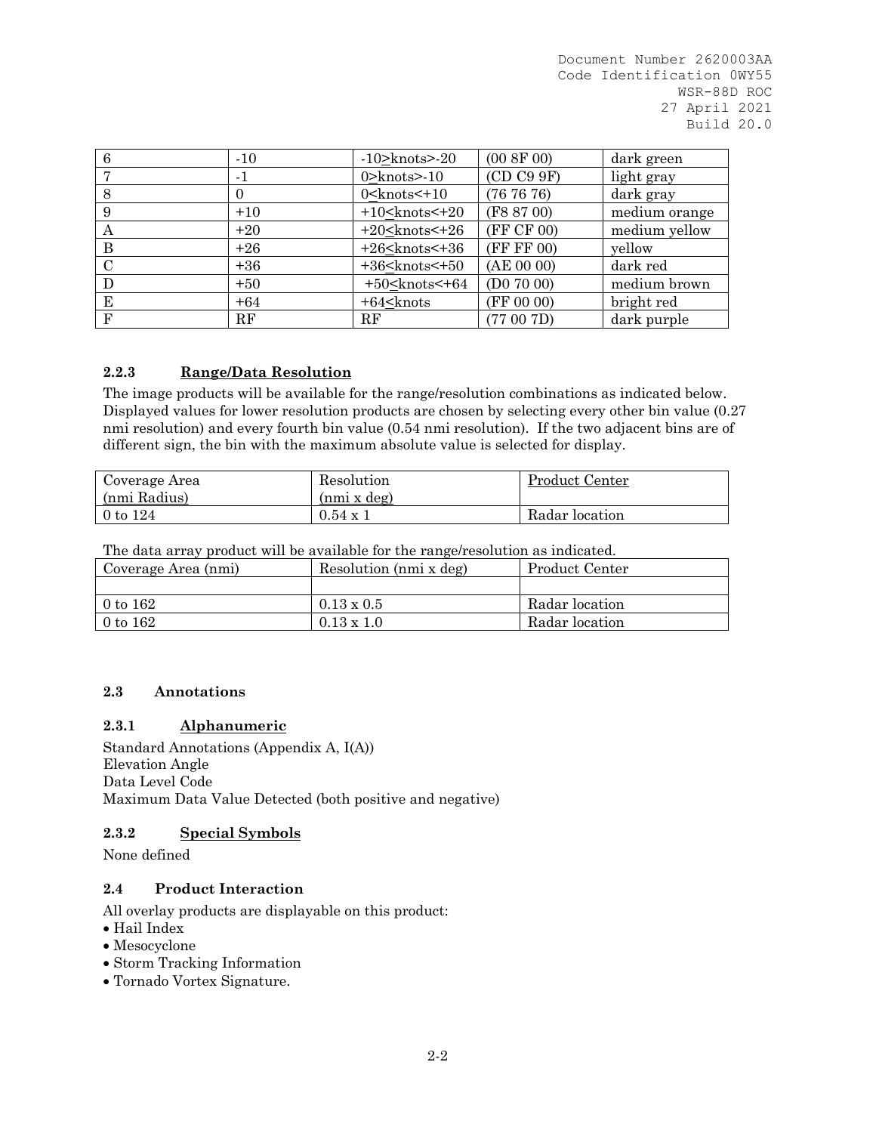| 6 | $-10$    | $-10$ knots $>$ 20      | (00 8F 00) | dark green    |
|---|----------|-------------------------|------------|---------------|
|   | $-1$     | $0$ > knots > - 10      | (CD C99F)  | light gray    |
| 8 | $\theta$ | $0$ < knots $\leq$ + 10 | (767676)   | dark gray     |
| 9 | $+10$    | $+10$ < knots < $+20$   | (F8 87 00) | medium orange |
| А | $+20$    | $+20$ < knots < $+26$   | (FF CF 00) | medium yellow |
| B | $+26$    | $+26$ < knots < $+36$   | (FF FF 00) | yellow        |
| C | $+36$    | $+36$ < knots < $+50$   | (AE 00 00) | dark red      |
| D | $+50$    | $+50$ < knots < $+64$   | (D07000)   | medium brown  |
| E | $+64$    | $+64$ < knots           | (FF 00 00) | bright red    |
| F | RF       | RF                      | (77007D)   | dark purple   |

# **2.2.3 Range/Data Resolution**

The image products will be available for the range/resolution combinations as indicated below. Displayed values for lower resolution products are chosen by selecting every other bin value (0.27 nmi resolution) and every fourth bin value (0.54 nmi resolution). If the two adjacent bins are of different sign, the bin with the maximum absolute value is selected for display.

| Coverage Area | Resolution      | Product Center |
|---------------|-----------------|----------------|
| (nmi Radius)  | (nmi x deg)     |                |
| $0$ to $124$  | $0.54 \times 1$ | Radar location |

The data array product will be available for the range/resolution as indicated.

| Coverage Area (nmi) | Resolution (nmi x deg) | Product Center |  |  |  |  |  |  |
|---------------------|------------------------|----------------|--|--|--|--|--|--|
|                     |                        |                |  |  |  |  |  |  |
| 0 to $162$          | $0.13 \times 0.5$      | Radar location |  |  |  |  |  |  |
| 0 to $162$          | $0.13 \times 1.0$      | Radar location |  |  |  |  |  |  |

### **2.3 Annotations**

### **2.3.1 Alphanumeric**

Standard Annotations (Appendix A, I(A)) Elevation Angle Data Level Code Maximum Data Value Detected (both positive and negative)

### **2.3.2 Special Symbols**

None defined

## **2.4 Product Interaction**

All overlay products are displayable on this product:

- Hail Index
- Mesocyclone
- Storm Tracking Information
- Tornado Vortex Signature.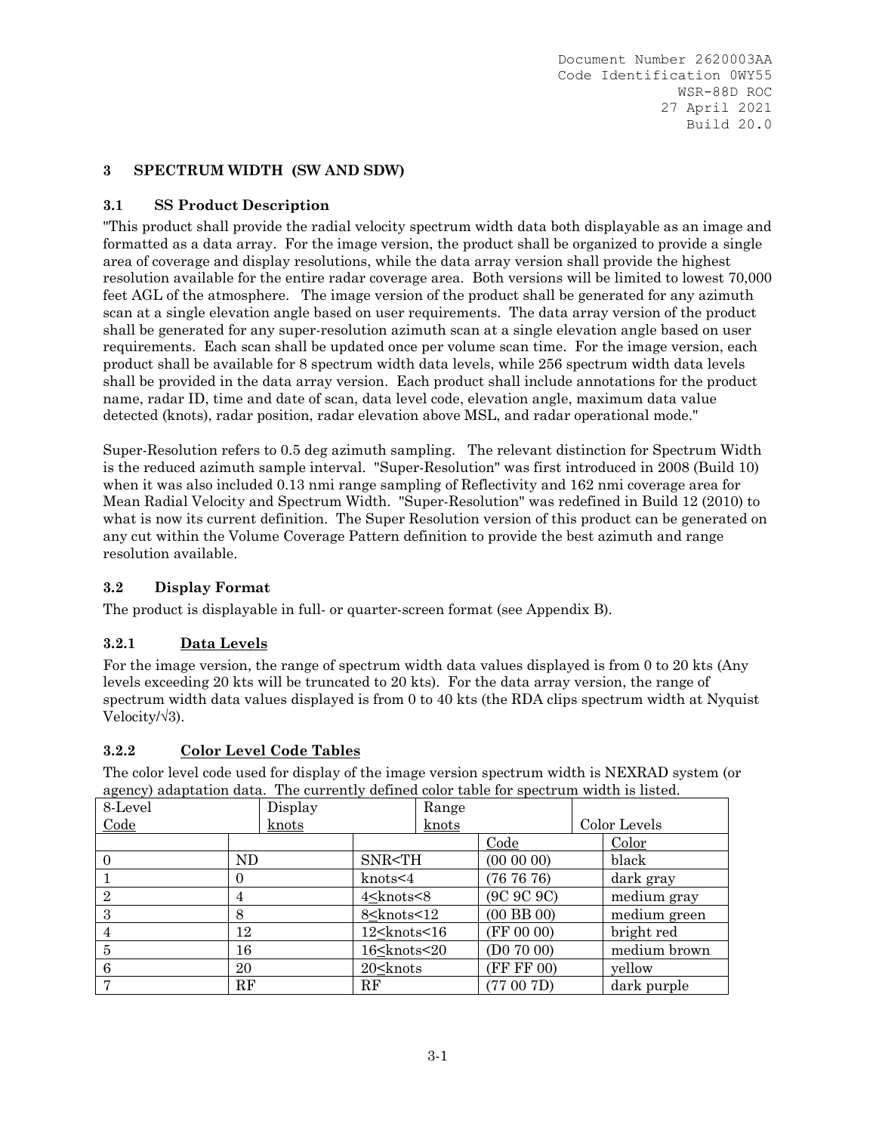### **3 SPECTRUM WIDTH (SW AND SDW)**

## **3.1 SS Product Description**

"This product shall provide the radial velocity spectrum width data both displayable as an image and formatted as a data array. For the image version, the product shall be organized to provide a single area of coverage and display resolutions, while the data array version shall provide the highest resolution available for the entire radar coverage area. Both versions will be limited to lowest 70,000 feet AGL of the atmosphere. The image version of the product shall be generated for any azimuth scan at a single elevation angle based on user requirements. The data array version of the product shall be generated for any super-resolution azimuth scan at a single elevation angle based on user requirements. Each scan shall be updated once per volume scan time. For the image version, each product shall be available for 8 spectrum width data levels, while 256 spectrum width data levels shall be provided in the data array version. Each product shall include annotations for the product name, radar ID, time and date of scan, data level code, elevation angle, maximum data value detected (knots), radar position, radar elevation above MSL, and radar operational mode."

Super-Resolution refers to 0.5 deg azimuth sampling. The relevant distinction for Spectrum Width is the reduced azimuth sample interval. "Super-Resolution" was first introduced in 2008 (Build 10) when it was also included 0.13 nmi range sampling of Reflectivity and 162 nmi coverage area for Mean Radial Velocity and Spectrum Width. "Super-Resolution" was redefined in Build 12 (2010) to what is now its current definition. The Super Resolution version of this product can be generated on any cut within the Volume Coverage Pattern definition to provide the best azimuth and range resolution available.

### **3.2 Display Format**

The product is displayable in full- or quarter-screen format (see Appendix B).

### **3.2.1 Data Levels**

For the image version, the range of spectrum width data values displayed is from 0 to 20 kts (Any levels exceeding 20 kts will be truncated to 20 kts). For the data array version, the range of spectrum width data values displayed is from 0 to 40 kts (the RDA clips spectrum width at Nyquist Velocity/√3).

### **3.2.2 Color Level Code Tables**

The color level code used for display of the image version spectrum width is NEXRAD system (or agency) adaptation data. The currently defined color table for spectrum width is listed.

| agency/ auaptation aata. The carrently achilea color table for opectrain when is hotel. |     |         |                                                                                                            |       |                |              |
|-----------------------------------------------------------------------------------------|-----|---------|------------------------------------------------------------------------------------------------------------|-------|----------------|--------------|
| 8-Level                                                                                 |     | Display |                                                                                                            | Range |                |              |
| Code                                                                                    |     | knots   |                                                                                                            | knots |                | Color Levels |
|                                                                                         |     |         |                                                                                                            |       | Code           | Color        |
|                                                                                         | ND. |         | SNR <th< td=""><td></td><td><math>(00\ 00\ 00)</math></td><td>black</td></th<>                             |       | $(00\ 00\ 00)$ | black        |
|                                                                                         |     |         | knots < 4                                                                                                  |       | (767676)       | dark gray    |
| $\overline{2}$                                                                          |     |         | 4 <knots<8< td=""><td></td><td>(9C 9C 9C)</td><td>medium gray</td></knots<8<>                              |       | (9C 9C 9C)     | medium gray  |
| 3                                                                                       | 8   |         | 8 <knots<12< td=""><td></td><td><math>(00</math> BB <math>00)</math></td><td>medium green</td></knots<12<> |       | $(00$ BB $00)$ | medium green |
|                                                                                         | 12  |         | 12 <knots<16< td=""><td></td><td>(FF 00 00)</td><td>bright red</td></knots<16<>                            |       | (FF 00 00)     | bright red   |
| 5                                                                                       | 16  |         | 16 <knots<20< td=""><td></td><td>(D07000)</td><td>medium brown</td></knots<20<>                            |       | (D07000)       | medium brown |
| 6                                                                                       | 20  |         | $20$ $\lt$ knots                                                                                           |       | (FF FF 00)     | yellow       |
|                                                                                         | RF  |         | RF                                                                                                         |       | (77007D)       | dark purple  |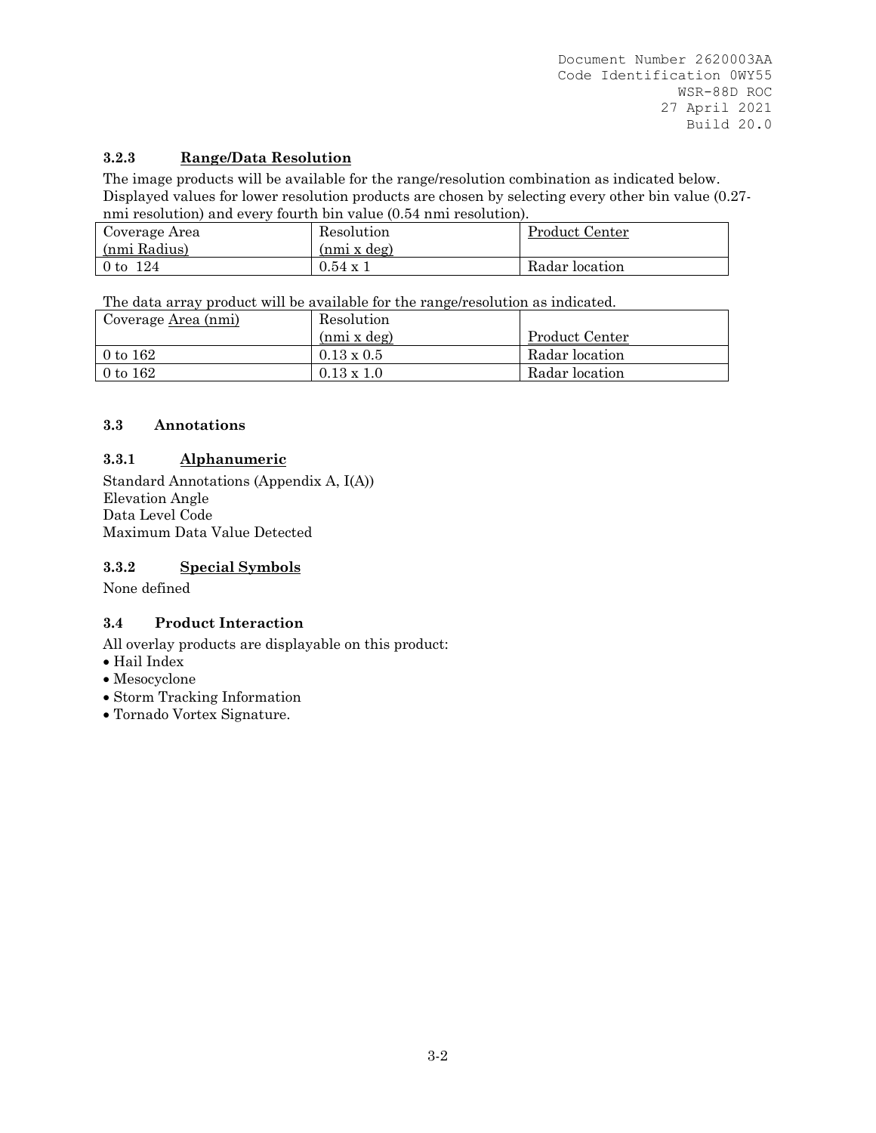# **3.2.3 Range/Data Resolution**

The image products will be available for the range/resolution combination as indicated below. Displayed values for lower resolution products are chosen by selecting every other bin value (0.27 nmi resolution) and every fourth bin value (0.54 nmi resolution).

|               | <u>111111 1 coolwelon) and c for from en only falled told in him resolution).</u> |                |  |  |  |  |  |  |
|---------------|-----------------------------------------------------------------------------------|----------------|--|--|--|--|--|--|
| Coverage Area | Resolution                                                                        | Product Center |  |  |  |  |  |  |
| (nmi Radius)  | (nmi x deg)                                                                       |                |  |  |  |  |  |  |
| 0 to 124      | $0.54 \times 1$                                                                   | Radar location |  |  |  |  |  |  |

The data array product will be available for the range/resolution as indicated.

| Coverage <u>Area (nmi)</u> | Resolution         |                |
|----------------------------|--------------------|----------------|
|                            | $(nmi \times deg)$ | Product Center |
| $0$ to $162$               | $0.13 \times 0.5$  | Radar location |
| $0$ to $162$               | $0.13 \times 1.0$  | Radar location |

# **3.3 Annotations**

# **3.3.1 Alphanumeric**

Standard Annotations (Appendix A, I(A)) Elevation Angle Data Level Code Maximum Data Value Detected

## **3.3.2 Special Symbols**

None defined

# **3.4 Product Interaction**

All overlay products are displayable on this product:

- Hail Index
- Mesocyclone
- Storm Tracking Information
- Tornado Vortex Signature.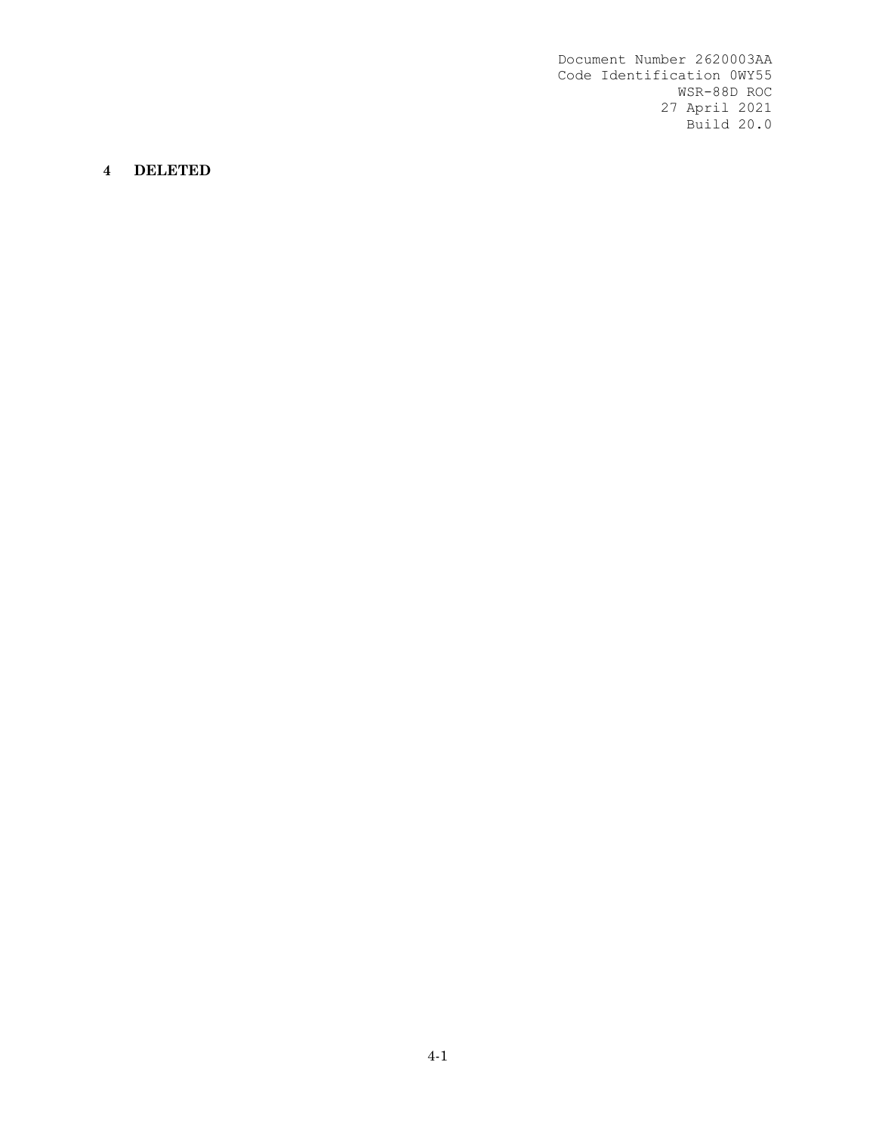#### **4 DELETED**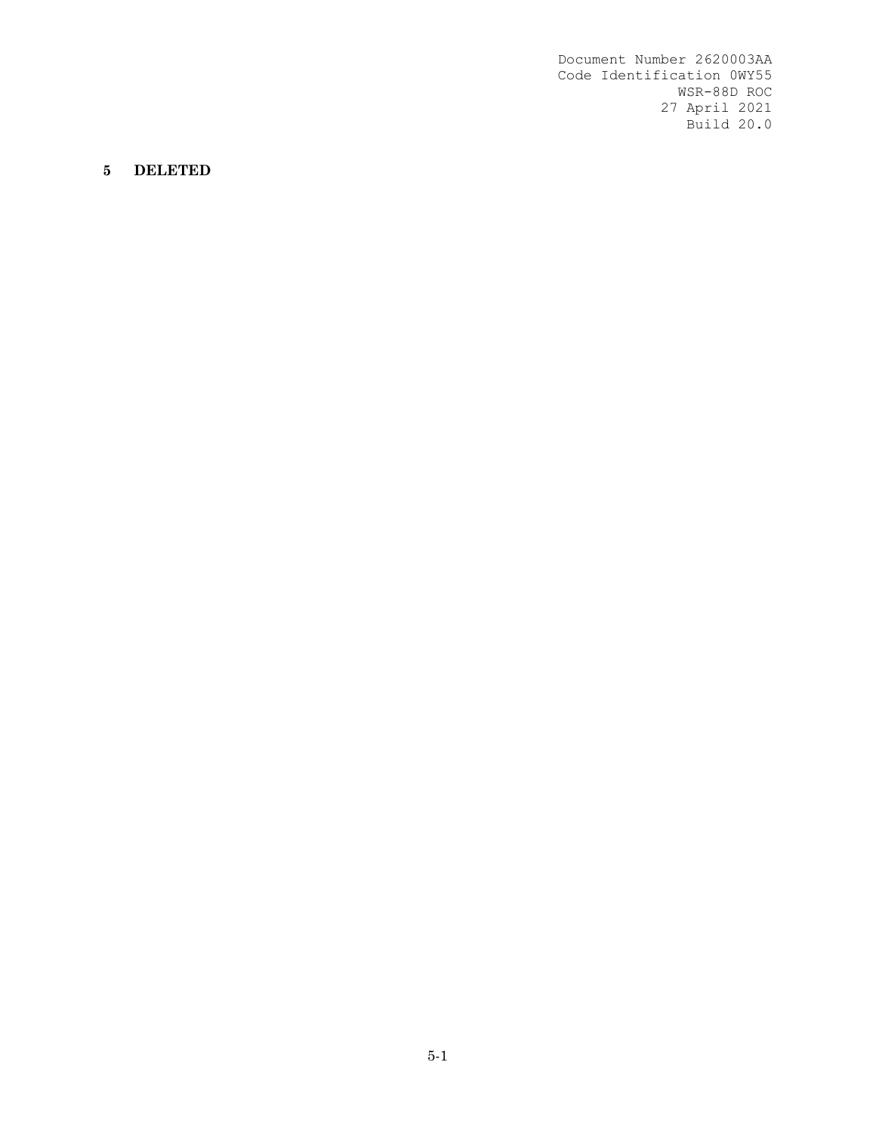# **5 DELETED**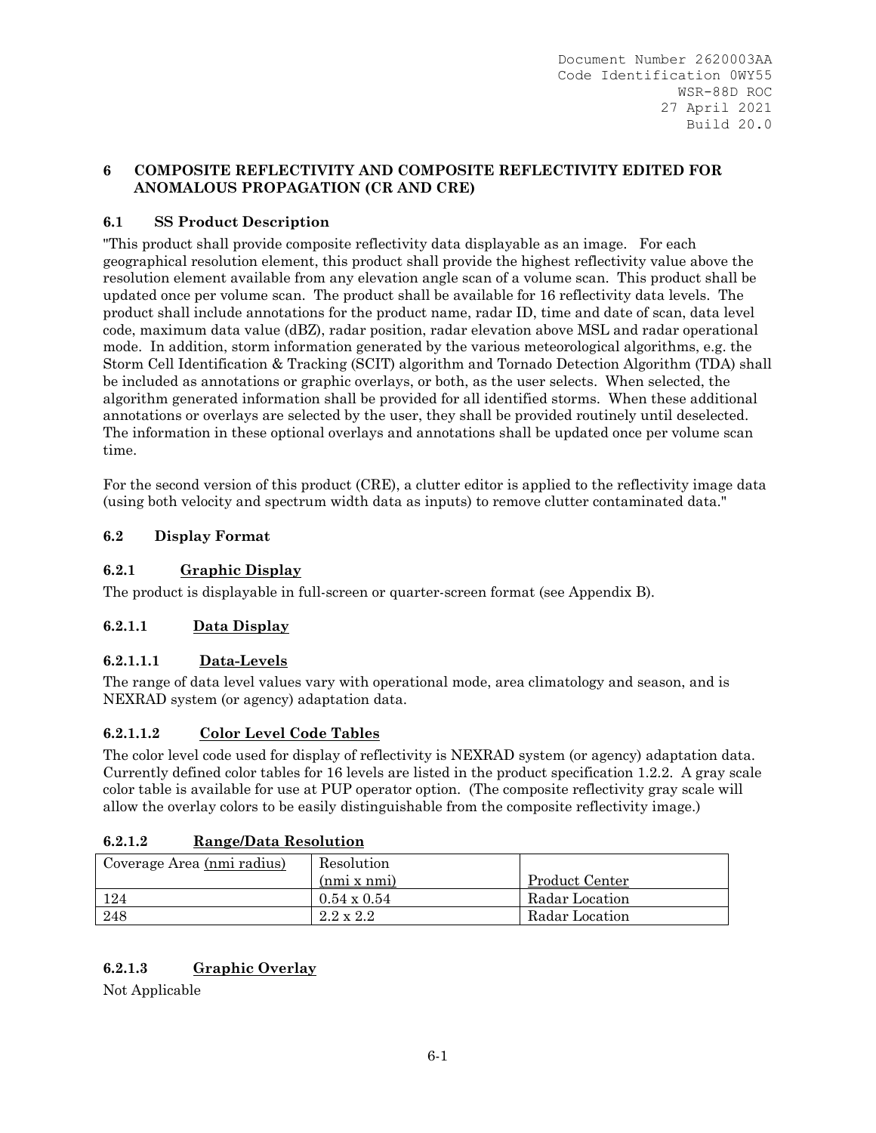## **6 COMPOSITE REFLECTIVITY AND COMPOSITE REFLECTIVITY EDITED FOR ANOMALOUS PROPAGATION (CR AND CRE)**

# **6.1 SS Product Description**

"This product shall provide composite reflectivity data displayable as an image. For each geographical resolution element, this product shall provide the highest reflectivity value above the resolution element available from any elevation angle scan of a volume scan. This product shall be updated once per volume scan. The product shall be available for 16 reflectivity data levels. The product shall include annotations for the product name, radar ID, time and date of scan, data level code, maximum data value (dBZ), radar position, radar elevation above MSL and radar operational mode. In addition, storm information generated by the various meteorological algorithms, e.g. the Storm Cell Identification & Tracking (SCIT) algorithm and Tornado Detection Algorithm (TDA) shall be included as annotations or graphic overlays, or both, as the user selects. When selected, the algorithm generated information shall be provided for all identified storms. When these additional annotations or overlays are selected by the user, they shall be provided routinely until deselected. The information in these optional overlays and annotations shall be updated once per volume scan time.

For the second version of this product (CRE), a clutter editor is applied to the reflectivity image data (using both velocity and spectrum width data as inputs) to remove clutter contaminated data."

## **6.2 Display Format**

## **6.2.1 Graphic Display**

The product is displayable in full-screen or quarter-screen format (see Appendix B).

# **6.2.1.1 Data Display**

### **6.2.1.1.1 Data-Levels**

The range of data level values vary with operational mode, area climatology and season, and is NEXRAD system (or agency) adaptation data.

### **6.2.1.1.2 Color Level Code Tables**

The color level code used for display of reflectivity is NEXRAD system (or agency) adaptation data. Currently defined color tables for 16 levels are listed in the product specification 1.2.2. A gray scale color table is available for use at PUP operator option. (The composite reflectivity gray scale will allow the overlay colors to be easily distinguishable from the composite reflectivity image.)

### **6.2.1.2 Range/Data Resolution**

| Coverage Area (nmi radius) | Resolution         |                |
|----------------------------|--------------------|----------------|
|                            | (nmi x nmi)        | Product Center |
| 124                        | $0.54 \times 0.54$ | Radar Location |
| -248                       | $2.2 \times 2.2$   | Radar Location |

# **6.2.1.3 Graphic Overlay**

Not Applicable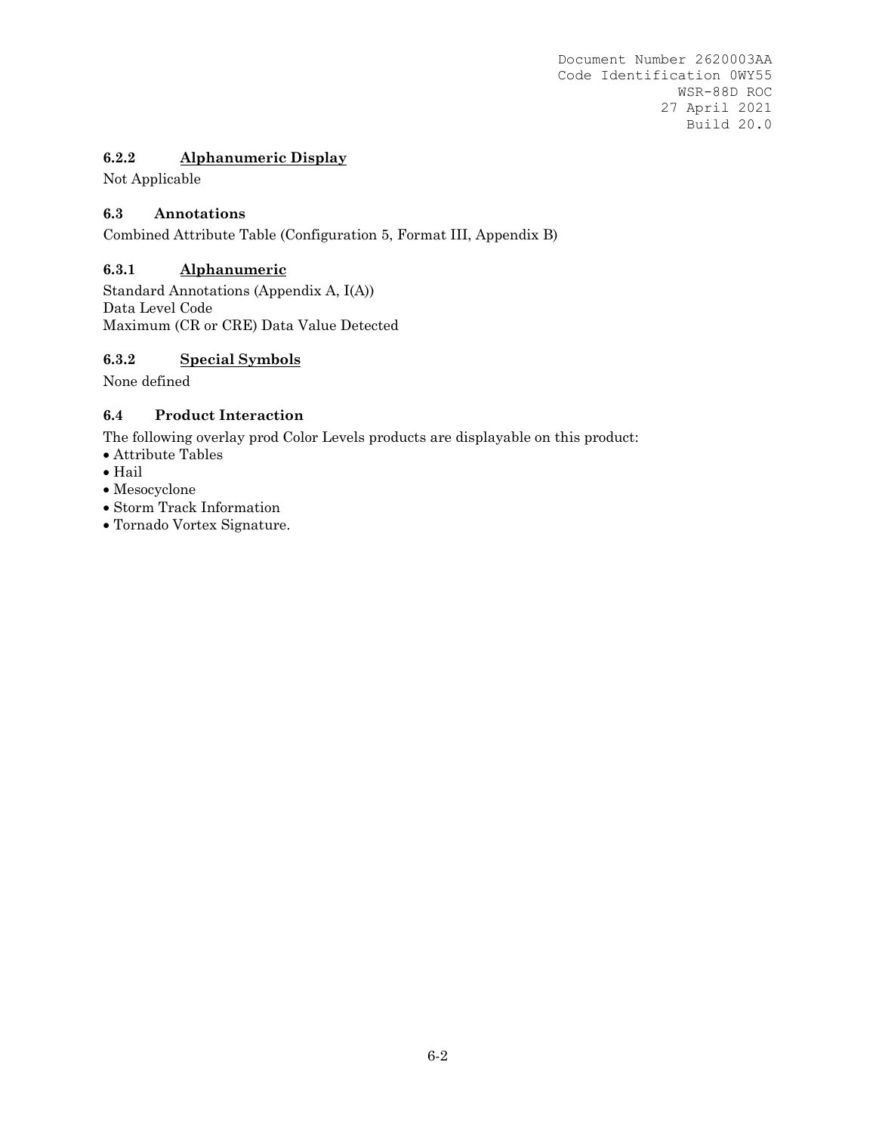# **6.2.2 Alphanumeric Display**

Not Applicable

## **6.3 Annotations**

Combined Attribute Table (Configuration 5, Format III, Appendix B)

### **6.3.1 Alphanumeric**

Standard Annotations (Appendix A, I(A)) Data Level Code Maximum (CR or CRE) Data Value Detected

### **6.3.2 Special Symbols**

None defined

### **6.4 Product Interaction**

The following overlay prod Color Levels products are displayable on this product:

- Attribute Tables
- $\bullet$  Hail
- Mesocyclone
- Storm Track Information
- Tornado Vortex Signature.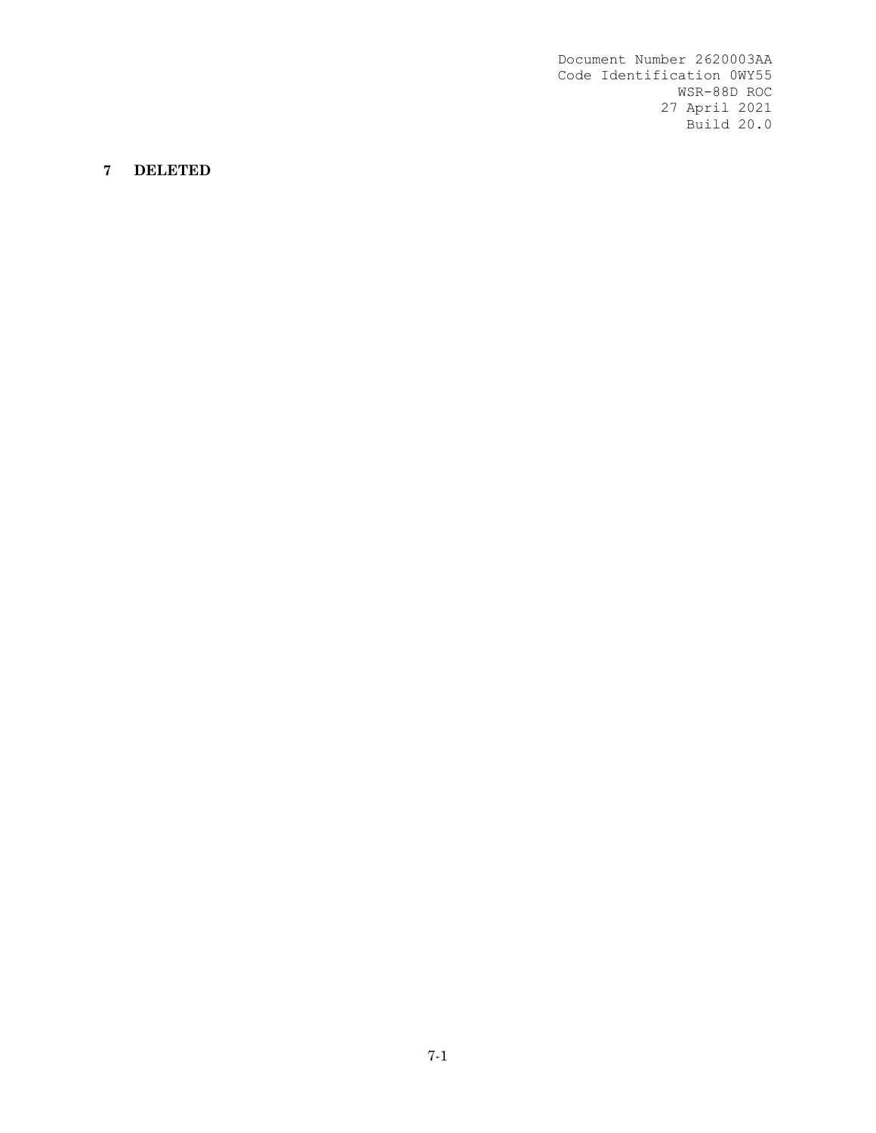# **7 DELETED**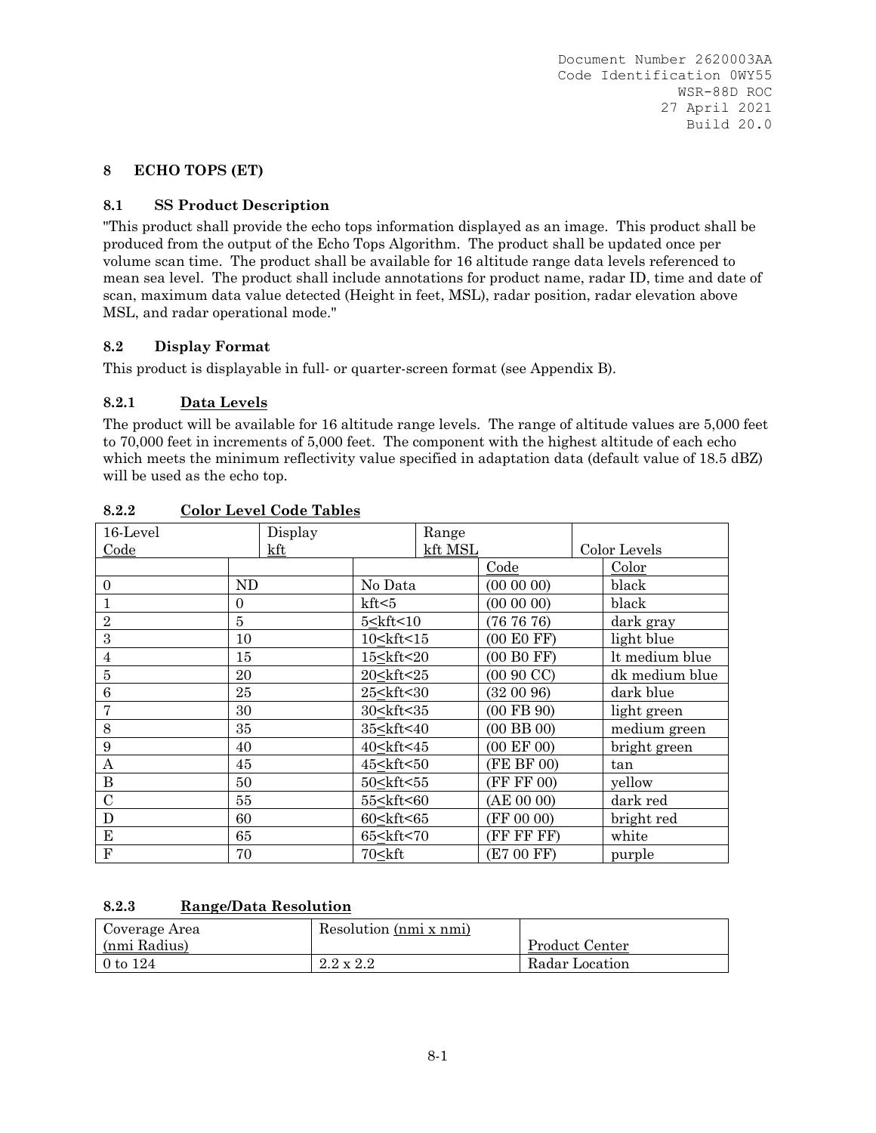# **8 ECHO TOPS (ET)**

# **8.1 SS Product Description**

"This product shall provide the echo tops information displayed as an image. This product shall be produced from the output of the Echo Tops Algorithm. The product shall be updated once per volume scan time. The product shall be available for 16 altitude range data levels referenced to mean sea level. The product shall include annotations for product name, radar ID, time and date of scan, maximum data value detected (Height in feet, MSL), radar position, radar elevation above MSL, and radar operational mode."

# **8.2 Display Format**

This product is displayable in full- or quarter-screen format (see Appendix B).

# **8.2.1 Data Levels**

The product will be available for 16 altitude range levels. The range of altitude values are 5,000 feet to 70,000 feet in increments of 5,000 feet. The component with the highest altitude of each echo which meets the minimum reflectivity value specified in adaptation data (default value of 18.5 dBZ) will be used as the echo top.

| 16-Level         |                | Display |                                                                                                        | Range   |                       |                |
|------------------|----------------|---------|--------------------------------------------------------------------------------------------------------|---------|-----------------------|----------------|
| Code             |                | kft     |                                                                                                        | kft MSL |                       | Color Levels   |
|                  |                |         |                                                                                                        |         | Code                  | Color          |
| $\theta$         | ND             |         | No Data                                                                                                |         | (000000)              | black          |
| $\mathbf{1}$     | $\overline{0}$ |         | kft < 5                                                                                                |         | $(00\ 00\ 00)$        | black          |
| $\overline{2}$   | 5              |         | $5$ < kft < 10                                                                                         |         | (767676)              | dark gray      |
| 3                | 10             |         | 10 <kft<15< td=""><td></td><td>(00 E0 FF)</td><td>light blue</td></kft<15<>                            |         | (00 E0 FF)            | light blue     |
| $\overline{4}$   | 15             |         | 15 <kft<20< td=""><td></td><td>(00 B0 FF)</td><td>It medium blue</td></kft<20<>                        |         | (00 B0 FF)            | It medium blue |
| 5                | 20             |         | 20 <kft<25< td=""><td></td><td><math>(0090 \, \text{CC})</math></td><td>dk medium blue</td></kft<25<>  |         | $(0090 \, \text{CC})$ | dk medium blue |
| $\boldsymbol{6}$ | 25             |         | 25 <kft<30< td=""><td></td><td>(320096)</td><td>dark blue</td></kft<30<>                               |         | (320096)              | dark blue      |
| 7                | 30             |         | 30 <kft<35< td=""><td></td><td><math>(00</math> FB <math>90)</math></td><td>light green</td></kft<35<> |         | $(00$ FB $90)$        | light green    |
| 8                | 35             |         | 35 <kft<40< td=""><td></td><td><math>(00</math> BB<math>00)</math></td><td>medium green</td></kft<40<> |         | $(00$ BB $00)$        | medium green   |
| 9                | 40             |         | 40 <kft<45< td=""><td></td><td>(00 EF 00)</td><td>bright green</td></kft<45<>                          |         | (00 EF 00)            | bright green   |
| A                | 45             |         | 45 <kft<50< td=""><td></td><td>(FE BF 00)</td><td>tan</td></kft<50<>                                   |         | (FE BF 00)            | tan            |
| $\boldsymbol{B}$ | 50             |         | 50 <kft<55< td=""><td></td><td>(FF FF 00)</td><td>yellow</td></kft<55<>                                |         | (FF FF 00)            | yellow         |
| $\mathcal{C}$    | 55             |         | 55 <kft<60< td=""><td></td><td>(AE 00 00)</td><td>dark red</td></kft<60<>                              |         | (AE 00 00)            | dark red       |
| D                | 60             |         | 60 <kft<65< td=""><td></td><td>(FF 00 00)</td><td>bright red</td></kft<65<>                            |         | (FF 00 00)            | bright red     |
| E                | 65             |         | 65 <kft<70< td=""><td></td><td>(FF FF FF)</td><td>white</td></kft<70<>                                 |         | (FF FF FF)            | white          |
| $_{\rm F}$       | 70             |         | $70$ $\leq$ kft                                                                                        |         | (E7 00 FF)            | purple         |

# **8.2.2 Color Level Code Tables**

# **8.2.3 Range/Data Resolution**

| Coverage Area     | Resolution (nmi x nmi) |                |
|-------------------|------------------------|----------------|
| (nmi Radius)      |                        | Product Center |
| $\sqrt{0}$ to 124 | $2.2 \times 2.2$       | Radar Location |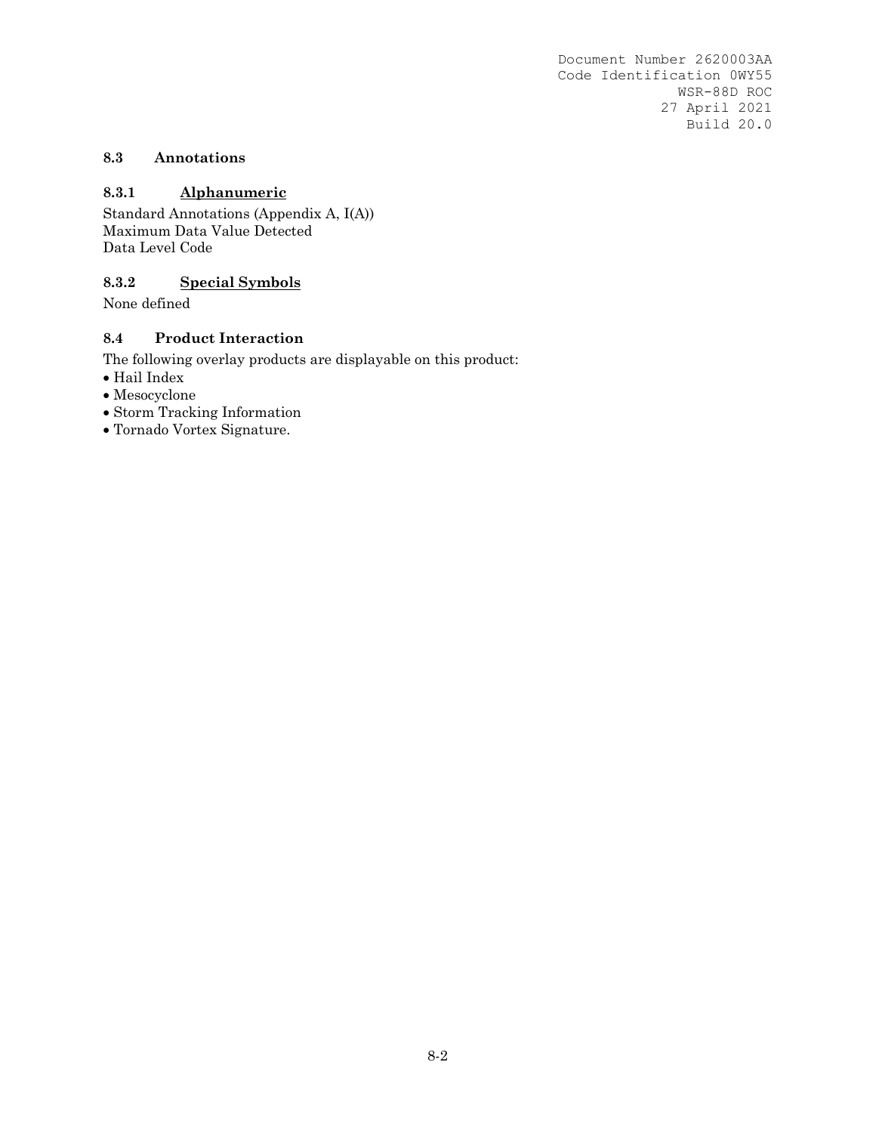# **8.3 Annotations**

# **8.3.1 Alphanumeric**

Standard Annotations (Appendix A, I(A)) Maximum Data Value Detected Data Level Code

# **8.3.2 Special Symbols**

None defined

# **8.4 Product Interaction**

The following overlay products are displayable on this product:

- $\bullet$  Hail Index
- Mesocyclone
- Storm Tracking Information
- Tornado Vortex Signature.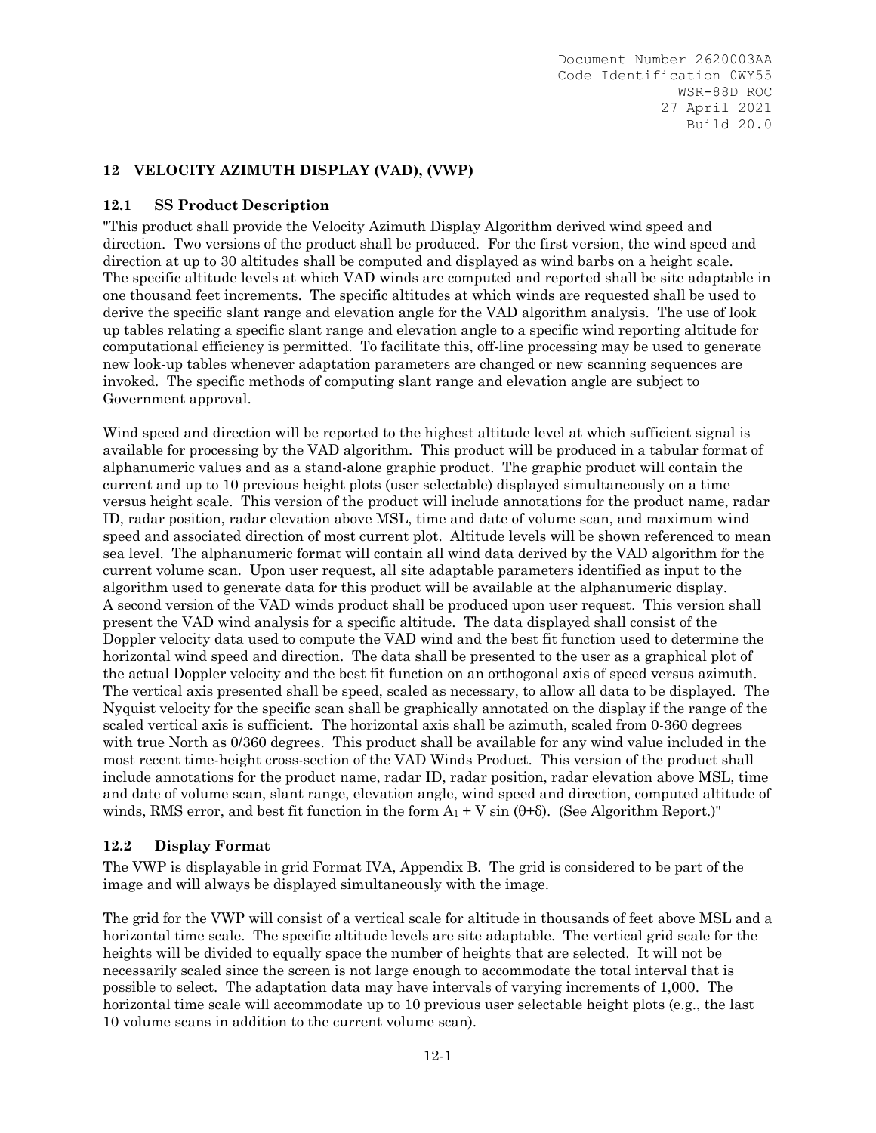# **12 VELOCITY AZIMUTH DISPLAY (VAD), (VWP)**

# **12.1 SS Product Description**

"This product shall provide the Velocity Azimuth Display Algorithm derived wind speed and direction. Two versions of the product shall be produced. For the first version, the wind speed and direction at up to 30 altitudes shall be computed and displayed as wind barbs on a height scale. The specific altitude levels at which VAD winds are computed and reported shall be site adaptable in one thousand feet increments. The specific altitudes at which winds are requested shall be used to derive the specific slant range and elevation angle for the VAD algorithm analysis. The use of look up tables relating a specific slant range and elevation angle to a specific wind reporting altitude for computational efficiency is permitted. To facilitate this, off-line processing may be used to generate new look-up tables whenever adaptation parameters are changed or new scanning sequences are invoked. The specific methods of computing slant range and elevation angle are subject to Government approval.

Wind speed and direction will be reported to the highest altitude level at which sufficient signal is available for processing by the VAD algorithm. This product will be produced in a tabular format of alphanumeric values and as a stand-alone graphic product. The graphic product will contain the current and up to 10 previous height plots (user selectable) displayed simultaneously on a time versus height scale. This version of the product will include annotations for the product name, radar ID, radar position, radar elevation above MSL, time and date of volume scan, and maximum wind speed and associated direction of most current plot. Altitude levels will be shown referenced to mean sea level. The alphanumeric format will contain all wind data derived by the VAD algorithm for the current volume scan. Upon user request, all site adaptable parameters identified as input to the algorithm used to generate data for this product will be available at the alphanumeric display. A second version of the VAD winds product shall be produced upon user request. This version shall present the VAD wind analysis for a specific altitude. The data displayed shall consist of the Doppler velocity data used to compute the VAD wind and the best fit function used to determine the horizontal wind speed and direction. The data shall be presented to the user as a graphical plot of the actual Doppler velocity and the best fit function on an orthogonal axis of speed versus azimuth. The vertical axis presented shall be speed, scaled as necessary, to allow all data to be displayed. The Nyquist velocity for the specific scan shall be graphically annotated on the display if the range of the scaled vertical axis is sufficient. The horizontal axis shall be azimuth, scaled from 0-360 degrees with true North as 0/360 degrees. This product shall be available for any wind value included in the most recent time-height cross-section of the VAD Winds Product. This version of the product shall include annotations for the product name, radar ID, radar position, radar elevation above MSL, time and date of volume scan, slant range, elevation angle, wind speed and direction, computed altitude of winds, RMS error, and best fit function in the form  $A_1 + V \sin(\theta + \delta)$ . (See Algorithm Report.)"

# **12.2 Display Format**

The VWP is displayable in grid Format IVA, Appendix B. The grid is considered to be part of the image and will always be displayed simultaneously with the image.

The grid for the VWP will consist of a vertical scale for altitude in thousands of feet above MSL and a horizontal time scale. The specific altitude levels are site adaptable. The vertical grid scale for the heights will be divided to equally space the number of heights that are selected. It will not be necessarily scaled since the screen is not large enough to accommodate the total interval that is possible to select. The adaptation data may have intervals of varying increments of 1,000. The horizontal time scale will accommodate up to 10 previous user selectable height plots (e.g., the last 10 volume scans in addition to the current volume scan).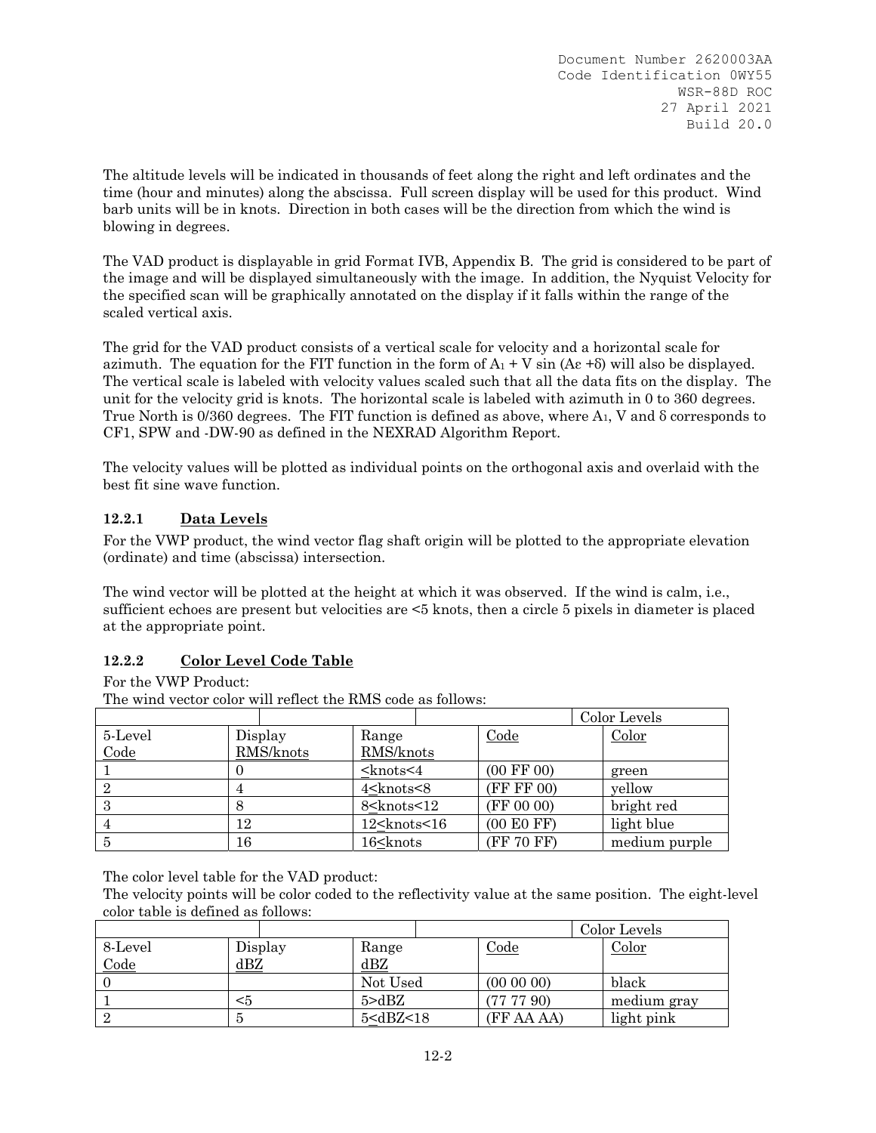The altitude levels will be indicated in thousands of feet along the right and left ordinates and the time (hour and minutes) along the abscissa. Full screen display will be used for this product. Wind barb units will be in knots. Direction in both cases will be the direction from which the wind is blowing in degrees.

The VAD product is displayable in grid Format IVB, Appendix B. The grid is considered to be part of the image and will be displayed simultaneously with the image. In addition, the Nyquist Velocity for the specified scan will be graphically annotated on the display if it falls within the range of the scaled vertical axis.

The grid for the VAD product consists of a vertical scale for velocity and a horizontal scale for azimuth. The equation for the FIT function in the form of  $A_1 + V \sin (A \epsilon + \delta)$  will also be displayed. The vertical scale is labeled with velocity values scaled such that all the data fits on the display. The unit for the velocity grid is knots. The horizontal scale is labeled with azimuth in 0 to 360 degrees. True North is  $0/360$  degrees. The FIT function is defined as above, where  $A_1$ , V and  $\delta$  corresponds to CF1, SPW and -DW-90 as defined in the NEXRAD Algorithm Report.

The velocity values will be plotted as individual points on the orthogonal axis and overlaid with the best fit sine wave function.

# **12.2.1 Data Levels**

For the VWP product, the wind vector flag shaft origin will be plotted to the appropriate elevation (ordinate) and time (abscissa) intersection.

The wind vector will be plotted at the height at which it was observed. If the wind is calm, i.e., sufficient echoes are present but velocities are <5 knots, then a circle 5 pixels in diameter is placed at the appropriate point.

# **12.2.2 Color Level Code Table**

For the VWP Product:

The wind vector color will reflect the RMS code as follows:

|         |           |                                                                                    |                       | Color Levels  |
|---------|-----------|------------------------------------------------------------------------------------|-----------------------|---------------|
| 5-Level | Display   | Range                                                                              | Code                  | Color         |
| Code    | RMS/knots | RMS/knots                                                                          |                       |               |
|         |           | <knots<4< td=""><td><math>(00 \text{ FF } 00)</math></td><td>green</td></knots<4<> | $(00 \text{ FF } 00)$ | green         |
| 2       |           | 4 <knots<8< td=""><td>(FF FF 00)</td><td>yellow</td></knots<8<>                    | (FF FF 00)            | yellow        |
| 3       |           | 8 <knots<12< td=""><td>(FF 00 00)</td><td>bright red</td></knots<12<>              | (FF 00 00)            | bright red    |
|         | 12        | $12$ <knots 16<="" <="" td=""><td>(00 E0 FF)</td><td>light blue</td></knots>       | (00 E0 FF)            | light blue    |
|         | 16        | 16 <knots< td=""><td>(FF 70 FF)</td><td>medium purple</td></knots<>                | (FF 70 FF)            | medium purple |

The color level table for the VAD product:

The velocity points will be color coded to the reflectivity value at the same position. The eight-level color table is defined as follows:

|         |         |                                                                   |                | Color Levels |
|---------|---------|-------------------------------------------------------------------|----------------|--------------|
| 8-Level | Display | Range                                                             | Code           | Color        |
| Code    | dBZ     | ${\rm dBZ}$                                                       |                |              |
|         |         | Not Used                                                          | $(00\ 00\ 00)$ | black        |
|         | <5      | 5 > dBZ                                                           | (777790)       | medium gray  |
|         |         | 5 <dbz<18< td=""><td>(FF AA AA)</td><td>light pink</td></dbz<18<> | (FF AA AA)     | light pink   |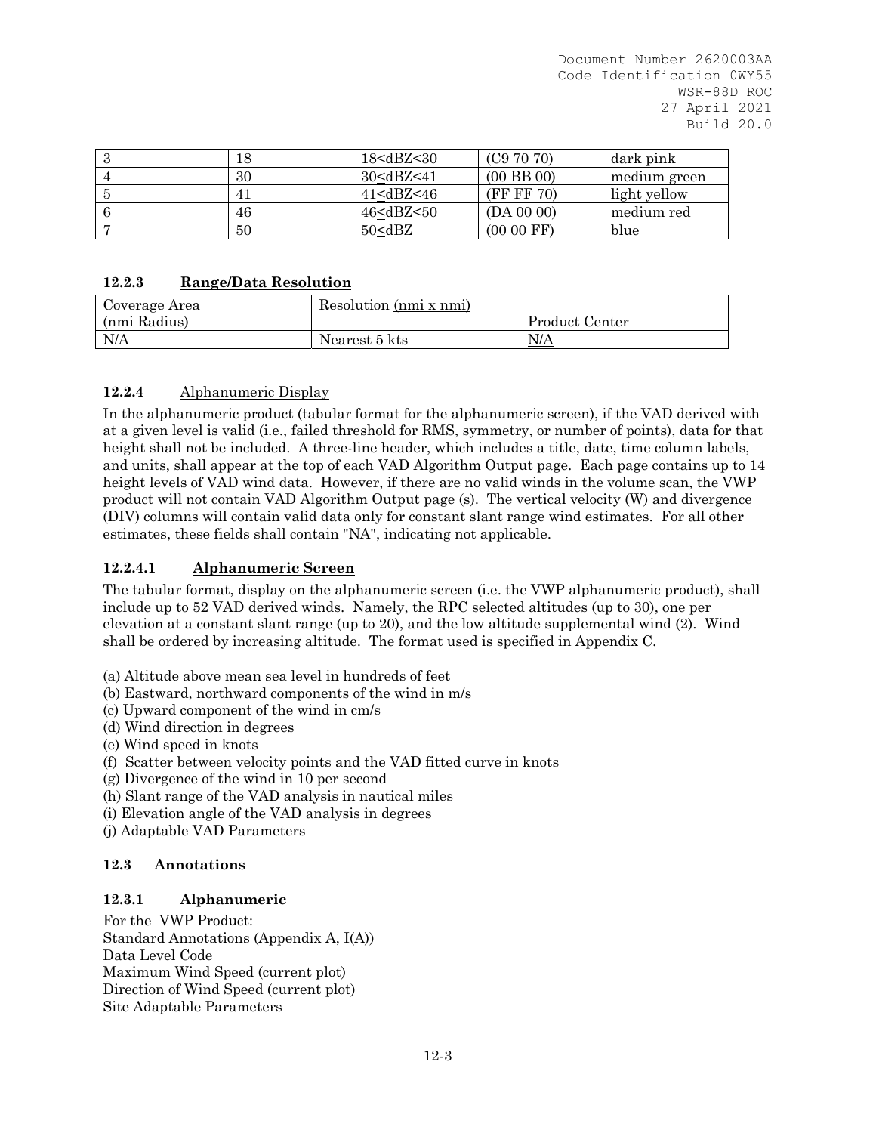|    | 18 <dbz<30< th=""><th>(C97070)</th><th>dark pink</th></dbz<30<>                                | (C97070)       | dark pink    |
|----|------------------------------------------------------------------------------------------------|----------------|--------------|
| 30 | 30 <dbz<41< td=""><td><math>(00</math> BB <math>00)</math></td><td>medium green</td></dbz<41<> | $(00$ BB $00)$ | medium green |
|    | $41$ < dBZ < 46                                                                                | (FF F F 70)    | light yellow |
| 46 | 46 <dbz<50< td=""><td>(DA 00 00)</td><td>medium red</td></dbz<50<>                             | (DA 00 00)     | medium red   |
| 50 | 50 <dbz< td=""><td><math>(0000</math> FF<math>)</math></td><td>blue</td></dbz<>                | $(0000$ FF $)$ | blue         |

# **12.2.3 Range/Data Resolution**

| Coverage Area | Resolution (nmi x nmi) |                |
|---------------|------------------------|----------------|
| (nmi Radius)  |                        | Product Center |
| N/A           | Nearest 5 kts          | N/A            |

# **12.2.4** Alphanumeric Display

In the alphanumeric product (tabular format for the alphanumeric screen), if the VAD derived with at a given level is valid (i.e., failed threshold for RMS, symmetry, or number of points), data for that height shall not be included. A three-line header, which includes a title, date, time column labels, and units, shall appear at the top of each VAD Algorithm Output page. Each page contains up to 14 height levels of VAD wind data. However, if there are no valid winds in the volume scan, the VWP product will not contain VAD Algorithm Output page (s). The vertical velocity (W) and divergence (DIV) columns will contain valid data only for constant slant range wind estimates. For all other estimates, these fields shall contain "NA", indicating not applicable.

# **12.2.4.1 Alphanumeric Screen**

The tabular format, display on the alphanumeric screen (i.e. the VWP alphanumeric product), shall include up to 52 VAD derived winds. Namely, the RPC selected altitudes (up to 30), one per elevation at a constant slant range (up to 20), and the low altitude supplemental wind (2). Wind shall be ordered by increasing altitude. The format used is specified in Appendix C.

- (a) Altitude above mean sea level in hundreds of feet
- (b) Eastward, northward components of the wind in m/s
- (c) Upward component of the wind in cm/s
- (d) Wind direction in degrees
- (e) Wind speed in knots
- (f) Scatter between velocity points and the VAD fitted curve in knots
- (g) Divergence of the wind in 10 per second
- (h) Slant range of the VAD analysis in nautical miles
- (i) Elevation angle of the VAD analysis in degrees
- (j) Adaptable VAD Parameters

# **12.3 Annotations**

# **12.3.1 Alphanumeric**

For the VWP Product: Standard Annotations (Appendix A, I(A)) Data Level Code Maximum Wind Speed (current plot) Direction of Wind Speed (current plot) Site Adaptable Parameters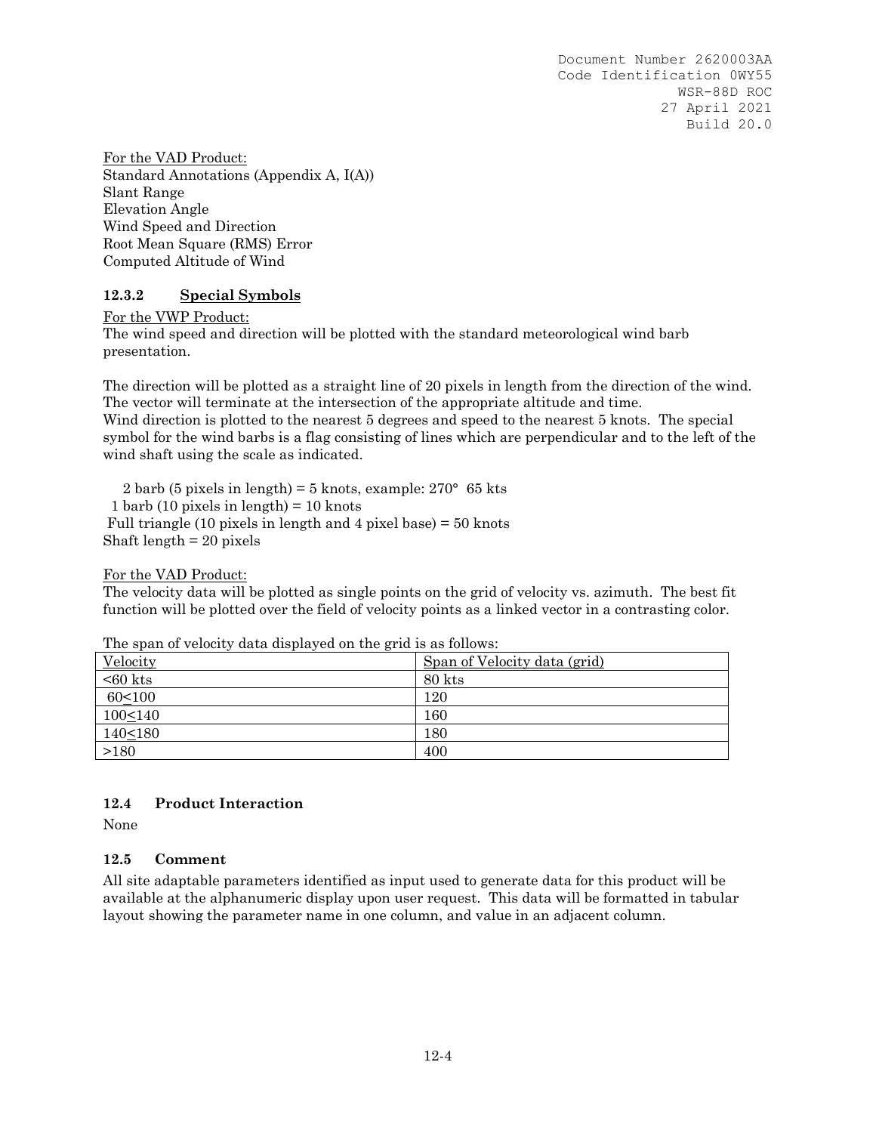For the VAD Product: Standard Annotations (Appendix A, I(A)) Slant Range Elevation Angle Wind Speed and Direction Root Mean Square (RMS) Error Computed Altitude of Wind

# **12.3.2 Special Symbols**

For the VWP Product:

The wind speed and direction will be plotted with the standard meteorological wind barb presentation.

The direction will be plotted as a straight line of 20 pixels in length from the direction of the wind. The vector will terminate at the intersection of the appropriate altitude and time. Wind direction is plotted to the nearest 5 degrees and speed to the nearest 5 knots. The special symbol for the wind barbs is a flag consisting of lines which are perpendicular and to the left of the wind shaft using the scale as indicated.

2 barb (5 pixels in length) = 5 knots, example:  $270^{\circ}$  65 kts 1 barb (10 pixels in length) = 10 knots Full triangle (10 pixels in length and 4 pixel base) = 50 knots Shaft length = 20 pixels

For the VAD Product:

The velocity data will be plotted as single points on the grid of velocity vs. azimuth. The best fit function will be plotted over the field of velocity points as a linked vector in a contrasting color.

| Velocity      | Span of Velocity data (grid) |
|---------------|------------------------------|
| $< 60$ kts    | 80 kts                       |
| $60 \le 100$  | 120                          |
| $100 \le 140$ | 160                          |
| $140 \le 180$ | 180                          |
| >180          | 400                          |

The span of velocity data displayed on the grid is as follows:

# **12.4 Product Interaction**

None

# **12.5 Comment**

All site adaptable parameters identified as input used to generate data for this product will be available at the alphanumeric display upon user request. This data will be formatted in tabular layout showing the parameter name in one column, and value in an adjacent column.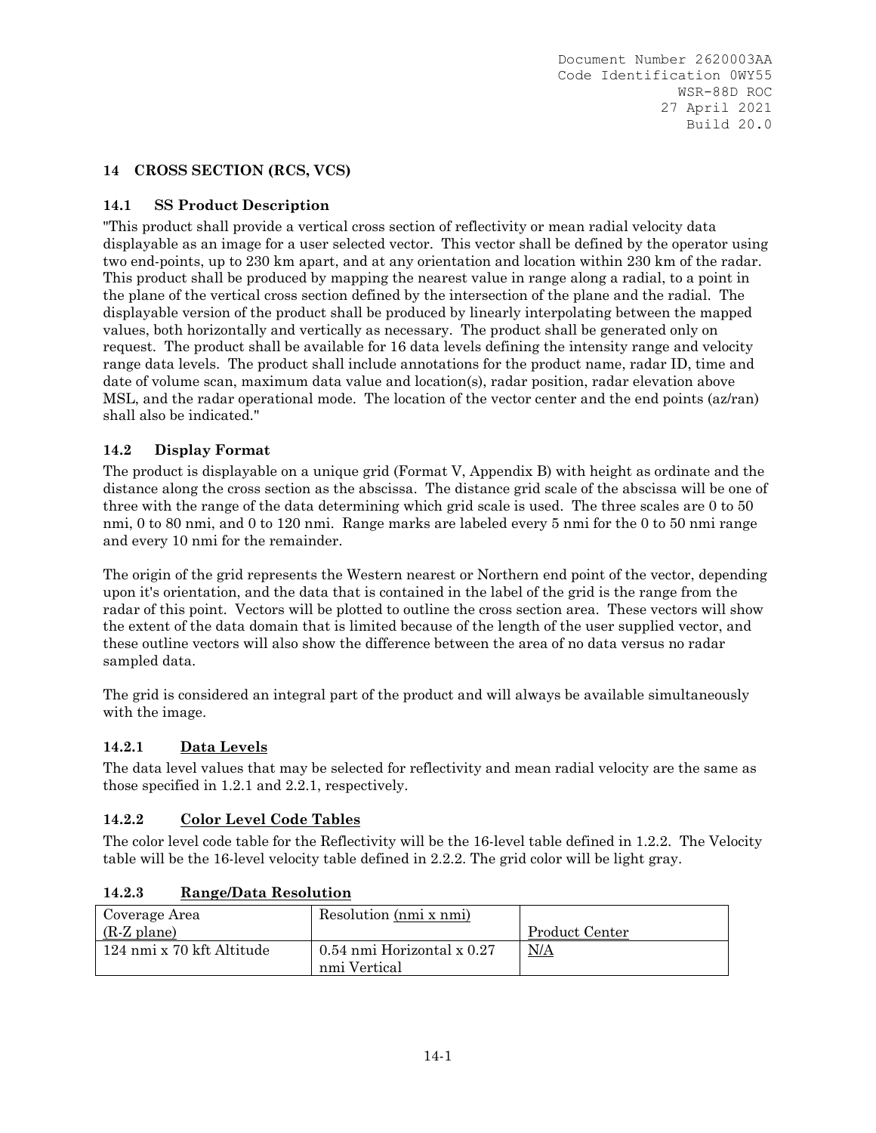# **14 CROSS SECTION (RCS, VCS)**

# **14.1 SS Product Description**

"This product shall provide a vertical cross section of reflectivity or mean radial velocity data displayable as an image for a user selected vector. This vector shall be defined by the operator using two end-points, up to 230 km apart, and at any orientation and location within 230 km of the radar. This product shall be produced by mapping the nearest value in range along a radial, to a point in the plane of the vertical cross section defined by the intersection of the plane and the radial. The displayable version of the product shall be produced by linearly interpolating between the mapped values, both horizontally and vertically as necessary. The product shall be generated only on request. The product shall be available for 16 data levels defining the intensity range and velocity range data levels. The product shall include annotations for the product name, radar ID, time and date of volume scan, maximum data value and location(s), radar position, radar elevation above MSL, and the radar operational mode. The location of the vector center and the end points (az/ran) shall also be indicated."

# **14.2 Display Format**

The product is displayable on a unique grid (Format V, Appendix B) with height as ordinate and the distance along the cross section as the abscissa. The distance grid scale of the abscissa will be one of three with the range of the data determining which grid scale is used. The three scales are 0 to 50 nmi, 0 to 80 nmi, and 0 to 120 nmi. Range marks are labeled every 5 nmi for the 0 to 50 nmi range and every 10 nmi for the remainder.

The origin of the grid represents the Western nearest or Northern end point of the vector, depending upon it's orientation, and the data that is contained in the label of the grid is the range from the radar of this point. Vectors will be plotted to outline the cross section area. These vectors will show the extent of the data domain that is limited because of the length of the user supplied vector, and these outline vectors will also show the difference between the area of no data versus no radar sampled data.

The grid is considered an integral part of the product and will always be available simultaneously with the image.

# **14.2.1 Data Levels**

The data level values that may be selected for reflectivity and mean radial velocity are the same as those specified in 1.2.1 and 2.2.1, respectively.

# **14.2.2 Color Level Code Tables**

The color level code table for the Reflectivity will be the 16-level table defined in 1.2.2. The Velocity table will be the 16-level velocity table defined in 2.2.2. The grid color will be light gray.

| Coverage Area             | Resolution (nmi x nmi)                     |                |
|---------------------------|--------------------------------------------|----------------|
| (R-Z plane)               |                                            | Product Center |
| 124 nmi x 70 kft Altitude | 0.54 nmi Horizontal x 0.27<br>nmi Vertical | N/A            |

# **14.2.3 Range/Data Resolution**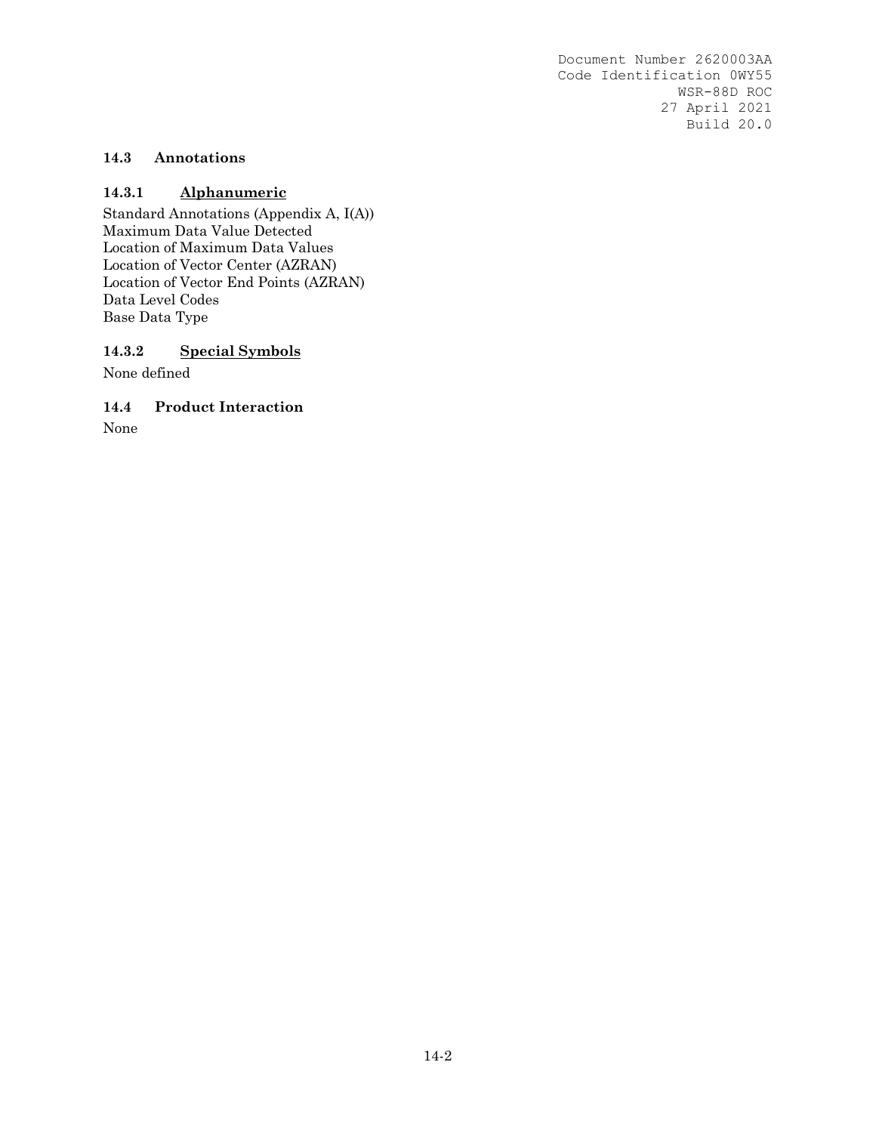# **14.3 Annotations**

#### **14.3.1 Alphanumeric**

Standard Annotations (Appendix A, I(A)) Maximum Data Value Detected Location of Maximum Data Values Location of Vector Center (AZRAN) Location of Vector End Points (AZRAN) Data Level Codes Base Data Type

#### **14.3.2 Special Symbols**

None defined

#### **14.4 Product Interaction**

None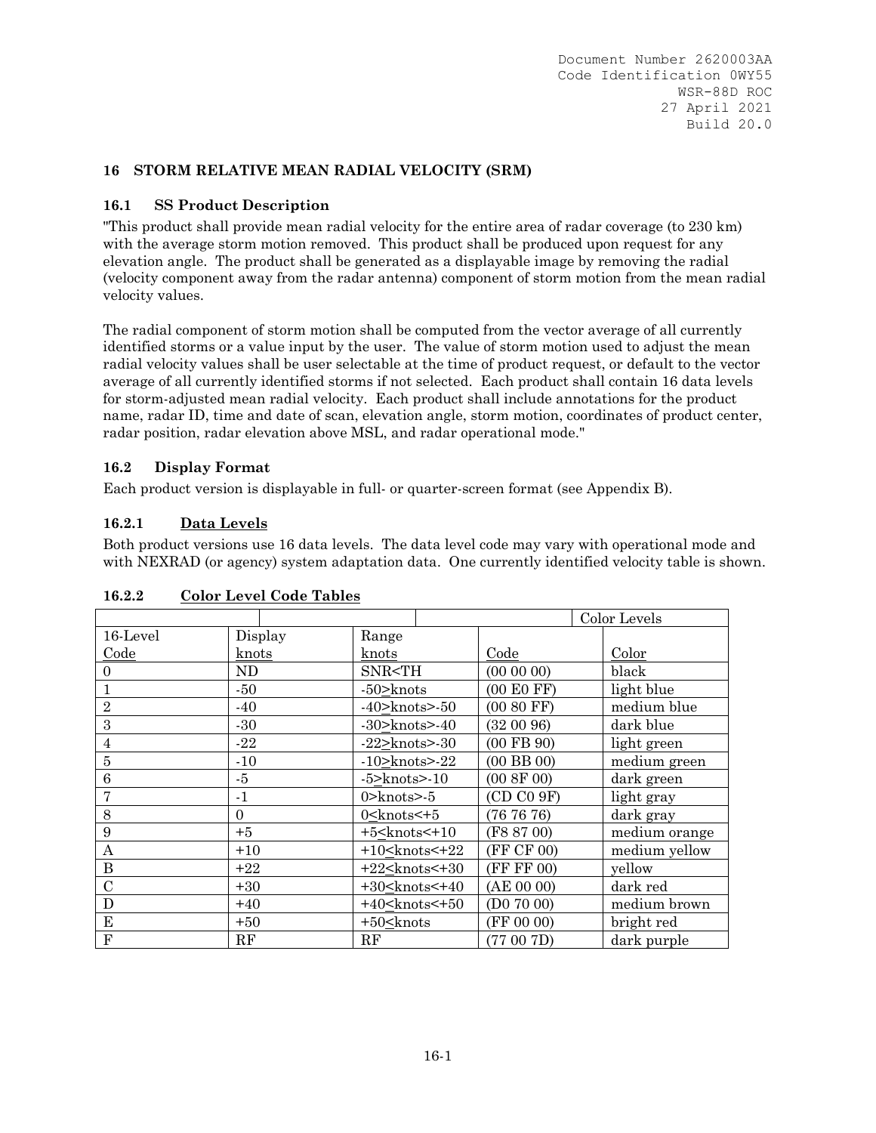# **16 STORM RELATIVE MEAN RADIAL VELOCITY (SRM)**

# **16.1 SS Product Description**

"This product shall provide mean radial velocity for the entire area of radar coverage (to 230 km) with the average storm motion removed. This product shall be produced upon request for any elevation angle. The product shall be generated as a displayable image by removing the radial (velocity component away from the radar antenna) component of storm motion from the mean radial velocity values.

The radial component of storm motion shall be computed from the vector average of all currently identified storms or a value input by the user. The value of storm motion used to adjust the mean radial velocity values shall be user selectable at the time of product request, or default to the vector average of all currently identified storms if not selected. Each product shall contain 16 data levels for storm-adjusted mean radial velocity. Each product shall include annotations for the product name, radar ID, time and date of scan, elevation angle, storm motion, coordinates of product center, radar position, radar elevation above MSL, and radar operational mode."

# **16.2 Display Format**

Each product version is displayable in full- or quarter-screen format (see Appendix B).

# **16.2.1 Data Levels**

Both product versions use 16 data levels. The data level code may vary with operational mode and with NEXRAD (or agency) system adaptation data. One currently identified velocity table is shown.

|                |          |                                                      | Color Levels   |               |  |
|----------------|----------|------------------------------------------------------|----------------|---------------|--|
| 16-Level       | Display  | Range                                                |                |               |  |
| Code           | knots    | knots                                                | Code           | Color         |  |
| $\Omega$       | ND       | SNR <th< td=""><td>(000000)</td><td>black</td></th<> | (000000)       | black         |  |
|                | $-50$    | $-50$ knots                                          | (00 E0 FF)     | light blue    |  |
| $\sqrt{2}$     | $-40$    | $-40$ knots $>50$                                    | (00 80 FF)     | medium blue   |  |
| 3              | $-30$    | $-30$ >knots> $-40$                                  | (320096)       | dark blue     |  |
| $\overline{4}$ | $-22$    | $-22$ >knots> $-30$                                  | $(00$ FB $90)$ | light green   |  |
| 5              | $-10$    | $-10$ $\gt$ knots $> 22$                             | $(00$ BB $00)$ | medium green  |  |
| 6              | -5       | $-5$ >knots> $-10$                                   | (00 8F 00)     | dark green    |  |
|                | $-1$     | $0$ > knots > $-5$                                   | (CD C0 9F)     | light gray    |  |
| 8              | $\Omega$ | $0$ < knots $\leq +5$                                | (767676)       | dark gray     |  |
| 9              | $+5$     | $+5$ < knots < $+10$                                 | (F8 87 00)     | medium orange |  |
| A              | $+10$    | $+10$ < knots < $+22$                                | (FF CF 00)     | medium yellow |  |
| $\bf{B}$       | $+22$    | $+22$ < knots < $+30$                                | (FF FF 00)     | yellow        |  |
| $\mathcal{C}$  | $+30$    | $+30$ < knots < $+40$                                | (AE 00 00)     | dark red      |  |
| D              | $+40$    | $+40$ <knots <<math="">+50</knots>                   | (D07000)       | medium brown  |  |
| E              | $+50$    | $+50$ < knots                                        | (FF 00 00)     | bright red    |  |
| $\mathbf{F}$   | RF       | RF                                                   | (77 00 7D)     | dark purple   |  |

# **16.2.2 Color Level Code Tables**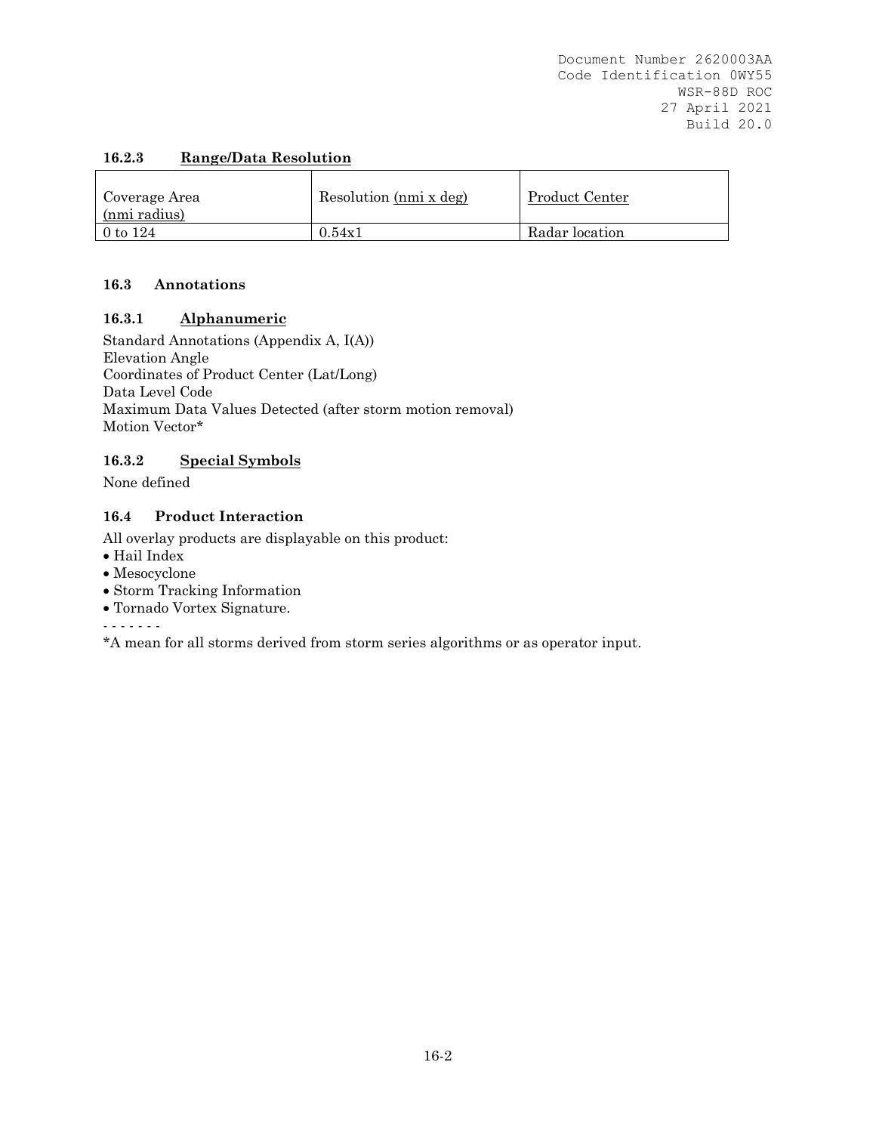# **16.2.3 Range/Data Resolution**

| Coverage Area<br>(nmi radius) | Resolution (nmi x deg) | Product Center |
|-------------------------------|------------------------|----------------|
| 0 to $124$                    | 0.54x1                 | Radar location |

# **16.3 Annotations**

# **16.3.1 Alphanumeric**

Standard Annotations (Appendix A, I(A)) Elevation Angle Coordinates of Product Center (Lat/Long) Data Level Code Maximum Data Values Detected (after storm motion removal) Motion Vector\*

# **16.3.2 Special Symbols**

None defined

# **16.4 Product Interaction**

All overlay products are displayable on this product:

- Hail Index
- Mesocyclone
- Storm Tracking Information
- Tornado Vortex Signature.

- - - - - - -

\*A mean for all storms derived from storm series algorithms or as operator input.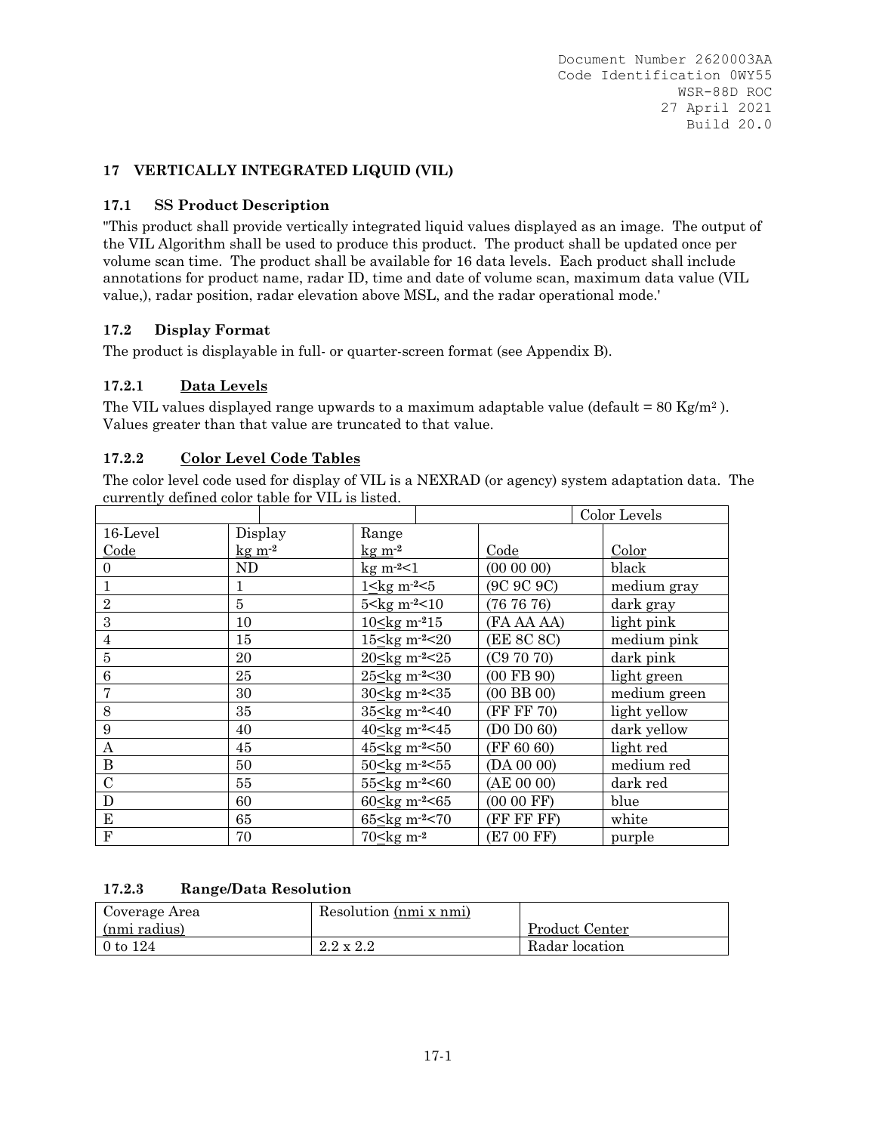# **17 VERTICALLY INTEGRATED LIQUID (VIL)**

# **17.1 SS Product Description**

"This product shall provide vertically integrated liquid values displayed as an image. The output of the VIL Algorithm shall be used to produce this product. The product shall be updated once per volume scan time. The product shall be available for 16 data levels. Each product shall include annotations for product name, radar ID, time and date of volume scan, maximum data value (VIL value,), radar position, radar elevation above MSL, and the radar operational mode.'

# **17.2 Display Format**

The product is displayable in full- or quarter-screen format (see Appendix B).

# **17.2.1 Data Levels**

The VIL values displayed range upwards to a maximum adaptable value (default =  $80 \text{ Kg/m}^2$ ). Values greater than that value are truncated to that value.

# **17.2.2 Color Level Code Tables**

The color level code used for display of VIL is a NEXRAD (or agency) system adaptation data. The currently defined color table for VIL is listed.

|                |         |                                                                                                          |                |  | Color Levels |
|----------------|---------|----------------------------------------------------------------------------------------------------------|----------------|--|--------------|
| 16-Level       | Display | Range                                                                                                    |                |  |              |
| Code           | $kgm-2$ | $kgm-2$                                                                                                  | Code           |  | Color        |
| 0              | ND      | kg m <sup>2</sup> <1                                                                                     | $(00\ 00\ 00)$ |  | black        |
|                | 1       | $1 \leq$ kg m <sup>-2</sup> $<$ 5                                                                        | (9C 9C 9C)     |  | medium gray  |
| $\overline{2}$ | 5       | 5 <kg m-2<10<="" td=""><td>(767676)</td><td></td><td>dark gray</td></kg>                                 | (767676)       |  | dark gray    |
| 3              | 10      | $10$ kg m <sup>-2</sup> $15$                                                                             | (FA AA AA)     |  | light pink   |
| 4              | 15      | 15 <<br>kg m <sup>-2</sup> <20                                                                           | (EE 8C 8C)     |  | medium pink  |
| 5              | 20      | 20 <kg m-2<25<="" td=""><td>(C97070)</td><td></td><td>dark pink</td></kg>                                | (C97070)       |  | dark pink    |
| 6              | 25      | 25 kg m <sup>-2</sup> < 30                                                                               | $(00$ FB $90)$ |  | light green  |
|                | 30      | 30 <kg m-2<35<="" td=""><td><math>(00</math> BB <math>00)</math></td><td></td><td>medium green</td></kg> | $(00$ BB $00)$ |  | medium green |
| 8              | 35      | 35 <kg m-2<40<="" td=""><td>(FF FF 70)</td><td></td><td>light yellow</td></kg>                           | (FF FF 70)     |  | light yellow |
| 9              | 40      | 40 <kg m-2<45<="" td=""><td>(D0 D0 60)</td><td></td><td>dark yellow</td></kg>                            | (D0 D0 60)     |  | dark yellow  |
| А              | 45      | 45 <kg m-2<50<="" td=""><td>(FF 60 60)</td><td></td><td>light red</td></kg>                              | (FF 60 60)     |  | light red    |
| B              | 50      | 50 <kg m-2<55<="" td=""><td>(DA 00 00)</td><td></td><td>medium red</td></kg>                             | (DA 00 00)     |  | medium red   |
| $\overline{C}$ | 55      | 55 <kg m-2<60<="" td=""><td>(AE 00 00)</td><td></td><td>dark red</td></kg>                               | (AE 00 00)     |  | dark red     |
| D              | 60      | 60 $\leq$ kg m <sup>-2</sup> <65                                                                         | $(0000$ FF)    |  | blue         |
| ${\bf E}$      | 65      | 65 <kg m-2<70<="" td=""><td>(FF FF FF)</td><td></td><td>white</td></kg>                                  | (FF FF FF)     |  | white        |
| F              | 70      | 70 <kg m-2<="" td=""><td>(E7 00 FF)</td><td></td><td>purple</td></kg>                                    | (E7 00 FF)     |  | purple       |

# **17.2.3 Range/Data Resolution**

| Coverage Area     | Resolution (nmi x nmi) |                       |
|-------------------|------------------------|-----------------------|
| (nmi radius)      |                        | <b>Product Center</b> |
| $\sqrt{0}$ to 124 | $2.2 \times 2.2$       | Radar location        |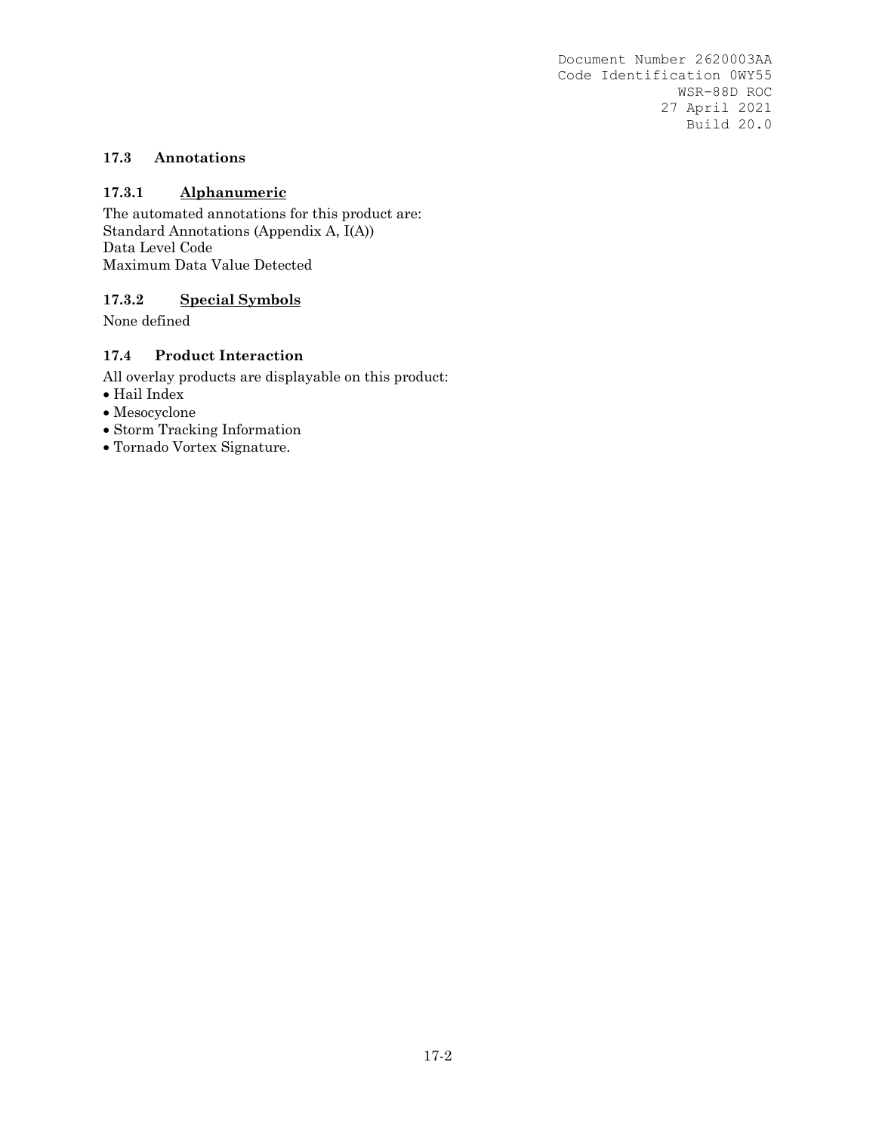# **17.3 Annotations**

# **17.3.1 Alphanumeric**

The automated annotations for this product are: Standard Annotations (Appendix A, I(A)) Data Level Code Maximum Data Value Detected

# **17.3.2 Special Symbols**

None defined

# **17.4 Product Interaction**

All overlay products are displayable on this product:

- $\bullet$  Hail Index
- Mesocyclone
- Storm Tracking Information
- Tornado Vortex Signature.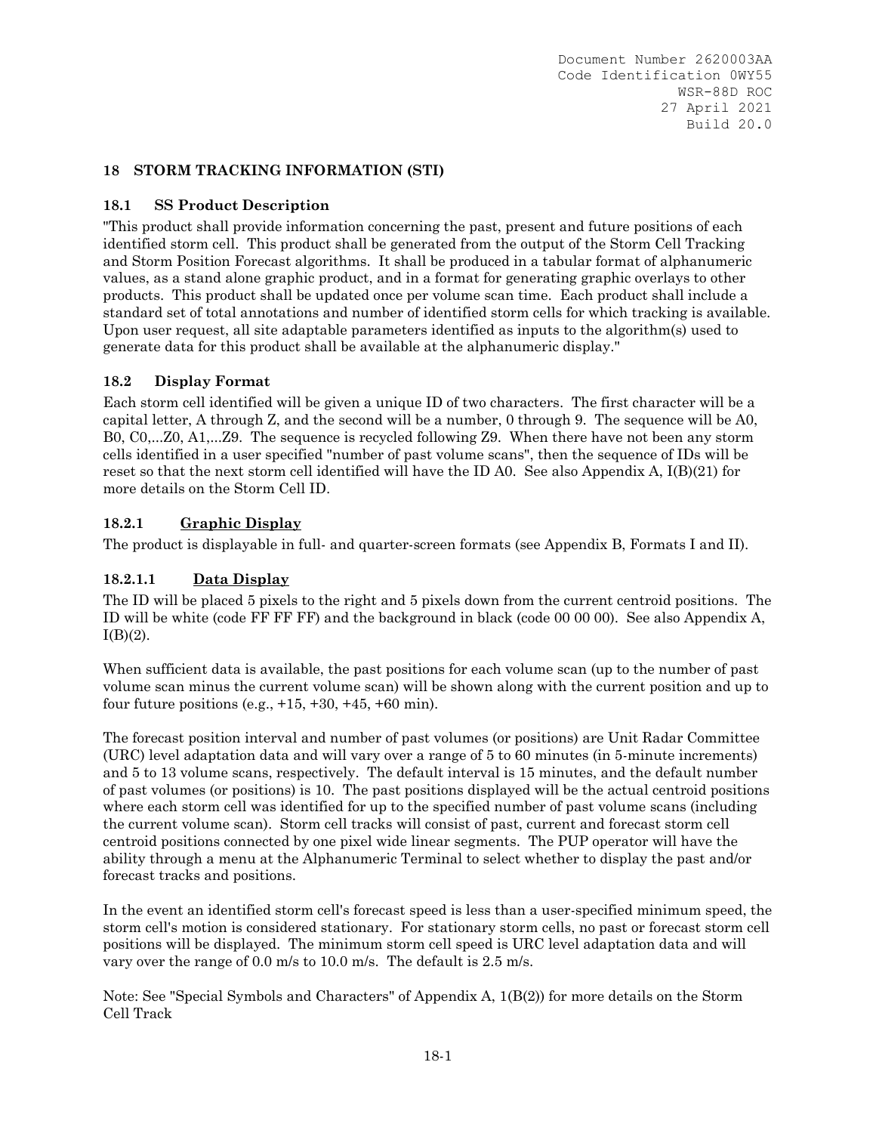# **18 STORM TRACKING INFORMATION (STI)**

# **18.1 SS Product Description**

"This product shall provide information concerning the past, present and future positions of each identified storm cell. This product shall be generated from the output of the Storm Cell Tracking and Storm Position Forecast algorithms. It shall be produced in a tabular format of alphanumeric values, as a stand alone graphic product, and in a format for generating graphic overlays to other products. This product shall be updated once per volume scan time. Each product shall include a standard set of total annotations and number of identified storm cells for which tracking is available. Upon user request, all site adaptable parameters identified as inputs to the algorithm(s) used to generate data for this product shall be available at the alphanumeric display."

# **18.2 Display Format**

Each storm cell identified will be given a unique ID of two characters. The first character will be a capital letter, A through Z, and the second will be a number, 0 through 9. The sequence will be A0, B0, C0,...Z0, A1,...Z9. The sequence is recycled following Z9. When there have not been any storm cells identified in a user specified "number of past volume scans", then the sequence of IDs will be reset so that the next storm cell identified will have the ID A0. See also Appendix A,  $I(B)(21)$  for more details on the Storm Cell ID.

# **18.2.1 Graphic Display**

The product is displayable in full- and quarter-screen formats (see Appendix B, Formats I and II).

# **18.2.1.1 Data Display**

The ID will be placed 5 pixels to the right and 5 pixels down from the current centroid positions. The ID will be white (code FF FF FF) and the background in black (code 00 00 00). See also Appendix A,  $I(B)(2)$ .

When sufficient data is available, the past positions for each volume scan (up to the number of past volume scan minus the current volume scan) will be shown along with the current position and up to four future positions (e.g., +15, +30, +45, +60 min).

The forecast position interval and number of past volumes (or positions) are Unit Radar Committee (URC) level adaptation data and will vary over a range of 5 to 60 minutes (in 5-minute increments) and 5 to 13 volume scans, respectively. The default interval is 15 minutes, and the default number of past volumes (or positions) is 10. The past positions displayed will be the actual centroid positions where each storm cell was identified for up to the specified number of past volume scans (including the current volume scan). Storm cell tracks will consist of past, current and forecast storm cell centroid positions connected by one pixel wide linear segments. The PUP operator will have the ability through a menu at the Alphanumeric Terminal to select whether to display the past and/or forecast tracks and positions.

In the event an identified storm cell's forecast speed is less than a user-specified minimum speed, the storm cell's motion is considered stationary. For stationary storm cells, no past or forecast storm cell positions will be displayed. The minimum storm cell speed is URC level adaptation data and will vary over the range of 0.0 m/s to 10.0 m/s. The default is 2.5 m/s.

Note: See "Special Symbols and Characters" of Appendix A, 1(B(2)) for more details on the Storm Cell Track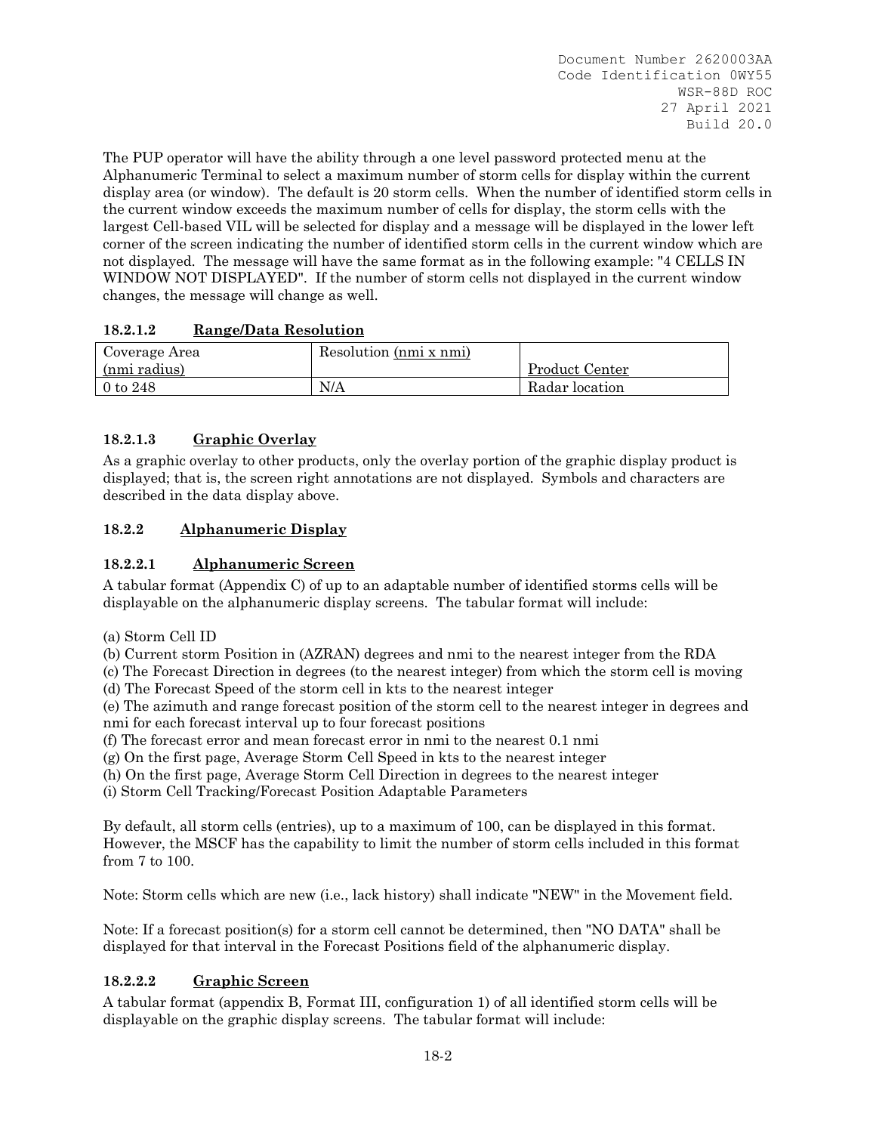The PUP operator will have the ability through a one level password protected menu at the Alphanumeric Terminal to select a maximum number of storm cells for display within the current display area (or window). The default is 20 storm cells. When the number of identified storm cells in the current window exceeds the maximum number of cells for display, the storm cells with the largest Cell-based VIL will be selected for display and a message will be displayed in the lower left corner of the screen indicating the number of identified storm cells in the current window which are not displayed. The message will have the same format as in the following example: "4 CELLS IN WINDOW NOT DISPLAYED". If the number of storm cells not displayed in the current window changes, the message will change as well.

# **18.2.1.2 Range/Data Resolution**

| Coverage Area | Resolution (nmi x nmi) |                |
|---------------|------------------------|----------------|
| (nmi radius)  |                        | Product Center |
| $0$ to $248$  | N/A                    | Radar location |

# **18.2.1.3 Graphic Overlay**

As a graphic overlay to other products, only the overlay portion of the graphic display product is displayed; that is, the screen right annotations are not displayed. Symbols and characters are described in the data display above.

# **18.2.2 Alphanumeric Display**

# **18.2.2.1 Alphanumeric Screen**

A tabular format (Appendix C) of up to an adaptable number of identified storms cells will be displayable on the alphanumeric display screens. The tabular format will include:

(a) Storm Cell ID

(b) Current storm Position in (AZRAN) degrees and nmi to the nearest integer from the RDA

(c) The Forecast Direction in degrees (to the nearest integer) from which the storm cell is moving (d) The Forecast Speed of the storm cell in kts to the nearest integer

(e) The azimuth and range forecast position of the storm cell to the nearest integer in degrees and nmi for each forecast interval up to four forecast positions

(f) The forecast error and mean forecast error in nmi to the nearest 0.1 nmi

(g) On the first page, Average Storm Cell Speed in kts to the nearest integer

(h) On the first page, Average Storm Cell Direction in degrees to the nearest integer

(i) Storm Cell Tracking/Forecast Position Adaptable Parameters

By default, all storm cells (entries), up to a maximum of 100, can be displayed in this format. However, the MSCF has the capability to limit the number of storm cells included in this format from 7 to 100.

Note: Storm cells which are new (i.e., lack history) shall indicate "NEW" in the Movement field.

Note: If a forecast position(s) for a storm cell cannot be determined, then "NO DATA" shall be displayed for that interval in the Forecast Positions field of the alphanumeric display.

# **18.2.2.2 Graphic Screen**

A tabular format (appendix B, Format III, configuration 1) of all identified storm cells will be displayable on the graphic display screens. The tabular format will include: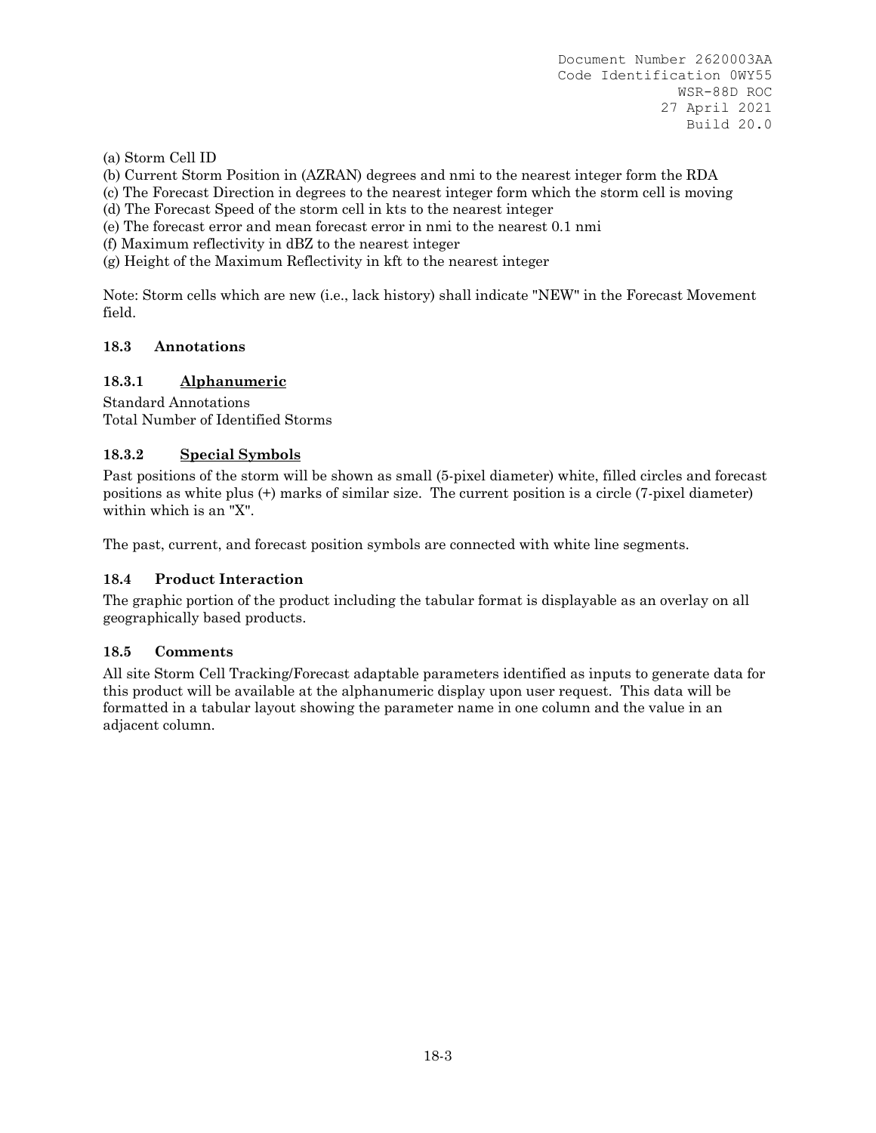(a) Storm Cell ID

(b) Current Storm Position in (AZRAN) degrees and nmi to the nearest integer form the RDA

(c) The Forecast Direction in degrees to the nearest integer form which the storm cell is moving

(d) The Forecast Speed of the storm cell in kts to the nearest integer

(e) The forecast error and mean forecast error in nmi to the nearest 0.1 nmi

(f) Maximum reflectivity in dBZ to the nearest integer

(g) Height of the Maximum Reflectivity in kft to the nearest integer

Note: Storm cells which are new (i.e., lack history) shall indicate "NEW" in the Forecast Movement field.

# **18.3 Annotations**

# **18.3.1 Alphanumeric**

Standard Annotations Total Number of Identified Storms

# **18.3.2 Special Symbols**

Past positions of the storm will be shown as small (5-pixel diameter) white, filled circles and forecast positions as white plus (+) marks of similar size. The current position is a circle (7-pixel diameter) within which is an "X".

The past, current, and forecast position symbols are connected with white line segments.

# **18.4 Product Interaction**

The graphic portion of the product including the tabular format is displayable as an overlay on all geographically based products.

#### **18.5 Comments**

All site Storm Cell Tracking/Forecast adaptable parameters identified as inputs to generate data for this product will be available at the alphanumeric display upon user request. This data will be formatted in a tabular layout showing the parameter name in one column and the value in an adjacent column.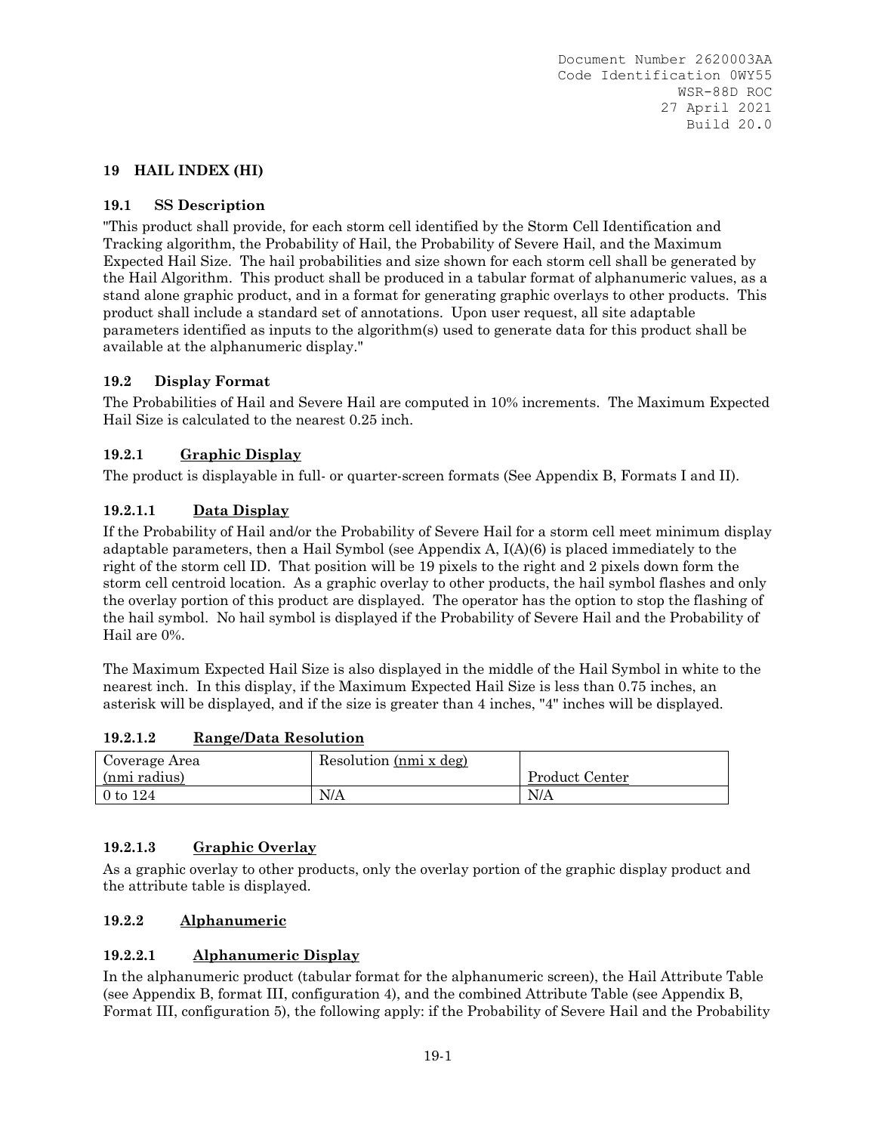# **19 HAIL INDEX (HI)**

# **19.1 SS Description**

"This product shall provide, for each storm cell identified by the Storm Cell Identification and Tracking algorithm, the Probability of Hail, the Probability of Severe Hail, and the Maximum Expected Hail Size. The hail probabilities and size shown for each storm cell shall be generated by the Hail Algorithm. This product shall be produced in a tabular format of alphanumeric values, as a stand alone graphic product, and in a format for generating graphic overlays to other products. This product shall include a standard set of annotations. Upon user request, all site adaptable parameters identified as inputs to the algorithm(s) used to generate data for this product shall be available at the alphanumeric display."

# **19.2 Display Format**

The Probabilities of Hail and Severe Hail are computed in 10% increments. The Maximum Expected Hail Size is calculated to the nearest 0.25 inch.

# **19.2.1 Graphic Display**

The product is displayable in full- or quarter-screen formats (See Appendix B, Formats I and II).

# **19.2.1.1 Data Display**

If the Probability of Hail and/or the Probability of Severe Hail for a storm cell meet minimum display adaptable parameters, then a Hail Symbol (see Appendix A, I(A)(6) is placed immediately to the right of the storm cell ID. That position will be 19 pixels to the right and 2 pixels down form the storm cell centroid location. As a graphic overlay to other products, the hail symbol flashes and only the overlay portion of this product are displayed. The operator has the option to stop the flashing of the hail symbol. No hail symbol is displayed if the Probability of Severe Hail and the Probability of Hail are 0%.

The Maximum Expected Hail Size is also displayed in the middle of the Hail Symbol in white to the nearest inch. In this display, if the Maximum Expected Hail Size is less than 0.75 inches, an asterisk will be displayed, and if the size is greater than 4 inches, "4" inches will be displayed.

| Coverage Area | Resolution (nmi x deg) |                |
|---------------|------------------------|----------------|
| (nmi radius)  |                        | Product Center |
| 0 to $124$    | N/A                    | N/A            |

#### **19.2.1.2 Range/Data Resolution**

# **19.2.1.3 Graphic Overlay**

As a graphic overlay to other products, only the overlay portion of the graphic display product and the attribute table is displayed.

# **19.2.2 Alphanumeric**

# **19.2.2.1 Alphanumeric Display**

In the alphanumeric product (tabular format for the alphanumeric screen), the Hail Attribute Table (see Appendix B, format III, configuration 4), and the combined Attribute Table (see Appendix B, Format III, configuration 5), the following apply: if the Probability of Severe Hail and the Probability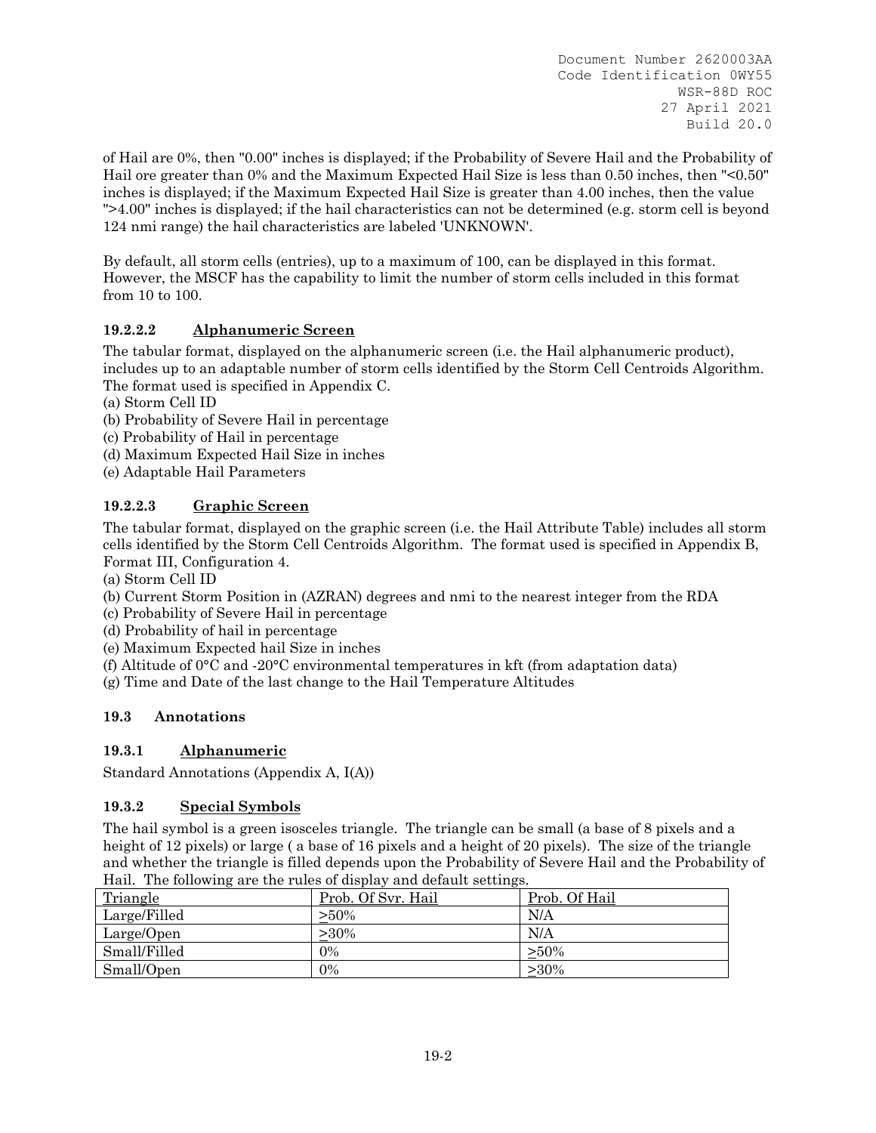of Hail are 0%, then "0.00" inches is displayed; if the Probability of Severe Hail and the Probability of Hail ore greater than 0% and the Maximum Expected Hail Size is less than 0.50 inches, then "<0.50" inches is displayed; if the Maximum Expected Hail Size is greater than 4.00 inches, then the value ">4.00" inches is displayed; if the hail characteristics can not be determined (e.g. storm cell is beyond 124 nmi range) the hail characteristics are labeled 'UNKNOWN'.

By default, all storm cells (entries), up to a maximum of 100, can be displayed in this format. However, the MSCF has the capability to limit the number of storm cells included in this format from 10 to 100.

# **19.2.2.2 Alphanumeric Screen**

The tabular format, displayed on the alphanumeric screen (i.e. the Hail alphanumeric product), includes up to an adaptable number of storm cells identified by the Storm Cell Centroids Algorithm. The format used is specified in Appendix C.

- (a) Storm Cell ID
- (b) Probability of Severe Hail in percentage
- (c) Probability of Hail in percentage
- (d) Maximum Expected Hail Size in inches
- (e) Adaptable Hail Parameters

# **19.2.2.3 Graphic Screen**

The tabular format, displayed on the graphic screen (i.e. the Hail Attribute Table) includes all storm cells identified by the Storm Cell Centroids Algorithm. The format used is specified in Appendix B, Format III, Configuration 4.

(a) Storm Cell ID

- (b) Current Storm Position in (AZRAN) degrees and nmi to the nearest integer from the RDA
- (c) Probability of Severe Hail in percentage
- (d) Probability of hail in percentage
- (e) Maximum Expected hail Size in inches
- (f) Altitude of 0°C and -20°C environmental temperatures in kft (from adaptation data)
- (g) Time and Date of the last change to the Hail Temperature Altitudes

# **19.3 Annotations**

# **19.3.1 Alphanumeric**

Standard Annotations (Appendix A, I(A))

# **19.3.2 Special Symbols**

The hail symbol is a green isosceles triangle. The triangle can be small (a base of 8 pixels and a height of 12 pixels) or large ( a base of 16 pixels and a height of 20 pixels). The size of the triangle and whether the triangle is filled depends upon the Probability of Severe Hail and the Probability of Hail. The following are the rules of display and default settings.

| Triangle     | Prob. Of Svr. Hail | Prob. Of Hail |
|--------------|--------------------|---------------|
| Large/Filled | $>50\%$            | N/A           |
| Large/Open   | $>30\%$            | N/A           |
| Small/Filled | $0\%$              | $>50\%$       |
| Small/Open   | $0\%$              | $>30\%$       |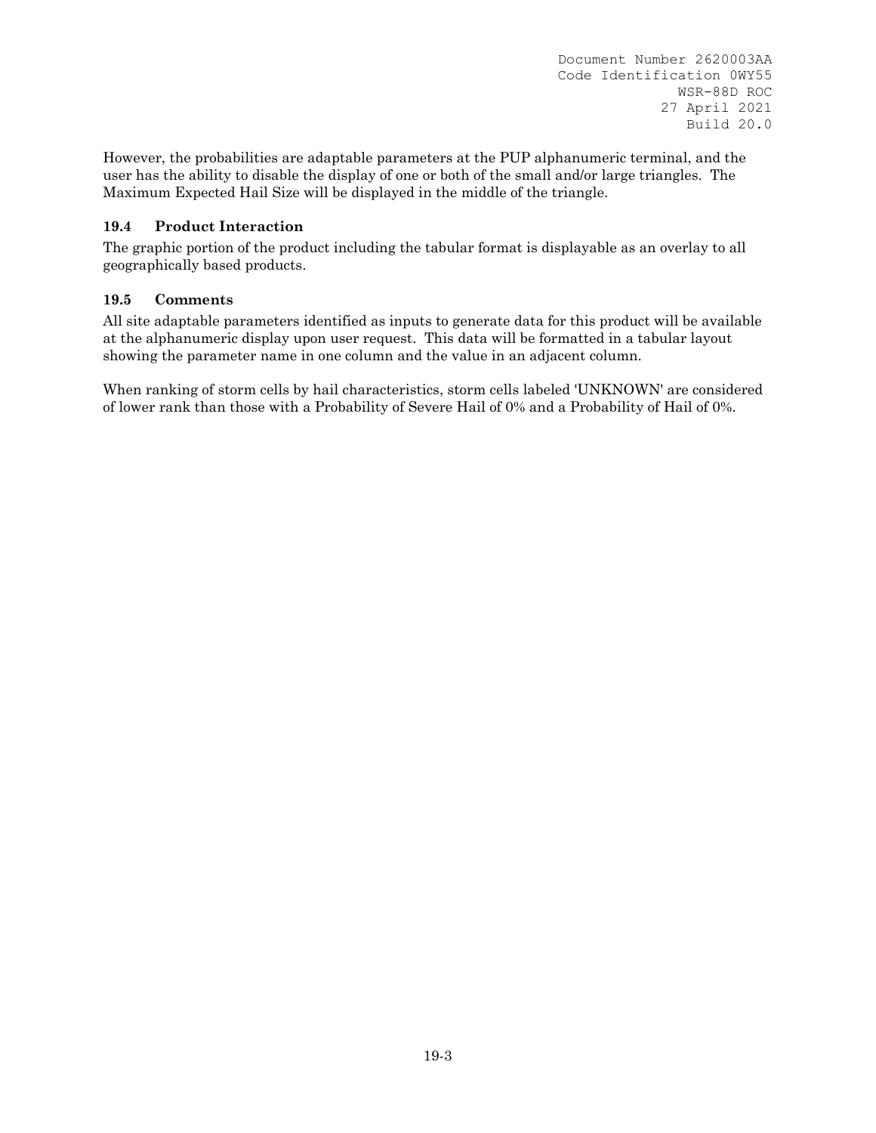However, the probabilities are adaptable parameters at the PUP alphanumeric terminal, and the user has the ability to disable the display of one or both of the small and/or large triangles. The Maximum Expected Hail Size will be displayed in the middle of the triangle.

# **19.4 Product Interaction**

The graphic portion of the product including the tabular format is displayable as an overlay to all geographically based products.

# **19.5 Comments**

All site adaptable parameters identified as inputs to generate data for this product will be available at the alphanumeric display upon user request. This data will be formatted in a tabular layout showing the parameter name in one column and the value in an adjacent column.

When ranking of storm cells by hail characteristics, storm cells labeled 'UNKNOWN' are considered of lower rank than those with a Probability of Severe Hail of 0% and a Probability of Hail of 0%.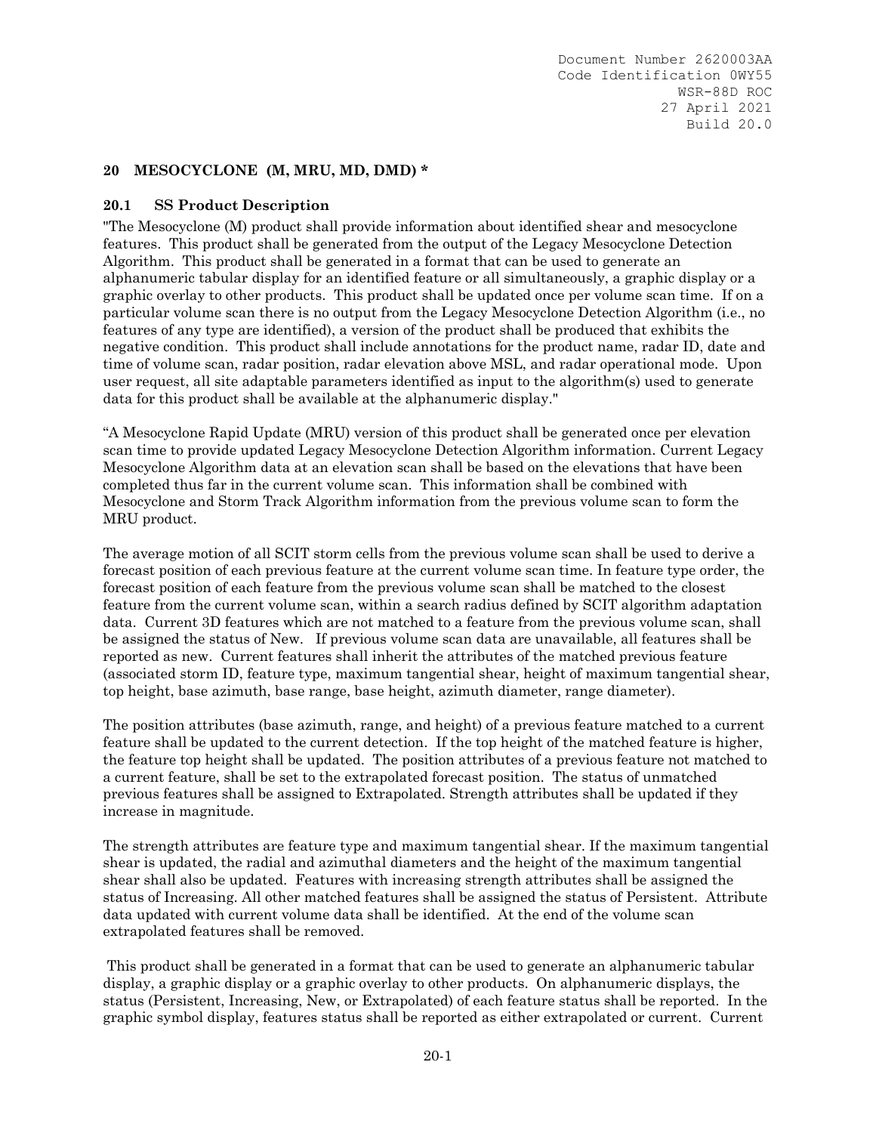#### **20 MESOCYCLONE (M, MRU, MD, DMD) \***

#### **20.1 SS Product Description**

"The Mesocyclone (M) product shall provide information about identified shear and mesocyclone features. This product shall be generated from the output of the Legacy Mesocyclone Detection Algorithm. This product shall be generated in a format that can be used to generate an alphanumeric tabular display for an identified feature or all simultaneously, a graphic display or a graphic overlay to other products. This product shall be updated once per volume scan time. If on a particular volume scan there is no output from the Legacy Mesocyclone Detection Algorithm (i.e., no features of any type are identified), a version of the product shall be produced that exhibits the negative condition. This product shall include annotations for the product name, radar ID, date and time of volume scan, radar position, radar elevation above MSL, and radar operational mode. Upon user request, all site adaptable parameters identified as input to the algorithm(s) used to generate data for this product shall be available at the alphanumeric display."

"A Mesocyclone Rapid Update (MRU) version of this product shall be generated once per elevation scan time to provide updated Legacy Mesocyclone Detection Algorithm information. Current Legacy Mesocyclone Algorithm data at an elevation scan shall be based on the elevations that have been completed thus far in the current volume scan. This information shall be combined with Mesocyclone and Storm Track Algorithm information from the previous volume scan to form the MRU product.

The average motion of all SCIT storm cells from the previous volume scan shall be used to derive a forecast position of each previous feature at the current volume scan time. In feature type order, the forecast position of each feature from the previous volume scan shall be matched to the closest feature from the current volume scan, within a search radius defined by SCIT algorithm adaptation data. Current 3D features which are not matched to a feature from the previous volume scan, shall be assigned the status of New. If previous volume scan data are unavailable, all features shall be reported as new. Current features shall inherit the attributes of the matched previous feature (associated storm ID, feature type, maximum tangential shear, height of maximum tangential shear, top height, base azimuth, base range, base height, azimuth diameter, range diameter).

The position attributes (base azimuth, range, and height) of a previous feature matched to a current feature shall be updated to the current detection. If the top height of the matched feature is higher, the feature top height shall be updated. The position attributes of a previous feature not matched to a current feature, shall be set to the extrapolated forecast position. The status of unmatched previous features shall be assigned to Extrapolated. Strength attributes shall be updated if they increase in magnitude.

The strength attributes are feature type and maximum tangential shear. If the maximum tangential shear is updated, the radial and azimuthal diameters and the height of the maximum tangential shear shall also be updated. Features with increasing strength attributes shall be assigned the status of Increasing. All other matched features shall be assigned the status of Persistent. Attribute data updated with current volume data shall be identified. At the end of the volume scan extrapolated features shall be removed.

 This product shall be generated in a format that can be used to generate an alphanumeric tabular display, a graphic display or a graphic overlay to other products. On alphanumeric displays, the status (Persistent, Increasing, New, or Extrapolated) of each feature status shall be reported. In the graphic symbol display, features status shall be reported as either extrapolated or current. Current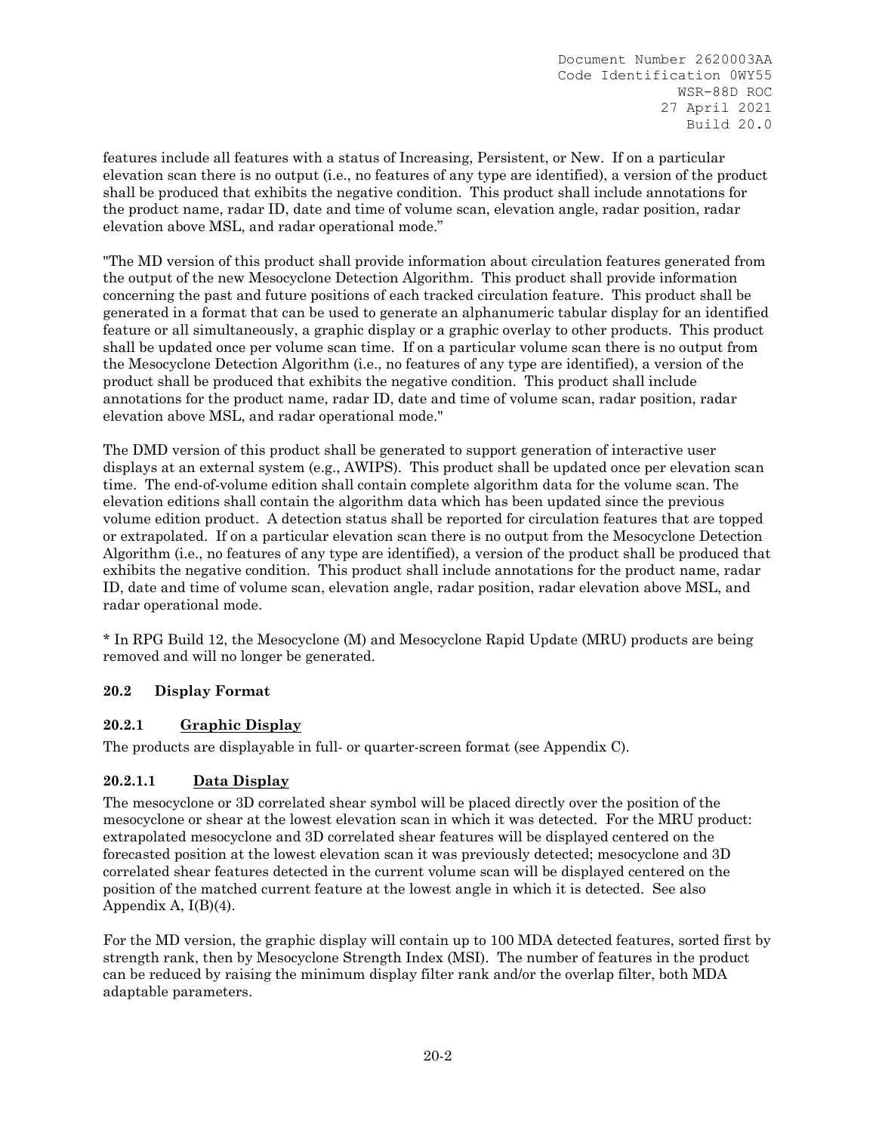features include all features with a status of Increasing, Persistent, or New. If on a particular elevation scan there is no output (i.e., no features of any type are identified), a version of the product shall be produced that exhibits the negative condition. This product shall include annotations for the product name, radar ID, date and time of volume scan, elevation angle, radar position, radar elevation above MSL, and radar operational mode."

"The MD version of this product shall provide information about circulation features generated from the output of the new Mesocyclone Detection Algorithm. This product shall provide information concerning the past and future positions of each tracked circulation feature. This product shall be generated in a format that can be used to generate an alphanumeric tabular display for an identified feature or all simultaneously, a graphic display or a graphic overlay to other products. This product shall be updated once per volume scan time. If on a particular volume scan there is no output from the Mesocyclone Detection Algorithm (i.e., no features of any type are identified), a version of the product shall be produced that exhibits the negative condition. This product shall include annotations for the product name, radar ID, date and time of volume scan, radar position, radar elevation above MSL, and radar operational mode."

The DMD version of this product shall be generated to support generation of interactive user displays at an external system (e.g., AWIPS). This product shall be updated once per elevation scan time. The end-of-volume edition shall contain complete algorithm data for the volume scan. The elevation editions shall contain the algorithm data which has been updated since the previous volume edition product. A detection status shall be reported for circulation features that are topped or extrapolated. If on a particular elevation scan there is no output from the Mesocyclone Detection Algorithm (i.e., no features of any type are identified), a version of the product shall be produced that exhibits the negative condition. This product shall include annotations for the product name, radar ID, date and time of volume scan, elevation angle, radar position, radar elevation above MSL, and radar operational mode.

\* In RPG Build 12, the Mesocyclone (M) and Mesocyclone Rapid Update (MRU) products are being removed and will no longer be generated.

# **20.2 Display Format**

# **20.2.1 Graphic Display**

The products are displayable in full- or quarter-screen format (see Appendix C).

# **20.2.1.1 Data Display**

The mesocyclone or 3D correlated shear symbol will be placed directly over the position of the mesocyclone or shear at the lowest elevation scan in which it was detected. For the MRU product: extrapolated mesocyclone and 3D correlated shear features will be displayed centered on the forecasted position at the lowest elevation scan it was previously detected; mesocyclone and 3D correlated shear features detected in the current volume scan will be displayed centered on the position of the matched current feature at the lowest angle in which it is detected. See also Appendix A,  $I(B)(4)$ .

For the MD version, the graphic display will contain up to 100 MDA detected features, sorted first by strength rank, then by Mesocyclone Strength Index (MSI). The number of features in the product can be reduced by raising the minimum display filter rank and/or the overlap filter, both MDA adaptable parameters.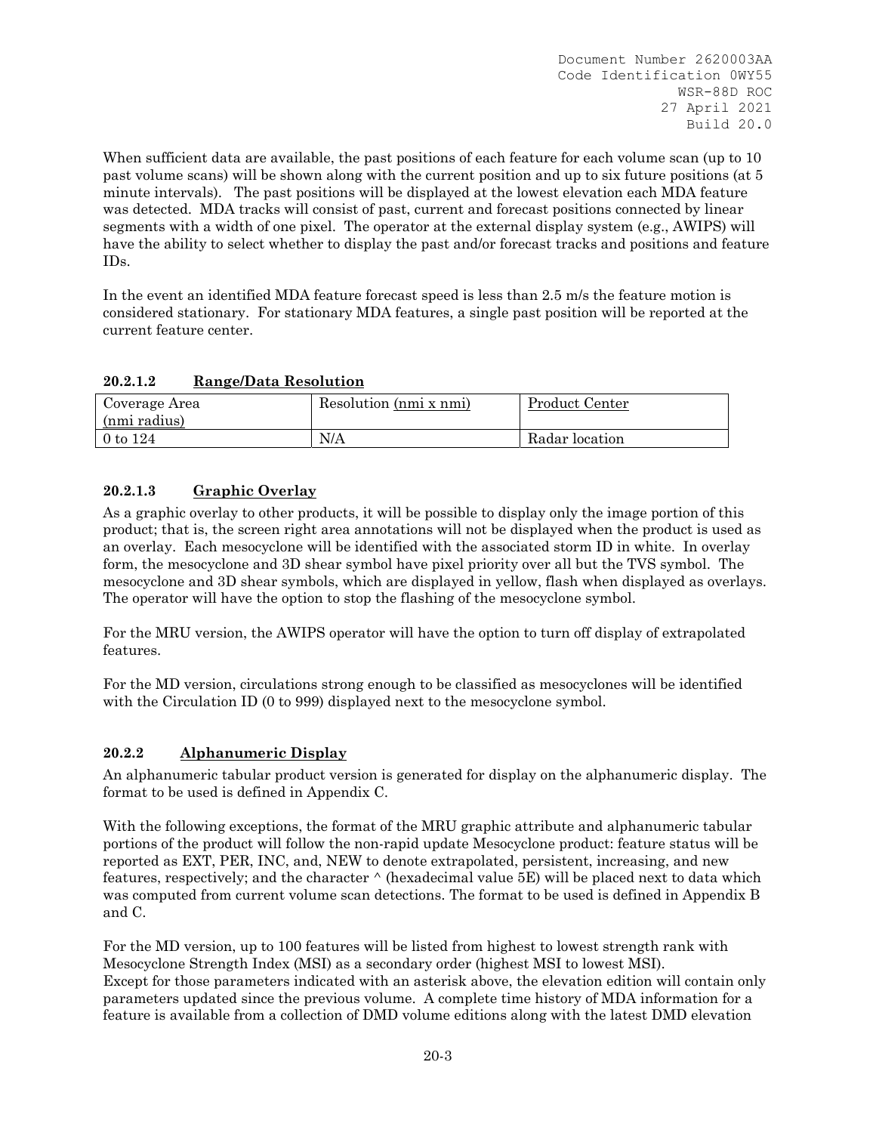When sufficient data are available, the past positions of each feature for each volume scan (up to 10) past volume scans) will be shown along with the current position and up to six future positions (at 5 minute intervals). The past positions will be displayed at the lowest elevation each MDA feature was detected. MDA tracks will consist of past, current and forecast positions connected by linear segments with a width of one pixel. The operator at the external display system (e.g., AWIPS) will have the ability to select whether to display the past and/or forecast tracks and positions and feature IDs.

In the event an identified MDA feature forecast speed is less than 2.5 m/s the feature motion is considered stationary. For stationary MDA features, a single past position will be reported at the current feature center.

# **20.2.1.2 Range/Data Resolution**

| Coverage Area<br>(nmi radius) | Resolution (nmi x nmi) | Product Center |
|-------------------------------|------------------------|----------------|
| 0 to 124                      | N/A                    | Radar location |

# **20.2.1.3 Graphic Overlay**

As a graphic overlay to other products, it will be possible to display only the image portion of this product; that is, the screen right area annotations will not be displayed when the product is used as an overlay. Each mesocyclone will be identified with the associated storm ID in white. In overlay form, the mesocyclone and 3D shear symbol have pixel priority over all but the TVS symbol. The mesocyclone and 3D shear symbols, which are displayed in yellow, flash when displayed as overlays. The operator will have the option to stop the flashing of the mesocyclone symbol.

For the MRU version, the AWIPS operator will have the option to turn off display of extrapolated features.

For the MD version, circulations strong enough to be classified as mesocyclones will be identified with the Circulation ID (0 to 999) displayed next to the mesocyclone symbol.

# **20.2.2 Alphanumeric Display**

An alphanumeric tabular product version is generated for display on the alphanumeric display. The format to be used is defined in Appendix C.

With the following exceptions, the format of the MRU graphic attribute and alphanumeric tabular portions of the product will follow the non-rapid update Mesocyclone product: feature status will be reported as EXT, PER, INC, and, NEW to denote extrapolated, persistent, increasing, and new features, respectively; and the character ^ (hexadecimal value 5E) will be placed next to data which was computed from current volume scan detections. The format to be used is defined in Appendix B and C.

For the MD version, up to 100 features will be listed from highest to lowest strength rank with Mesocyclone Strength Index (MSI) as a secondary order (highest MSI to lowest MSI). Except for those parameters indicated with an asterisk above, the elevation edition will contain only parameters updated since the previous volume. A complete time history of MDA information for a feature is available from a collection of DMD volume editions along with the latest DMD elevation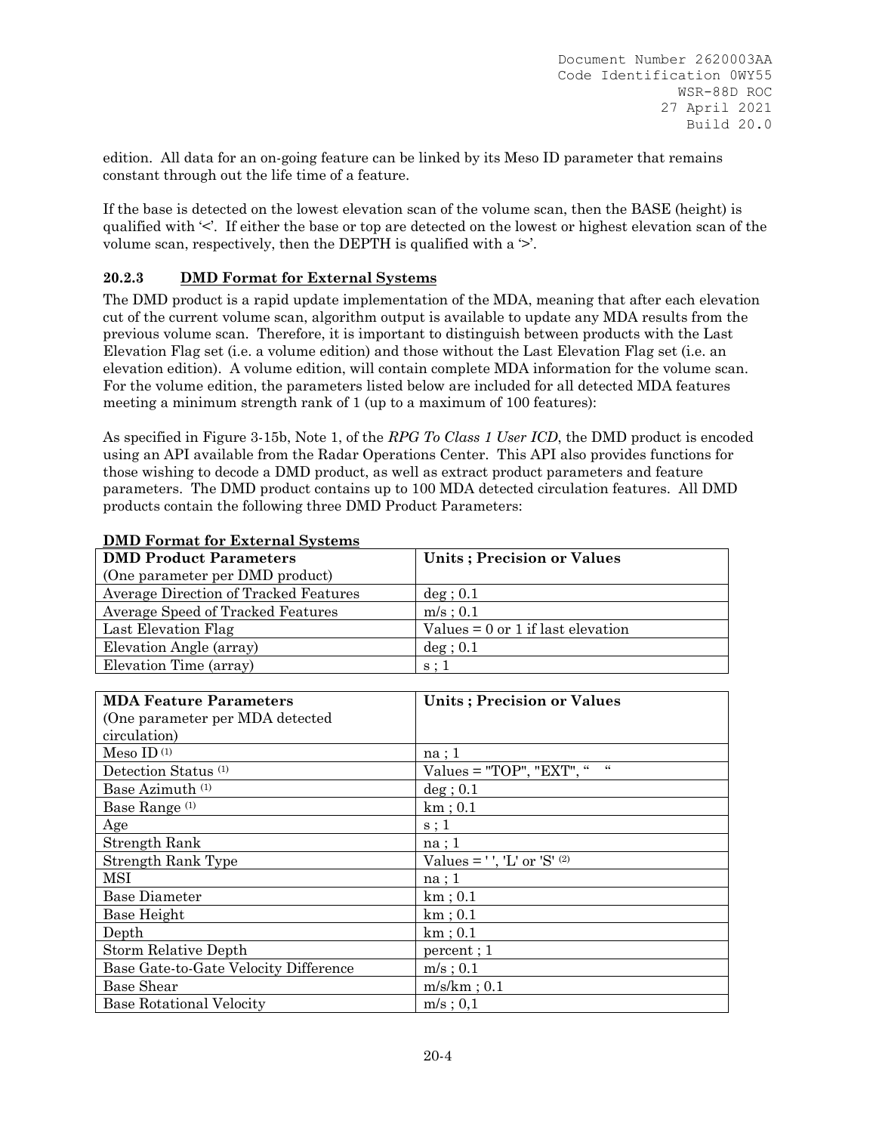edition. All data for an on-going feature can be linked by its Meso ID parameter that remains constant through out the life time of a feature.

If the base is detected on the lowest elevation scan of the volume scan, then the BASE (height) is qualified with '<'. If either the base or top are detected on the lowest or highest elevation scan of the volume scan, respectively, then the DEPTH is qualified with a  $\geq$ .

# **20.2.3 DMD Format for External Systems**

The DMD product is a rapid update implementation of the MDA, meaning that after each elevation cut of the current volume scan, algorithm output is available to update any MDA results from the previous volume scan. Therefore, it is important to distinguish between products with the Last Elevation Flag set (i.e. a volume edition) and those without the Last Elevation Flag set (i.e. an elevation edition). A volume edition, will contain complete MDA information for the volume scan. For the volume edition, the parameters listed below are included for all detected MDA features meeting a minimum strength rank of 1 (up to a maximum of 100 features):

As specified in Figure 3-15b, Note 1, of the *RPG To Class 1 User ICD*, the DMD product is encoded using an API available from the Radar Operations Center. This API also provides functions for those wishing to decode a DMD product, as well as extract product parameters and feature parameters. The DMD product contains up to 100 MDA detected circulation features. All DMD products contain the following three DMD Product Parameters:

| <b>DMD Product Parameters</b>         | Units; Precision or Values          |
|---------------------------------------|-------------------------------------|
| (One parameter per DMD product)       |                                     |
| Average Direction of Tracked Features | $\deg$ ; 0.1                        |
| Average Speed of Tracked Features     | $m/s$ ; 0.1                         |
| Last Elevation Flag                   | Values $= 0$ or 1 if last elevation |
| Elevation Angle (array)               | $\deg$ ; 0.1                        |
| Elevation Time (array)                | s:1                                 |

#### **DMD Format for External Systems**

| <b>MDA Feature Parameters</b>         | Units; Precision or Values               |
|---------------------------------------|------------------------------------------|
| (One parameter per MDA detected)      |                                          |
| circulation)                          |                                          |
| Meso ID $(1)$                         | na; 1                                    |
| Detection Status <sup>(1)</sup>       | $Values = "TOP", "EXT", "$<br>$\epsilon$ |
| Base Azimuth <sup>(1)</sup>           | $\deg$ ; 0.1                             |
| Base Range <sup>(1)</sup>             | $km$ ; 0.1                               |
| Age                                   | s:1                                      |
| Strength Rank                         | na; 1                                    |
| Strength Rank Type                    | Values = $'$ , 'L' or 'S' $^{(2)}$       |
| <b>MSI</b>                            | na; 1                                    |
| <b>Base Diameter</b>                  | $km$ ; 0.1                               |
| Base Height                           | $km$ ; 0.1                               |
| Depth                                 | $km$ ; 0.1                               |
| Storm Relative Depth                  | percent; 1                               |
| Base Gate-to-Gate Velocity Difference | $m/s$ ; 0.1                              |
| <b>Base Shear</b>                     | $m/s/km$ ; 0.1                           |
| <b>Base Rotational Velocity</b>       | $m/s$ ; 0,1                              |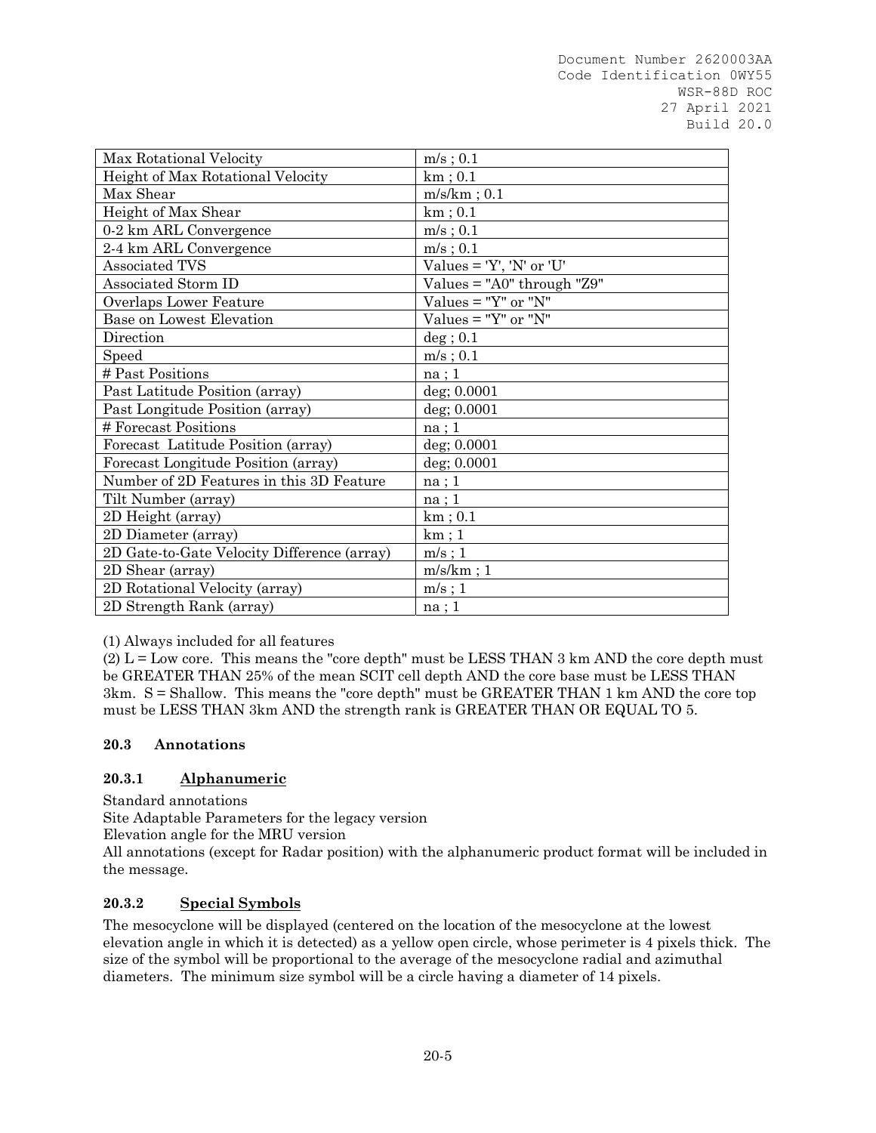| Max Rotational Velocity                     | $m/s$ ; 0.1                        |
|---------------------------------------------|------------------------------------|
| Height of Max Rotational Velocity           | $km$ ; 0.1                         |
| Max Shear                                   | $m/s/km$ ; 0.1                     |
| Height of Max Shear                         | $km$ ; $0.1$                       |
| 0-2 km ARL Convergence                      | $m/s$ ; 0.1                        |
| 2-4 km ARL Convergence                      | $m/s$ ; 0.1                        |
| Associated TVS                              | Values = 'Y', 'N' or 'U'           |
| Associated Storm ID                         | Values = " $A0$ " through " $Z9$ " |
| Overlaps Lower Feature                      | Values $=$ "Y" or "N"              |
| Base on Lowest Elevation                    | Values = " $Y$ " or " $N$ "        |
| Direction                                   | $\deg$ ; 0.1                       |
| Speed                                       | $m/s$ ; 0.1                        |
| # Past Positions                            | na; 1                              |
| Past Latitude Position (array)              | deg; 0.0001                        |
| Past Longitude Position (array)             | deg; 0.0001                        |
| # Forecast Positions                        | na;1                               |
| Forecast Latitude Position (array)          | $deg$ ; 0.0001                     |
| Forecast Longitude Position (array)         | $deg$ ; 0.0001                     |
| Number of 2D Features in this 3D Feature    | na; 1                              |
| Tilt Number (array)                         | na; 1                              |
| 2D Height (array)                           | $km$ ; $0.1$                       |
| 2D Diameter (array)                         | km;1                               |
| 2D Gate-to-Gate Velocity Difference (array) | $m/s$ ; 1                          |
| 2D Shear (array)                            | $m/s/km$ ; 1                       |
| 2D Rotational Velocity (array)              | $m/s$ ; 1                          |
| 2D Strength Rank (array)                    | na; 1                              |

(1) Always included for all features

 $(2)$  L = Low core. This means the "core depth" must be LESS THAN 3 km AND the core depth must be GREATER THAN 25% of the mean SCIT cell depth AND the core base must be LESS THAN 3km. S = Shallow. This means the "core depth" must be GREATER THAN 1 km AND the core top must be LESS THAN 3km AND the strength rank is GREATER THAN OR EQUAL TO 5.

# **20.3 Annotations**

# **20.3.1 Alphanumeric**

Standard annotations

Site Adaptable Parameters for the legacy version

Elevation angle for the MRU version

All annotations (except for Radar position) with the alphanumeric product format will be included in the message.

# **20.3.2 Special Symbols**

The mesocyclone will be displayed (centered on the location of the mesocyclone at the lowest elevation angle in which it is detected) as a yellow open circle, whose perimeter is 4 pixels thick. The size of the symbol will be proportional to the average of the mesocyclone radial and azimuthal diameters. The minimum size symbol will be a circle having a diameter of 14 pixels.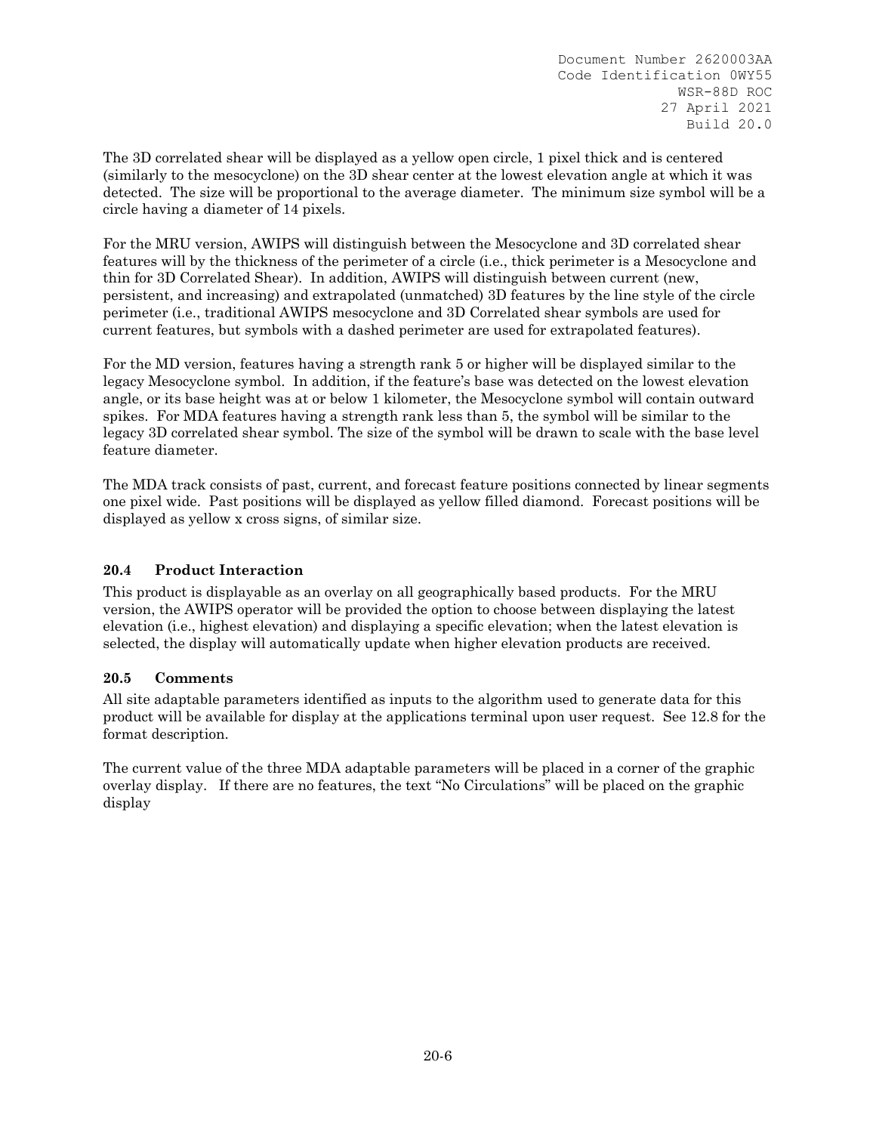The 3D correlated shear will be displayed as a yellow open circle, 1 pixel thick and is centered (similarly to the mesocyclone) on the 3D shear center at the lowest elevation angle at which it was detected. The size will be proportional to the average diameter. The minimum size symbol will be a circle having a diameter of 14 pixels.

For the MRU version, AWIPS will distinguish between the Mesocyclone and 3D correlated shear features will by the thickness of the perimeter of a circle (i.e., thick perimeter is a Mesocyclone and thin for 3D Correlated Shear). In addition, AWIPS will distinguish between current (new, persistent, and increasing) and extrapolated (unmatched) 3D features by the line style of the circle perimeter (i.e., traditional AWIPS mesocyclone and 3D Correlated shear symbols are used for current features, but symbols with a dashed perimeter are used for extrapolated features).

For the MD version, features having a strength rank 5 or higher will be displayed similar to the legacy Mesocyclone symbol. In addition, if the feature's base was detected on the lowest elevation angle, or its base height was at or below 1 kilometer, the Mesocyclone symbol will contain outward spikes. For MDA features having a strength rank less than 5, the symbol will be similar to the legacy 3D correlated shear symbol. The size of the symbol will be drawn to scale with the base level feature diameter.

The MDA track consists of past, current, and forecast feature positions connected by linear segments one pixel wide. Past positions will be displayed as yellow filled diamond. Forecast positions will be displayed as yellow x cross signs, of similar size.

# **20.4 Product Interaction**

This product is displayable as an overlay on all geographically based products. For the MRU version, the AWIPS operator will be provided the option to choose between displaying the latest elevation (i.e., highest elevation) and displaying a specific elevation; when the latest elevation is selected, the display will automatically update when higher elevation products are received.

# **20.5 Comments**

All site adaptable parameters identified as inputs to the algorithm used to generate data for this product will be available for display at the applications terminal upon user request. See 12.8 for the format description.

The current value of the three MDA adaptable parameters will be placed in a corner of the graphic overlay display. If there are no features, the text "No Circulations" will be placed on the graphic display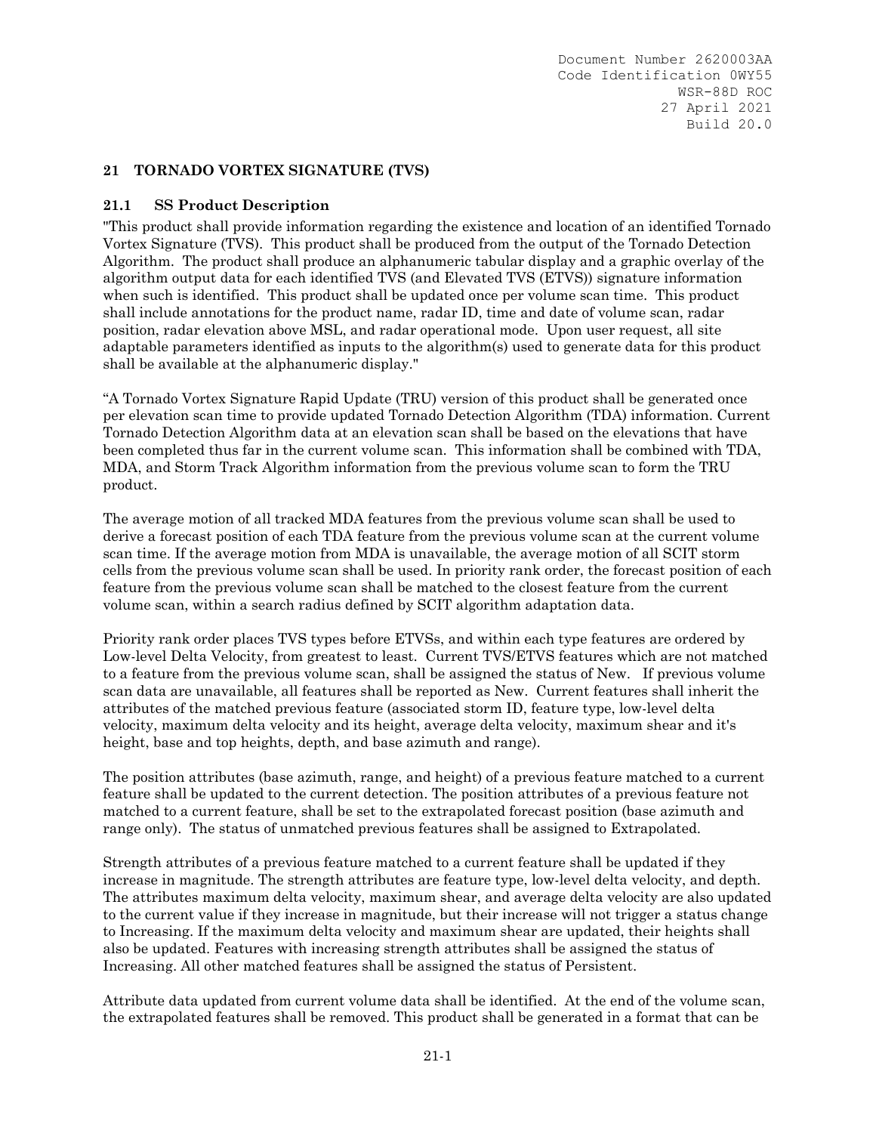# **21 TORNADO VORTEX SIGNATURE (TVS)**

# **21.1 SS Product Description**

"This product shall provide information regarding the existence and location of an identified Tornado Vortex Signature (TVS). This product shall be produced from the output of the Tornado Detection Algorithm. The product shall produce an alphanumeric tabular display and a graphic overlay of the algorithm output data for each identified TVS (and Elevated TVS (ETVS)) signature information when such is identified. This product shall be updated once per volume scan time. This product shall include annotations for the product name, radar ID, time and date of volume scan, radar position, radar elevation above MSL, and radar operational mode. Upon user request, all site adaptable parameters identified as inputs to the algorithm(s) used to generate data for this product shall be available at the alphanumeric display."

"A Tornado Vortex Signature Rapid Update (TRU) version of this product shall be generated once per elevation scan time to provide updated Tornado Detection Algorithm (TDA) information. Current Tornado Detection Algorithm data at an elevation scan shall be based on the elevations that have been completed thus far in the current volume scan. This information shall be combined with TDA, MDA, and Storm Track Algorithm information from the previous volume scan to form the TRU product.

The average motion of all tracked MDA features from the previous volume scan shall be used to derive a forecast position of each TDA feature from the previous volume scan at the current volume scan time. If the average motion from MDA is unavailable, the average motion of all SCIT storm cells from the previous volume scan shall be used. In priority rank order, the forecast position of each feature from the previous volume scan shall be matched to the closest feature from the current volume scan, within a search radius defined by SCIT algorithm adaptation data.

Priority rank order places TVS types before ETVSs, and within each type features are ordered by Low-level Delta Velocity, from greatest to least. Current TVS/ETVS features which are not matched to a feature from the previous volume scan, shall be assigned the status of New. If previous volume scan data are unavailable, all features shall be reported as New. Current features shall inherit the attributes of the matched previous feature (associated storm ID, feature type, low-level delta velocity, maximum delta velocity and its height, average delta velocity, maximum shear and it's height, base and top heights, depth, and base azimuth and range).

The position attributes (base azimuth, range, and height) of a previous feature matched to a current feature shall be updated to the current detection. The position attributes of a previous feature not matched to a current feature, shall be set to the extrapolated forecast position (base azimuth and range only). The status of unmatched previous features shall be assigned to Extrapolated.

Strength attributes of a previous feature matched to a current feature shall be updated if they increase in magnitude. The strength attributes are feature type, low-level delta velocity, and depth. The attributes maximum delta velocity, maximum shear, and average delta velocity are also updated to the current value if they increase in magnitude, but their increase will not trigger a status change to Increasing. If the maximum delta velocity and maximum shear are updated, their heights shall also be updated. Features with increasing strength attributes shall be assigned the status of Increasing. All other matched features shall be assigned the status of Persistent.

Attribute data updated from current volume data shall be identified. At the end of the volume scan, the extrapolated features shall be removed. This product shall be generated in a format that can be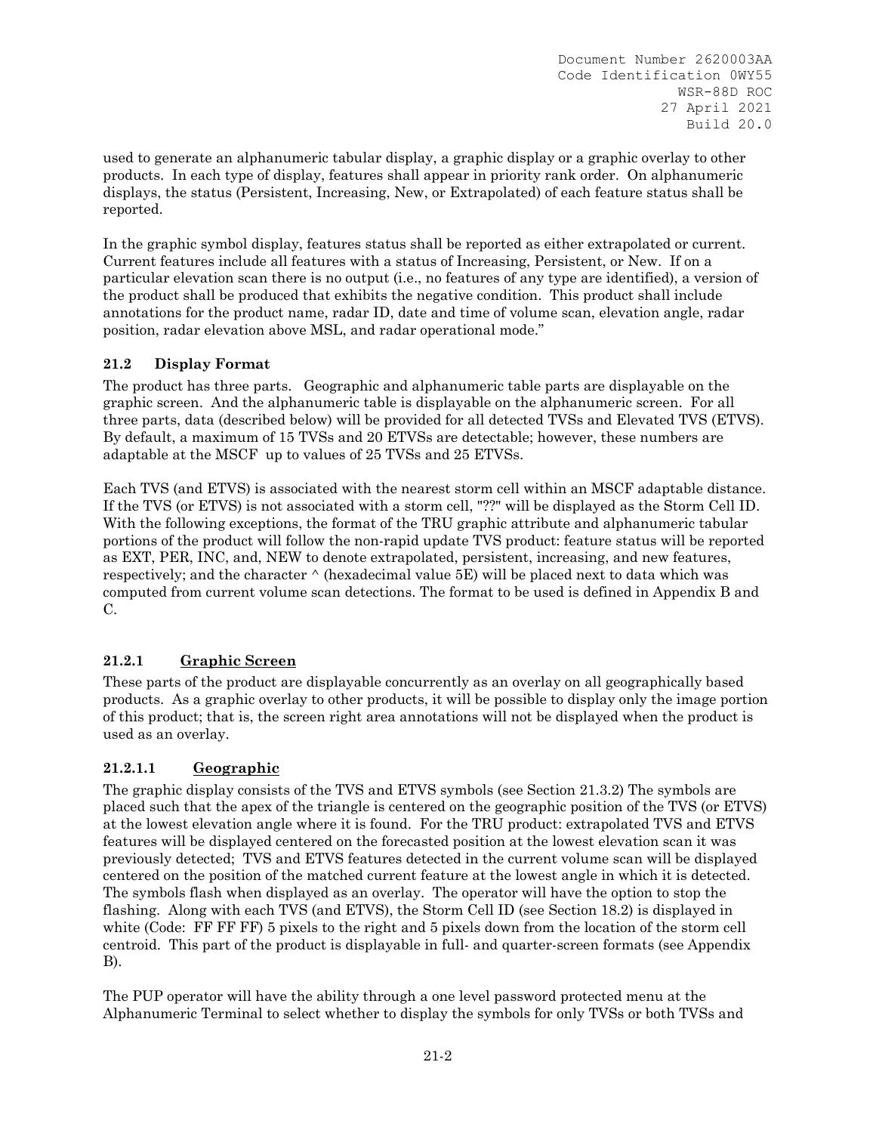used to generate an alphanumeric tabular display, a graphic display or a graphic overlay to other products. In each type of display, features shall appear in priority rank order. On alphanumeric displays, the status (Persistent, Increasing, New, or Extrapolated) of each feature status shall be reported.

In the graphic symbol display, features status shall be reported as either extrapolated or current. Current features include all features with a status of Increasing, Persistent, or New. If on a particular elevation scan there is no output (i.e., no features of any type are identified), a version of the product shall be produced that exhibits the negative condition. This product shall include annotations for the product name, radar ID, date and time of volume scan, elevation angle, radar position, radar elevation above MSL, and radar operational mode."

# **21.2 Display Format**

The product has three parts. Geographic and alphanumeric table parts are displayable on the graphic screen. And the alphanumeric table is displayable on the alphanumeric screen. For all three parts, data (described below) will be provided for all detected TVSs and Elevated TVS (ETVS). By default, a maximum of 15 TVSs and 20 ETVSs are detectable; however, these numbers are adaptable at the MSCF up to values of 25 TVSs and 25 ETVSs.

Each TVS (and ETVS) is associated with the nearest storm cell within an MSCF adaptable distance. If the TVS (or ETVS) is not associated with a storm cell, "??" will be displayed as the Storm Cell ID. With the following exceptions, the format of the TRU graphic attribute and alphanumeric tabular portions of the product will follow the non-rapid update TVS product: feature status will be reported as EXT, PER, INC, and, NEW to denote extrapolated, persistent, increasing, and new features, respectively; and the character  $\wedge$  (hexadecimal value 5E) will be placed next to data which was computed from current volume scan detections. The format to be used is defined in Appendix B and C.

# **21.2.1 Graphic Screen**

These parts of the product are displayable concurrently as an overlay on all geographically based products. As a graphic overlay to other products, it will be possible to display only the image portion of this product; that is, the screen right area annotations will not be displayed when the product is used as an overlay.

# **21.2.1.1 Geographic**

The graphic display consists of the TVS and ETVS symbols (see Section 21.3.2) The symbols are placed such that the apex of the triangle is centered on the geographic position of the TVS (or ETVS) at the lowest elevation angle where it is found. For the TRU product: extrapolated TVS and ETVS features will be displayed centered on the forecasted position at the lowest elevation scan it was previously detected; TVS and ETVS features detected in the current volume scan will be displayed centered on the position of the matched current feature at the lowest angle in which it is detected. The symbols flash when displayed as an overlay. The operator will have the option to stop the flashing. Along with each TVS (and ETVS), the Storm Cell ID (see Section 18.2) is displayed in white (Code: FF FF FF) 5 pixels to the right and 5 pixels down from the location of the storm cell centroid. This part of the product is displayable in full- and quarter-screen formats (see Appendix B).

The PUP operator will have the ability through a one level password protected menu at the Alphanumeric Terminal to select whether to display the symbols for only TVSs or both TVSs and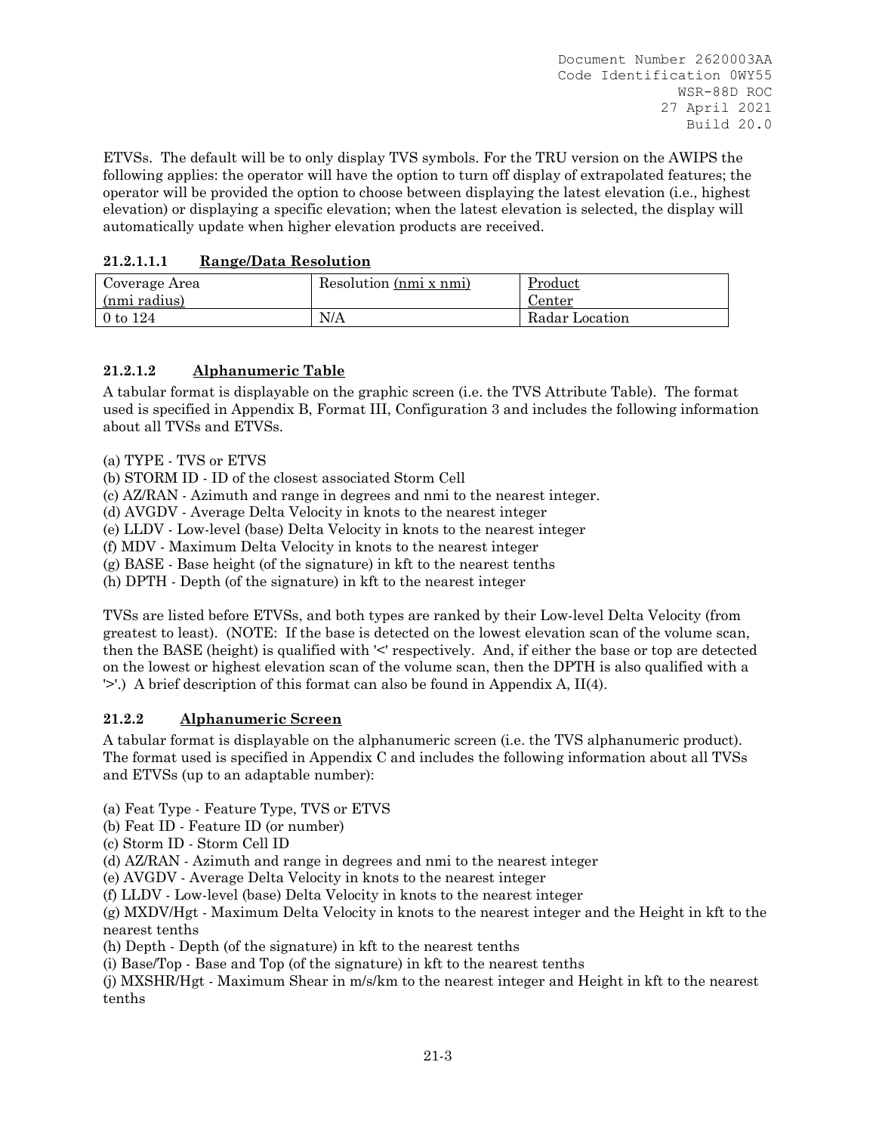ETVSs. The default will be to only display TVS symbols. For the TRU version on the AWIPS the following applies: the operator will have the option to turn off display of extrapolated features; the operator will be provided the option to choose between displaying the latest elevation (i.e., highest elevation) or displaying a specific elevation; when the latest elevation is selected, the display will automatically update when higher elevation products are received.

# **21.2.1.1.1 Range/Data Resolution**

| Coverage Area | Resolution (nmi x nmi) | Product        |
|---------------|------------------------|----------------|
| (nmi radius)  |                        | Center         |
| 0 to $124$    | N/A                    | Radar Location |

# **21.2.1.2 Alphanumeric Table**

A tabular format is displayable on the graphic screen (i.e. the TVS Attribute Table). The format used is specified in Appendix B, Format III, Configuration 3 and includes the following information about all TVSs and ETVSs.

(a) TYPE - TVS or ETVS

(b) STORM ID - ID of the closest associated Storm Cell

(c) AZ/RAN - Azimuth and range in degrees and nmi to the nearest integer.

(d) AVGDV - Average Delta Velocity in knots to the nearest integer

(e) LLDV - Low-level (base) Delta Velocity in knots to the nearest integer

(f) MDV - Maximum Delta Velocity in knots to the nearest integer

(g) BASE - Base height (of the signature) in kft to the nearest tenths

(h) DPTH - Depth (of the signature) in kft to the nearest integer

TVSs are listed before ETVSs, and both types are ranked by their Low-level Delta Velocity (from greatest to least). (NOTE: If the base is detected on the lowest elevation scan of the volume scan, then the BASE (height) is qualified with '<' respectively. And, if either the base or top are detected on the lowest or highest elevation scan of the volume scan, then the DPTH is also qualified with a '>'.) A brief description of this format can also be found in Appendix A, II(4).

# **21.2.2 Alphanumeric Screen**

A tabular format is displayable on the alphanumeric screen (i.e. the TVS alphanumeric product). The format used is specified in Appendix C and includes the following information about all TVSs and ETVSs (up to an adaptable number):

(a) Feat Type - Feature Type, TVS or ETVS

(b) Feat ID - Feature ID (or number)

(c) Storm ID - Storm Cell ID

(d) AZ/RAN - Azimuth and range in degrees and nmi to the nearest integer

(e) AVGDV - Average Delta Velocity in knots to the nearest integer

(f) LLDV - Low-level (base) Delta Velocity in knots to the nearest integer

(g) MXDV/Hgt - Maximum Delta Velocity in knots to the nearest integer and the Height in kft to the nearest tenths

(h) Depth - Depth (of the signature) in kft to the nearest tenths

(i) Base/Top - Base and Top (of the signature) in kft to the nearest tenths

(j) MXSHR/Hgt - Maximum Shear in m/s/km to the nearest integer and Height in kft to the nearest tenths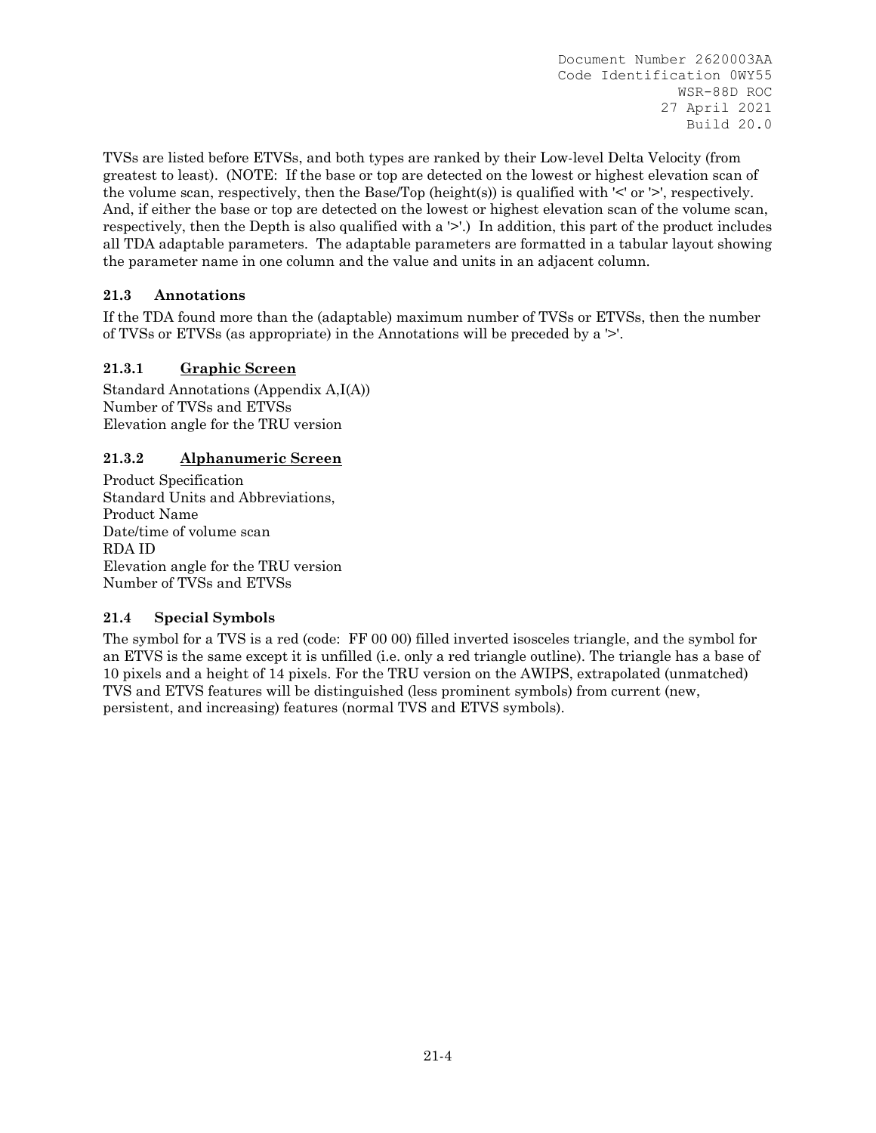TVSs are listed before ETVSs, and both types are ranked by their Low-level Delta Velocity (from greatest to least). (NOTE: If the base or top are detected on the lowest or highest elevation scan of the volume scan, respectively, then the Base/Top (height(s)) is qualified with ' $\leq$ ' or ' $\geq$ ', respectively. And, if either the base or top are detected on the lowest or highest elevation scan of the volume scan, respectively, then the Depth is also qualified with a '>'.) In addition, this part of the product includes all TDA adaptable parameters. The adaptable parameters are formatted in a tabular layout showing the parameter name in one column and the value and units in an adjacent column.

# **21.3 Annotations**

If the TDA found more than the (adaptable) maximum number of TVSs or ETVSs, then the number of TVSs or ETVSs (as appropriate) in the Annotations will be preceded by a '>'.

# **21.3.1 Graphic Screen**

Standard Annotations (Appendix A,I(A)) Number of TVSs and ETVSs Elevation angle for the TRU version

# **21.3.2 Alphanumeric Screen**

Product Specification Standard Units and Abbreviations, Product Name Date/time of volume scan RDA ID Elevation angle for the TRU version Number of TVSs and ETVSs

# **21.4 Special Symbols**

The symbol for a TVS is a red (code: FF 00 00) filled inverted isosceles triangle, and the symbol for an ETVS is the same except it is unfilled (i.e. only a red triangle outline). The triangle has a base of 10 pixels and a height of 14 pixels. For the TRU version on the AWIPS, extrapolated (unmatched) TVS and ETVS features will be distinguished (less prominent symbols) from current (new, persistent, and increasing) features (normal TVS and ETVS symbols).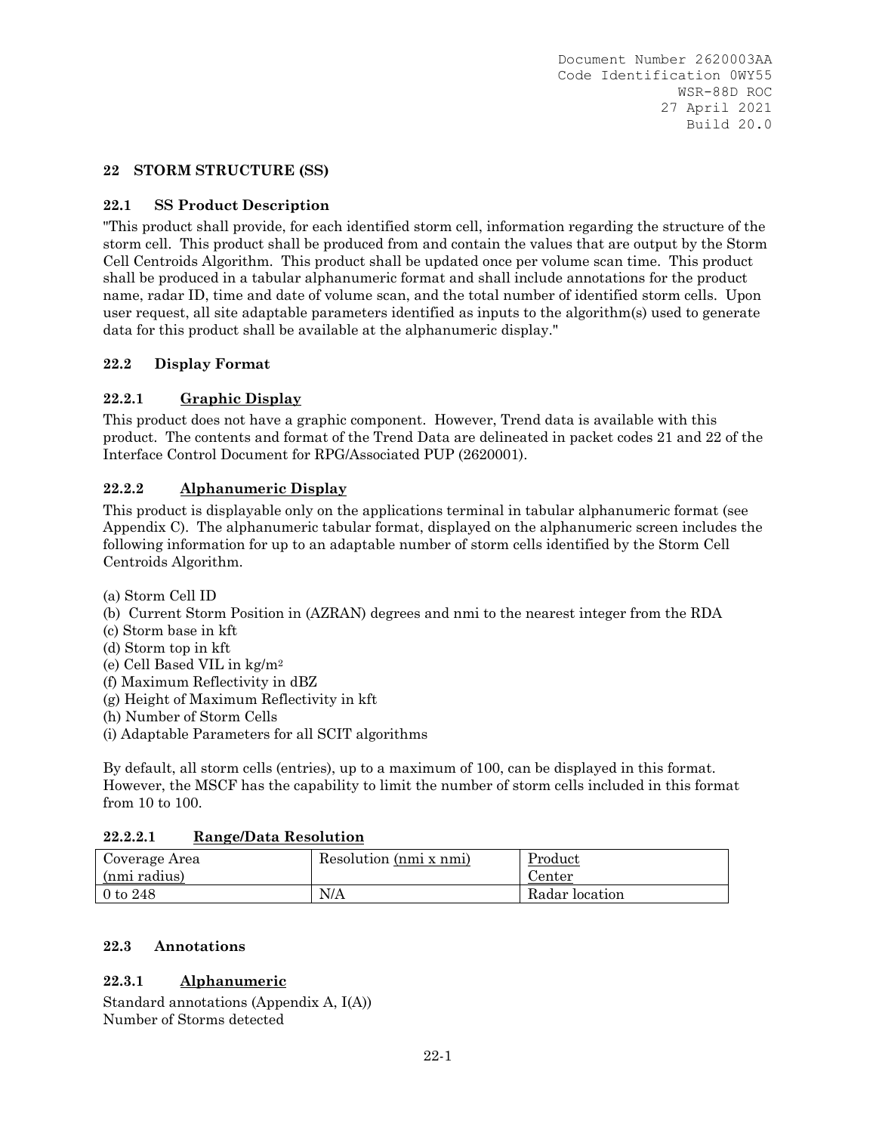#### **22 STORM STRUCTURE (SS)**

#### **22.1 SS Product Description**

"This product shall provide, for each identified storm cell, information regarding the structure of the storm cell. This product shall be produced from and contain the values that are output by the Storm Cell Centroids Algorithm. This product shall be updated once per volume scan time. This product shall be produced in a tabular alphanumeric format and shall include annotations for the product name, radar ID, time and date of volume scan, and the total number of identified storm cells. Upon user request, all site adaptable parameters identified as inputs to the algorithm(s) used to generate data for this product shall be available at the alphanumeric display."

#### **22.2 Display Format**

# **22.2.1 Graphic Display**

This product does not have a graphic component. However, Trend data is available with this product. The contents and format of the Trend Data are delineated in packet codes 21 and 22 of the Interface Control Document for RPG/Associated PUP (2620001).

#### **22.2.2 Alphanumeric Display**

This product is displayable only on the applications terminal in tabular alphanumeric format (see Appendix C). The alphanumeric tabular format, displayed on the alphanumeric screen includes the following information for up to an adaptable number of storm cells identified by the Storm Cell Centroids Algorithm.

(a) Storm Cell ID

- (b) Current Storm Position in (AZRAN) degrees and nmi to the nearest integer from the RDA
- (c) Storm base in kft
- (d) Storm top in kft
- (e) Cell Based VIL in kg/m2
- (f) Maximum Reflectivity in dBZ
- (g) Height of Maximum Reflectivity in kft
- (h) Number of Storm Cells
- (i) Adaptable Parameters for all SCIT algorithms

By default, all storm cells (entries), up to a maximum of 100, can be displayed in this format. However, the MSCF has the capability to limit the number of storm cells included in this format from 10 to 100.

#### **22.2.2.1 Range/Data Resolution**

| Coverage Area<br>(nmi radius) | Resolution (nmi x nmi) | Product<br>Center |
|-------------------------------|------------------------|-------------------|
| $0$ to $248$                  | N/A                    | Radar location    |

#### **22.3 Annotations**

# **22.3.1 Alphanumeric**

Standard annotations (Appendix A, I(A)) Number of Storms detected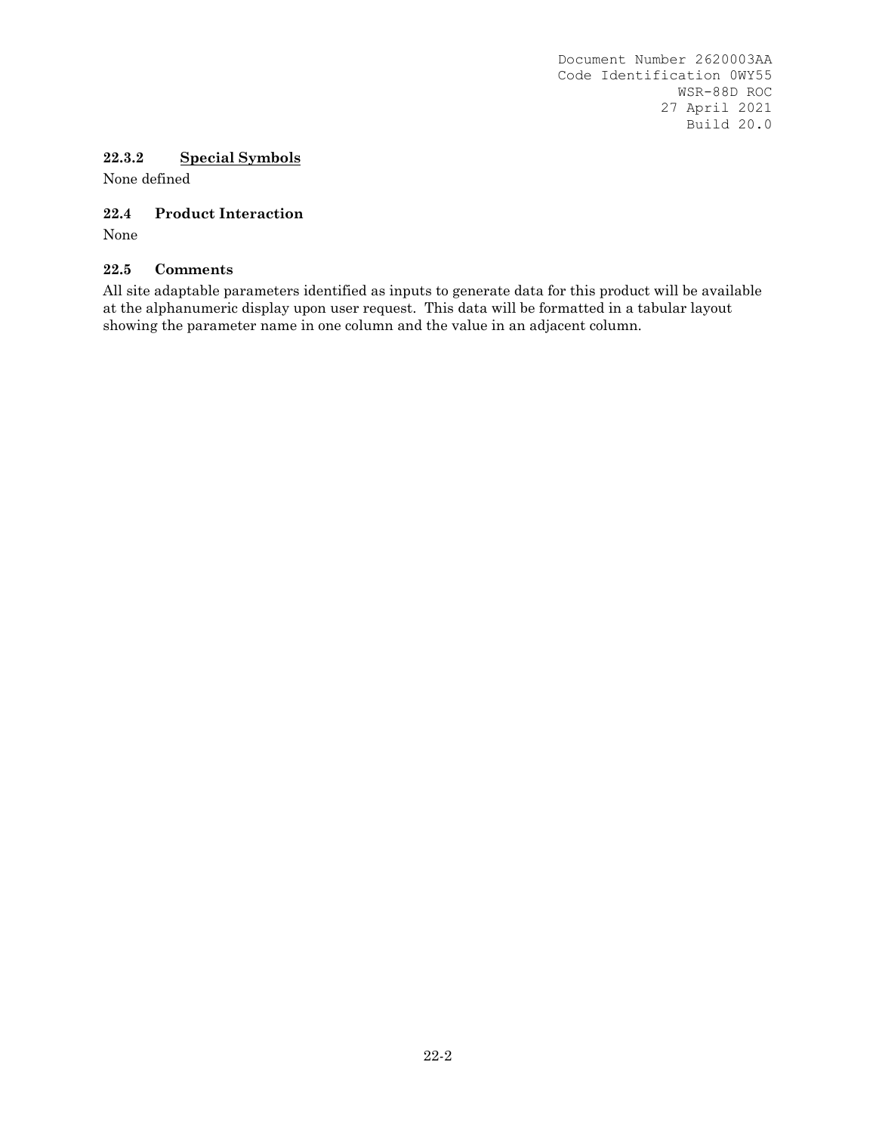# **22.3.2 Special Symbols**

None defined

# **22.4 Product Interaction**

None

# **22.5 Comments**

All site adaptable parameters identified as inputs to generate data for this product will be available at the alphanumeric display upon user request. This data will be formatted in a tabular layout showing the parameter name in one column and the value in an adjacent column.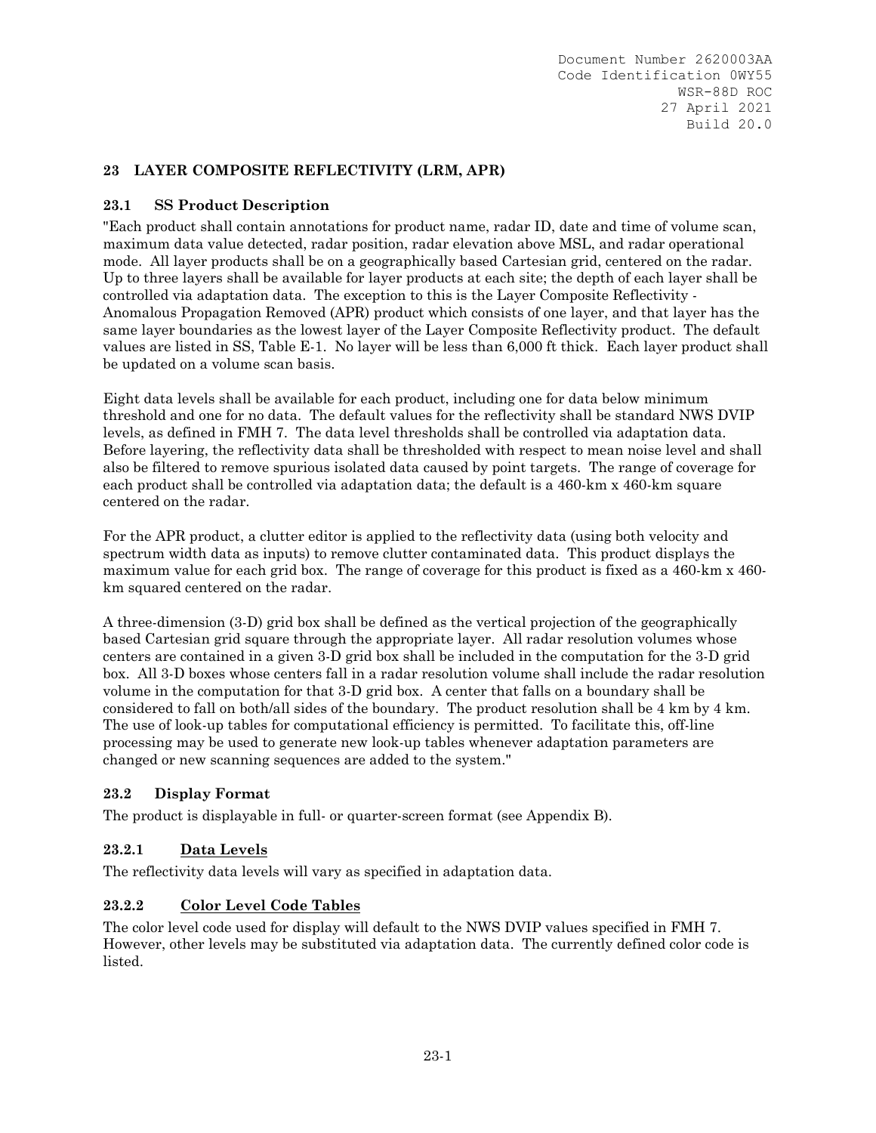# **23 LAYER COMPOSITE REFLECTIVITY (LRM, APR)**

# **23.1 SS Product Description**

"Each product shall contain annotations for product name, radar ID, date and time of volume scan, maximum data value detected, radar position, radar elevation above MSL, and radar operational mode. All layer products shall be on a geographically based Cartesian grid, centered on the radar. Up to three layers shall be available for layer products at each site; the depth of each layer shall be controlled via adaptation data. The exception to this is the Layer Composite Reflectivity - Anomalous Propagation Removed (APR) product which consists of one layer, and that layer has the same layer boundaries as the lowest layer of the Layer Composite Reflectivity product. The default values are listed in SS, Table E-1. No layer will be less than 6,000 ft thick. Each layer product shall be updated on a volume scan basis.

Eight data levels shall be available for each product, including one for data below minimum threshold and one for no data. The default values for the reflectivity shall be standard NWS DVIP levels, as defined in FMH 7. The data level thresholds shall be controlled via adaptation data. Before layering, the reflectivity data shall be thresholded with respect to mean noise level and shall also be filtered to remove spurious isolated data caused by point targets. The range of coverage for each product shall be controlled via adaptation data; the default is a 460-km x 460-km square centered on the radar.

For the APR product, a clutter editor is applied to the reflectivity data (using both velocity and spectrum width data as inputs) to remove clutter contaminated data. This product displays the maximum value for each grid box. The range of coverage for this product is fixed as a 460-km x 460 km squared centered on the radar.

A three-dimension (3-D) grid box shall be defined as the vertical projection of the geographically based Cartesian grid square through the appropriate layer. All radar resolution volumes whose centers are contained in a given 3-D grid box shall be included in the computation for the 3-D grid box. All 3-D boxes whose centers fall in a radar resolution volume shall include the radar resolution volume in the computation for that 3-D grid box. A center that falls on a boundary shall be considered to fall on both/all sides of the boundary. The product resolution shall be 4 km by 4 km. The use of look-up tables for computational efficiency is permitted. To facilitate this, off-line processing may be used to generate new look-up tables whenever adaptation parameters are changed or new scanning sequences are added to the system."

# **23.2 Display Format**

The product is displayable in full- or quarter-screen format (see Appendix B).

# **23.2.1 Data Levels**

The reflectivity data levels will vary as specified in adaptation data.

# **23.2.2 Color Level Code Tables**

The color level code used for display will default to the NWS DVIP values specified in FMH 7. However, other levels may be substituted via adaptation data. The currently defined color code is listed.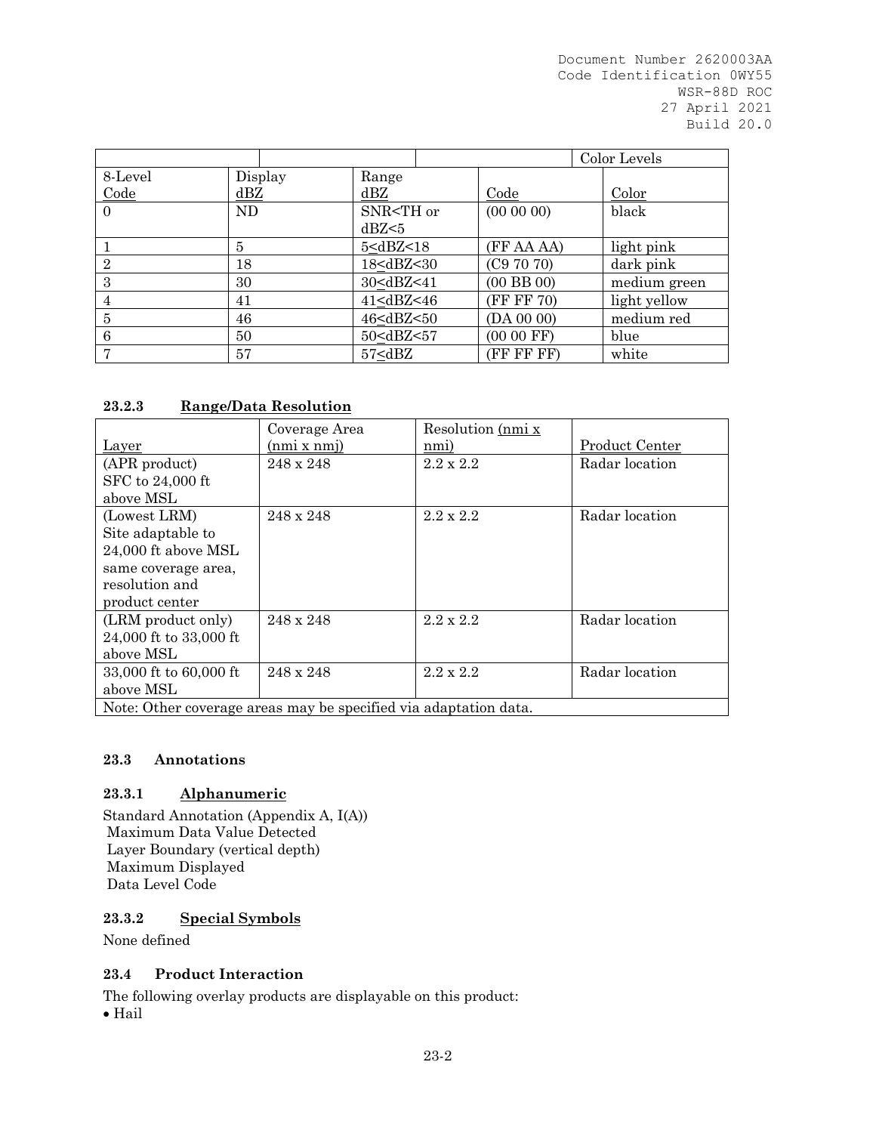|                |              |                                                                                                | Color Levels                                      |                |       |
|----------------|--------------|------------------------------------------------------------------------------------------------|---------------------------------------------------|----------------|-------|
| 8-Level        | Display      | Range                                                                                          |                                                   |                |       |
| Code           | dBZ          | dBZ                                                                                            | Code                                              | Color          |       |
| $\Omega$       | ND.          | SNR <th or<="" td=""><td><math>(00\ 00\ 00)</math></td><td>black</td></th>                     | <td><math>(00\ 00\ 00)</math></td> <td>black</td> | $(00\ 00\ 00)$ | black |
|                |              | dBZ <sub>5</sub>                                                                               |                                                   |                |       |
|                | $\mathbf{5}$ | 5 <dbz<18< td=""><td>(FF AA AA)</td><td>light pink</td></dbz<18<>                              | (FF AA AA)                                        | light pink     |       |
| $\overline{2}$ | 18           | 18 <dbz<30< td=""><td>(C97070)</td><td>dark pink</td></dbz<30<>                                | (C97070)                                          | dark pink      |       |
| 3              | 30           | 30 <dbz<41< td=""><td><math>(00</math> BB <math>00)</math></td><td>medium green</td></dbz<41<> | $(00$ BB $00)$                                    | medium green   |       |
| 4              | 41           | 41 <dbz<46< td=""><td>(FF FF 70)</td><td>light yellow</td></dbz<46<>                           | (FF FF 70)                                        | light yellow   |       |
| 5              | 46           | 46 <dbz<50< td=""><td>(DA 00 00)</td><td>medium red</td></dbz<50<>                             | (DA 00 00)                                        | medium red     |       |
| 6              | 50           | 50 <dbz<57< td=""><td><math>(0000</math> FF)</td><td>blue</td></dbz<57<>                       | $(0000$ FF)                                       | blue           |       |
| $\overline{ }$ | 57           | 57 <dbz< td=""><td>(FF FF FF)</td><td>white</td></dbz<>                                        | (FF FF FF)                                        | white          |       |

# **23.2.3 Range/Data Resolution**

|                                                                  | Coverage Area | Resolution (nmi x |                |
|------------------------------------------------------------------|---------------|-------------------|----------------|
| Layer                                                            | (nmi x nmj)   | nmi)              | Product Center |
| (APR product)                                                    | 248 x 248     | $2.2 \times 2.2$  | Radar location |
| SFC to 24,000 ft                                                 |               |                   |                |
| above MSL                                                        |               |                   |                |
| (Lowest LRM)                                                     | 248 x 248     | $2.2 \times 2.2$  | Radar location |
| Site adaptable to                                                |               |                   |                |
| 24,000 ft above MSL                                              |               |                   |                |
| same coverage area,                                              |               |                   |                |
| resolution and                                                   |               |                   |                |
| product center                                                   |               |                   |                |
| (LRM product only)                                               | 248 x 248     | $2.2 \times 2.2$  | Radar location |
| 24,000 ft to 33,000 ft                                           |               |                   |                |
| above MSL                                                        |               |                   |                |
| 33,000 ft to 60,000 ft                                           | 248 x 248     | $2.2 \times 2.2$  | Radar location |
| above MSL                                                        |               |                   |                |
| Note: Other coverage areas may be specified via adaptation data. |               |                   |                |

## **23.3 Annotations**

## **23.3.1 Alphanumeric**

Standard Annotation (Appendix A, I(A)) Maximum Data Value Detected Layer Boundary (vertical depth) Maximum Displayed Data Level Code

## **23.3.2 Special Symbols**

None defined

## **23.4 Product Interaction**

The following overlay products are displayable on this product:

• Hail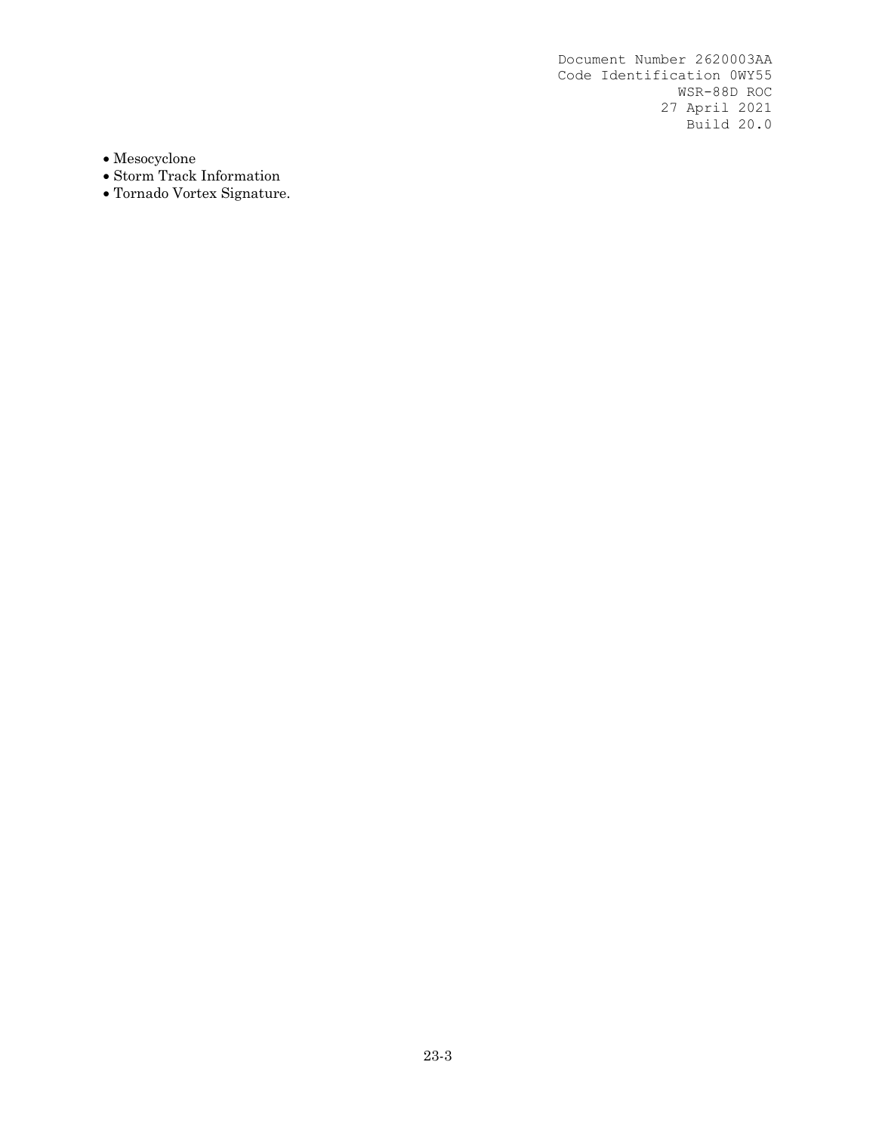$\bullet$  Mesocyclone

- Storm Track Information
- Tornado Vortex Signature.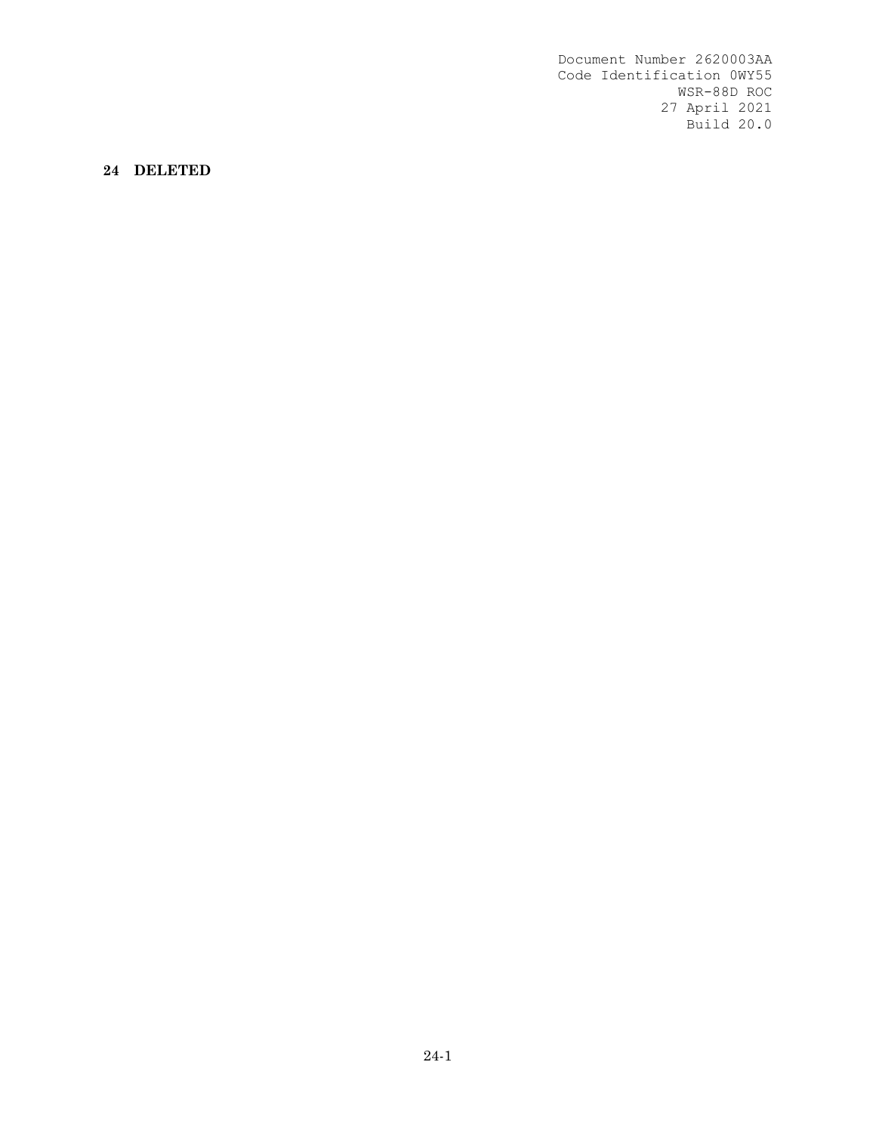**24 DELETED**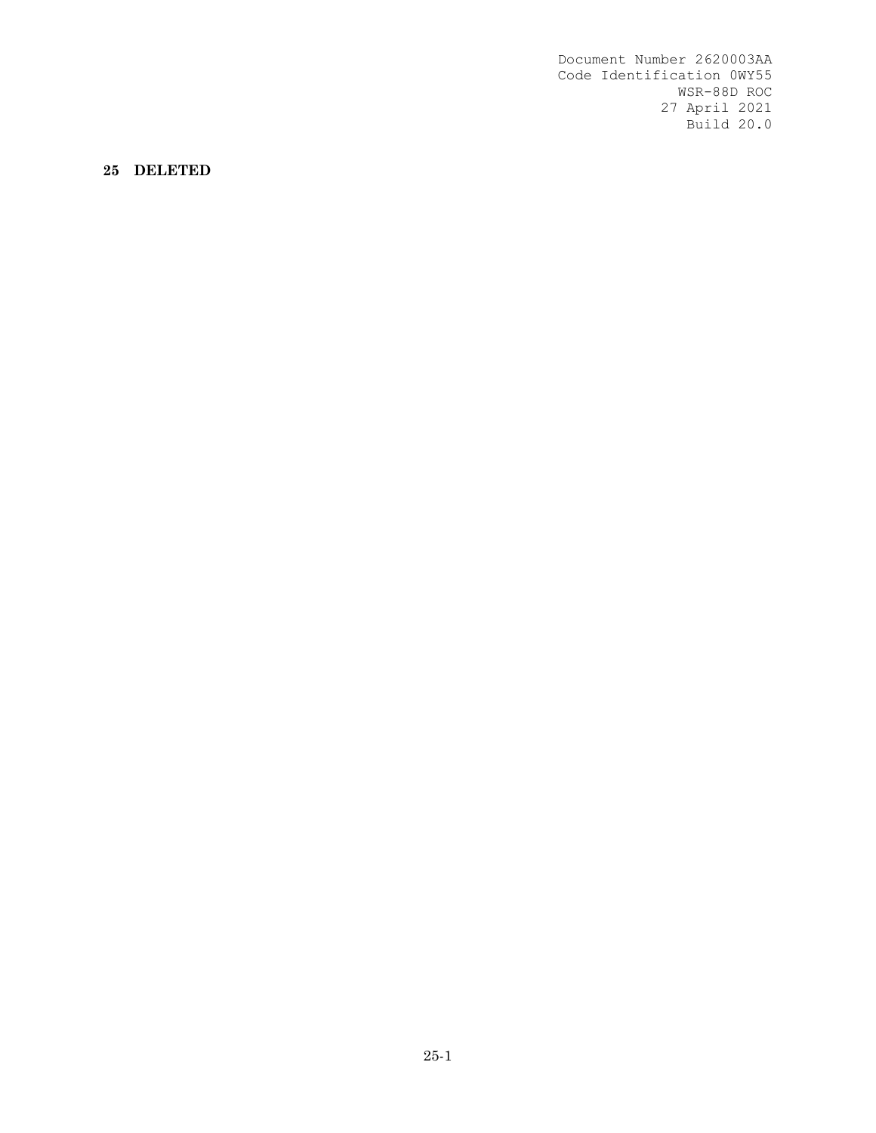**25 DELETED**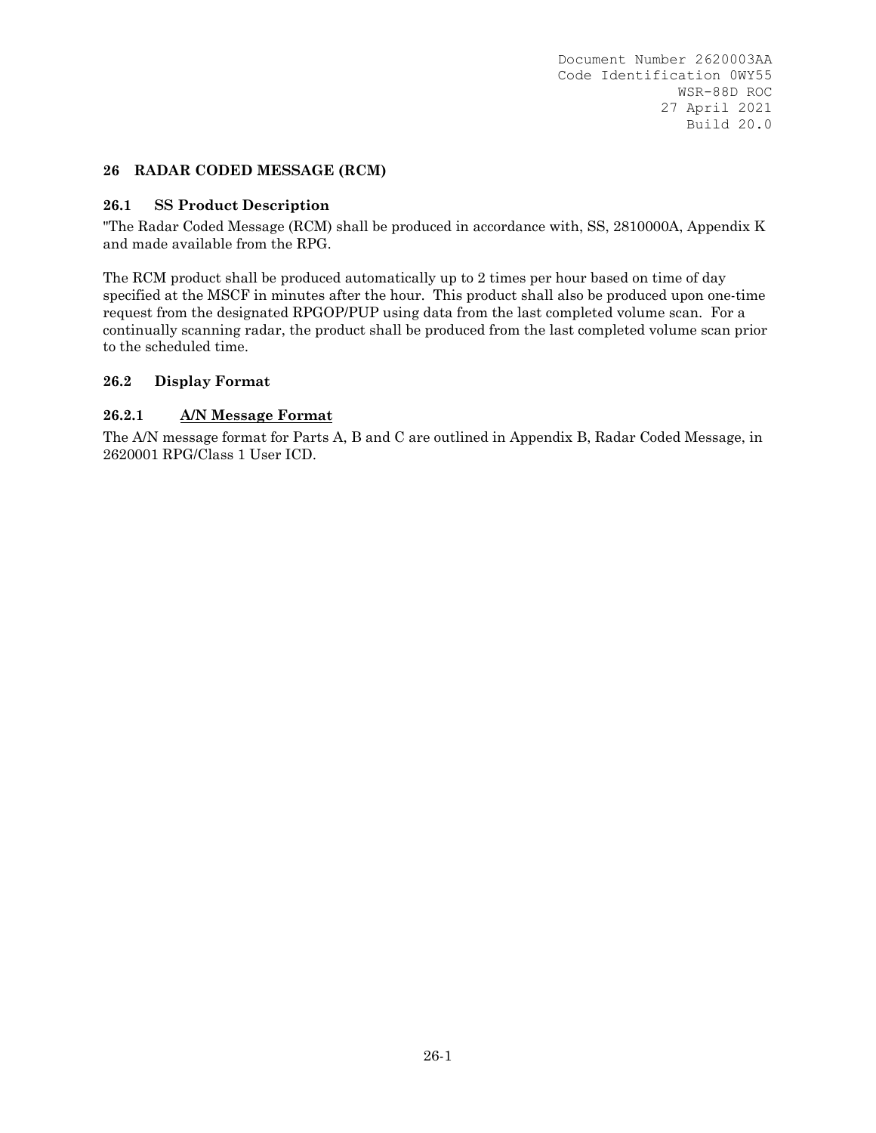### **26 RADAR CODED MESSAGE (RCM)**

#### **26.1 SS Product Description**

"The Radar Coded Message (RCM) shall be produced in accordance with, SS, 2810000A, Appendix K and made available from the RPG.

The RCM product shall be produced automatically up to 2 times per hour based on time of day specified at the MSCF in minutes after the hour. This product shall also be produced upon one-time request from the designated RPGOP/PUP using data from the last completed volume scan. For a continually scanning radar, the product shall be produced from the last completed volume scan prior to the scheduled time.

### **26.2 Display Format**

### **26.2.1 A/N Message Format**

The A/N message format for Parts A, B and C are outlined in Appendix B, Radar Coded Message, in 2620001 RPG/Class 1 User ICD.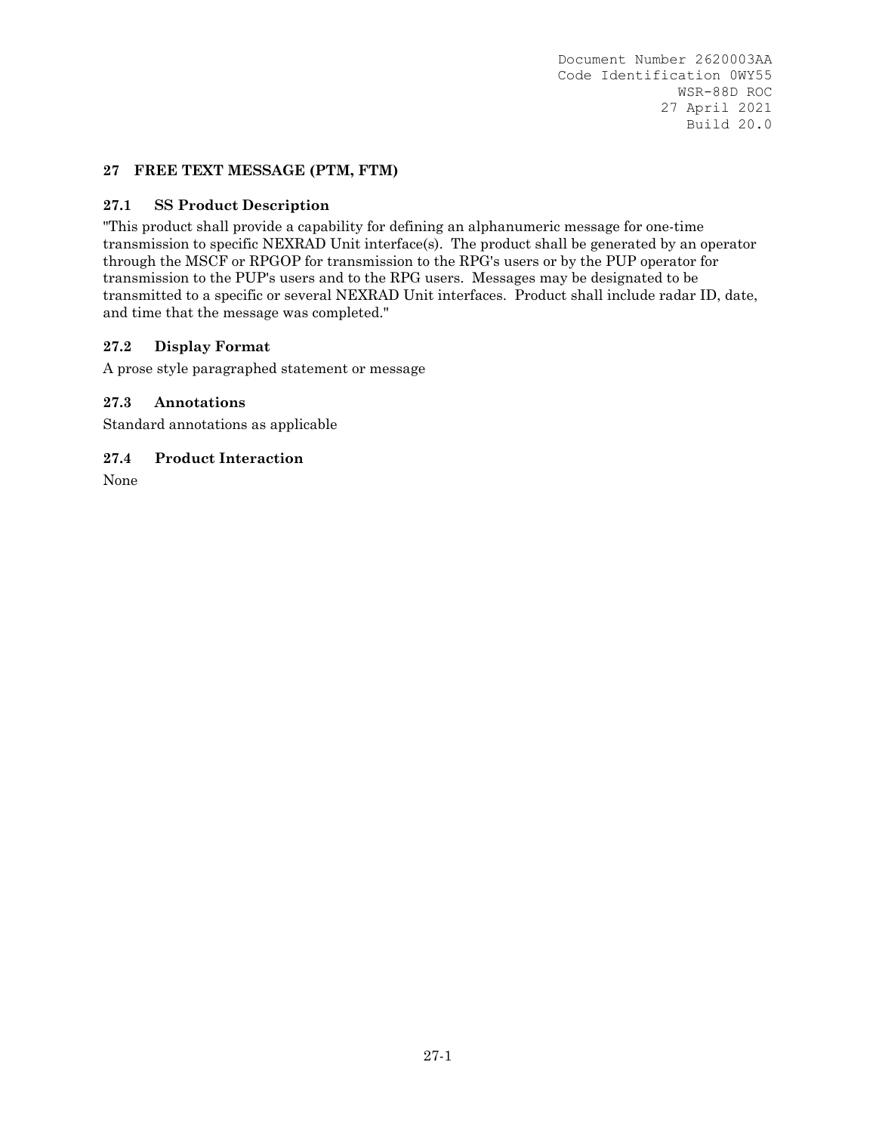## **27 FREE TEXT MESSAGE (PTM, FTM)**

### **27.1 SS Product Description**

"This product shall provide a capability for defining an alphanumeric message for one-time transmission to specific NEXRAD Unit interface(s). The product shall be generated by an operator through the MSCF or RPGOP for transmission to the RPG's users or by the PUP operator for transmission to the PUP's users and to the RPG users. Messages may be designated to be transmitted to a specific or several NEXRAD Unit interfaces. Product shall include radar ID, date, and time that the message was completed."

### **27.2 Display Format**

A prose style paragraphed statement or message

### **27.3 Annotations**

Standard annotations as applicable

### **27.4 Product Interaction**

None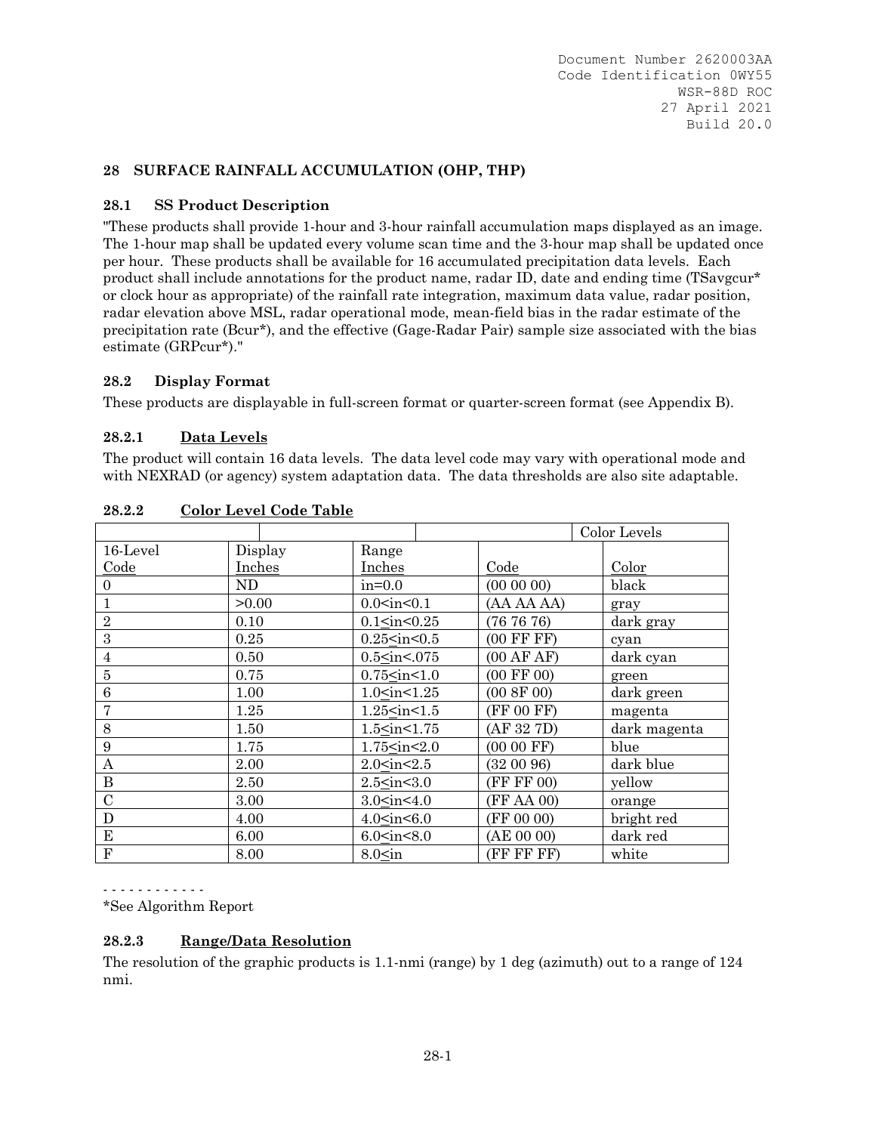## **28 SURFACE RAINFALL ACCUMULATION (OHP, THP)**

## **28.1 SS Product Description**

"These products shall provide 1-hour and 3-hour rainfall accumulation maps displayed as an image. The 1-hour map shall be updated every volume scan time and the 3-hour map shall be updated once per hour. These products shall be available for 16 accumulated precipitation data levels. Each product shall include annotations for the product name, radar ID, date and ending time (TSavgcur\* or clock hour as appropriate) of the rainfall rate integration, maximum data value, radar position, radar elevation above MSL, radar operational mode, mean-field bias in the radar estimate of the precipitation rate (Bcur\*), and the effective (Gage-Radar Pair) sample size associated with the bias estimate (GRPcur\*)."

## **28.2 Display Format**

These products are displayable in full-screen format or quarter-screen format (see Appendix B).

# **28.2.1 Data Levels**

The product will contain 16 data levels. The data level code may vary with operational mode and with NEXRAD (or agency) system adaptation data. The data thresholds are also site adaptable.

|                |         |                                                                                        |                       | Color Levels |
|----------------|---------|----------------------------------------------------------------------------------------|-----------------------|--------------|
| 16-Level       | Display | Range                                                                                  |                       |              |
| Code           | Inches  | Inches                                                                                 | Code                  | Color        |
| $\overline{0}$ | ND      | $in=0.0$                                                                               | (000000)              | black        |
| 1              | >0.00   | $0.0<$ in $<$ 0.1                                                                      | (AA AA AA)            | gray         |
| $\overline{2}$ | 0.10    | 0.1 <sub>in</sub> <0.25                                                                | (767676)              | dark gray    |
| 3              | 0.25    | $0.25$ <in <="" <math="">0.5</in>                                                      | $(00$ FF FF $)$       | cyan         |
| $\overline{4}$ | 0.50    | $0.5<$ in<.075                                                                         | (00 AFAF)             | dark cyan    |
| $\overline{5}$ | 0.75    | $0.75$ <in <1.0<="" td=""><td><math>(00 \text{ FF } 00)</math></td><td>green</td></in> | $(00 \text{ FF } 00)$ | green        |
| 6              | 1.00    | 1.0 <sub>sin</sub> <1.25                                                               | (00 8F 00)            | dark green   |
| 7              | 1.25    | $1.25$ <in <1.5<="" td=""><td>(FF 00 FF)</td><td>magenta</td></in>                     | (FF 00 FF)            | magenta      |
| 8              | 1.50    | $1.5<$ in $<$ $1.75$                                                                   | (AF 32 7D)            | dark magenta |
| 9              | 1.75    | $1.75 \leq in < 2.0$                                                                   | $(0000$ FF)           | blue         |
| A              | 2.00    | 2.0 <sub>in</sub> <2.5                                                                 | (320096)              | dark blue    |
| $\, {\bf B}$   | 2.50    | $2.5<$ in $<$ 3.0                                                                      | (FF FF 00)            | yellow       |
| $\mathcal{C}$  | 3.00    | 3.0 <sub>in</sub> <4.0                                                                 | (FF AA 00)            | orange       |
| D              | 4.00    | 4.0 <sub>sin</sub> <6.0                                                                | (FF 00 00)            | bright red   |
| ${\bf E}$      | 6.00    | 6.0 <sub>in</sub> <8.0                                                                 | (AE 00 00)            | dark red     |
| $\mathbf{F}$   | 8.00    | $8.0<\infty$ in                                                                        | (FF FF FF)            | white        |

**28.2.2 Color Level Code Table** 

- - - - - - - - - - - -

\*See Algorithm Report

## **28.2.3 Range/Data Resolution**

The resolution of the graphic products is 1.1-nmi (range) by 1 deg (azimuth) out to a range of 124 nmi.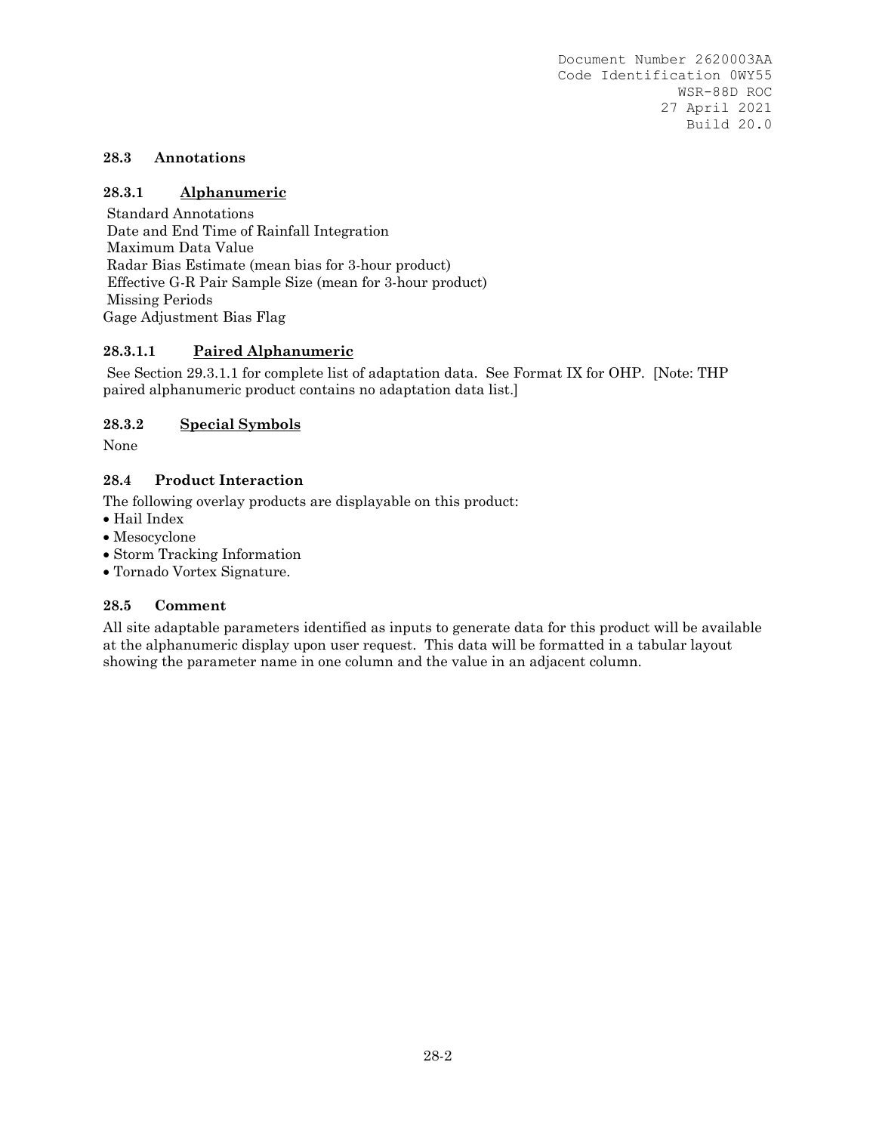### **28.3 Annotations**

## **28.3.1 Alphanumeric**

 Standard Annotations Date and End Time of Rainfall Integration Maximum Data Value Radar Bias Estimate (mean bias for 3-hour product) Effective G-R Pair Sample Size (mean for 3-hour product) Missing Periods Gage Adjustment Bias Flag

## **28.3.1.1 Paired Alphanumeric**

 See Section 29.3.1.1 for complete list of adaptation data. See Format IX for OHP. [Note: THP paired alphanumeric product contains no adaptation data list.]

### **28.3.2 Special Symbols**

None

## **28.4 Product Interaction**

The following overlay products are displayable on this product:

- Hail Index
- Mesocyclone
- Storm Tracking Information
- Tornado Vortex Signature.

#### **28.5 Comment**

All site adaptable parameters identified as inputs to generate data for this product will be available at the alphanumeric display upon user request. This data will be formatted in a tabular layout showing the parameter name in one column and the value in an adjacent column.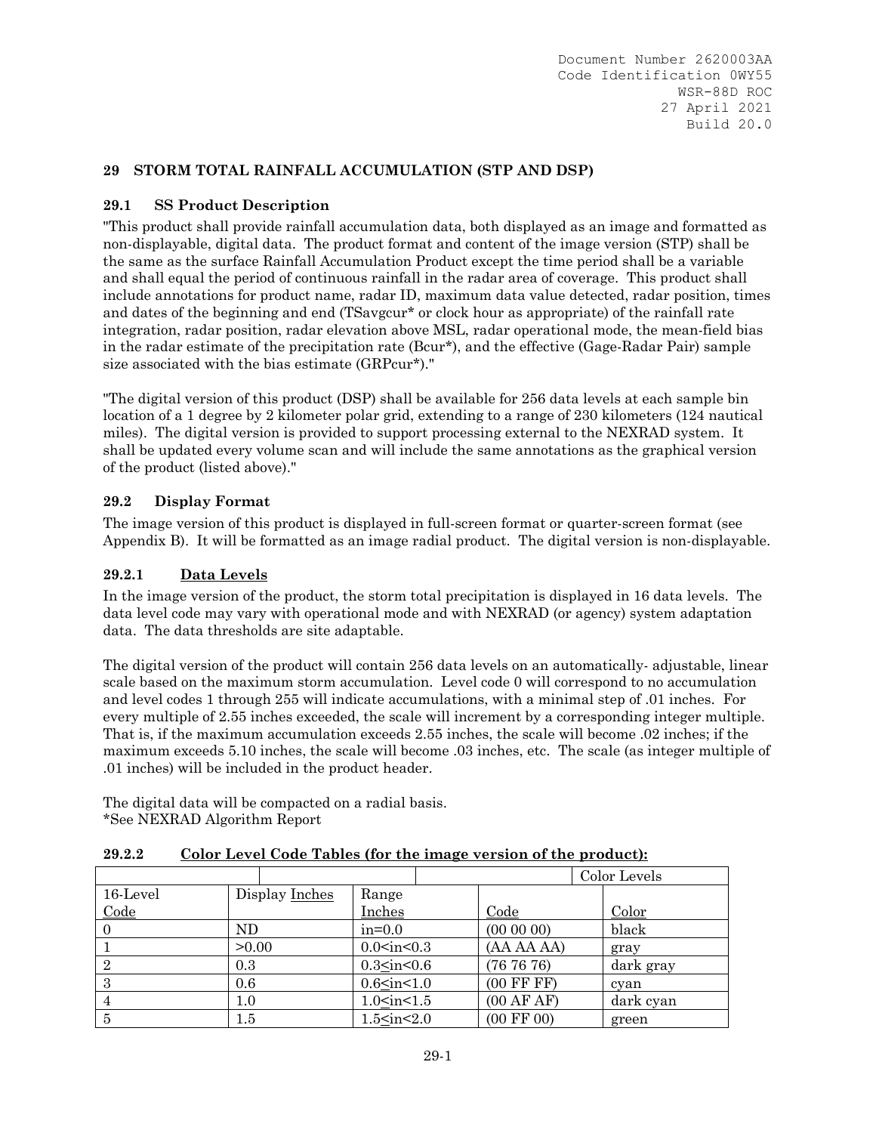# **29 STORM TOTAL RAINFALL ACCUMULATION (STP AND DSP)**

## **29.1 SS Product Description**

"This product shall provide rainfall accumulation data, both displayed as an image and formatted as non-displayable, digital data. The product format and content of the image version (STP) shall be the same as the surface Rainfall Accumulation Product except the time period shall be a variable and shall equal the period of continuous rainfall in the radar area of coverage. This product shall include annotations for product name, radar ID, maximum data value detected, radar position, times and dates of the beginning and end (TSavgcur\* or clock hour as appropriate) of the rainfall rate integration, radar position, radar elevation above MSL, radar operational mode, the mean-field bias in the radar estimate of the precipitation rate (Bcur\*), and the effective (Gage-Radar Pair) sample size associated with the bias estimate (GRPcur\*)."

"The digital version of this product (DSP) shall be available for 256 data levels at each sample bin location of a 1 degree by 2 kilometer polar grid, extending to a range of 230 kilometers (124 nautical miles). The digital version is provided to support processing external to the NEXRAD system. It shall be updated every volume scan and will include the same annotations as the graphical version of the product (listed above)."

## **29.2 Display Format**

The image version of this product is displayed in full-screen format or quarter-screen format (see Appendix B). It will be formatted as an image radial product. The digital version is non-displayable.

## **29.2.1 Data Levels**

In the image version of the product, the storm total precipitation is displayed in 16 data levels. The data level code may vary with operational mode and with NEXRAD (or agency) system adaptation data. The data thresholds are site adaptable.

The digital version of the product will contain 256 data levels on an automatically- adjustable, linear scale based on the maximum storm accumulation. Level code 0 will correspond to no accumulation and level codes 1 through 255 will indicate accumulations, with a minimal step of .01 inches. For every multiple of 2.55 inches exceeded, the scale will increment by a corresponding integer multiple. That is, if the maximum accumulation exceeds 2.55 inches, the scale will become .02 inches; if the maximum exceeds 5.10 inches, the scale will become .03 inches, etc. The scale (as integer multiple of .01 inches) will be included in the product header.

The digital data will be compacted on a radial basis. \*See NEXRAD Algorithm Report

| 29.2.2 | Color Level Code Tables (for the image version of the product): |  |  |
|--------|-----------------------------------------------------------------|--|--|
|        |                                                                 |  |  |

|                |         |                |                                                                                              |                       | Color Levels |
|----------------|---------|----------------|----------------------------------------------------------------------------------------------|-----------------------|--------------|
| 16-Level       |         | Display Inches | Range                                                                                        |                       |              |
| Code           |         |                | Inches                                                                                       | Code                  | Color        |
|                | ND      |                | $in=0.0$                                                                                     | $(00\ 00\ 00)$        | black        |
|                | >0.00   |                | $0.0<$ in $<$ 0.3                                                                            | (AA AA AA)            | gray         |
| $\overline{2}$ | 0.3     |                | 0.3 <sub>in</sub> <0.6                                                                       | (767676)              | dark gray    |
| 3              | 0.6     |                | $0.6$ <in 1.0<="" <="" td=""><td><math>(00</math> FF FF<math>)</math></td><td>cyan</td></in> | $(00$ FF FF $)$       | cyan         |
| 4              | $1.0\,$ |                | 1.0 <sub>in</sub> <1.5                                                                       | (00 AFAF)             | dark cyan    |
| 5              | $1.5\,$ |                | 1.5 <sub>in</sub> <2.0                                                                       | $(00 \text{ FF } 00)$ | green        |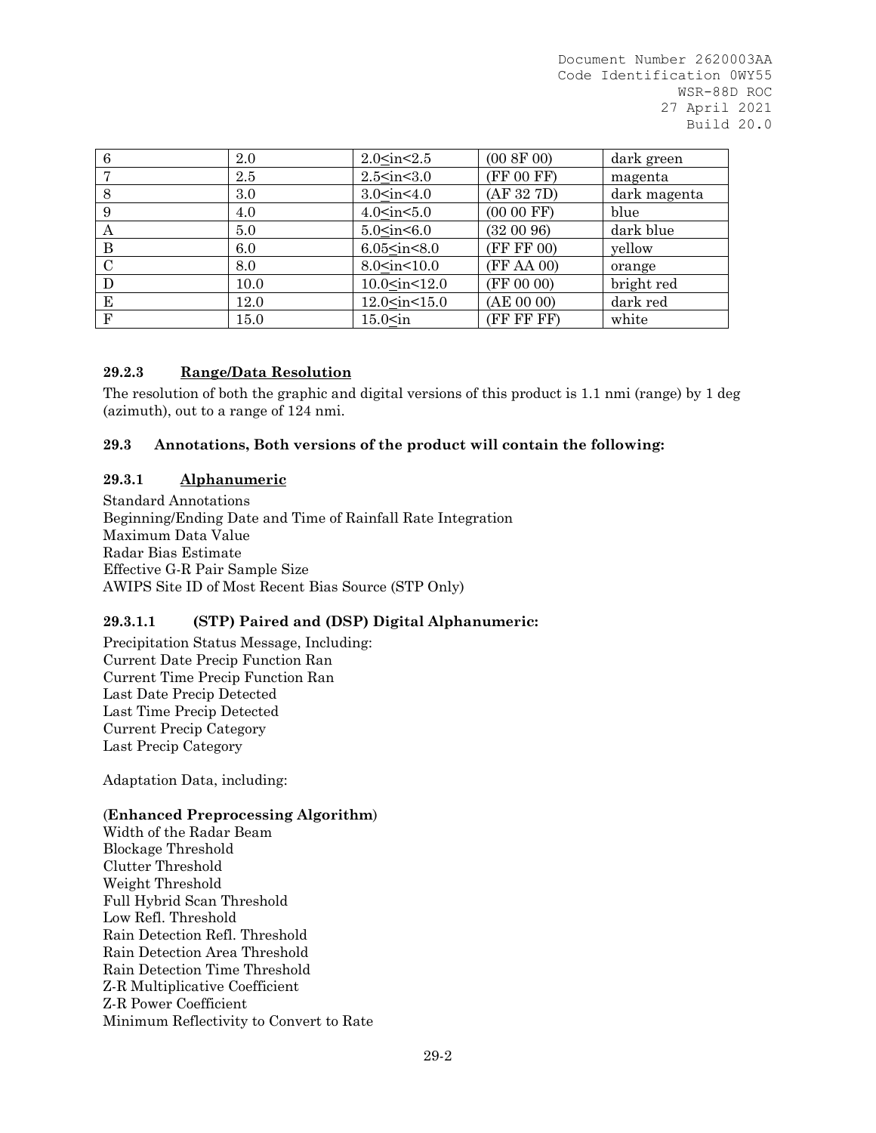| 6             | 2.0  | 2.0 <sub>in</sub> <2.5                                                 | (00 8F 00)  | dark green   |
|---------------|------|------------------------------------------------------------------------|-------------|--------------|
|               | 2.5  | $2.5<$ in $<$ 3.0                                                      | (FF 00 FF)  | magenta      |
| 8             | 3.0  | 3.0 <sub>in</sub> <4.0                                                 | (AF 32 7D)  | dark magenta |
| 9             | 4.0  | 4.0 <sub>sin</sub> <5.0                                                | $(0000$ FF) | blue         |
| A             | 5.0  | 5.0 <sub>in</sub> <6.0                                                 | (320096)    | dark blue    |
| B             | 6.0  | $6.05<$ in $<8.0$                                                      | (FF FF 00)  | yellow       |
| $\mathcal{C}$ | 8.0  | 8.0 <sub>sin</sub> <10.0                                               | (FF AA 00)  | orange       |
| D             | 10.0 | 10.0 <in<12.0< td=""><td>(FF 00 00)</td><td>bright red</td></in<12.0<> | (FF 00 00)  | bright red   |
| E             | 12.0 | $12.0$ <in <15.0<="" td=""><td>(AE 00 00)</td><td>dark red</td></in>   | (AE 00 00)  | dark red     |
| $_{\rm F}$    | 15.0 | $15.0<$ in                                                             | (FF FF FF)  | white        |

## **29.2.3 Range/Data Resolution**

The resolution of both the graphic and digital versions of this product is 1.1 nmi (range) by 1 deg (azimuth), out to a range of 124 nmi.

## **29.3 Annotations, Both versions of the product will contain the following:**

### **29.3.1 Alphanumeric**

Standard Annotations Beginning/Ending Date and Time of Rainfall Rate Integration Maximum Data Value Radar Bias Estimate Effective G-R Pair Sample Size AWIPS Site ID of Most Recent Bias Source (STP Only)

## **29.3.1.1 (STP) Paired and (DSP) Digital Alphanumeric:**

Precipitation Status Message, Including: Current Date Precip Function Ran Current Time Precip Function Ran Last Date Precip Detected Last Time Precip Detected Current Precip Category Last Precip Category

Adaptation Data, including:

#### (**Enhanced Preprocessing Algorithm**)

Width of the Radar Beam Blockage Threshold Clutter Threshold Weight Threshold Full Hybrid Scan Threshold Low Refl. Threshold Rain Detection Refl. Threshold Rain Detection Area Threshold Rain Detection Time Threshold Z-R Multiplicative Coefficient Z-R Power Coefficient Minimum Reflectivity to Convert to Rate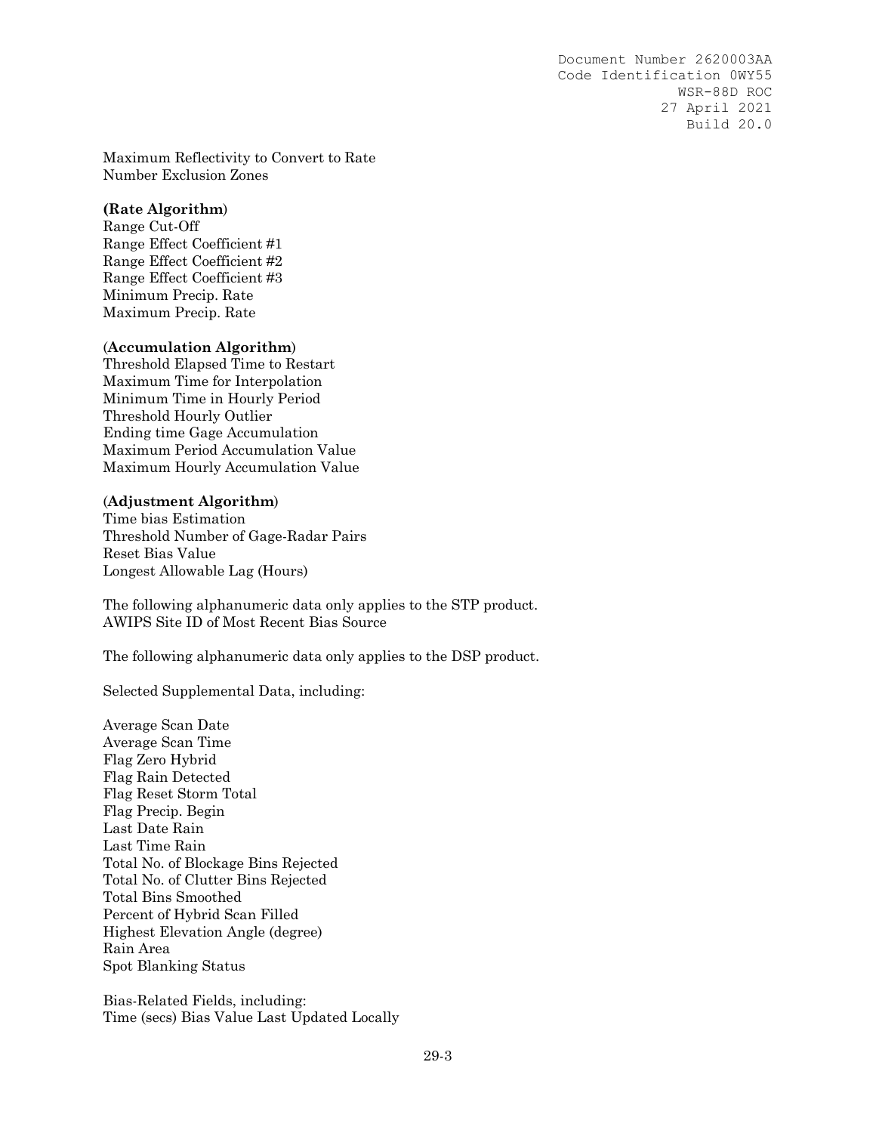Maximum Reflectivity to Convert to Rate Number Exclusion Zones

#### **(Rate Algorithm**)

Range Cut-Off Range Effect Coefficient #1 Range Effect Coefficient #2 Range Effect Coefficient #3 Minimum Precip. Rate Maximum Precip. Rate

#### (**Accumulation Algorithm**)

Threshold Elapsed Time to Restart Maximum Time for Interpolation Minimum Time in Hourly Period Threshold Hourly Outlier Ending time Gage Accumulation Maximum Period Accumulation Value Maximum Hourly Accumulation Value

#### (**Adjustment Algorithm**)

Time bias Estimation Threshold Number of Gage-Radar Pairs Reset Bias Value Longest Allowable Lag (Hours)

The following alphanumeric data only applies to the STP product. AWIPS Site ID of Most Recent Bias Source

The following alphanumeric data only applies to the DSP product.

Selected Supplemental Data, including:

Average Scan Date Average Scan Time Flag Zero Hybrid Flag Rain Detected Flag Reset Storm Total Flag Precip. Begin Last Date Rain Last Time Rain Total No. of Blockage Bins Rejected Total No. of Clutter Bins Rejected Total Bins Smoothed Percent of Hybrid Scan Filled Highest Elevation Angle (degree) Rain Area Spot Blanking Status

Bias-Related Fields, including: Time (secs) Bias Value Last Updated Locally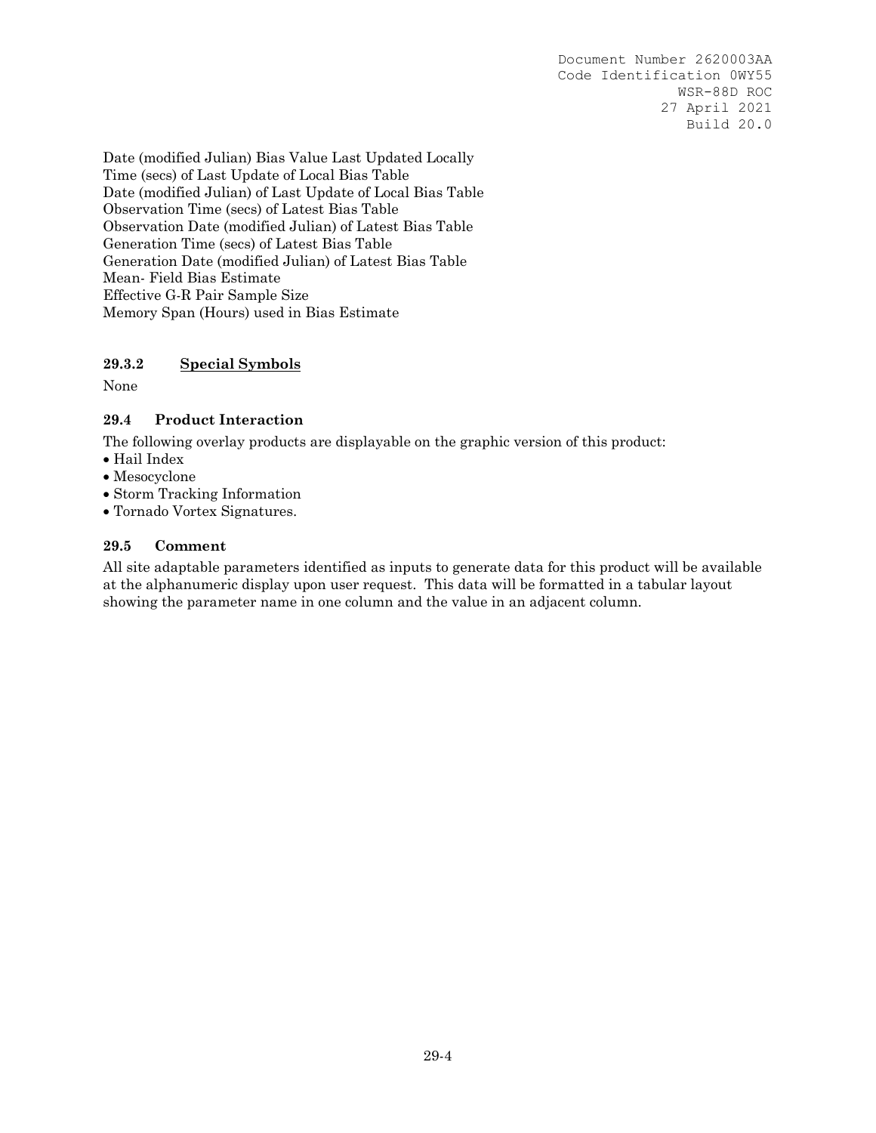Date (modified Julian) Bias Value Last Updated Locally Time (secs) of Last Update of Local Bias Table Date (modified Julian) of Last Update of Local Bias Table Observation Time (secs) of Latest Bias Table Observation Date (modified Julian) of Latest Bias Table Generation Time (secs) of Latest Bias Table Generation Date (modified Julian) of Latest Bias Table Mean- Field Bias Estimate Effective G-R Pair Sample Size Memory Span (Hours) used in Bias Estimate

# **29.3.2 Special Symbols**

None

# **29.4 Product Interaction**

The following overlay products are displayable on the graphic version of this product:

- Hail Index
- Mesocyclone
- Storm Tracking Information
- Tornado Vortex Signatures.

## **29.5 Comment**

All site adaptable parameters identified as inputs to generate data for this product will be available at the alphanumeric display upon user request. This data will be formatted in a tabular layout showing the parameter name in one column and the value in an adjacent column.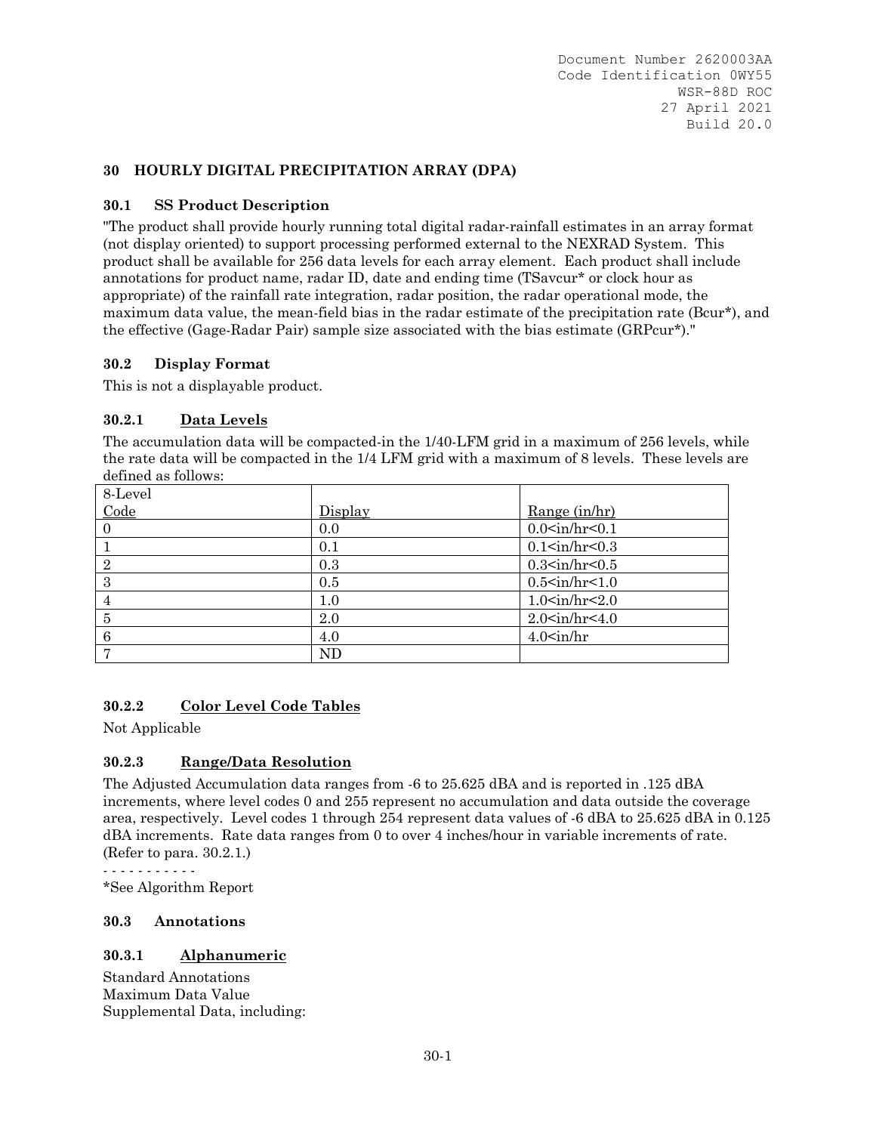## **30 HOURLY DIGITAL PRECIPITATION ARRAY (DPA)**

# **30.1 SS Product Description**

"The product shall provide hourly running total digital radar-rainfall estimates in an array format (not display oriented) to support processing performed external to the NEXRAD System. This product shall be available for 256 data levels for each array element. Each product shall include annotations for product name, radar ID, date and ending time (TSavcur\* or clock hour as appropriate) of the rainfall rate integration, radar position, the radar operational mode, the maximum data value, the mean-field bias in the radar estimate of the precipitation rate (Bcur\*), and the effective (Gage-Radar Pair) sample size associated with the bias estimate (GRPcur\*)."

## **30.2 Display Format**

This is not a displayable product.

## **30.2.1 Data Levels**

The accumulation data will be compacted-in the 1/40-LFM grid in a maximum of 256 levels, while the rate data will be compacted in the 1/4 LFM grid with a maximum of 8 levels. These levels are defined as follows:

| 8-Level        |         |                           |
|----------------|---------|---------------------------|
| Code           | Display | Range (in/hr)             |
| $\Omega$       | 0.0     | $0.0<$ in/hr< $0.1$       |
|                | 0.1     | 0.1 <sub>in</sub> /hr<0.3 |
| $\overline{2}$ | 0.3     | $0.3<$ in/hr< $0.5$       |
| 3              | 0.5     | 0.5 <sub>in</sub> /hr<1.0 |
|                | 1.0     | 1.0 <sub>in</sub> /hr<2.0 |
| 5              | 2.0     | 2.0 <sub>in</sub> /hr<4.0 |
| 6              | 4.0     | $4.0$ sin/hr              |
|                | ND      |                           |

# **30.2.2 Color Level Code Tables**

Not Applicable

## **30.2.3 Range/Data Resolution**

The Adjusted Accumulation data ranges from -6 to 25.625 dBA and is reported in .125 dBA increments, where level codes 0 and 255 represent no accumulation and data outside the coverage area, respectively. Level codes 1 through 254 represent data values of -6 dBA to 25.625 dBA in 0.125 dBA increments. Rate data ranges from 0 to over 4 inches/hour in variable increments of rate. (Refer to para. 30.2.1.)

- - - - - - - - - - -

\*See Algorithm Report

## **30.3 Annotations**

## **30.3.1 Alphanumeric**

Standard Annotations Maximum Data Value Supplemental Data, including: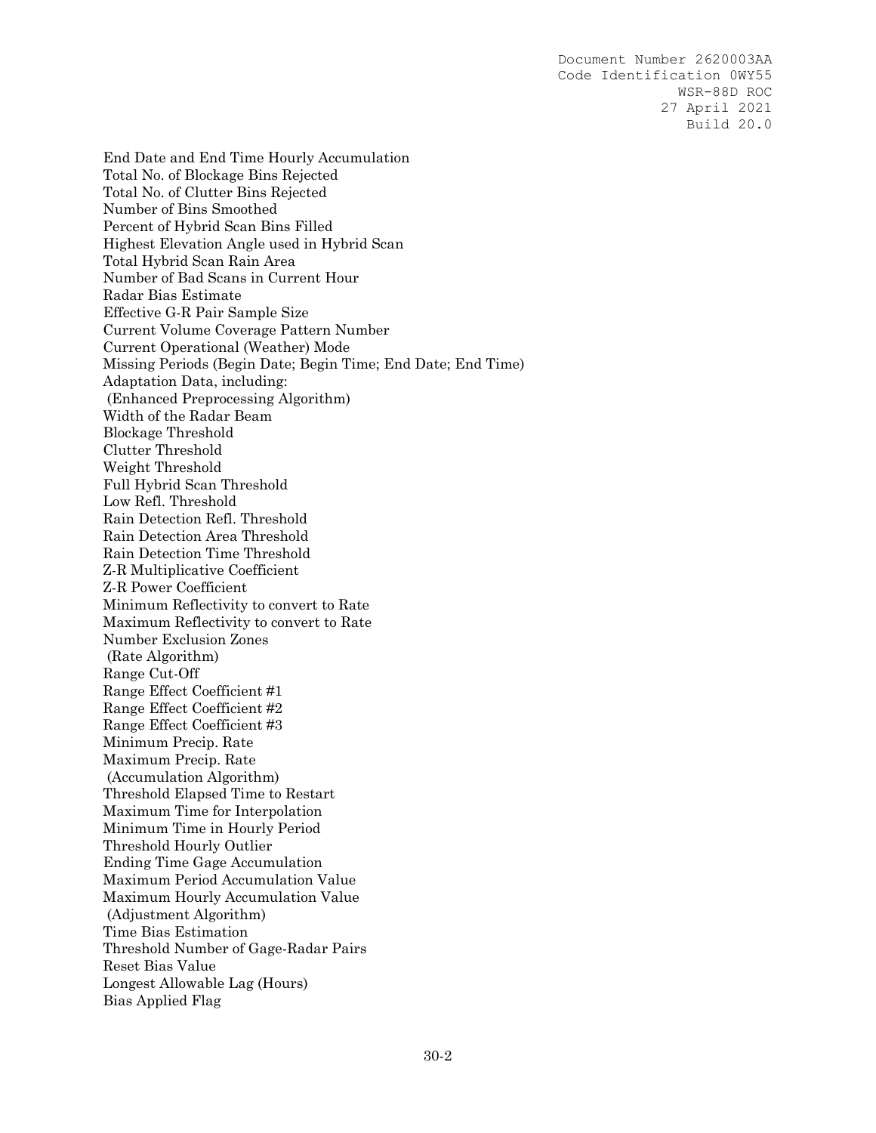End Date and End Time Hourly Accumulation Total No. of Blockage Bins Rejected Total No. of Clutter Bins Rejected Number of Bins Smoothed Percent of Hybrid Scan Bins Filled Highest Elevation Angle used in Hybrid Scan Total Hybrid Scan Rain Area Number of Bad Scans in Current Hour Radar Bias Estimate Effective G-R Pair Sample Size Current Volume Coverage Pattern Number Current Operational (Weather) Mode Missing Periods (Begin Date; Begin Time; End Date; End Time) Adaptation Data, including: (Enhanced Preprocessing Algorithm) Width of the Radar Beam Blockage Threshold Clutter Threshold Weight Threshold Full Hybrid Scan Threshold Low Refl. Threshold Rain Detection Refl. Threshold Rain Detection Area Threshold Rain Detection Time Threshold Z-R Multiplicative Coefficient Z-R Power Coefficient Minimum Reflectivity to convert to Rate Maximum Reflectivity to convert to Rate Number Exclusion Zones (Rate Algorithm) Range Cut-Off Range Effect Coefficient #1 Range Effect Coefficient #2 Range Effect Coefficient #3 Minimum Precip. Rate Maximum Precip. Rate (Accumulation Algorithm) Threshold Elapsed Time to Restart Maximum Time for Interpolation Minimum Time in Hourly Period Threshold Hourly Outlier Ending Time Gage Accumulation Maximum Period Accumulation Value Maximum Hourly Accumulation Value (Adjustment Algorithm) Time Bias Estimation Threshold Number of Gage-Radar Pairs Reset Bias Value Longest Allowable Lag (Hours) Bias Applied Flag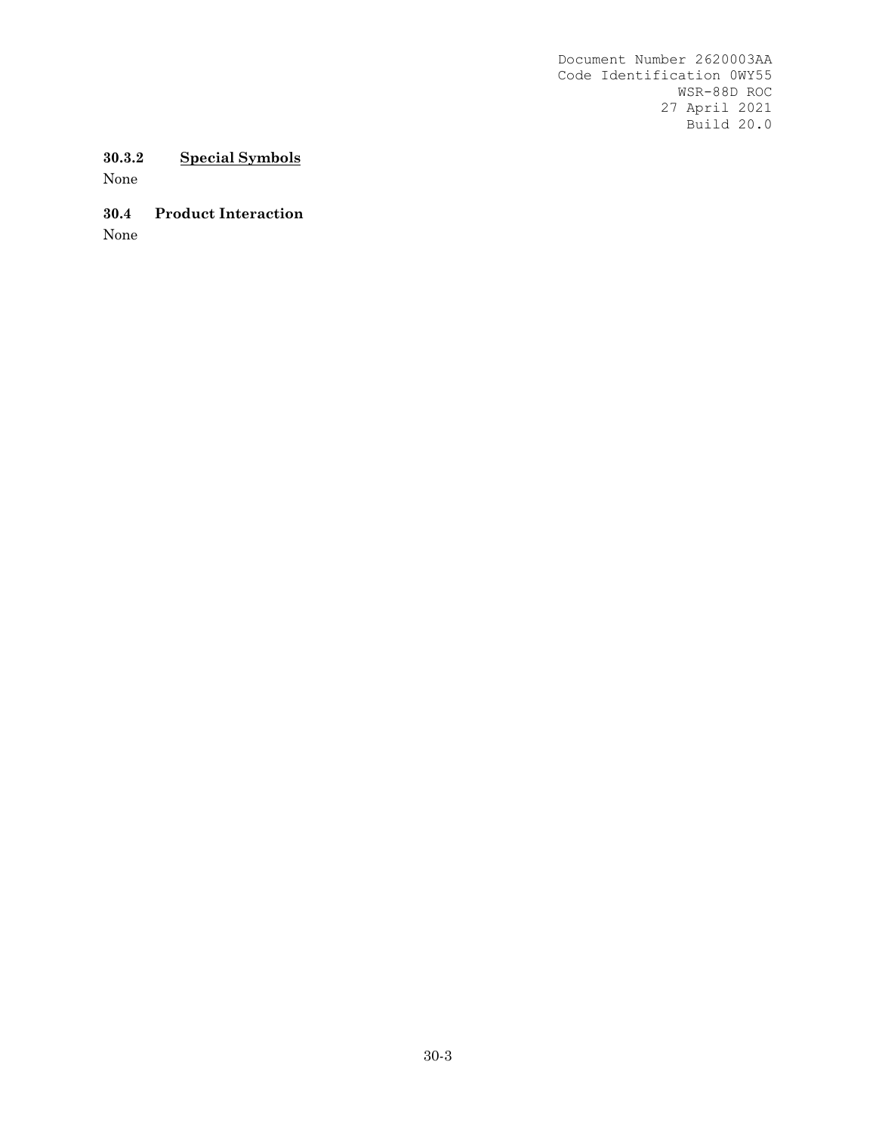# **30.3.2 Special Symbols**

None

# **30.4 Product Interaction**

None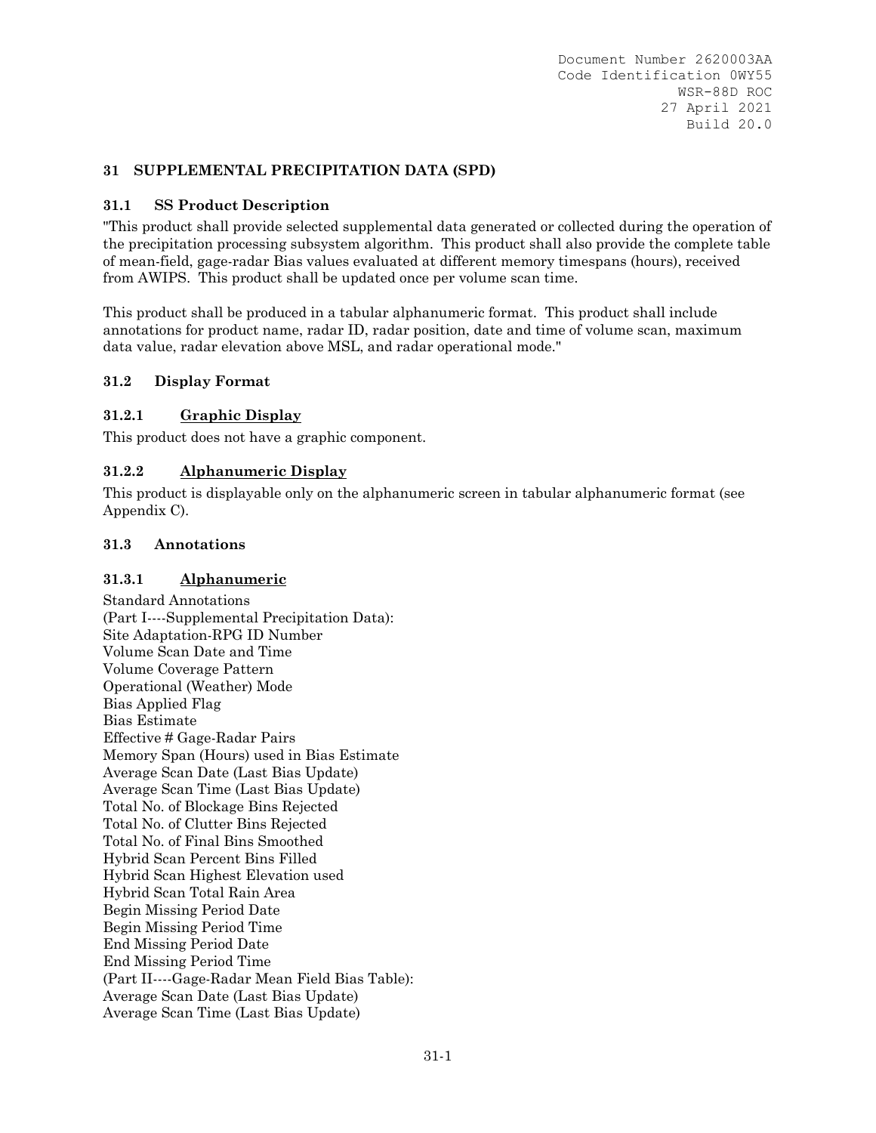### **31 SUPPLEMENTAL PRECIPITATION DATA (SPD)**

#### **31.1 SS Product Description**

"This product shall provide selected supplemental data generated or collected during the operation of the precipitation processing subsystem algorithm. This product shall also provide the complete table of mean-field, gage-radar Bias values evaluated at different memory timespans (hours), received from AWIPS. This product shall be updated once per volume scan time.

This product shall be produced in a tabular alphanumeric format. This product shall include annotations for product name, radar ID, radar position, date and time of volume scan, maximum data value, radar elevation above MSL, and radar operational mode."

### **31.2 Display Format**

### **31.2.1 Graphic Display**

This product does not have a graphic component.

### **31.2.2 Alphanumeric Display**

This product is displayable only on the alphanumeric screen in tabular alphanumeric format (see Appendix C).

#### **31.3 Annotations**

#### **31.3.1 Alphanumeric**

Standard Annotations (Part I----Supplemental Precipitation Data): Site Adaptation-RPG ID Number Volume Scan Date and Time Volume Coverage Pattern Operational (Weather) Mode Bias Applied Flag Bias Estimate Effective # Gage-Radar Pairs Memory Span (Hours) used in Bias Estimate Average Scan Date (Last Bias Update) Average Scan Time (Last Bias Update) Total No. of Blockage Bins Rejected Total No. of Clutter Bins Rejected Total No. of Final Bins Smoothed Hybrid Scan Percent Bins Filled Hybrid Scan Highest Elevation used Hybrid Scan Total Rain Area Begin Missing Period Date Begin Missing Period Time End Missing Period Date End Missing Period Time (Part II----Gage-Radar Mean Field Bias Table): Average Scan Date (Last Bias Update) Average Scan Time (Last Bias Update)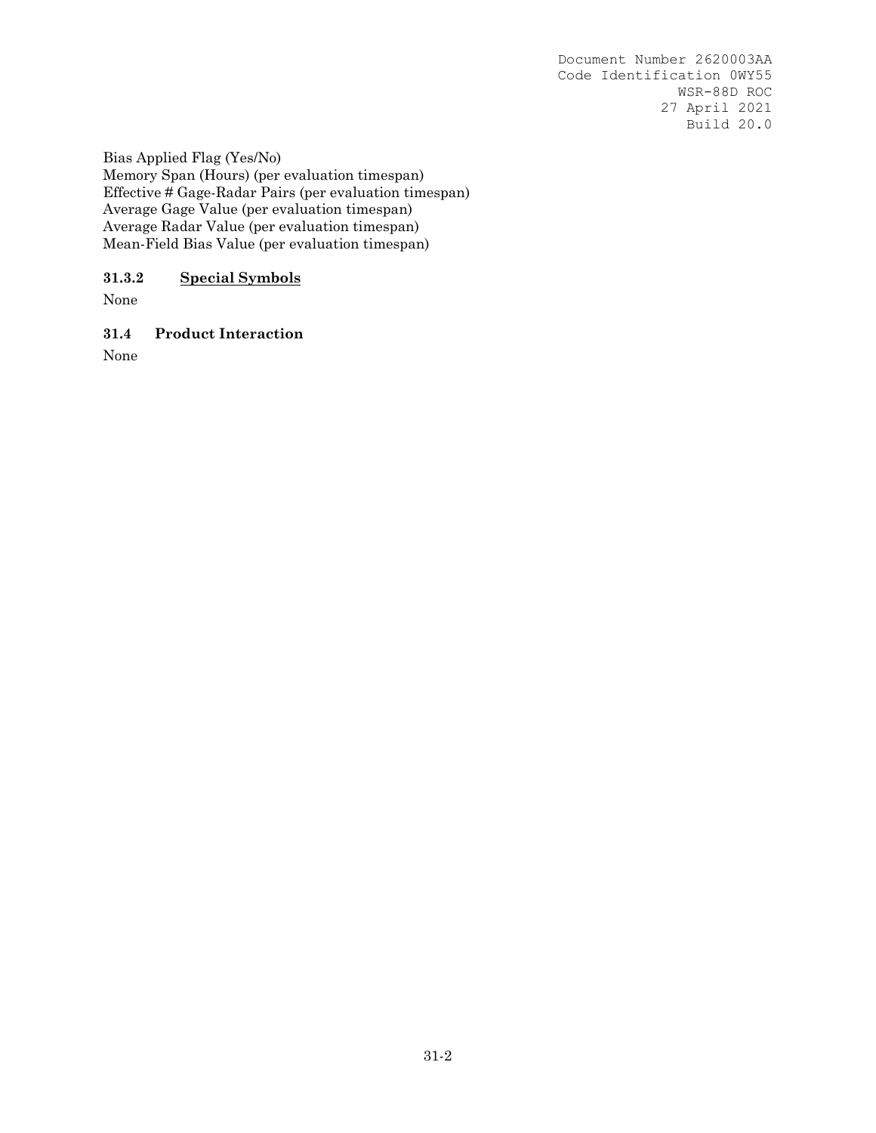Bias Applied Flag (Yes/No) Memory Span (Hours) (per evaluation timespan) Effective # Gage-Radar Pairs (per evaluation timespan) Average Gage Value (per evaluation timespan) Average Radar Value (per evaluation timespan) Mean-Field Bias Value (per evaluation timespan)

# **31.3.2 Special Symbols**

None

**31.4 Product Interaction**

None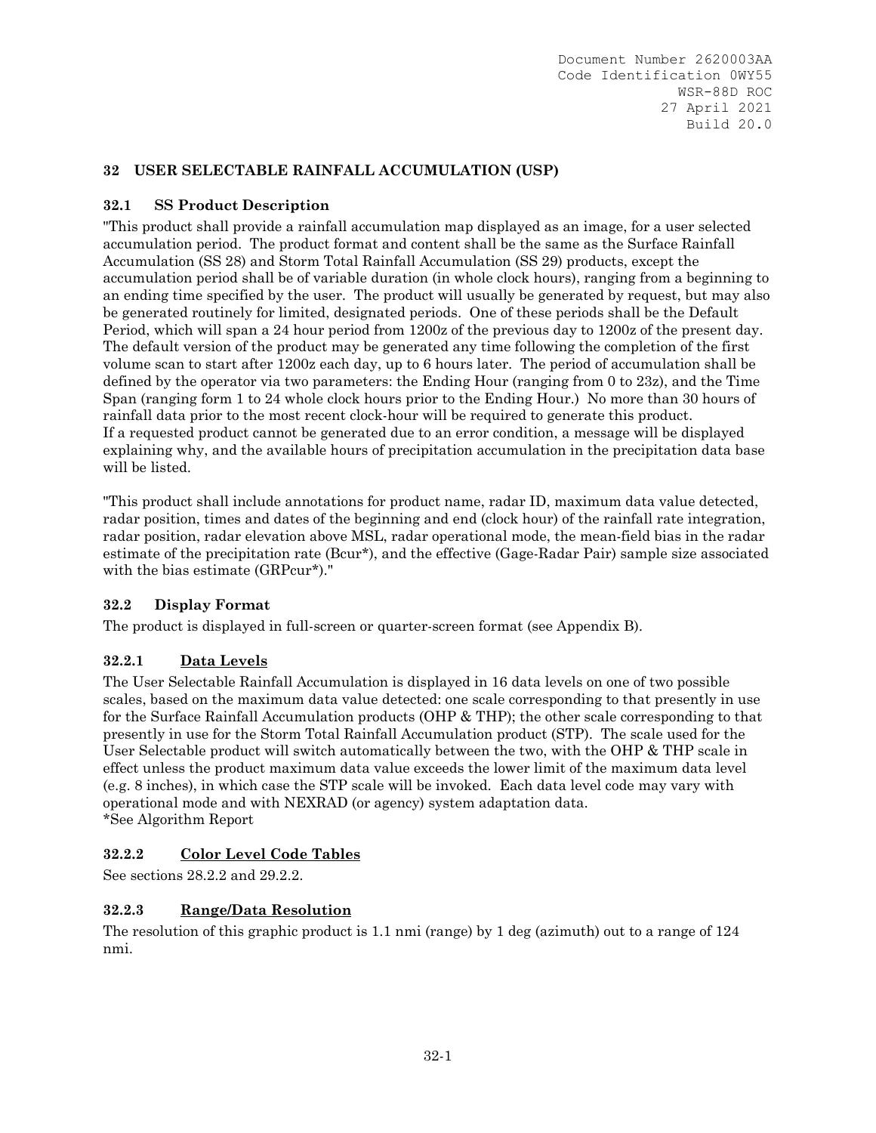# **32 USER SELECTABLE RAINFALL ACCUMULATION (USP)**

# **32.1 SS Product Description**

"This product shall provide a rainfall accumulation map displayed as an image, for a user selected accumulation period. The product format and content shall be the same as the Surface Rainfall Accumulation (SS 28) and Storm Total Rainfall Accumulation (SS 29) products, except the accumulation period shall be of variable duration (in whole clock hours), ranging from a beginning to an ending time specified by the user. The product will usually be generated by request, but may also be generated routinely for limited, designated periods. One of these periods shall be the Default Period, which will span a 24 hour period from 1200z of the previous day to 1200z of the present day. The default version of the product may be generated any time following the completion of the first volume scan to start after 1200z each day, up to 6 hours later. The period of accumulation shall be defined by the operator via two parameters: the Ending Hour (ranging from 0 to 23z), and the Time Span (ranging form 1 to 24 whole clock hours prior to the Ending Hour.) No more than 30 hours of rainfall data prior to the most recent clock-hour will be required to generate this product. If a requested product cannot be generated due to an error condition, a message will be displayed explaining why, and the available hours of precipitation accumulation in the precipitation data base will be listed.

"This product shall include annotations for product name, radar ID, maximum data value detected, radar position, times and dates of the beginning and end (clock hour) of the rainfall rate integration, radar position, radar elevation above MSL, radar operational mode, the mean-field bias in the radar estimate of the precipitation rate (Bcur\*), and the effective (Gage-Radar Pair) sample size associated with the bias estimate (GRPcur<sup>\*</sup>)."

## **32.2 Display Format**

The product is displayed in full-screen or quarter-screen format (see Appendix B).

# **32.2.1 Data Levels**

The User Selectable Rainfall Accumulation is displayed in 16 data levels on one of two possible scales, based on the maximum data value detected: one scale corresponding to that presently in use for the Surface Rainfall Accumulation products (OHP & THP); the other scale corresponding to that presently in use for the Storm Total Rainfall Accumulation product (STP). The scale used for the User Selectable product will switch automatically between the two, with the OHP & THP scale in effect unless the product maximum data value exceeds the lower limit of the maximum data level (e.g. 8 inches), in which case the STP scale will be invoked. Each data level code may vary with operational mode and with NEXRAD (or agency) system adaptation data. \*See Algorithm Report

## **32.2.2 Color Level Code Tables**

See sections 28.2.2 and 29.2.2.

## **32.2.3 Range/Data Resolution**

The resolution of this graphic product is 1.1 nmi (range) by 1 deg (azimuth) out to a range of 124 nmi.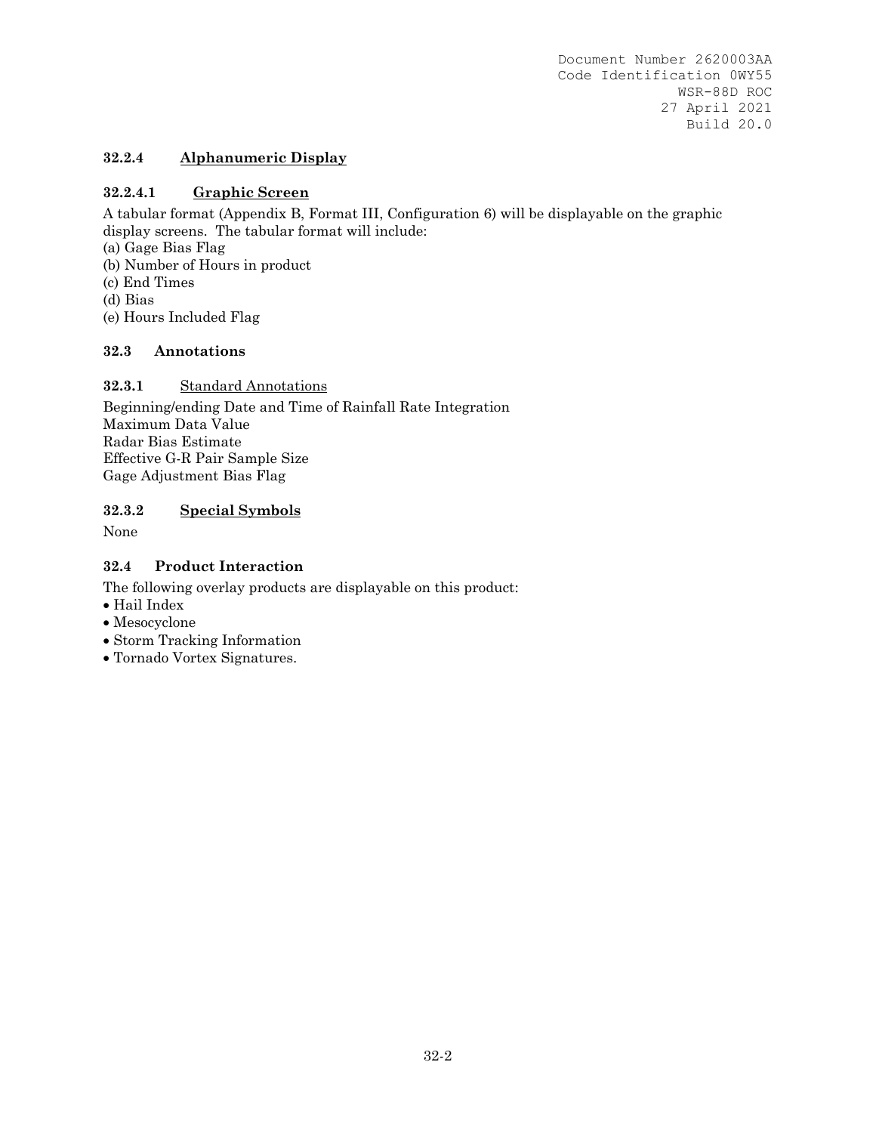# **32.2.4 Alphanumeric Display**

# **32.2.4.1 Graphic Screen**

A tabular format (Appendix B, Format III, Configuration 6) will be displayable on the graphic display screens. The tabular format will include:

- (a) Gage Bias Flag
- (b) Number of Hours in product
- (c) End Times
- (d) Bias
- (e) Hours Included Flag

## **32.3 Annotations**

## **32.3.1** Standard Annotations

Beginning/ending Date and Time of Rainfall Rate Integration Maximum Data Value Radar Bias Estimate Effective G-R Pair Sample Size Gage Adjustment Bias Flag

# **32.3.2 Special Symbols**

None

# **32.4 Product Interaction**

The following overlay products are displayable on this product:

- Hail Index
- Mesocyclone
- Storm Tracking Information
- Tornado Vortex Signatures.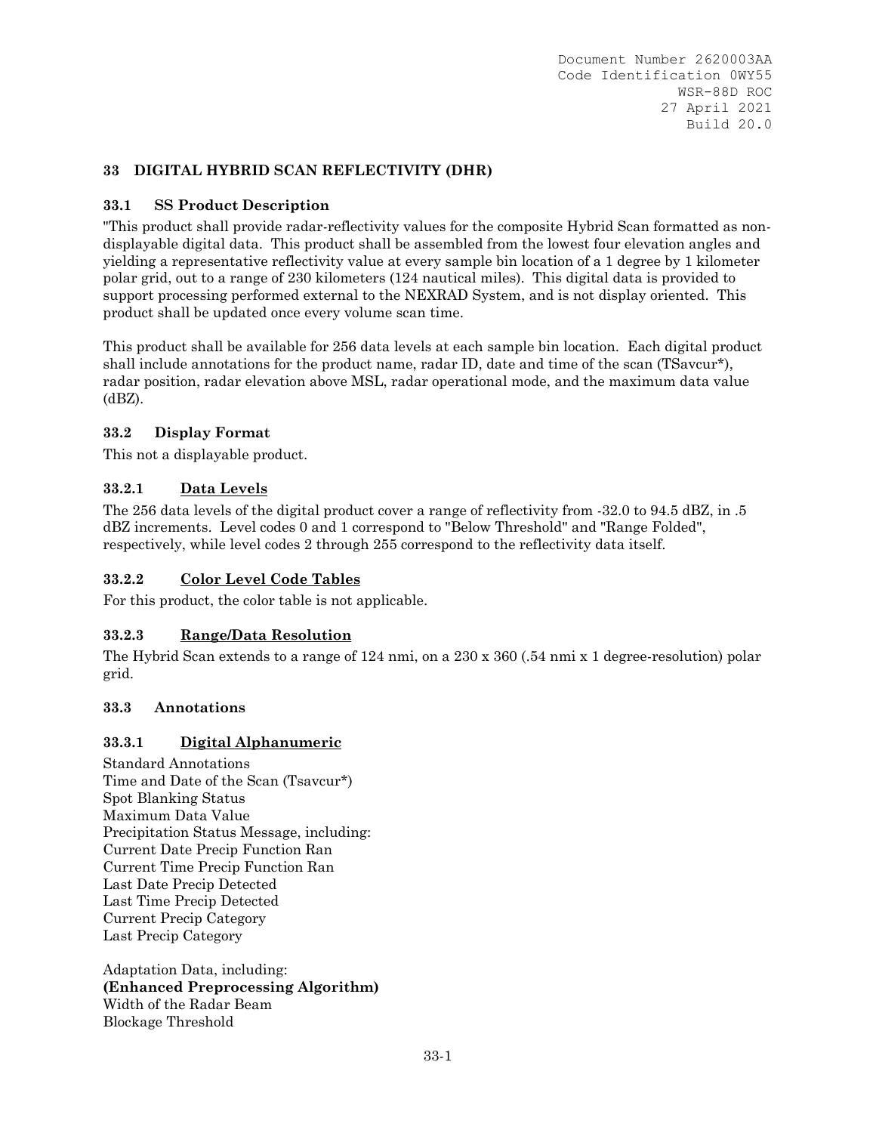## **33 DIGITAL HYBRID SCAN REFLECTIVITY (DHR)**

### **33.1 SS Product Description**

"This product shall provide radar-reflectivity values for the composite Hybrid Scan formatted as nondisplayable digital data. This product shall be assembled from the lowest four elevation angles and yielding a representative reflectivity value at every sample bin location of a 1 degree by 1 kilometer polar grid, out to a range of 230 kilometers (124 nautical miles). This digital data is provided to support processing performed external to the NEXRAD System, and is not display oriented. This product shall be updated once every volume scan time.

This product shall be available for 256 data levels at each sample bin location. Each digital product shall include annotations for the product name, radar ID, date and time of the scan (TSavcur\*), radar position, radar elevation above MSL, radar operational mode, and the maximum data value  $(dBZ)$ .

### **33.2 Display Format**

This not a displayable product.

### **33.2.1 Data Levels**

The 256 data levels of the digital product cover a range of reflectivity from -32.0 to 94.5 dBZ, in .5 dBZ increments. Level codes 0 and 1 correspond to "Below Threshold" and "Range Folded", respectively, while level codes 2 through 255 correspond to the reflectivity data itself.

#### **33.2.2 Color Level Code Tables**

For this product, the color table is not applicable.

#### **33.2.3 Range/Data Resolution**

The Hybrid Scan extends to a range of 124 nmi, on a 230 x 360 (.54 nmi x 1 degree-resolution) polar grid.

#### **33.3 Annotations**

### **33.3.1 Digital Alphanumeric**

Standard Annotations Time and Date of the Scan (Tsavcur\*) Spot Blanking Status Maximum Data Value Precipitation Status Message, including: Current Date Precip Function Ran Current Time Precip Function Ran Last Date Precip Detected Last Time Precip Detected Current Precip Category Last Precip Category

Adaptation Data, including: **(Enhanced Preprocessing Algorithm)** Width of the Radar Beam Blockage Threshold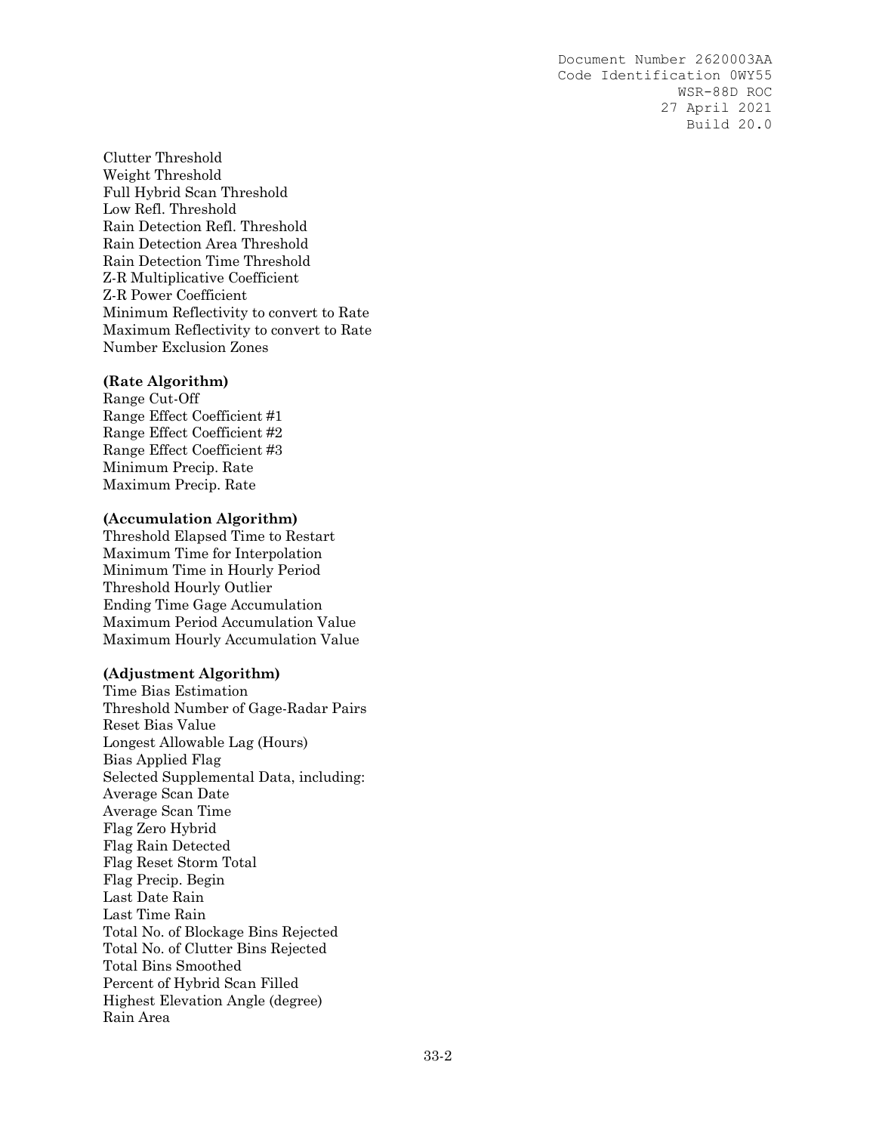Clutter Threshold Weight Threshold Full Hybrid Scan Threshold Low Refl. Threshold Rain Detection Refl. Threshold Rain Detection Area Threshold Rain Detection Time Threshold Z-R Multiplicative Coefficient Z-R Power Coefficient Minimum Reflectivity to convert to Rate Maximum Reflectivity to convert to Rate Number Exclusion Zones

#### **(Rate Algorithm)**

Range Cut-Off Range Effect Coefficient #1 Range Effect Coefficient #2 Range Effect Coefficient #3 Minimum Precip. Rate Maximum Precip. Rate

#### **(Accumulation Algorithm)**

Threshold Elapsed Time to Restart Maximum Time for Interpolation Minimum Time in Hourly Period Threshold Hourly Outlier Ending Time Gage Accumulation Maximum Period Accumulation Value Maximum Hourly Accumulation Value

#### **(Adjustment Algorithm)**

Time Bias Estimation Threshold Number of Gage-Radar Pairs Reset Bias Value Longest Allowable Lag (Hours) Bias Applied Flag Selected Supplemental Data, including: Average Scan Date Average Scan Time Flag Zero Hybrid Flag Rain Detected Flag Reset Storm Total Flag Precip. Begin Last Date Rain Last Time Rain Total No. of Blockage Bins Rejected Total No. of Clutter Bins Rejected Total Bins Smoothed Percent of Hybrid Scan Filled Highest Elevation Angle (degree) Rain Area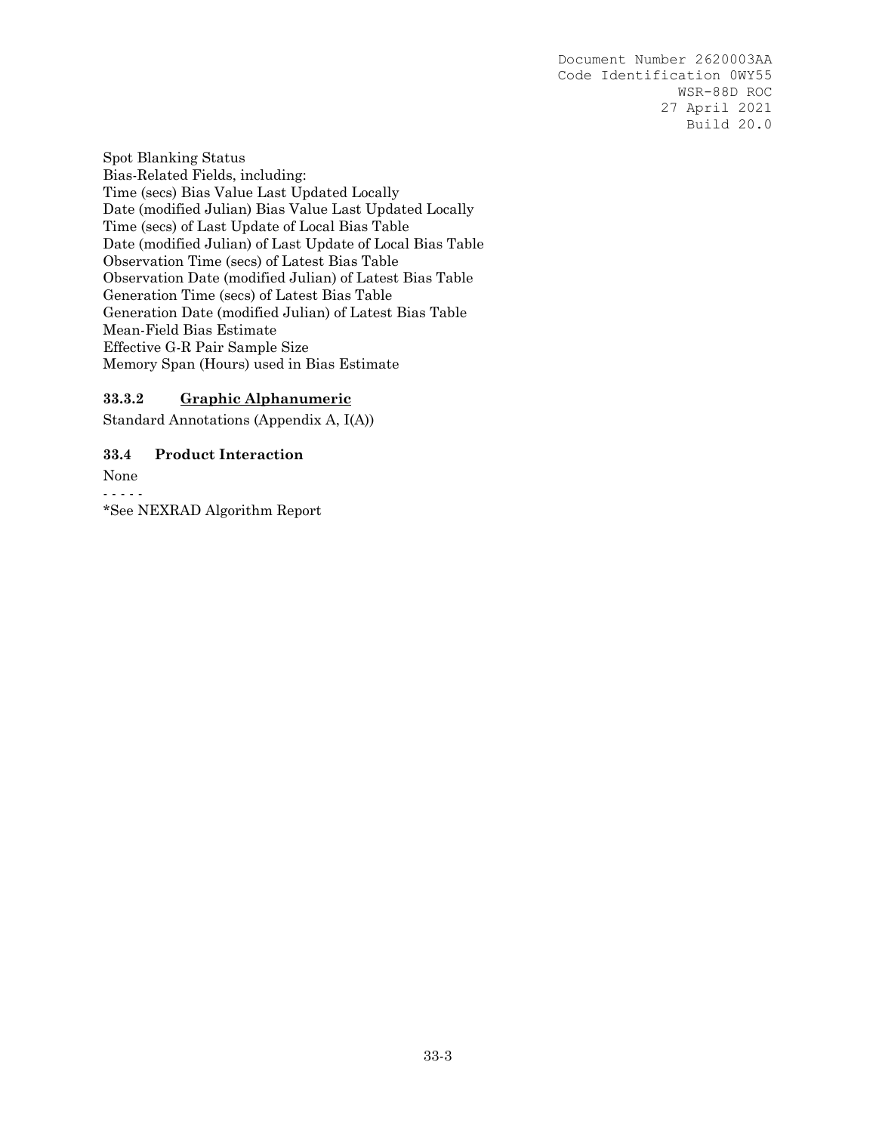Spot Blanking Status Bias-Related Fields, including: Time (secs) Bias Value Last Updated Locally Date (modified Julian) Bias Value Last Updated Locally Time (secs) of Last Update of Local Bias Table Date (modified Julian) of Last Update of Local Bias Table Observation Time (secs) of Latest Bias Table Observation Date (modified Julian) of Latest Bias Table Generation Time (secs) of Latest Bias Table Generation Date (modified Julian) of Latest Bias Table Mean-Field Bias Estimate Effective G-R Pair Sample Size Memory Span (Hours) used in Bias Estimate

### **33.3.2 Graphic Alphanumeric**

Standard Annotations (Appendix A, I(A))

### **33.4 Product Interaction**

None - - - - -

\*See NEXRAD Algorithm Report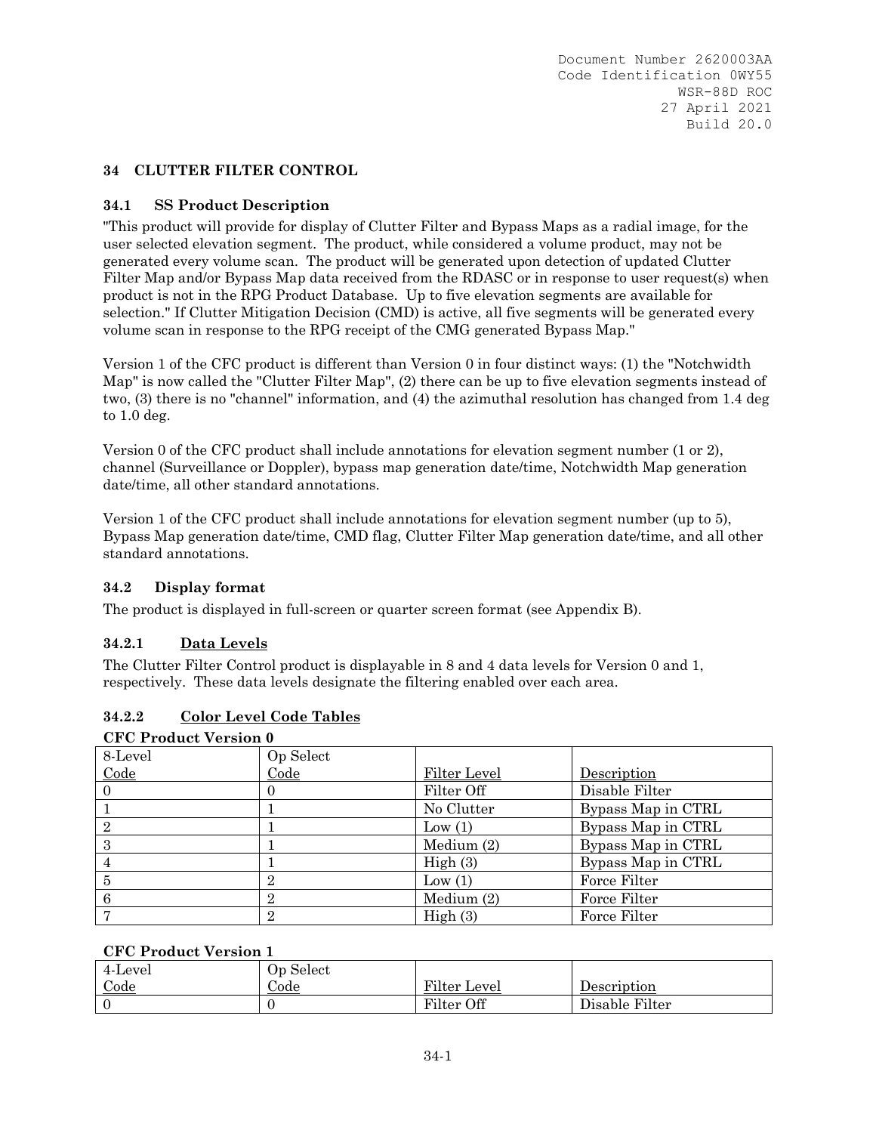### **34 CLUTTER FILTER CONTROL**

### **34.1 SS Product Description**

"This product will provide for display of Clutter Filter and Bypass Maps as a radial image, for the user selected elevation segment. The product, while considered a volume product, may not be generated every volume scan. The product will be generated upon detection of updated Clutter Filter Map and/or Bypass Map data received from the RDASC or in response to user request(s) when product is not in the RPG Product Database. Up to five elevation segments are available for selection." If Clutter Mitigation Decision (CMD) is active, all five segments will be generated every volume scan in response to the RPG receipt of the CMG generated Bypass Map."

Version 1 of the CFC product is different than Version 0 in four distinct ways: (1) the "Notchwidth Map" is now called the "Clutter Filter Map", (2) there can be up to five elevation segments instead of two, (3) there is no "channel" information, and (4) the azimuthal resolution has changed from 1.4 deg to 1.0 deg.

Version 0 of the CFC product shall include annotations for elevation segment number (1 or 2), channel (Surveillance or Doppler), bypass map generation date/time, Notchwidth Map generation date/time, all other standard annotations.

Version 1 of the CFC product shall include annotations for elevation segment number (up to 5), Bypass Map generation date/time, CMD flag, Clutter Filter Map generation date/time, and all other standard annotations.

#### **34.2 Display format**

The product is displayed in full-screen or quarter screen format (see Appendix B).

## **34.2.1 Data Levels**

The Clutter Filter Control product is displayable in 8 and 4 data levels for Version 0 and 1, respectively. These data levels designate the filtering enabled over each area.

## **34.2.2 Color Level Code Tables**

| <b>CFC Product Version 0</b> |                |              |                    |  |  |
|------------------------------|----------------|--------------|--------------------|--|--|
| 8-Level                      | Op Select      |              |                    |  |  |
| Code                         | Code           | Filter Level | Description        |  |  |
| $\theta$                     |                | Filter Off   | Disable Filter     |  |  |
|                              |                | No Clutter   | Bypass Map in CTRL |  |  |
| $\overline{2}$               |                | Low $(1)$    | Bypass Map in CTRL |  |  |
| 3                            |                | Medium (2)   | Bypass Map in CTRL |  |  |
|                              |                | High(3)      | Bypass Map in CTRL |  |  |
| 5                            | $\overline{2}$ | Low $(1)$    | Force Filter       |  |  |
| 6                            | $\overline{2}$ | Medium (2)   | Force Filter       |  |  |
|                              | 2              | High(3)      | Force Filter       |  |  |

#### **CFC Product Version 1**

| 4-Level | Op Select    |              |                |
|---------|--------------|--------------|----------------|
| Code    | <i>S</i> ode | Filter Level | Description    |
|         |              | Filter Off   | Disable Filter |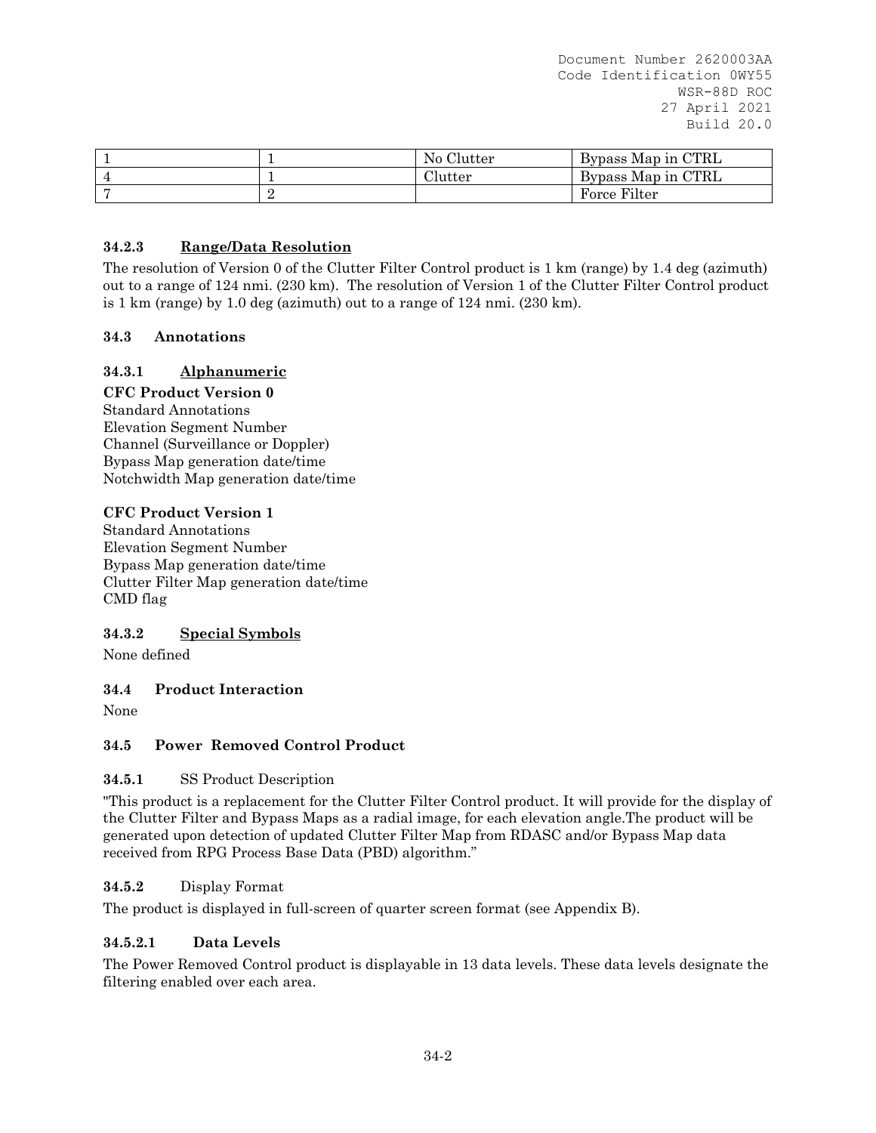|  | No Clutter | Bypass Map in CTRL |
|--|------------|--------------------|
|  | Clutter    | Bypass Map in CTRL |
|  |            | Force Filter       |

# **34.2.3 Range/Data Resolution**

The resolution of Version 0 of the Clutter Filter Control product is 1 km (range) by 1.4 deg (azimuth) out to a range of 124 nmi. (230 km). The resolution of Version 1 of the Clutter Filter Control product is 1 km (range) by 1.0 deg (azimuth) out to a range of 124 nmi. (230 km).

### **34.3 Annotations**

## **34.3.1 Alphanumeric**

#### **CFC Product Version 0**

Standard Annotations Elevation Segment Number Channel (Surveillance or Doppler) Bypass Map generation date/time Notchwidth Map generation date/time

#### **CFC Product Version 1**

Standard Annotations Elevation Segment Number Bypass Map generation date/time Clutter Filter Map generation date/time CMD flag

## **34.3.2 Special Symbols**

None defined

## **34.4 Product Interaction**

None

## **34.5 Power Removed Control Product**

#### **34.5.1** SS Product Description

"This product is a replacement for the Clutter Filter Control product. It will provide for the display of the Clutter Filter and Bypass Maps as a radial image, for each elevation angle.The product will be generated upon detection of updated Clutter Filter Map from RDASC and/or Bypass Map data received from RPG Process Base Data (PBD) algorithm."

#### **34.5.2** Display Format

The product is displayed in full-screen of quarter screen format (see Appendix B).

#### **34.5.2.1 Data Levels**

The Power Removed Control product is displayable in 13 data levels. These data levels designate the filtering enabled over each area.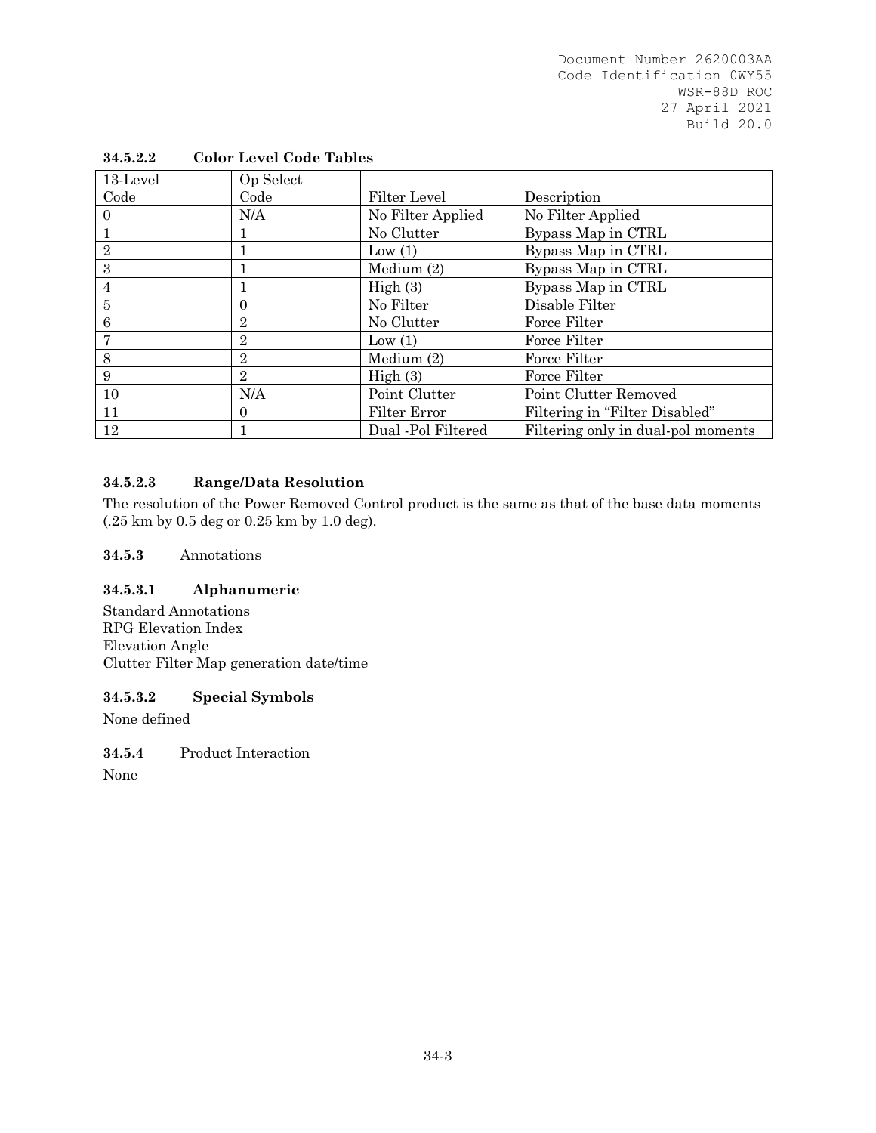| 13-Level       | Op Select      |                    |                                    |
|----------------|----------------|--------------------|------------------------------------|
| Code           | Code           | Filter Level       | Description                        |
|                | N/A            | No Filter Applied  | No Filter Applied                  |
|                |                | No Clutter         | Bypass Map in CTRL                 |
| $\overline{2}$ |                | Low $(1)$          | Bypass Map in CTRL                 |
| 3              |                | Medium (2)         | Bypass Map in CTRL                 |
| 4              |                | High(3)            | Bypass Map in CTRL                 |
| 5              | $\theta$       | No Filter          | Disable Filter                     |
| 6              | $\overline{2}$ | No Clutter         | Force Filter                       |
|                | $\overline{2}$ | Low(1)             | Force Filter                       |
| 8              | $\overline{2}$ | Medium $(2)$       | Force Filter                       |
| 9              | $\overline{2}$ | High(3)            | Force Filter                       |
| 10             | N/A            | Point Clutter      | Point Clutter Removed              |
| 11             | $\Omega$       | Filter Error       | Filtering in "Filter Disabled"     |
| 12             |                | Dual -Pol Filtered | Filtering only in dual-pol moments |

# **34.5.2.2 Color Level Code Tables**

# **34.5.2.3 Range/Data Resolution**

The resolution of the Power Removed Control product is the same as that of the base data moments (.25 km by 0.5 deg or 0.25 km by 1.0 deg).

### **34.5.3** Annotations

# **34.5.3.1 Alphanumeric**

Standard Annotations RPG Elevation Index Elevation Angle Clutter Filter Map generation date/time

## **34.5.3.2 Special Symbols**

None defined

**34.5.4** Product Interaction

None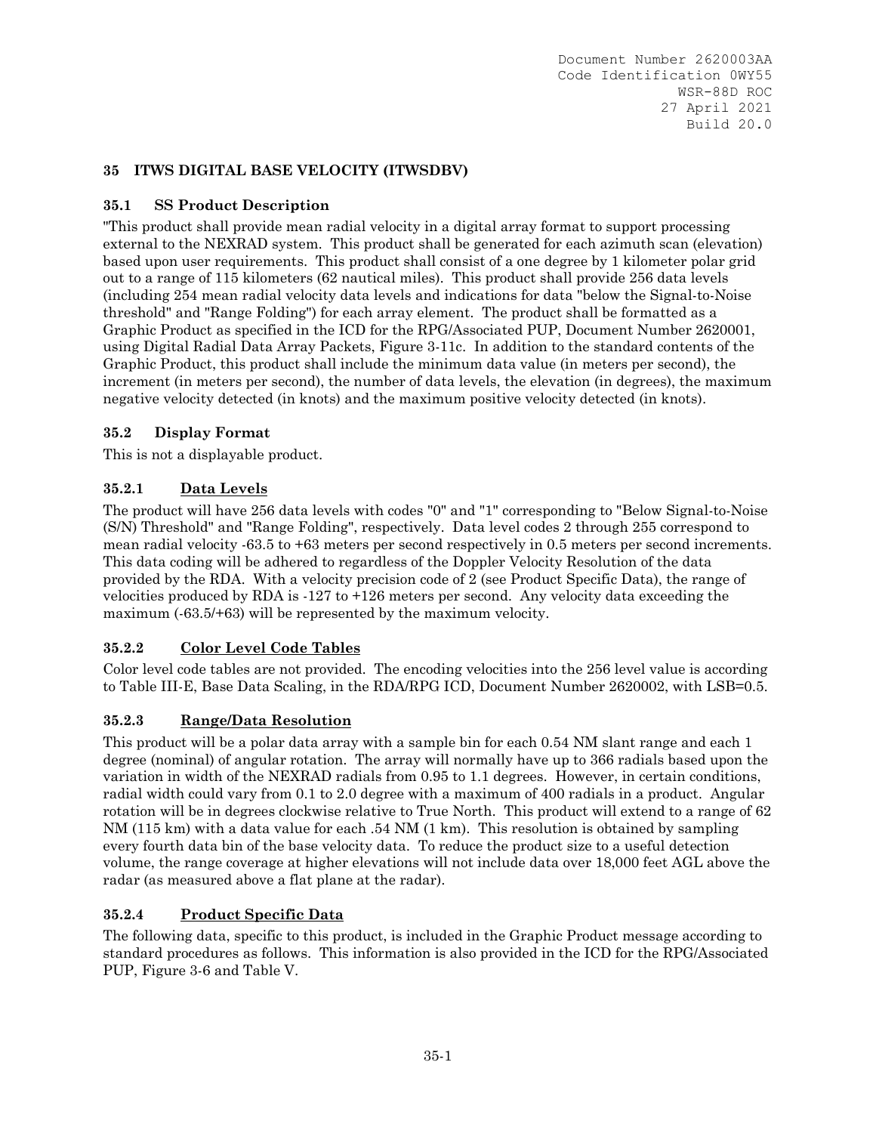## **35 ITWS DIGITAL BASE VELOCITY (ITWSDBV)**

## **35.1 SS Product Description**

"This product shall provide mean radial velocity in a digital array format to support processing external to the NEXRAD system. This product shall be generated for each azimuth scan (elevation) based upon user requirements. This product shall consist of a one degree by 1 kilometer polar grid out to a range of 115 kilometers (62 nautical miles). This product shall provide 256 data levels (including 254 mean radial velocity data levels and indications for data "below the Signal-to-Noise threshold" and "Range Folding") for each array element. The product shall be formatted as a Graphic Product as specified in the ICD for the RPG/Associated PUP, Document Number 2620001, using Digital Radial Data Array Packets, Figure 3-11c. In addition to the standard contents of the Graphic Product, this product shall include the minimum data value (in meters per second), the increment (in meters per second), the number of data levels, the elevation (in degrees), the maximum negative velocity detected (in knots) and the maximum positive velocity detected (in knots).

## **35.2 Display Format**

This is not a displayable product.

## **35.2.1 Data Levels**

The product will have 256 data levels with codes "0" and "1" corresponding to "Below Signal-to-Noise (S/N) Threshold" and "Range Folding", respectively. Data level codes 2 through 255 correspond to mean radial velocity -63.5 to +63 meters per second respectively in 0.5 meters per second increments. This data coding will be adhered to regardless of the Doppler Velocity Resolution of the data provided by the RDA. With a velocity precision code of 2 (see Product Specific Data), the range of velocities produced by RDA is -127 to +126 meters per second. Any velocity data exceeding the maximum (-63.5/+63) will be represented by the maximum velocity.

#### **35.2.2 Color Level Code Tables**

Color level code tables are not provided. The encoding velocities into the 256 level value is according to Table III-E, Base Data Scaling, in the RDA/RPG ICD, Document Number 2620002, with LSB=0.5.

## **35.2.3 Range/Data Resolution**

This product will be a polar data array with a sample bin for each 0.54 NM slant range and each 1 degree (nominal) of angular rotation. The array will normally have up to 366 radials based upon the variation in width of the NEXRAD radials from 0.95 to 1.1 degrees. However, in certain conditions, radial width could vary from 0.1 to 2.0 degree with a maximum of 400 radials in a product. Angular rotation will be in degrees clockwise relative to True North. This product will extend to a range of 62 NM (115 km) with a data value for each .54 NM (1 km). This resolution is obtained by sampling every fourth data bin of the base velocity data. To reduce the product size to a useful detection volume, the range coverage at higher elevations will not include data over 18,000 feet AGL above the radar (as measured above a flat plane at the radar).

#### **35.2.4 Product Specific Data**

The following data, specific to this product, is included in the Graphic Product message according to standard procedures as follows. This information is also provided in the ICD for the RPG/Associated PUP, Figure 3-6 and Table V.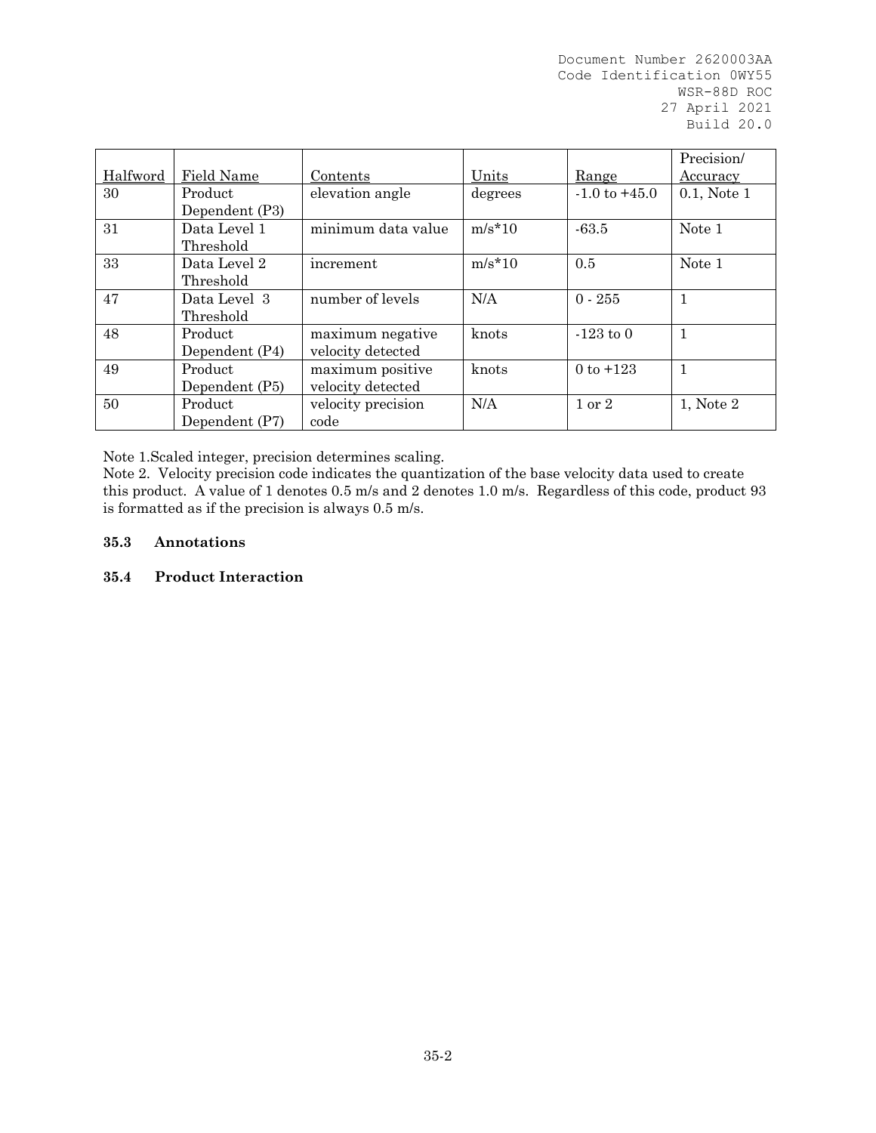| Halfword | Field Name                | Contents                              | Units    | Range             | Precision/<br>Accuracy |
|----------|---------------------------|---------------------------------------|----------|-------------------|------------------------|
| 30       | Product<br>Dependent (P3) | elevation angle                       | degrees  | $-1.0$ to $+45.0$ | $0.1$ , Note $1$       |
| 31       | Data Level 1<br>Threshold | minimum data value                    | $m/s*10$ | $-63.5$           | Note 1                 |
| 33       | Data Level 2<br>Threshold | increment                             | $m/s*10$ | 0.5               | Note 1                 |
| 47       | Data Level 3<br>Threshold | number of levels                      | N/A      | $0 - 255$         |                        |
| 48       | Product<br>Dependent (P4) | maximum negative<br>velocity detected | knots    | $-123$ to 0       | $\mathbf{1}$           |
| 49       | Product<br>Dependent (P5) | maximum positive<br>velocity detected | knots    | 0 to $+123$       | $\mathbf{1}$           |
| 50       | Product<br>Dependent (P7) | velocity precision<br>code            | N/A      | $1 \text{ or } 2$ | 1, Note 2              |

Note 1.Scaled integer, precision determines scaling.

Note 2. Velocity precision code indicates the quantization of the base velocity data used to create this product. A value of 1 denotes 0.5 m/s and 2 denotes 1.0 m/s. Regardless of this code, product 93 is formatted as if the precision is always 0.5 m/s.

### **35.3 Annotations**

### **35.4 Product Interaction**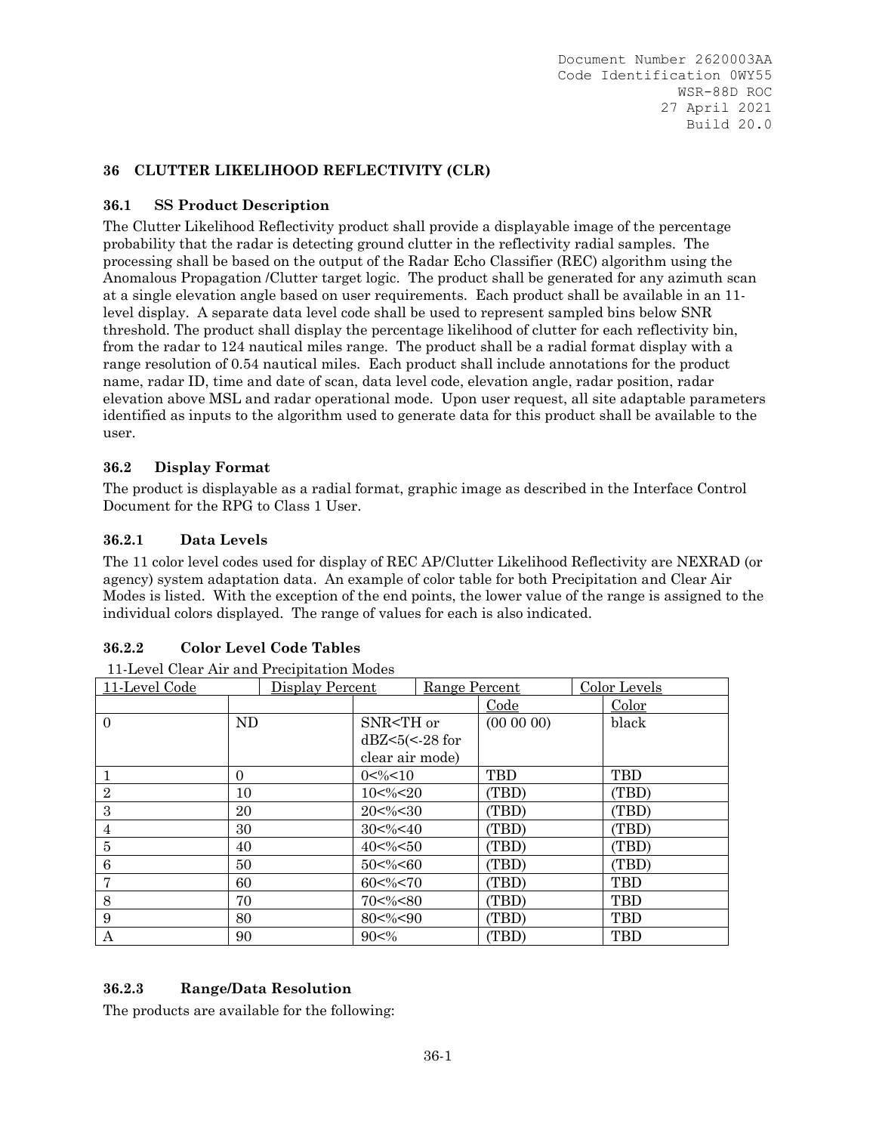### **36 CLUTTER LIKELIHOOD REFLECTIVITY (CLR)**

### **36.1 SS Product Description**

The Clutter Likelihood Reflectivity product shall provide a displayable image of the percentage probability that the radar is detecting ground clutter in the reflectivity radial samples. The processing shall be based on the output of the Radar Echo Classifier (REC) algorithm using the Anomalous Propagation /Clutter target logic. The product shall be generated for any azimuth scan at a single elevation angle based on user requirements. Each product shall be available in an 11 level display. A separate data level code shall be used to represent sampled bins below SNR threshold. The product shall display the percentage likelihood of clutter for each reflectivity bin, from the radar to 124 nautical miles range. The product shall be a radial format display with a range resolution of 0.54 nautical miles. Each product shall include annotations for the product name, radar ID, time and date of scan, data level code, elevation angle, radar position, radar elevation above MSL and radar operational mode. Upon user request, all site adaptable parameters identified as inputs to the algorithm used to generate data for this product shall be available to the user.

### **36.2 Display Format**

The product is displayable as a radial format, graphic image as described in the Interface Control Document for the RPG to Class 1 User.

### **36.2.1 Data Levels**

The 11 color level codes used for display of REC AP/Clutter Likelihood Reflectivity are NEXRAD (or agency) system adaptation data. An example of color table for both Precipitation and Clear Air Modes is listed. With the exception of the end points, the lower value of the range is assigned to the individual colors displayed. The range of values for each is also indicated.

#### **36.2.2 Color Level Code Tables**

| 11-Level Code<br>Display Percent |    |  | Range Percent                                                                       |                                                             | Color Levels |                |       |
|----------------------------------|----|--|-------------------------------------------------------------------------------------|-------------------------------------------------------------|--------------|----------------|-------|
|                                  |    |  |                                                                                     |                                                             | Code         | Color          |       |
| $\Omega$                         | ND |  | SNR <th or<="" td=""><td></td><td><math>(00\ 00\ 00)</math></td><td>black</td></th> | <td></td> <td><math>(00\ 00\ 00)</math></td> <td>black</td> |              | $(00\ 00\ 00)$ | black |
|                                  |    |  | $dBZ < 5 (< -28$ for                                                                |                                                             |              |                |       |
|                                  |    |  | clear air mode)                                                                     |                                                             |              |                |       |
|                                  | 0  |  | $0 < \frac{9}{6} < 10$                                                              |                                                             | <b>TBD</b>   | <b>TBD</b>     |       |
| $\overline{2}$                   | 10 |  | $10<\%<20$                                                                          |                                                             | (TBD)        | (TBD)          |       |
| 3                                | 20 |  | $20 < \% < 30$                                                                      |                                                             | (TBD)        | (TBD)          |       |
| 4                                | 30 |  | $30<\%<40$                                                                          |                                                             | (TBD)        | (TBD)          |       |
| 5                                | 40 |  | $40<\%<50$                                                                          |                                                             | (TBD)        | (TBD)          |       |
| 6                                | 50 |  | $50<\%<60$                                                                          |                                                             | (TBD)        | (TBD)          |       |
| 7                                | 60 |  | $60<\%<70$                                                                          |                                                             | (TBD)        | <b>TBD</b>     |       |
| 8                                | 70 |  | $70<\%<80$                                                                          |                                                             | (TBD)        | <b>TBD</b>     |       |
| 9                                | 80 |  | $80 < \frac{9}{6} < 90$                                                             |                                                             | (TBD)        | <b>TBD</b>     |       |
| А                                | 90 |  | $90<\%$                                                                             |                                                             | (TBD)        | <b>TBD</b>     |       |

#### **36.2.3 Range/Data Resolution**

The products are available for the following: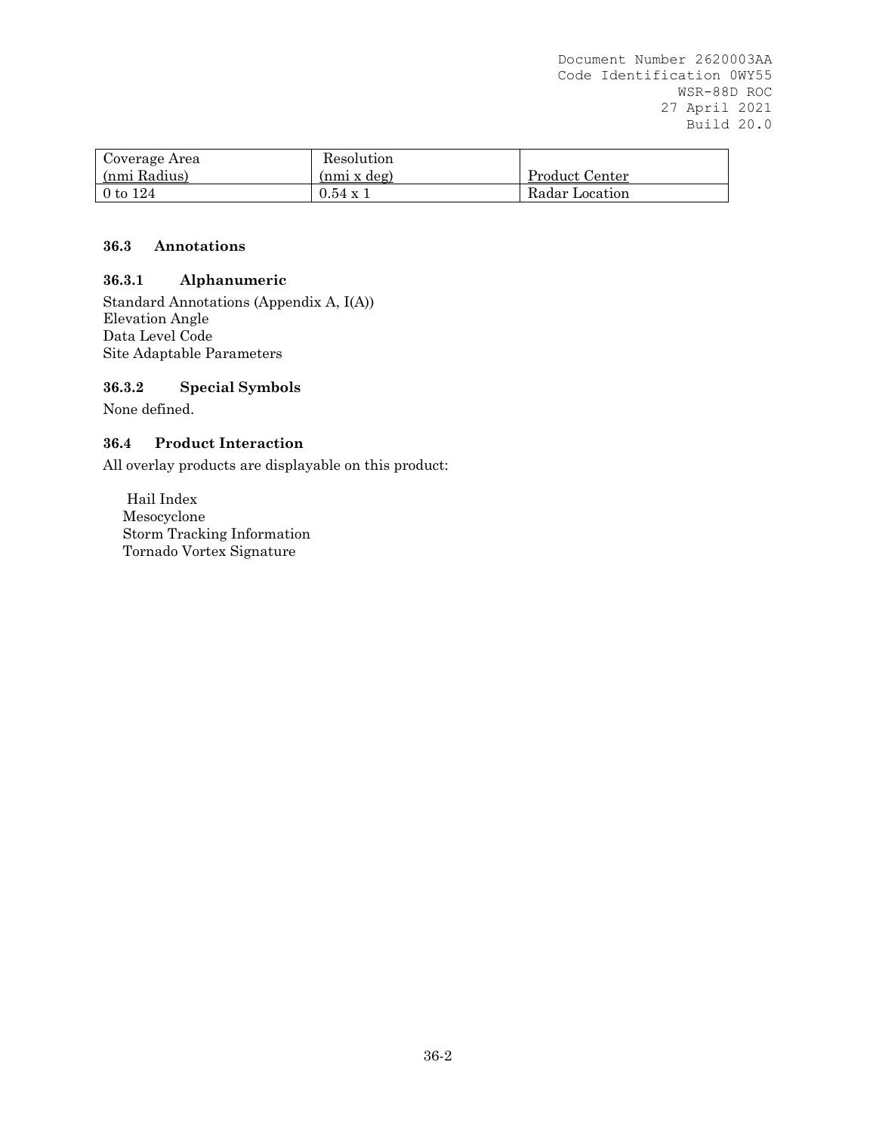| Coverage Area | Resolution         |                |
|---------------|--------------------|----------------|
| (nmi Radius)  | $(nmi \times deg)$ | Product Center |
| 0 to $124$    | $0.54 \times 1$    | Radar Location |

## **36.3 Annotations**

# **36.3.1 Alphanumeric**

Standard Annotations (Appendix A, I(A)) Elevation Angle Data Level Code Site Adaptable Parameters

## **36.3.2 Special Symbols**

None defined.

## **36.4 Product Interaction**

All overlay products are displayable on this product:

 Hail Index Mesocyclone Storm Tracking Information Tornado Vortex Signature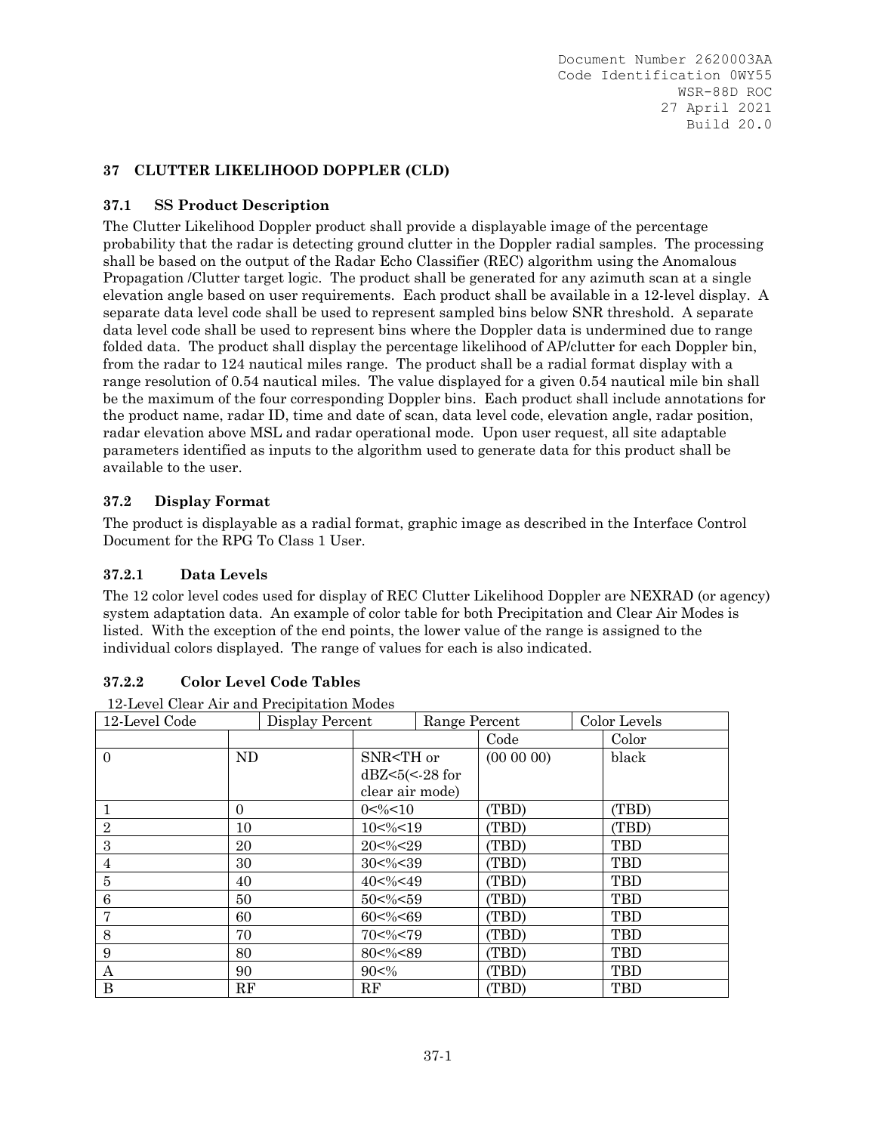## **37 CLUTTER LIKELIHOOD DOPPLER (CLD)**

## **37.1 SS Product Description**

The Clutter Likelihood Doppler product shall provide a displayable image of the percentage probability that the radar is detecting ground clutter in the Doppler radial samples. The processing shall be based on the output of the Radar Echo Classifier (REC) algorithm using the Anomalous Propagation /Clutter target logic. The product shall be generated for any azimuth scan at a single elevation angle based on user requirements. Each product shall be available in a 12-level display. A separate data level code shall be used to represent sampled bins below SNR threshold. A separate data level code shall be used to represent bins where the Doppler data is undermined due to range folded data. The product shall display the percentage likelihood of AP/clutter for each Doppler bin, from the radar to 124 nautical miles range. The product shall be a radial format display with a range resolution of 0.54 nautical miles. The value displayed for a given 0.54 nautical mile bin shall be the maximum of the four corresponding Doppler bins. Each product shall include annotations for the product name, radar ID, time and date of scan, data level code, elevation angle, radar position, radar elevation above MSL and radar operational mode. Upon user request, all site adaptable parameters identified as inputs to the algorithm used to generate data for this product shall be available to the user.

# **37.2 Display Format**

The product is displayable as a radial format, graphic image as described in the Interface Control Document for the RPG To Class 1 User.

# **37.2.1 Data Levels**

The 12 color level codes used for display of REC Clutter Likelihood Doppler are NEXRAD (or agency) system adaptation data. An example of color table for both Precipitation and Clear Air Modes is listed. With the exception of the end points, the lower value of the range is assigned to the individual colors displayed. The range of values for each is also indicated.

## **37.2.2 Color Level Code Tables**

12-Level Clear Air and Precipitation Modes

| 12-Level Code  |          | $\sim$ 0.000 cm $\alpha$ 0.000 cm $\alpha$ 0.000 cm $\alpha$ 0.000 cm $\alpha$<br>Display Percent | Range Percent                                                                                |                                                                       |       |                | Color Levels |       |
|----------------|----------|---------------------------------------------------------------------------------------------------|----------------------------------------------------------------------------------------------|-----------------------------------------------------------------------|-------|----------------|--------------|-------|
|                |          |                                                                                                   |                                                                                              |                                                                       | Code  |                | Color        |       |
| $\Omega$       | ND       |                                                                                                   | SNR <th or<="" td=""><td></td><td><math>(00\ 00\ 00)</math></td><td></td><td>black</td></th> | <td></td> <td><math>(00\ 00\ 00)</math></td> <td></td> <td>black</td> |       | $(00\ 00\ 00)$ |              | black |
|                |          |                                                                                                   | $dBZ < 5 (< -28$ for                                                                         |                                                                       |       |                |              |       |
|                |          |                                                                                                   | clear air mode)                                                                              |                                                                       |       |                |              |       |
|                | $\Omega$ |                                                                                                   | $0 < \frac{9}{6} < 10$                                                                       |                                                                       | (TBD) |                | (TBD)        |       |
| $\overline{2}$ | 10       |                                                                                                   | $10<\%<19$                                                                                   |                                                                       | (TBD) |                | (TBD)        |       |
| 3              | 20       |                                                                                                   | 20<%<29                                                                                      |                                                                       | (TBD) |                | <b>TBD</b>   |       |
| 4              | 30       |                                                                                                   | $30<\%<39$                                                                                   |                                                                       | (TBD) |                | <b>TBD</b>   |       |
| 5              | 40       |                                                                                                   | 40<%<49                                                                                      |                                                                       | (TBD) |                | <b>TBD</b>   |       |
| 6              | 50       |                                                                                                   | $50<\%<59$                                                                                   |                                                                       | (TBD) |                | <b>TBD</b>   |       |
| 7              | 60       |                                                                                                   | $60<\%<69$                                                                                   |                                                                       | (TBD) |                | <b>TBD</b>   |       |
| 8              | 70       |                                                                                                   | 70<%<79                                                                                      |                                                                       | (TBD) |                | <b>TBD</b>   |       |
| 9              | 80       |                                                                                                   | 80<%<89                                                                                      |                                                                       | (TBD) |                | <b>TBD</b>   |       |
| А              | 90       |                                                                                                   | $90<\%$                                                                                      |                                                                       | (TBD) |                | <b>TBD</b>   |       |
| B              | RF       |                                                                                                   | RF                                                                                           |                                                                       | (TBD) |                | <b>TBD</b>   |       |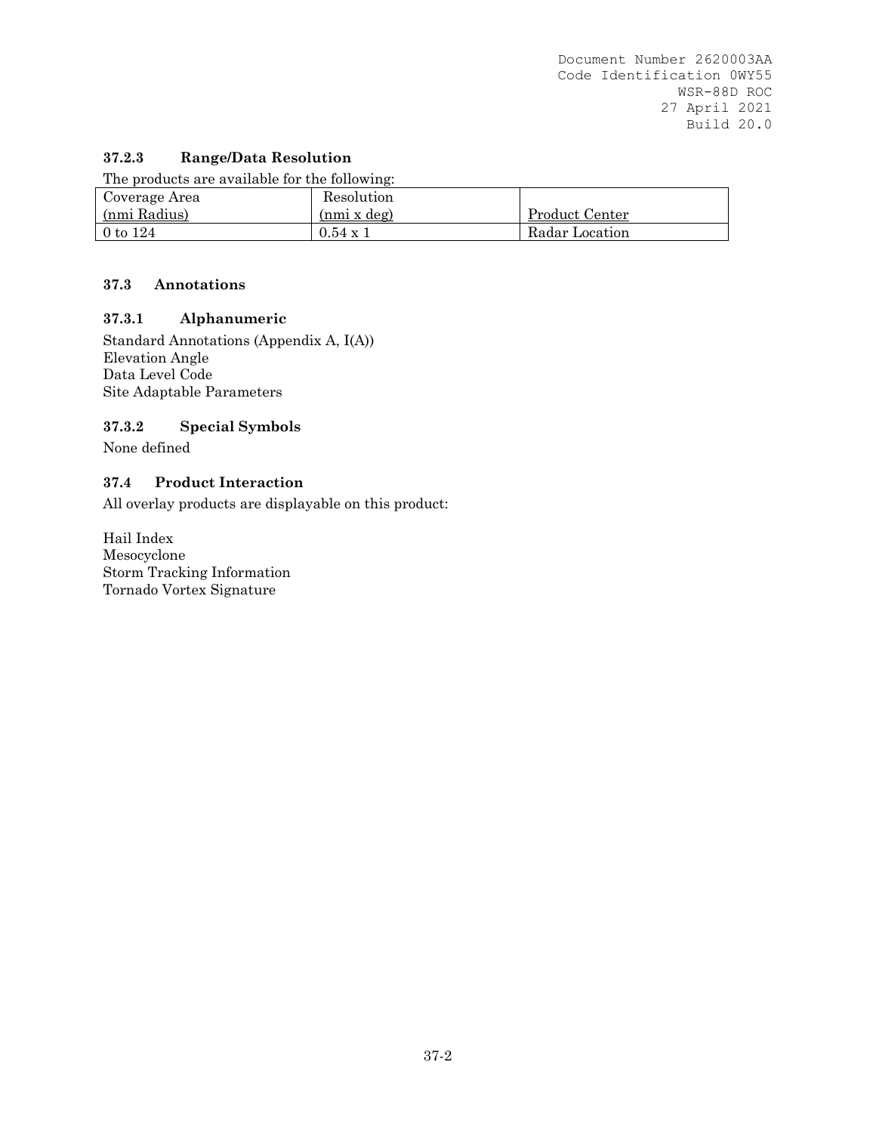# **37.2.3 Range/Data Resolution**

The products are available for the following:

| Coverage Area | Resolution         |                |
|---------------|--------------------|----------------|
| (nmi Radius)  | $(nmi \times deg)$ | Product Center |
| $0$ to $124$  | $0.54 \times 1$    | Radar Location |

## **37.3 Annotations**

## **37.3.1 Alphanumeric**

Standard Annotations (Appendix A, I(A)) Elevation Angle Data Level Code Site Adaptable Parameters

## **37.3.2 Special Symbols**

None defined

## **37.4 Product Interaction**

All overlay products are displayable on this product:

Hail Index Mesocyclone Storm Tracking Information Tornado Vortex Signature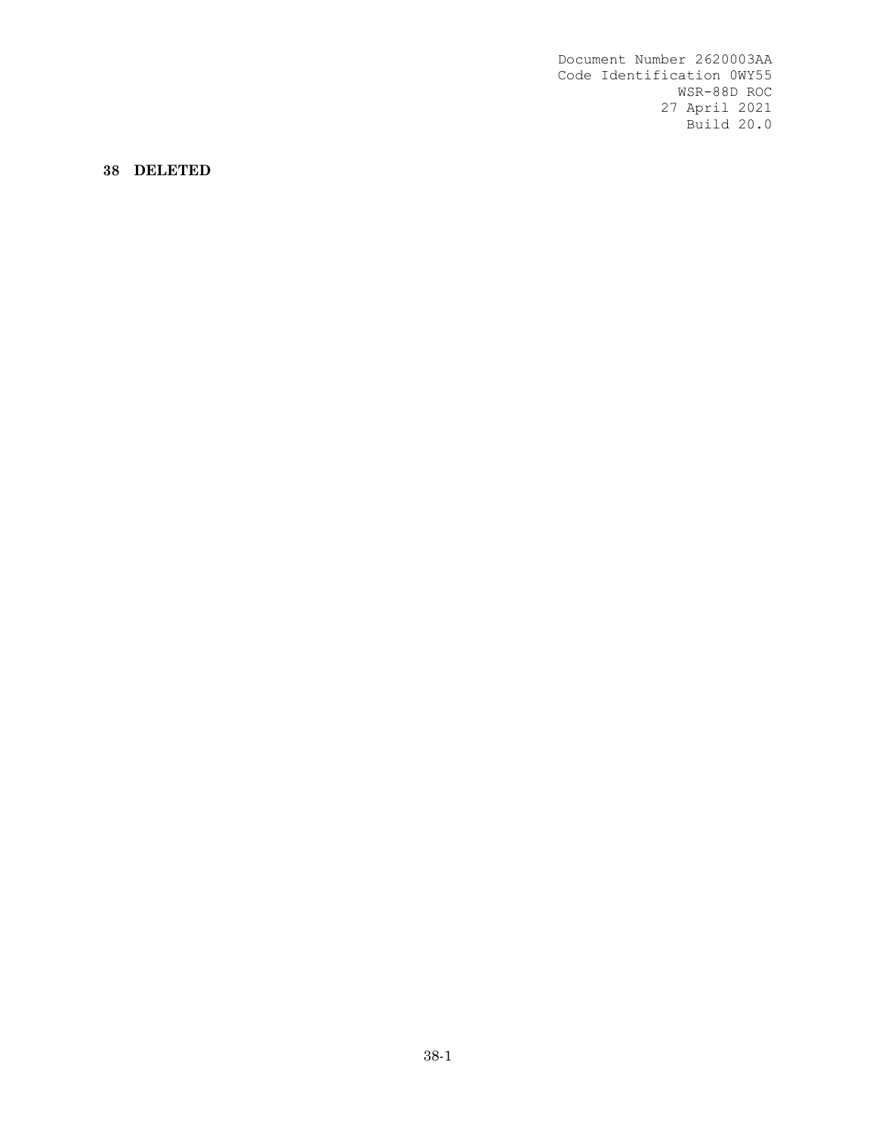**38 DELETED**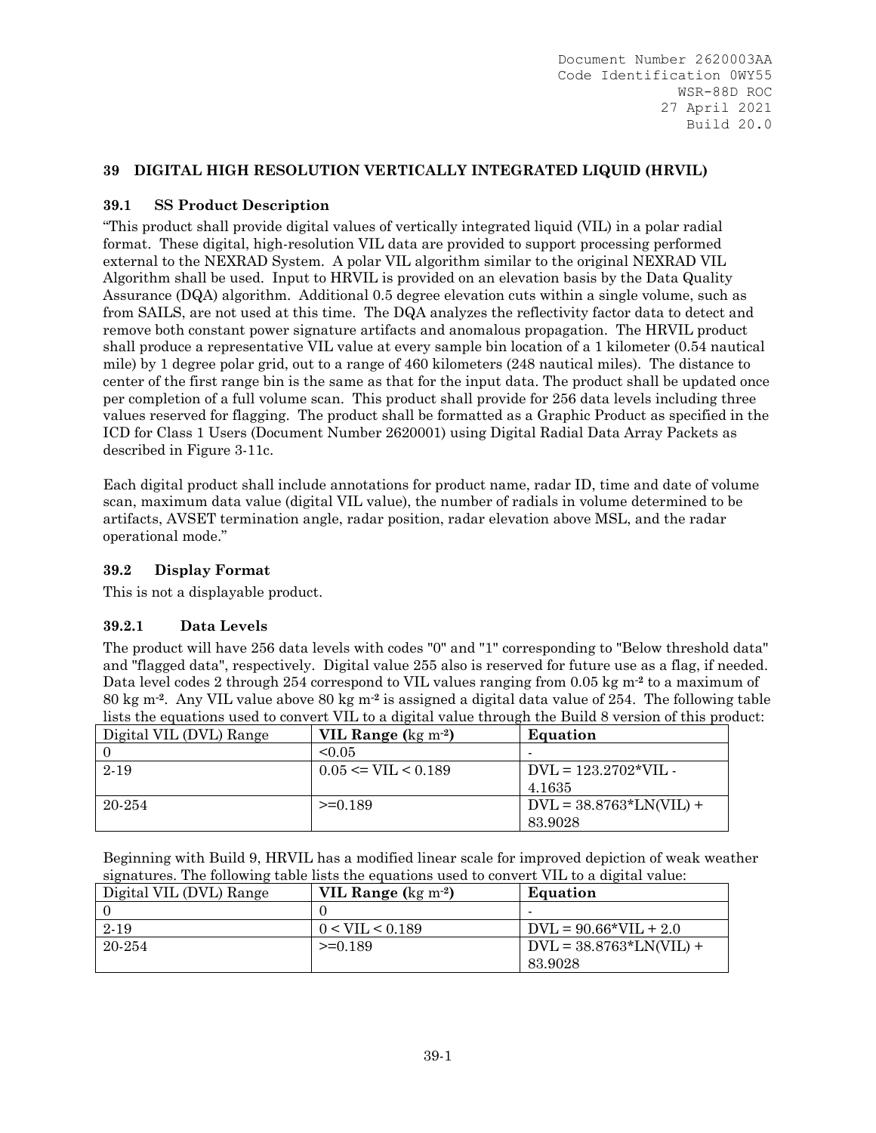# **39 DIGITAL HIGH RESOLUTION VERTICALLY INTEGRATED LIQUID (HRVIL)**

## **39.1 SS Product Description**

"This product shall provide digital values of vertically integrated liquid (VIL) in a polar radial format. These digital, high-resolution VIL data are provided to support processing performed external to the NEXRAD System. A polar VIL algorithm similar to the original NEXRAD VIL Algorithm shall be used. Input to HRVIL is provided on an elevation basis by the Data Quality Assurance (DQA) algorithm. Additional 0.5 degree elevation cuts within a single volume, such as from SAILS, are not used at this time. The DQA analyzes the reflectivity factor data to detect and remove both constant power signature artifacts and anomalous propagation. The HRVIL product shall produce a representative VIL value at every sample bin location of a 1 kilometer (0.54 nautical mile) by 1 degree polar grid, out to a range of 460 kilometers (248 nautical miles). The distance to center of the first range bin is the same as that for the input data. The product shall be updated once per completion of a full volume scan. This product shall provide for 256 data levels including three values reserved for flagging. The product shall be formatted as a Graphic Product as specified in the ICD for Class 1 Users (Document Number 2620001) using Digital Radial Data Array Packets as described in Figure 3-11c.

Each digital product shall include annotations for product name, radar ID, time and date of volume scan, maximum data value (digital VIL value), the number of radials in volume determined to be artifacts, AVSET termination angle, radar position, radar elevation above MSL, and the radar operational mode."

## **39.2 Display Format**

This is not a displayable product.

## **39.2.1 Data Levels**

The product will have 256 data levels with codes "0" and "1" corresponding to "Below threshold data" and "flagged data", respectively. Digital value 255 also is reserved for future use as a flag, if needed. Data level codes 2 through 254 correspond to VIL values ranging from 0.05 kg m**-2** to a maximum of 80 kg m**-2**. Any VIL value above 80 kg m**-2** is assigned a digital data value of 254. The following table lists the equations used to convert VIL to a digital value through the Build 8 version of this product:

| Digital VIL (DVL) Range | VIL Range $(kg \, \text{m}^{-2})$ | Equation                  |
|-------------------------|-----------------------------------|---------------------------|
|                         | $\leq 0.05$                       |                           |
| 2-19                    | $0.05 \leq VIL \leq 0.189$        | $DVL = 123.2702*VIL$      |
|                         |                                   | 4.1635                    |
| 20-254                  | $>=0.189$                         | $DVL = 38.8763*LN(VIL) +$ |
|                         |                                   | 83.9028                   |

Beginning with Build 9, HRVIL has a modified linear scale for improved depiction of weak weather signatures. The following table lists the equations used to convert VIL to a digital value:

| Digital VIL (DVL) Range | VIL Range $(kg \, \text{m}^{-2})$ | Equation                  |
|-------------------------|-----------------------------------|---------------------------|
|                         |                                   |                           |
| 2-19                    | 0 < VIL < 0.189                   | $DVL = 90.66*VIL + 2.0$   |
| 20-254                  | $>=0.189$                         | $DVL = 38.8763*LN(VIL) +$ |
|                         |                                   | 83.9028                   |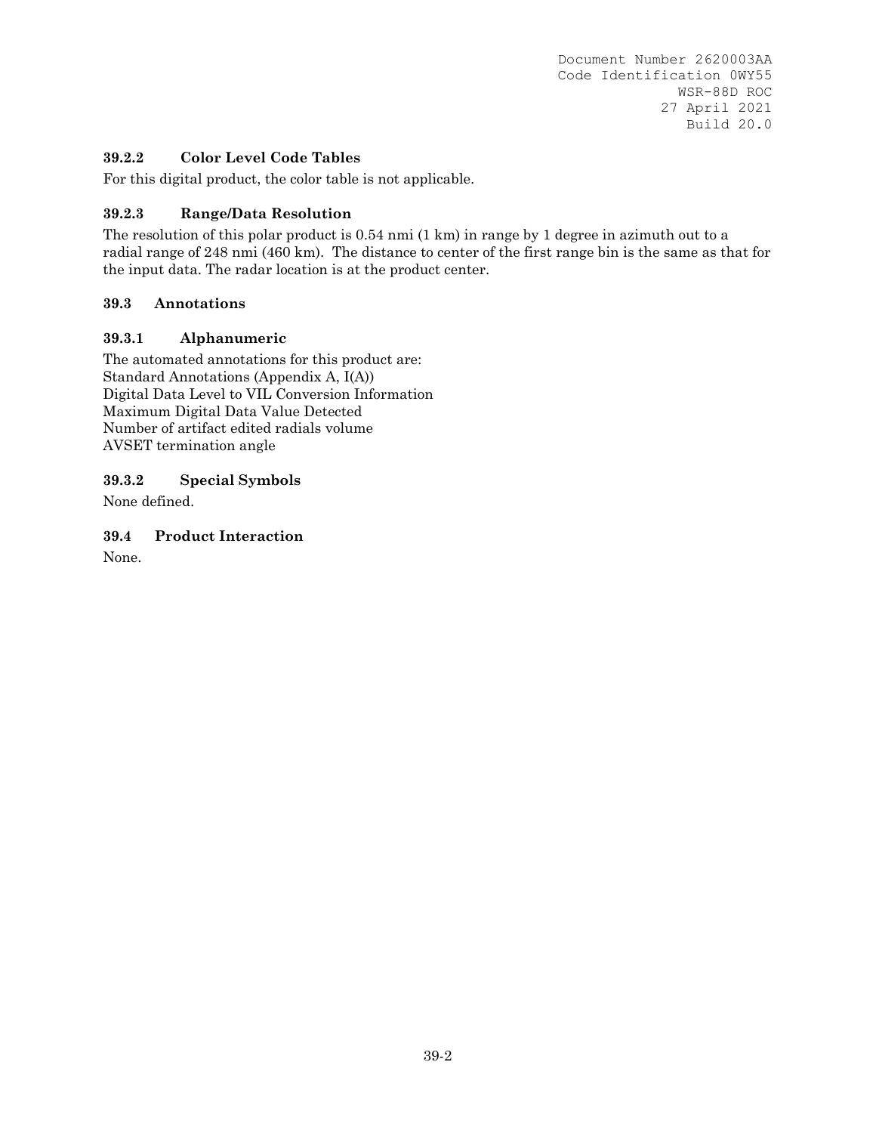# **39.2.2 Color Level Code Tables**

For this digital product, the color table is not applicable.

## **39.2.3 Range/Data Resolution**

The resolution of this polar product is 0.54 nmi (1 km) in range by 1 degree in azimuth out to a radial range of 248 nmi (460 km). The distance to center of the first range bin is the same as that for the input data. The radar location is at the product center.

## **39.3 Annotations**

# **39.3.1 Alphanumeric**

The automated annotations for this product are: Standard Annotations (Appendix A, I(A)) Digital Data Level to VIL Conversion Information Maximum Digital Data Value Detected Number of artifact edited radials volume AVSET termination angle

**39.3.2 Special Symbols** 

None defined.

**39.4 Product Interaction** 

None.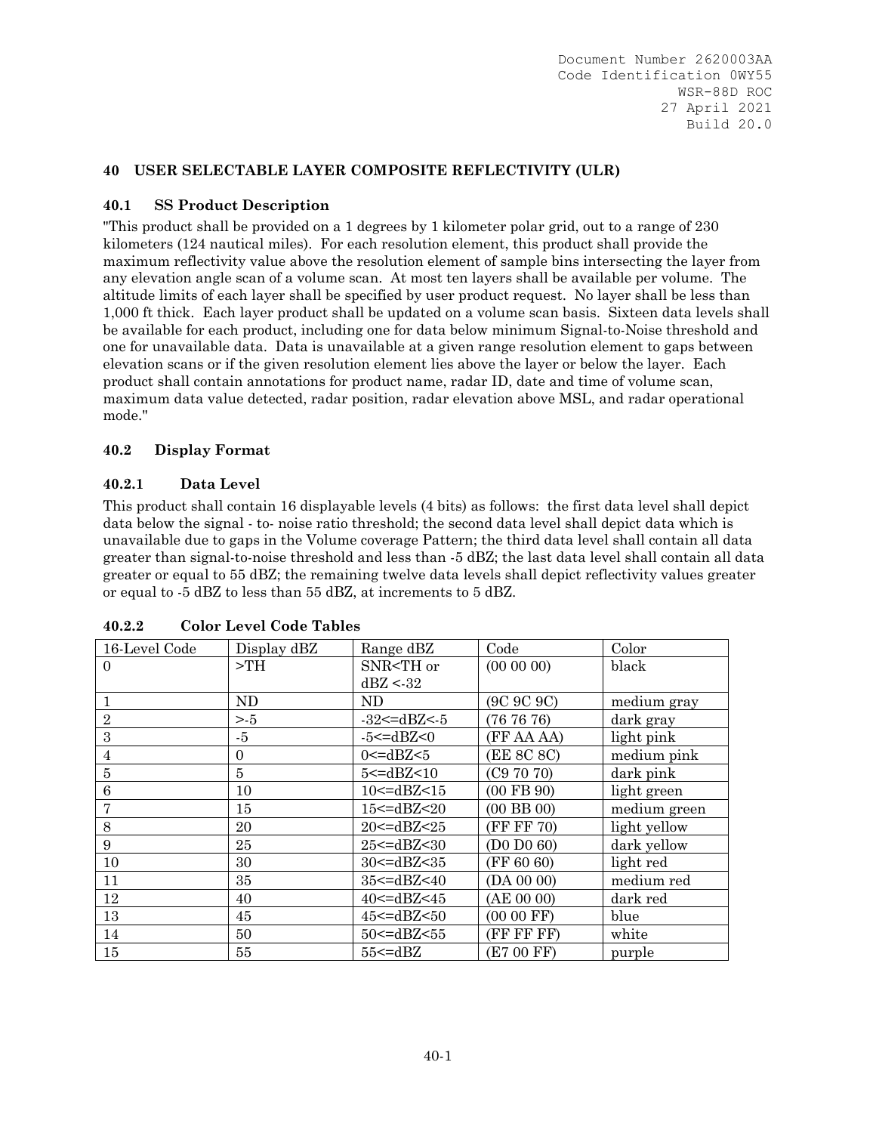## **40 USER SELECTABLE LAYER COMPOSITE REFLECTIVITY (ULR)**

## **40.1 SS Product Description**

"This product shall be provided on a 1 degrees by 1 kilometer polar grid, out to a range of 230 kilometers (124 nautical miles). For each resolution element, this product shall provide the maximum reflectivity value above the resolution element of sample bins intersecting the layer from any elevation angle scan of a volume scan. At most ten layers shall be available per volume. The altitude limits of each layer shall be specified by user product request. No layer shall be less than 1,000 ft thick. Each layer product shall be updated on a volume scan basis. Sixteen data levels shall be available for each product, including one for data below minimum Signal-to-Noise threshold and one for unavailable data. Data is unavailable at a given range resolution element to gaps between elevation scans or if the given resolution element lies above the layer or below the layer. Each product shall contain annotations for product name, radar ID, date and time of volume scan, maximum data value detected, radar position, radar elevation above MSL, and radar operational mode."

# **40.2 Display Format**

## **40.2.1 Data Level**

This product shall contain 16 displayable levels (4 bits) as follows: the first data level shall depict data below the signal - to- noise ratio threshold; the second data level shall depict data which is unavailable due to gaps in the Volume coverage Pattern; the third data level shall contain all data greater than signal-to-noise threshold and less than -5 dBZ; the last data level shall contain all data greater or equal to 55 dBZ; the remaining twelve data levels shall depict reflectivity values greater or equal to -5 dBZ to less than 55 dBZ, at increments to 5 dBZ.

| 16-Level Code    | Display dBZ | Range dBZ                                                                  | Code                                              | Color          |       |
|------------------|-------------|----------------------------------------------------------------------------|---------------------------------------------------|----------------|-------|
| $\Omega$         | >TH         | SNR <th or<="" td=""><td><math>(00\ 00\ 00)</math></td><td>black</td></th> | <td><math>(00\ 00\ 00)</math></td> <td>black</td> | $(00\ 00\ 00)$ | black |
|                  |             | dBZ < 32                                                                   |                                                   |                |       |
|                  | ND.         | ND.                                                                        | (9C 9C 9C)                                        | medium gray    |       |
| $\sqrt{2}$       | > 5         | $-32 < = dBZ < 5$                                                          | (767676)                                          | dark gray      |       |
| 3                | -5          | $-5 < = dBZ < 0$                                                           | (FF AA AA)                                        | light pink     |       |
| 4                | $\Omega$    | $0<=dBZ<5$                                                                 | (EE 8C 8C)                                        | medium pink    |       |
| 5                | 5           | 5 <= dBZ < 10                                                              | (C97070)                                          | dark pink      |       |
| $\boldsymbol{6}$ | 10          | $10$ <= dBZ < $15$                                                         | $(00$ FB $90)$                                    | light green    |       |
| 7                | 15          | $15$ <= dBZ < 20                                                           | $(00$ BB $00)$                                    | medium green   |       |
| 8                | 20          | 20 <= dBZ < 25                                                             | (FF FF 70)                                        | light yellow   |       |
| 9                | 25          | 25 <= dBZ < 30                                                             | (D0 D0 60)                                        | dark yellow    |       |
| 10               | 30          | $30 < = dBZ < 35$                                                          | (FF 60 60)                                        | light red      |       |
| 11               | 35          | $35 < = dBZ < 40$                                                          | (DA 00 00)                                        | medium red     |       |
| 12               | 40          | $40 \leq dBZ \leq 45$                                                      | (AE 00 00)                                        | dark red       |       |
| 13               | 45          | $45$ <= dBZ < $50$                                                         | $(0000$ FF)                                       | blue           |       |
| 14               | 50          | 50 <= dBZ < 55                                                             | (FF FF FF)                                        | white          |       |
| 15               | 55          | $55 \leq dBZ$                                                              | (E7 00 FF)                                        | purple         |       |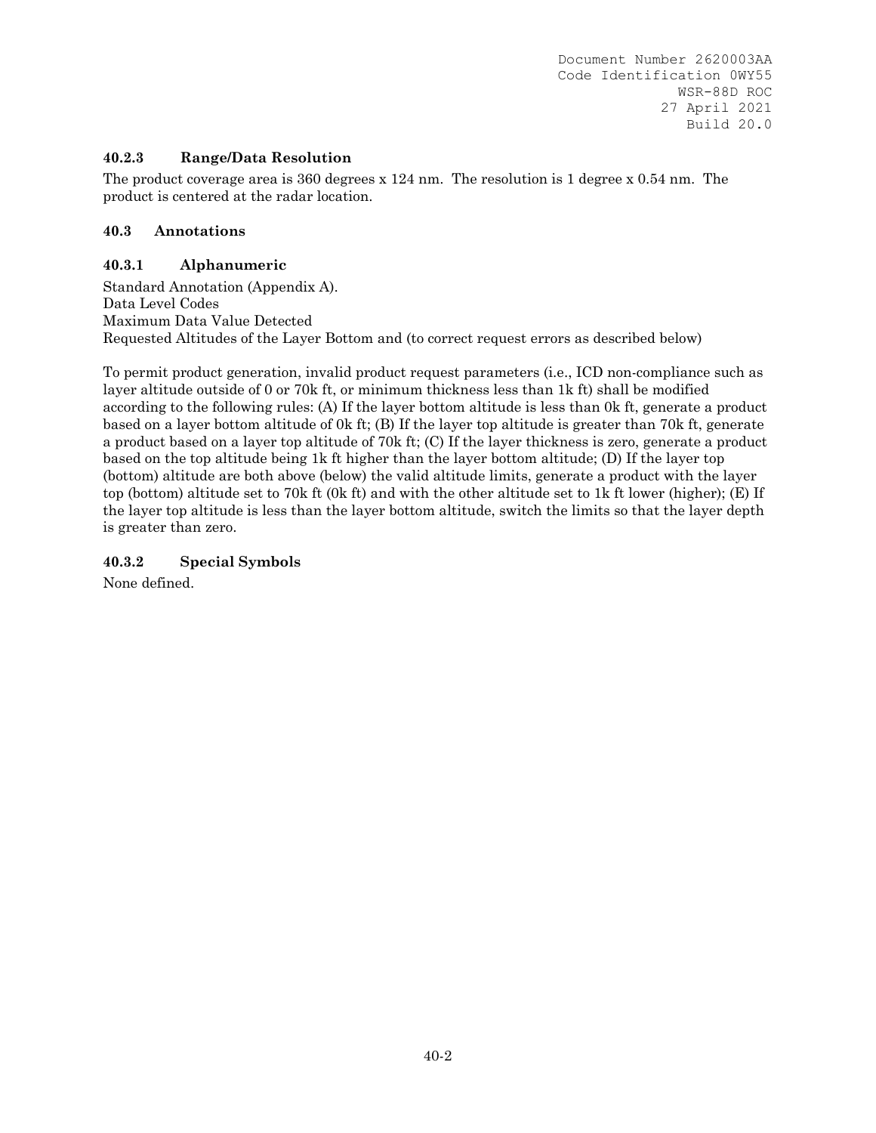## **40.2.3 Range/Data Resolution**

The product coverage area is 360 degrees x 124 nm. The resolution is 1 degree x 0.54 nm. The product is centered at the radar location.

## **40.3 Annotations**

## **40.3.1 Alphanumeric**

Standard Annotation (Appendix A). Data Level Codes Maximum Data Value Detected Requested Altitudes of the Layer Bottom and (to correct request errors as described below)

To permit product generation, invalid product request parameters (i.e., ICD non-compliance such as layer altitude outside of 0 or 70k ft, or minimum thickness less than 1k ft) shall be modified according to the following rules: (A) If the layer bottom altitude is less than 0k ft, generate a product based on a layer bottom altitude of 0k ft; (B) If the layer top altitude is greater than 70k ft, generate a product based on a layer top altitude of 70k ft; (C) If the layer thickness is zero, generate a product based on the top altitude being 1k ft higher than the layer bottom altitude; (D) If the layer top (bottom) altitude are both above (below) the valid altitude limits, generate a product with the layer top (bottom) altitude set to 70k ft (0k ft) and with the other altitude set to 1k ft lower (higher); (E) If the layer top altitude is less than the layer bottom altitude, switch the limits so that the layer depth is greater than zero.

## **40.3.2 Special Symbols**

None defined.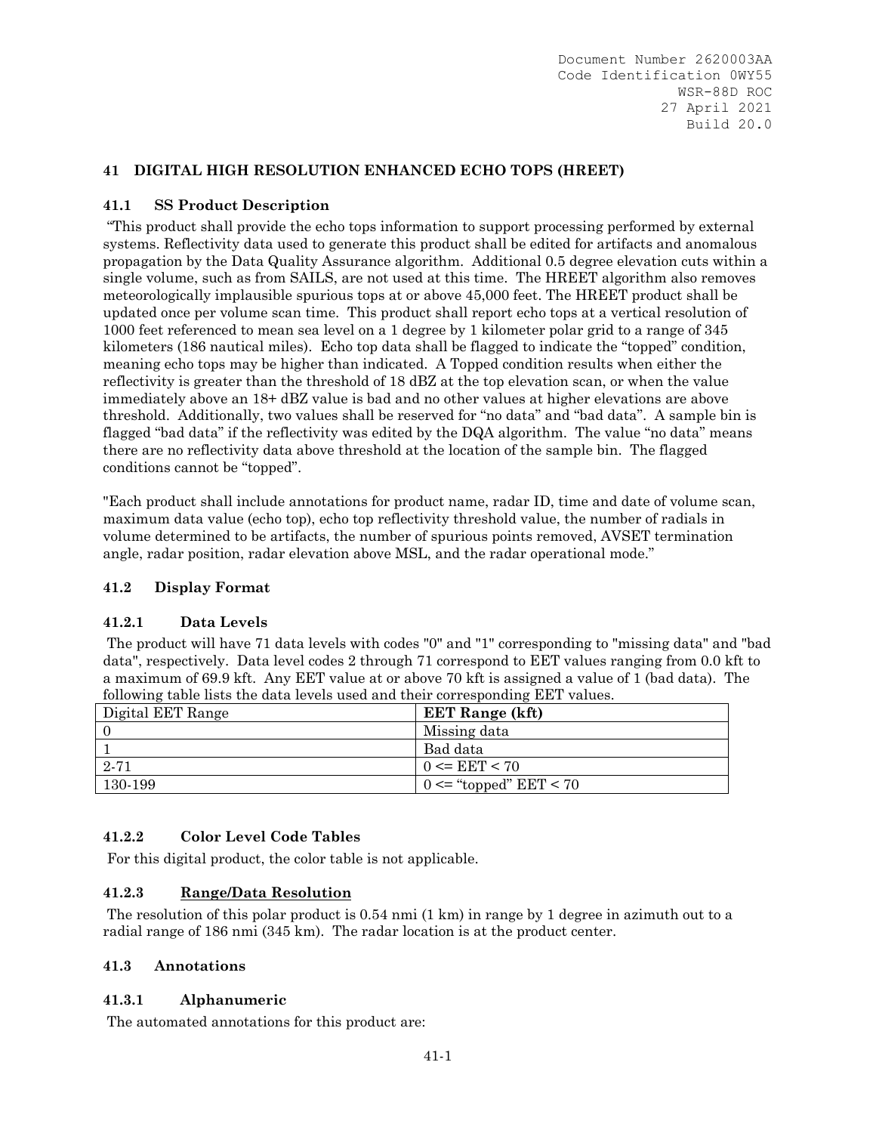## **41 DIGITAL HIGH RESOLUTION ENHANCED ECHO TOPS (HREET)**

### **41.1 SS Product Description**

 "This product shall provide the echo tops information to support processing performed by external systems. Reflectivity data used to generate this product shall be edited for artifacts and anomalous propagation by the Data Quality Assurance algorithm. Additional 0.5 degree elevation cuts within a single volume, such as from SAILS, are not used at this time. The HREET algorithm also removes meteorologically implausible spurious tops at or above 45,000 feet. The HREET product shall be updated once per volume scan time. This product shall report echo tops at a vertical resolution of 1000 feet referenced to mean sea level on a 1 degree by 1 kilometer polar grid to a range of 345 kilometers (186 nautical miles). Echo top data shall be flagged to indicate the "topped" condition, meaning echo tops may be higher than indicated. A Topped condition results when either the reflectivity is greater than the threshold of 18 dBZ at the top elevation scan, or when the value immediately above an 18+ dBZ value is bad and no other values at higher elevations are above threshold. Additionally, two values shall be reserved for "no data" and "bad data". A sample bin is flagged "bad data" if the reflectivity was edited by the DQA algorithm. The value "no data" means there are no reflectivity data above threshold at the location of the sample bin. The flagged conditions cannot be "topped".

"Each product shall include annotations for product name, radar ID, time and date of volume scan, maximum data value (echo top), echo top reflectivity threshold value, the number of radials in volume determined to be artifacts, the number of spurious points removed, AVSET termination angle, radar position, radar elevation above MSL, and the radar operational mode."

### **41.2 Display Format**

### **41.2.1 Data Levels**

 The product will have 71 data levels with codes "0" and "1" corresponding to "missing data" and "bad data", respectively. Data level codes 2 through 71 correspond to EET values ranging from 0.0 kft to a maximum of 69.9 kft. Any EET value at or above 70 kft is assigned a value of 1 (bad data). The following table lists the data levels used and their corresponding EET values.

| Digital EET Range | <b>EET Range (kft)</b>     |
|-------------------|----------------------------|
| ΙO                | Missing data               |
|                   | Bad data                   |
| 2.71              | $0 \leq EET \leq 70$       |
| 130-199           | $0 \leq$ "topped" EET < 70 |

# **41.2.2 Color Level Code Tables**

For this digital product, the color table is not applicable.

### **41.2.3 Range/Data Resolution**

 The resolution of this polar product is 0.54 nmi (1 km) in range by 1 degree in azimuth out to a radial range of 186 nmi (345 km). The radar location is at the product center.

### **41.3 Annotations**

### **41.3.1 Alphanumeric**

The automated annotations for this product are: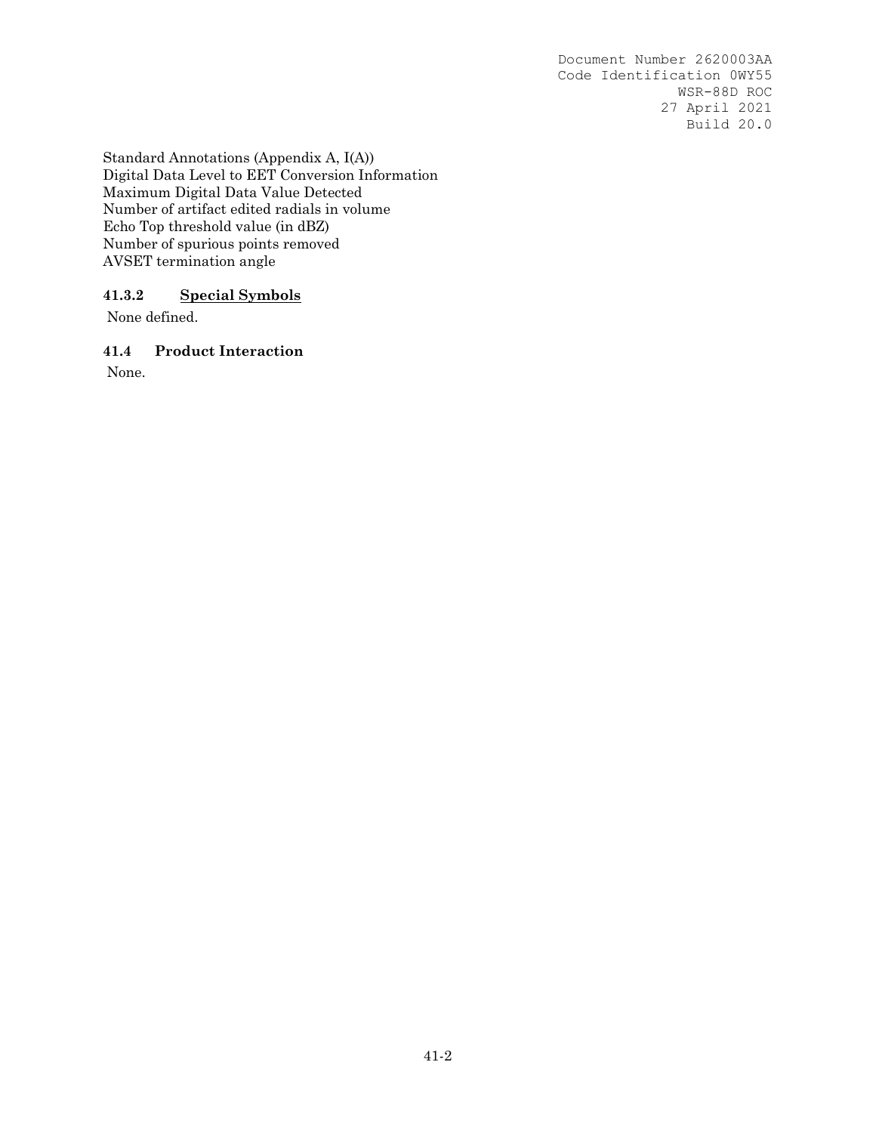Standard Annotations (Appendix A, I(A)) Digital Data Level to EET Conversion Information Maximum Digital Data Value Detected Number of artifact edited radials in volume Echo Top threshold value (in dBZ) Number of spurious points removed AVSET termination angle

## **41.3.2 Special Symbols**

None defined.

#### **41.4 Product Interaction**

None.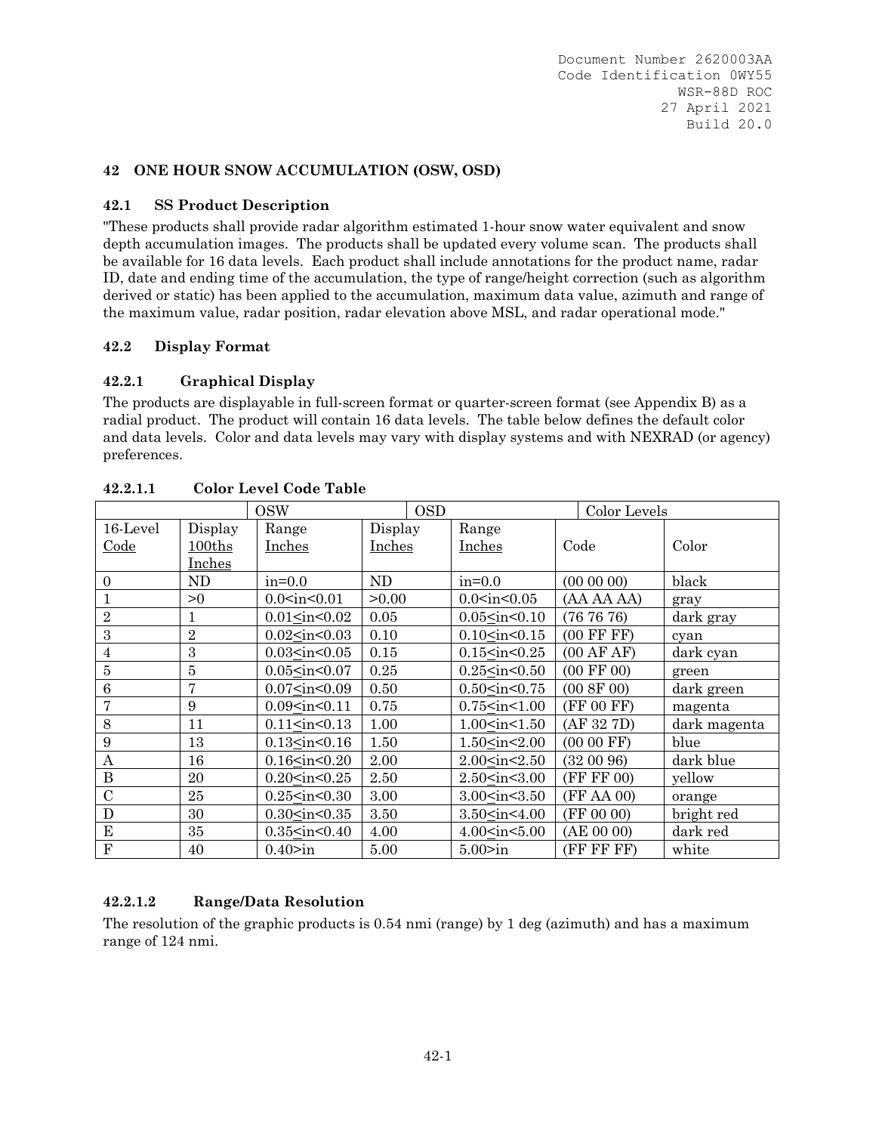#### **42 ONE HOUR SNOW ACCUMULATION (OSW, OSD)**

#### **42.1 SS Product Description**

"These products shall provide radar algorithm estimated 1-hour snow water equivalent and snow depth accumulation images. The products shall be updated every volume scan. The products shall be available for 16 data levels. Each product shall include annotations for the product name, radar ID, date and ending time of the accumulation, the type of range/height correction (such as algorithm derived or static) has been applied to the accumulation, maximum data value, azimuth and range of the maximum value, radar position, radar elevation above MSL, and radar operational mode."

#### **42.2 Display Format**

### **42.2.1 Graphical Display**

The products are displayable in full-screen format or quarter-screen format (see Appendix B) as a radial product. The product will contain 16 data levels. The table below defines the default color and data levels. Color and data levels may vary with display systems and with NEXRAD (or agency) preferences.

|                         |                | <b>OSW</b>                                                                                                                                 |               | <b>OSD</b> |                                                                                   |      | Color Levels          |              |
|-------------------------|----------------|--------------------------------------------------------------------------------------------------------------------------------------------|---------------|------------|-----------------------------------------------------------------------------------|------|-----------------------|--------------|
| 16-Level                | Display        | Range                                                                                                                                      | Display       |            | Range                                                                             |      |                       |              |
| <u>Code</u>             | 100ths         | Inches                                                                                                                                     | <u>Inches</u> |            | Inches                                                                            | Code |                       | Color        |
|                         | Inches         |                                                                                                                                            |               |            |                                                                                   |      |                       |              |
| $\mathbf{0}$            | ND             | $in=0.0$                                                                                                                                   | ND            |            | $in=0.0$                                                                          |      | (000000)              | black        |
|                         | >0             | $0.0<$ in $<$ 0.01                                                                                                                         | >0.00         |            | $0.0<$ in $<$ 0.05                                                                |      | (AA AA AA)            | gray         |
| $\overline{2}$          | 1              | $0.01<$ in $<$ 0.02                                                                                                                        | 0.05          |            | $0.05<$ in $<$ 0.10                                                               |      | (767676)              | dark gray    |
| 3                       | $\sqrt{2}$     | $0.02$ sin < 0.03                                                                                                                          | 0.10          |            | $0.10<$ in< $0.15$                                                                |      | $(00$ FF FF $)$       | cyan         |
| 4                       | 3              | $0.03<$ in< $0.05$                                                                                                                         | 0.15          |            | $0.15$ <in <0.25<="" td=""><td></td><td>(00 AFAF)</td><td>dark cyan</td></in>     |      | (00 AFAF)             | dark cyan    |
| 5                       | $\overline{5}$ | $0.05<$ in< $0.07$                                                                                                                         | 0.25          |            | $0.25$ <in <="" <math="">0.50</in>                                                |      | $(00 \text{ FF } 00)$ | green        |
| $\,6$                   | 7              | 0.07 <sub>in</sub> <0.09                                                                                                                   | 0.50          |            | $0.50<$ in $<$ 0.75                                                               |      | (00 8F 00)            | dark green   |
|                         | 9              | 0.09 <sub>sin</sub> <0.11                                                                                                                  | 0.75          |            | $0.75$ <in 1.00<="" <="" td=""><td></td><td>(FF 00 FF)</td><td>magenta</td></in>  |      | (FF 00 FF)            | magenta      |
| 8                       | 11             | 0.11 <sub>sin</sub> <0.13                                                                                                                  | 1.00          |            | 1.00 <in<1.50< td=""><td></td><td>(AF 32 7D)</td><td>dark magenta</td></in<1.50<> |      | (AF 32 7D)            | dark magenta |
| 9                       | 13             | $0.13$ sin<br>$0.16$                                                                                                                       | 1.50          |            | $1.50 \leq in \leq 2.00$                                                          |      | $(0000$ FF)           | blue         |
| $\mathbf{A}$            | 16             | $0.16$ <in <0.20<="" td=""><td>2.00</td><td></td><td>2.00<in<2.50< td=""><td></td><td>(320096)</td><td>dark blue</td></in<2.50<></td></in> | 2.00          |            | 2.00 <in<2.50< td=""><td></td><td>(320096)</td><td>dark blue</td></in<2.50<>      |      | (320096)              | dark blue    |
| B                       | 20             | $0.20<$ in< $0.25$                                                                                                                         | 2.50          |            | 2.50 <in<3.00< td=""><td></td><td>(FF FF 00)</td><td>yellow</td></in<3.00<>       |      | (FF FF 00)            | yellow       |
| $\overline{C}$          | 25             | $0.25$ <in <0.30<="" td=""><td>3.00</td><td></td><td>3.00<sub>sin</sub>&lt;3.50</td><td></td><td>(FF AA 00)</td><td>orange</td></in>       | 3.00          |            | 3.00 <sub>sin</sub> <3.50                                                         |      | (FF AA 00)            | orange       |
| D                       | 30             | $0.30<$ in $<$ 0.35                                                                                                                        | 3.50          |            | 3.50 <in<4.00< td=""><td></td><td>(FF 00 00)</td><td>bright red</td></in<4.00<>   |      | (FF 00 00)            | bright red   |
| E                       | 35             | $0.35 \leq in < 0.40$                                                                                                                      | 4.00          |            | 4.00 <sub>sin</sub> <5.00                                                         |      | (AE 00 00)            | dark red     |
| $\overline{\mathrm{F}}$ | 40             | 0.40>in                                                                                                                                    | 5.00          |            | 5.00>in                                                                           |      | (FF FF FF)            | white        |

**42.2.1.1 Color Level Code Table** 

### **42.2.1.2 Range/Data Resolution**

The resolution of the graphic products is 0.54 nmi (range) by 1 deg (azimuth) and has a maximum range of 124 nmi.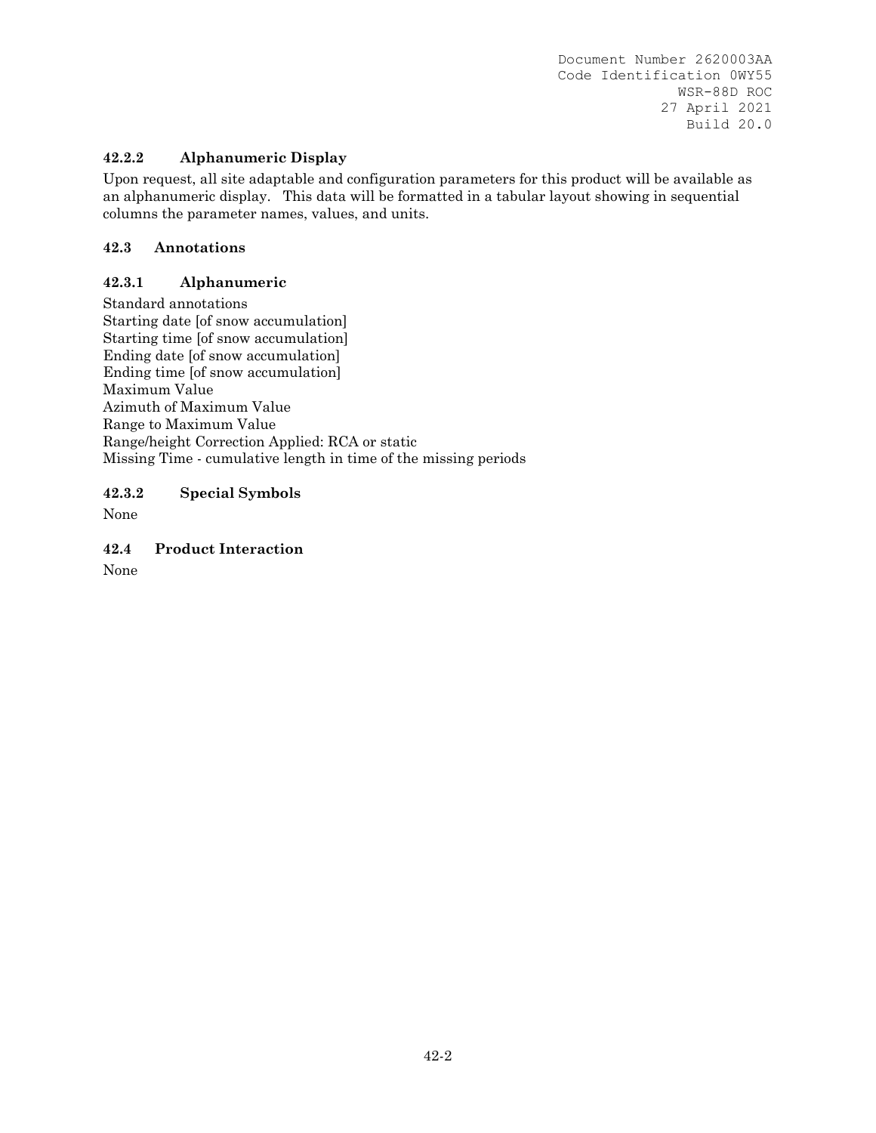## **42.2.2 Alphanumeric Display**

Upon request, all site adaptable and configuration parameters for this product will be available as an alphanumeric display. This data will be formatted in a tabular layout showing in sequential columns the parameter names, values, and units.

## **42.3 Annotations**

## **42.3.1 Alphanumeric**

Standard annotations Starting date [of snow accumulation] Starting time [of snow accumulation] Ending date [of snow accumulation] Ending time [of snow accumulation] Maximum Value Azimuth of Maximum Value Range to Maximum Value Range/height Correction Applied: RCA or static Missing Time - cumulative length in time of the missing periods

**42.3.2 Special Symbols** 

None

**42.4 Product Interaction** 

None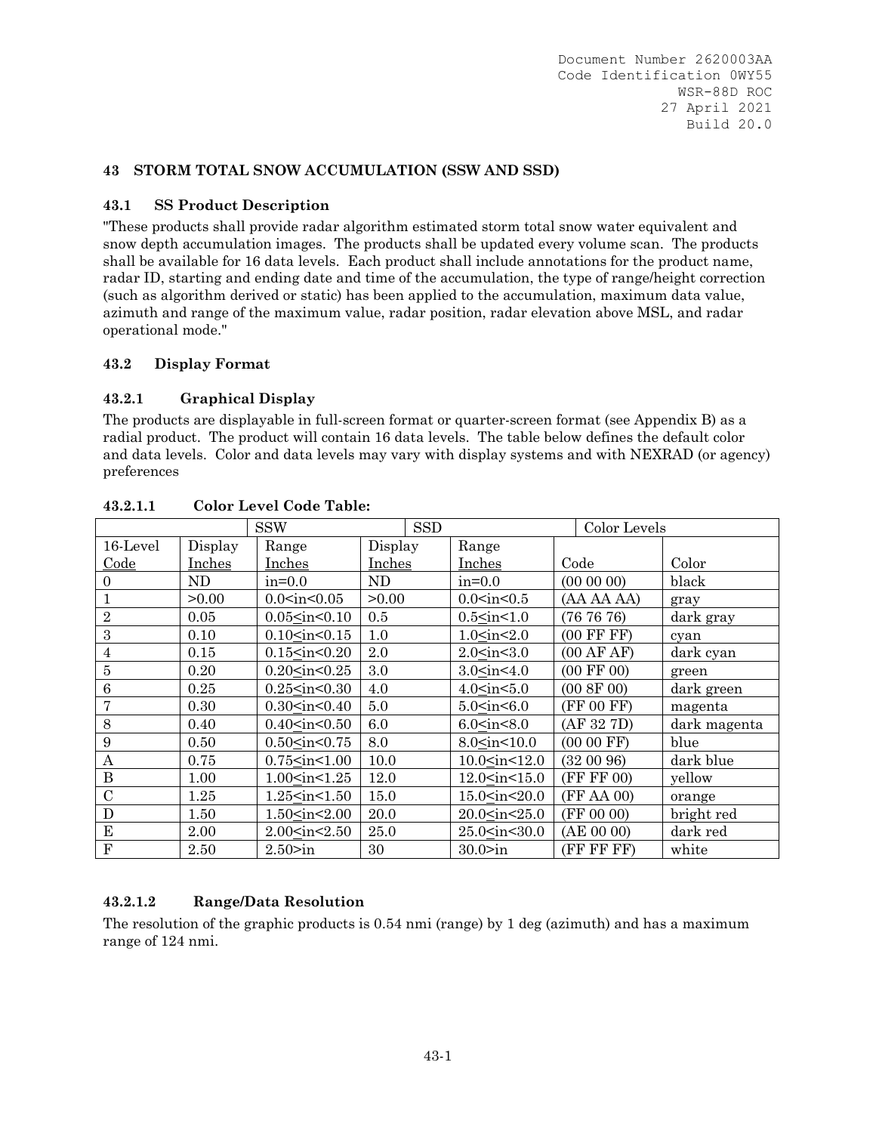## **43 STORM TOTAL SNOW ACCUMULATION (SSW AND SSD)**

### **43.1 SS Product Description**

"These products shall provide radar algorithm estimated storm total snow water equivalent and snow depth accumulation images. The products shall be updated every volume scan. The products shall be available for 16 data levels. Each product shall include annotations for the product name, radar ID, starting and ending date and time of the accumulation, the type of range/height correction (such as algorithm derived or static) has been applied to the accumulation, maximum data value, azimuth and range of the maximum value, radar position, radar elevation above MSL, and radar operational mode."

#### **43.2 Display Format**

## **43.2.1 Graphical Display**

The products are displayable in full-screen format or quarter-screen format (see Appendix B) as a radial product. The product will contain 16 data levels. The table below defines the default color and data levels. Color and data levels may vary with display systems and with NEXRAD (or agency) preferences

|                |         | <b>SSW</b>                                                                                                                    | <b>SSD</b> |                                                                        | Color Levels          |              |
|----------------|---------|-------------------------------------------------------------------------------------------------------------------------------|------------|------------------------------------------------------------------------|-----------------------|--------------|
| 16-Level       | Display | Range                                                                                                                         | Display    | Range                                                                  |                       |              |
| Code           | Inches  | Inches                                                                                                                        | Inches     | Inches                                                                 | Code                  | Color        |
| $\theta$       | ND      | $in=0.0$                                                                                                                      | ND         | $in=0.0$                                                               | (000000)              | black        |
| 1              | >0.00   | $0.0<$ in $<$ 0.05                                                                                                            | >0.00      | 0.0 <sub>in</sub> <0.5                                                 | (AA AA AA)            | gray         |
| $\overline{2}$ | 0.05    | $0.05 \times in \leq 0.10$                                                                                                    | 0.5        | $0.5<$ in $<$ 1.0                                                      | (767676)              | dark gray    |
| 3              | 0.10    | $0.10<$ in< $0.15$                                                                                                            | 1.0        | 1.0 <sub>in</sub> <2.0                                                 | $(00$ FF FF $)$       | cyan         |
| 4              | 0.15    | $0.15$ <in <="" <math="">0.20</in>                                                                                            | 2.0        | 2.0 <sub>in</sub> <3.0                                                 | (00 AFAF)             | dark cyan    |
| 5              | 0.20    | $0.20$ <in <="" <math="">0.25</in>                                                                                            | 3.0        | 3.0 <sub>in</sub> <4.0                                                 | $(00 \text{ FF } 00)$ | green        |
| 6              | 0.25    | $0.25$ <in 0.30<="" <="" td=""><td>4.0</td><td>4.0<sub>sin</sub>&lt;5.0</td><td>(00 8F 00)</td><td>dark green</td></in>       | 4.0        | 4.0 <sub>sin</sub> <5.0                                                | (00 8F 00)            | dark green   |
| 7              | 0.30    | $0.30<$ in $<$ 0.40                                                                                                           | 5.0        | $5.0<$ in $<$ 6.0                                                      | (FF 00 FF)            | magenta      |
| 8              | 0.40    | $0.40<$ in< $0.50$                                                                                                            | 6.0        | 6.0 <sub>in</sub> <8.0                                                 | (AF 32 7D)            | dark magenta |
| 9              | 0.50    | $0.50 \leq in < 0.75$                                                                                                         | 8.0        | 8.0 <sub>sin</sub> <10.0                                               | $(0000$ FF)           | blue         |
| A              | 0.75    | $0.75$ sin $< 1.00$                                                                                                           | 10.0       | $10.0$ sin st $12.0$                                                   | (320096)              | dark blue    |
| $\, {\bf B}$   | 1.00    | 1.00 <in<1.25< td=""><td>12.0</td><td>12.0<in<15.0< td=""><td>(FF FF 00)</td><td>yellow</td></in<15.0<></td></in<1.25<>       | 12.0       | 12.0 <in<15.0< td=""><td>(FF FF 00)</td><td>yellow</td></in<15.0<>     | (FF FF 00)            | yellow       |
| $\mathcal{C}$  | 1.25    | $1.25$ <in <1.50<="" td=""><td>15.0</td><td>15.0<in<20.0< td=""><td>(FF AA 00)</td><td>orange</td></in<20.0<></td></in>       | 15.0       | 15.0 <in<20.0< td=""><td>(FF AA 00)</td><td>orange</td></in<20.0<>     | (FF AA 00)            | orange       |
| D              | 1.50    | 1.50 <in<2.00< td=""><td>20.0</td><td>20.0<in<25.0< td=""><td>(FF 00 00)</td><td>bright red</td></in<25.0<></td></in<2.00<>   | 20.0       | 20.0 <in<25.0< td=""><td>(FF 00 00)</td><td>bright red</td></in<25.0<> | (FF 00 00)            | bright red   |
| E              | 2.00    | 2.00 <in<2.50< td=""><td>25.0</td><td><math>25.0 \leq in &lt; 30.0</math></td><td>(AE 00 00)</td><td>dark red</td></in<2.50<> | 25.0       | $25.0 \leq in < 30.0$                                                  | (AE 00 00)            | dark red     |
| ${\bf F}$      | 2.50    | 2.50>in                                                                                                                       | 30         | 30.0>in                                                                | (FF FF FF)            | white        |

### **43.2.1.1 Color Level Code Table:**

# **43.2.1.2 Range/Data Resolution**

The resolution of the graphic products is 0.54 nmi (range) by 1 deg (azimuth) and has a maximum range of 124 nmi.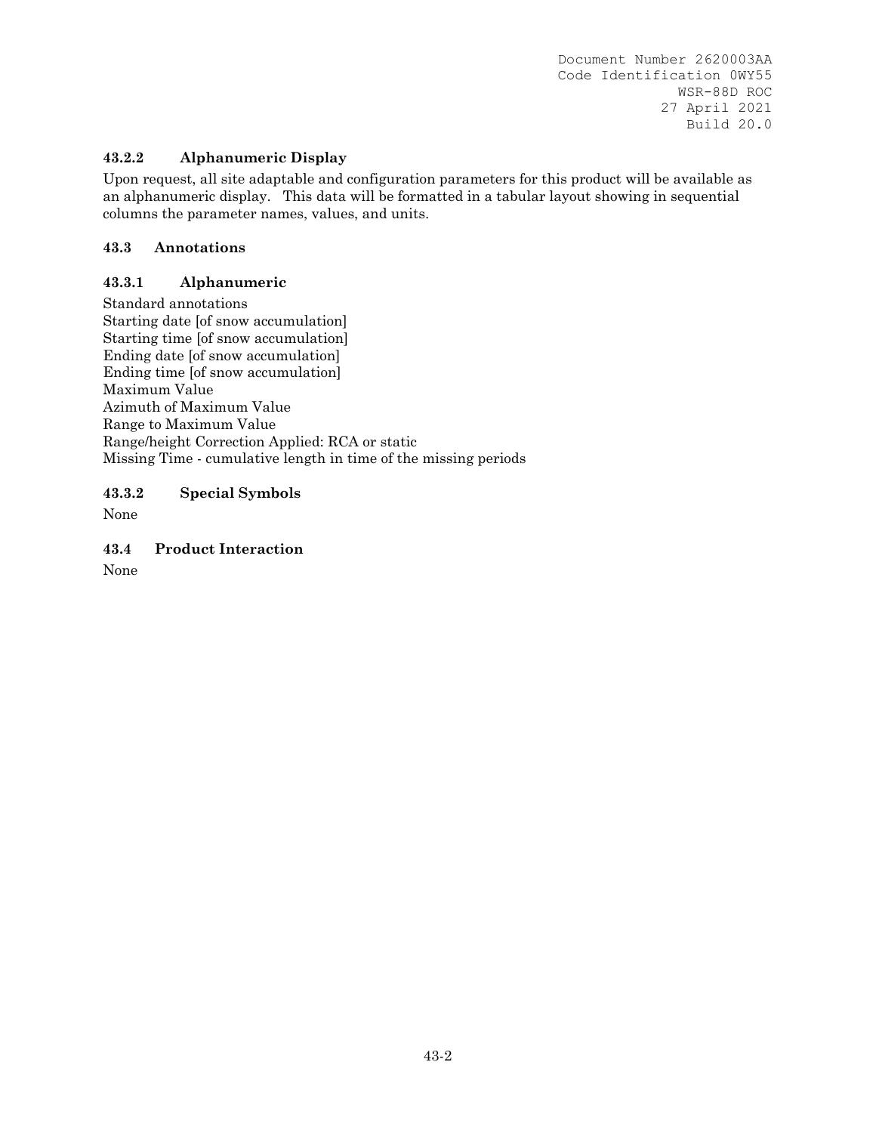## **43.2.2 Alphanumeric Display**

Upon request, all site adaptable and configuration parameters for this product will be available as an alphanumeric display. This data will be formatted in a tabular layout showing in sequential columns the parameter names, values, and units.

### **43.3 Annotations**

### **43.3.1 Alphanumeric**

Standard annotations Starting date [of snow accumulation] Starting time [of snow accumulation] Ending date [of snow accumulation] Ending time [of snow accumulation] Maximum Value Azimuth of Maximum Value Range to Maximum Value Range/height Correction Applied: RCA or static Missing Time - cumulative length in time of the missing periods

**43.3.2 Special Symbols** 

None

**43.4 Product Interaction** 

None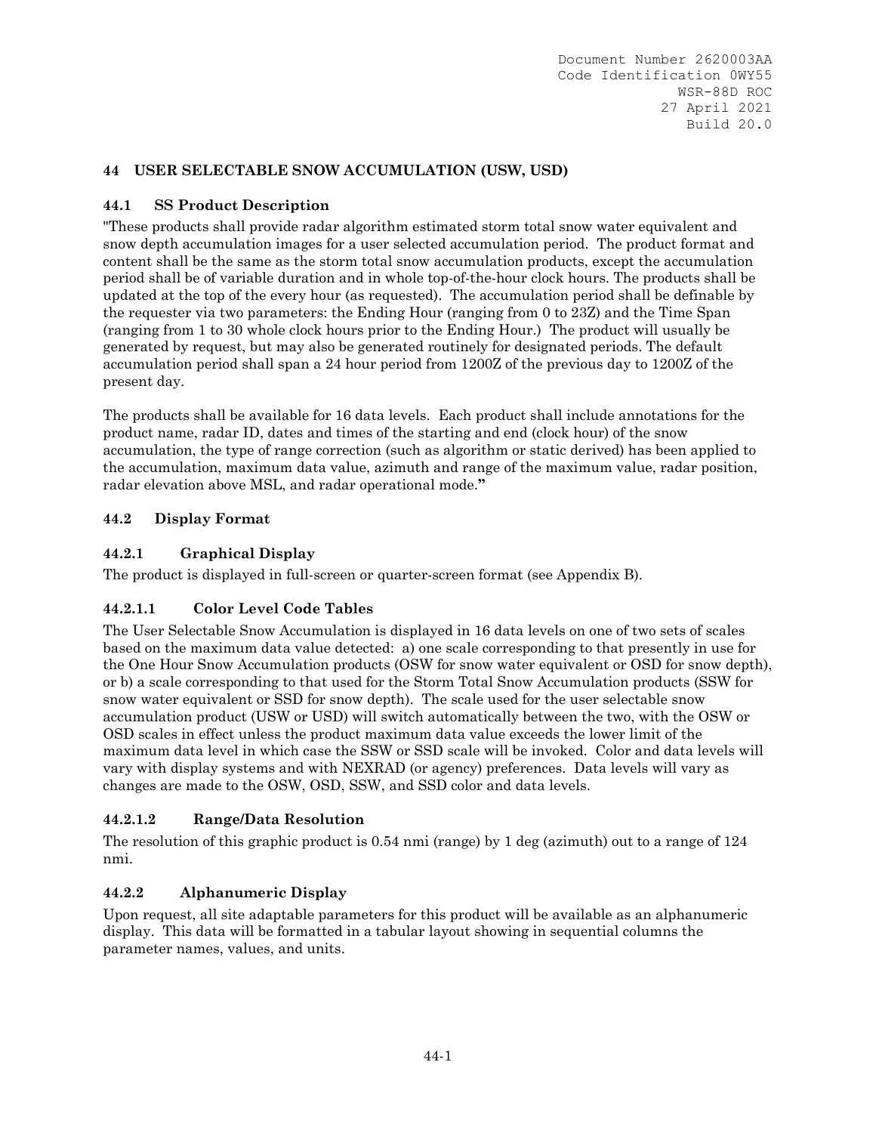# **44 USER SELECTABLE SNOW ACCUMULATION (USW, USD)**

## **44.1 SS Product Description**

"These products shall provide radar algorithm estimated storm total snow water equivalent and snow depth accumulation images for a user selected accumulation period. The product format and content shall be the same as the storm total snow accumulation products, except the accumulation period shall be of variable duration and in whole top-of-the-hour clock hours. The products shall be updated at the top of the every hour (as requested). The accumulation period shall be definable by the requester via two parameters: the Ending Hour (ranging from 0 to 23Z) and the Time Span (ranging from 1 to 30 whole clock hours prior to the Ending Hour.) The product will usually be generated by request, but may also be generated routinely for designated periods. The default accumulation period shall span a 24 hour period from 1200Z of the previous day to 1200Z of the present day.

The products shall be available for 16 data levels. Each product shall include annotations for the product name, radar ID, dates and times of the starting and end (clock hour) of the snow accumulation, the type of range correction (such as algorithm or static derived) has been applied to the accumulation, maximum data value, azimuth and range of the maximum value, radar position, radar elevation above MSL, and radar operational mode.**"**

## **44.2 Display Format**

## **44.2.1 Graphical Display**

The product is displayed in full-screen or quarter-screen format (see Appendix B).

# **44.2.1.1 Color Level Code Tables**

The User Selectable Snow Accumulation is displayed in 16 data levels on one of two sets of scales based on the maximum data value detected: a) one scale corresponding to that presently in use for the One Hour Snow Accumulation products (OSW for snow water equivalent or OSD for snow depth), or b) a scale corresponding to that used for the Storm Total Snow Accumulation products (SSW for snow water equivalent or SSD for snow depth). The scale used for the user selectable snow accumulation product (USW or USD) will switch automatically between the two, with the OSW or OSD scales in effect unless the product maximum data value exceeds the lower limit of the maximum data level in which case the SSW or SSD scale will be invoked. Color and data levels will vary with display systems and with NEXRAD (or agency) preferences. Data levels will vary as changes are made to the OSW, OSD, SSW, and SSD color and data levels.

### **44.2.1.2 Range/Data Resolution**

The resolution of this graphic product is 0.54 nmi (range) by 1 deg (azimuth) out to a range of 124 nmi.

### **44.2.2 Alphanumeric Display**

Upon request, all site adaptable parameters for this product will be available as an alphanumeric display. This data will be formatted in a tabular layout showing in sequential columns the parameter names, values, and units.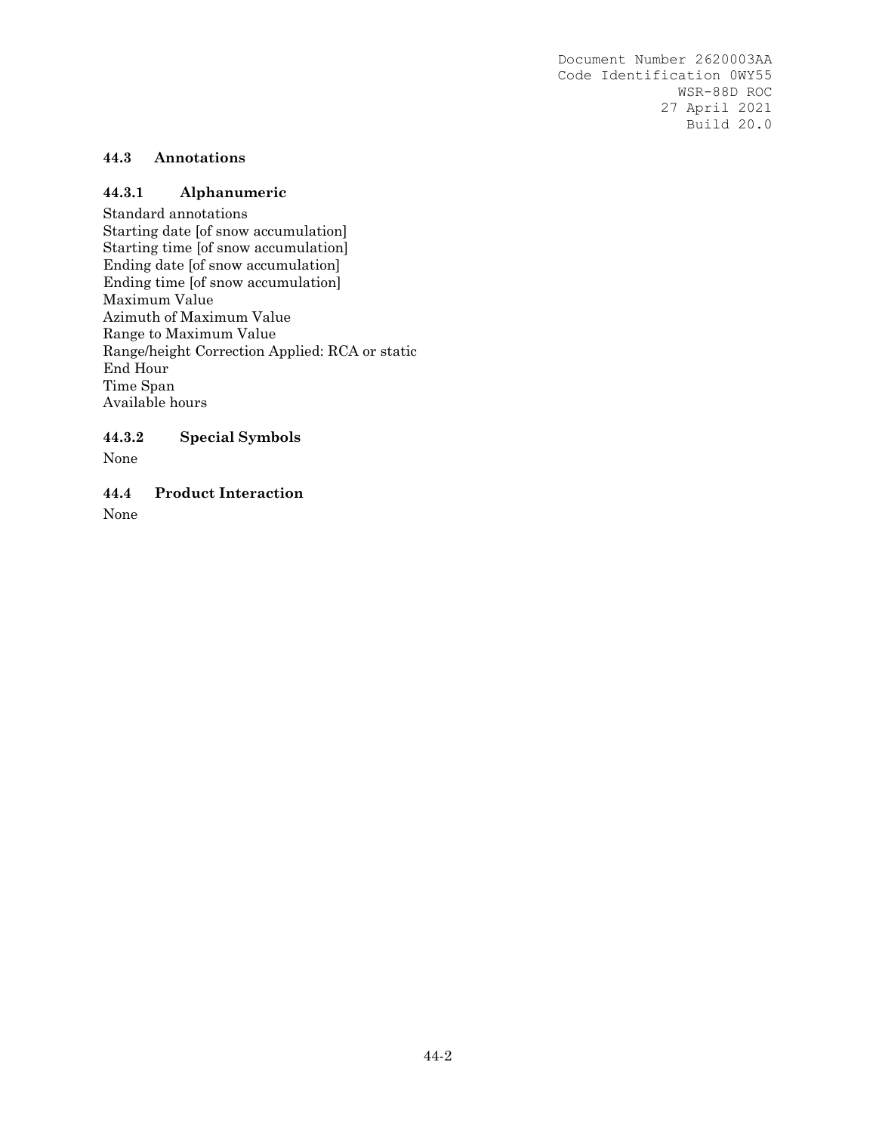## **44.3 Annotations**

#### **44.3.1 Alphanumeric**

Standard annotations Starting date [of snow accumulation] Starting time [of snow accumulation] Ending date [of snow accumulation] Ending time [of snow accumulation] Maximum Value Azimuth of Maximum Value Range to Maximum Value Range/height Correction Applied: RCA or static End Hour Time Span Available hours

#### **44.3.2 Special Symbols**

None

**44.4 Product Interaction** 

None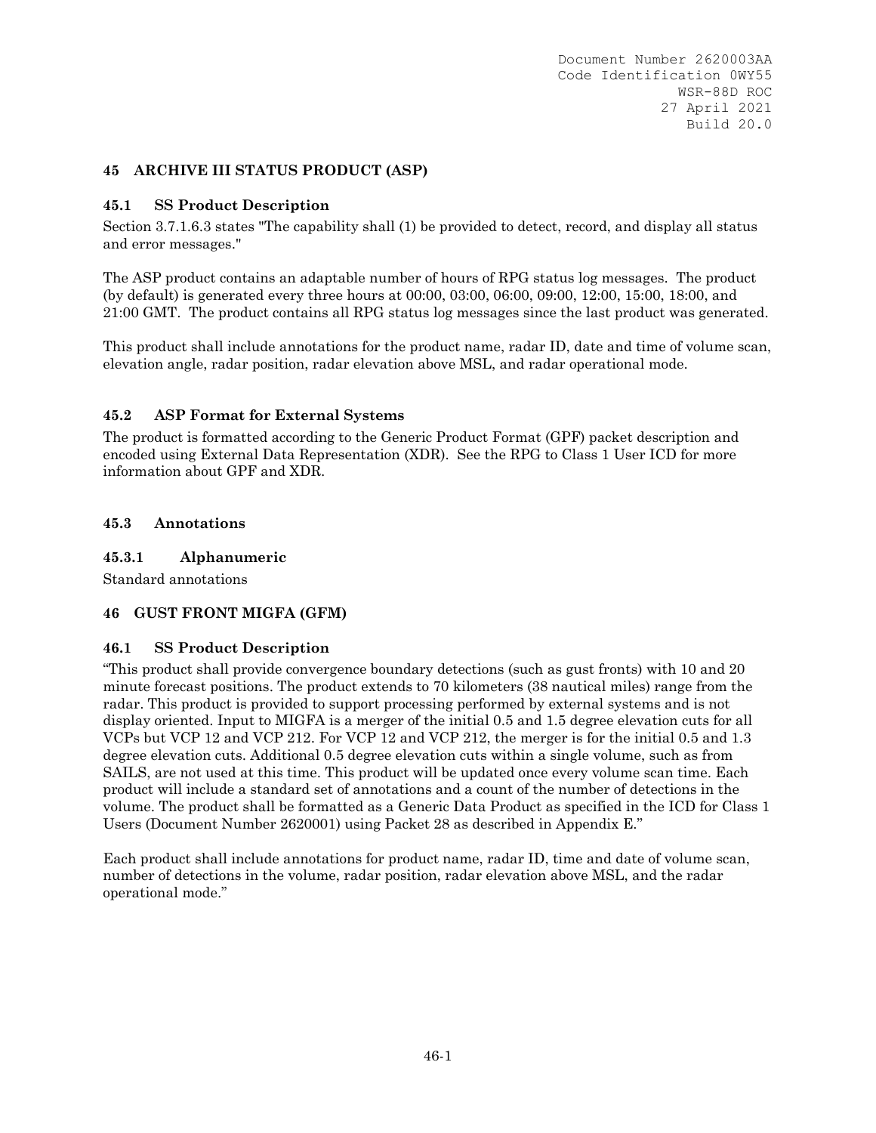### **45 ARCHIVE III STATUS PRODUCT (ASP)**

#### **45.1 SS Product Description**

Section 3.7.1.6.3 states "The capability shall (1) be provided to detect, record, and display all status and error messages."

The ASP product contains an adaptable number of hours of RPG status log messages. The product (by default) is generated every three hours at 00:00, 03:00, 06:00, 09:00, 12:00, 15:00, 18:00, and 21:00 GMT. The product contains all RPG status log messages since the last product was generated.

This product shall include annotations for the product name, radar ID, date and time of volume scan, elevation angle, radar position, radar elevation above MSL, and radar operational mode.

#### **45.2 ASP Format for External Systems**

The product is formatted according to the Generic Product Format (GPF) packet description and encoded using External Data Representation (XDR). See the RPG to Class 1 User ICD for more information about GPF and XDR.

#### **45.3 Annotations**

#### **45.3.1 Alphanumeric**

Standard annotations

#### **46 GUST FRONT MIGFA (GFM)**

#### **46.1 SS Product Description**

"This product shall provide convergence boundary detections (such as gust fronts) with 10 and 20 minute forecast positions. The product extends to 70 kilometers (38 nautical miles) range from the radar. This product is provided to support processing performed by external systems and is not display oriented. Input to MIGFA is a merger of the initial 0.5 and 1.5 degree elevation cuts for all VCPs but VCP 12 and VCP 212. For VCP 12 and VCP 212, the merger is for the initial 0.5 and 1.3 degree elevation cuts. Additional 0.5 degree elevation cuts within a single volume, such as from SAILS, are not used at this time. This product will be updated once every volume scan time. Each product will include a standard set of annotations and a count of the number of detections in the volume. The product shall be formatted as a Generic Data Product as specified in the ICD for Class 1 Users (Document Number 2620001) using Packet 28 as described in Appendix E."

Each product shall include annotations for product name, radar ID, time and date of volume scan, number of detections in the volume, radar position, radar elevation above MSL, and the radar operational mode."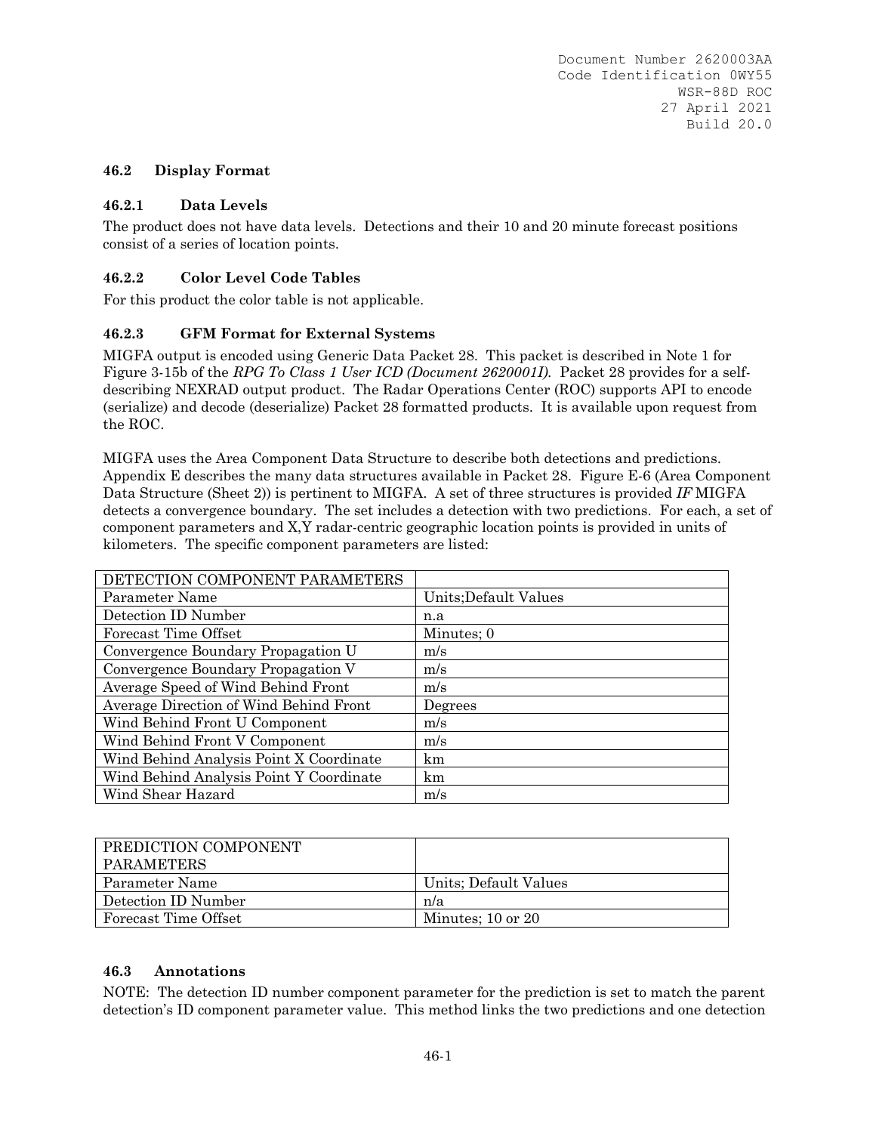#### **46.2 Display Format**

#### **46.2.1 Data Levels**

The product does not have data levels. Detections and their 10 and 20 minute forecast positions consist of a series of location points.

#### **46.2.2 Color Level Code Tables**

For this product the color table is not applicable.

#### **46.2.3 GFM Format for External Systems**

MIGFA output is encoded using Generic Data Packet 28. This packet is described in Note 1 for Figure 3-15b of the *RPG To Class 1 User ICD (Document 2620001I).* Packet 28 provides for a selfdescribing NEXRAD output product. The Radar Operations Center (ROC) supports API to encode (serialize) and decode (deserialize) Packet 28 formatted products. It is available upon request from the ROC.

MIGFA uses the Area Component Data Structure to describe both detections and predictions. Appendix E describes the many data structures available in Packet 28. Figure E-6 (Area Component Data Structure (Sheet 2)) is pertinent to MIGFA. A set of three structures is provided *IF* MIGFA detects a convergence boundary. The set includes a detection with two predictions. For each, a set of component parameters and X,Y radar-centric geographic location points is provided in units of kilometers. The specific component parameters are listed:

| DETECTION COMPONENT PARAMETERS          |                       |
|-----------------------------------------|-----------------------|
| Parameter Name                          | Units; Default Values |
| Detection ID Number                     | n.a                   |
| Forecast Time Offset                    | Minutes; 0            |
| Convergence Boundary Propagation U      | m/s                   |
| Convergence Boundary Propagation V      | m/s                   |
| Average Speed of Wind Behind Front      | m/s                   |
| Average Direction of Wind Behind Front  | Degrees               |
| Wind Behind Front U Component           | m/s                   |
| Wind Behind Front V Component           | m/s                   |
| Wind Behind Analysis Point X Coordinate | km                    |
| Wind Behind Analysis Point Y Coordinate | km                    |
| Wind Shear Hazard                       | m/s                   |

| PREDICTION COMPONENT<br>PARAMETERS |                       |
|------------------------------------|-----------------------|
| Parameter Name                     | Units; Default Values |
| Detection ID Number                | n/a                   |
| Forecast Time Offset               | Minutes: $10$ or $20$ |

#### **46.3 Annotations**

NOTE: The detection ID number component parameter for the prediction is set to match the parent detection's ID component parameter value. This method links the two predictions and one detection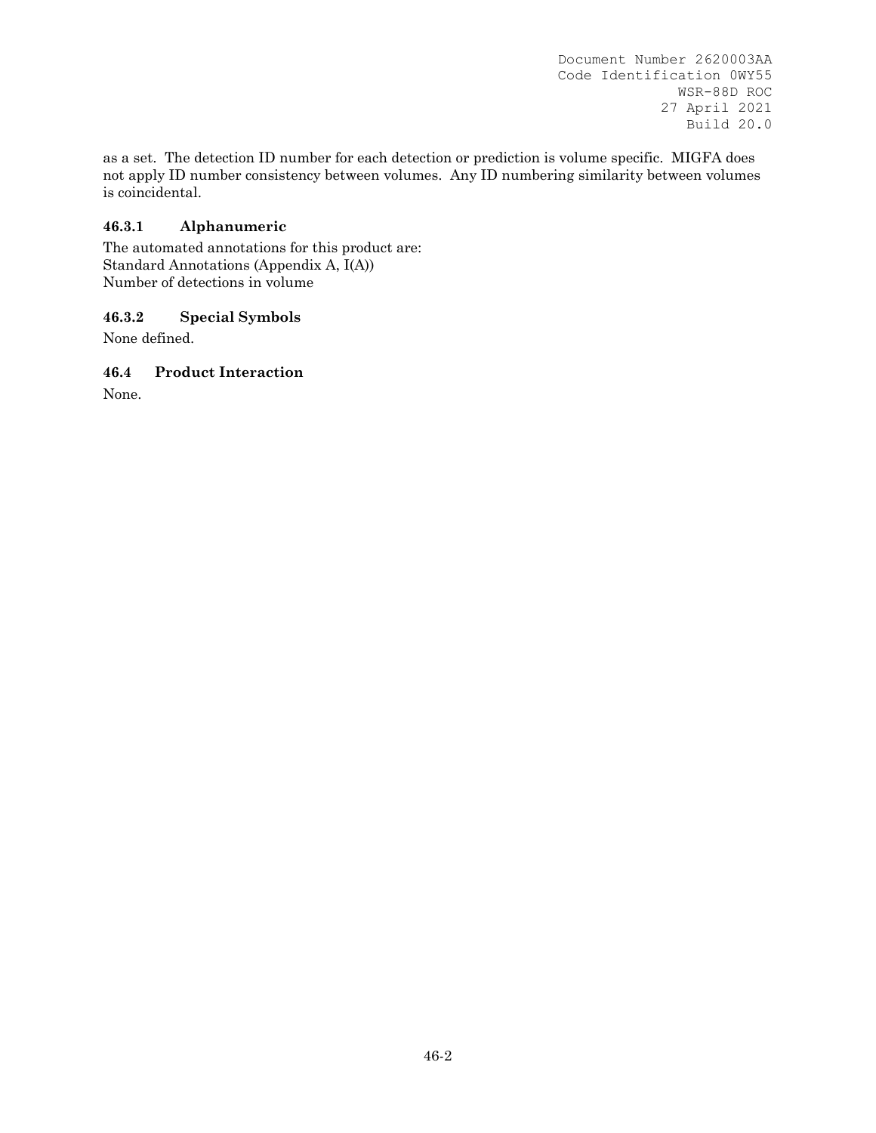as a set. The detection ID number for each detection or prediction is volume specific. MIGFA does not apply ID number consistency between volumes. Any ID numbering similarity between volumes is coincidental.

### **46.3.1 Alphanumeric**

The automated annotations for this product are: Standard Annotations (Appendix A, I(A)) Number of detections in volume

## **46.3.2 Special Symbols**

None defined.

## **46.4 Product Interaction**

None.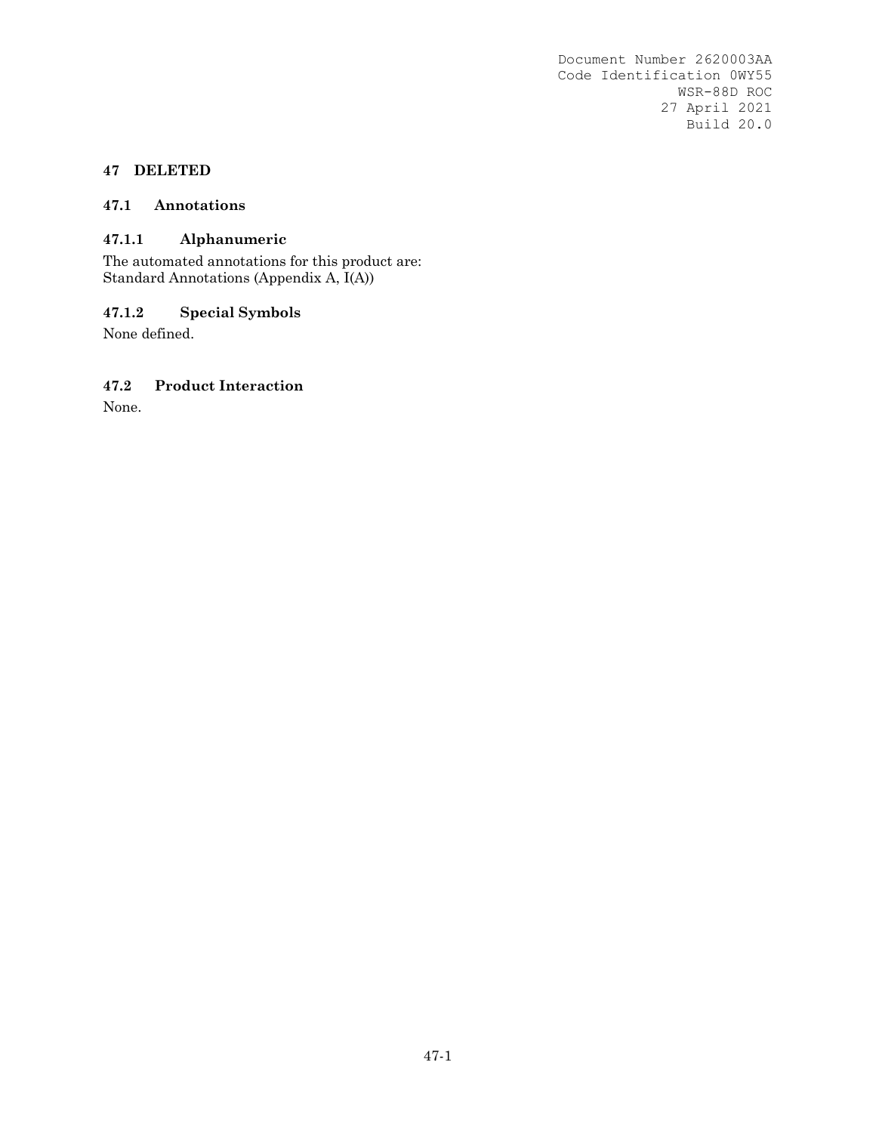### **47 DELETED**

#### **47.1 Annotations**

### **47.1.1 Alphanumeric**

The automated annotations for this product are: Standard Annotations (Appendix A, I(A))

# **47.1.2 Special Symbols**

None defined.

### **47.2 Product Interaction**

None.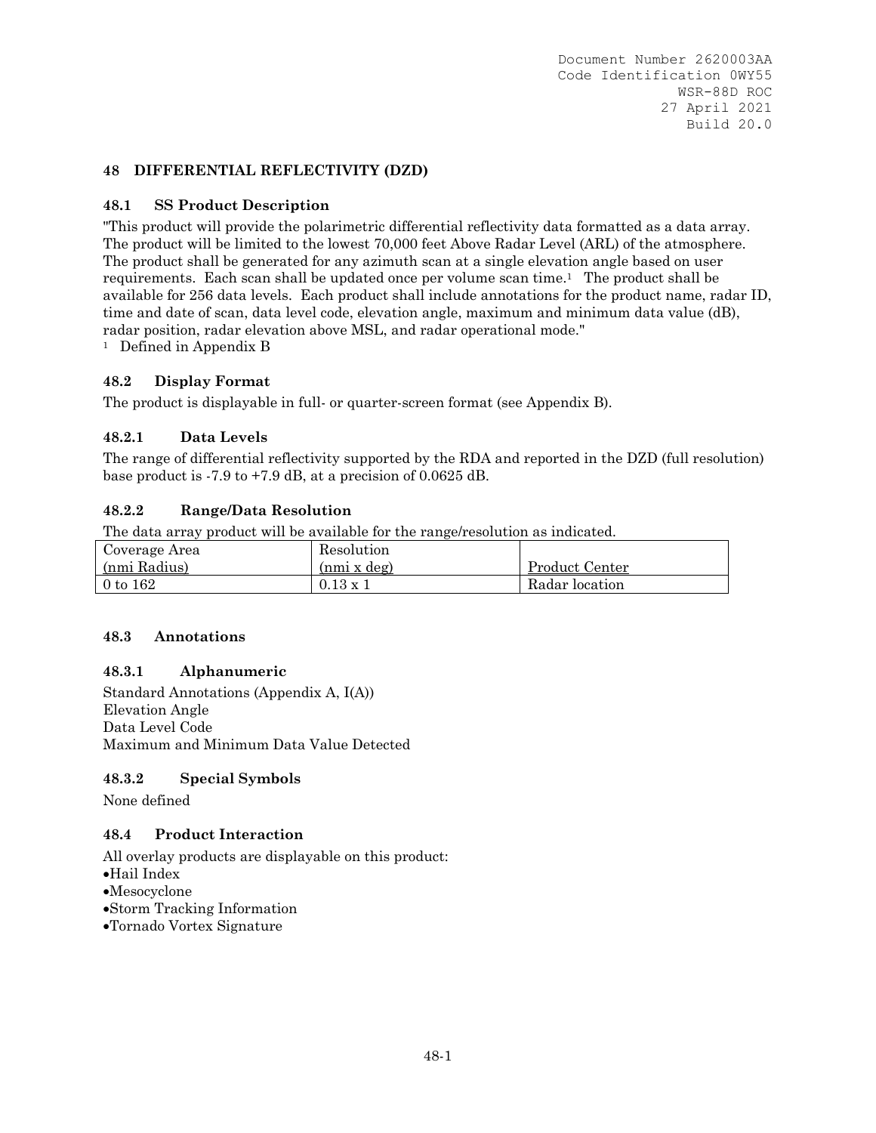### **48 DIFFERENTIAL REFLECTIVITY (DZD)**

#### **48.1 SS Product Description**

"This product will provide the polarimetric differential reflectivity data formatted as a data array. The product will be limited to the lowest 70,000 feet Above Radar Level (ARL) of the atmosphere. The product shall be generated for any azimuth scan at a single elevation angle based on user requirements. Each scan shall be updated once per volume scan time.1 The product shall be available for 256 data levels. Each product shall include annotations for the product name, radar ID, time and date of scan, data level code, elevation angle, maximum and minimum data value (dB), radar position, radar elevation above MSL, and radar operational mode."<br><sup>1</sup> Defined in Appendix B

#### **48.2 Display Format**

The product is displayable in full- or quarter-screen format (see Appendix B).

#### **48.2.1 Data Levels**

The range of differential reflectivity supported by the RDA and reported in the DZD (full resolution) base product is -7.9 to +7.9 dB, at a precision of 0.0625 dB.

#### **48.2.2 Range/Data Resolution**

The data array product will be available for the range/resolution as indicated.

| Coverage Area | Resolution        |                |
|---------------|-------------------|----------------|
| (nmi Radius)  | (nmi x deg)       | Product Center |
| $0$ to $162$  | $0.13 \text{ x }$ | Radar location |

#### **48.3 Annotations**

#### **48.3.1 Alphanumeric**

Standard Annotations (Appendix A, I(A)) Elevation Angle Data Level Code Maximum and Minimum Data Value Detected

#### **48.3.2 Special Symbols**

None defined

#### **48.4 Product Interaction**

- Hail Index
- Mesocyclone
- Storm Tracking Information
- Tornado Vortex Signature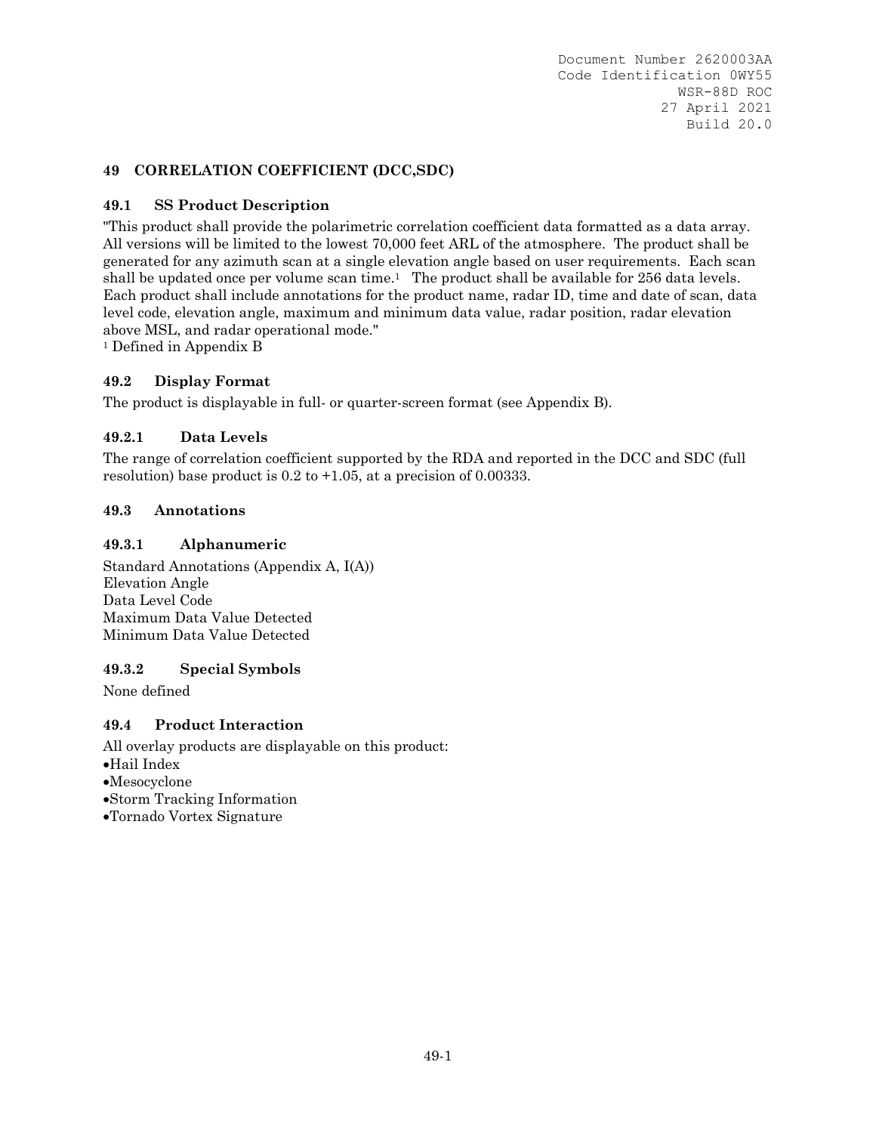## **49 CORRELATION COEFFICIENT (DCC,SDC)**

## **49.1 SS Product Description**

"This product shall provide the polarimetric correlation coefficient data formatted as a data array. All versions will be limited to the lowest 70,000 feet ARL of the atmosphere. The product shall be generated for any azimuth scan at a single elevation angle based on user requirements. Each scan shall be updated once per volume scan time.<sup>1</sup> The product shall be available for  $256$  data levels. Each product shall include annotations for the product name, radar ID, time and date of scan, data level code, elevation angle, maximum and minimum data value, radar position, radar elevation above MSL, and radar operational mode."

1 Defined in Appendix B

### **49.2 Display Format**

The product is displayable in full- or quarter-screen format (see Appendix B).

### **49.2.1 Data Levels**

The range of correlation coefficient supported by the RDA and reported in the DCC and SDC (full resolution) base product is  $0.2$  to  $+1.05$ , at a precision of 0.00333.

### **49.3 Annotations**

### **49.3.1 Alphanumeric**

Standard Annotations (Appendix A, I(A)) Elevation Angle Data Level Code Maximum Data Value Detected Minimum Data Value Detected

### **49.3.2 Special Symbols**

None defined

### **49.4 Product Interaction**

- Hail Index
- Mesocyclone
- Storm Tracking Information
- Tornado Vortex Signature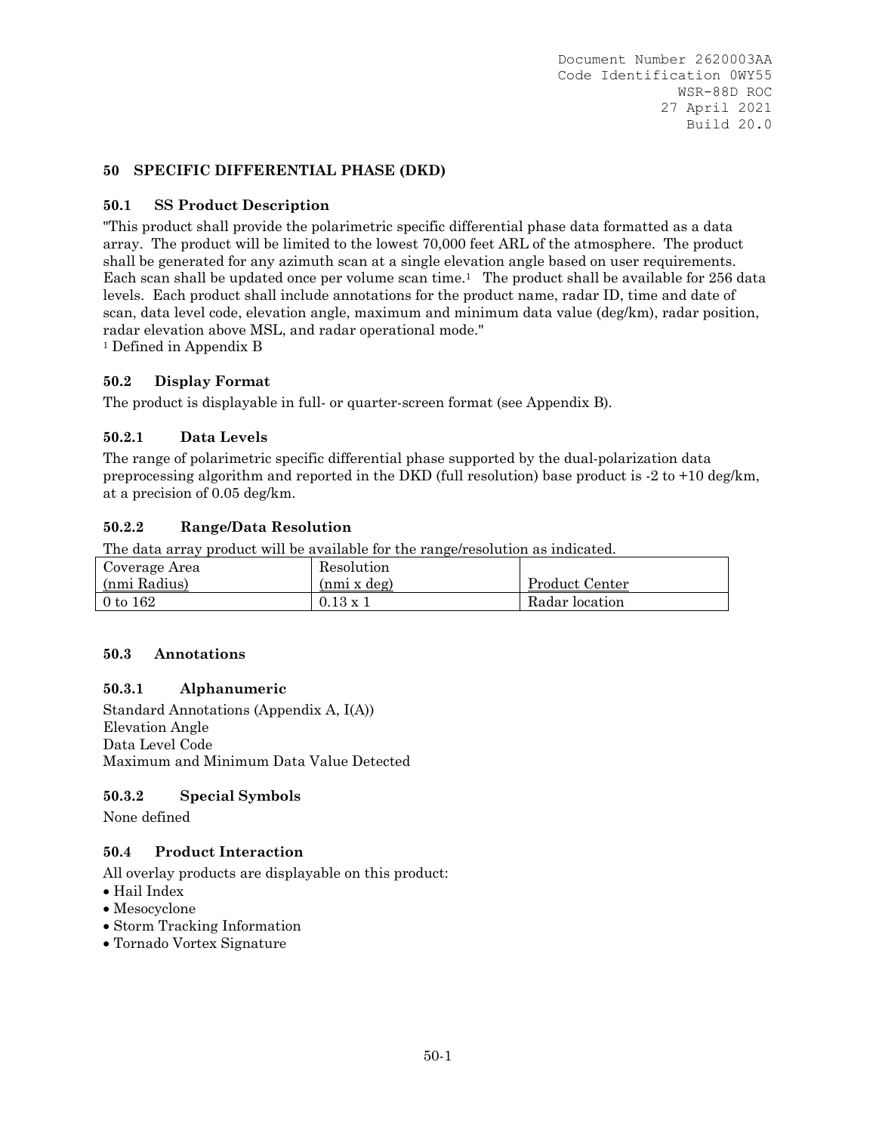#### **50 SPECIFIC DIFFERENTIAL PHASE (DKD)**

#### **50.1 SS Product Description**

"This product shall provide the polarimetric specific differential phase data formatted as a data array. The product will be limited to the lowest 70,000 feet ARL of the atmosphere. The product shall be generated for any azimuth scan at a single elevation angle based on user requirements. Each scan shall be updated once per volume scan time.<sup>1</sup> The product shall be available for 256 data levels. Each product shall include annotations for the product name, radar ID, time and date of scan, data level code, elevation angle, maximum and minimum data value (deg/km), radar position, radar elevation above MSL, and radar operational mode."

1 Defined in Appendix B

#### **50.2 Display Format**

The product is displayable in full- or quarter-screen format (see Appendix B).

#### **50.2.1 Data Levels**

The range of polarimetric specific differential phase supported by the dual-polarization data preprocessing algorithm and reported in the DKD (full resolution) base product is -2 to +10 deg/km, at a precision of 0.05 deg/km.

#### **50.2.2 Range/Data Resolution**

The data array product will be available for the range/resolution as indicated.

| Coverage Area | Resolution      |                |
|---------------|-----------------|----------------|
| (nmi Radius)  | (nmi x deg)     | Product Center |
| $0$ to $162$  | $0.13 \times 1$ | Radar location |

#### **50.3 Annotations**

#### **50.3.1 Alphanumeric**

Standard Annotations (Appendix A, I(A)) Elevation Angle Data Level Code Maximum and Minimum Data Value Detected

#### **50.3.2 Special Symbols**

None defined

#### **50.4 Product Interaction**

- Hail Index
- Mesocyclone
- Storm Tracking Information
- Tornado Vortex Signature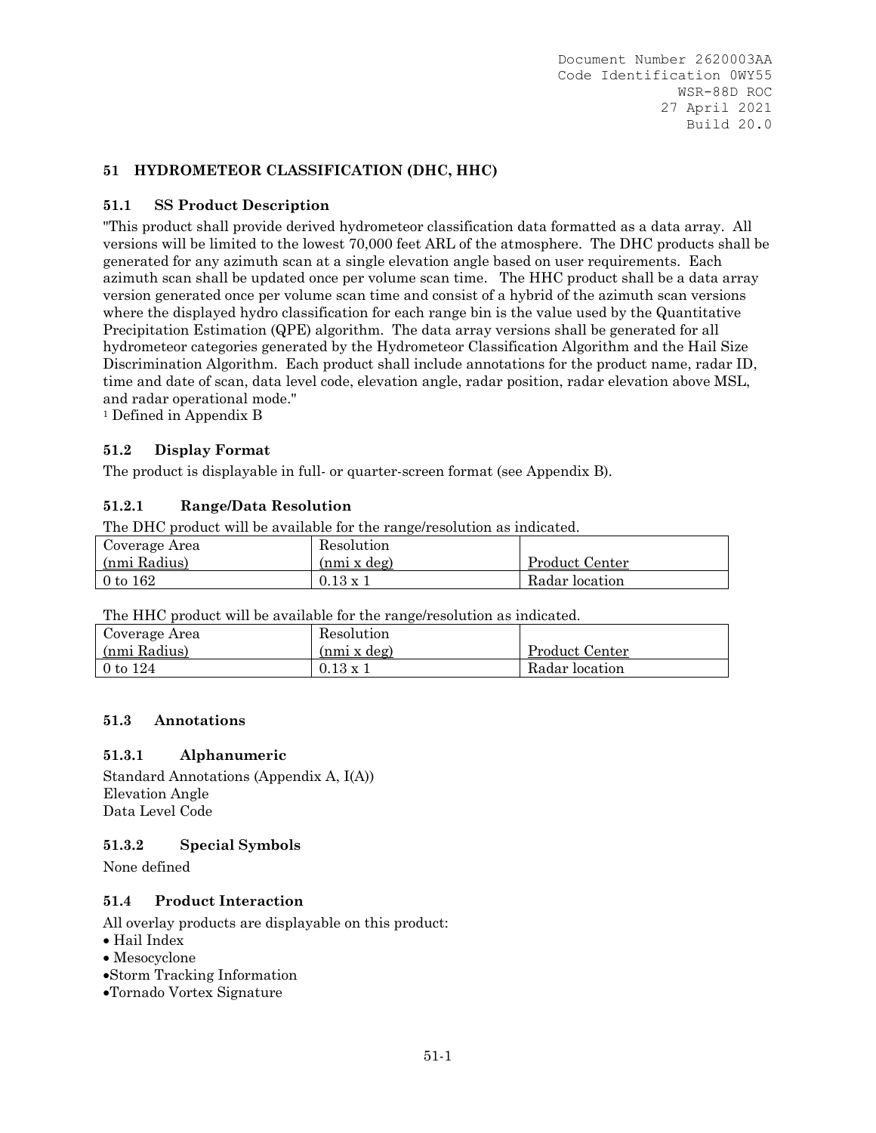## **51 HYDROMETEOR CLASSIFICATION (DHC, HHC)**

### **51.1 SS Product Description**

"This product shall provide derived hydrometeor classification data formatted as a data array. All versions will be limited to the lowest 70,000 feet ARL of the atmosphere. The DHC products shall be generated for any azimuth scan at a single elevation angle based on user requirements. Each azimuth scan shall be updated once per volume scan time. The HHC product shall be a data array version generated once per volume scan time and consist of a hybrid of the azimuth scan versions where the displayed hydro classification for each range bin is the value used by the Quantitative Precipitation Estimation (QPE) algorithm. The data array versions shall be generated for all hydrometeor categories generated by the Hydrometeor Classification Algorithm and the Hail Size Discrimination Algorithm. Each product shall include annotations for the product name, radar ID, time and date of scan, data level code, elevation angle, radar position, radar elevation above MSL, and radar operational mode."

<sup>1</sup> Defined in Appendix B

## **51.2 Display Format**

The product is displayable in full- or quarter-screen format (see Appendix B).

## **51.2.1 Range/Data Resolution**

The DHC product will be available for the range/resolution as indicated.

| Coverage Area | Resolution      |                |
|---------------|-----------------|----------------|
| (nmi Radius)  | (nmi x deg)     | Product Center |
| $0$ to $162$  | $0.13 \times 1$ | Radar location |

The HHC product will be available for the range/resolution as indicated.

| Coverage Area | Resolution      |                |
|---------------|-----------------|----------------|
| (nmi Radius)  | (nmi x deg)     | Product Center |
| $0$ to $124$  | $0.13 \times 1$ | Radar location |

### **51.3 Annotations**

### **51.3.1 Alphanumeric**

Standard Annotations (Appendix A, I(A)) Elevation Angle Data Level Code

### **51.3.2 Special Symbols**

None defined

### **51.4 Product Interaction**

- Hail Index
- Mesocyclone
- Storm Tracking Information
- Tornado Vortex Signature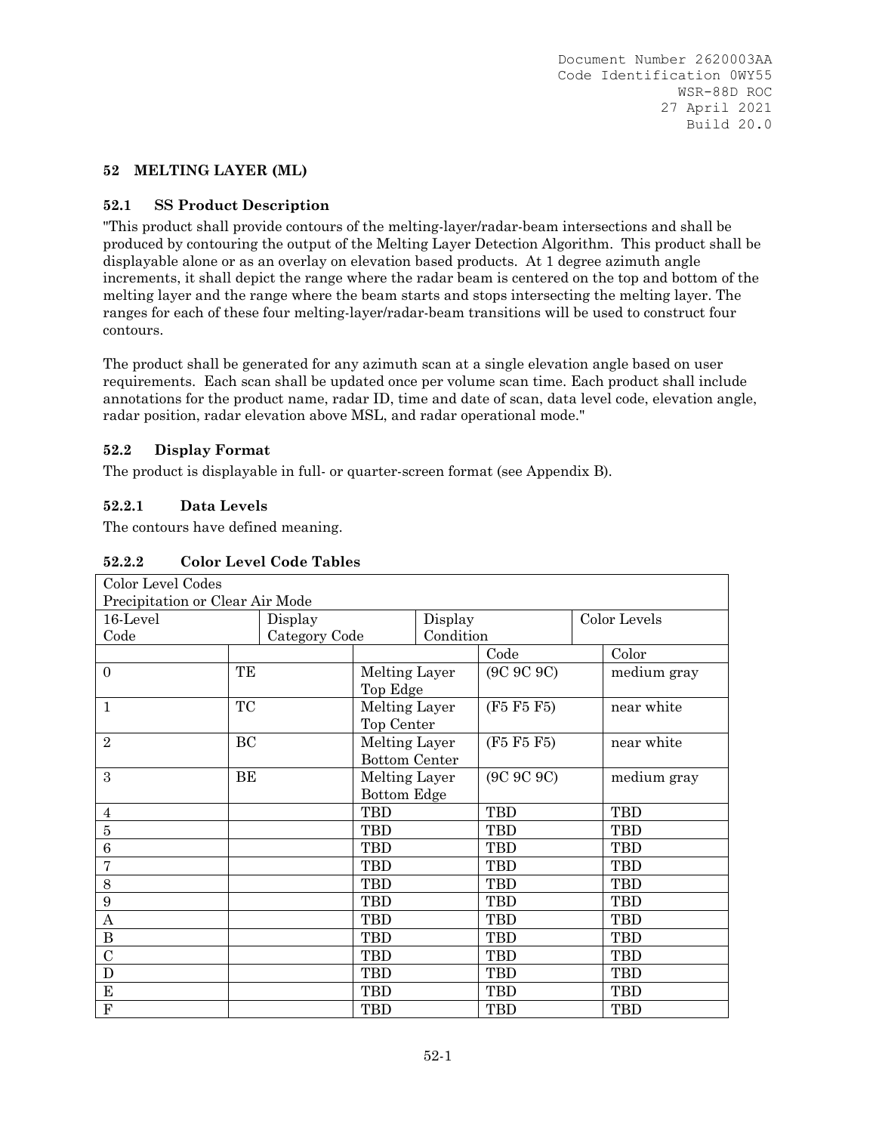#### **52 MELTING LAYER (ML)**

#### **52.1 SS Product Description**

"This product shall provide contours of the melting-layer/radar-beam intersections and shall be produced by contouring the output of the Melting Layer Detection Algorithm. This product shall be displayable alone or as an overlay on elevation based products. At 1 degree azimuth angle increments, it shall depict the range where the radar beam is centered on the top and bottom of the melting layer and the range where the beam starts and stops intersecting the melting layer. The ranges for each of these four melting-layer/radar-beam transitions will be used to construct four contours.

The product shall be generated for any azimuth scan at a single elevation angle based on user requirements. Each scan shall be updated once per volume scan time. Each product shall include annotations for the product name, radar ID, time and date of scan, data level code, elevation angle, radar position, radar elevation above MSL, and radar operational mode."

#### **52.2 Display Format**

The product is displayable in full- or quarter-screen format (see Appendix B).

#### **52.2.1 Data Levels**

The contours have defined meaning.

| Color Level Codes               |           |               |                      |           |              |             |
|---------------------------------|-----------|---------------|----------------------|-----------|--------------|-------------|
| Precipitation or Clear Air Mode |           |               |                      |           |              |             |
| 16-Level<br>Display             |           |               | Display              |           | Color Levels |             |
| Code                            |           | Category Code |                      | Condition |              |             |
|                                 |           |               |                      |           | Code         | Color       |
| $\overline{0}$                  | TE        |               | Melting Layer        |           | (9C 9C 9C)   | medium gray |
|                                 |           |               | Top Edge             |           |              |             |
| $\mathbf{1}$                    | <b>TC</b> |               | Melting Layer        |           | (F5 F5 F5)   | near white  |
|                                 |           |               | Top Center           |           |              |             |
| $\overline{2}$                  | BC        |               | Melting Layer        |           | (F5 F5 F5)   | near white  |
|                                 |           |               | <b>Bottom Center</b> |           |              |             |
| 3                               | BE        |               | Melting Layer        |           | (9C 9C 9C)   | medium gray |
|                                 |           |               | Bottom Edge          |           |              |             |
| $\overline{4}$                  |           |               | <b>TBD</b>           |           | <b>TBD</b>   | <b>TBD</b>  |
| $\bf 5$                         |           |               | <b>TBD</b>           |           | <b>TBD</b>   | <b>TBD</b>  |
| $\boldsymbol{6}$                |           |               | <b>TBD</b>           |           | TBD          | <b>TBD</b>  |
| 7                               |           |               | <b>TBD</b>           |           | <b>TBD</b>   | <b>TBD</b>  |
| 8                               |           |               | <b>TBD</b><br>TBD    |           | <b>TBD</b>   |             |
| 9                               |           |               | <b>TBD</b>           |           | <b>TBD</b>   | <b>TBD</b>  |
| $\mathbf{A}$                    |           |               | <b>TBD</b>           |           | TBD          | <b>TBD</b>  |
| $\bf{B}$                        |           |               | <b>TBD</b>           |           | TBD          | <b>TBD</b>  |
| $\overline{C}$                  |           |               | <b>TBD</b>           |           | TBD          | <b>TBD</b>  |
| D                               |           |               | <b>TBD</b>           |           | <b>TBD</b>   | <b>TBD</b>  |
| E                               |           | <b>TBD</b>    |                      | TBD       | <b>TBD</b>   |             |
| $\overline{F}$                  |           |               | TBD                  |           | TBD          | <b>TBD</b>  |

## **52.2.2 Color Level Code Tables**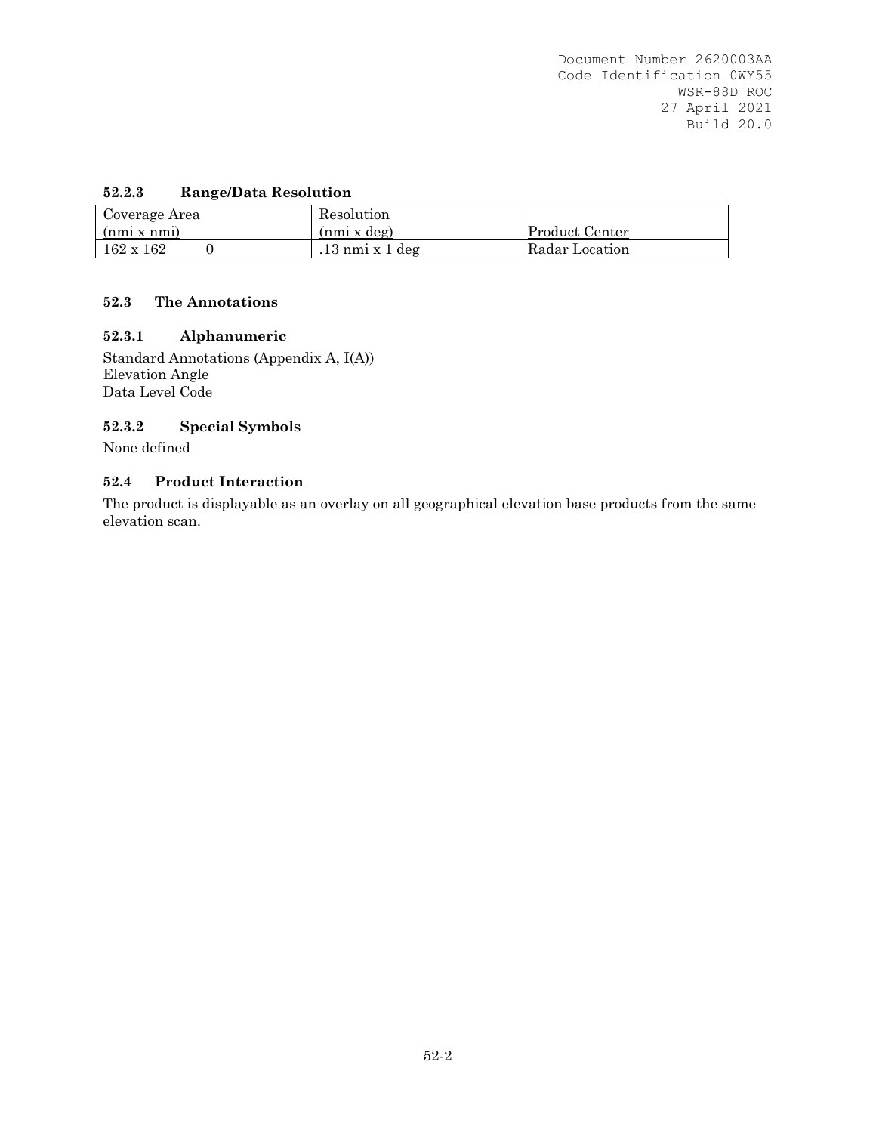# **52.2.3 Range/Data Resolution**

| Coverage Area    | Resolution                 |                |
|------------------|----------------------------|----------------|
| (nmi x nmi)      | (nmi x deg)                | Product Center |
| $162 \times 162$ | $.13 \text{ nm}$ i x 1 deg | Radar Location |

#### **52.3 The Annotations**

### **52.3.1 Alphanumeric**

Standard Annotations (Appendix A, I(A)) Elevation Angle Data Level Code

## **52.3.2 Special Symbols**

None defined

#### **52.4 Product Interaction**

The product is displayable as an overlay on all geographical elevation base products from the same elevation scan.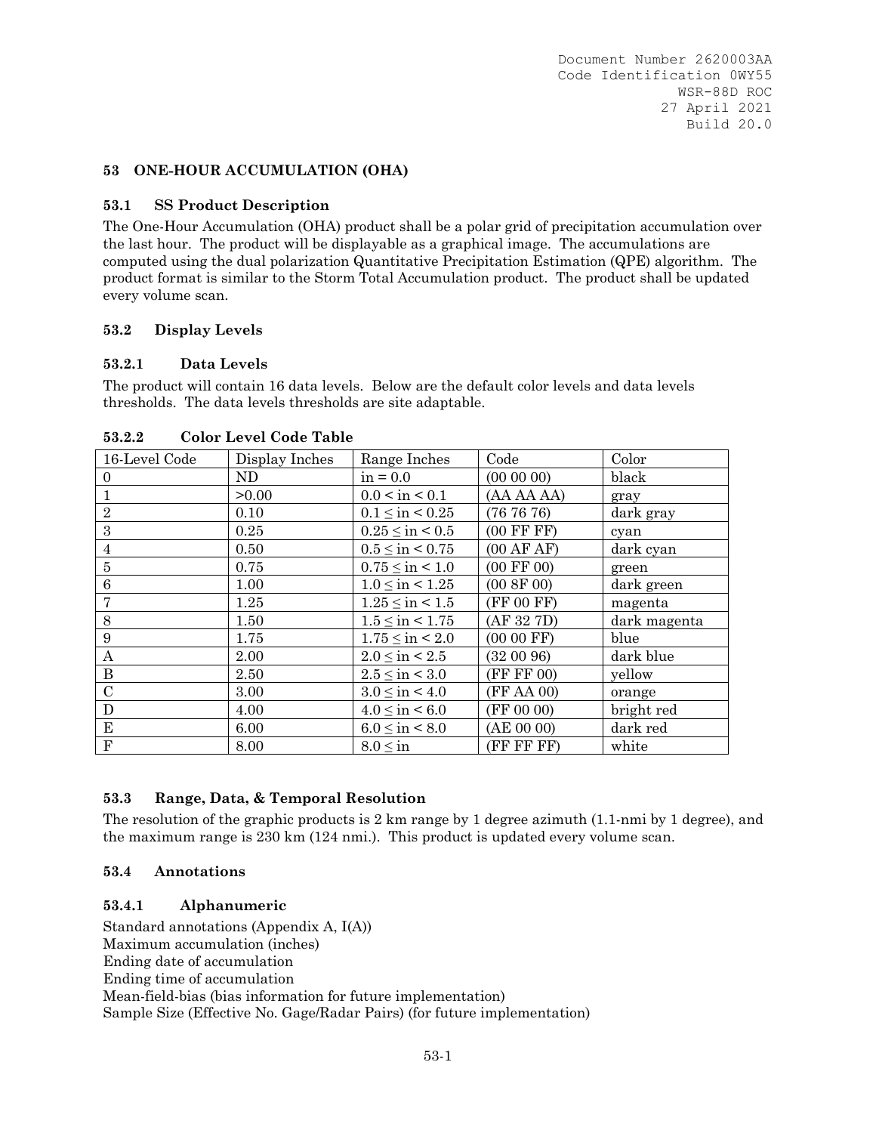#### **53 ONE-HOUR ACCUMULATION (OHA)**

#### **53.1 SS Product Description**

The One-Hour Accumulation (OHA) product shall be a polar grid of precipitation accumulation over the last hour. The product will be displayable as a graphical image. The accumulations are computed using the dual polarization Quantitative Precipitation Estimation (QPE) algorithm. The product format is similar to the Storm Total Accumulation product. The product shall be updated every volume scan.

#### **53.2 Display Levels**

#### **53.2.1 Data Levels**

The product will contain 16 data levels. Below are the default color levels and data levels thresholds. The data levels thresholds are site adaptable.

| 16-Level Code    | Display Inches | Range Inches            | Code                  | Color        |
|------------------|----------------|-------------------------|-----------------------|--------------|
| $\Omega$         | ND             | $in = 0.0$              | $(00\ 00\ 00)$        | black        |
|                  | >0.00          | 0.0 < in < 0.1          | (AA AA AA)            | gray         |
| $\overline{2}$   | 0.10           | $0.1 \leq in \leq 0.25$ | (767676)              | dark gray    |
| 3                | 0.25           | $0.25 \leq in \leq 0.5$ | $(00$ FF FF $)$       | cyan         |
| 4                | 0.50           | $0.5 \leq in \leq 0.75$ | (00 AFAF)             | dark cyan    |
| 5                | 0.75           | $0.75 \leq in \leq 1.0$ | $(00 \text{ FF } 00)$ | green        |
| $\boldsymbol{6}$ | 1.00           | $1.0 \leq in \leq 1.25$ | (00 8F 00)            | dark green   |
| 7                | 1.25           | $1.25 \leq in \leq 1.5$ | (FF 00 FF)            | magenta      |
| 8                | 1.50           | $1.5 \leq in \leq 1.75$ | (AF 32 7D)            | dark magenta |
| 9                | 1.75           | $1.75 \leq in \leq 2.0$ | $(0000$ FF)           | blue         |
| A                | 2.00           | $2.0 \leq in \leq 2.5$  | (320096)              | dark blue    |
| B                | 2.50           | $2.5 \leq in \leq 3.0$  | (FF FF 00)            | yellow       |
| $\mathbf C$      | 3.00           | $3.0 \leq in \leq 4.0$  | (FF AA 00)            | orange       |
| D                | 4.00           | $4.0 \leq in \leq 6.0$  | (FF 00 00)            | bright red   |
| Е                | 6.00           | $6.0 \leq in \leq 8.0$  | (AE 00 00)            | dark red     |
| $_{\rm F}$       | 8.00           | $8.0 \leq in$           | (FF FF FF)            | white        |

#### **53.2.2 Color Level Code Table**

### **53.3 Range, Data, & Temporal Resolution**

The resolution of the graphic products is 2 km range by 1 degree azimuth (1.1-nmi by 1 degree), and the maximum range is 230 km (124 nmi.). This product is updated every volume scan.

### **53.4 Annotations**

### **53.4.1 Alphanumeric**

Standard annotations (Appendix A, I(A)) Maximum accumulation (inches) Ending date of accumulation Ending time of accumulation Mean-field-bias (bias information for future implementation) Sample Size (Effective No. Gage/Radar Pairs) (for future implementation)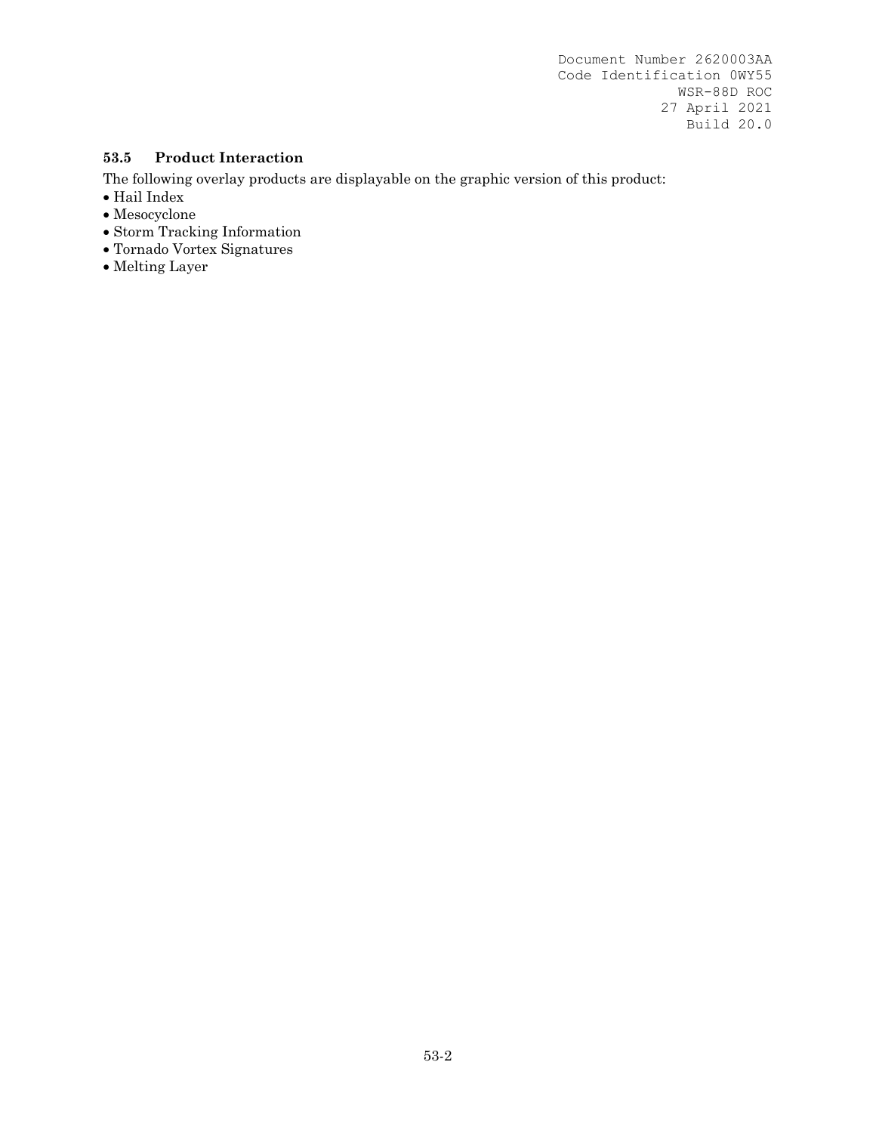#### **53.5 Product Interaction**

- $\bullet$  Hail Index
- Mesocyclone
- Storm Tracking Information
- Tornado Vortex Signatures
- Melting Layer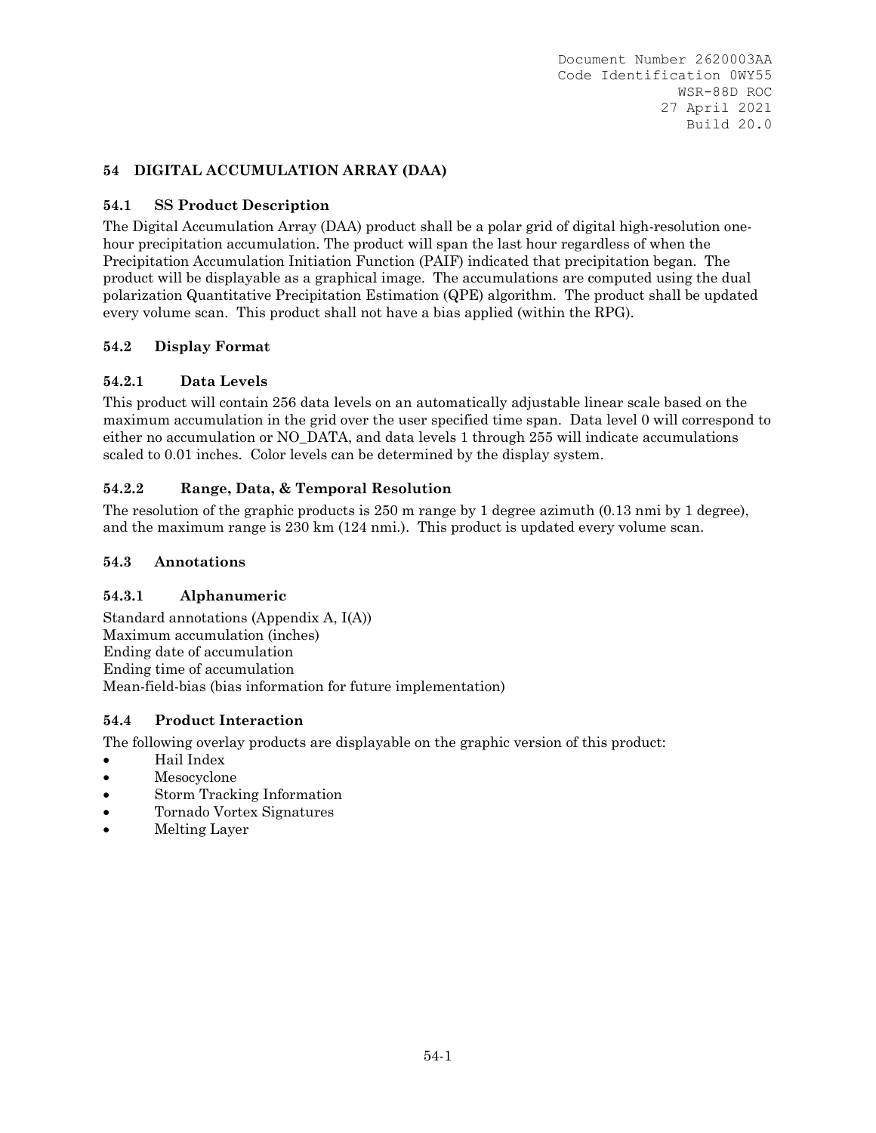## **54 DIGITAL ACCUMULATION ARRAY (DAA)**

## **54.1 SS Product Description**

The Digital Accumulation Array (DAA) product shall be a polar grid of digital high-resolution onehour precipitation accumulation. The product will span the last hour regardless of when the Precipitation Accumulation Initiation Function (PAIF) indicated that precipitation began. The product will be displayable as a graphical image. The accumulations are computed using the dual polarization Quantitative Precipitation Estimation (QPE) algorithm. The product shall be updated every volume scan. This product shall not have a bias applied (within the RPG).

## **54.2 Display Format**

## **54.2.1 Data Levels**

This product will contain 256 data levels on an automatically adjustable linear scale based on the maximum accumulation in the grid over the user specified time span. Data level 0 will correspond to either no accumulation or NO\_DATA, and data levels 1 through 255 will indicate accumulations scaled to 0.01 inches. Color levels can be determined by the display system.

## **54.2.2 Range, Data, & Temporal Resolution**

The resolution of the graphic products is 250 m range by 1 degree azimuth (0.13 nmi by 1 degree), and the maximum range is 230 km (124 nmi.). This product is updated every volume scan.

### **54.3 Annotations**

### **54.3.1 Alphanumeric**

Standard annotations (Appendix A, I(A)) Maximum accumulation (inches) Ending date of accumulation Ending time of accumulation Mean-field-bias (bias information for future implementation)

### **54.4 Product Interaction**

- Hail Index
- Mesocyclone
- Storm Tracking Information
- Tornado Vortex Signatures
- Melting Layer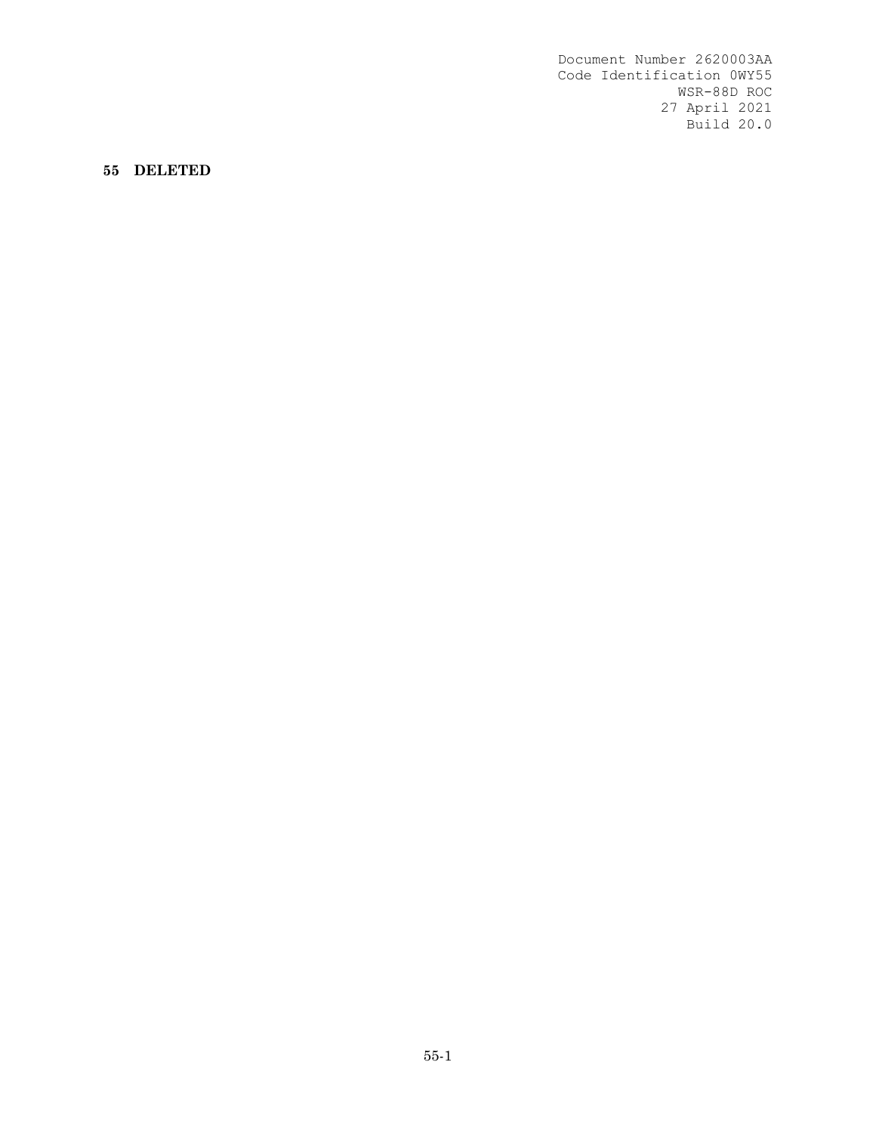**55 DELETED**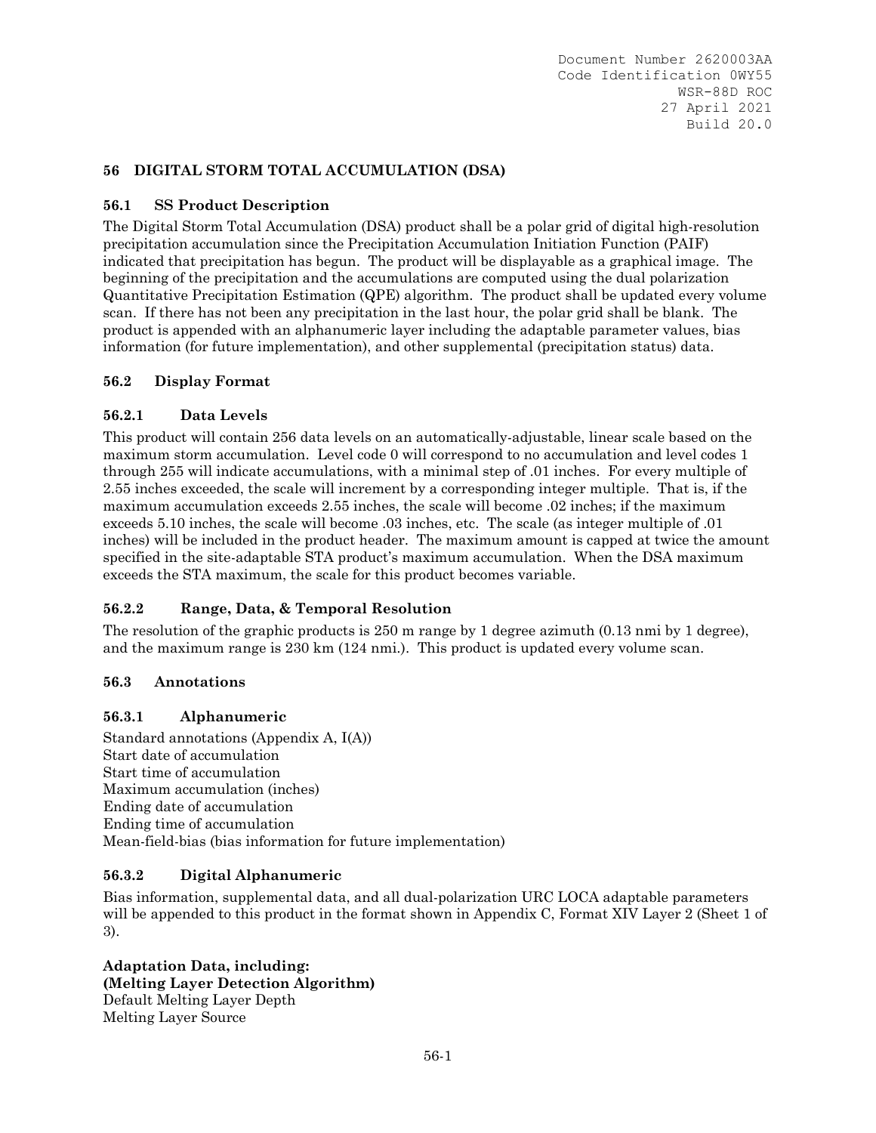## **56 DIGITAL STORM TOTAL ACCUMULATION (DSA)**

### **56.1 SS Product Description**

The Digital Storm Total Accumulation (DSA) product shall be a polar grid of digital high-resolution precipitation accumulation since the Precipitation Accumulation Initiation Function (PAIF) indicated that precipitation has begun. The product will be displayable as a graphical image. The beginning of the precipitation and the accumulations are computed using the dual polarization Quantitative Precipitation Estimation (QPE) algorithm. The product shall be updated every volume scan. If there has not been any precipitation in the last hour, the polar grid shall be blank. The product is appended with an alphanumeric layer including the adaptable parameter values, bias information (for future implementation), and other supplemental (precipitation status) data.

#### **56.2 Display Format**

#### **56.2.1 Data Levels**

This product will contain 256 data levels on an automatically-adjustable, linear scale based on the maximum storm accumulation. Level code 0 will correspond to no accumulation and level codes 1 through 255 will indicate accumulations, with a minimal step of .01 inches. For every multiple of 2.55 inches exceeded, the scale will increment by a corresponding integer multiple. That is, if the maximum accumulation exceeds 2.55 inches, the scale will become .02 inches; if the maximum exceeds 5.10 inches, the scale will become .03 inches, etc. The scale (as integer multiple of .01 inches) will be included in the product header. The maximum amount is capped at twice the amount specified in the site-adaptable STA product's maximum accumulation. When the DSA maximum exceeds the STA maximum, the scale for this product becomes variable.

### **56.2.2 Range, Data, & Temporal Resolution**

The resolution of the graphic products is 250 m range by 1 degree azimuth (0.13 nmi by 1 degree), and the maximum range is 230 km (124 nmi.). This product is updated every volume scan.

#### **56.3 Annotations**

### **56.3.1 Alphanumeric**

Standard annotations (Appendix A, I(A)) Start date of accumulation Start time of accumulation Maximum accumulation (inches) Ending date of accumulation Ending time of accumulation Mean-field-bias (bias information for future implementation)

### **56.3.2 Digital Alphanumeric**

Bias information, supplemental data, and all dual-polarization URC LOCA adaptable parameters will be appended to this product in the format shown in Appendix C, Format XIV Layer 2 (Sheet 1 of 3).

#### **Adaptation Data, including: (Melting Layer Detection Algorithm)** Default Melting Layer Depth Melting Layer Source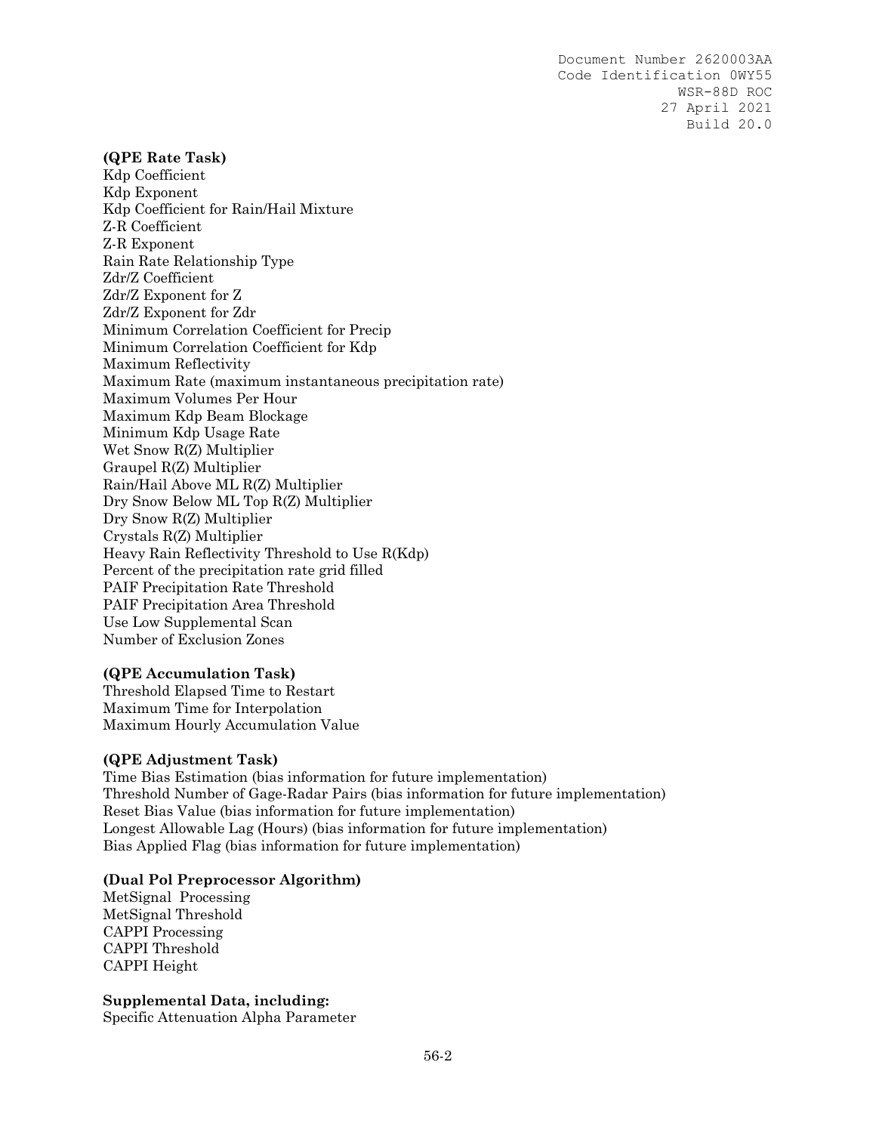#### **(QPE Rate Task)**

Kdp Coefficient Kdp Exponent Kdp Coefficient for Rain/Hail Mixture Z-R Coefficient Z-R Exponent Rain Rate Relationship Type Zdr/Z Coefficient Zdr/Z Exponent for Z Zdr/Z Exponent for Zdr Minimum Correlation Coefficient for Precip Minimum Correlation Coefficient for Kdp Maximum Reflectivity Maximum Rate (maximum instantaneous precipitation rate) Maximum Volumes Per Hour Maximum Kdp Beam Blockage Minimum Kdp Usage Rate Wet Snow R(Z) Multiplier Graupel R(Z) Multiplier Rain/Hail Above ML R(Z) Multiplier Dry Snow Below ML Top R(Z) Multiplier Dry Snow R(Z) Multiplier Crystals R(Z) Multiplier Heavy Rain Reflectivity Threshold to Use R(Kdp) Percent of the precipitation rate grid filled PAIF Precipitation Rate Threshold PAIF Precipitation Area Threshold Use Low Supplemental Scan Number of Exclusion Zones

#### **(QPE Accumulation Task)**

Threshold Elapsed Time to Restart Maximum Time for Interpolation Maximum Hourly Accumulation Value

#### **(QPE Adjustment Task)**

Time Bias Estimation (bias information for future implementation) Threshold Number of Gage-Radar Pairs (bias information for future implementation) Reset Bias Value (bias information for future implementation) Longest Allowable Lag (Hours) (bias information for future implementation) Bias Applied Flag (bias information for future implementation)

#### **(Dual Pol Preprocessor Algorithm)**

MetSignal Processing MetSignal Threshold CAPPI Processing CAPPI Threshold CAPPI Height

**Supplemental Data, including:**

Specific Attenuation Alpha Parameter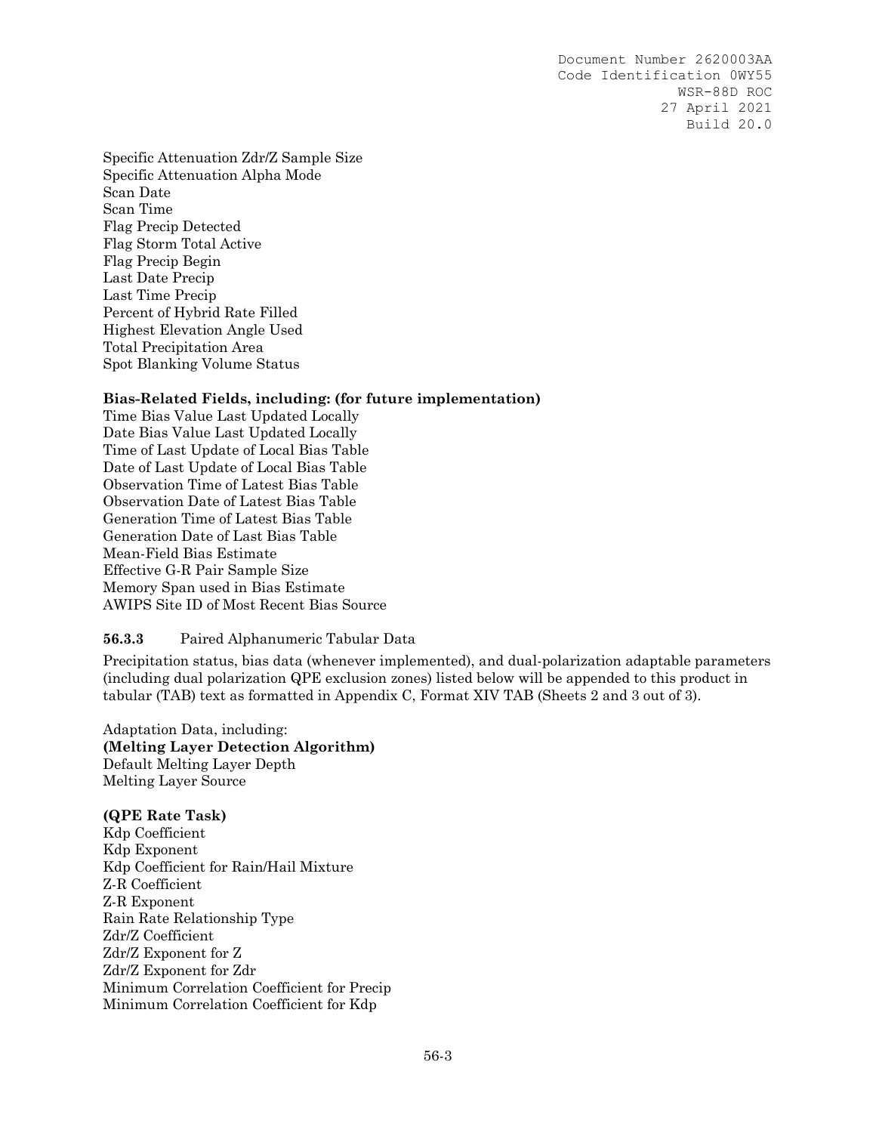Specific Attenuation Zdr/Z Sample Size Specific Attenuation Alpha Mode Scan Date Scan Time Flag Precip Detected Flag Storm Total Active Flag Precip Begin Last Date Precip Last Time Precip Percent of Hybrid Rate Filled Highest Elevation Angle Used Total Precipitation Area Spot Blanking Volume Status

#### **Bias-Related Fields, including: (for future implementation)**

Time Bias Value Last Updated Locally Date Bias Value Last Updated Locally Time of Last Update of Local Bias Table Date of Last Update of Local Bias Table Observation Time of Latest Bias Table Observation Date of Latest Bias Table Generation Time of Latest Bias Table Generation Date of Last Bias Table Mean-Field Bias Estimate Effective G-R Pair Sample Size Memory Span used in Bias Estimate AWIPS Site ID of Most Recent Bias Source

#### **56.3.3** Paired Alphanumeric Tabular Data

Precipitation status, bias data (whenever implemented), and dual-polarization adaptable parameters (including dual polarization QPE exclusion zones) listed below will be appended to this product in tabular (TAB) text as formatted in Appendix C, Format XIV TAB (Sheets 2 and 3 out of 3).

Adaptation Data, including: **(Melting Layer Detection Algorithm)**  Default Melting Layer Depth Melting Layer Source

#### **(QPE Rate Task)**

Kdp Coefficient Kdp Exponent Kdp Coefficient for Rain/Hail Mixture Z-R Coefficient Z-R Exponent Rain Rate Relationship Type Zdr/Z Coefficient Zdr/Z Exponent for Z Zdr/Z Exponent for Zdr Minimum Correlation Coefficient for Precip Minimum Correlation Coefficient for Kdp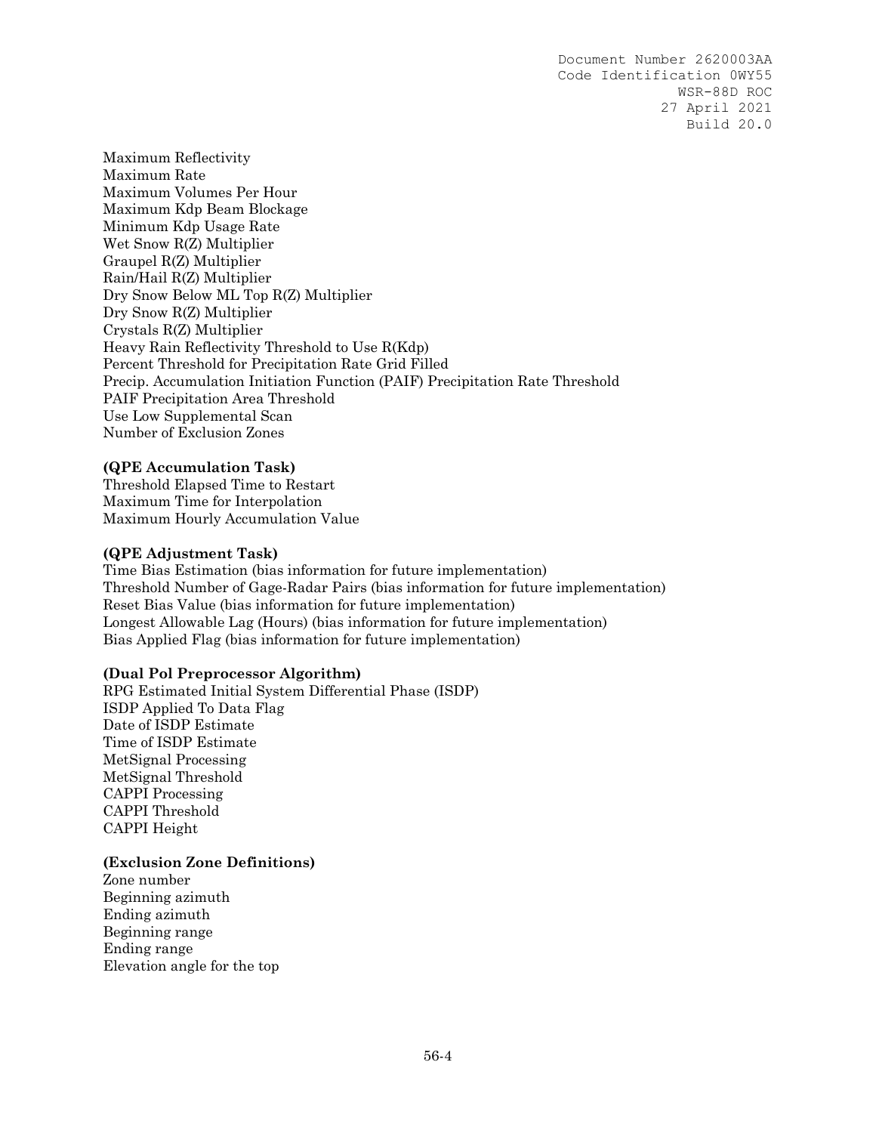Maximum Reflectivity Maximum Rate Maximum Volumes Per Hour Maximum Kdp Beam Blockage Minimum Kdp Usage Rate Wet Snow R(Z) Multiplier Graupel R(Z) Multiplier Rain/Hail R(Z) Multiplier Dry Snow Below ML Top R(Z) Multiplier Dry Snow R(Z) Multiplier Crystals R(Z) Multiplier Heavy Rain Reflectivity Threshold to Use R(Kdp) Percent Threshold for Precipitation Rate Grid Filled Precip. Accumulation Initiation Function (PAIF) Precipitation Rate Threshold PAIF Precipitation Area Threshold Use Low Supplemental Scan Number of Exclusion Zones

#### **(QPE Accumulation Task)**

Threshold Elapsed Time to Restart Maximum Time for Interpolation Maximum Hourly Accumulation Value

#### **(QPE Adjustment Task)**

Time Bias Estimation (bias information for future implementation) Threshold Number of Gage-Radar Pairs (bias information for future implementation) Reset Bias Value (bias information for future implementation) Longest Allowable Lag (Hours) (bias information for future implementation) Bias Applied Flag (bias information for future implementation)

#### **(Dual Pol Preprocessor Algorithm)**

RPG Estimated Initial System Differential Phase (ISDP) ISDP Applied To Data Flag Date of ISDP Estimate Time of ISDP Estimate MetSignal Processing MetSignal Threshold CAPPI Processing CAPPI Threshold CAPPI Height

#### **(Exclusion Zone Definitions)**

Zone number Beginning azimuth Ending azimuth Beginning range Ending range Elevation angle for the top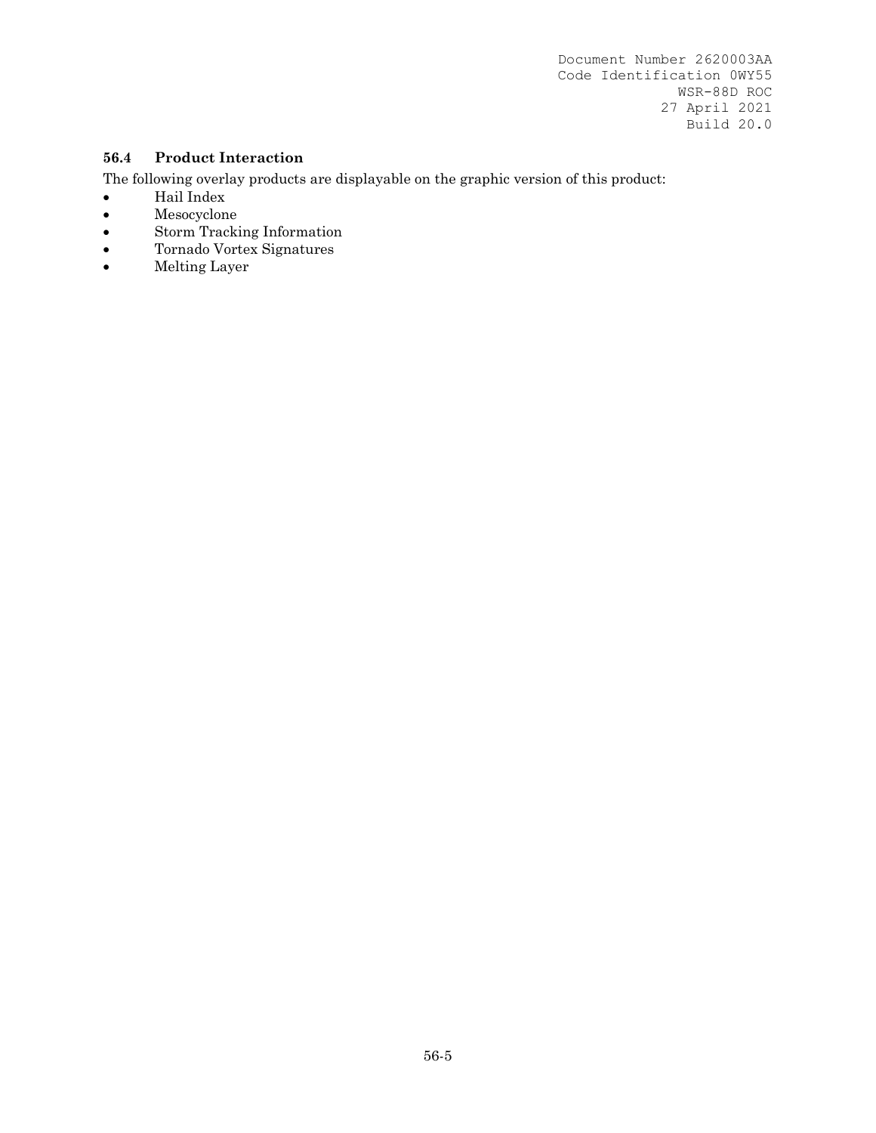## **56.4 Product Interaction**

- $\bullet$  Hail Index
- Mesocyclone
- Storm Tracking Information
- Tornado Vortex Signatures
- Melting Layer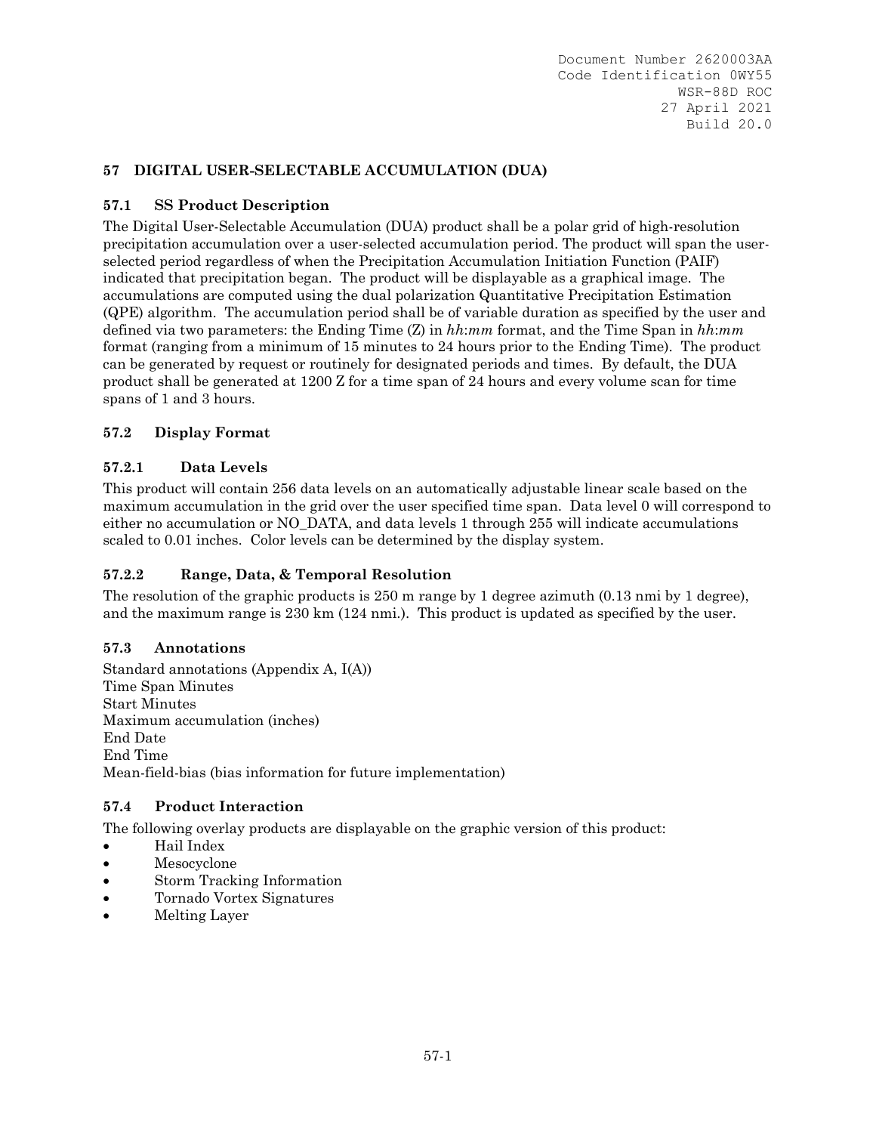## **57 DIGITAL USER-SELECTABLE ACCUMULATION (DUA)**

### **57.1 SS Product Description**

The Digital User-Selectable Accumulation (DUA) product shall be a polar grid of high-resolution precipitation accumulation over a user-selected accumulation period. The product will span the userselected period regardless of when the Precipitation Accumulation Initiation Function (PAIF) indicated that precipitation began. The product will be displayable as a graphical image. The accumulations are computed using the dual polarization Quantitative Precipitation Estimation (QPE) algorithm. The accumulation period shall be of variable duration as specified by the user and defined via two parameters: the Ending Time (Z) in *hh*:*mm* format, and the Time Span in *hh*:*mm* format (ranging from a minimum of 15 minutes to 24 hours prior to the Ending Time). The product can be generated by request or routinely for designated periods and times. By default, the DUA product shall be generated at 1200 Z for a time span of 24 hours and every volume scan for time spans of 1 and 3 hours.

## **57.2 Display Format**

### **57.2.1 Data Levels**

This product will contain 256 data levels on an automatically adjustable linear scale based on the maximum accumulation in the grid over the user specified time span. Data level 0 will correspond to either no accumulation or NO\_DATA, and data levels 1 through 255 will indicate accumulations scaled to 0.01 inches. Color levels can be determined by the display system.

## **57.2.2 Range, Data, & Temporal Resolution**

The resolution of the graphic products is 250 m range by 1 degree azimuth (0.13 nmi by 1 degree), and the maximum range is 230 km (124 nmi.). This product is updated as specified by the user.

### **57.3 Annotations**

Standard annotations (Appendix A, I(A)) Time Span Minutes Start Minutes Maximum accumulation (inches) End Date End Time Mean-field-bias (bias information for future implementation)

### **57.4 Product Interaction**

- Hail Index
- Mesocyclone
- Storm Tracking Information
- Tornado Vortex Signatures
- Melting Layer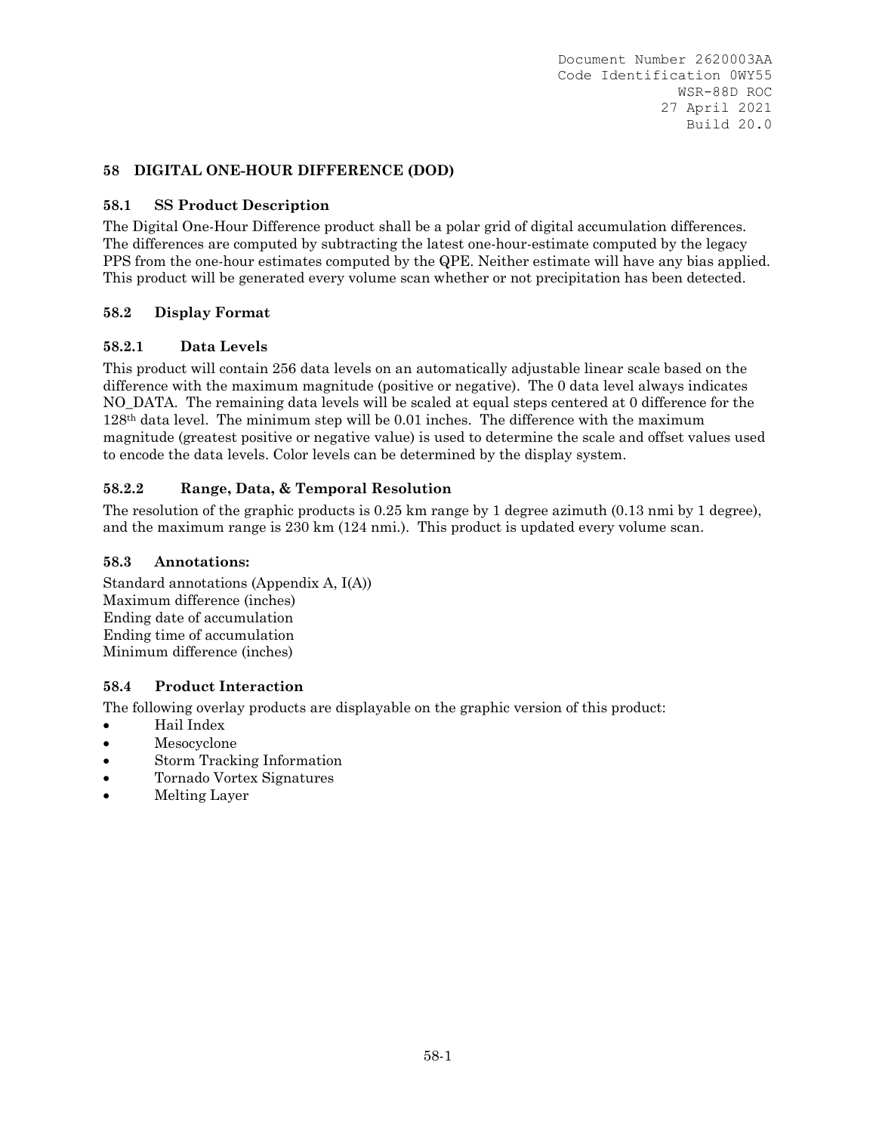### **58 DIGITAL ONE-HOUR DIFFERENCE (DOD)**

## **58.1 SS Product Description**

The Digital One-Hour Difference product shall be a polar grid of digital accumulation differences. The differences are computed by subtracting the latest one-hour-estimate computed by the legacy PPS from the one-hour estimates computed by the QPE. Neither estimate will have any bias applied. This product will be generated every volume scan whether or not precipitation has been detected.

## **58.2 Display Format**

## **58.2.1 Data Levels**

This product will contain 256 data levels on an automatically adjustable linear scale based on the difference with the maximum magnitude (positive or negative). The 0 data level always indicates NO DATA. The remaining data levels will be scaled at equal steps centered at 0 difference for the 128th data level. The minimum step will be 0.01 inches. The difference with the maximum magnitude (greatest positive or negative value) is used to determine the scale and offset values used to encode the data levels. Color levels can be determined by the display system.

## **58.2.2 Range, Data, & Temporal Resolution**

The resolution of the graphic products is 0.25 km range by 1 degree azimuth (0.13 nmi by 1 degree), and the maximum range is 230 km (124 nmi.). This product is updated every volume scan.

### **58.3 Annotations:**

Standard annotations (Appendix A, I(A)) Maximum difference (inches) Ending date of accumulation Ending time of accumulation Minimum difference (inches)

### **58.4 Product Interaction**

- Hail Index
- Mesocyclone
- Storm Tracking Information
- Tornado Vortex Signatures
- Melting Layer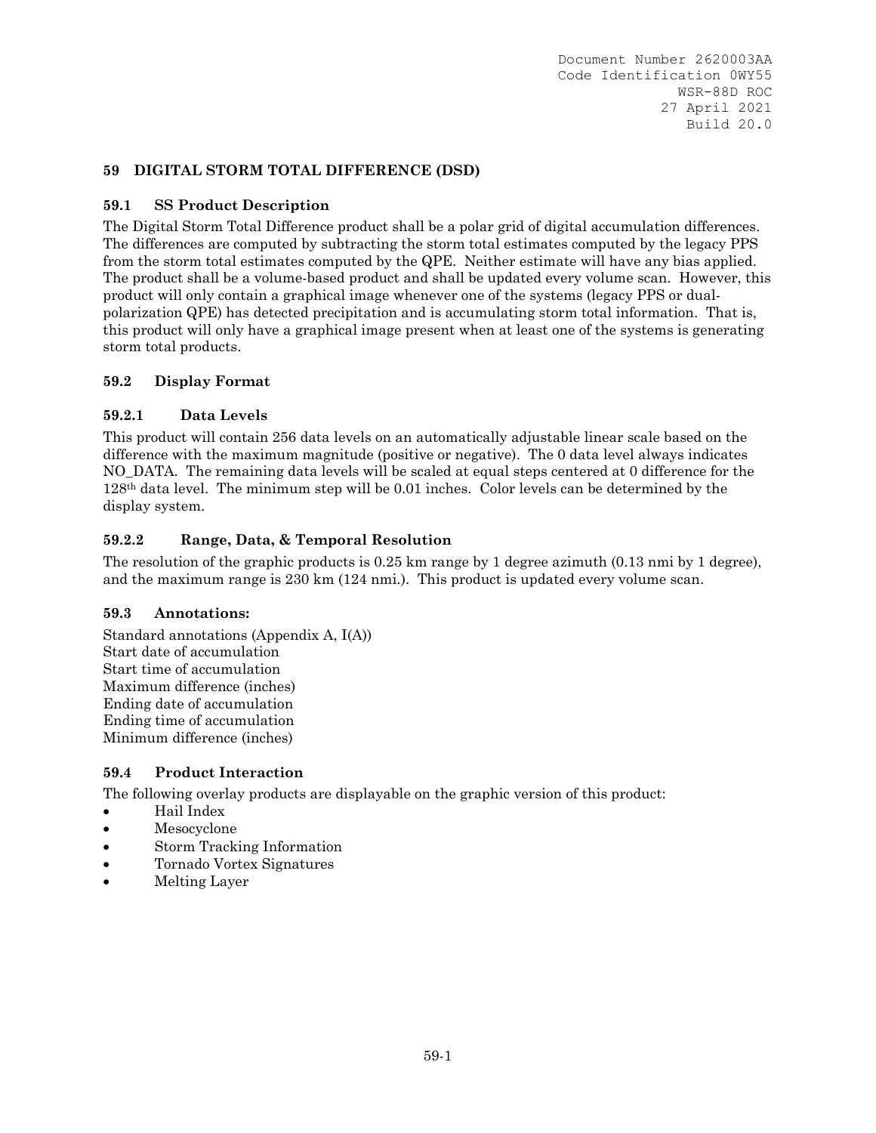## **59 DIGITAL STORM TOTAL DIFFERENCE (DSD)**

## **59.1 SS Product Description**

The Digital Storm Total Difference product shall be a polar grid of digital accumulation differences. The differences are computed by subtracting the storm total estimates computed by the legacy PPS from the storm total estimates computed by the QPE. Neither estimate will have any bias applied. The product shall be a volume-based product and shall be updated every volume scan. However, this product will only contain a graphical image whenever one of the systems (legacy PPS or dualpolarization QPE) has detected precipitation and is accumulating storm total information. That is, this product will only have a graphical image present when at least one of the systems is generating storm total products.

## **59.2 Display Format**

## **59.2.1 Data Levels**

This product will contain 256 data levels on an automatically adjustable linear scale based on the difference with the maximum magnitude (positive or negative). The 0 data level always indicates NO DATA. The remaining data levels will be scaled at equal steps centered at 0 difference for the 128th data level. The minimum step will be 0.01 inches. Color levels can be determined by the display system.

## **59.2.2 Range, Data, & Temporal Resolution**

The resolution of the graphic products is 0.25 km range by 1 degree azimuth (0.13 nmi by 1 degree), and the maximum range is 230 km (124 nmi.). This product is updated every volume scan.

### **59.3 Annotations:**

Standard annotations (Appendix A, I(A)) Start date of accumulation Start time of accumulation Maximum difference (inches) Ending date of accumulation Ending time of accumulation Minimum difference (inches)

### **59.4 Product Interaction**

- Hail Index
- Mesocyclone
- Storm Tracking Information
- Tornado Vortex Signatures
- Melting Layer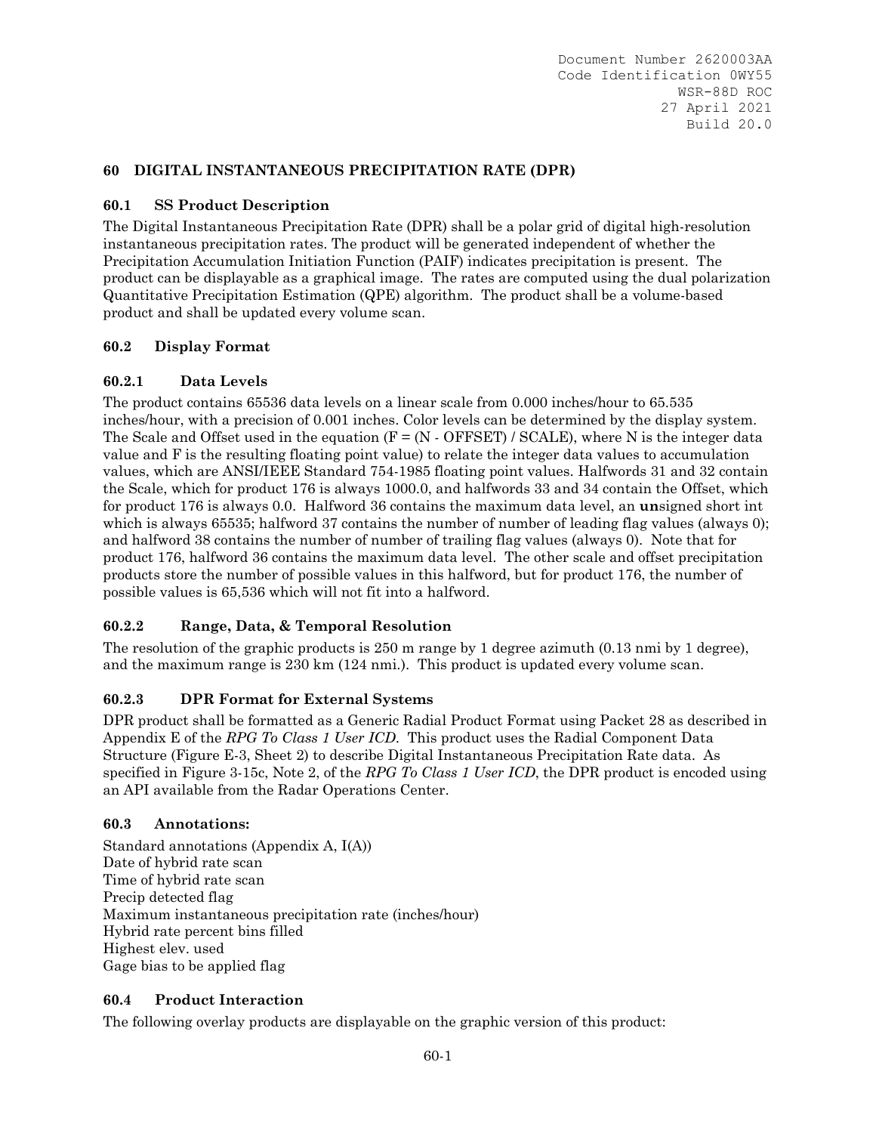## **60 DIGITAL INSTANTANEOUS PRECIPITATION RATE (DPR)**

## **60.1 SS Product Description**

The Digital Instantaneous Precipitation Rate (DPR) shall be a polar grid of digital high-resolution instantaneous precipitation rates. The product will be generated independent of whether the Precipitation Accumulation Initiation Function (PAIF) indicates precipitation is present. The product can be displayable as a graphical image. The rates are computed using the dual polarization Quantitative Precipitation Estimation (QPE) algorithm. The product shall be a volume-based product and shall be updated every volume scan.

## **60.2 Display Format**

## **60.2.1 Data Levels**

The product contains 65536 data levels on a linear scale from 0.000 inches/hour to 65.535 inches/hour, with a precision of 0.001 inches. Color levels can be determined by the display system. The Scale and Offset used in the equation  $(F = (N - OFFSET) / SCALE)$ , where N is the integer data value and F is the resulting floating point value) to relate the integer data values to accumulation values, which are ANSI/IEEE Standard 754-1985 floating point values. Halfwords 31 and 32 contain the Scale, which for product 176 is always 1000.0, and halfwords 33 and 34 contain the Offset, which for product 176 is always 0.0. Halfword 36 contains the maximum data level, an **un**signed short int which is always 65535; halfword 37 contains the number of number of leading flag values (always 0); and halfword 38 contains the number of number of trailing flag values (always 0). Note that for product 176, halfword 36 contains the maximum data level. The other scale and offset precipitation products store the number of possible values in this halfword, but for product 176, the number of possible values is 65,536 which will not fit into a halfword.

# **60.2.2 Range, Data, & Temporal Resolution**

The resolution of the graphic products is 250 m range by 1 degree azimuth (0.13 nmi by 1 degree), and the maximum range is 230 km (124 nmi.). This product is updated every volume scan.

### **60.2.3 DPR Format for External Systems**

DPR product shall be formatted as a Generic Radial Product Format using Packet 28 as described in Appendix E of the *RPG To Class 1 User ICD*. This product uses the Radial Component Data Structure (Figure E-3, Sheet 2) to describe Digital Instantaneous Precipitation Rate data. As specified in Figure 3-15c, Note 2, of the *RPG To Class 1 User ICD*, the DPR product is encoded using an API available from the Radar Operations Center.

### **60.3 Annotations:**

Standard annotations (Appendix A, I(A)) Date of hybrid rate scan Time of hybrid rate scan Precip detected flag Maximum instantaneous precipitation rate (inches/hour) Hybrid rate percent bins filled Highest elev. used Gage bias to be applied flag

### **60.4 Product Interaction**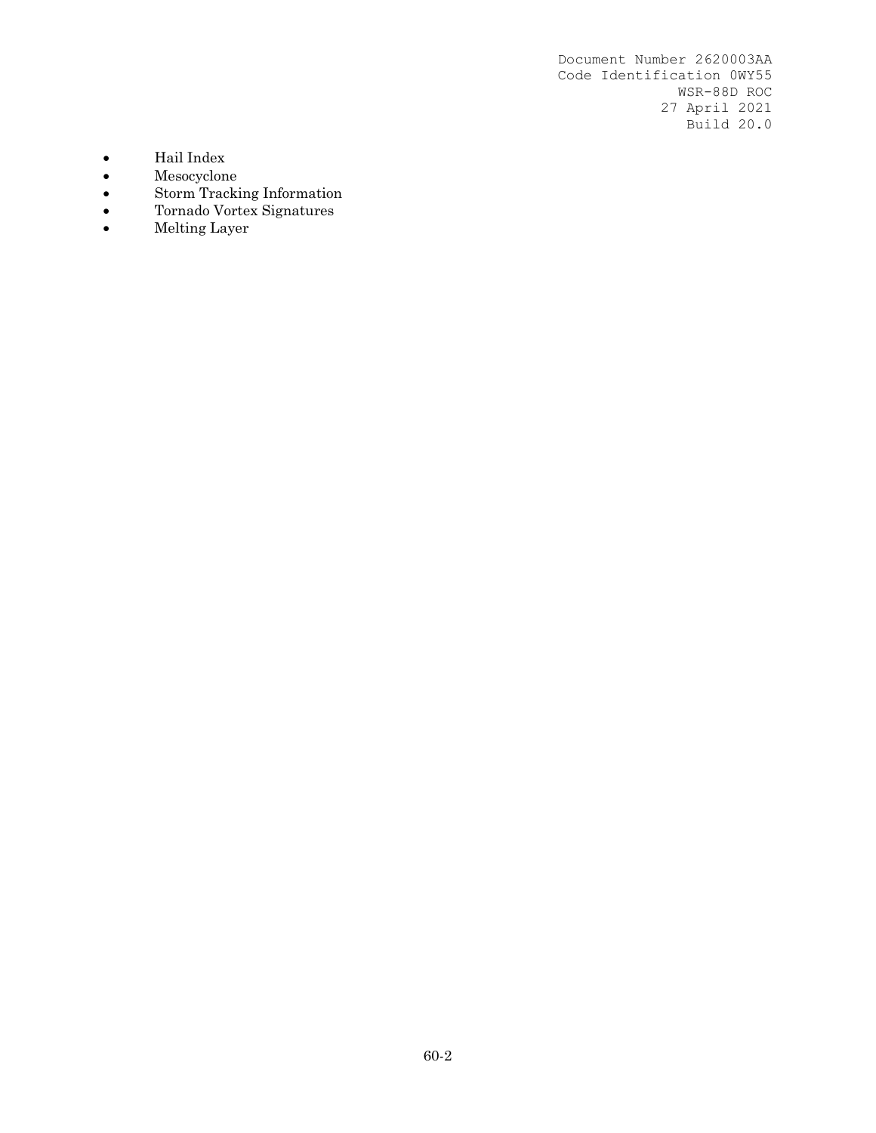- Hail Index
- 
- Mesocyclone<br>• Storm Tracki<br>• Tornado Vort Storm Tracking Information
- Tornado Vortex Signatures
- Melting Layer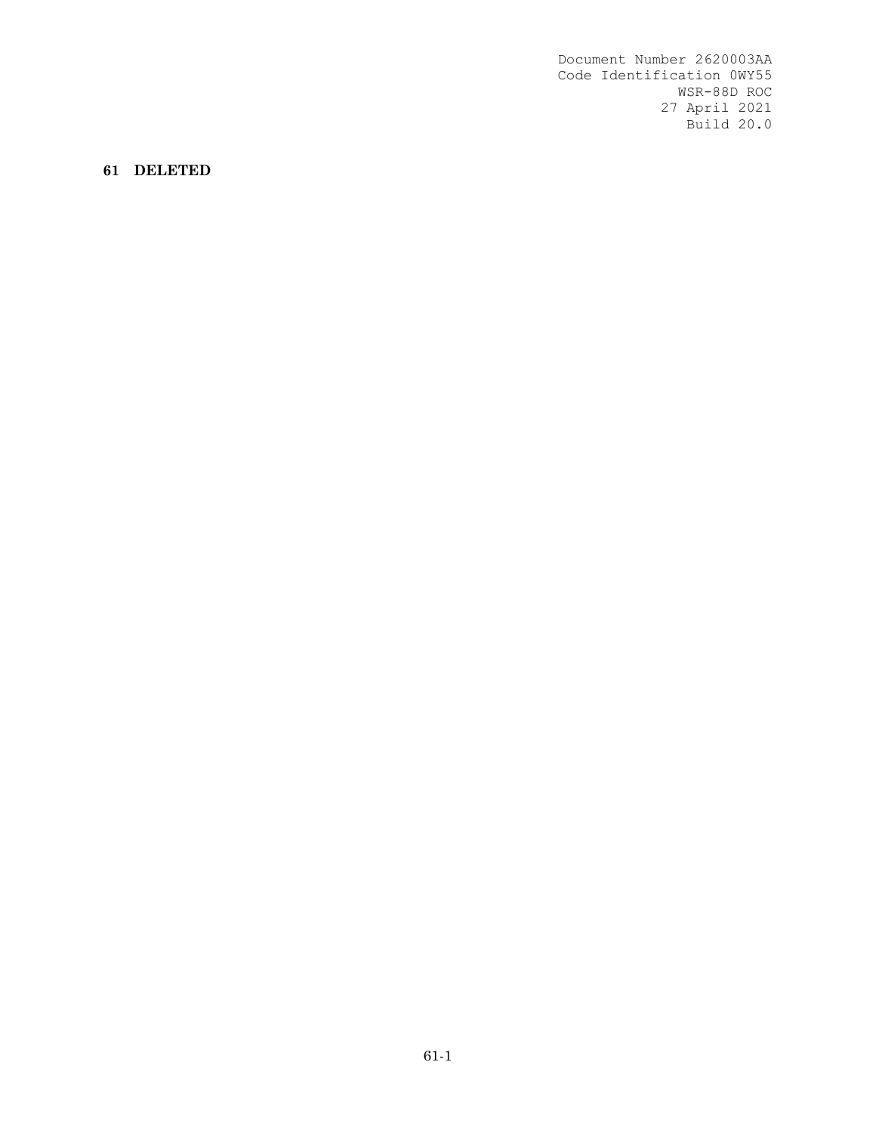**61 DELETED**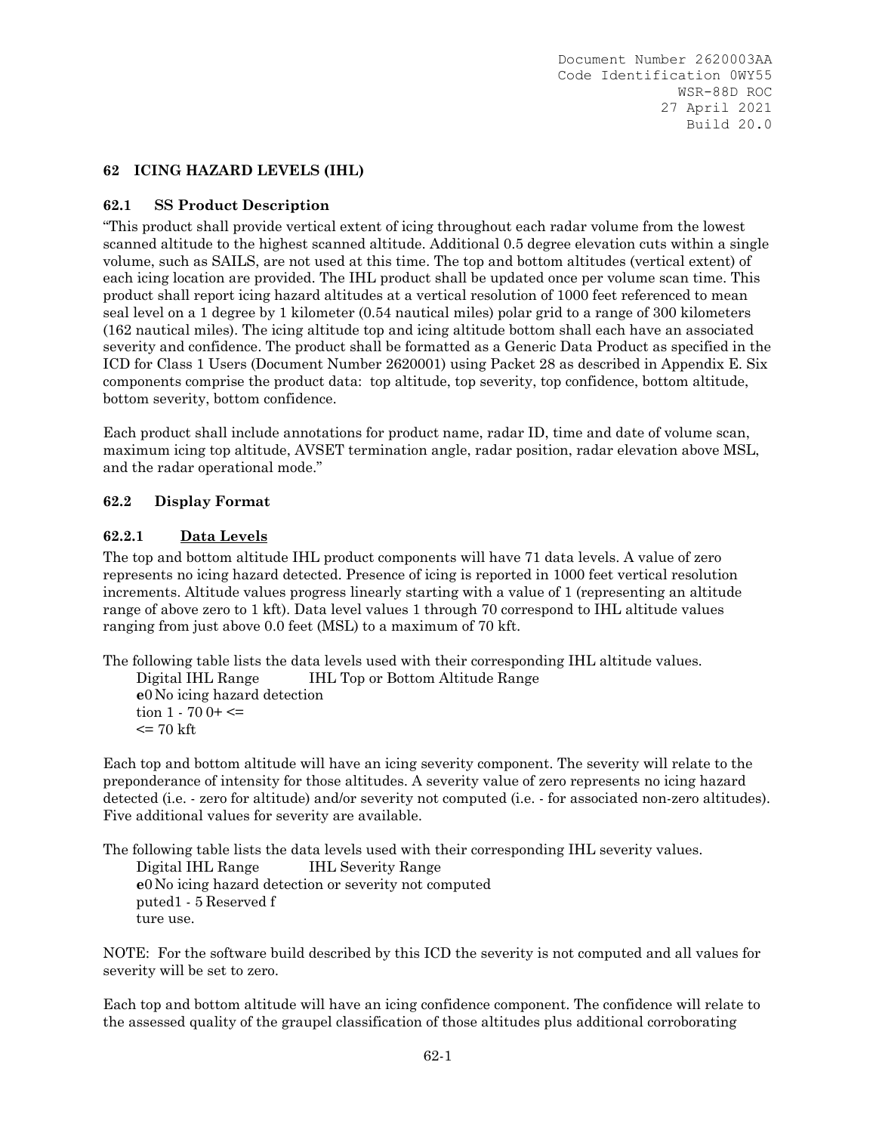#### **62 ICING HAZARD LEVELS (IHL)**

#### **62.1 SS Product Description**

"This product shall provide vertical extent of icing throughout each radar volume from the lowest scanned altitude to the highest scanned altitude. Additional 0.5 degree elevation cuts within a single volume, such as SAILS, are not used at this time. The top and bottom altitudes (vertical extent) of each icing location are provided. The IHL product shall be updated once per volume scan time. This product shall report icing hazard altitudes at a vertical resolution of 1000 feet referenced to mean seal level on a 1 degree by 1 kilometer (0.54 nautical miles) polar grid to a range of 300 kilometers (162 nautical miles). The icing altitude top and icing altitude bottom shall each have an associated severity and confidence. The product shall be formatted as a Generic Data Product as specified in the ICD for Class 1 Users (Document Number 2620001) using Packet 28 as described in Appendix E. Six components comprise the product data: top altitude, top severity, top confidence, bottom altitude, bottom severity, bottom confidence.

Each product shall include annotations for product name, radar ID, time and date of volume scan, maximum icing top altitude, AVSET termination angle, radar position, radar elevation above MSL, and the radar operational mode."

#### **62.2 Display Format**

#### **62.2.1 Data Levels**

The top and bottom altitude IHL product components will have 71 data levels. A value of zero represents no icing hazard detected. Presence of icing is reported in 1000 feet vertical resolution increments. Altitude values progress linearly starting with a value of 1 (representing an altitude range of above zero to 1 kft). Data level values 1 through 70 correspond to IHL altitude values ranging from just above 0.0 feet (MSL) to a maximum of 70 kft.

The following table lists the data levels used with their corresponding IHL altitude values.

Digital IHL Range IHL Top or Bottom Altitude Range **e**0 No icing hazard detection tion  $1 - 700 + \leq 1$  $\epsilon$  = 70 kft

Each top and bottom altitude will have an icing severity component. The severity will relate to the preponderance of intensity for those altitudes. A severity value of zero represents no icing hazard detected (i.e. - zero for altitude) and/or severity not computed (i.e. - for associated non-zero altitudes). Five additional values for severity are available.

The following table lists the data levels used with their corresponding IHL severity values. Digital IHL Range IHL Severity Range **e**0 No icing hazard detection or severity not computed puted1 - 5 Reserved f ture use.

NOTE: For the software build described by this ICD the severity is not computed and all values for severity will be set to zero.

Each top and bottom altitude will have an icing confidence component. The confidence will relate to the assessed quality of the graupel classification of those altitudes plus additional corroborating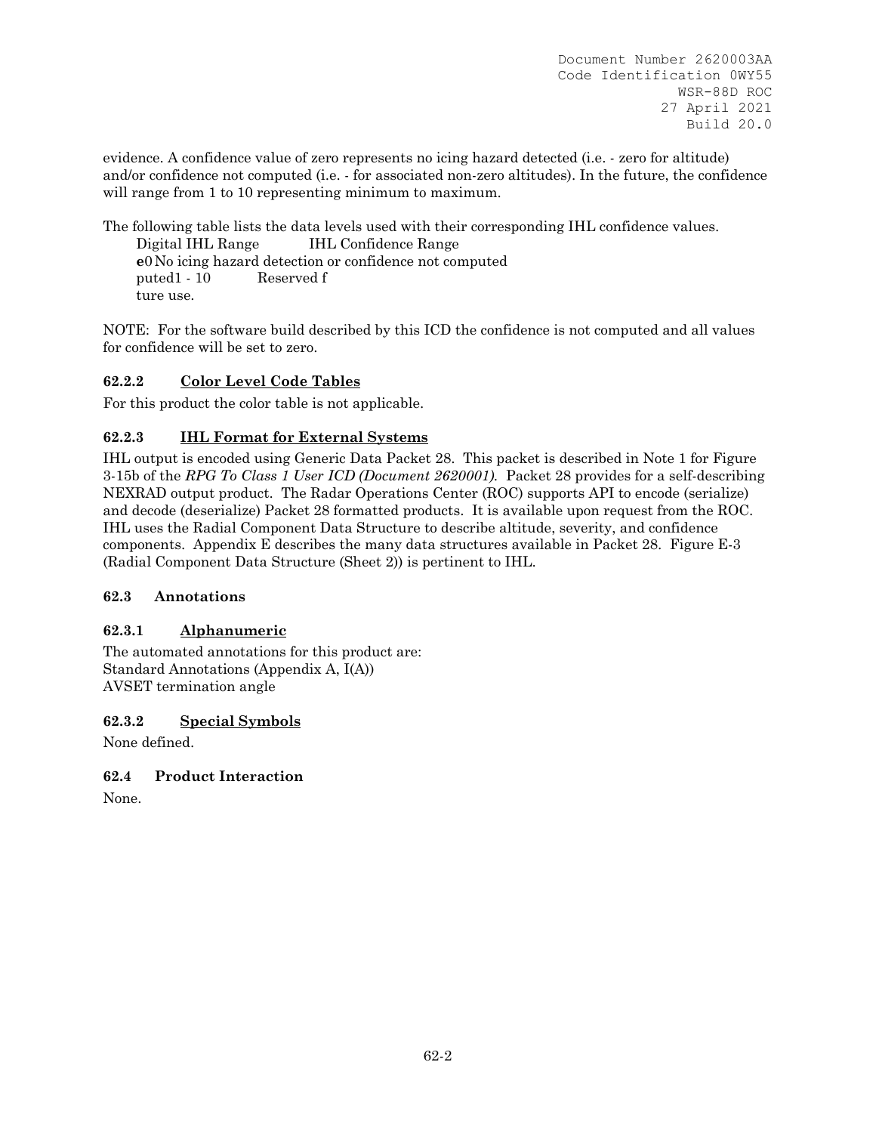evidence. A confidence value of zero represents no icing hazard detected (i.e. - zero for altitude) and/or confidence not computed (i.e. - for associated non-zero altitudes). In the future, the confidence will range from 1 to 10 representing minimum to maximum.

The following table lists the data levels used with their corresponding IHL confidence values. Digital IHL Range IHL Confidence Range **e**0 No icing hazard detection or confidence not computed puted1 - 10 Reserved f ture use.

NOTE: For the software build described by this ICD the confidence is not computed and all values for confidence will be set to zero.

# **62.2.2 Color Level Code Tables**

For this product the color table is not applicable.

## **62.2.3 IHL Format for External Systems**

IHL output is encoded using Generic Data Packet 28. This packet is described in Note 1 for Figure 3-15b of the *RPG To Class 1 User ICD (Document 2620001).* Packet 28 provides for a self-describing NEXRAD output product. The Radar Operations Center (ROC) supports API to encode (serialize) and decode (deserialize) Packet 28 formatted products. It is available upon request from the ROC. IHL uses the Radial Component Data Structure to describe altitude, severity, and confidence components. Appendix E describes the many data structures available in Packet 28. Figure E-3 (Radial Component Data Structure (Sheet 2)) is pertinent to IHL.

### **62.3 Annotations**

### **62.3.1 Alphanumeric**

The automated annotations for this product are: Standard Annotations (Appendix A, I(A)) AVSET termination angle

### **62.3.2 Special Symbols**

None defined.

### **62.4 Product Interaction**

None.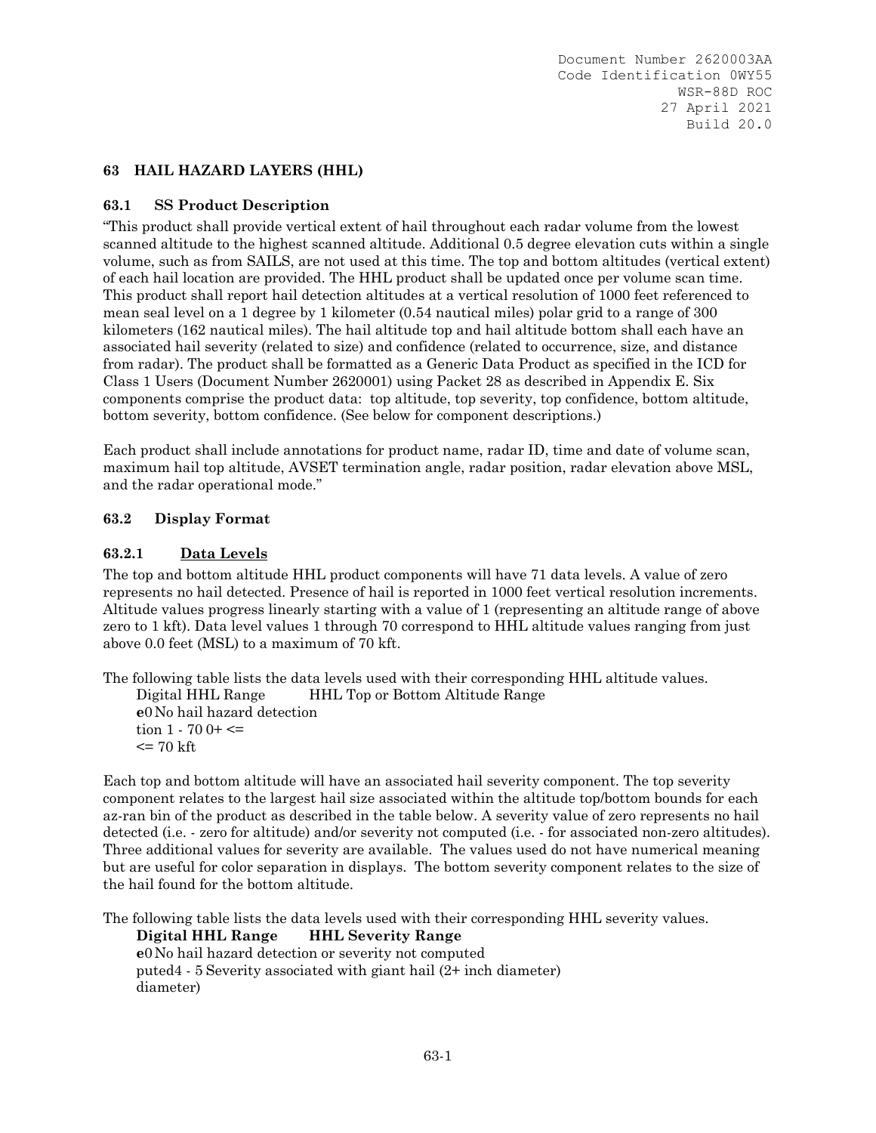### **63 HAIL HAZARD LAYERS (HHL)**

#### **63.1 SS Product Description**

"This product shall provide vertical extent of hail throughout each radar volume from the lowest scanned altitude to the highest scanned altitude. Additional 0.5 degree elevation cuts within a single volume, such as from SAILS, are not used at this time. The top and bottom altitudes (vertical extent) of each hail location are provided. The HHL product shall be updated once per volume scan time. This product shall report hail detection altitudes at a vertical resolution of 1000 feet referenced to mean seal level on a 1 degree by 1 kilometer (0.54 nautical miles) polar grid to a range of 300 kilometers (162 nautical miles). The hail altitude top and hail altitude bottom shall each have an associated hail severity (related to size) and confidence (related to occurrence, size, and distance from radar). The product shall be formatted as a Generic Data Product as specified in the ICD for Class 1 Users (Document Number 2620001) using Packet 28 as described in Appendix E. Six components comprise the product data: top altitude, top severity, top confidence, bottom altitude, bottom severity, bottom confidence. (See below for component descriptions.)

Each product shall include annotations for product name, radar ID, time and date of volume scan, maximum hail top altitude, AVSET termination angle, radar position, radar elevation above MSL, and the radar operational mode."

#### **63.2 Display Format**

#### **63.2.1 Data Levels**

The top and bottom altitude HHL product components will have 71 data levels. A value of zero represents no hail detected. Presence of hail is reported in 1000 feet vertical resolution increments. Altitude values progress linearly starting with a value of 1 (representing an altitude range of above zero to 1 kft). Data level values 1 through 70 correspond to HHL altitude values ranging from just above 0.0 feet (MSL) to a maximum of 70 kft.

The following table lists the data levels used with their corresponding HHL altitude values. Digital HHL Range HHL Top or Bottom Altitude Range **e**0 No hail hazard detection tion  $1 - 700 + \leq 1$  $\epsilon$  = 70 kft

Each top and bottom altitude will have an associated hail severity component. The top severity component relates to the largest hail size associated within the altitude top/bottom bounds for each az-ran bin of the product as described in the table below. A severity value of zero represents no hail detected (i.e. - zero for altitude) and/or severity not computed (i.e. - for associated non-zero altitudes). Three additional values for severity are available. The values used do not have numerical meaning but are useful for color separation in displays. The bottom severity component relates to the size of the hail found for the bottom altitude.

The following table lists the data levels used with their corresponding HHL severity values.

**Digital HHL Range HHL Severity Range e**0 No hail hazard detection or severity not computed puted4 - 5 Severity associated with giant hail (2+ inch diameter) diameter)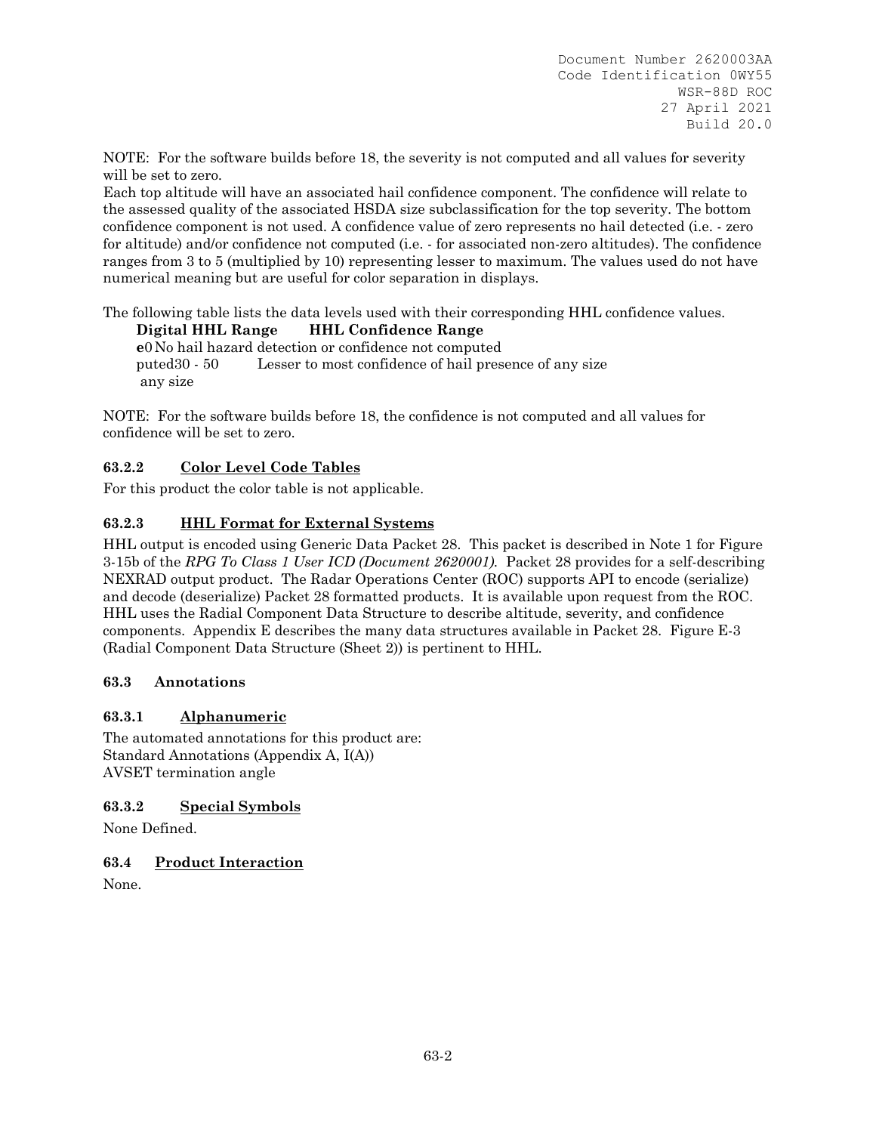NOTE: For the software builds before 18, the severity is not computed and all values for severity will be set to zero.

Each top altitude will have an associated hail confidence component. The confidence will relate to the assessed quality of the associated HSDA size subclassification for the top severity. The bottom confidence component is not used. A confidence value of zero represents no hail detected (i.e. - zero for altitude) and/or confidence not computed (i.e. - for associated non-zero altitudes). The confidence ranges from 3 to 5 (multiplied by 10) representing lesser to maximum. The values used do not have numerical meaning but are useful for color separation in displays.

The following table lists the data levels used with their corresponding HHL confidence values. **Digital HHL Range HHL Confidence Range** 

**e**0 No hail hazard detection or confidence not computed puted30 - 50 Lesser to most confidence of hail presence of any size any size

NOTE: For the software builds before 18, the confidence is not computed and all values for confidence will be set to zero.

# **63.2.2 Color Level Code Tables**

For this product the color table is not applicable.

# **63.2.3 HHL Format for External Systems**

HHL output is encoded using Generic Data Packet 28. This packet is described in Note 1 for Figure 3-15b of the *RPG To Class 1 User ICD (Document 2620001).* Packet 28 provides for a self-describing NEXRAD output product. The Radar Operations Center (ROC) supports API to encode (serialize) and decode (deserialize) Packet 28 formatted products. It is available upon request from the ROC. HHL uses the Radial Component Data Structure to describe altitude, severity, and confidence components. Appendix E describes the many data structures available in Packet 28. Figure E-3 (Radial Component Data Structure (Sheet 2)) is pertinent to HHL.

### **63.3 Annotations**

### **63.3.1 Alphanumeric**

The automated annotations for this product are: Standard Annotations (Appendix A, I(A)) AVSET termination angle

### **63.3.2 Special Symbols**

None Defined.

### **63.4 Product Interaction**

None.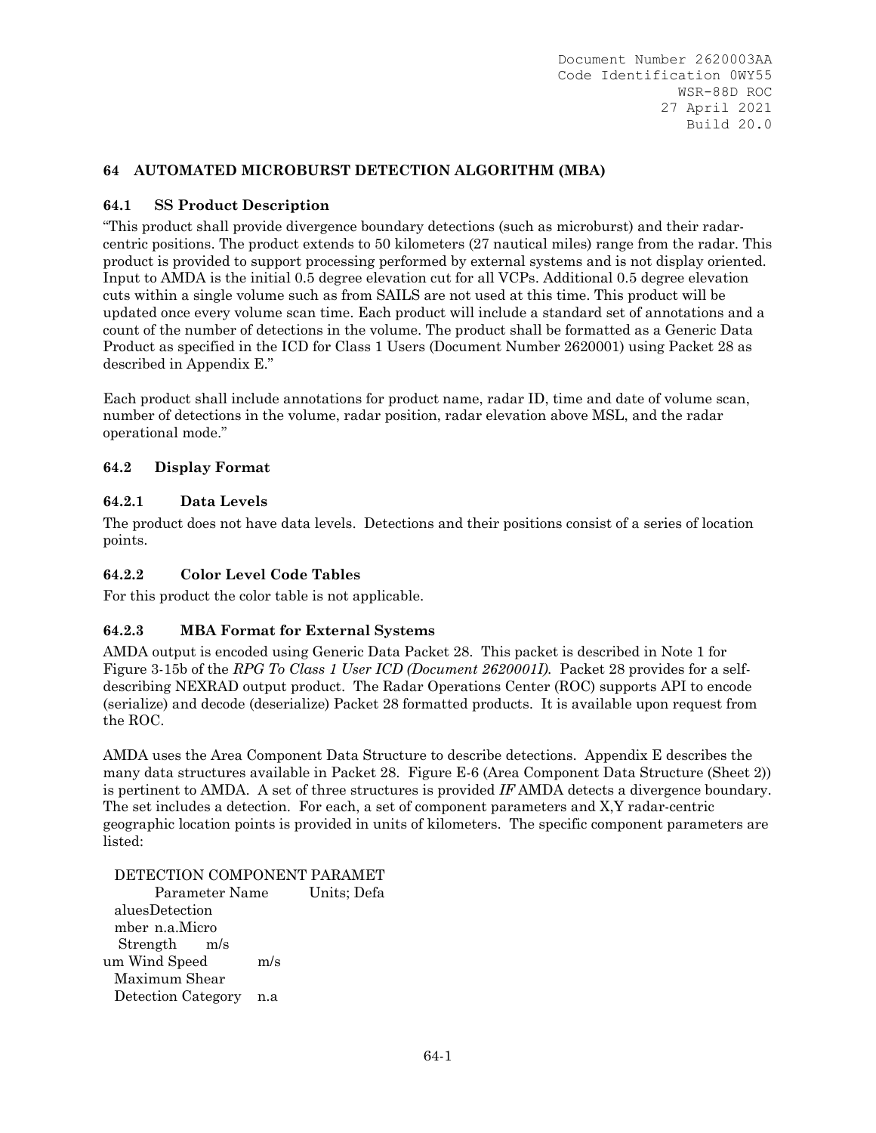# **64 AUTOMATED MICROBURST DETECTION ALGORITHM (MBA)**

### **64.1 SS Product Description**

"This product shall provide divergence boundary detections (such as microburst) and their radarcentric positions. The product extends to 50 kilometers (27 nautical miles) range from the radar. This product is provided to support processing performed by external systems and is not display oriented. Input to AMDA is the initial 0.5 degree elevation cut for all VCPs. Additional 0.5 degree elevation cuts within a single volume such as from SAILS are not used at this time. This product will be updated once every volume scan time. Each product will include a standard set of annotations and a count of the number of detections in the volume. The product shall be formatted as a Generic Data Product as specified in the ICD for Class 1 Users (Document Number 2620001) using Packet 28 as described in Appendix E."

Each product shall include annotations for product name, radar ID, time and date of volume scan, number of detections in the volume, radar position, radar elevation above MSL, and the radar operational mode."

### **64.2 Display Format**

### **64.2.1 Data Levels**

The product does not have data levels. Detections and their positions consist of a series of location points.

# **64.2.2 Color Level Code Tables**

For this product the color table is not applicable.

### **64.2.3 MBA Format for External Systems**

AMDA output is encoded using Generic Data Packet 28. This packet is described in Note 1 for Figure 3-15b of the *RPG To Class 1 User ICD (Document 2620001I).* Packet 28 provides for a selfdescribing NEXRAD output product. The Radar Operations Center (ROC) supports API to encode (serialize) and decode (deserialize) Packet 28 formatted products. It is available upon request from the ROC.

AMDA uses the Area Component Data Structure to describe detections. Appendix E describes the many data structures available in Packet 28. Figure E-6 (Area Component Data Structure (Sheet 2)) is pertinent to AMDA. A set of three structures is provided *IF* AMDA detects a divergence boundary. The set includes a detection. For each, a set of component parameters and X,Y radar-centric geographic location points is provided in units of kilometers. The specific component parameters are listed:

DETECTION COMPONENT PARAMET

 Parameter Name Units; Defa aluesDetection mber n.a.Micro Strength m/s um Wind Speed m/s Maximum Shear Detection Category n.a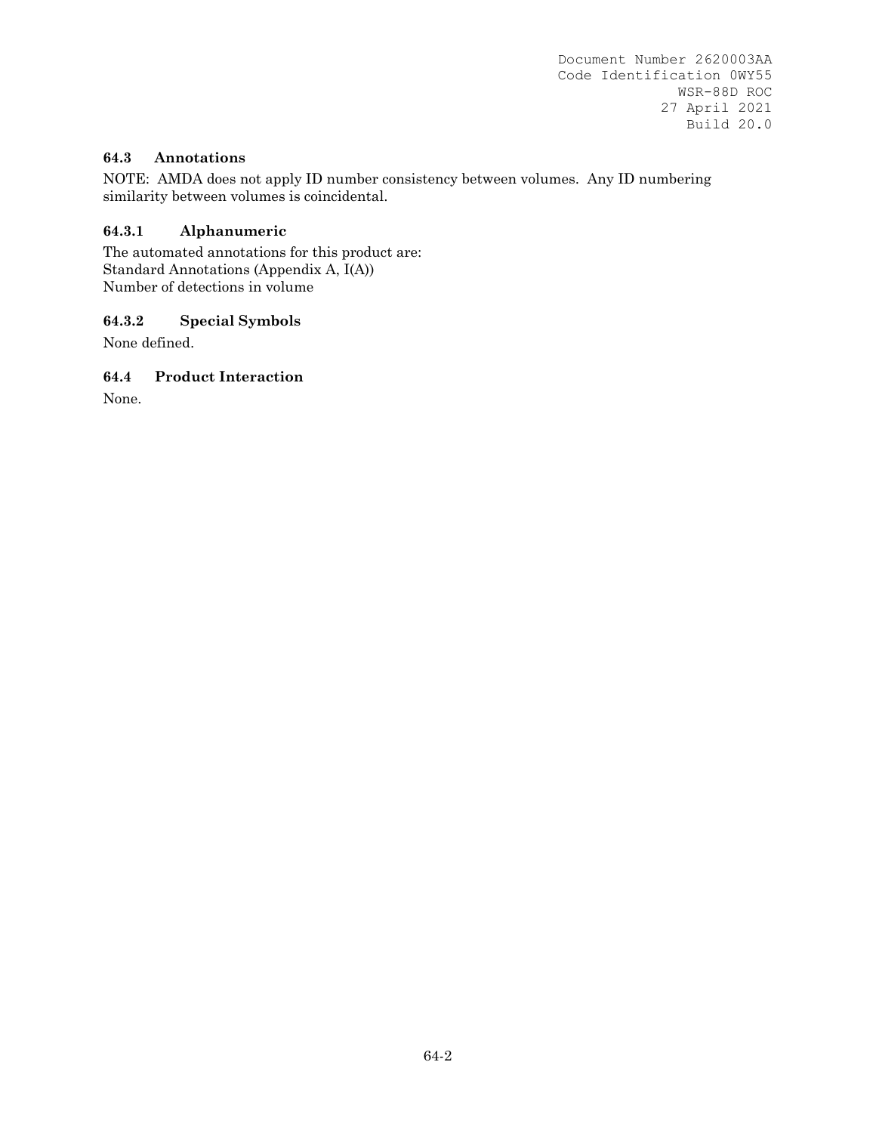## **64.3 Annotations**

NOTE: AMDA does not apply ID number consistency between volumes. Any ID numbering similarity between volumes is coincidental.

# **64.3.1 Alphanumeric**

The automated annotations for this product are: Standard Annotations (Appendix A, I(A)) Number of detections in volume

# **64.3.2 Special Symbols**

None defined.

### **64.4 Product Interaction**

None.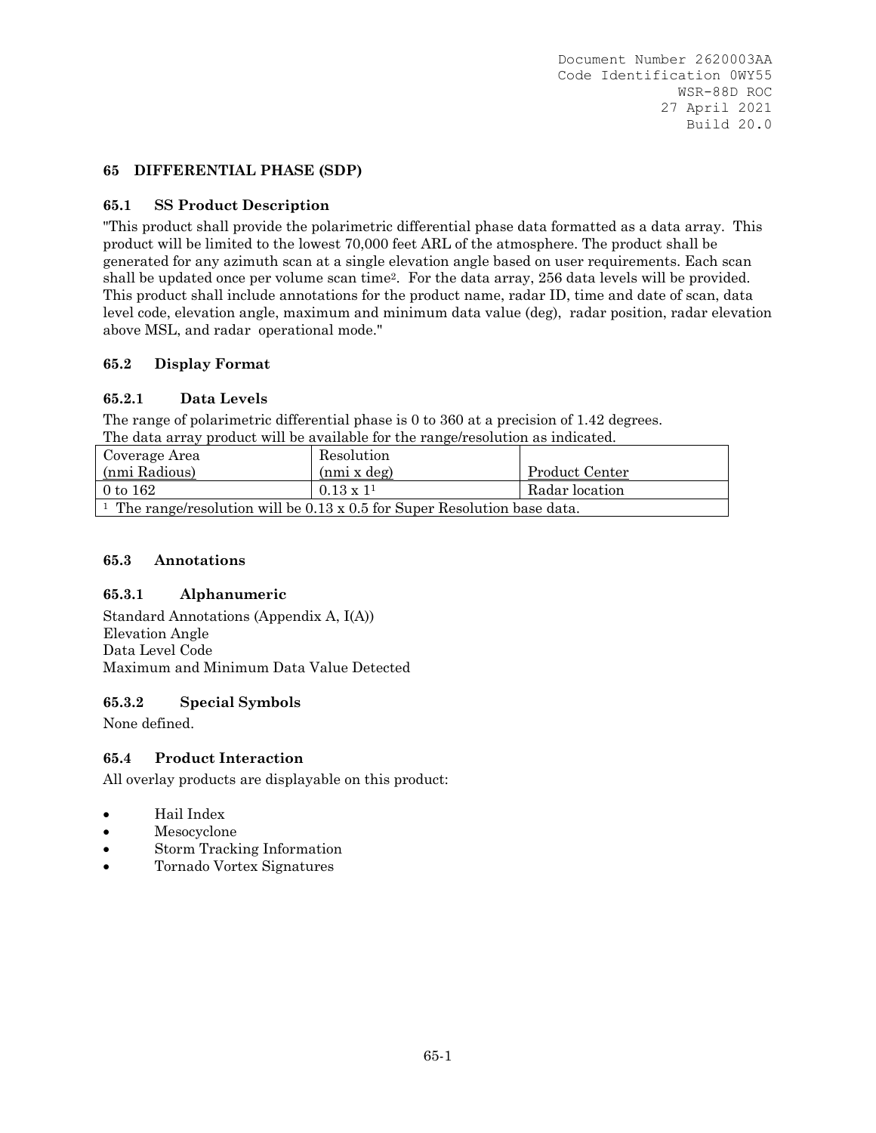### **65 DIFFERENTIAL PHASE (SDP)**

### **65.1 SS Product Description**

"This product shall provide the polarimetric differential phase data formatted as a data array. This product will be limited to the lowest 70,000 feet ARL of the atmosphere. The product shall be generated for any azimuth scan at a single elevation angle based on user requirements. Each scan shall be updated once per volume scan time2. For the data array, 256 data levels will be provided. This product shall include annotations for the product name, radar ID, time and date of scan, data level code, elevation angle, maximum and minimum data value (deg), radar position, radar elevation above MSL, and radar operational mode."

#### **65.2 Display Format**

### **65.2.1 Data Levels**

The range of polarimetric differential phase is 0 to 360 at a precision of 1.42 degrees. The data array product will be available for the range/resolution as indicated.

| Coverage Area                                                                               | Resolution       |                |
|---------------------------------------------------------------------------------------------|------------------|----------------|
| (nmi Radious)                                                                               | (mmi x deg)      | Product Center |
| $0$ to $162$                                                                                | $0.13 \times 11$ | Radar location |
| <sup>1</sup> The range/resolution will be $0.13 \times 0.5$ for Super Resolution base data. |                  |                |

#### **65.3 Annotations**

#### **65.3.1 Alphanumeric**

Standard Annotations (Appendix A, I(A)) Elevation Angle Data Level Code Maximum and Minimum Data Value Detected

#### **65.3.2 Special Symbols**

None defined.

#### **65.4 Product Interaction**

All overlay products are displayable on this product:

- Hail Index
- Mesocyclone
- Storm Tracking Information
- Tornado Vortex Signatures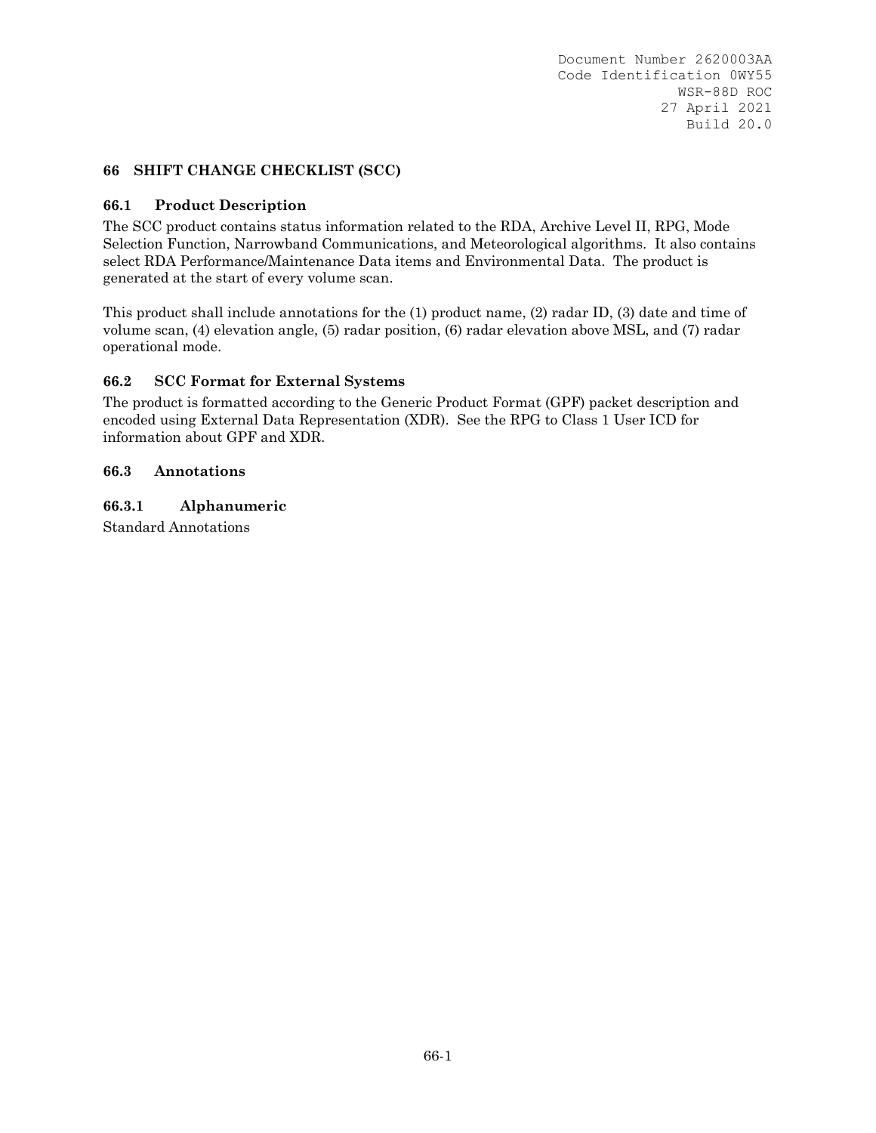### **66 SHIFT CHANGE CHECKLIST (SCC)**

#### **66.1 Product Description**

The SCC product contains status information related to the RDA, Archive Level II, RPG, Mode Selection Function, Narrowband Communications, and Meteorological algorithms. It also contains select RDA Performance/Maintenance Data items and Environmental Data. The product is generated at the start of every volume scan.

This product shall include annotations for the (1) product name, (2) radar ID, (3) date and time of volume scan, (4) elevation angle, (5) radar position, (6) radar elevation above MSL, and (7) radar operational mode.

### **66.2 SCC Format for External Systems**

The product is formatted according to the Generic Product Format (GPF) packet description and encoded using External Data Representation (XDR). See the RPG to Class 1 User ICD for information about GPF and XDR.

#### **66.3 Annotations**

### **66.3.1 Alphanumeric**

Standard Annotations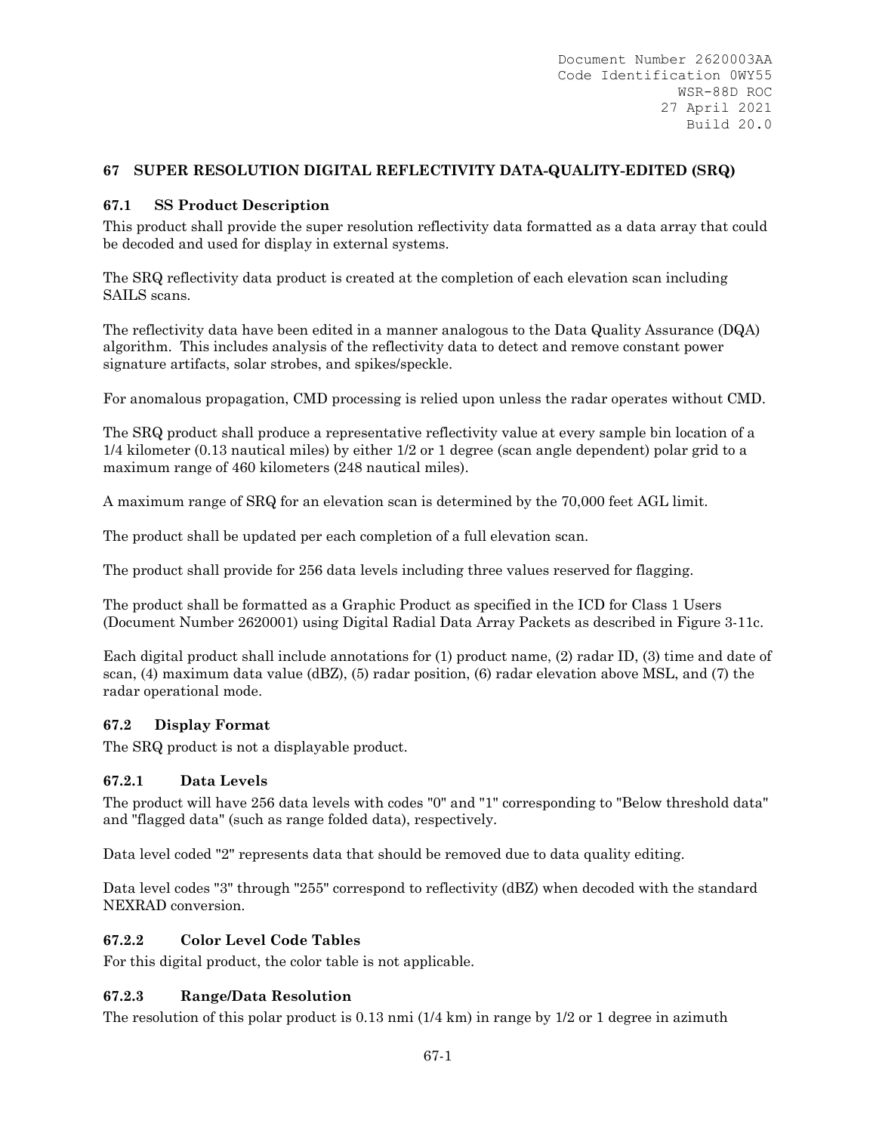# **67 SUPER RESOLUTION DIGITAL REFLECTIVITY DATA-QUALITY-EDITED (SRQ)**

## **67.1 SS Product Description**

This product shall provide the super resolution reflectivity data formatted as a data array that could be decoded and used for display in external systems.

The SRQ reflectivity data product is created at the completion of each elevation scan including SAILS scans.

The reflectivity data have been edited in a manner analogous to the Data Quality Assurance (DQA) algorithm. This includes analysis of the reflectivity data to detect and remove constant power signature artifacts, solar strobes, and spikes/speckle.

For anomalous propagation, CMD processing is relied upon unless the radar operates without CMD.

The SRQ product shall produce a representative reflectivity value at every sample bin location of a 1/4 kilometer (0.13 nautical miles) by either 1/2 or 1 degree (scan angle dependent) polar grid to a maximum range of 460 kilometers (248 nautical miles).

A maximum range of SRQ for an elevation scan is determined by the 70,000 feet AGL limit.

The product shall be updated per each completion of a full elevation scan.

The product shall provide for 256 data levels including three values reserved for flagging.

The product shall be formatted as a Graphic Product as specified in the ICD for Class 1 Users (Document Number 2620001) using Digital Radial Data Array Packets as described in Figure 3-11c.

Each digital product shall include annotations for (1) product name, (2) radar ID, (3) time and date of scan, (4) maximum data value (dBZ), (5) radar position, (6) radar elevation above MSL, and (7) the radar operational mode.

### **67.2 Display Format**

The SRQ product is not a displayable product.

### **67.2.1 Data Levels**

The product will have 256 data levels with codes "0" and "1" corresponding to "Below threshold data" and "flagged data" (such as range folded data), respectively.

Data level coded "2" represents data that should be removed due to data quality editing.

Data level codes "3" through "255" correspond to reflectivity (dBZ) when decoded with the standard NEXRAD conversion.

### **67.2.2 Color Level Code Tables**

For this digital product, the color table is not applicable.

### **67.2.3 Range/Data Resolution**

The resolution of this polar product is  $0.13 \text{ nm}$  ( $1/4 \text{ km}$ ) in range by  $1/2$  or 1 degree in azimuth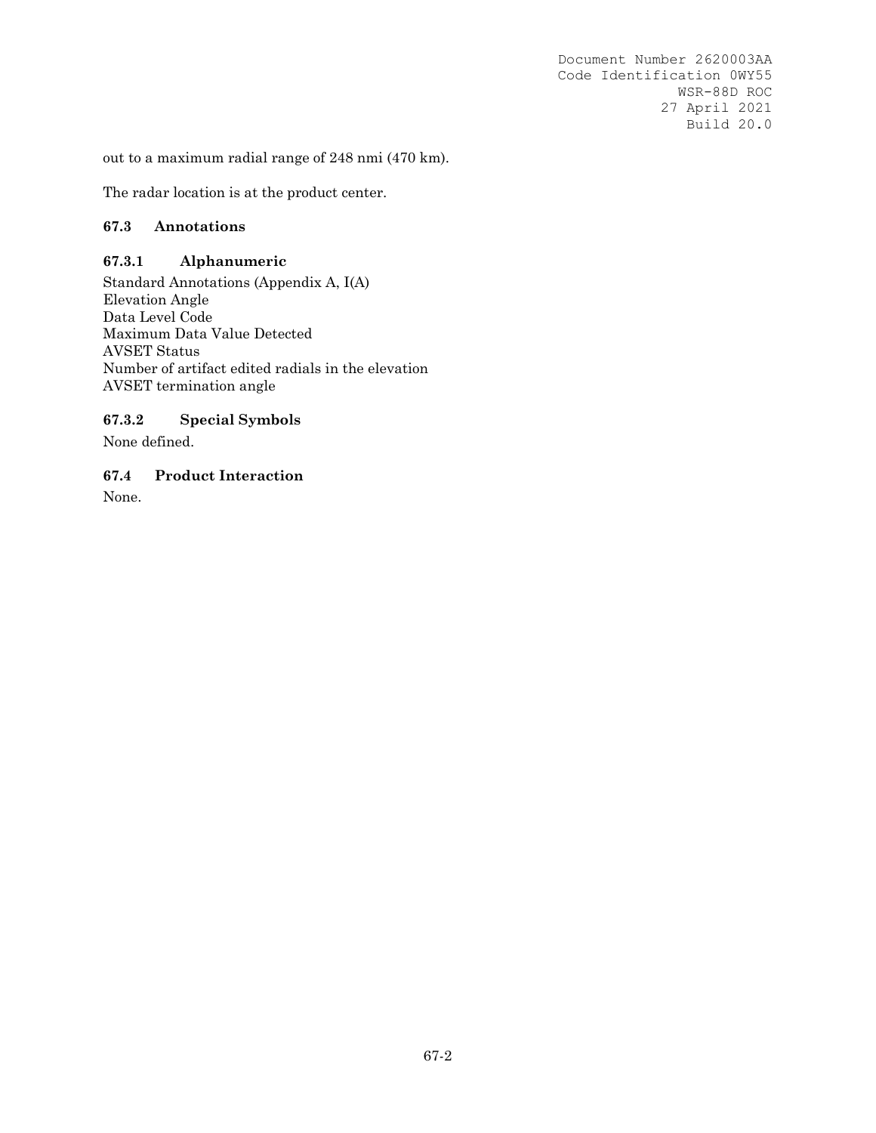out to a maximum radial range of 248 nmi (470 km).

The radar location is at the product center.

### **67.3 Annotations**

#### **67.3.1 Alphanumeric**

Standard Annotations (Appendix A, I(A) Elevation Angle Data Level Code Maximum Data Value Detected AVSET Status Number of artifact edited radials in the elevation AVSET termination angle

### **67.3.2 Special Symbols**

None defined.

**67.4 Product Interaction** 

None.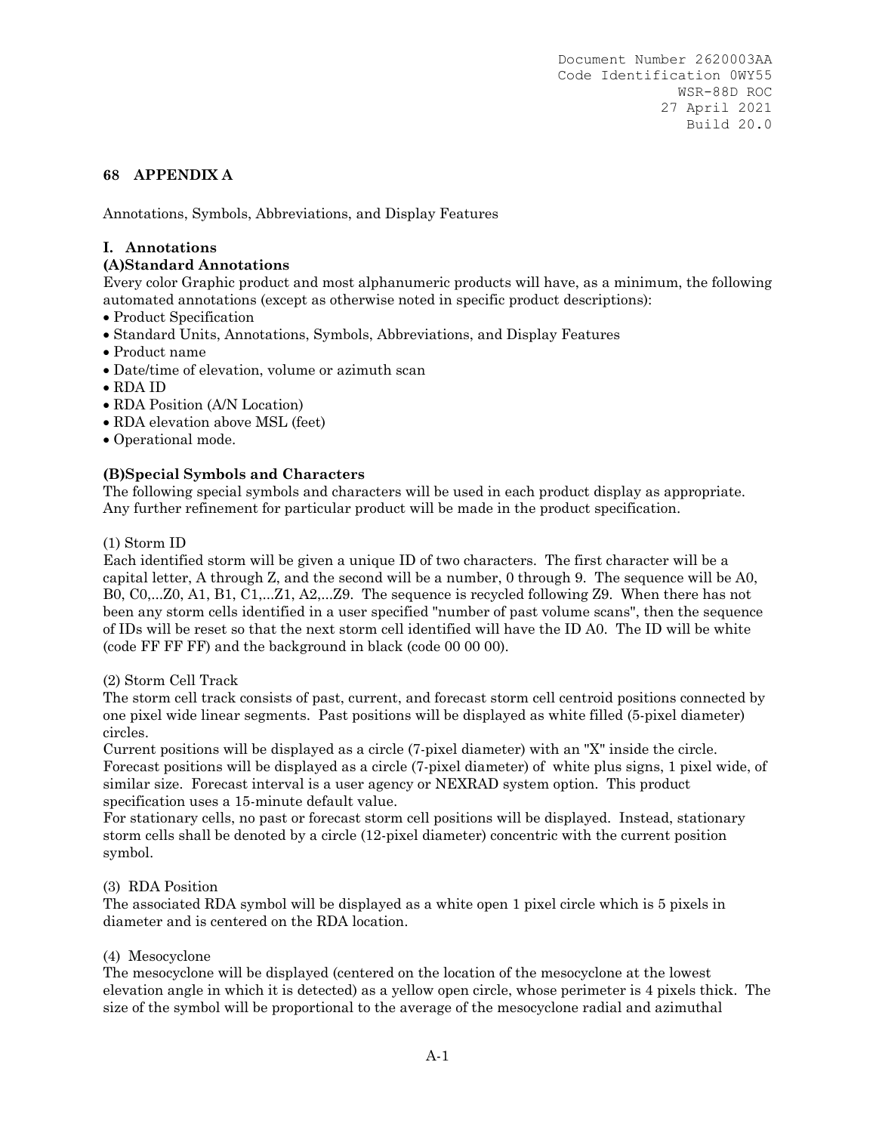## **68 APPENDIX A**

Annotations, Symbols, Abbreviations, and Display Features

### **I. Annotations**

### **(A)Standard Annotations**

Every color Graphic product and most alphanumeric products will have, as a minimum, the following automated annotations (except as otherwise noted in specific product descriptions):

- Product Specification
- Standard Units, Annotations, Symbols, Abbreviations, and Display Features
- Product name
- Date/time of elevation, volume or azimuth scan
- RDA ID
- RDA Position (A/N Location)
- RDA elevation above MSL (feet)
- Operational mode.

### **(B)Special Symbols and Characters**

The following special symbols and characters will be used in each product display as appropriate. Any further refinement for particular product will be made in the product specification.

#### (1) Storm ID

Each identified storm will be given a unique ID of two characters. The first character will be a capital letter, A through Z, and the second will be a number, 0 through 9. The sequence will be A0, B0, C0,...Z0, A1, B1, C1,...Z1, A2,...Z9. The sequence is recycled following Z9. When there has not been any storm cells identified in a user specified "number of past volume scans", then the sequence of IDs will be reset so that the next storm cell identified will have the ID A0. The ID will be white (code FF FF FF) and the background in black (code 00 00 00).

#### (2) Storm Cell Track

The storm cell track consists of past, current, and forecast storm cell centroid positions connected by one pixel wide linear segments. Past positions will be displayed as white filled (5-pixel diameter) circles.

Current positions will be displayed as a circle (7-pixel diameter) with an "X" inside the circle. Forecast positions will be displayed as a circle (7-pixel diameter) of white plus signs, 1 pixel wide, of similar size. Forecast interval is a user agency or NEXRAD system option. This product specification uses a 15-minute default value.

For stationary cells, no past or forecast storm cell positions will be displayed. Instead, stationary storm cells shall be denoted by a circle (12-pixel diameter) concentric with the current position symbol.

#### (3) RDA Position

The associated RDA symbol will be displayed as a white open 1 pixel circle which is 5 pixels in diameter and is centered on the RDA location.

#### (4) Mesocyclone

The mesocyclone will be displayed (centered on the location of the mesocyclone at the lowest elevation angle in which it is detected) as a yellow open circle, whose perimeter is 4 pixels thick. The size of the symbol will be proportional to the average of the mesocyclone radial and azimuthal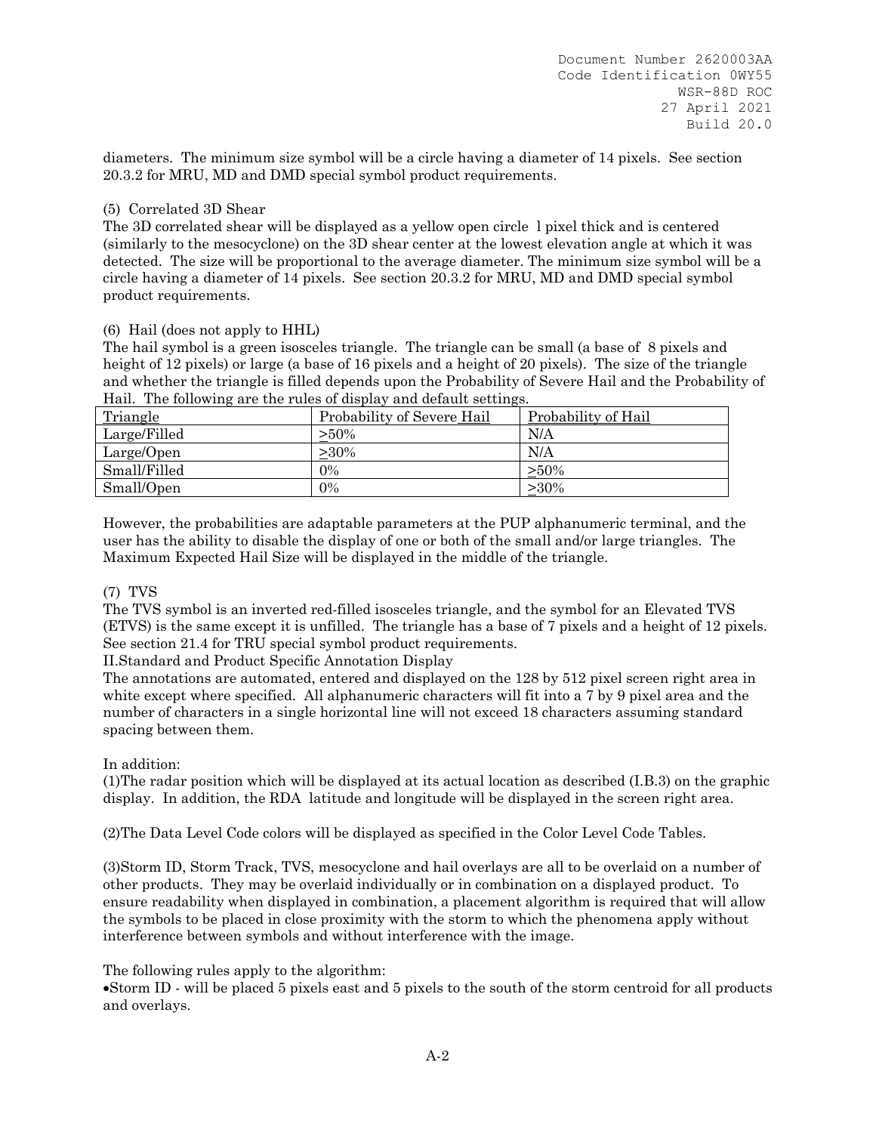diameters. The minimum size symbol will be a circle having a diameter of 14 pixels. See section 20.3.2 for MRU, MD and DMD special symbol product requirements.

### (5) Correlated 3D Shear

The 3D correlated shear will be displayed as a yellow open circle l pixel thick and is centered (similarly to the mesocyclone) on the 3D shear center at the lowest elevation angle at which it was detected. The size will be proportional to the average diameter. The minimum size symbol will be a circle having a diameter of 14 pixels. See section 20.3.2 for MRU, MD and DMD special symbol product requirements.

### (6) Hail (does not apply to HHL)

The hail symbol is a green isosceles triangle. The triangle can be small (a base of 8 pixels and height of 12 pixels) or large (a base of 16 pixels and a height of 20 pixels). The size of the triangle and whether the triangle is filled depends upon the Probability of Severe Hail and the Probability of Hail. The following are the rules of display and default settings.

| Triangle     | Probability of Severe Hail | Probability of Hail |
|--------------|----------------------------|---------------------|
| Large/Filled | $>50\%$                    | N/A                 |
| Large/Open   | >30%                       | N/A                 |
| Small/Filled | 0%                         | $> 50\%$            |
| Small/Open   | $0\%$                      | $>30\%$             |
|              |                            |                     |

However, the probabilities are adaptable parameters at the PUP alphanumeric terminal, and the user has the ability to disable the display of one or both of the small and/or large triangles. The Maximum Expected Hail Size will be displayed in the middle of the triangle.

### (7) TVS

The TVS symbol is an inverted red-filled isosceles triangle, and the symbol for an Elevated TVS (ETVS) is the same except it is unfilled. The triangle has a base of 7 pixels and a height of 12 pixels. See section 21.4 for TRU special symbol product requirements.

II.Standard and Product Specific Annotation Display

The annotations are automated, entered and displayed on the 128 by 512 pixel screen right area in white except where specified. All alphanumeric characters will fit into a 7 by 9 pixel area and the number of characters in a single horizontal line will not exceed 18 characters assuming standard spacing between them.

### In addition:

(1)The radar position which will be displayed at its actual location as described (I.B.3) on the graphic display. In addition, the RDA latitude and longitude will be displayed in the screen right area.

(2)The Data Level Code colors will be displayed as specified in the Color Level Code Tables.

(3)Storm ID, Storm Track, TVS, mesocyclone and hail overlays are all to be overlaid on a number of other products. They may be overlaid individually or in combination on a displayed product. To ensure readability when displayed in combination, a placement algorithm is required that will allow the symbols to be placed in close proximity with the storm to which the phenomena apply without interference between symbols and without interference with the image.

The following rules apply to the algorithm:

Storm ID - will be placed 5 pixels east and 5 pixels to the south of the storm centroid for all products and overlays.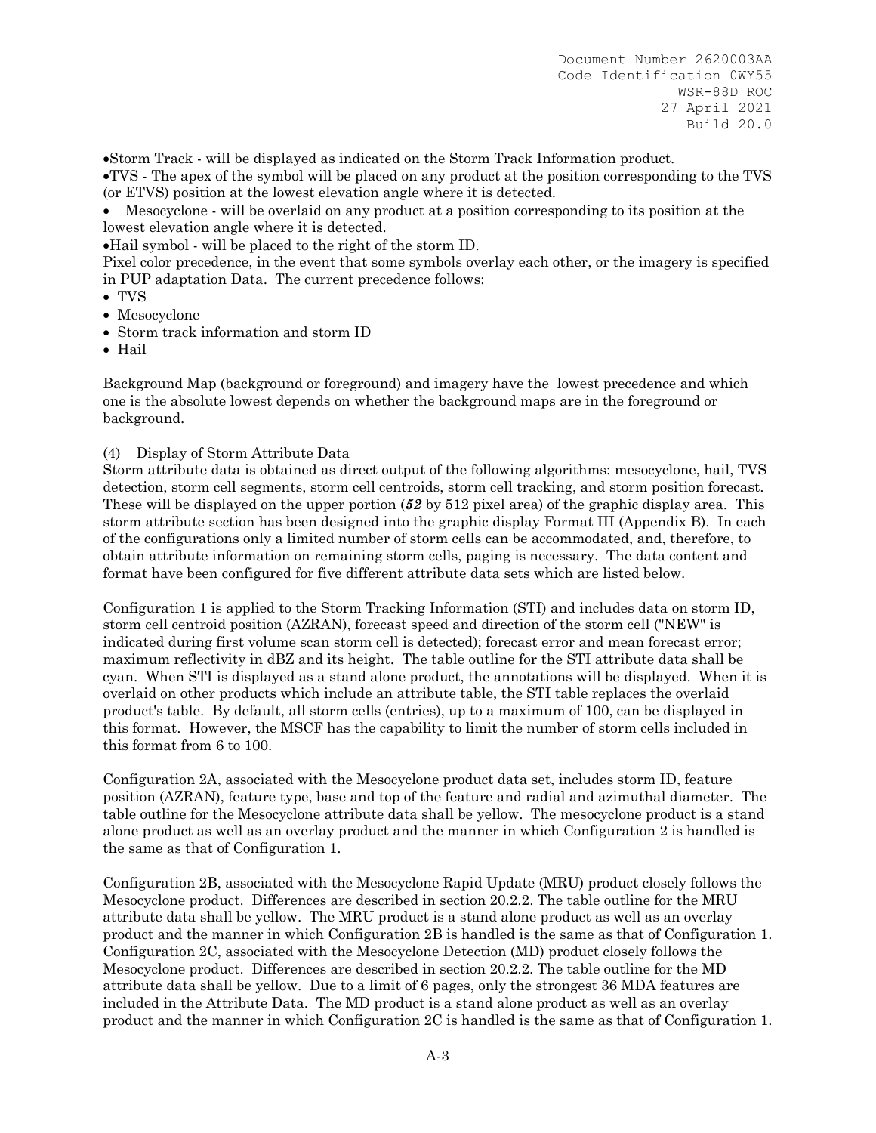Storm Track - will be displayed as indicated on the Storm Track Information product.

TVS - The apex of the symbol will be placed on any product at the position corresponding to the TVS (or ETVS) position at the lowest elevation angle where it is detected.

 Mesocyclone - will be overlaid on any product at a position corresponding to its position at the lowest elevation angle where it is detected.

Hail symbol - will be placed to the right of the storm ID.

Pixel color precedence, in the event that some symbols overlay each other, or the imagery is specified in PUP adaptation Data. The current precedence follows:

- TVS
- Mesocyclone
- Storm track information and storm ID
- Hail

Background Map (background or foreground) and imagery have the lowest precedence and which one is the absolute lowest depends on whether the background maps are in the foreground or background.

### (4) Display of Storm Attribute Data

Storm attribute data is obtained as direct output of the following algorithms: mesocyclone, hail, TVS detection, storm cell segments, storm cell centroids, storm cell tracking, and storm position forecast. These will be displayed on the upper portion (*52* by 512 pixel area) of the graphic display area. This storm attribute section has been designed into the graphic display Format III (Appendix B). In each of the configurations only a limited number of storm cells can be accommodated, and, therefore, to obtain attribute information on remaining storm cells, paging is necessary. The data content and format have been configured for five different attribute data sets which are listed below.

Configuration 1 is applied to the Storm Tracking Information (STI) and includes data on storm ID, storm cell centroid position (AZRAN), forecast speed and direction of the storm cell ("NEW" is indicated during first volume scan storm cell is detected); forecast error and mean forecast error; maximum reflectivity in dBZ and its height. The table outline for the STI attribute data shall be cyan. When STI is displayed as a stand alone product, the annotations will be displayed. When it is overlaid on other products which include an attribute table, the STI table replaces the overlaid product's table. By default, all storm cells (entries), up to a maximum of 100, can be displayed in this format. However, the MSCF has the capability to limit the number of storm cells included in this format from 6 to 100.

Configuration 2A, associated with the Mesocyclone product data set, includes storm ID, feature position (AZRAN), feature type, base and top of the feature and radial and azimuthal diameter. The table outline for the Mesocyclone attribute data shall be yellow. The mesocyclone product is a stand alone product as well as an overlay product and the manner in which Configuration 2 is handled is the same as that of Configuration 1.

Configuration 2B, associated with the Mesocyclone Rapid Update (MRU) product closely follows the Mesocyclone product. Differences are described in section 20.2.2. The table outline for the MRU attribute data shall be yellow. The MRU product is a stand alone product as well as an overlay product and the manner in which Configuration 2B is handled is the same as that of Configuration 1. Configuration 2C, associated with the Mesocyclone Detection (MD) product closely follows the Mesocyclone product. Differences are described in section 20.2.2. The table outline for the MD attribute data shall be yellow. Due to a limit of 6 pages, only the strongest 36 MDA features are included in the Attribute Data. The MD product is a stand alone product as well as an overlay product and the manner in which Configuration 2C is handled is the same as that of Configuration 1.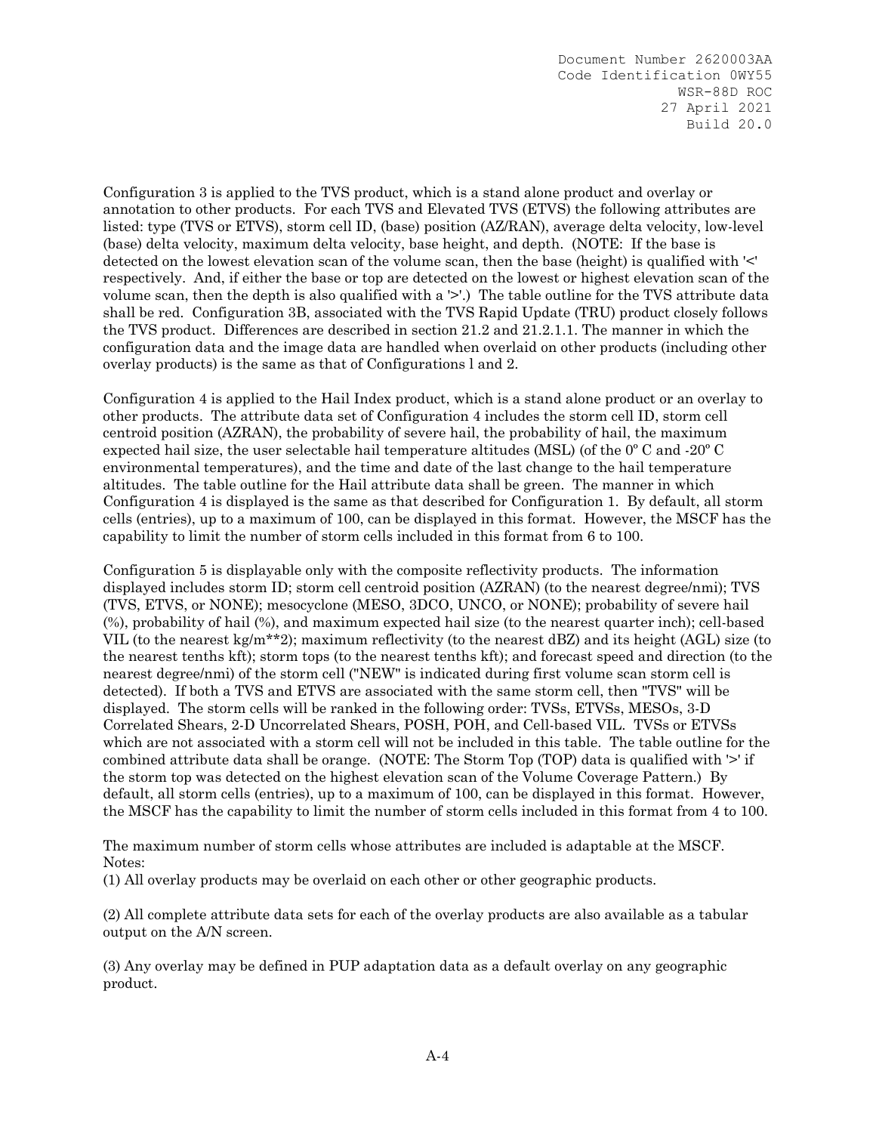Configuration 3 is applied to the TVS product, which is a stand alone product and overlay or annotation to other products. For each TVS and Elevated TVS (ETVS) the following attributes are listed: type (TVS or ETVS), storm cell ID, (base) position (AZ/RAN), average delta velocity, low-level (base) delta velocity, maximum delta velocity, base height, and depth. (NOTE: If the base is detected on the lowest elevation scan of the volume scan, then the base (height) is qualified with '<' respectively. And, if either the base or top are detected on the lowest or highest elevation scan of the volume scan, then the depth is also qualified with a '>'.) The table outline for the TVS attribute data shall be red. Configuration 3B, associated with the TVS Rapid Update (TRU) product closely follows the TVS product. Differences are described in section 21.2 and 21.2.1.1. The manner in which the configuration data and the image data are handled when overlaid on other products (including other overlay products) is the same as that of Configurations l and 2.

Configuration 4 is applied to the Hail Index product, which is a stand alone product or an overlay to other products. The attribute data set of Configuration 4 includes the storm cell ID, storm cell centroid position (AZRAN), the probability of severe hail, the probability of hail, the maximum expected hail size, the user selectable hail temperature altitudes (MSL) (of the 0º C and -20º C environmental temperatures), and the time and date of the last change to the hail temperature altitudes. The table outline for the Hail attribute data shall be green. The manner in which Configuration 4 is displayed is the same as that described for Configuration 1. By default, all storm cells (entries), up to a maximum of 100, can be displayed in this format. However, the MSCF has the capability to limit the number of storm cells included in this format from 6 to 100.

Configuration 5 is displayable only with the composite reflectivity products. The information displayed includes storm ID; storm cell centroid position (AZRAN) (to the nearest degree/nmi); TVS (TVS, ETVS, or NONE); mesocyclone (MESO, 3DCO, UNCO, or NONE); probability of severe hail (%), probability of hail (%), and maximum expected hail size (to the nearest quarter inch); cell-based VIL (to the nearest kg/m<sup>\*\*</sup>2); maximum reflectivity (to the nearest  $dBZ$ ) and its height (AGL) size (to the nearest tenths kft); storm tops (to the nearest tenths kft); and forecast speed and direction (to the nearest degree/nmi) of the storm cell ("NEW" is indicated during first volume scan storm cell is detected). If both a TVS and ETVS are associated with the same storm cell, then "TVS" will be displayed. The storm cells will be ranked in the following order: TVSs, ETVSs, MESOs, 3-D Correlated Shears, 2-D Uncorrelated Shears, POSH, POH, and Cell-based VIL. TVSs or ETVSs which are not associated with a storm cell will not be included in this table. The table outline for the combined attribute data shall be orange. (NOTE: The Storm Top (TOP) data is qualified with '>' if the storm top was detected on the highest elevation scan of the Volume Coverage Pattern.) By default, all storm cells (entries), up to a maximum of 100, can be displayed in this format. However, the MSCF has the capability to limit the number of storm cells included in this format from 4 to 100.

The maximum number of storm cells whose attributes are included is adaptable at the MSCF. Notes:

(1) All overlay products may be overlaid on each other or other geographic products.

(2) All complete attribute data sets for each of the overlay products are also available as a tabular output on the A/N screen.

(3) Any overlay may be defined in PUP adaptation data as a default overlay on any geographic product.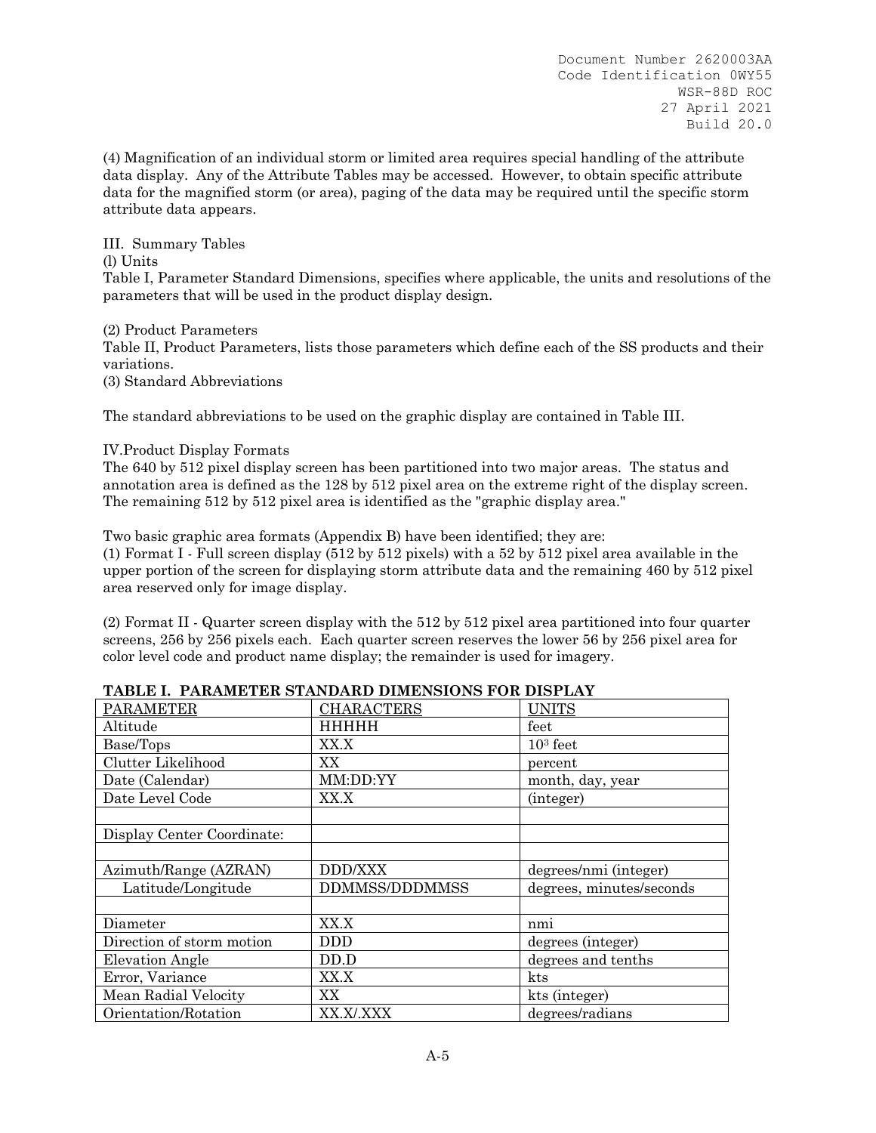(4) Magnification of an individual storm or limited area requires special handling of the attribute data display. Any of the Attribute Tables may be accessed. However, to obtain specific attribute data for the magnified storm (or area), paging of the data may be required until the specific storm attribute data appears.

(l) Units Table I, Parameter Standard Dimensions, specifies where applicable, the units and resolutions of the parameters that will be used in the product display design.

(2) Product Parameters Table II, Product Parameters, lists those parameters which define each of the SS products and their variations. (3) Standard Abbreviations

The standard abbreviations to be used on the graphic display are contained in Table III.

### IV.Product Display Formats

III. Summary Tables

The 640 by 512 pixel display screen has been partitioned into two major areas. The status and annotation area is defined as the 128 by 512 pixel area on the extreme right of the display screen. The remaining 512 by 512 pixel area is identified as the "graphic display area."

Two basic graphic area formats (Appendix B) have been identified; they are:

(1) Format I - Full screen display (512 by 512 pixels) with a 52 by 512 pixel area available in the upper portion of the screen for displaying storm attribute data and the remaining 460 by 512 pixel area reserved only for image display.

(2) Format II - Quarter screen display with the 512 by 512 pixel area partitioned into four quarter screens, 256 by 256 pixels each. Each quarter screen reserves the lower 56 by 256 pixel area for color level code and product name display; the remainder is used for imagery.

| <b>PARAMETER</b>           | <b>CHARACTERS</b>     | <b>UNITS</b>             |
|----------------------------|-----------------------|--------------------------|
| Altitude                   | <b>HHHHH</b>          | feet                     |
| Base/Tops                  | XX.X                  | $103$ feet               |
| Clutter Likelihood         | XX                    | percent                  |
| Date (Calendar)            | MM:DD:YY              | month, day, year         |
| Date Level Code            | XX.X                  | (integer)                |
|                            |                       |                          |
| Display Center Coordinate: |                       |                          |
|                            |                       |                          |
| Azimuth/Range (AZRAN)      | <b>DDD/XXX</b>        | degrees/nmi (integer)    |
| Latitude/Longitude         | <b>DDMMSS/DDDMMSS</b> | degrees, minutes/seconds |
|                            |                       |                          |
| Diameter                   | XX.X                  | nm1                      |
| Direction of storm motion  | DDD                   | degrees (integer)        |
| <b>Elevation Angle</b>     | DD.D                  | degrees and tenths       |
| Error, Variance            | XX.X                  | kts                      |
| Mean Radial Velocity       | XX                    | kts (integer)            |
|                            |                       |                          |

**TABLE I. PARAMETER STANDARD DIMENSIONS FOR DISPLAY**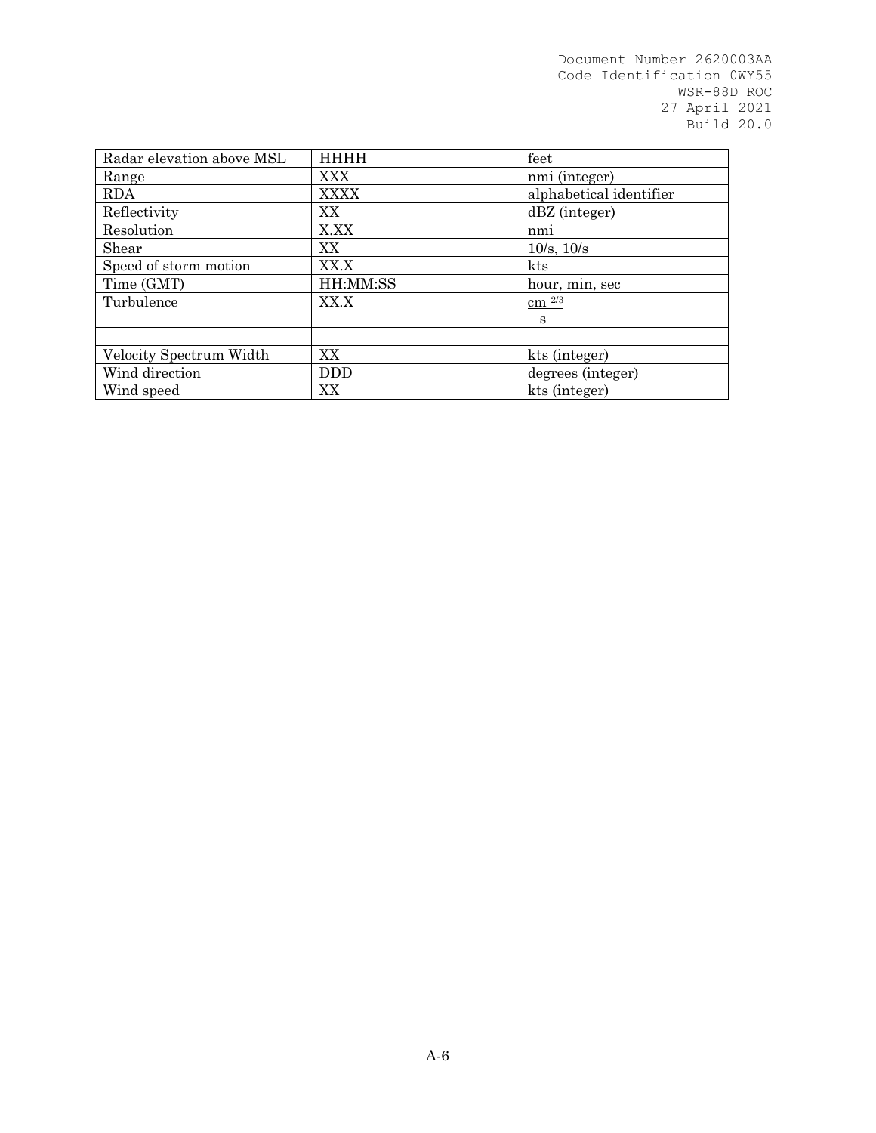| Radar elevation above MSL | <b>HHHH</b> | feet                    |
|---------------------------|-------------|-------------------------|
| Range                     | <b>XXX</b>  | nmi (integer)           |
| <b>RDA</b>                | <b>XXXX</b> | alphabetical identifier |
| Reflectivity              | XX.         | $dBZ$ (integer)         |
| Resolution                | X.XX        | nmi                     |
| Shear                     | XX.         | $10/s$ , $10/s$         |
| Speed of storm motion     | XX.X        | kts                     |
| Time (GMT)                | HH:MM:SS    | hour, min, sec          |
| Turbulence                | XX.X        | $\rm cm$ $^{2/3}$       |
|                           |             | S                       |
|                           |             |                         |
| Velocity Spectrum Width   | XX          | kts (integer)           |
| Wind direction            | <b>DDD</b>  | degrees (integer)       |
| Wind speed                | XX          | kts (integer)           |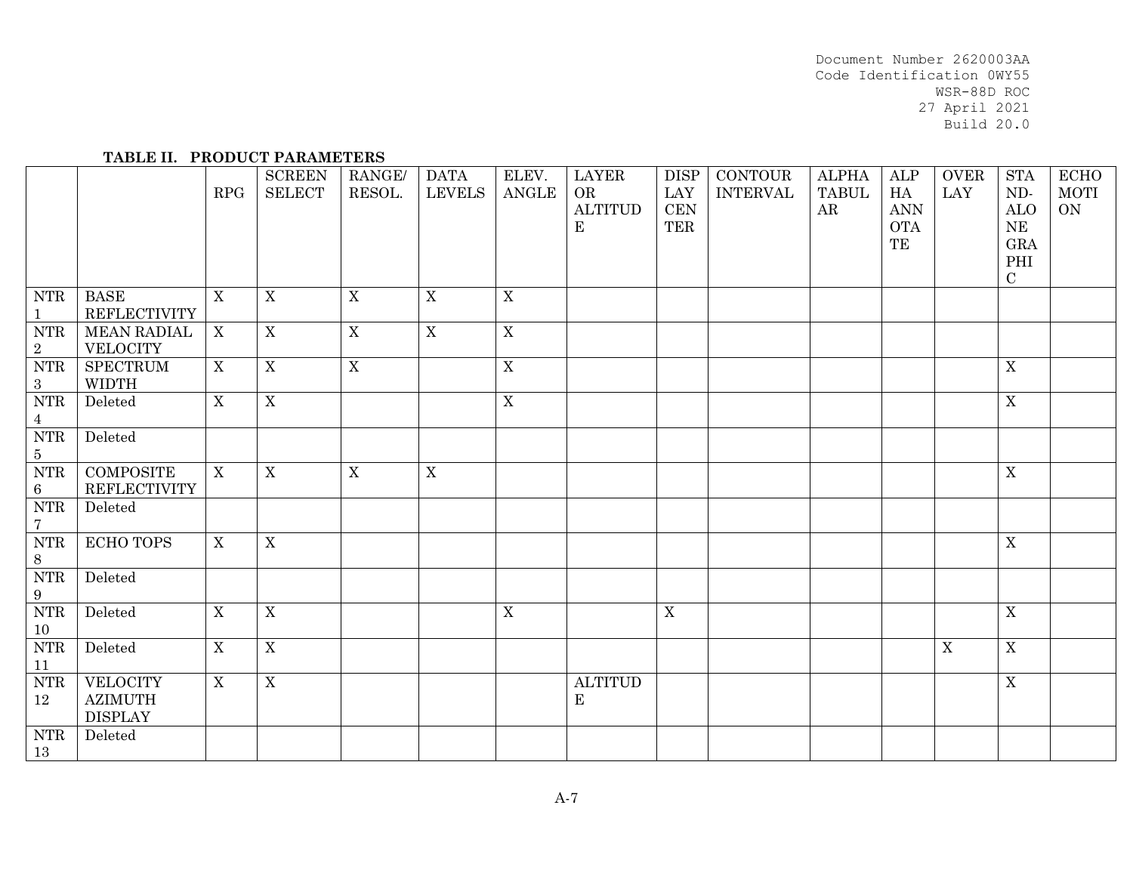#### **TABLE II. PRODUCT PARAMETERS**

|                                                    |                                                     | RPG          | <b>SCREEN</b><br><b>SELECT</b> | RANGE/<br>RESOL. | <b>DATA</b><br><b>LEVELS</b> | ELEV.<br><b>ANGLE</b> | <b>LAYER</b><br>OR<br><b>ALTITUD</b><br>E | ${\rm DISP}$<br>LAY<br>CEN<br><b>TER</b> | <b>CONTOUR</b><br><b>INTERVAL</b> | <b>ALPHA</b><br><b>TABUL</b><br>AR | ALP<br>${\rm HA}$<br>$\mbox{{\sc ANN}}$<br><b>OTA</b><br>TE | <b>OVER</b><br><b>LAY</b> | $\operatorname{STA}$<br>$ND-$<br>ALO<br>$\rm NE$<br><b>GRA</b><br>PHI<br>$\mathbf C$ | <b>ECHO</b><br>MOTI<br>ON |
|----------------------------------------------------|-----------------------------------------------------|--------------|--------------------------------|------------------|------------------------------|-----------------------|-------------------------------------------|------------------------------------------|-----------------------------------|------------------------------------|-------------------------------------------------------------|---------------------------|--------------------------------------------------------------------------------------|---------------------------|
| <b>NTR</b><br>$\mathbf{1}$                         | <b>BASE</b><br><b>REFLECTIVITY</b>                  | $\mathbf X$  | $\mathbf X$                    | $\mathbf X$      | $\mathbf X$                  | $\mathbf X$           |                                           |                                          |                                   |                                    |                                                             |                           |                                                                                      |                           |
| $\ensuremath{\text{NTR}}\xspace$<br>$\overline{2}$ | <b>MEAN RADIAL</b><br><b>VELOCITY</b>               | X            | $\overline{X}$                 | $\overline{X}$   | $\overline{X}$               | $\overline{X}$        |                                           |                                          |                                   |                                    |                                                             |                           |                                                                                      |                           |
| <b>NTR</b><br>$\sqrt{3}$                           | <b>SPECTRUM</b><br><b>WIDTH</b>                     | X            | $\overline{X}$                 | $\overline{X}$   |                              | $\overline{X}$        |                                           |                                          |                                   |                                    |                                                             |                           | $\overline{X}$                                                                       |                           |
| ${\rm NTR}$<br>$\overline{4}$                      | Deleted                                             | X            | $\overline{X}$                 |                  |                              | $\mathbf X$           |                                           |                                          |                                   |                                    |                                                             |                           | $\overline{X}$                                                                       |                           |
| <b>NTR</b><br>$\overline{5}$                       | Deleted                                             |              |                                |                  |                              |                       |                                           |                                          |                                   |                                    |                                                             |                           |                                                                                      |                           |
| <b>NTR</b><br>$\,6\,$                              | <b>COMPOSITE</b><br><b>REFLECTIVITY</b>             | X            | $\overline{X}$                 | $\mathbf X$      | $\overline{X}$               |                       |                                           |                                          |                                   |                                    |                                                             |                           | $\overline{X}$                                                                       |                           |
| ${\rm NTR}$<br>$\overline{7}$                      | Deleted                                             |              |                                |                  |                              |                       |                                           |                                          |                                   |                                    |                                                             |                           |                                                                                      |                           |
| $\overline{\text{NTR}}$<br>$\,8\,$                 | <b>ECHO TOPS</b>                                    | X            | $\mathbf X$                    |                  |                              |                       |                                           |                                          |                                   |                                    |                                                             |                           | $\overline{X}$                                                                       |                           |
| $\overline{\text{NTR}}$<br>9                       | Deleted                                             |              |                                |                  |                              |                       |                                           |                                          |                                   |                                    |                                                             |                           |                                                                                      |                           |
| $\overline{\text{NTR}}$<br>10                      | Deleted                                             | $\mathbf{X}$ | $\overline{X}$                 |                  |                              | $\mathbf X$           |                                           | $\overline{X}$                           |                                   |                                    |                                                             |                           | $\overline{X}$                                                                       |                           |
| ${\rm NTR}$<br>$11\,$                              | ${\bf Deleted}$                                     | $\mathbf X$  | $\overline{X}$                 |                  |                              |                       |                                           |                                          |                                   |                                    |                                                             | $\mathbf X$               | $\overline{\text{X}}$                                                                |                           |
| <b>NTR</b><br>12                                   | <b>VELOCITY</b><br><b>AZIMUTH</b><br><b>DISPLAY</b> | $\mathbf{X}$ | $\mathbf X$                    |                  |                              |                       | <b>ALTITUD</b><br>$\mathbf E$             |                                          |                                   |                                    |                                                             |                           | $\mathbf X$                                                                          |                           |
| <b>NTR</b><br>13                                   | Deleted                                             |              |                                |                  |                              |                       |                                           |                                          |                                   |                                    |                                                             |                           |                                                                                      |                           |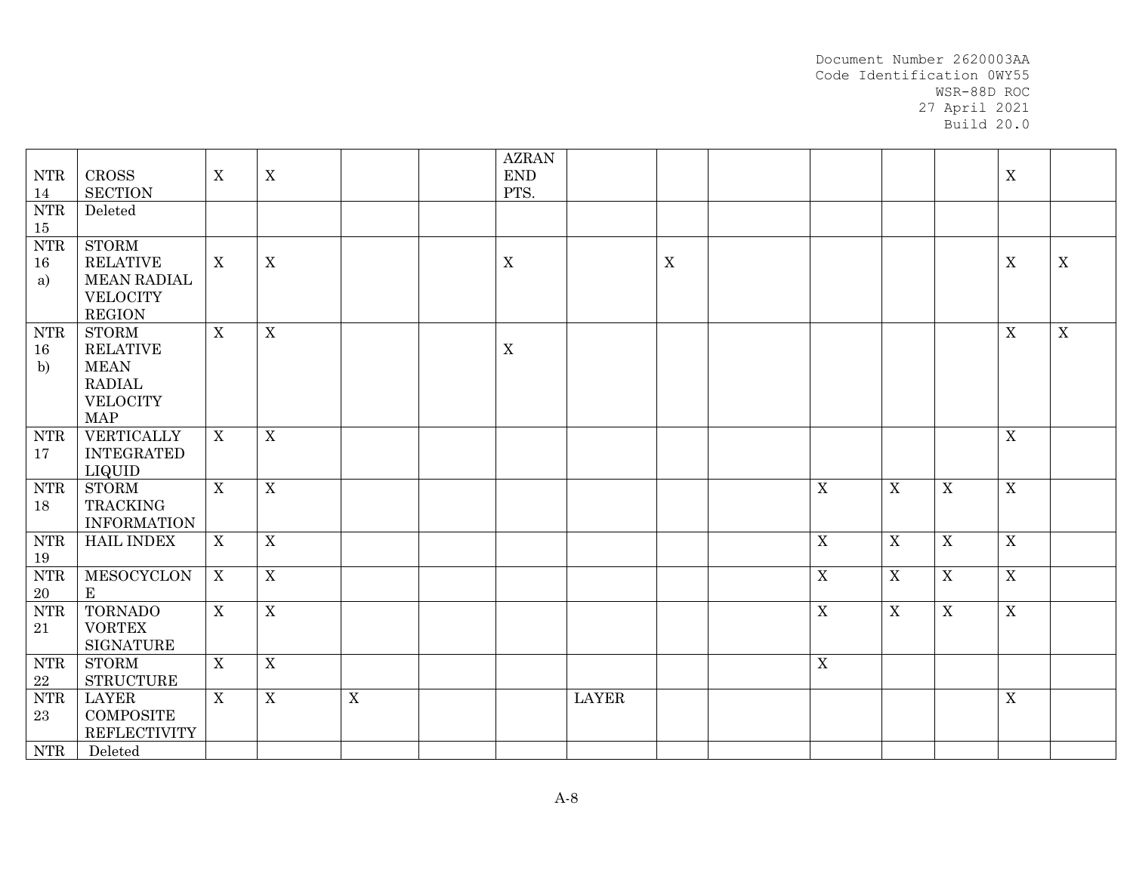| ${\rm NTR}$<br>14         | CROSS<br><b>SECTION</b>                                                                          | $\boldsymbol{\mathrm{X}}$ | X                         |             | <b>AZRAN</b><br>$\mathop{\rm END}$<br>PTS. |              |             |             |                  |             | $\mathbf X$    |             |
|---------------------------|--------------------------------------------------------------------------------------------------|---------------------------|---------------------------|-------------|--------------------------------------------|--------------|-------------|-------------|------------------|-------------|----------------|-------------|
| <b>NTR</b><br>15          | Deleted                                                                                          |                           |                           |             |                                            |              |             |             |                  |             |                |             |
| ${\rm NTR}$<br>16<br>a)   | <b>STORM</b><br><b>RELATIVE</b><br><b>MEAN RADIAL</b><br><b>VELOCITY</b><br><b>REGION</b>        | $\boldsymbol{\mathrm{X}}$ | $\mathbf X$               |             | $\mathbf X$                                |              | $\mathbf X$ |             |                  |             | X              | $\mathbf X$ |
| <b>NTR</b><br>16<br>b)    | <b>STORM</b><br><b>RELATIVE</b><br><b>MEAN</b><br><b>RADIAL</b><br><b>VELOCITY</b><br><b>MAP</b> | X                         | $\mathbf X$               |             | $\mathbf X$                                |              |             |             |                  |             | $\mathbf X$    | $\mathbf X$ |
| <b>NTR</b><br>17          | VERTICALLY<br><b>INTEGRATED</b><br>LIQUID                                                        | X                         | $\mathbf X$               |             |                                            |              |             |             |                  |             | $\overline{X}$ |             |
| <b>NTR</b><br>18          | <b>STORM</b><br><b>TRACKING</b><br><b>INFORMATION</b>                                            | $\mathbf X$               | $\boldsymbol{X}$          |             |                                            |              |             | $\mathbf X$ | $\boldsymbol{X}$ | $\mathbf X$ | $\overline{X}$ |             |
| ${\rm NTR}$<br>19         | <b>HAIL INDEX</b>                                                                                | $\mathbf X$               | $\mathbf X$               |             |                                            |              |             | $\mathbf X$ | X                | X           | $\overline{X}$ |             |
| ${\rm NTR}$<br>20         | MESOCYCLON<br>$\mathbf E$                                                                        | X                         | $\boldsymbol{\mathrm{X}}$ |             |                                            |              |             | $\mathbf X$ | $\mathbf X$      | $\mathbf X$ | $\overline{X}$ |             |
| ${\rm NTR}$<br>21         | <b>TORNADO</b><br><b>VORTEX</b><br><b>SIGNATURE</b>                                              | X                         | $\overline{X}$            |             |                                            |              |             | $\mathbf X$ | $\boldsymbol{X}$ | $\mathbf X$ | $\overline{X}$ |             |
| ${\rm NTR}$<br>${\bf 22}$ | <b>STORM</b><br><b>STRUCTURE</b>                                                                 | $\boldsymbol{\mathrm{X}}$ | $\mathbf X$               |             |                                            |              |             | $\mathbf X$ |                  |             |                |             |
| ${\rm NTR}$<br>23         | <b>LAYER</b><br><b>COMPOSITE</b><br><b>REFLECTIVITY</b>                                          | X                         | $\mathbf X$               | $\mathbf X$ |                                            | <b>LAYER</b> |             |             |                  |             | $\mathbf X$    |             |
| <b>NTR</b>                | Deleted                                                                                          |                           |                           |             |                                            |              |             |             |                  |             |                |             |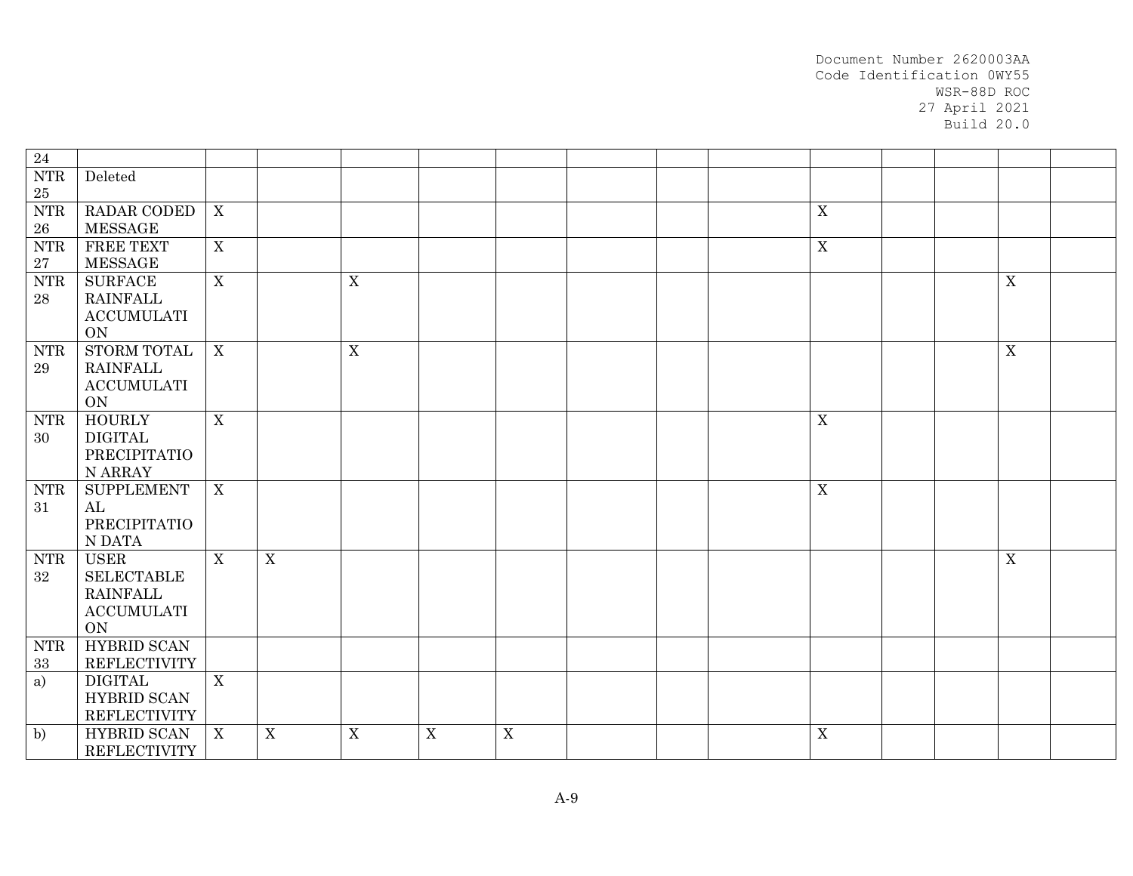| 24                               |                                      |                |             |             |             |   |  |             |  |                |  |
|----------------------------------|--------------------------------------|----------------|-------------|-------------|-------------|---|--|-------------|--|----------------|--|
| $\ensuremath{\text{NTR}}\xspace$ | Deleted                              |                |             |             |             |   |  |             |  |                |  |
| $25\,$                           |                                      |                |             |             |             |   |  |             |  |                |  |
| ${\rm NTR}$                      | RADAR CODED                          | $\mathbf X$    |             |             |             |   |  | $\mathbf X$ |  |                |  |
| ${\bf 26}$                       | <b>MESSAGE</b>                       |                |             |             |             |   |  |             |  |                |  |
| <b>NTR</b>                       | FREE TEXT                            | X              |             |             |             |   |  | $\mathbf X$ |  |                |  |
| $\sqrt{27}$                      | <b>MESSAGE</b>                       |                |             |             |             |   |  |             |  |                |  |
| <b>NTR</b>                       | <b>SURFACE</b><br><b>RAINFALL</b>    | $\overline{X}$ |             | $\mathbf X$ |             |   |  |             |  | $\mathbf X$    |  |
| 28                               | <b>ACCUMULATI</b>                    |                |             |             |             |   |  |             |  |                |  |
|                                  | <b>ON</b>                            |                |             |             |             |   |  |             |  |                |  |
| <b>NTR</b>                       | STORM TOTAL                          | $\mathbf X$    |             | $\mathbf X$ |             |   |  |             |  | $\overline{X}$ |  |
| 29                               | <b>RAINFALL</b>                      |                |             |             |             |   |  |             |  |                |  |
|                                  | <b>ACCUMULATI</b>                    |                |             |             |             |   |  |             |  |                |  |
|                                  | <b>ON</b>                            |                |             |             |             |   |  |             |  |                |  |
| <b>NTR</b>                       | <b>HOURLY</b>                        | X              |             |             |             |   |  | $\mathbf X$ |  |                |  |
| 30                               | <b>DIGITAL</b>                       |                |             |             |             |   |  |             |  |                |  |
|                                  | PRECIPITATIO                         |                |             |             |             |   |  |             |  |                |  |
| <b>NTR</b>                       | N ARRAY<br><b>SUPPLEMENT</b>         | X              |             |             |             |   |  | $\mathbf X$ |  |                |  |
| 31                               | AL                                   |                |             |             |             |   |  |             |  |                |  |
|                                  | PRECIPITATIO                         |                |             |             |             |   |  |             |  |                |  |
|                                  | N DATA                               |                |             |             |             |   |  |             |  |                |  |
| <b>NTR</b>                       | <b>USER</b>                          | $\mathbf{X}$   | $\mathbf X$ |             |             |   |  |             |  | $\mathbf X$    |  |
| 32                               | <b>SELECTABLE</b>                    |                |             |             |             |   |  |             |  |                |  |
|                                  | <b>RAINFALL</b>                      |                |             |             |             |   |  |             |  |                |  |
|                                  | $\operatorname{ACCUMULATI}$          |                |             |             |             |   |  |             |  |                |  |
|                                  | <b>ON</b>                            |                |             |             |             |   |  |             |  |                |  |
| <b>NTR</b>                       | <b>HYBRID SCAN</b>                   |                |             |             |             |   |  |             |  |                |  |
| $33\,$                           | <b>REFLECTIVITY</b>                  |                |             |             |             |   |  |             |  |                |  |
| a)                               | <b>DIGITAL</b><br><b>HYBRID SCAN</b> | X              |             |             |             |   |  |             |  |                |  |
|                                  | <b>REFLECTIVITY</b>                  |                |             |             |             |   |  |             |  |                |  |
| b)                               | <b>HYBRID SCAN</b>                   | X              | $\mathbf X$ | X           | $\mathbf X$ | X |  | $\mathbf X$ |  |                |  |
|                                  | <b>REFLECTIVITY</b>                  |                |             |             |             |   |  |             |  |                |  |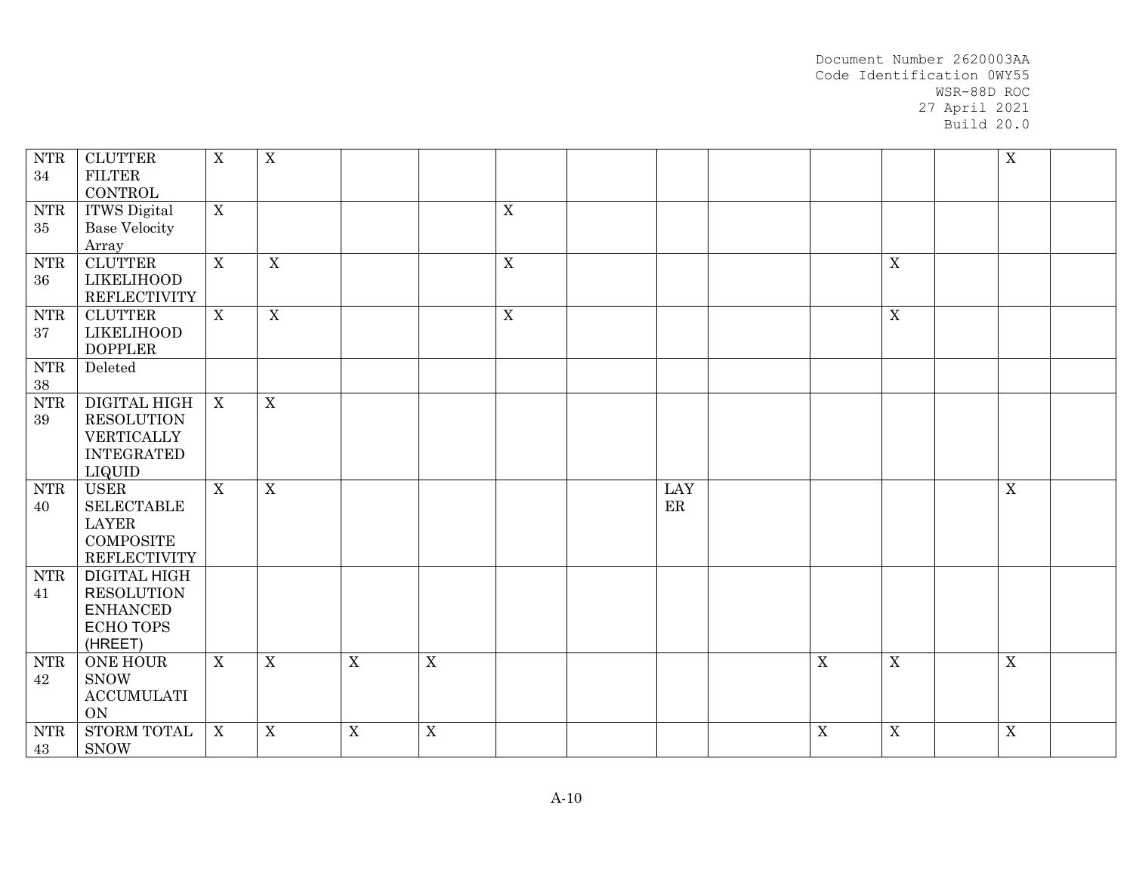| ${\rm NTR}$<br>34                      | <b>CLUTTER</b><br><b>FILTER</b><br>CONTROL                                                  | $\mathbf X$               | $\boldsymbol{X}$ |             |                |             |           |             |                  | $\overline{X}$ |  |
|----------------------------------------|---------------------------------------------------------------------------------------------|---------------------------|------------------|-------------|----------------|-------------|-----------|-------------|------------------|----------------|--|
| $\operatorname{NTR}$<br>$35\,$         | <b>ITWS</b> Digital<br><b>Base Velocity</b><br>Array                                        | $\overline{X}$            |                  |             |                | $\mathbf X$ |           |             |                  |                |  |
| ${\rm NTR}$<br>$36\,$                  | <b>CLUTTER</b><br><b>LIKELIHOOD</b><br><b>REFLECTIVITY</b>                                  | $\overline{X}$            | $\overline{X}$   |             |                | $\mathbf X$ |           |             | $\overline{X}$   |                |  |
| <b>NTR</b><br>37                       | <b>CLUTTER</b><br><b>LIKELIHOOD</b><br><b>DOPPLER</b>                                       | X                         | $\mathbf X$      |             |                | $\mathbf X$ |           |             | $\boldsymbol{X}$ |                |  |
| ${\rm NTR}$<br>$38\,$                  | Deleted                                                                                     |                           |                  |             |                |             |           |             |                  |                |  |
| ${\rm NTR}$<br>39                      | DIGITAL HIGH<br><b>RESOLUTION</b><br>VERTICALLY<br><b>INTEGRATED</b><br><b>LIQUID</b>       | $\boldsymbol{\mathrm{X}}$ | $\overline{X}$   |             |                |             |           |             |                  |                |  |
| $\ensuremath{\text{NTR}}\xspace$<br>40 | <b>USER</b><br><b>SELECTABLE</b><br><b>LAYER</b><br><b>COMPOSITE</b><br><b>REFLECTIVITY</b> | X                         | $\mathbf X$      |             |                |             | LAY<br>ER |             |                  | $\mathbf X$    |  |
| <b>NTR</b><br>41                       | DIGITAL HIGH<br><b>RESOLUTION</b><br><b>ENHANCED</b><br><b>ECHO TOPS</b><br>(HREET)         |                           |                  |             |                |             |           |             |                  |                |  |
| <b>NTR</b><br>42                       | <b>ONE HOUR</b><br><b>SNOW</b><br><b>ACCUMULATI</b><br>ON                                   | X                         | $\mathbf X$      | $\mathbf X$ | $\mathbf X$    |             |           | $\mathbf X$ | $\mathbf X$      | $\mathbf X$    |  |
| <b>NTR</b><br>43                       | STORM TOTAL<br><b>SNOW</b>                                                                  | $\mathbf X$               | $\mathbf X$      | $\mathbf X$ | $\overline{X}$ |             |           | $\mathbf X$ | $\overline{X}$   | $\overline{X}$ |  |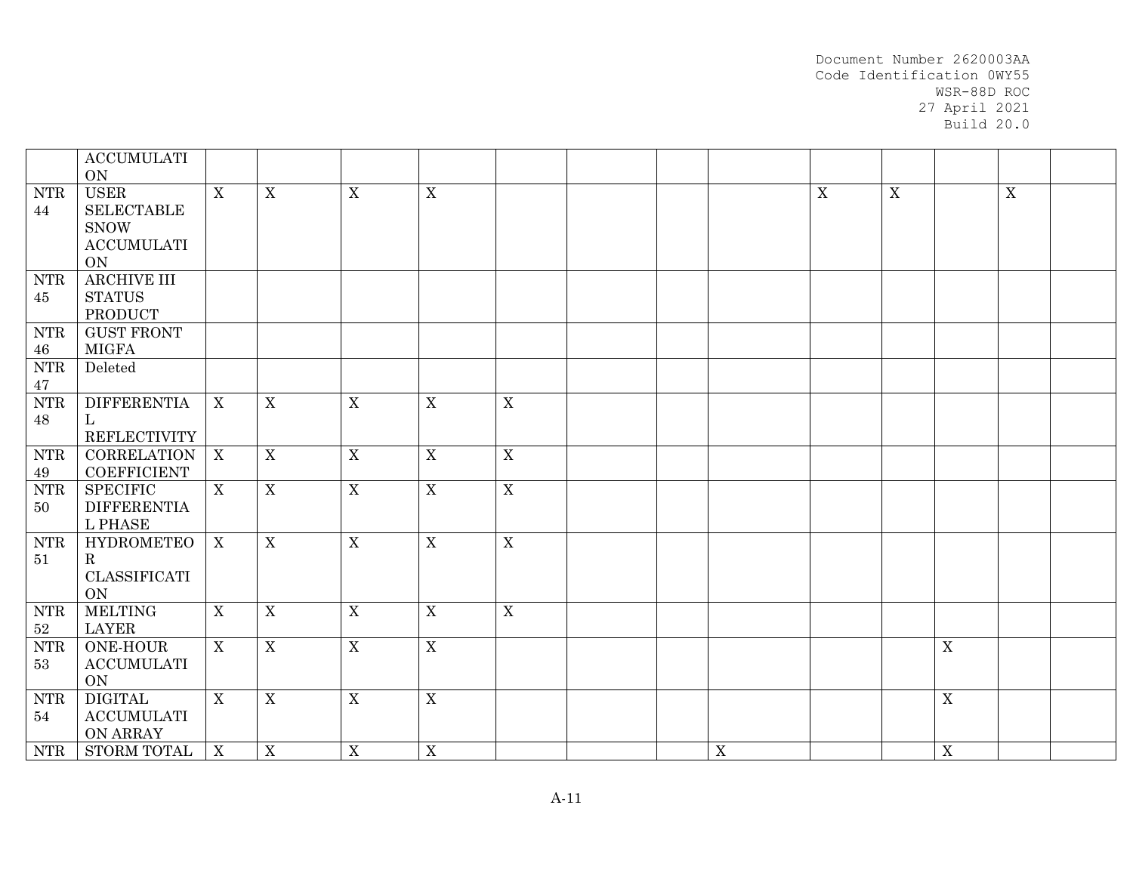|                                        | <b>ACCUMULATI</b><br><b>ON</b>                                                              |              |                           |                  |             |                |  |             |             |             |                  |             |  |
|----------------------------------------|---------------------------------------------------------------------------------------------|--------------|---------------------------|------------------|-------------|----------------|--|-------------|-------------|-------------|------------------|-------------|--|
| $\ensuremath{\text{NTR}}\xspace$<br>44 | <b>USER</b><br><b>SELECTABLE</b><br><b>SNOW</b><br>$\operatorname{ACCUMULATI}$<br><b>ON</b> | X            | X                         | $\mathbf X$      | $\mathbf X$ |                |  |             | $\mathbf X$ | $\mathbf X$ |                  | $\mathbf X$ |  |
| <b>NTR</b><br>45                       | <b>ARCHIVE III</b><br><b>STATUS</b><br><b>PRODUCT</b>                                       |              |                           |                  |             |                |  |             |             |             |                  |             |  |
| <b>NTR</b><br>46                       | <b>GUST FRONT</b><br><b>MIGFA</b>                                                           |              |                           |                  |             |                |  |             |             |             |                  |             |  |
| ${\rm NTR}$<br>47                      | Deleted                                                                                     |              |                           |                  |             |                |  |             |             |             |                  |             |  |
| ${\rm NTR}$<br>48                      | <b>DIFFERENTIA</b><br>L<br><b>REFLECTIVITY</b>                                              | X            | $\mathbf X$               | $\mathbf X$      | $\mathbf X$ | $\mathbf X$    |  |             |             |             |                  |             |  |
| ${\rm NTR}$<br>49                      | <b>CORRELATION</b><br><b>COEFFICIENT</b>                                                    | $\mathbf{X}$ | $\boldsymbol{\mathrm{X}}$ | $\mathbf X$      | $\mathbf X$ | $\mathbf X$    |  |             |             |             |                  |             |  |
| ${\rm NTR}$<br>50                      | <b>SPECIFIC</b><br><b>DIFFERENTIA</b><br>L PHASE                                            | X            | $\mathbf X$               | $\mathbf X$      | $\mathbf X$ | $\overline{X}$ |  |             |             |             |                  |             |  |
| <b>NTR</b><br>51                       | <b>HYDROMETEO</b><br>$\mathbf R$<br>CLASSIFICATI<br><b>ON</b>                               | $\mathbf{X}$ | $\mathbf X$               | $\boldsymbol{X}$ | $\mathbf X$ | $\mathbf X$    |  |             |             |             |                  |             |  |
| <b>NTR</b><br>$52\,$                   | <b>MELTING</b><br><b>LAYER</b>                                                              | X            | $\mathbf X$               | $\boldsymbol{X}$ | X           | $\mathbf X$    |  |             |             |             |                  |             |  |
| ${\rm NTR}$<br>53                      | <b>ONE-HOUR</b><br><b>ACCUMULATI</b><br>ON                                                  | $\mathbf{X}$ | $\overline{X}$            | $\overline{X}$   | $\mathbf X$ |                |  |             |             |             | $\mathbf X$      |             |  |
| ${\rm NTR}$<br>54                      | <b>DIGITAL</b><br><b>ACCUMULATI</b><br>ON ARRAY                                             | X            | $\mathbf X$               | $\mathbf X$      | $\mathbf X$ |                |  |             |             |             | X                |             |  |
| <b>NTR</b>                             | STORM TOTAL                                                                                 | $\mathbf{X}$ | X                         | X                | X           |                |  | $\mathbf X$ |             |             | $\boldsymbol{X}$ |             |  |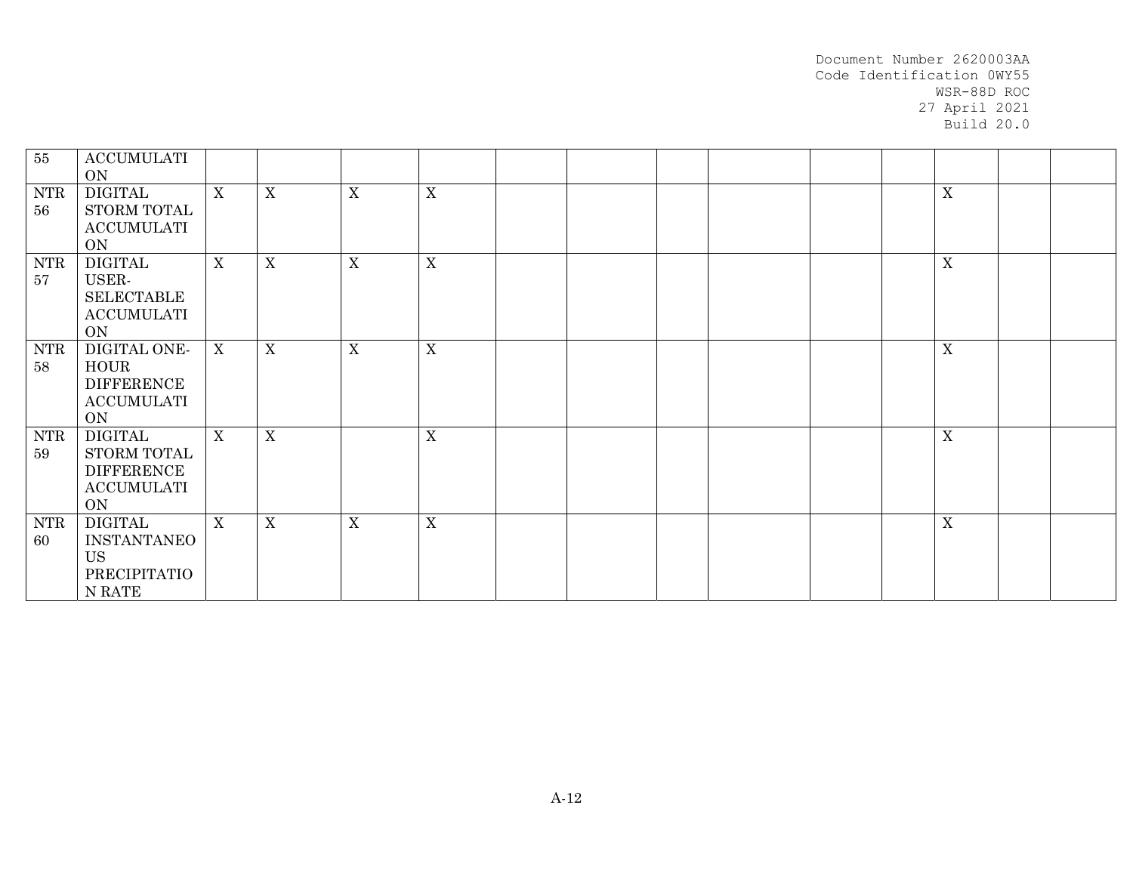| 55               | <b>ACCUMULATI</b><br>ON                                                       |                  |                  |             |             |  |  |  |             |  |
|------------------|-------------------------------------------------------------------------------|------------------|------------------|-------------|-------------|--|--|--|-------------|--|
| <b>NTR</b><br>56 | DIGITAL<br>STORM TOTAL<br><b>ACCUMULATI</b><br>ON                             | X                | X                | X           | $\mathbf X$ |  |  |  | $\mathbf X$ |  |
| <b>NTR</b><br>57 | <b>DIGITAL</b><br>USER-<br><b>SELECTABLE</b><br><b>ACCUMULATI</b><br>ON       | $\mathbf X$      | $\boldsymbol{X}$ | X           | $\mathbf X$ |  |  |  | $\mathbf X$ |  |
| <b>NTR</b><br>58 | DIGITAL ONE-<br><b>HOUR</b><br><b>DIFFERENCE</b><br><b>ACCUMULATI</b><br>ON   | $\boldsymbol{X}$ | X                | X           | $\mathbf X$ |  |  |  | $\mathbf X$ |  |
| <b>NTR</b><br>59 | <b>DIGITAL</b><br>STORM TOTAL<br><b>DIFFERENCE</b><br><b>ACCUMULATI</b><br>ON | $\mathbf{X}$     | $\boldsymbol{X}$ |             | $\mathbf X$ |  |  |  | $\mathbf X$ |  |
| <b>NTR</b><br>60 | <b>DIGITAL</b><br>INSTANTANEO<br><b>US</b><br>PRECIPITATIO<br>N RATE          | $\mathbf X$      | X                | $\mathbf X$ | X           |  |  |  | $\mathbf X$ |  |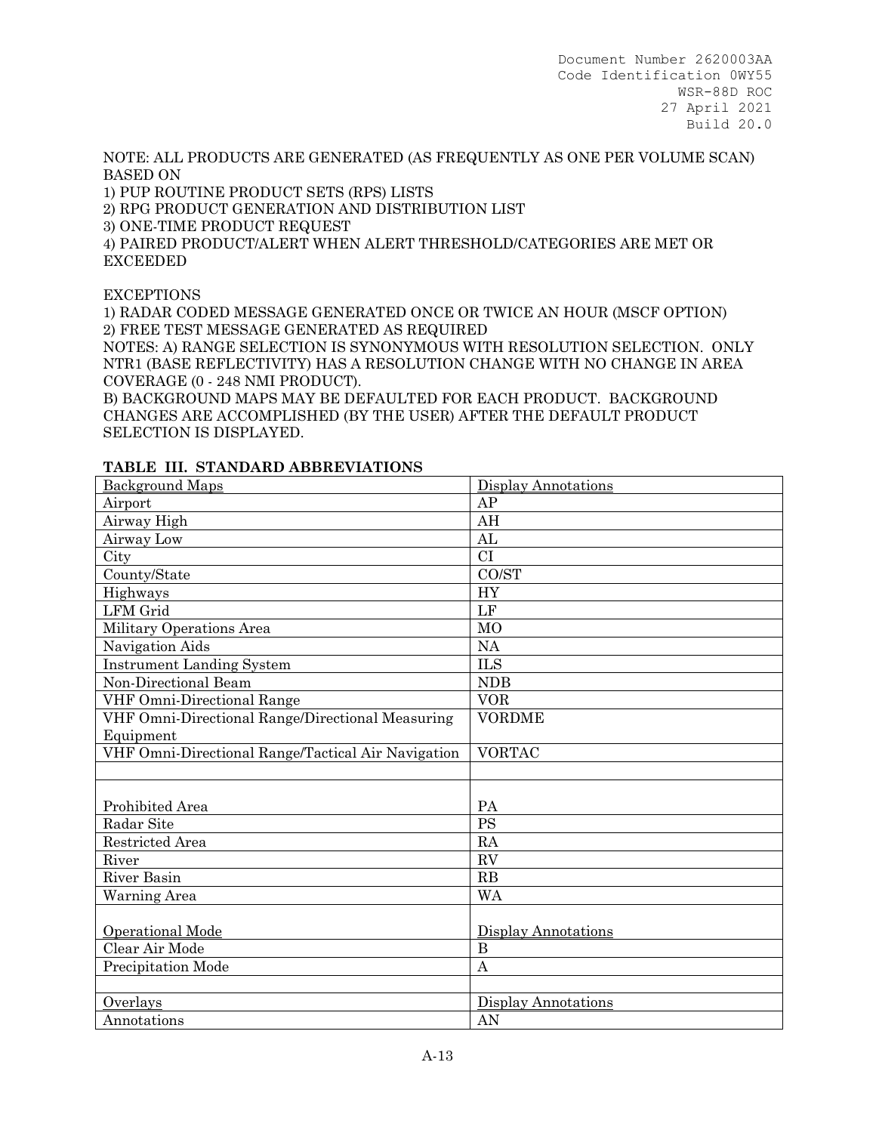NOTE: ALL PRODUCTS ARE GENERATED (AS FREQUENTLY AS ONE PER VOLUME SCAN) BASED ON

1) PUP ROUTINE PRODUCT SETS (RPS) LISTS

2) RPG PRODUCT GENERATION AND DISTRIBUTION LIST

3) ONE-TIME PRODUCT REQUEST

4) PAIRED PRODUCT/ALERT WHEN ALERT THRESHOLD/CATEGORIES ARE MET OR EXCEEDED

**EXCEPTIONS** 

1) RADAR CODED MESSAGE GENERATED ONCE OR TWICE AN HOUR (MSCF OPTION) 2) FREE TEST MESSAGE GENERATED AS REQUIRED

NOTES: A) RANGE SELECTION IS SYNONYMOUS WITH RESOLUTION SELECTION. ONLY NTR1 (BASE REFLECTIVITY) HAS A RESOLUTION CHANGE WITH NO CHANGE IN AREA COVERAGE (0 - 248 NMI PRODUCT).

B) BACKGROUND MAPS MAY BE DEFAULTED FOR EACH PRODUCT. BACKGROUND CHANGES ARE ACCOMPLISHED (BY THE USER) AFTER THE DEFAULT PRODUCT SELECTION IS DISPLAYED.

| <b>Background Maps</b>                             | <b>Display Annotations</b> |
|----------------------------------------------------|----------------------------|
| Airport                                            | AP                         |
| Airway High                                        | AH                         |
| Airway Low                                         | AL                         |
| City                                               | CI                         |
| County/State                                       | CO/ST                      |
| Highways                                           | <b>HY</b>                  |
| <b>LFM</b> Grid                                    | $\rm LF$                   |
| Military Operations Area                           | M <sub>O</sub>             |
| Navigation Aids                                    | NA                         |
| <b>Instrument Landing System</b>                   | <b>ILS</b>                 |
| Non-Directional Beam                               | <b>NDB</b>                 |
| VHF Omni-Directional Range                         | <b>VOR</b>                 |
| VHF Omni-Directional Range/Directional Measuring   | <b>VORDME</b>              |
| Equipment                                          |                            |
| VHF Omni-Directional Range/Tactical Air Navigation | <b>VORTAC</b>              |
|                                                    |                            |
|                                                    |                            |
| Prohibited Area                                    | PA                         |
| Radar Site                                         | <b>PS</b>                  |
| Restricted Area                                    | RA                         |
| River                                              | RV                         |
| <b>River Basin</b>                                 | RB                         |
| Warning Area                                       | <b>WA</b>                  |
|                                                    |                            |
| Operational Mode                                   | Display Annotations        |
| Clear Air Mode                                     | $\bf{B}$                   |
| Precipitation Mode                                 | $\overline{A}$             |
|                                                    |                            |
| Overlays                                           | Display Annotations        |
| Annotations                                        | AN                         |

### **TABLE III. STANDARD ABBREVIATIONS**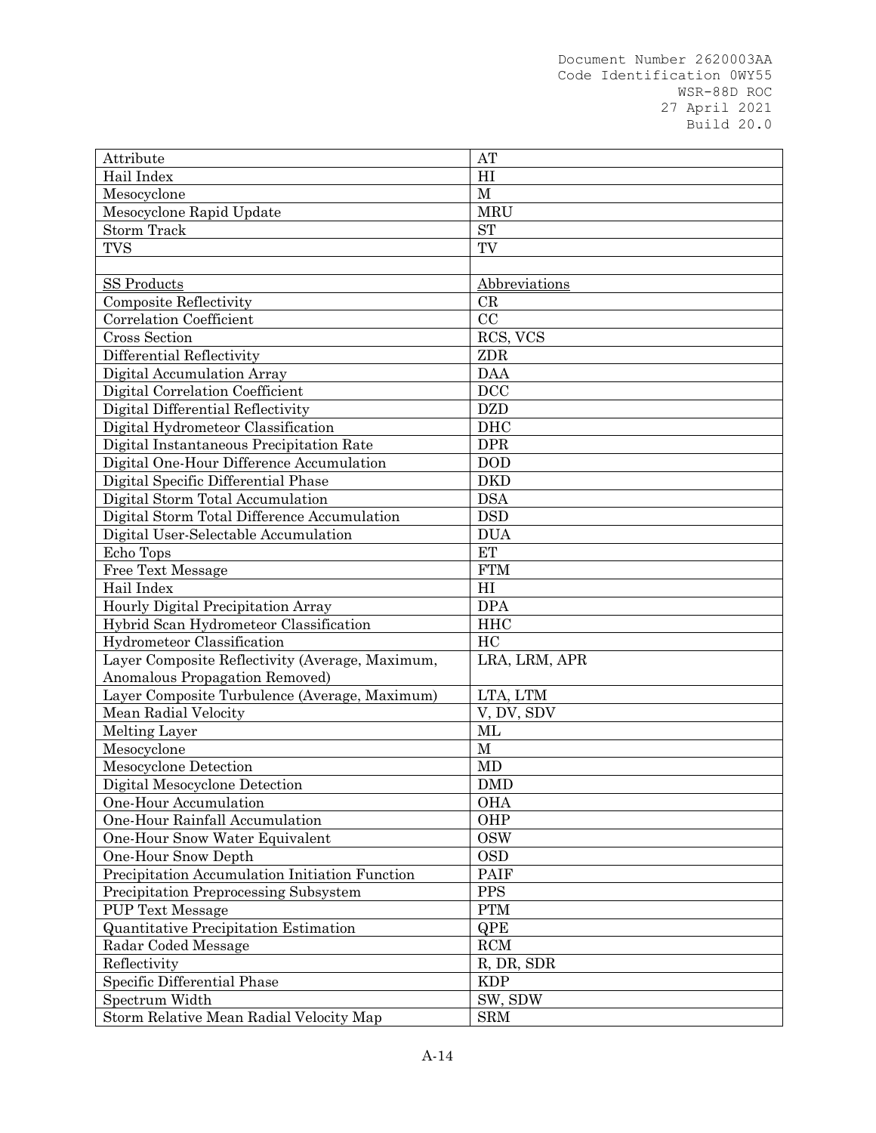| Hail Index<br>H1<br>$\mathbf{M}$<br>Mesocyclone<br><b>MRU</b><br>Mesocyclone Rapid Update<br><b>Storm Track</b><br><b>ST</b><br><b>TVS</b><br>TV<br><b>SS Products</b><br>Abbreviations<br><b>Composite Reflectivity</b><br>CR |
|--------------------------------------------------------------------------------------------------------------------------------------------------------------------------------------------------------------------------------|
|                                                                                                                                                                                                                                |
|                                                                                                                                                                                                                                |
|                                                                                                                                                                                                                                |
|                                                                                                                                                                                                                                |
|                                                                                                                                                                                                                                |
|                                                                                                                                                                                                                                |
|                                                                                                                                                                                                                                |
|                                                                                                                                                                                                                                |
| CC<br>Correlation Coefficient                                                                                                                                                                                                  |
| Cross Section<br>RCS, VCS                                                                                                                                                                                                      |
| ZDR<br>Differential Reflectivity                                                                                                                                                                                               |
| Digital Accumulation Array<br><b>DAA</b>                                                                                                                                                                                       |
| <b>DCC</b><br>Digital Correlation Coefficient                                                                                                                                                                                  |
| <b>DZD</b><br>Digital Differential Reflectivity                                                                                                                                                                                |
| <b>DHC</b><br>Digital Hydrometeor Classification                                                                                                                                                                               |
| Digital Instantaneous Precipitation Rate<br><b>DPR</b>                                                                                                                                                                         |
| Digital One-Hour Difference Accumulation<br><b>DOD</b>                                                                                                                                                                         |
| Digital Specific Differential Phase<br><b>DKD</b>                                                                                                                                                                              |
| Digital Storm Total Accumulation<br><b>DSA</b>                                                                                                                                                                                 |
| <b>DSD</b><br>Digital Storm Total Difference Accumulation                                                                                                                                                                      |
| <b>DUA</b><br>Digital User-Selectable Accumulation                                                                                                                                                                             |
| <b>ET</b><br>Echo Tops                                                                                                                                                                                                         |
| <b>Free Text Message</b><br><b>FTM</b>                                                                                                                                                                                         |
| Hail Index<br>HI                                                                                                                                                                                                               |
| <b>DPA</b><br>Hourly Digital Precipitation Array                                                                                                                                                                               |
| Hybrid Scan Hydrometeor Classification<br><b>HHC</b>                                                                                                                                                                           |
| <b>Hydrometeor Classification</b><br>HC                                                                                                                                                                                        |
| Layer Composite Reflectivity (Average, Maximum,<br>LRA, LRM, APR                                                                                                                                                               |
| Anomalous Propagation Removed)                                                                                                                                                                                                 |
| Layer Composite Turbulence (Average, Maximum)<br>LTA, LTM                                                                                                                                                                      |
| Mean Radial Velocity<br>V, DV, SDV                                                                                                                                                                                             |
| $\rm ML$<br>Melting Layer                                                                                                                                                                                                      |
| Mesocyclone<br>$\mathbf{M}$                                                                                                                                                                                                    |
| Mesocyclone Detection<br>MD                                                                                                                                                                                                    |
| Digital Mesocyclone Detection<br><b>DMD</b>                                                                                                                                                                                    |
| One-Hour Accumulation<br><b>OHA</b>                                                                                                                                                                                            |
| One-Hour Rainfall Accumulation<br>OHP                                                                                                                                                                                          |
| One-Hour Snow Water Equivalent<br><b>OSW</b>                                                                                                                                                                                   |
| One-Hour Snow Depth<br><b>OSD</b>                                                                                                                                                                                              |
| Precipitation Accumulation Initiation Function<br><b>PAIF</b>                                                                                                                                                                  |
| PPS<br>Precipitation Preprocessing Subsystem                                                                                                                                                                                   |
| ${\rm PTM}$<br><b>PUP Text Message</b>                                                                                                                                                                                         |
| <b>Quantitative Precipitation Estimation</b><br><b>QPE</b>                                                                                                                                                                     |
| RCM<br>Radar Coded Message                                                                                                                                                                                                     |
| R, DR, SDR<br>Reflectivity                                                                                                                                                                                                     |
| Specific Differential Phase<br><b>KDP</b>                                                                                                                                                                                      |
| SW, SDW<br>Spectrum Width                                                                                                                                                                                                      |
| Storm Relative Mean Radial Velocity Map<br><b>SRM</b>                                                                                                                                                                          |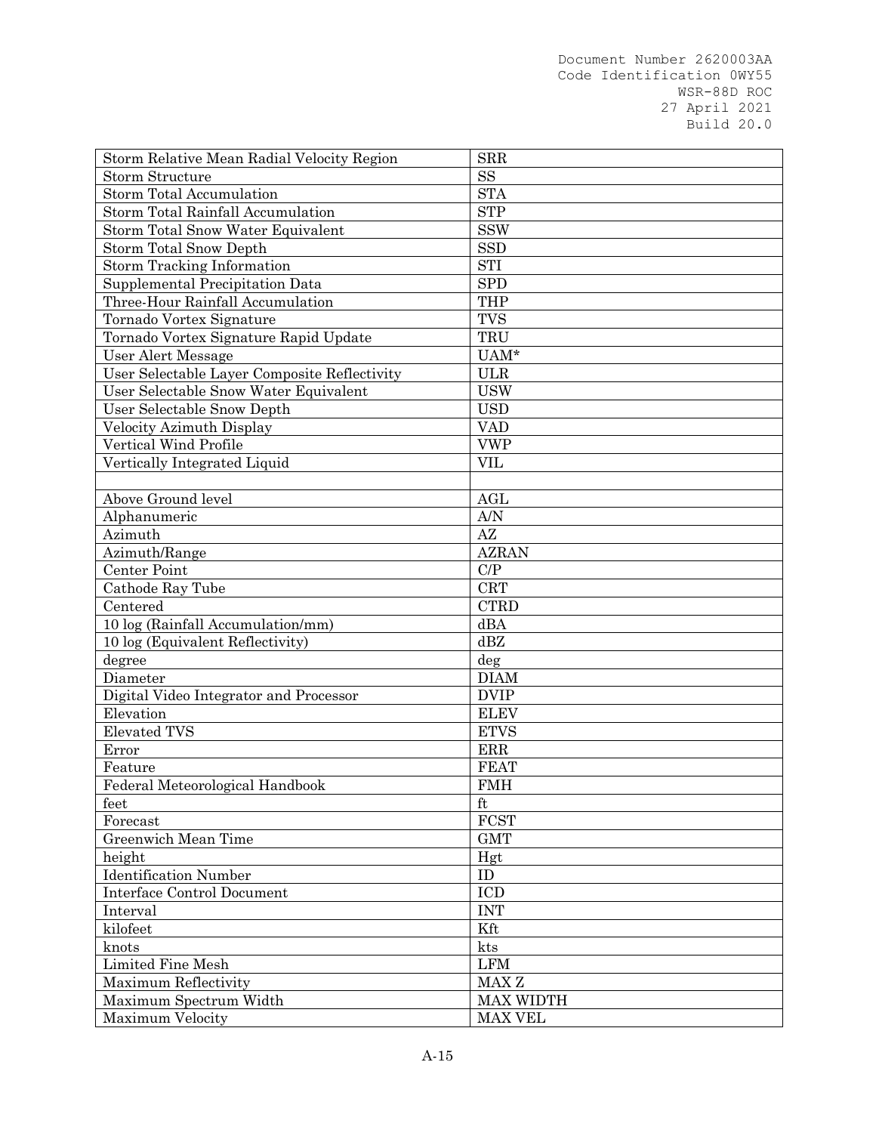| <b>SS</b><br><b>Storm Structure</b><br><b>STA</b><br><b>Storm Total Accumulation</b><br><b>STP</b><br>Storm Total Rainfall Accumulation<br><b>SSW</b><br>Storm Total Snow Water Equivalent<br><b>Storm Total Snow Depth</b><br><b>SSD</b><br>Storm Tracking Information<br><b>STI</b><br><b>SPD</b><br>Supplemental Precipitation Data<br>Three-Hour Rainfall Accumulation<br><b>THP</b><br><b>TVS</b><br>Tornado Vortex Signature<br>TRU<br>Tornado Vortex Signature Rapid Update<br>$UAM^*$<br>User Alert Message<br>User Selectable Layer Composite Reflectivity<br><b>ULR</b><br>User Selectable Snow Water Equivalent<br><b>USW</b><br>User Selectable Snow Depth<br><b>USD</b><br>Velocity Azimuth Display<br><b>VAD</b><br>Vertical Wind Profile<br><b>VWP</b><br><b>VIL</b><br>Vertically Integrated Liquid<br>Above Ground level<br><b>AGL</b><br>A/N<br>Alphanumeric<br>AZ<br>Azimuth<br><b>AZRAN</b><br>Azimuth/Range<br>C/P<br>Center Point<br><b>CRT</b><br>Cathode Ray Tube<br>Centered<br><b>CTRD</b><br>10 log (Rainfall Accumulation/mm)<br>dBA<br>dBZ<br>10 log (Equivalent Reflectivity)<br>degree<br>deg<br><b>DIAM</b><br>Diameter<br><b>DVIP</b><br>Digital Video Integrator and Processor<br>Elevation<br><b>ELEV</b><br><b>Elevated TVS</b><br><b>ETVS</b><br>ERR<br>Error<br><b>FEAT</b><br>Feature<br>Federal Meteorological Handbook<br><b>FMH</b><br>$\operatorname{ft}$<br>feet<br><b>FCST</b><br>Forecast<br>Greenwich Mean Time<br><b>GMT</b><br>height<br>Hgt<br><b>Identification Number</b><br>ID<br>Interface Control Document<br>ICD<br><b>INT</b><br>Interval<br>kilofeet<br>Kft<br>kts<br>knots<br><b>LFM</b><br>Limited Fine Mesh<br>MAX <sub>Z</sub><br>Maximum Reflectivity<br><b>MAX WIDTH</b><br>Maximum Spectrum Width | Storm Relative Mean Radial Velocity Region | <b>SRR</b>     |
|--------------------------------------------------------------------------------------------------------------------------------------------------------------------------------------------------------------------------------------------------------------------------------------------------------------------------------------------------------------------------------------------------------------------------------------------------------------------------------------------------------------------------------------------------------------------------------------------------------------------------------------------------------------------------------------------------------------------------------------------------------------------------------------------------------------------------------------------------------------------------------------------------------------------------------------------------------------------------------------------------------------------------------------------------------------------------------------------------------------------------------------------------------------------------------------------------------------------------------------------------------------------------------------------------------------------------------------------------------------------------------------------------------------------------------------------------------------------------------------------------------------------------------------------------------------------------------------------------------------------------------------------------------------------------------------------------------------------------------------------------------------------|--------------------------------------------|----------------|
|                                                                                                                                                                                                                                                                                                                                                                                                                                                                                                                                                                                                                                                                                                                                                                                                                                                                                                                                                                                                                                                                                                                                                                                                                                                                                                                                                                                                                                                                                                                                                                                                                                                                                                                                                                    |                                            |                |
|                                                                                                                                                                                                                                                                                                                                                                                                                                                                                                                                                                                                                                                                                                                                                                                                                                                                                                                                                                                                                                                                                                                                                                                                                                                                                                                                                                                                                                                                                                                                                                                                                                                                                                                                                                    |                                            |                |
|                                                                                                                                                                                                                                                                                                                                                                                                                                                                                                                                                                                                                                                                                                                                                                                                                                                                                                                                                                                                                                                                                                                                                                                                                                                                                                                                                                                                                                                                                                                                                                                                                                                                                                                                                                    |                                            |                |
|                                                                                                                                                                                                                                                                                                                                                                                                                                                                                                                                                                                                                                                                                                                                                                                                                                                                                                                                                                                                                                                                                                                                                                                                                                                                                                                                                                                                                                                                                                                                                                                                                                                                                                                                                                    |                                            |                |
|                                                                                                                                                                                                                                                                                                                                                                                                                                                                                                                                                                                                                                                                                                                                                                                                                                                                                                                                                                                                                                                                                                                                                                                                                                                                                                                                                                                                                                                                                                                                                                                                                                                                                                                                                                    |                                            |                |
|                                                                                                                                                                                                                                                                                                                                                                                                                                                                                                                                                                                                                                                                                                                                                                                                                                                                                                                                                                                                                                                                                                                                                                                                                                                                                                                                                                                                                                                                                                                                                                                                                                                                                                                                                                    |                                            |                |
|                                                                                                                                                                                                                                                                                                                                                                                                                                                                                                                                                                                                                                                                                                                                                                                                                                                                                                                                                                                                                                                                                                                                                                                                                                                                                                                                                                                                                                                                                                                                                                                                                                                                                                                                                                    |                                            |                |
|                                                                                                                                                                                                                                                                                                                                                                                                                                                                                                                                                                                                                                                                                                                                                                                                                                                                                                                                                                                                                                                                                                                                                                                                                                                                                                                                                                                                                                                                                                                                                                                                                                                                                                                                                                    |                                            |                |
|                                                                                                                                                                                                                                                                                                                                                                                                                                                                                                                                                                                                                                                                                                                                                                                                                                                                                                                                                                                                                                                                                                                                                                                                                                                                                                                                                                                                                                                                                                                                                                                                                                                                                                                                                                    |                                            |                |
|                                                                                                                                                                                                                                                                                                                                                                                                                                                                                                                                                                                                                                                                                                                                                                                                                                                                                                                                                                                                                                                                                                                                                                                                                                                                                                                                                                                                                                                                                                                                                                                                                                                                                                                                                                    |                                            |                |
|                                                                                                                                                                                                                                                                                                                                                                                                                                                                                                                                                                                                                                                                                                                                                                                                                                                                                                                                                                                                                                                                                                                                                                                                                                                                                                                                                                                                                                                                                                                                                                                                                                                                                                                                                                    |                                            |                |
|                                                                                                                                                                                                                                                                                                                                                                                                                                                                                                                                                                                                                                                                                                                                                                                                                                                                                                                                                                                                                                                                                                                                                                                                                                                                                                                                                                                                                                                                                                                                                                                                                                                                                                                                                                    |                                            |                |
|                                                                                                                                                                                                                                                                                                                                                                                                                                                                                                                                                                                                                                                                                                                                                                                                                                                                                                                                                                                                                                                                                                                                                                                                                                                                                                                                                                                                                                                                                                                                                                                                                                                                                                                                                                    |                                            |                |
|                                                                                                                                                                                                                                                                                                                                                                                                                                                                                                                                                                                                                                                                                                                                                                                                                                                                                                                                                                                                                                                                                                                                                                                                                                                                                                                                                                                                                                                                                                                                                                                                                                                                                                                                                                    |                                            |                |
|                                                                                                                                                                                                                                                                                                                                                                                                                                                                                                                                                                                                                                                                                                                                                                                                                                                                                                                                                                                                                                                                                                                                                                                                                                                                                                                                                                                                                                                                                                                                                                                                                                                                                                                                                                    |                                            |                |
|                                                                                                                                                                                                                                                                                                                                                                                                                                                                                                                                                                                                                                                                                                                                                                                                                                                                                                                                                                                                                                                                                                                                                                                                                                                                                                                                                                                                                                                                                                                                                                                                                                                                                                                                                                    |                                            |                |
|                                                                                                                                                                                                                                                                                                                                                                                                                                                                                                                                                                                                                                                                                                                                                                                                                                                                                                                                                                                                                                                                                                                                                                                                                                                                                                                                                                                                                                                                                                                                                                                                                                                                                                                                                                    |                                            |                |
|                                                                                                                                                                                                                                                                                                                                                                                                                                                                                                                                                                                                                                                                                                                                                                                                                                                                                                                                                                                                                                                                                                                                                                                                                                                                                                                                                                                                                                                                                                                                                                                                                                                                                                                                                                    |                                            |                |
|                                                                                                                                                                                                                                                                                                                                                                                                                                                                                                                                                                                                                                                                                                                                                                                                                                                                                                                                                                                                                                                                                                                                                                                                                                                                                                                                                                                                                                                                                                                                                                                                                                                                                                                                                                    |                                            |                |
|                                                                                                                                                                                                                                                                                                                                                                                                                                                                                                                                                                                                                                                                                                                                                                                                                                                                                                                                                                                                                                                                                                                                                                                                                                                                                                                                                                                                                                                                                                                                                                                                                                                                                                                                                                    |                                            |                |
|                                                                                                                                                                                                                                                                                                                                                                                                                                                                                                                                                                                                                                                                                                                                                                                                                                                                                                                                                                                                                                                                                                                                                                                                                                                                                                                                                                                                                                                                                                                                                                                                                                                                                                                                                                    |                                            |                |
|                                                                                                                                                                                                                                                                                                                                                                                                                                                                                                                                                                                                                                                                                                                                                                                                                                                                                                                                                                                                                                                                                                                                                                                                                                                                                                                                                                                                                                                                                                                                                                                                                                                                                                                                                                    |                                            |                |
|                                                                                                                                                                                                                                                                                                                                                                                                                                                                                                                                                                                                                                                                                                                                                                                                                                                                                                                                                                                                                                                                                                                                                                                                                                                                                                                                                                                                                                                                                                                                                                                                                                                                                                                                                                    |                                            |                |
|                                                                                                                                                                                                                                                                                                                                                                                                                                                                                                                                                                                                                                                                                                                                                                                                                                                                                                                                                                                                                                                                                                                                                                                                                                                                                                                                                                                                                                                                                                                                                                                                                                                                                                                                                                    |                                            |                |
|                                                                                                                                                                                                                                                                                                                                                                                                                                                                                                                                                                                                                                                                                                                                                                                                                                                                                                                                                                                                                                                                                                                                                                                                                                                                                                                                                                                                                                                                                                                                                                                                                                                                                                                                                                    |                                            |                |
|                                                                                                                                                                                                                                                                                                                                                                                                                                                                                                                                                                                                                                                                                                                                                                                                                                                                                                                                                                                                                                                                                                                                                                                                                                                                                                                                                                                                                                                                                                                                                                                                                                                                                                                                                                    |                                            |                |
|                                                                                                                                                                                                                                                                                                                                                                                                                                                                                                                                                                                                                                                                                                                                                                                                                                                                                                                                                                                                                                                                                                                                                                                                                                                                                                                                                                                                                                                                                                                                                                                                                                                                                                                                                                    |                                            |                |
|                                                                                                                                                                                                                                                                                                                                                                                                                                                                                                                                                                                                                                                                                                                                                                                                                                                                                                                                                                                                                                                                                                                                                                                                                                                                                                                                                                                                                                                                                                                                                                                                                                                                                                                                                                    |                                            |                |
|                                                                                                                                                                                                                                                                                                                                                                                                                                                                                                                                                                                                                                                                                                                                                                                                                                                                                                                                                                                                                                                                                                                                                                                                                                                                                                                                                                                                                                                                                                                                                                                                                                                                                                                                                                    |                                            |                |
|                                                                                                                                                                                                                                                                                                                                                                                                                                                                                                                                                                                                                                                                                                                                                                                                                                                                                                                                                                                                                                                                                                                                                                                                                                                                                                                                                                                                                                                                                                                                                                                                                                                                                                                                                                    |                                            |                |
|                                                                                                                                                                                                                                                                                                                                                                                                                                                                                                                                                                                                                                                                                                                                                                                                                                                                                                                                                                                                                                                                                                                                                                                                                                                                                                                                                                                                                                                                                                                                                                                                                                                                                                                                                                    |                                            |                |
|                                                                                                                                                                                                                                                                                                                                                                                                                                                                                                                                                                                                                                                                                                                                                                                                                                                                                                                                                                                                                                                                                                                                                                                                                                                                                                                                                                                                                                                                                                                                                                                                                                                                                                                                                                    |                                            |                |
|                                                                                                                                                                                                                                                                                                                                                                                                                                                                                                                                                                                                                                                                                                                                                                                                                                                                                                                                                                                                                                                                                                                                                                                                                                                                                                                                                                                                                                                                                                                                                                                                                                                                                                                                                                    |                                            |                |
|                                                                                                                                                                                                                                                                                                                                                                                                                                                                                                                                                                                                                                                                                                                                                                                                                                                                                                                                                                                                                                                                                                                                                                                                                                                                                                                                                                                                                                                                                                                                                                                                                                                                                                                                                                    |                                            |                |
|                                                                                                                                                                                                                                                                                                                                                                                                                                                                                                                                                                                                                                                                                                                                                                                                                                                                                                                                                                                                                                                                                                                                                                                                                                                                                                                                                                                                                                                                                                                                                                                                                                                                                                                                                                    |                                            |                |
|                                                                                                                                                                                                                                                                                                                                                                                                                                                                                                                                                                                                                                                                                                                                                                                                                                                                                                                                                                                                                                                                                                                                                                                                                                                                                                                                                                                                                                                                                                                                                                                                                                                                                                                                                                    |                                            |                |
|                                                                                                                                                                                                                                                                                                                                                                                                                                                                                                                                                                                                                                                                                                                                                                                                                                                                                                                                                                                                                                                                                                                                                                                                                                                                                                                                                                                                                                                                                                                                                                                                                                                                                                                                                                    |                                            |                |
|                                                                                                                                                                                                                                                                                                                                                                                                                                                                                                                                                                                                                                                                                                                                                                                                                                                                                                                                                                                                                                                                                                                                                                                                                                                                                                                                                                                                                                                                                                                                                                                                                                                                                                                                                                    |                                            |                |
|                                                                                                                                                                                                                                                                                                                                                                                                                                                                                                                                                                                                                                                                                                                                                                                                                                                                                                                                                                                                                                                                                                                                                                                                                                                                                                                                                                                                                                                                                                                                                                                                                                                                                                                                                                    |                                            |                |
|                                                                                                                                                                                                                                                                                                                                                                                                                                                                                                                                                                                                                                                                                                                                                                                                                                                                                                                                                                                                                                                                                                                                                                                                                                                                                                                                                                                                                                                                                                                                                                                                                                                                                                                                                                    |                                            |                |
|                                                                                                                                                                                                                                                                                                                                                                                                                                                                                                                                                                                                                                                                                                                                                                                                                                                                                                                                                                                                                                                                                                                                                                                                                                                                                                                                                                                                                                                                                                                                                                                                                                                                                                                                                                    |                                            |                |
|                                                                                                                                                                                                                                                                                                                                                                                                                                                                                                                                                                                                                                                                                                                                                                                                                                                                                                                                                                                                                                                                                                                                                                                                                                                                                                                                                                                                                                                                                                                                                                                                                                                                                                                                                                    |                                            |                |
|                                                                                                                                                                                                                                                                                                                                                                                                                                                                                                                                                                                                                                                                                                                                                                                                                                                                                                                                                                                                                                                                                                                                                                                                                                                                                                                                                                                                                                                                                                                                                                                                                                                                                                                                                                    |                                            |                |
|                                                                                                                                                                                                                                                                                                                                                                                                                                                                                                                                                                                                                                                                                                                                                                                                                                                                                                                                                                                                                                                                                                                                                                                                                                                                                                                                                                                                                                                                                                                                                                                                                                                                                                                                                                    |                                            |                |
|                                                                                                                                                                                                                                                                                                                                                                                                                                                                                                                                                                                                                                                                                                                                                                                                                                                                                                                                                                                                                                                                                                                                                                                                                                                                                                                                                                                                                                                                                                                                                                                                                                                                                                                                                                    |                                            |                |
|                                                                                                                                                                                                                                                                                                                                                                                                                                                                                                                                                                                                                                                                                                                                                                                                                                                                                                                                                                                                                                                                                                                                                                                                                                                                                                                                                                                                                                                                                                                                                                                                                                                                                                                                                                    |                                            |                |
|                                                                                                                                                                                                                                                                                                                                                                                                                                                                                                                                                                                                                                                                                                                                                                                                                                                                                                                                                                                                                                                                                                                                                                                                                                                                                                                                                                                                                                                                                                                                                                                                                                                                                                                                                                    |                                            |                |
|                                                                                                                                                                                                                                                                                                                                                                                                                                                                                                                                                                                                                                                                                                                                                                                                                                                                                                                                                                                                                                                                                                                                                                                                                                                                                                                                                                                                                                                                                                                                                                                                                                                                                                                                                                    | <b>Maximum Velocity</b>                    | <b>MAX VEL</b> |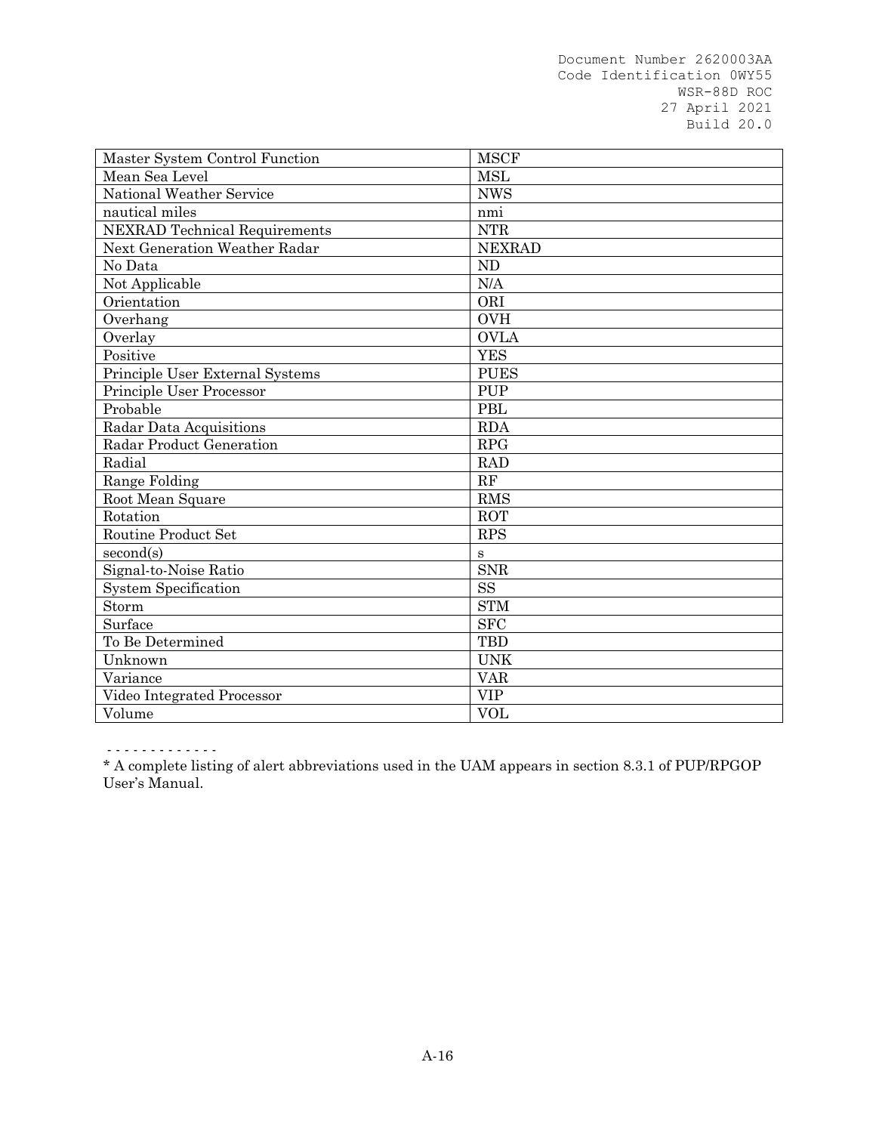| Master System Control Function       | <b>MSCF</b>   |
|--------------------------------------|---------------|
| Mean Sea Level                       | <b>MSL</b>    |
| National Weather Service             | <b>NWS</b>    |
| nautical miles                       | nmi           |
| <b>NEXRAD</b> Technical Requirements | <b>NTR</b>    |
| Next Generation Weather Radar        | <b>NEXRAD</b> |
| No Data                              | <b>ND</b>     |
| Not Applicable                       | N/A           |
| Orientation                          | ORI           |
| Overhang                             | <b>OVH</b>    |
| Overlay                              | <b>OVLA</b>   |
| Positive                             | <b>YES</b>    |
| Principle User External Systems      | <b>PUES</b>   |
| Principle User Processor             | <b>PUP</b>    |
| Probable                             | <b>PBL</b>    |
| Radar Data Acquisitions              | <b>RDA</b>    |
| Radar Product Generation             | <b>RPG</b>    |
| Radial                               | <b>RAD</b>    |
| <b>Range Folding</b>                 | RF            |
| Root Mean Square                     | <b>RMS</b>    |
| Rotation                             | <b>ROT</b>    |
| Routine Product Set                  | <b>RPS</b>    |
| second(s)                            | $\bf S$       |
| Signal-to-Noise Ratio                | <b>SNR</b>    |
| <b>System Specification</b>          | <b>SS</b>     |
| Storm                                | <b>STM</b>    |
| Surface                              | <b>SFC</b>    |
| To Be Determined                     | <b>TBD</b>    |
| Unknown                              | <b>UNK</b>    |
| Variance                             | <b>VAR</b>    |
| Video Integrated Processor           | <b>VIP</b>    |
| Volume                               | <b>VOL</b>    |

- - - - - - - - - - - - -

\* A complete listing of alert abbreviations used in the UAM appears in section 8.3.1 of PUP/RPGOP User's Manual.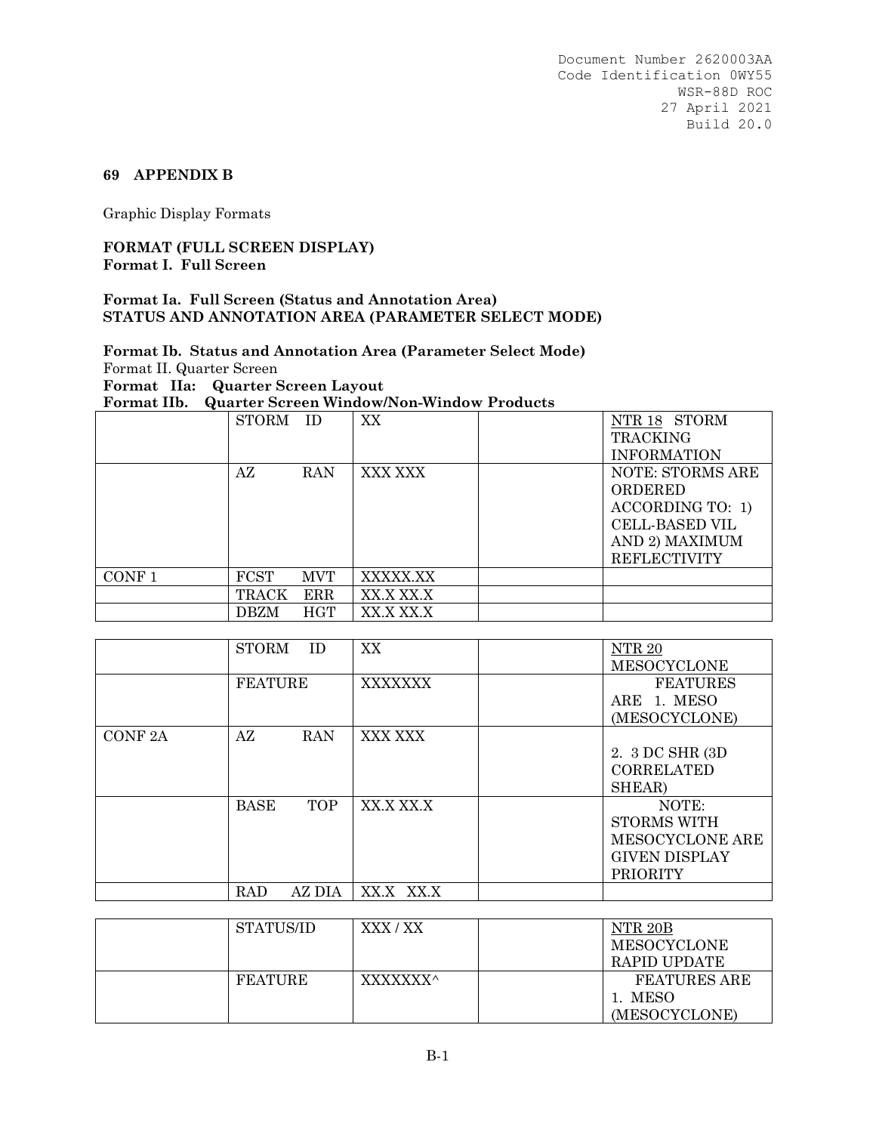### **69 APPENDIX B**

Graphic Display Formats

### **FORMAT (FULL SCREEN DISPLAY) Format I. Full Screen**

#### **Format Ia. Full Screen (Status and Annotation Area) STATUS AND ANNOTATION AREA (PARAMETER SELECT MODE)**

# **Format Ib. Status and Annotation Area (Parameter Select Mode)** Format II. Quarter Screen **Format IIa: Quarter Screen Layout**

**Format IIb. Quarter Screen Window/Non-Window Products** STORM ID | XX | NTR 18 STORM TRACKING INFORMATION AZ RAN XXX XXX | NOTE: STORMS ARE ORDERED ACCORDING TO: 1) CELL-BASED VIL AND 2) MAXIMUM REFLECTIVITY CONF 1 FCST MVT XXXXX.XX  $TRACK$   $ERR$   $XX.X$   $XX.X$ DBZM HGT XX.X XX.X

|               | <b>STORM</b><br><b>ID</b> | XX             | NTR <sub>20</sub><br><b>MESOCYCLONE</b>                                                   |
|---------------|---------------------------|----------------|-------------------------------------------------------------------------------------------|
|               | <b>FEATURE</b>            | <b>XXXXXXX</b> | <b>FEATURES</b><br>ARE 1. MESO<br>(MESOCYCLONE)                                           |
| <b>CONF2A</b> | AZ<br><b>RAN</b>          | XXX XXX        | 2. 3 DC SHR (3D)<br><b>CORRELATED</b><br>SHEAR)                                           |
|               | <b>BASE</b><br><b>TOP</b> | XX.X XX.X      | NOTE:<br>STORMS WITH<br><b>MESOCYCLONE ARE</b><br><b>GIVEN DISPLAY</b><br><b>PRIORITY</b> |
|               | AZ DIA<br>RAD             | XX.X XX.X      |                                                                                           |

| STATUS/ID      | XXX / XX | NTR 20B<br>MESOCYCLONE<br>RAPID UPDATE   |
|----------------|----------|------------------------------------------|
| <b>FEATURE</b> | XXXXXXX^ | FEATURES ARE<br>1. MESO<br>(MESOCYCLONE) |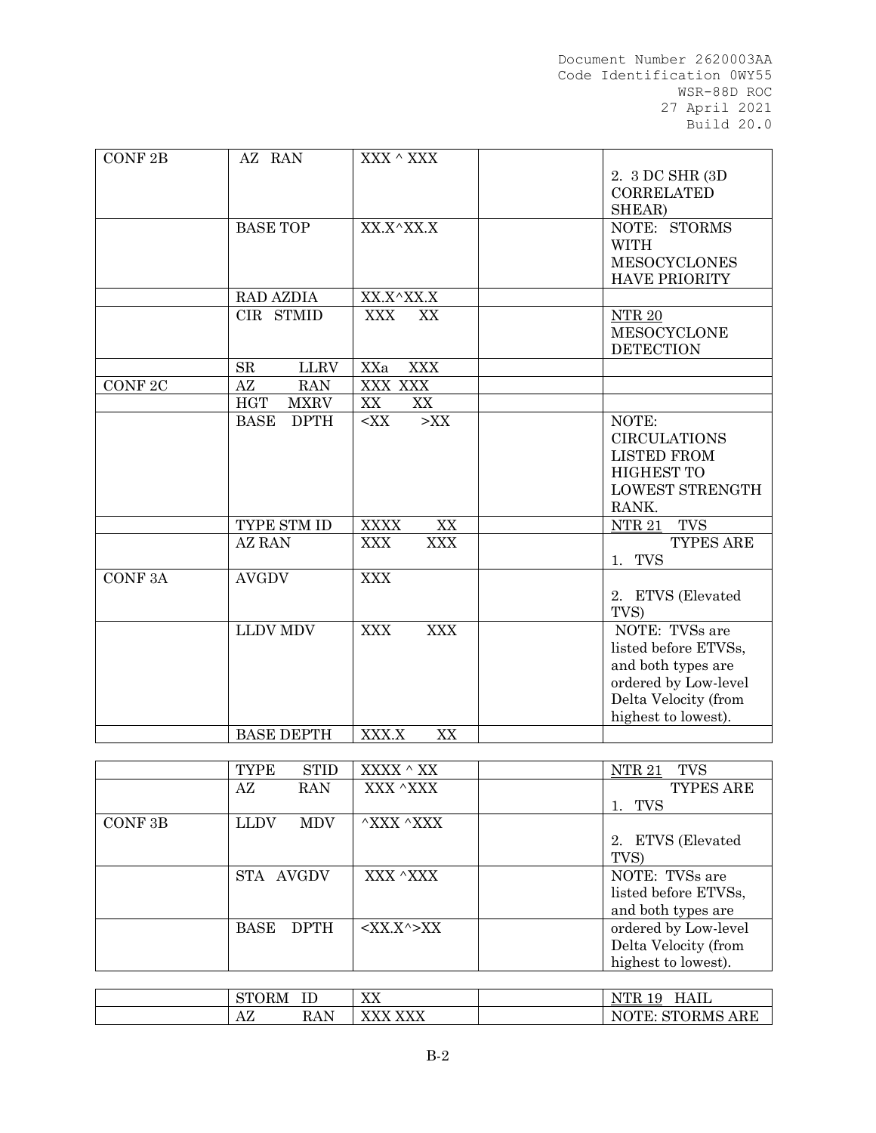| CONF 2B            | AZ RAN                     | XXX $^\wedge$ XXX        |                        |
|--------------------|----------------------------|--------------------------|------------------------|
|                    |                            |                          | 2. 3 DC SHR (3D        |
|                    |                            |                          | <b>CORRELATED</b>      |
|                    |                            |                          | SHEAR)                 |
|                    | <b>BASE TOP</b>            | XX.X^XX.X                | NOTE: STORMS           |
|                    |                            |                          | <b>WITH</b>            |
|                    |                            |                          | <b>MESOCYCLONES</b>    |
|                    |                            |                          |                        |
|                    |                            |                          | <b>HAVE PRIORITY</b>   |
|                    | <b>RAD AZDIA</b>           | XX.X^XX.X                |                        |
|                    | CIR STMID                  | <b>XXX</b><br>XX         | NTR <sub>20</sub>      |
|                    |                            |                          | <b>MESOCYCLONE</b>     |
|                    |                            |                          | <b>DETECTION</b>       |
|                    | SR<br><b>LLRV</b>          | <b>XXX</b><br>XXa        |                        |
| CONF <sub>2C</sub> | AZ<br><b>RAN</b>           | <b>XXX XXX</b>           |                        |
|                    | <b>HGT</b><br><b>MXRV</b>  | XX<br>XX                 |                        |
|                    | <b>BASE</b><br><b>DPTH</b> | $<$ XX<br>$>$ XX         | NOTE:                  |
|                    |                            |                          | <b>CIRCULATIONS</b>    |
|                    |                            |                          | <b>LISTED FROM</b>     |
|                    |                            |                          | <b>HIGHEST TO</b>      |
|                    |                            |                          | LOWEST STRENGTH        |
|                    |                            |                          | RANK.                  |
|                    | TYPE STM ID                | <b>XXXX</b><br>XX        | <b>TVS</b><br>NTR $21$ |
|                    | <b>AZ RAN</b>              | <b>XXX</b><br><b>XXX</b> | TYPES ARE              |
|                    |                            |                          | 1. TVS                 |
| <b>CONF3A</b>      | <b>AVGDV</b>               | <b>XXX</b>               |                        |
|                    |                            |                          | 2. ETVS (Elevated      |
|                    |                            |                          | TVS)                   |
|                    | <b>LLDV MDV</b>            | <b>XXX</b><br><b>XXX</b> | NOTE: TVSs are         |
|                    |                            |                          |                        |
|                    |                            |                          | listed before ETVSs,   |
|                    |                            |                          | and both types are     |
|                    |                            |                          | ordered by Low-level   |
|                    |                            |                          | Delta Velocity (from   |
|                    |                            |                          | highest to lowest).    |
|                    | <b>BASE DEPTH</b>          | XXX.X<br>XX              |                        |

|                    | <b>STID</b><br><b>TYPE</b> | XXXX ^ XX                 | <b>NTR 21</b><br><b>TVS</b> |
|--------------------|----------------------------|---------------------------|-----------------------------|
|                    | AZ<br>RAN                  | XXX ^XXX                  | TYPES ARE                   |
|                    |                            |                           | TVS                         |
| CONF <sub>3B</sub> | <b>LLDV</b><br><b>MDV</b>  | $\wedge$ XXX $\wedge$ XXX |                             |
|                    |                            |                           | 2. ETVS (Elevated           |
|                    |                            |                           | TVS)                        |
|                    | STA AVGDV                  | XXX ^XXX                  | NOTE: TVSs are              |
|                    |                            |                           | listed before ETVSs,        |
|                    |                            |                           | and both types are          |
|                    | BASE<br><b>DPTH</b>        | $<$ XX.X^>XX              | ordered by Low-level        |
|                    |                            |                           | Delta Velocity (from        |
|                    |                            |                           | highest to lowest).         |

| $\alpha$ m $\alpha$<br>$\sim$ $\sim$ $\sim$<br>. ORM<br>IJΙ | $- -$<br>∸        | $\overline{X}$<br>ΛΛ                               | $H$ A II<br>σmπ<br>$\overline{ }$<br>u<br>HAIL<br>1 <sub>N</sub><br>⊥ັ |
|-------------------------------------------------------------|-------------------|----------------------------------------------------|------------------------------------------------------------------------|
| n<br>$\mathbf{A}$<br>AΔ                                     | <b>DAT</b><br>KAN | <b>XZXZXZ</b><br>$\lambda$<br>$\Delta\Delta\Delta$ | <b>STORMS</b><br>ARE<br>LOMD<br>◡<br>. .<br>◡                          |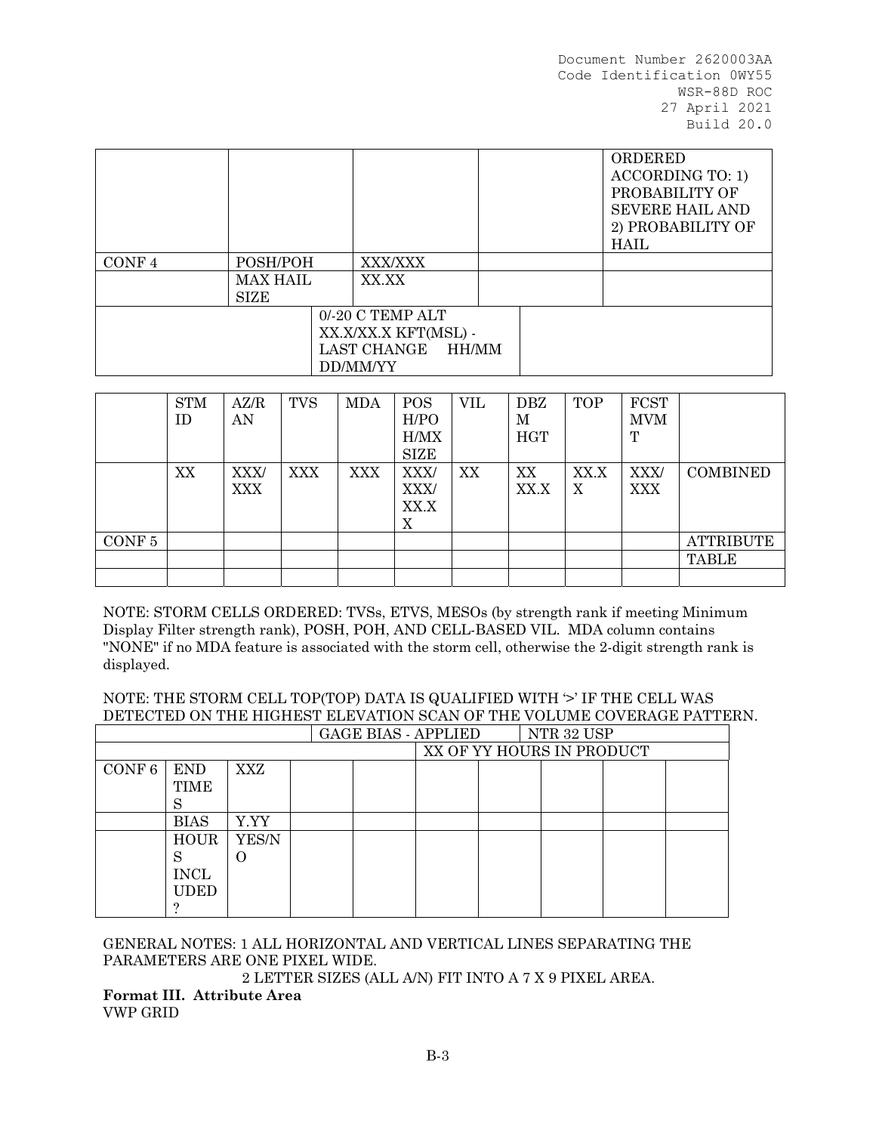| CONF <sub>4</sub> | POSH/POH<br><b>MAX HAIL</b> | <b>XXX/XXX</b><br>XX.XX |  | ORDERED<br><b>ACCORDING TO: 1)</b><br>PROBABILITY OF<br><b>SEVERE HAIL AND</b><br>2) PROBABILITY OF<br>HAIL |
|-------------------|-----------------------------|-------------------------|--|-------------------------------------------------------------------------------------------------------------|
|                   | <b>SIZE</b>                 |                         |  |                                                                                                             |
|                   |                             | 0/-20 C TEMP ALT        |  |                                                                                                             |
|                   |                             | XX.X/XX.X KFT(MSL) -    |  |                                                                                                             |
|                   |                             | LAST CHANGE HH/MM       |  |                                                                                                             |
|                   |                             | DD/MM/YY                |  |                                                                                                             |

|                   | <b>STM</b><br>ID. | AZ/R<br>AN  | <b>TVS</b> | <b>MDA</b> | <b>POS</b><br>H/PO<br>H/MX | <b>VIL</b> | <b>DBZ</b><br>М<br><b>HGT</b> | <b>TOP</b> | <b>FCST</b><br><b>MVM</b><br>Т |                 |
|-------------------|-------------------|-------------|------------|------------|----------------------------|------------|-------------------------------|------------|--------------------------------|-----------------|
|                   |                   |             |            |            | <b>SIZE</b>                |            |                               |            |                                |                 |
|                   | XX                | XXX/<br>XXX | <b>XXX</b> | <b>XXX</b> | XXX/<br>XXX/<br>XX.X<br>Χ  | XX         | XX<br>XX.X                    | XX.X<br>X  | XXX/<br>XXX                    | <b>COMBINED</b> |
| CONF <sub>5</sub> |                   |             |            |            |                            |            |                               |            |                                | ATTRIBUTE       |
|                   |                   |             |            |            |                            |            |                               |            |                                | <b>TABLE</b>    |
|                   |                   |             |            |            |                            |            |                               |            |                                |                 |

NOTE: STORM CELLS ORDERED: TVSs, ETVS, MESOs (by strength rank if meeting Minimum Display Filter strength rank), POSH, POH, AND CELL-BASED VIL. MDA column contains "NONE" if no MDA feature is associated with the storm cell, otherwise the 2-digit strength rank is displayed.

NOTE: THE STORM CELL TOP(TOP) DATA IS QUALIFIED WITH  $\geq$  IF THE CELL WAS DETECTED ON THE HIGHEST ELEVATION SCAN OF THE VOLUME COVERAGE PATTERN.

|        |             |            |  | <b>GAGE BIAS - APPLIED</b> | NTR 32 USP                |  |
|--------|-------------|------------|--|----------------------------|---------------------------|--|
|        |             |            |  |                            | XX OF YY HOURS IN PRODUCT |  |
| CONF 6 | <b>END</b>  | <b>XXZ</b> |  |                            |                           |  |
|        | <b>TIME</b> |            |  |                            |                           |  |
|        | S           |            |  |                            |                           |  |
|        | <b>BIAS</b> | Y.YY       |  |                            |                           |  |
|        | <b>HOUR</b> | YES/N      |  |                            |                           |  |
|        | S           | . .        |  |                            |                           |  |
|        | <b>INCL</b> |            |  |                            |                           |  |
|        | <b>UDED</b> |            |  |                            |                           |  |
|        |             |            |  |                            |                           |  |

GENERAL NOTES: 1 ALL HORIZONTAL AND VERTICAL LINES SEPARATING THE PARAMETERS ARE ONE PIXEL WIDE.

2 LETTER SIZES (ALL A/N) FIT INTO A 7 X 9 PIXEL AREA.

**Format III. Attribute Area** VWP GRID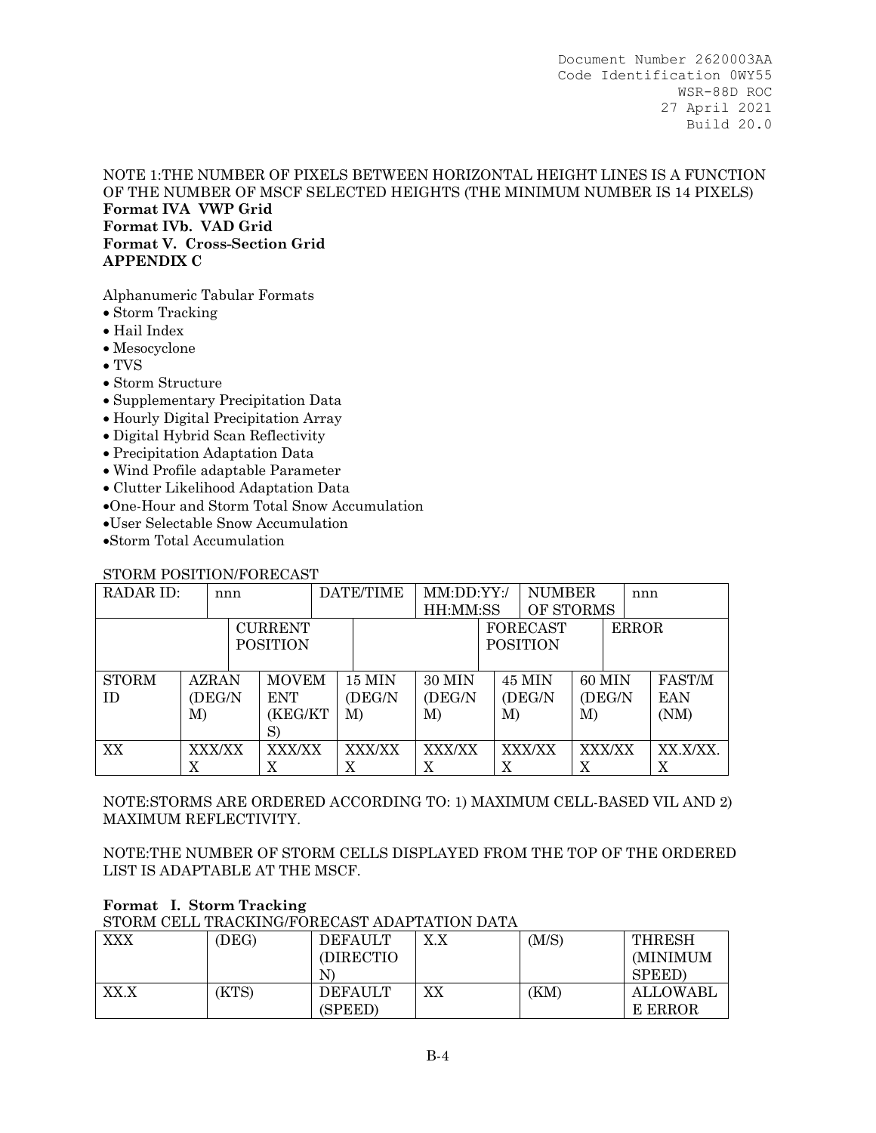## NOTE 1:THE NUMBER OF PIXELS BETWEEN HORIZONTAL HEIGHT LINES IS A FUNCTION OF THE NUMBER OF MSCF SELECTED HEIGHTS (THE MINIMUM NUMBER IS 14 PIXELS) **Format IVA VWP Grid Format IVb. VAD Grid Format V. Cross-Section Grid APPENDIX C**

Alphanumeric Tabular Formats

- Storm Tracking
- Hail Index
- Mesocyclone
- TVS
- Storm Structure
- Supplementary Precipitation Data
- Hourly Digital Precipitation Array
- Digital Hybrid Scan Reflectivity
- Precipitation Adaptation Data
- Wind Profile adaptable Parameter
- Clutter Likelihood Adaptation Data
- One-Hour and Storm Total Snow Accumulation
- User Selectable Snow Accumulation
- Storm Total Accumulation

### STORM POSITION/FORECAST

| RADAR ID:       | nnn |              | DATE/TIME | MM:DD:YY:/     |               |               | <b>NUMBER</b>   |    | nnn             |         |              |            |
|-----------------|-----|--------------|-----------|----------------|---------------|---------------|-----------------|----|-----------------|---------|--------------|------------|
|                 |     |              |           |                |               | HH:MM:SS      |                 |    | OF STORMS       |         |              |            |
|                 |     |              |           | <b>CURRENT</b> |               |               |                 |    | <b>FORECAST</b> |         | <b>ERROR</b> |            |
| <b>POSITION</b> |     |              |           |                |               |               | <b>POSITION</b> |    |                 |         |              |            |
|                 |     |              |           |                |               |               |                 |    |                 |         |              |            |
| <b>STORM</b>    |     | <b>AZRAN</b> |           | <b>MOVEM</b>   | <b>15 MIN</b> | <b>30 MIN</b> |                 |    | <b>45 MIN</b>   | 60 MIN  |              | FAST/M     |
| <b>ID</b>       |     | (DEG/N       |           | <b>ENT</b>     | (DEG/N        | (DEG/N)       |                 |    | (DEG/N          | (DEG/N) |              | <b>EAN</b> |
|                 | M)  |              |           | (KEG/KT        | M)            | M)            |                 | M) |                 | M)      |              | (NM)       |
|                 |     |              |           | S)             |               |               |                 |    |                 |         |              |            |
| XX              |     | XXX/XX       |           | XXX/XX         | XXX/XX        | XXX/XX        |                 |    | XXX/XX          | XXX/XX  |              | XX.X/XX.   |
|                 | X   |              |           | X              | X             |               |                 | X  |                 | X       |              | X          |

NOTE:STORMS ARE ORDERED ACCORDING TO: 1) MAXIMUM CELL-BASED VIL AND 2) MAXIMUM REFLECTIVITY.

NOTE:THE NUMBER OF STORM CELLS DISPLAYED FROM THE TOP OF THE ORDERED LIST IS ADAPTABLE AT THE MSCF.

# **Format I. Storm Tracking**

STORM CELL TRACKING/FORECAST ADAPTATION DATA

| <b>XXX</b> | (DEG) | <b>DEFAULT</b><br>(DIRECTIO    | X.X | (M/S) | THRESH<br>(MINIMUM<br><b>SPEED</b> ) |
|------------|-------|--------------------------------|-----|-------|--------------------------------------|
| XX.X       | (KTS) | N<br><b>DEFAULT</b><br>(SPEED) | XХ  | (KM)  | ALLOWABL<br>E ERROR                  |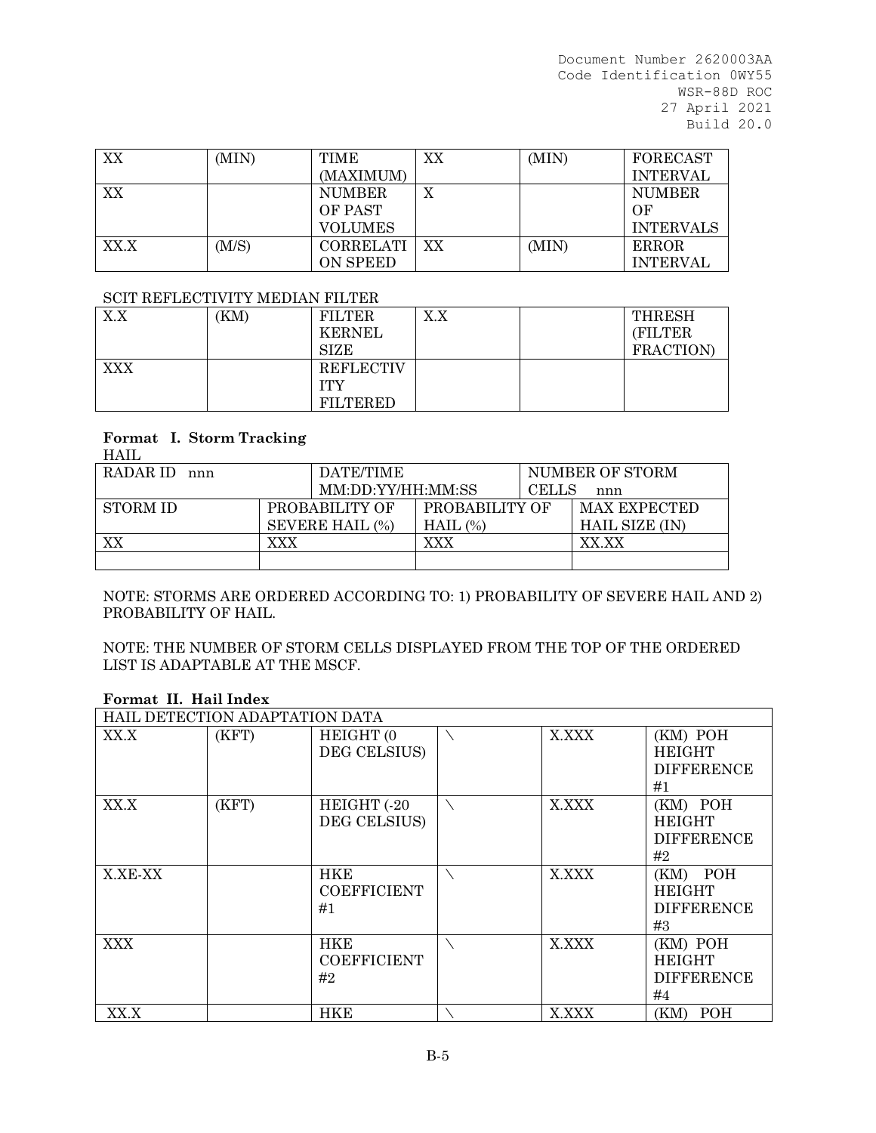| XX   | (MIN) | TIME             | XX | (MIN) | <b>FORECAST</b>  |
|------|-------|------------------|----|-------|------------------|
|      |       | (MAXIMUM)        |    |       | <b>INTERVAL</b>  |
| XX   |       | <b>NUMBER</b>    | X  |       | <b>NUMBER</b>    |
|      |       | OF PAST          |    |       | OF               |
|      |       | <b>VOLUMES</b>   |    |       | <b>INTERVALS</b> |
| XX.X | (M/S) | <b>CORRELATI</b> | XX | (MIN) | <b>ERROR</b>     |
|      |       | ON SPEED         |    |       | <b>INTERVAL</b>  |

#### SCIT REFLECTIVITY MEDIAN FILTER

| X.X | (KM) | <b>FILTER</b>    | X.X |  | <b>THRESH</b> |  |  |  |  |
|-----|------|------------------|-----|--|---------------|--|--|--|--|
|     |      | <b>KERNEL</b>    |     |  | (FILTER       |  |  |  |  |
|     |      | <b>SIZE</b>      |     |  | FRACTION)     |  |  |  |  |
| XXX |      | <b>REFLECTIV</b> |     |  |               |  |  |  |  |
|     |      | ITY              |     |  |               |  |  |  |  |
|     |      | <b>FILTERED</b>  |     |  |               |  |  |  |  |

# **Format I. Storm Tracking**

HAIL RADAR ID nnn DATE/TIME MM:DD:YY/HH:MM:SS NUMBER OF STORM CELLS nnn STORM ID PROBABILITY OF SEVERE HAIL (%) PROBABILITY OF HAIL (%) MAX EXPECTED HAIL SIZE (IN) XX XX XXX XXX XXX

NOTE: STORMS ARE ORDERED ACCORDING TO: 1) PROBABILITY OF SEVERE HAIL AND 2) PROBABILITY OF HAIL.

NOTE: THE NUMBER OF STORM CELLS DISPLAYED FROM THE TOP OF THE ORDERED LIST IS ADAPTABLE AT THE MSCF.

|            | HAIL DETECTION ADAPTATION DATA |                                        |       |                                                      |
|------------|--------------------------------|----------------------------------------|-------|------------------------------------------------------|
| XX.X       | (KFT)                          | HEIGHT (0<br>DEG CELSIUS)              | X.XXX | (KM) POH<br><b>HEIGHT</b><br><b>DIFFERENCE</b><br>#1 |
| XX.X       | (KFT)                          | HEIGHT (-20<br>DEG CELSIUS)            | X.XXX | (KM) POH<br><b>HEIGHT</b><br><b>DIFFERENCE</b><br>#2 |
| X.XE-XX    |                                | <b>HKE</b><br><b>COEFFICIENT</b><br>#1 | X.XXX | (KM) POH<br><b>HEIGHT</b><br><b>DIFFERENCE</b><br>#3 |
| <b>XXX</b> |                                | <b>HKE</b><br><b>COEFFICIENT</b><br>#2 | X.XXX | (KM) POH<br><b>HEIGHT</b><br><b>DIFFERENCE</b><br>#4 |
| XX.X       |                                | <b>HKE</b>                             | X.XXX | POH<br>(KM)                                          |

# **Format II. Hail Index**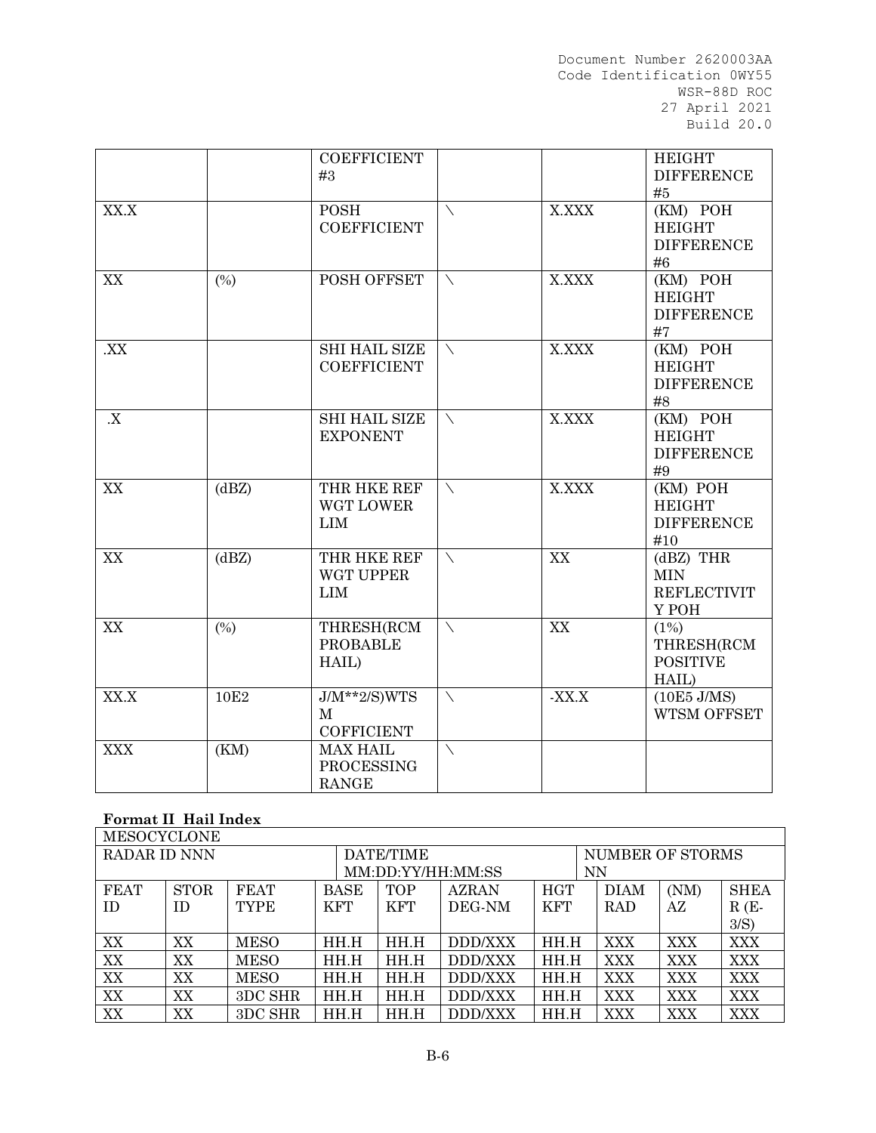|            |                  | <b>COEFFICIENT</b><br>#3                               |             |         | <b>HEIGHT</b><br><b>DIFFERENCE</b><br>#5                 |
|------------|------------------|--------------------------------------------------------|-------------|---------|----------------------------------------------------------|
| XX.X       |                  | <b>POSH</b><br><b>COEFFICIENT</b>                      | ╲           | X.XXX   | (KM) POH<br><b>HEIGHT</b><br><b>DIFFERENCE</b><br>#6     |
| XX         | (%)              | POSH OFFSET                                            | ╲           | X.XXX   | (KM) POH<br><b>HEIGHT</b><br><b>DIFFERENCE</b><br>#7     |
| XX.        |                  | <b>SHI HAIL SIZE</b><br><b>COEFFICIENT</b>             | \           | X.XXX   | (KM) POH<br><b>HEIGHT</b><br><b>DIFFERENCE</b><br>#8     |
| X          |                  | <b>SHI HAIL SIZE</b><br><b>EXPONENT</b>                | $\setminus$ | X.XXX   | (KM) POH<br><b>HEIGHT</b><br><b>DIFFERENCE</b><br>#9     |
| XX         | (dBZ)            | THR HKE REF<br>WGT LOWER<br><b>LIM</b>                 | $\setminus$ | X.XXX   | (KM) POH<br><b>HEIGHT</b><br><b>DIFFERENCE</b><br>#10    |
| XX         | (dBZ)            | THR HKE REF<br>WGT UPPER<br><b>LIM</b>                 | $\setminus$ | XX      | $(dBZ)$ THR<br><b>MIN</b><br><b>REFLECTIVIT</b><br>Y POH |
| XX         | (%)              | THRESH(RCM<br><b>PROBABLE</b><br>HAIL)                 | $\setminus$ | XX      | (1%)<br>THRESH(RCM<br><b>POSITIVE</b><br>HAIL)           |
| XX.X       | 10E <sub>2</sub> | $J/M^{**}2/S)WTS$<br>$\mathbf{M}$<br><b>COFFICIENT</b> | $\setminus$ | $-XX.X$ | $(10E5$ J/MS)<br>WTSM OFFSET                             |
| <b>XXX</b> | (KM)             | <b>MAX HAIL</b><br><b>PROCESSING</b><br><b>RANGE</b>   | ╲           |         |                                                          |

# **Format II Hail Index**

| <b>MESOCYCLONE</b> |             |             |             |            |                   |            |                  |      |             |  |
|--------------------|-------------|-------------|-------------|------------|-------------------|------------|------------------|------|-------------|--|
| RADAR ID NNN       |             |             |             | DATE/TIME  |                   |            | NUMBER OF STORMS |      |             |  |
|                    |             |             |             |            | MM:DD:YY/HH:MM:SS |            | <b>NN</b>        |      |             |  |
| <b>FEAT</b>        | <b>STOR</b> | <b>FEAT</b> | <b>BASE</b> | <b>TOP</b> | <b>AZRAN</b>      | <b>HGT</b> | <b>DIAM</b>      | (NM) | <b>SHEA</b> |  |
| <b>ID</b>          | <b>ID</b>   | <b>TYPE</b> | KFT         | <b>KFT</b> | DEG-NM            | <b>KFT</b> | <b>RAD</b>       | AZ   | $R(E-$      |  |
|                    |             |             |             |            |                   |            |                  |      | $3/S$ )     |  |
| XX                 | XX          | <b>MESO</b> | HH.H        | HH.H       | DDD/XXX           | HH.H       | <b>XXX</b>       | XXX  | <b>XXX</b>  |  |
| XX                 | XX          | <b>MESO</b> | HH.H        | HH.H       | DDD/XXX           | HH.H       | <b>XXX</b>       | XXX  | <b>XXX</b>  |  |
| XX                 | XX          | <b>MESO</b> | HH.H        | HH.H       | DDD/XXX           | HH.H       | XXX              | XXX  | XXX         |  |
| XX                 | XX          | 3DC SHR     | HH.H        | HH.H       | DDD/XXX           | HH.H       | <b>XXX</b>       | XXX  | <b>XXX</b>  |  |
| XX                 | XX          | 3DC SHR     | HH.H        | HH.H       | DDD/XXX           | HH.H       | XXX              | XXX  | <b>XXX</b>  |  |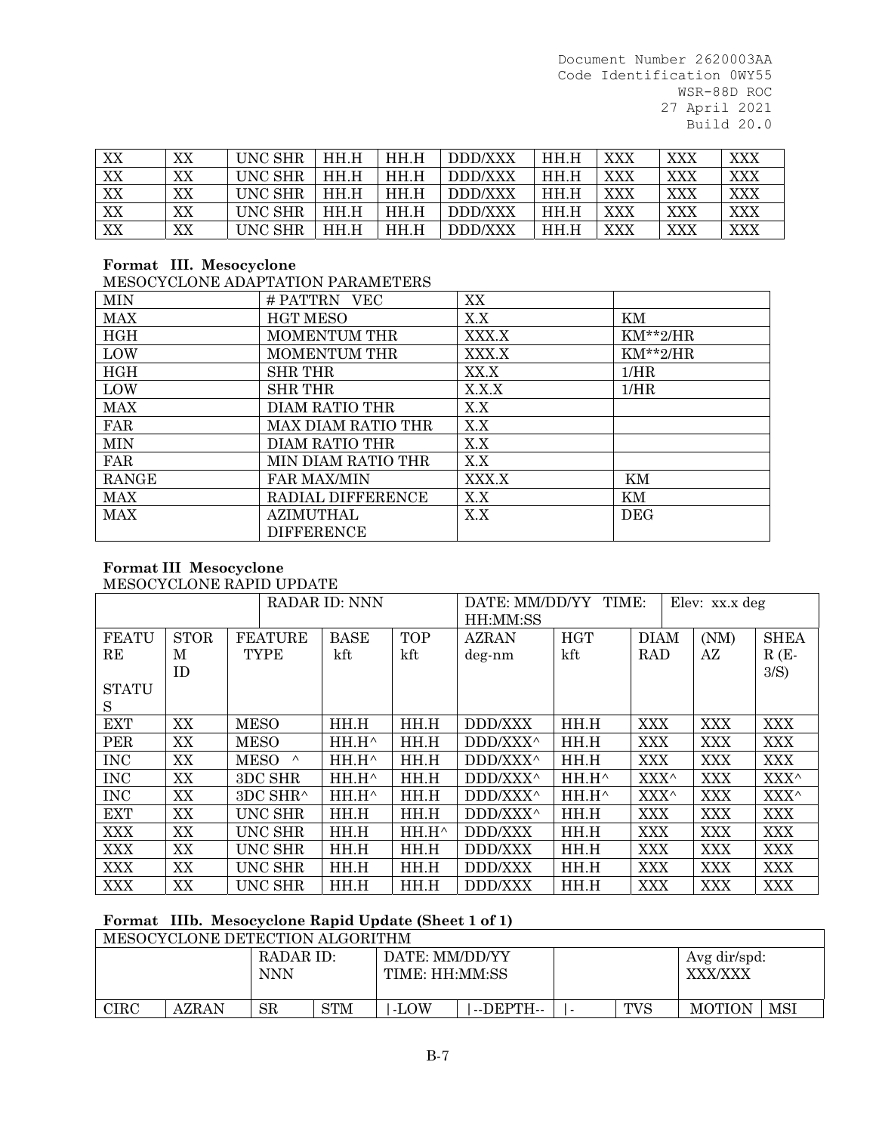| XX | XX | <b>UNC SHR</b> | HH.H | HH.H | DDD/XXX        | HH.H | XXX | XXX | XXX |
|----|----|----------------|------|------|----------------|------|-----|-----|-----|
| XX | XX | <b>UNC SHR</b> | HH.H | HH.H | DDD/XXX        | HH.H | XXX | XXX | XXX |
| XX | XX | UNC SHR        | HH.H | HH.H | DDD/XXX        | HH.H | XXX | XXX | XXX |
| XX | XX | <b>UNC SHR</b> | HH.H | HH.H | DDD/XXX        | HH.H | XXX | XXX | XXX |
| XX | XX | <b>UNC SHR</b> | HH.H | HH.H | <b>DDD/XXX</b> | HH.H | XXX | XXX | XXX |

# **Format III. Mesocyclone**

MESOCYCLONE ADAPTATION PARAMETERS

| <b>MIN</b>   | # PATTRN<br><b>VEC</b> | XX    |               |
|--------------|------------------------|-------|---------------|
| <b>MAX</b>   | <b>HGT MESO</b>        | X.X   | ΚM            |
| HGH          | <b>MOMENTUM THR</b>    | XXX.X | $KM^{**}2/HR$ |
| LOW          | <b>MOMENTUM THR</b>    | XXX.X | $KM^{**}2/HR$ |
| HGH          | <b>SHR THR</b>         | XX.X  | 1/HR          |
| LOW          | <b>SHR THR</b>         | X.X.X | 1/HR          |
| <b>MAX</b>   | DIAM RATIO THR         | X.X   |               |
| FAR          | MAX DIAM RATIO THR     | X.X   |               |
| <b>MIN</b>   | DIAM RATIO THR         | X.X   |               |
| FAR          | MIN DIAM RATIO THR     | X.X   |               |
| <b>RANGE</b> | <b>FAR MAX/MIN</b>     | XXX.X | ΚM            |
| MAX          | RADIAL DIFFERENCE      | X.X   | ΚM            |
| <b>MAX</b>   | AZIMUTHAL              | X.X   | <b>DEG</b>    |
|              | <b>DIFFERENCE</b>      |       |               |

#### **Format III Mesocyclone** MESOCYCLONE RAPID UPDATE

|              |             |             |                | <b>RADAR ID: NNN</b> |                 | DATE: MM/DD/YY TIME:<br>Elev: xx.x deg |            |             |            |             |
|--------------|-------------|-------------|----------------|----------------------|-----------------|----------------------------------------|------------|-------------|------------|-------------|
|              |             |             |                |                      |                 | HH:MM:SS                               |            |             |            |             |
| <b>FEATU</b> | <b>STOR</b> |             | <b>FEATURE</b> | <b>BASE</b>          | <b>TOP</b>      | <b>AZRAN</b>                           | <b>HGT</b> | <b>DIAM</b> | (NM)       | <b>SHEA</b> |
| RE           | M           |             | <b>TYPE</b>    | kft                  | kft             | deg-nm                                 | kft        | <b>RAD</b>  | AZ         | $R(E-$      |
|              | <b>ID</b>   |             |                |                      |                 |                                        |            |             |            | 3/S)        |
| <b>STATU</b> |             |             |                |                      |                 |                                        |            |             |            |             |
| S            |             |             |                |                      |                 |                                        |            |             |            |             |
| <b>EXT</b>   | XX          | <b>MESO</b> |                | HH.H                 | HH.H            | <b>DDD/XXX</b>                         | HH.H       | <b>XXX</b>  | <b>XXX</b> | <b>XXX</b>  |
| <b>PER</b>   | XX          | <b>MESO</b> |                | $HH.H^{\wedge}$      | HH.H            | DDD/XXX^                               | HH.H       | <b>XXX</b>  | <b>XXX</b> | <b>XXX</b>  |
| <b>INC</b>   | XX          | <b>MESO</b> | $\wedge$       | $HH.H^{\wedge}$      | HH.H            | DDD/XXX^                               | HH.H       | XXX         | <b>XXX</b> | <b>XXX</b>  |
| <b>INC</b>   | XX          |             | 3DC SHR        | $HH.H^{\wedge}$      | HH.H            | DDD/XXX^                               | HH.H^      | XXX^        | <b>XXX</b> | XXX^        |
| <b>INC</b>   | XX          |             | 3DC SHR^       | $HH.H^{\wedge}$      | HH.H            | DDD/XXX^                               | HH.H^      | XXX^        | <b>XXX</b> | XXX^        |
| <b>EXT</b>   | XX          |             | <b>UNC SHR</b> | HH.H                 | HH.H            | DDD/XXX^                               | HH.H       | <b>XXX</b>  | <b>XXX</b> | <b>XXX</b>  |
| <b>XXX</b>   | XX          |             | <b>UNC SHR</b> | HH.H                 | $HH.H^{\wedge}$ | DDD/XXX                                | HH.H       | <b>XXX</b>  | <b>XXX</b> | <b>XXX</b>  |
| <b>XXX</b>   | XX          |             | <b>UNC SHR</b> | HH.H                 | HH.H            | DDD/XXX                                | HH.H       | <b>XXX</b>  | <b>XXX</b> | <b>XXX</b>  |
| <b>XXX</b>   | XX          |             | <b>UNC SHR</b> | HH.H                 | HH.H            | DDD/XXX                                | HH.H       | <b>XXX</b>  | <b>XXX</b> | <b>XXX</b>  |
| <b>XXX</b>   | XX          |             | <b>UNC SHR</b> | HH.H                 | HH.H            | DDD/XXX                                | HH.H       | XXX         | XXX        | <b>XXX</b>  |

## **Format IIIb. Mesocyclone Rapid Update (Sheet 1 of 1)**

MESOCYCLONE DETECTION ALGORITHM RADAR ID: NNN DATE: MM/DD/YY TIME: HH:MM:SS Avg dir/spd: XXX/XXX  $CIRC$  | AZRAN | SR | STM | |-LOW | |--DEPTH-- | |- | TVS | MOTION | MSI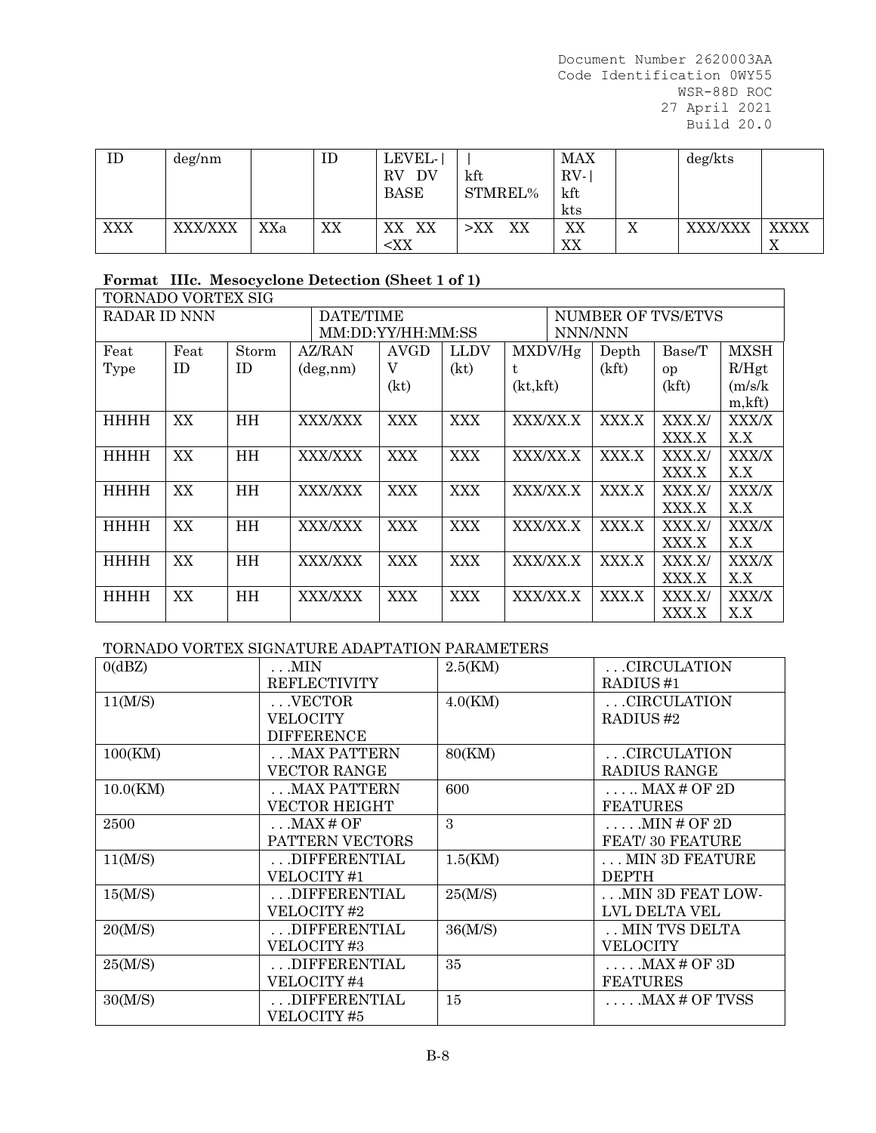| ID         | deg/nm  |     | ID | LEVEL-<br>RV<br>DV<br><b>BASE</b>                                                    | kft<br>STMREL% | MAX<br>RV-<br>kft<br>kts |                | deg/kts |             |
|------------|---------|-----|----|--------------------------------------------------------------------------------------|----------------|--------------------------|----------------|---------|-------------|
| <b>XXX</b> | XXX/XXX | XXa | XX | XX<br>XX                                                                             | XX<br>$>$ XX   | XX                       | T<br>$\Lambda$ | XXX/XXX | <b>XXXX</b> |
|            |         |     |    | <xx< td=""><td></td><td>XX</td><td></td><td></td><td><math>\Lambda</math></td></xx<> |                | XX                       |                |         | $\Lambda$   |

# **Format IIIc. Mesocyclone Detection (Sheet 1 of 1)**

| TORNADO VORTEX SIG |      |           |                |                   |             |           |          |                               |        |             |  |
|--------------------|------|-----------|----------------|-------------------|-------------|-----------|----------|-------------------------------|--------|-------------|--|
| RADAR ID NNN       |      |           | DATE/TIME      |                   |             |           |          | NUMBER OF TVS/ETVS<br>NNN/NNN |        |             |  |
|                    |      |           |                | MM:DD:YY/HH:MM:SS |             |           |          |                               |        |             |  |
| Feat               | Feat | Storm     | AZ/RAN         | <b>AVGD</b>       | <b>LLDV</b> |           | MXDV/He  | Depth                         | Base/T | <b>MXSH</b> |  |
| Type               | ID   | <b>ID</b> | deg,nm)        | V                 | (kt)        | t         |          | (kft)                         | op     | R/Hgt       |  |
|                    |      |           |                | (kt)              |             | (kt, kft) |          |                               | (kft)  | (m/s/k)     |  |
|                    |      |           |                |                   |             |           |          |                               |        | m, kft      |  |
| HHHH               | XX   | HH        | XXX/XXX        | <b>XXX</b>        | <b>XXX</b>  |           | XXX/XX.X | XXX.X                         | XXX.X/ | XXX/X       |  |
|                    |      |           |                |                   |             |           |          |                               | XXX.X  | X.X         |  |
| HHHH               | XX   | HH        | XXX/XXX        | <b>XXX</b>        | <b>XXX</b>  |           | XXX/XX.X | XXX.X                         | XXX.X/ | XXX/X       |  |
|                    |      |           |                |                   |             |           |          |                               | XXX.X  | X.X         |  |
| HHHH               | XX   | HH        | <b>XXX/XXX</b> | <b>XXX</b>        | <b>XXX</b>  |           | XXX/XX.X | XXX.X                         | XXX.X/ | XXX/X       |  |
|                    |      |           |                |                   |             |           |          |                               | XXX.X  | X.X         |  |
| HHHH               | XX   | HH        | XXX/XXX        | <b>XXX</b>        | <b>XXX</b>  |           | XXX/XX.X | XXX.X                         | XXX.X/ | XXX/X       |  |
|                    |      |           |                |                   |             |           |          |                               | XXX.X  | X.X         |  |
| <b>HHHH</b>        | XX   | <b>HH</b> | <b>XXX/XXX</b> | <b>XXX</b>        | <b>XXX</b>  |           | XXX/XX.X | XXX.X                         | XXX.X/ | XXX/X       |  |
|                    |      |           |                |                   |             |           |          |                               | XXX.X  | X.X         |  |
| <b>HHHH</b>        | XX   | <b>HH</b> | <b>XXX/XXX</b> | XXX               | <b>XXX</b>  |           | XXX/XX.X | XXX.X                         | XXX.X/ | XXX/X       |  |
|                    |      |           |                |                   |             |           |          |                               | XXX.X  | X.X         |  |

# TORNADO VORTEX SIGNATURE ADAPTATION PARAMETERS

| 0(dBZ)   | $\ldots$ MIN         | 2.5(KM) | .CIRCULATION           |
|----------|----------------------|---------|------------------------|
|          | <b>REFLECTIVITY</b>  |         | RADIUS <sub>#1</sub>   |
| 11(M/S)  | $\ldots$ VECTOR      | 4.0(KM) | CIRCULATION            |
|          | VELOCITY             |         | RADIUS#2               |
|          | <b>DIFFERENCE</b>    |         |                        |
| 100(KM)  | .MAX PATTERN         | 80(KM)  | .CIRCULATION           |
|          | <b>VECTOR RANGE</b>  |         | RADIUS RANGE           |
| 10.0(KM) | .MAX PATTERN         | 600     | $\ldots$ MAX # OF 2D   |
|          | <b>VECTOR HEIGHT</b> |         | <b>FEATURES</b>        |
| 2500     | $\ldots$ MAX # OF    | 3       | MIN#OF2D               |
|          | PATTERN VECTORS      |         | <b>FEAT/30 FEATURE</b> |
| 11(M/S)  | .DIFFERENTIAL        | 1.5(KM) | . MIN 3D FEATURE       |
|          | VELOCITY #1          |         | <b>DEPTH</b>           |
| 15(M/S)  | DIFFERENTIAL         | 25(M/S) | MIN 3D FEAT LOW-       |
|          | VELOCITY #2          |         | LVL DELTA VEL          |
| 20(M/S)  | .DIFFERENTIAL        | 36(M/S) | MIN TVS DELTA          |
|          | VELOCITY#3           |         | <b>VELOCITY</b>        |
| 25(M/S)  | .DIFFERENTIAL        | 35      | $\ldots$ . MAX # OF 3D |
|          | VELOCITY#4           |         | <b>FEATURES</b>        |
| 30(M/S)  | .DIFFERENTIAL        | 15      | .MAX # OF TVSS         |
|          | VELOCITY#5           |         |                        |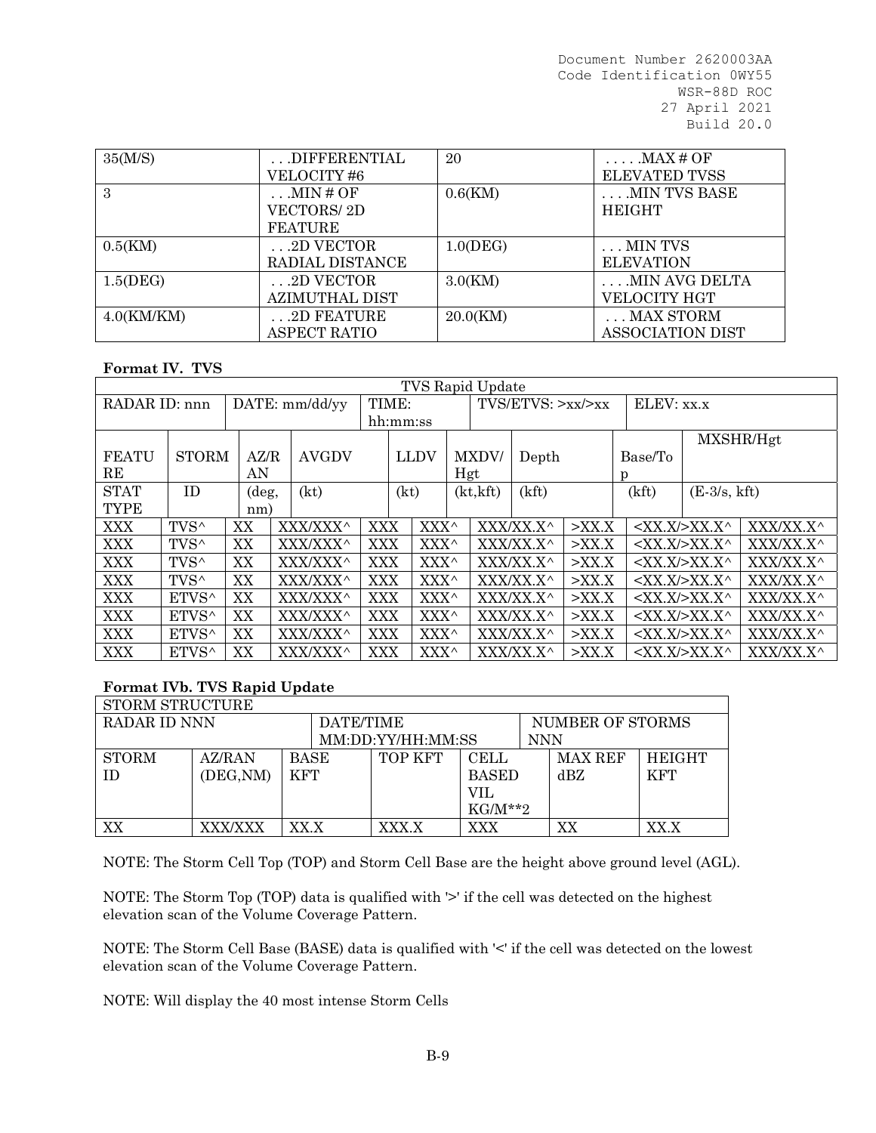| 35(M/S)       | DIFFERENTIAL    | 20          | $\ldots$ MAX # OF       |
|---------------|-----------------|-------------|-------------------------|
|               | VELOCITY #6     |             | <b>ELEVATED TVSS</b>    |
| 3             | .MIN # OF       | $0.6$ (KM)  | MIN TVS BASE            |
|               | VECTORS/ 2D     |             | <b>HEIGHT</b>           |
|               | <b>FEATURE</b>  |             |                         |
| 0.5(KM)       | .2D VECTOR      | $1.0$ (DEG) | . MIN TVS               |
|               | RADIAL DISTANCE |             | <b>ELEVATION</b>        |
| 1.5(DEG)      | .2D VECTOR      | 3.0(KM)     | .MIN AVG DELTA          |
|               | AZIMUTHAL DIST  |             | VELOCITY HGT            |
| $4.0$ (KM/KM) | .2D FEATURE     | 20.0(KM)    | $\ldots$ MAX STORM      |
|               | ASPECT RATIO    |             | <b>ASSOCIATION DIST</b> |

### **Format IV. TVS**

| <b>TVS Rapid Update</b>         |                  |                                      |  |          |                    |      |                      |     |            |           |          |       |                                  |           |
|---------------------------------|------------------|--------------------------------------|--|----------|--------------------|------|----------------------|-----|------------|-----------|----------|-------|----------------------------------|-----------|
| DATE: mm/dd/yy<br>RADAR ID: nnn |                  | TIME:                                |  |          | TVS/ETVS: >xx/ >xx |      |                      |     | ELEV: XX.X |           |          |       |                                  |           |
|                                 |                  |                                      |  |          | hh:mm:ss           |      |                      |     |            |           |          |       |                                  |           |
|                                 |                  |                                      |  |          |                    |      |                      |     |            |           |          |       |                                  | MXSHR/Hgt |
| <b>FEATU</b>                    |                  | <b>STORM</b><br><b>AVGDV</b><br>AZ/R |  | LLDV     |                    |      | <b>MXDV</b><br>Depth |     |            | Base/To   |          |       |                                  |           |
| RE                              |                  | AN                                   |  |          |                    |      |                      | Hgt |            |           |          | p     |                                  |           |
| <b>STAT</b>                     | ID               | $(\text{deg},$                       |  | (kt)     |                    | (kt) |                      |     | (kt, kft)  | (kft)     |          | (kft) | $(E-3/s, kft)$                   |           |
| <b>TYPE</b>                     |                  | nm)                                  |  |          |                    |      |                      |     |            |           |          |       |                                  |           |
| XXX                             | TVS <sup>^</sup> | XX                                   |  | XXX/XXX^ | <b>XXX</b>         |      | XXX^                 |     |            | XXX/XX.X^ | $>$ XX.X |       | $<$ XX.X/>XX.X^                  | XXX/XX.X^ |
| <b>XXX</b>                      | TVS <sup>^</sup> | XX                                   |  | XXX/XXX^ | <b>XXX</b>         |      | $XXX^{\wedge}$       |     |            | XXX/XX.X^ | $>$ XX.X |       | $\langle$ XX.X/ $>$ XX.X $\land$ | XXX/XX.X^ |
| <b>XXX</b>                      | TVS <sup>^</sup> | XX                                   |  | XXX/XXX^ | XXX                |      | XXX^                 |     |            | XXX/XX.X^ | $>$ XX.X |       | $<$ XX.X $>$ XX.X $\land$        | XXX/XX.X^ |
| <b>XXX</b>                      | TVS <sup>^</sup> | XX                                   |  | XXX/XXX^ | <b>XXX</b>         |      | XXX^                 |     |            | XXX/XX.X^ | $>$ XX.X |       | $\langle$ XX.X/ $>$ XX.X $\land$ | XXX/XX.X^ |
| <b>XXX</b>                      | ETVS^            | XX                                   |  | XXX/XXX^ | <b>XXX</b>         |      | XXX^                 |     |            | XXX/XX.X^ | $>$ XX.X |       | $\langle$ XX.X/ $>$ XX.X $\land$ | XXX/XX.X^ |
| <b>XXX</b>                      | ETVS^            | XX                                   |  | XXX/XXX^ | <b>XXX</b>         |      | XXX^                 |     |            | XXX/XX.X^ | $>$ XX.X |       | $\langle$ XX.X/ $>$ XX.X $\land$ | XXX/XX.X^ |
| <b>XXX</b>                      | ETVS^            | XX                                   |  | XXX/XXX^ | <b>XXX</b>         |      | XXX^                 |     |            | XXX/XX.X^ | $>$ XX.X |       | $<$ XX.X/>XX.X^                  | XXX/XX.X^ |
| XXX                             | ETVS^            | XX                                   |  | XXX/XXX^ | <b>XXX</b>         |      | XXX^                 |     |            | XXX/XX.X^ | $>$ XX.X |       | $<$ XX.X/>XX.X^                  | XXX/XX.X^ |

### **Format IVb. TVS Rapid Update**

| STORM STRUCTURE |                |             |                   |              |                  |                |               |
|-----------------|----------------|-------------|-------------------|--------------|------------------|----------------|---------------|
| RADAR ID NNN    |                | DATE/TIME   |                   |              | NUMBER OF STORMS |                |               |
|                 |                |             | MM:DD:YY/HH:MM:SS |              | <b>NNN</b>       |                |               |
| STORM           | AZ/RAN         | <b>BASE</b> | TOP KFT           | <b>CELL</b>  |                  | <b>MAX REF</b> | <b>HEIGHT</b> |
| TD.             | (DEG, NM)      | <b>KFT</b>  |                   | <b>BASED</b> |                  | dBZ            | <b>KFT</b>    |
|                 |                |             |                   | VIL          |                  |                |               |
|                 |                |             |                   | $KG/M**2$    |                  |                |               |
| XX              | <b>XXX/XXX</b> | XX.X        | XXX.X             | XXX          |                  | XХ             | ${\rm XX. X}$ |

NOTE: The Storm Cell Top (TOP) and Storm Cell Base are the height above ground level (AGL).

NOTE: The Storm Top (TOP) data is qualified with '>' if the cell was detected on the highest elevation scan of the Volume Coverage Pattern.

NOTE: The Storm Cell Base (BASE) data is qualified with '<' if the cell was detected on the lowest elevation scan of the Volume Coverage Pattern.

NOTE: Will display the 40 most intense Storm Cells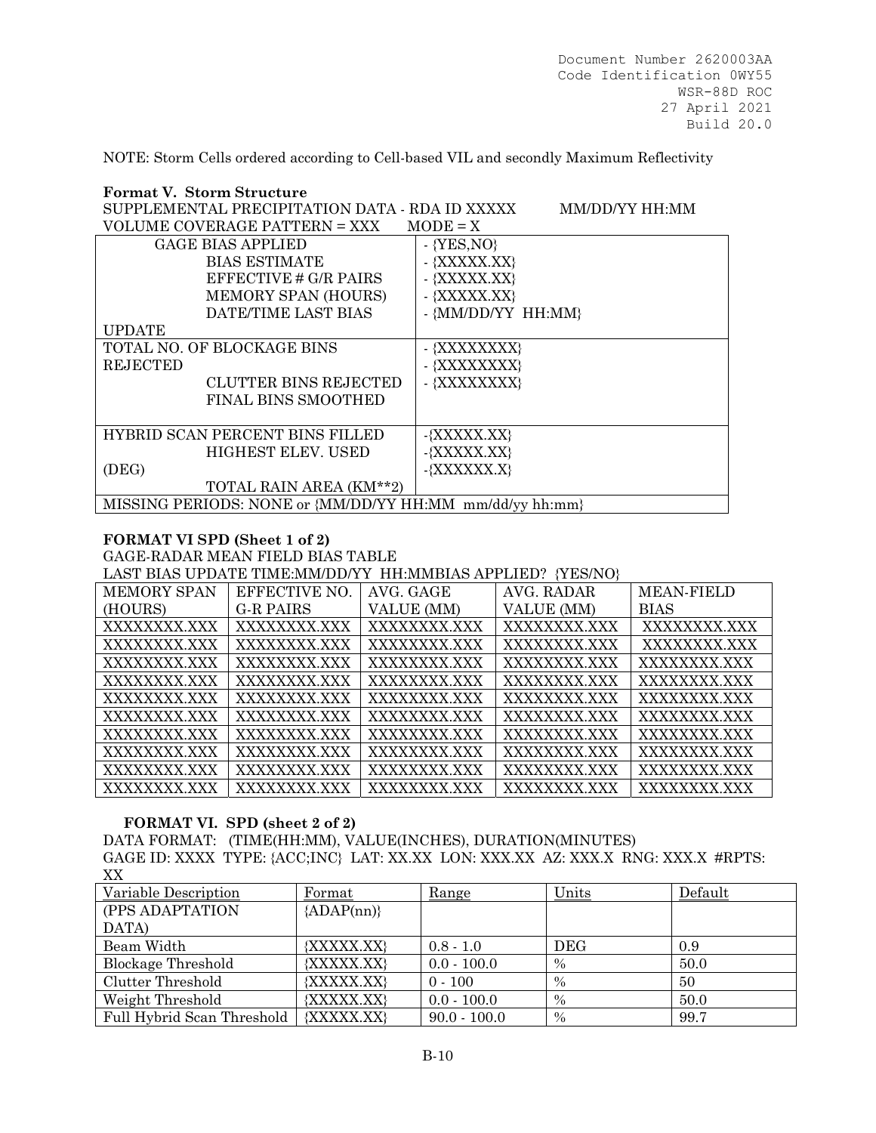NOTE: Storm Cells ordered according to Cell-based VIL and secondly Maximum Reflectivity

| <b>Format V. Storm Structure</b>                         |                    |  |  |  |  |  |  |
|----------------------------------------------------------|--------------------|--|--|--|--|--|--|
| SUPPLEMENTAL PRECIPITATION DATA - RDA ID XXXXX           | MM/DD/YY HH:MM     |  |  |  |  |  |  |
| VOLUME COVERAGE PATTERN = XXX<br>$MODE = X$              |                    |  |  |  |  |  |  |
| <b>GAGE BIAS APPLIED</b>                                 | $-$ {YES, NO}      |  |  |  |  |  |  |
| <b>BIAS ESTIMATE</b>                                     | - {XXXXX.XX}       |  |  |  |  |  |  |
| EFFECTIVE # G/R PAIRS                                    | - {XXXXX.XX}       |  |  |  |  |  |  |
| MEMORY SPAN (HOURS)                                      | - {XXXXX.XX}       |  |  |  |  |  |  |
| DATE/TIME LAST BIAS                                      | - {MM/DD/YY HH:MM} |  |  |  |  |  |  |
| <b>UPDATE</b>                                            |                    |  |  |  |  |  |  |
| TOTAL NO. OF BLOCKAGE BINS                               | - {XXXXXXXX}       |  |  |  |  |  |  |
| <b>REJECTED</b>                                          | - {XXXXXXXX}       |  |  |  |  |  |  |
| <b>CLUTTER BINS REJECTED</b>                             | - {XXXXXXXX}       |  |  |  |  |  |  |
| FINAL BINS SMOOTHED                                      |                    |  |  |  |  |  |  |
|                                                          |                    |  |  |  |  |  |  |
| HYBRID SCAN PERCENT BINS FILLED                          | $-\{XXXXX, XX\}$   |  |  |  |  |  |  |
| HIGHEST ELEV. USED                                       | $-\{XXXXX, XX\}$   |  |  |  |  |  |  |
| (DEG)                                                    | $-\{XXXXXX, X\}$   |  |  |  |  |  |  |
| TOTAL RAIN AREA (KM**2)                                  |                    |  |  |  |  |  |  |
| MISSING PERIODS: NONE or {MM/DD/YY HH:MM mm/dd/yy hh:mm} |                    |  |  |  |  |  |  |

### **FORMAT VI SPD (Sheet 1 of 2)**

GAGE-RADAR MEAN FIELD BIAS TABLE

LAST BIAS UPDATE TIME:MM/DD/YY HH:MMBIAS APPLIED? {YES/NO}

| <b>MEMORY SPAN</b> | EFFECTIVE NO. | AVG. GAGE    | AVG. RADAR   | <b>MEAN-FIELD</b> |
|--------------------|---------------|--------------|--------------|-------------------|
| (HOURS)            | G-R PAIRS     | VALUE (MM)   | VALUE (MM)   | <b>BIAS</b>       |
| XXXXXXXX.XXX       | XXXXXXXX.XXX  | XXXXXXXX.XXX | XXXXXXXX.XXX | XXXXXXXX.XXX      |
| XXXXXXXX.XXX       | XXXXXXXX.XXX  | XXXXXXXX.XXX | XXXXXXXX.XXX | XXXXXXXX.XXX      |
| XXXXXXXX.XXX       | XXXXXXXX.XXX  | XXXXXXXX.XXX | XXXXXXXX.XXX | XXXXXXXX.XXX      |
| XXXXXXXX XXX       | XXXXXXXX.XXX  | XXXXXXXX.XXX | XXXXXXXX.XXX | XXXXXXXX.XXX      |
| XXXXXXXX.XXX       | XXXXXXXX.XXX  | XXXXXXXX.XXX | XXXXXXXX.XXX | XXXXXXXX.XXX      |
| XXXXXXXX.XXX       | XXXXXXXX.XXX  | XXXXXXXX.XXX | XXXXXXXX.XXX | XXXXXXXX.XXX      |
| XXXXXXXX.XXX       | XXXXXXXX.XXX  | XXXXXXXX.XXX | XXXXXXXX.XXX | XXXXXXXX.XXX      |
| XXXXXXXX.XXX       | XXXXXXXX.XXX  | XXXXXXXX.XXX | XXXXXXXX XXX | XXXXXXXX.XXX      |
| XXXXXXXX.XXX       | XXXXXXXX.XXX  | XXXXXXXX.XXX | XXXXXXXX.XXX | XXXXXXXX.XXX      |
| XXXXXXXX.XXX       | XXXXXXXX.XXX  | XXXXXXXX.XXX | XXXXXXXX.XXX | XXXXXXXX.XXX      |

### **FORMAT VI. SPD (sheet 2 of 2)**

DATA FORMAT: (TIME(HH:MM), VALUE(INCHES), DURATION(MINUTES) GAGE ID: XXXX TYPE: {ACC;INC} LAT: XX.XX LON: XXX.XX AZ: XXX.X RNG: XXX.X #RPTS: XX

| Variable Description       | Format       | Range          | Units         | Default |
|----------------------------|--------------|----------------|---------------|---------|
| (PPS ADAPTATION            | ${ADAP(nn)}$ |                |               |         |
| DATA)                      |              |                |               |         |
| Beam Width                 | {XXXXX.XX}   | $0.8 - 1.0$    | DEG           | 0.9     |
| Blockage Threshold         | {XXXXX.XX}   | $0.0 - 100.0$  | $\%$          | 50.0    |
| Clutter Threshold          | {XXXXX.XX}   | $0 - 100$      | $\%$          | 50      |
| Weight Threshold           | {XXXXX.XX}   | $0.0 - 100.0$  | $\%$          | 50.0    |
| Full Hybrid Scan Threshold | {XXXXX.XX}   | $90.0 - 100.0$ | $\frac{0}{0}$ | 99.7    |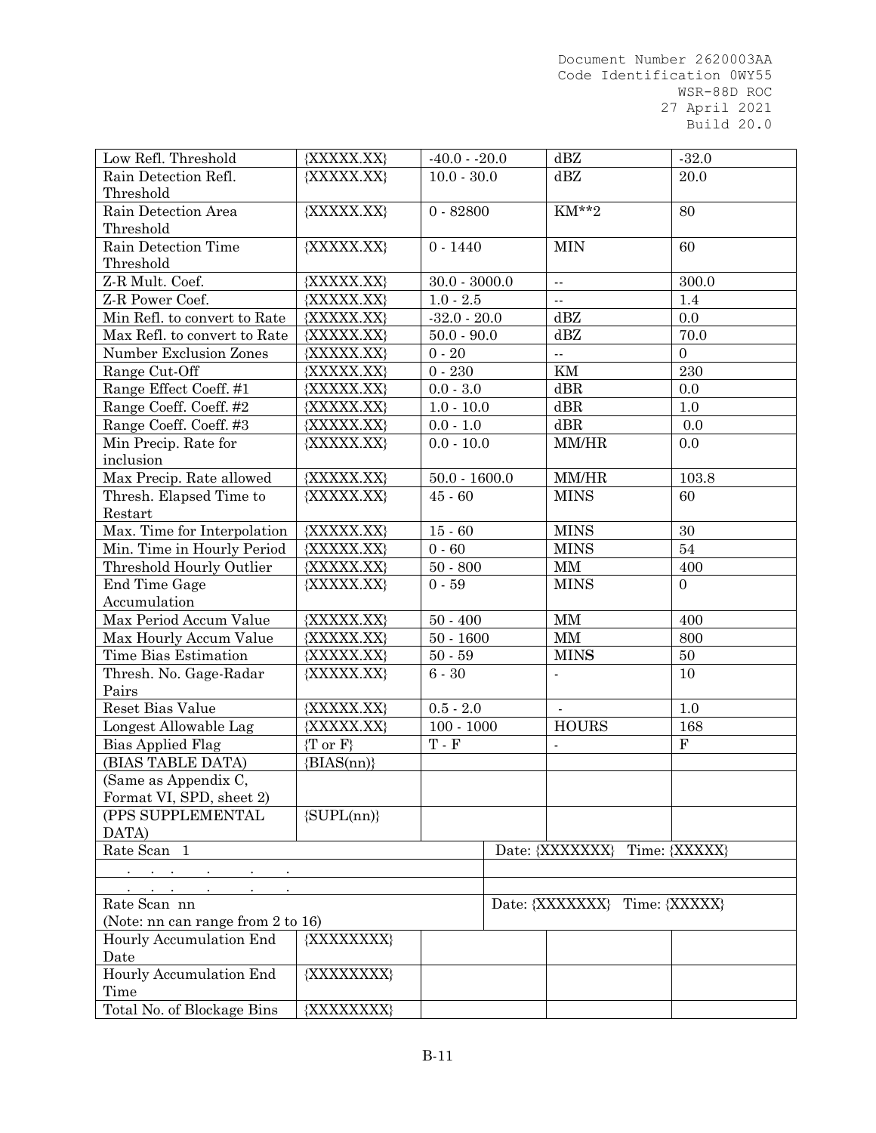| Low Refl. Threshold                              | $-40.0 - 20.0$<br>{XXXXX.XX} |                             |                               | dBZ                              | $-32.0$          |
|--------------------------------------------------|------------------------------|-----------------------------|-------------------------------|----------------------------------|------------------|
| Rain Detection Refl.                             | {XXXXX.XX}                   | $10.0 - 30.0$               |                               | dBZ                              | 20.0             |
| Threshold                                        |                              |                             |                               |                                  |                  |
| Rain Detection Area                              | {XXXXX.XX}                   | $0 - 82800$                 |                               | KM**2                            | 80               |
| Threshold                                        |                              |                             |                               |                                  |                  |
| Rain Detection Time                              | {XXXXX.XX}                   | $0 - 1440$                  |                               | <b>MIN</b>                       | 60               |
| Threshold                                        |                              |                             |                               |                                  |                  |
| Z-R Mult. Coef.                                  | {XXXXX.XX}                   | $30.0 - 3000.0$             |                               | $\sim$                           | 300.0            |
| Z-R Power Coef.                                  | {XXXXX.XX}                   | $1.0 - 2.5$                 |                               | $\sim$ $\sim$                    | 1.4              |
| Min Refl. to convert to Rate                     | {XXXXX.XX}                   | $-32.0 - 20.0$              |                               | dBZ                              | 0.0              |
| Max Refl. to convert to Rate                     | {XXXXX.XX}                   | $50.0 - 90.0$               |                               | dBZ                              | 70.0             |
| Number Exclusion Zones                           | {XXXXX.XX}                   | $0 - 20$                    |                               | $\bar{\omega}$                   | $\mathbf{0}$     |
| Range Cut-Off                                    | {XXXXX.XX}                   | $0 - 230$                   |                               | KM                               | 230              |
| Range Effect Coeff. #1                           | {XXXXX.XX}                   | $0.0 - 3.0$                 |                               | dBR                              | 0.0              |
| Range Coeff. Coeff. #2                           | {XXXXX.XX}                   | $1.0 - 10.0$                |                               | $\mathrm{d}\mathrm{B}\mathrm{R}$ | 1.0              |
| Range Coeff. Coeff. #3                           | {XXXXX.XX}                   | $0.0 - 1.0$                 |                               | dBR                              | 0.0              |
| Min Precip. Rate for                             | {XXXXX.XX}                   | $0.0 - 10.0$                |                               | MM/HR                            | 0.0              |
| inclusion                                        |                              |                             |                               |                                  |                  |
| Max Precip. Rate allowed                         | {XXXXX.XX}                   | $50.0 - 1600.0$             |                               | MM/HR                            | 103.8            |
| Thresh. Elapsed Time to                          | {XXXXX.XX}                   | $45 - 60$                   |                               | <b>MINS</b>                      | 60               |
| Restart                                          |                              |                             |                               |                                  |                  |
| Max. Time for Interpolation                      | {XXXXX.XX}                   | $15 - 60$                   |                               | <b>MINS</b>                      | 30               |
| Min. Time in Hourly Period                       | {XXXXX.XX}                   | $0 - 60$                    |                               | <b>MINS</b>                      | 54               |
| Threshold Hourly Outlier                         | {XXXXX.XX}                   | $50 - 800$                  |                               | MM                               | 400              |
| End Time Gage                                    | {XXXXX.XX}                   | $0 - 59$                    |                               | <b>MINS</b>                      | $\overline{0}$   |
| Accumulation                                     |                              |                             |                               |                                  |                  |
| Max Period Accum Value                           | {XXXXX.XX}                   | $50 - 400$                  |                               | $\mbox{MM}$                      | 400              |
| Max Hourly Accum Value                           | {XXXXX.XX}                   | $50 - 1600$                 |                               | MM                               | 800              |
| Time Bias Estimation                             | {XXXXX.XX}                   | $50 - 59$                   |                               | <b>MINS</b>                      | $50\,$           |
| Thresh. No. Gage-Radar                           | {XXXXX.XX}                   | $6 - 30$                    |                               |                                  | 10               |
| Pairs                                            |                              |                             |                               |                                  |                  |
| Reset Bias Value                                 | {XXXXX.XX}                   | $0.5 - 2.0$                 |                               |                                  | 1.0              |
| Longest Allowable Lag                            | {XXXXX.XX}                   | $100 - 1000$                |                               | <b>HOURS</b>                     | 168<br>${\bf F}$ |
| <b>Bias Applied Flag</b>                         | $\{T \text{ or } F\}$        | $\mathcal T$ - $\mathcal F$ |                               | $\blacksquare$                   |                  |
| (BIAS TABLE DATA)                                | ${BIAS(nn)}$                 |                             |                               |                                  |                  |
| (Same as Appendix C,<br>Format VI, SPD, sheet 2) |                              |                             |                               |                                  |                  |
| (PPS SUPPLEMENTAL                                | $\{SUPL(nn)\}$               |                             |                               |                                  |                  |
| DATA)                                            |                              |                             |                               |                                  |                  |
| Rate Scan 1                                      |                              |                             |                               | Date: {XXXXXXX} Time: {XXXXX}    |                  |
|                                                  |                              |                             |                               |                                  |                  |
|                                                  |                              |                             |                               |                                  |                  |
| Rate Scan nn                                     |                              |                             | Date: {XXXXXXX} Time: {XXXXX} |                                  |                  |
| (Note: nn can range from 2 to 16)                |                              |                             |                               |                                  |                  |
| Hourly Accumulation End                          | {XXXXXXXX}                   |                             |                               |                                  |                  |
| Date                                             |                              |                             |                               |                                  |                  |
| Hourly Accumulation End                          | {XXXXXXXX}                   |                             |                               |                                  |                  |
| Time                                             |                              |                             |                               |                                  |                  |
| Total No. of Blockage Bins                       | {XXXXXXXX}                   |                             |                               |                                  |                  |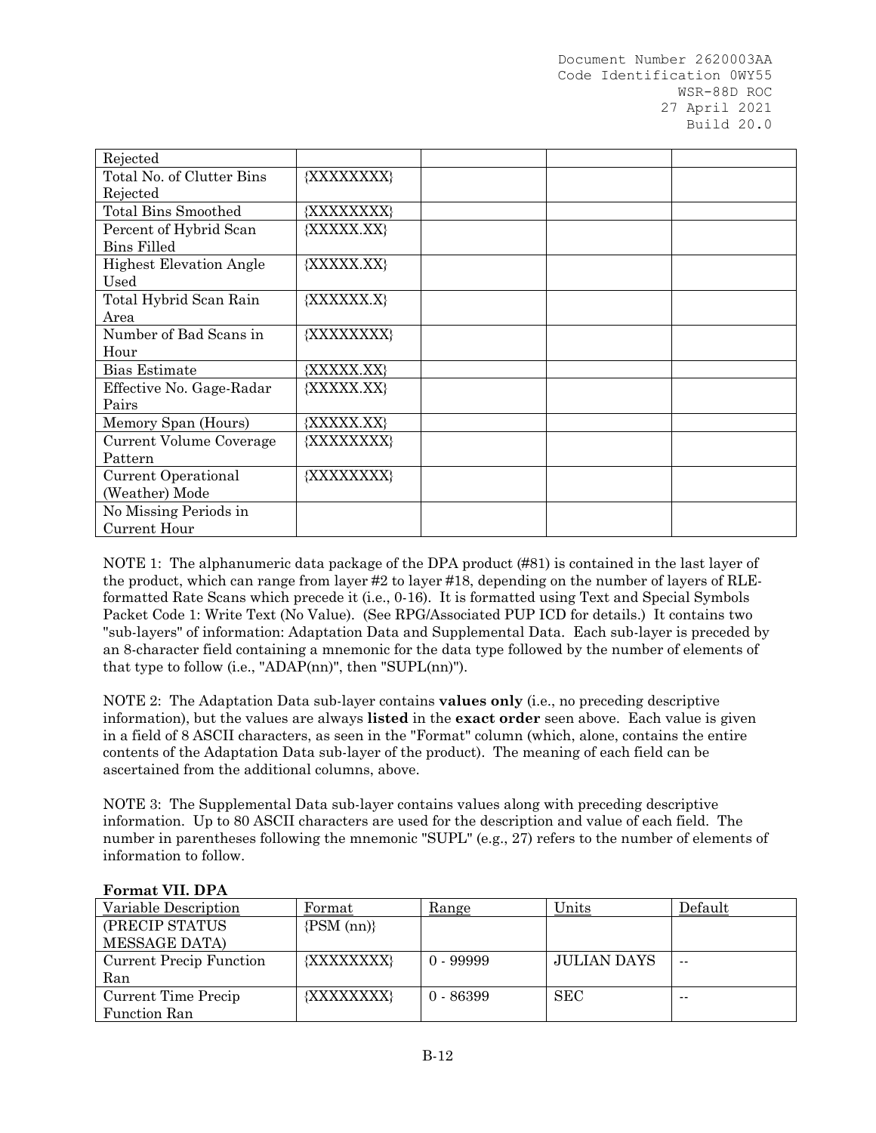| Rejected                       |            |  |  |
|--------------------------------|------------|--|--|
| Total No. of Clutter Bins      | {XXXXXXXX} |  |  |
| Rejected                       |            |  |  |
| <b>Total Bins Smoothed</b>     | {XXXXXXXX} |  |  |
| Percent of Hybrid Scan         | {XXXXX.XX} |  |  |
| Bins Filled                    |            |  |  |
| <b>Highest Elevation Angle</b> | {XXXXX.XX} |  |  |
| Used                           |            |  |  |
| Total Hybrid Scan Rain         | {XXXXXX.X} |  |  |
| Area                           |            |  |  |
| Number of Bad Scans in         | {XXXXXXXX} |  |  |
| Hour                           |            |  |  |
| Bias Estimate                  | {XXXXX.XX} |  |  |
| Effective No. Gage-Radar       | {XXXXX.XX} |  |  |
| Pairs                          |            |  |  |
| Memory Span (Hours)            | {XXXXX.XX} |  |  |
| Current Volume Coverage        | {XXXXXXXX} |  |  |
| Pattern                        |            |  |  |
| Current Operational            | {XXXXXXXX} |  |  |
| (Weather) Mode                 |            |  |  |
| No Missing Periods in          |            |  |  |
| Current Hour                   |            |  |  |

NOTE 1: The alphanumeric data package of the DPA product (#81) is contained in the last layer of the product, which can range from layer #2 to layer #18, depending on the number of layers of RLEformatted Rate Scans which precede it (i.e., 0-16). It is formatted using Text and Special Symbols Packet Code 1: Write Text (No Value). (See RPG/Associated PUP ICD for details.) It contains two "sub-layers" of information: Adaptation Data and Supplemental Data. Each sub-layer is preceded by an 8-character field containing a mnemonic for the data type followed by the number of elements of that type to follow (i.e., "ADAP(nn)", then "SUPL(nn)").

NOTE 2: The Adaptation Data sub-layer contains **values only** (i.e., no preceding descriptive information), but the values are always **listed** in the **exact order** seen above. Each value is given in a field of 8 ASCII characters, as seen in the "Format" column (which, alone, contains the entire contents of the Adaptation Data sub-layer of the product). The meaning of each field can be ascertained from the additional columns, above.

NOTE 3: The Supplemental Data sub-layer contains values along with preceding descriptive information. Up to 80 ASCII characters are used for the description and value of each field. The number in parentheses following the mnemonic "SUPL" (e.g., 27) refers to the number of elements of information to follow.

| Variable Description    | Format            | <u>Range</u> | <u>Units</u> | Default |
|-------------------------|-------------------|--------------|--------------|---------|
| (PRECIP STATUS          | $\{PSM$ (nn) $\}$ |              |              |         |
| <b>MESSAGE DATA)</b>    |                   |              |              |         |
| Current Precip Function | {XXXXXXXX}        | $0 - 99999$  | JULIAN DAYS  | --      |
| Ran                     |                   |              |              |         |
| Current Time Precip     | {XXXXXXXX}        | $0 - 86399$  | SEC          | $- -$   |
| <b>Function Ran</b>     |                   |              |              |         |

### **Format VII. DPA**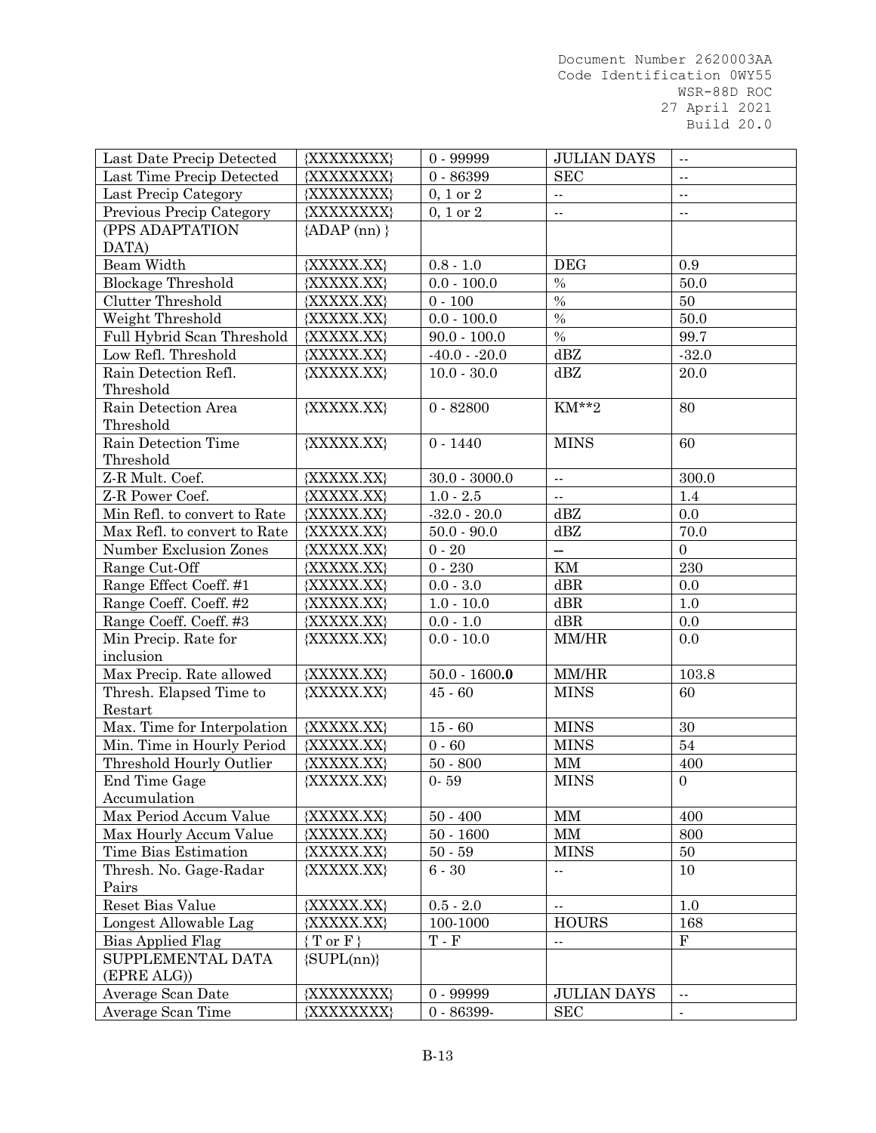| Last Date Precip Detected    | {XXXXXXXX}          | $0 - 99999$               | <b>JULIAN DAYS</b>               | $\sim$ $\sim$             |
|------------------------------|---------------------|---------------------------|----------------------------------|---------------------------|
| Last Time Precip Detected    | {XXXXXXXX}          | $0 - 86399$               | <b>SEC</b>                       | $\sim$ $\sim$             |
| Last Precip Category         | {XXXXXXXX}          | $0, 1$ or $2$             | н,                               | $\mathbb{Z}^{\mathbb{Z}}$ |
| Previous Precip Category     | {XXXXXXXX}          | $0, 1$ or $2$             | Ξ.                               | $\sim$ $\sim$             |
| (PPS ADAPTATION              | ${ADAP (nn)}$       |                           |                                  |                           |
| DATA)                        |                     |                           |                                  |                           |
| Beam Width                   | {XXXXX.XX}          | $0.8 - 1.0$               | <b>DEG</b>                       | 0.9                       |
| <b>Blockage Threshold</b>    | {XXXXX.XX}          | $0.0 - 100.0$             | $\%$                             | 50.0                      |
| <b>Clutter Threshold</b>     | {XXXXX.XX}          | $0 - 100$                 | $\%$                             | 50                        |
| Weight Threshold             | {XXXXX.XX}          | $0.0 - 100.0$             | $\%$                             | 50.0                      |
| Full Hybrid Scan Threshold   | {XXXXX.XX}          | $90.0 - 100.0$            | $\%$                             | 99.7                      |
| Low Refl. Threshold          | {XXXXX.XX}          | $-40.0 - 20.0$            | dBZ                              | $-32.0$                   |
| Rain Detection Refl.         | {XXXXX.XX}          | $10.0 - 30.0$             | dBZ                              | 20.0                      |
| Threshold                    |                     |                           |                                  |                           |
| Rain Detection Area          | {XXXXX.XX}          | $0 - 82800$               | KM**2                            | 80                        |
| Threshold                    |                     |                           |                                  |                           |
| Rain Detection Time          | {XXXXX.XX}          | $0 - 1440$                | <b>MINS</b>                      | 60                        |
| Threshold                    |                     |                           |                                  |                           |
| Z-R Mult. Coef.              | {XXXXX.XX}          | $30.0 - 3000.0$           | $\mathbb{Z}^2$                   | 300.0                     |
| Z-R Power Coef.              | {XXXXX.XX}          | $1.0 - 2.5$               | $\sim$ $\sim$                    | 1.4                       |
| Min Refl. to convert to Rate | {XXXXX.XX}          | $-32.0 - 20.0$            | dBZ                              | 0.0                       |
| Max Refl. to convert to Rate | {XXXXX.XX}          | $50.0 - 90.0$             | dBZ                              | 70.0                      |
| Number Exclusion Zones       | {XXXXX.XX}          | $0 - 20$                  | ш,                               | $\overline{0}$            |
| Range Cut-Off                | {XXXXX.XX}          | $0 - 230$                 | KM                               | 230                       |
| Range Effect Coeff. #1       | {XXXXX.XX}          | $0.0 - 3.0$               | dBR                              | 0.0                       |
| Range Coeff. Coeff. #2       | {XXXXX.XX}          | $1.0 - 10.0$              | dBR                              | 1.0                       |
| Range Coeff. Coeff. #3       | {XXXXX.XX}          | $0.0 - 1.0$               | $\mathrm{d}\mathrm{B}\mathrm{R}$ | $0.0\,$                   |
| Min Precip. Rate for         | {XXXXX.XX}          | $0.0 - 10.0$              | MM/HR                            | 0.0                       |
| inclusion                    |                     |                           |                                  |                           |
| Max Precip. Rate allowed     | {XXXXX.XX}          | $50.0 - 1600.0$           | MM/HR                            | 103.8                     |
| Thresh. Elapsed Time to      | {XXXXX.XX}          | $45 - 60$                 | <b>MINS</b>                      | 60                        |
| Restart                      |                     |                           |                                  |                           |
| Max. Time for Interpolation  | {XXXXX.XX}          | $15 - 60$                 | <b>MINS</b>                      | 30                        |
| Min. Time in Hourly Period   | {XXXXX.XX}          | $0 - 60$                  | <b>MINS</b>                      | 54                        |
| Threshold Hourly Outlier     | {XXXXX.XX}          | $50 - 800$                | MM                               | 400                       |
| End Time Gage                | {XXXXX.XX}          | $0 - 59$                  | <b>MINS</b>                      | $\overline{0}$            |
| Accumulation                 |                     |                           |                                  |                           |
| Max Period Accum Value       | {XXXXX.XX}          | $50 - 400$                | MM                               | 400                       |
| Max Hourly Accum Value       | {XXXXX.XX}          | $50 - 1600$               | MM                               | 800                       |
| Time Bias Estimation         | {XXXXX.XX}          | $50 - 59$                 | <b>MINS</b>                      | 50                        |
| Thresh. No. Gage-Radar       | {XXXXX.XX}          | $6 - 30$                  | ۰.                               | 10                        |
| Pairs                        |                     |                           |                                  |                           |
| Reset Bias Value             | {XXXXX.XX}          | $0.5 - 2.0$               | $\overline{a}$                   | $1.0\,$                   |
| Longest Allowable Lag        | {XXXXX.XX}          | 100-1000                  | <b>HOURS</b>                     | 168                       |
| Bias Applied Flag            | ${T \text{ or } F}$ | $\mathbf T$ - $\mathbf F$ | н,                               | $\mathbf F$               |
| SUPPLEMENTAL DATA            | $\{SUPL(nn)\}$      |                           |                                  |                           |
| (EPRE ALG))                  |                     |                           |                                  |                           |
| Average Scan Date            | {XXXXXXXX}          | $0 - 99999$               | <b>JULIAN DAYS</b>               | $\sim$ $\sim$             |
| Average Scan Time            | {XXXXXXXX}          | $0 - 86399 -$             | SEC                              | $\blacksquare$            |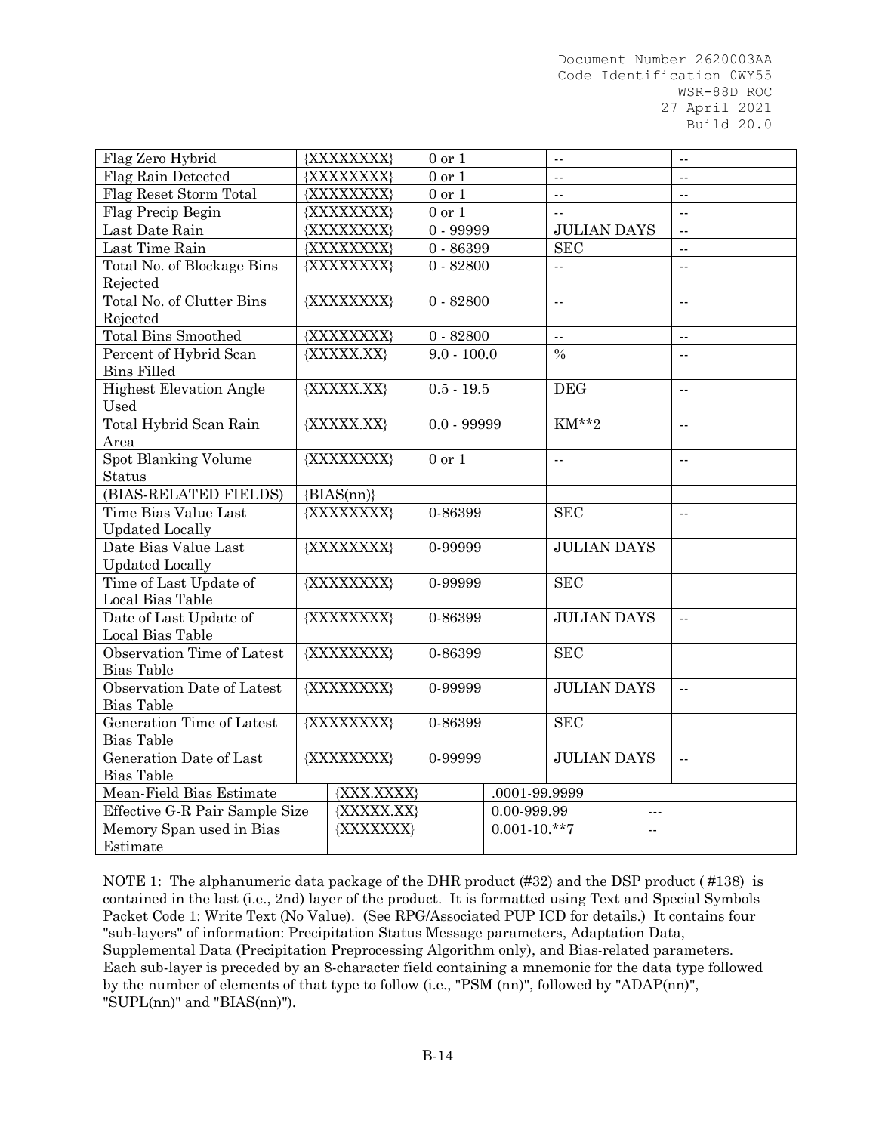| Flag Zero Hybrid               |              | {XXXXXXXX} | $0$ or $1\,$  |               | $\sim$                                                          |                      | $\overline{a}$            |  |
|--------------------------------|--------------|------------|---------------|---------------|-----------------------------------------------------------------|----------------------|---------------------------|--|
| Flag Rain Detected             | {XXXXXXXX}   |            | $0$ or $1$    |               | $\overline{a}$                                                  |                      | $- -$                     |  |
| Flag Reset Storm Total         | {XXXXXXXX}   |            | $0$ or $1$    |               | $\sim$ $\sim$                                                   |                      | $\sim$ $\sim$             |  |
| Flag Precip Begin              | {XXXXXXXX}   |            | $0$ or $1$    |               | $\sim$ $\sim$                                                   |                      | $\mathbb{Z}^{\mathbb{Z}}$ |  |
| Last Date Rain                 |              | {XXXXXXXX} | $0 - 99999$   |               | <b>JULIAN DAYS</b>                                              |                      | $\overline{a}$            |  |
| Last Time Rain                 |              | {XXXXXXXX} | $0 - 86399$   |               | <b>SEC</b>                                                      |                      | $\overline{a}$            |  |
| Total No. of Blockage Bins     |              | {XXXXXXXX} | $0 - 82800$   |               | $\overline{a}$                                                  |                      | $\overline{a}$            |  |
| Rejected                       |              |            |               |               |                                                                 |                      |                           |  |
| Total No. of Clutter Bins      |              | {XXXXXXXX} | $0 - 82800$   |               | $\overline{a}$                                                  |                      | $\overline{a}$            |  |
| Rejected                       |              |            |               |               |                                                                 |                      |                           |  |
| Total Bins Smoothed            |              | {XXXXXXXX} | $0 - 82800$   |               | $\sim$ $\sim$                                                   |                      | $\overline{a}$            |  |
| Percent of Hybrid Scan         |              | {XXXXX.XX} | $9.0 - 100.0$ |               | $\frac{0}{0}$                                                   |                      | $\overline{a}$            |  |
| <b>Bins Filled</b>             |              |            |               |               |                                                                 |                      |                           |  |
| <b>Highest Elevation Angle</b> |              | {XXXXX.XX} | $0.5 - 19.5$  |               | <b>DEG</b>                                                      |                      | $\overline{a}$            |  |
| Used                           |              |            |               |               |                                                                 |                      |                           |  |
| Total Hybrid Scan Rain         |              | {XXXXX.XX} | $0.0 - 99999$ |               | KM**2                                                           |                      | $\ddotsc$                 |  |
| Area                           |              |            |               |               |                                                                 |                      |                           |  |
| Spot Blanking Volume           |              | {XXXXXXXX} | $0$ or $1$    |               | $\overline{a}$                                                  |                      | $\sim$                    |  |
| <b>Status</b>                  |              |            |               |               |                                                                 |                      |                           |  |
| (BIAS-RELATED FIELDS)          | ${BIAS(nn)}$ |            |               |               |                                                                 |                      |                           |  |
| Time Bias Value Last           |              | {XXXXXXXX} | 0-86399       |               | <b>SEC</b>                                                      |                      | $\overline{a}$            |  |
| <b>Updated Locally</b>         |              |            |               |               |                                                                 |                      |                           |  |
| Date Bias Value Last           |              | {XXXXXXXX} | 0-99999       |               | <b>JULIAN DAYS</b>                                              |                      |                           |  |
| <b>Updated Locally</b>         |              |            |               |               |                                                                 |                      |                           |  |
| Time of Last Update of         | {XXXXXXXX}   |            | 0-99999       |               | <b>SEC</b>                                                      |                      |                           |  |
| Local Bias Table               |              |            |               |               |                                                                 |                      |                           |  |
| Date of Last Update of         |              | {XXXXXXXX} | 0-86399       |               | <b>JULIAN DAYS</b>                                              |                      | $\overline{a}$            |  |
| Local Bias Table               |              |            |               |               |                                                                 |                      |                           |  |
| Observation Time of Latest     |              | {XXXXXXXX} | 0-86399       |               | <b>SEC</b>                                                      |                      |                           |  |
| <b>Bias Table</b>              |              |            |               |               |                                                                 |                      |                           |  |
| Observation Date of Latest     |              | {XXXXXXXX} | 0-99999       |               | <b>JULIAN DAYS</b>                                              |                      | $\sim$ $\sim$             |  |
| Bias Table                     |              |            |               |               |                                                                 |                      |                           |  |
| Generation Time of Latest      |              | {XXXXXXXX} | 0-86399       |               | <b>SEC</b>                                                      |                      |                           |  |
| <b>Bias Table</b>              |              |            |               |               |                                                                 |                      |                           |  |
| Generation Date of Last        | {XXXXXXXX}   |            | 0-99999       |               | <b>JULIAN DAYS</b>                                              |                      | $\sim$ $\sim$             |  |
| <b>Bias Table</b>              |              |            |               |               |                                                                 |                      |                           |  |
| Mean-Field Bias Estimate       |              | {XXX.XXXX} |               | .0001-99.9999 |                                                                 |                      |                           |  |
| Effective G-R Pair Sample Size |              | {XXXXX.XX} |               |               |                                                                 | $\sim$ $\sim$ $\sim$ |                           |  |
| Memory Span used in Bias       |              | {XXXXXXX}  |               |               | $0.00 - 999.99$<br>$0.001 - 10.**7$<br>$\overline{\phantom{a}}$ |                      |                           |  |
| Estimate                       |              |            |               |               |                                                                 |                      |                           |  |
|                                |              |            |               |               |                                                                 |                      |                           |  |

NOTE 1: The alphanumeric data package of the DHR product (#32) and the DSP product (#138) is contained in the last (i.e., 2nd) layer of the product. It is formatted using Text and Special Symbols Packet Code 1: Write Text (No Value). (See RPG/Associated PUP ICD for details.) It contains four "sub-layers" of information: Precipitation Status Message parameters, Adaptation Data, Supplemental Data (Precipitation Preprocessing Algorithm only), and Bias-related parameters. Each sub-layer is preceded by an 8-character field containing a mnemonic for the data type followed by the number of elements of that type to follow (i.e., "PSM (nn)", followed by "ADAP(nn)", "SUPL(nn)" and "BIAS(nn)").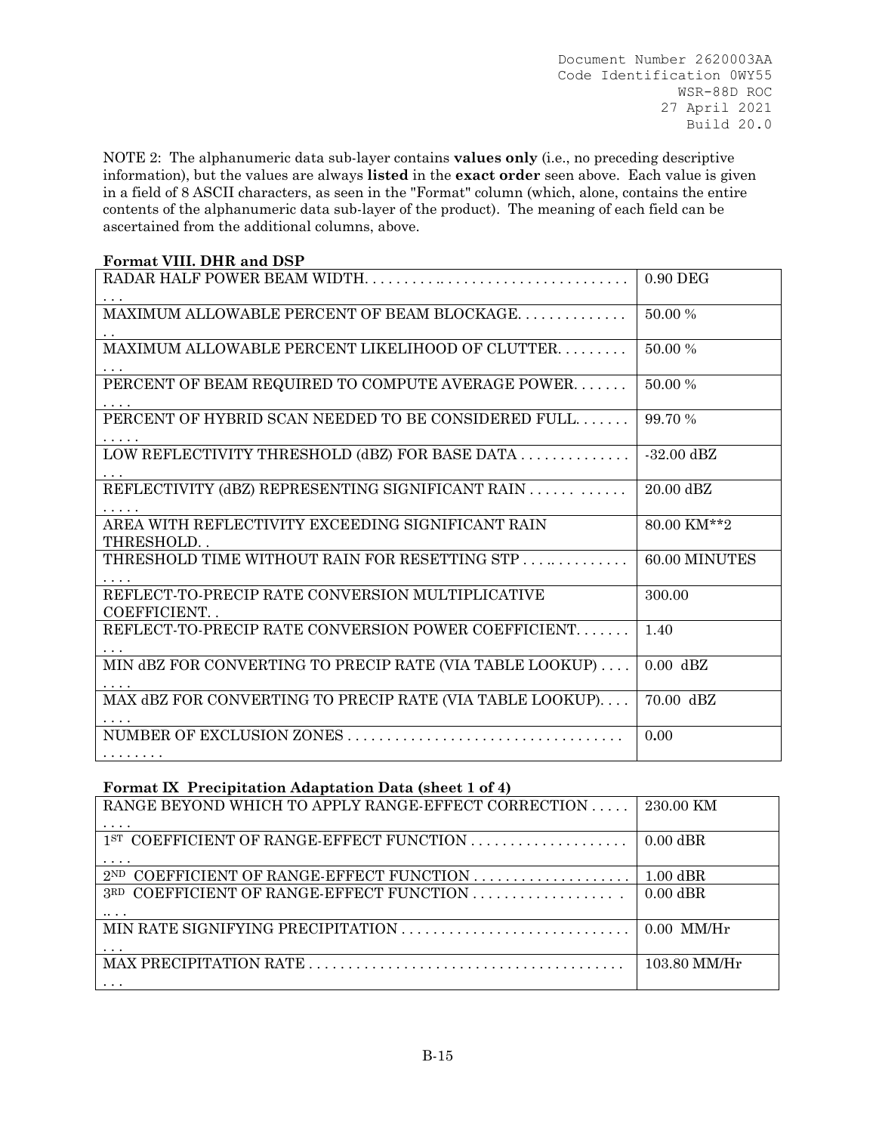NOTE 2: The alphanumeric data sub-layer contains **values only** (i.e., no preceding descriptive information), but the values are always **listed** in the **exact order** seen above. Each value is given in a field of 8 ASCII characters, as seen in the "Format" column (which, alone, contains the entire contents of the alphanumeric data sub-layer of the product). The meaning of each field can be ascertained from the additional columns, above.

| Format VIII. DHR and DSP                                         |               |
|------------------------------------------------------------------|---------------|
|                                                                  | $0.90$ DEG    |
| MAXIMUM ALLOWABLE PERCENT OF BEAM BLOCKAGE                       | 50.00 %       |
| MAXIMUM ALLOWABLE PERCENT LIKELIHOOD OF CLUTTER.                 | 50.00 %       |
| PERCENT OF BEAM REQUIRED TO COMPUTE AVERAGE POWER                | 50.00 %       |
| PERCENT OF HYBRID SCAN NEEDED TO BE CONSIDERED FULL              | 99.70 %       |
| LOW REFLECTIVITY THRESHOLD (dBZ) FOR BASE DATA                   | $-32.00$ dBZ  |
| REFLECTIVITY (dBZ) REPRESENTING SIGNIFICANT RAIN                 | 20.00 dBZ     |
| AREA WITH REFLECTIVITY EXCEEDING SIGNIFICANT RAIN<br>THRESHOLD   | 80.00 KM**2   |
| THRESHOLD TIME WITHOUT RAIN FOR RESETTING STP                    | 60.00 MINUTES |
| REFLECT-TO-PRECIP RATE CONVERSION MULTIPLICATIVE<br>COEFFICIENT. | 300.00        |
| REFLECT-TO-PRECIP RATE CONVERSION POWER COEFFICIENT              | 1.40          |
| MIN dBZ FOR CONVERTING TO PRECIP RATE (VIA TABLE LOOKUP)         | $0.00$ dBZ    |
| MAX dBZ FOR CONVERTING TO PRECIP RATE (VIA TABLE LOOKUP)         | 70.00 dBZ     |
| .                                                                | 0.00          |
|                                                                  |               |

### **Format IX Precipitation Adaptation Data (sheet 1 of 4)**

| RANGE BEYOND WHICH TO APPLY RANGE-EFFECT CORRECTION                                | 230.00 KM    |
|------------------------------------------------------------------------------------|--------------|
|                                                                                    |              |
|                                                                                    | $0.00$ dBR   |
|                                                                                    |              |
| $2^{ND}$ COEFFICIENT OF RANGE-EFFECT FUNCTION $\ldots \ldots \ldots \ldots \ldots$ | $1.00$ dBR   |
| 3RD COEFFICIENT OF RANGE-EFFECT FUNCTION                                           | $0.00$ dBR   |
| $\cdots$                                                                           |              |
|                                                                                    | $0.00$ MM/Hr |
|                                                                                    |              |
|                                                                                    | 103.80 MM/Hr |
|                                                                                    |              |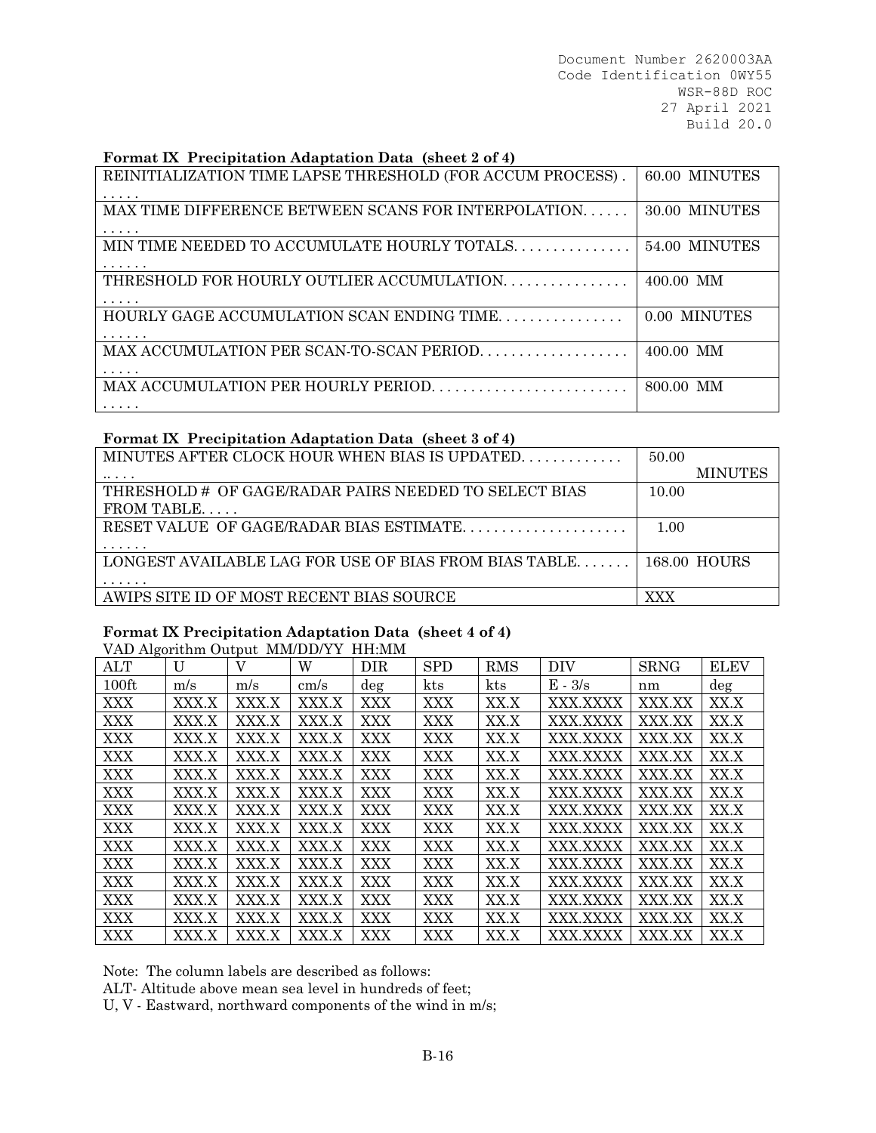#### **Format IX Precipitation Adaptation Data (sheet 2 of 4)**

| REINITIALIZATION TIME LAPSE THRESHOLD (FOR ACCUM PROCESS). | 60.00 MINUTES |
|------------------------------------------------------------|---------------|
| MAX TIME DIFFERENCE BETWEEN SCANS FOR INTERPOLATION<br>.   | 30.00 MINUTES |
| MIN TIME NEEDED TO ACCUMULATE HOURLY TOTALS<br>.           | 54.00 MINUTES |
| THRESHOLD FOR HOURLY OUTLIER ACCUMULATION.                 | $400.00$ MM   |
| HOURLY GAGE ACCUMULATION SCAN ENDING TIME<br>.             | 0.00 MINUTES  |
| MAX ACCUMULATION PER SCAN-TO-SCAN PERIOD                   | $400.00$ MM   |
| .                                                          | 800.00 MM     |

### **Format IX Precipitation Adaptation Data (sheet 3 of 4)**

| MINUTES AFTER CLOCK HOUR WHEN BIAS IS UPDATED<br>50.00<br><b>MINUTES</b><br>THRESHOLD # OF GAGE/RADAR PAIRS NEEDED TO SELECT BIAS<br>10.00 |
|--------------------------------------------------------------------------------------------------------------------------------------------|
|                                                                                                                                            |
|                                                                                                                                            |
|                                                                                                                                            |
|                                                                                                                                            |
| RESET VALUE OF GAGE/RADAR BIAS ESTIMATE<br>1.00                                                                                            |
|                                                                                                                                            |
| LONGEST AVAILABLE LAG FOR USE OF BIAS FROM BIAS TABLE<br>168.00 HOURS                                                                      |
|                                                                                                                                            |
| AWIPS SITE ID OF MOST RECENT BIAS SOURCE<br>XXX                                                                                            |
|                                                                                                                                            |

| Format IX Precipitation Adaptation Data (sheet 4 of 4)<br>VAD Algorithm Output MM/DD/YY HH:MM |       |       |       |            |            |            |           |             |             |
|-----------------------------------------------------------------------------------------------|-------|-------|-------|------------|------------|------------|-----------|-------------|-------------|
|                                                                                               |       |       |       |            |            |            |           |             |             |
| <b>ALT</b>                                                                                    | U     | V     | W     | <b>DIR</b> | <b>SPD</b> | <b>RMS</b> | DIV       | <b>SRNG</b> | <b>ELEV</b> |
| $100 \text{ft}$                                                                               | m/s   | m/s   | cm/s  | $\deg$     | kts        | kts        | $E - 3/s$ | nm          | $\deg$      |
| <b>XXX</b>                                                                                    | XXX.X | XXX.X | XXX.X | <b>XXX</b> | XXX        | XX.X       | XXX XXXX  | XXX.XX      | XX.X        |
| XXX                                                                                           | XXX.X | XXX.X | XXX.X | XXX        | XXX        | XX.X       | XXX.XXXX  | XXX.XX      | XX.X        |
| XXX                                                                                           | XXX.X | XXX.X | XXX.X | XXX        | <b>XXX</b> | XX.X       | XXX XXXX  | XXX.XX      | XX.X        |
| XXX                                                                                           | XXX.X | XXX.X | XXX.X | <b>XXX</b> | XXX        | XX.X       | XXX.XXXX  | XXX.XX      | XX.X        |
| XXX                                                                                           | XXX.X | XXX.X | XXX.X | <b>XXX</b> | XXX        | XX.X       | XXX.XXXX  | XXX.XX      | XX.X        |
| XXX                                                                                           | XXX X | XXX X | XXX X | XXX        | <b>XXX</b> | XX.X       | XXX XXXX  | XXX.XX      | XX.X        |
| XXX                                                                                           | XXX.X | XXX.X | XXX.X | <b>XXX</b> | XXX        | XX.X       | XXX.XXXX  | XXX.XX      | XX.X        |
| <b>XXX</b>                                                                                    | XXX.X | XXX.X | XXX.X | <b>XXX</b> | <b>XXX</b> | XX.X       | XXX.XXXX  | XXX.XX      | XX.X        |
| <b>XXX</b>                                                                                    | XXX X | XXX X | XXX X | XXX        | <b>XXX</b> | XX.X       | XXX XXXX  | XXX.XX      | XX.X        |
| XXX                                                                                           | XXX.X | XXX.X | XXX.X | XXX        | XXX        | XX.X       | XXX.XXXX  | XXX.XX      | XX.X        |
| <b>XXX</b>                                                                                    | XXX.X | XXX.X | XXX.X | XXX        | <b>XXX</b> | XX.X       | XXX.XXXX  | XXX.XX      | XX.X        |
| <b>XXX</b>                                                                                    | XXX.X | XXX.X | XXX X | XXX        | XXX        | XX.X       | XXX.XXXX  | XXX.XX      | XX.X        |

Note: The column labels are described as follows:

ALT- Altitude above mean sea level in hundreds of feet;

U, V - Eastward, northward components of the wind in m/s;

XXX XXX.X XXX.X XXX.X XXX XXX XX.X XXX.XXXX XXX.XX XX.X XXX XXX.X XXX.X XXX.X XXX XXX XX.X XXX.XXXX XXX.XX XX.X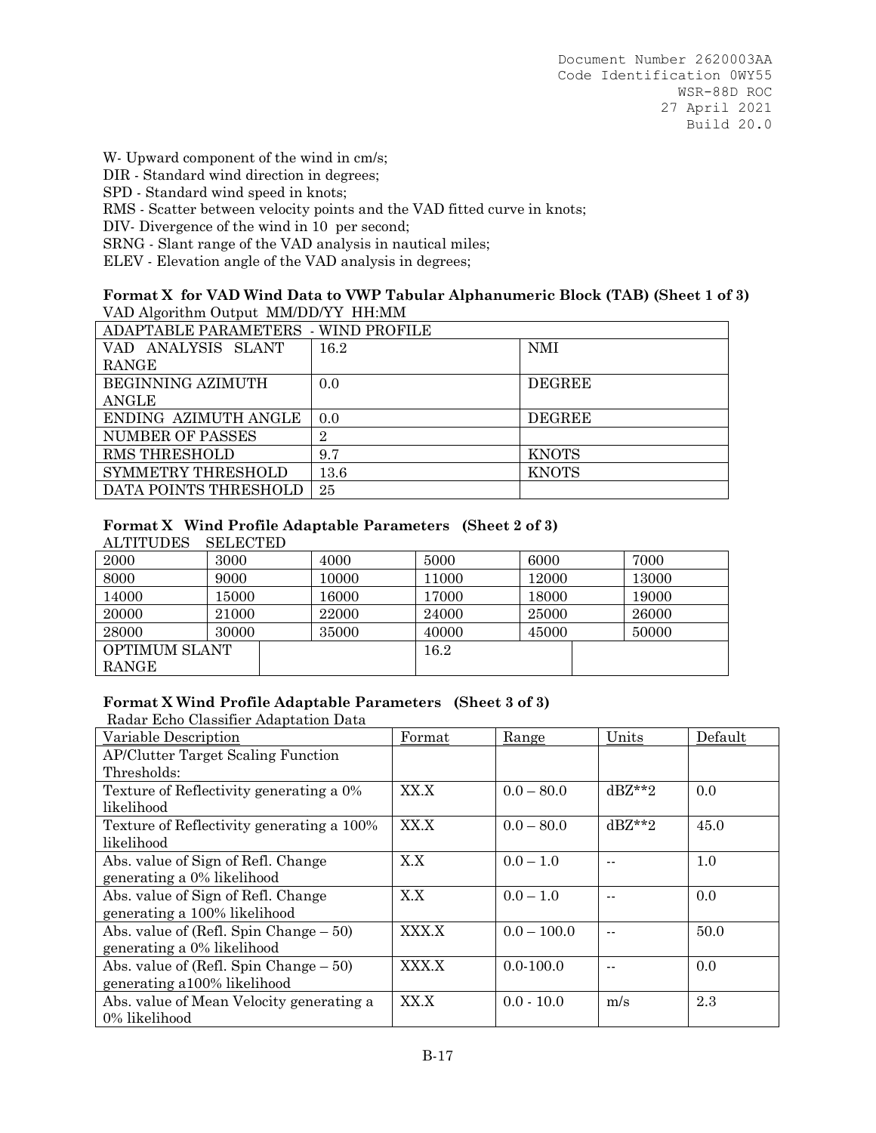W- Upward component of the wind in cm/s;

DIR - Standard wind direction in degrees;

SPD - Standard wind speed in knots;

RMS - Scatter between velocity points and the VAD fitted curve in knots;

DIV- Divergence of the wind in 10 per second;

SRNG - Slant range of the VAD analysis in nautical miles;

ELEV - Elevation angle of the VAD analysis in degrees;

#### **Format X for VAD Wind Data to VWP Tabular Alphanumeric Block (TAB) (Sheet 1 of 3)** VAD Algorithm Output MM/DD/YY HH:MM

| ADAPTABLE PARAMETERS - WIND PROFILE |                |               |  |  |
|-------------------------------------|----------------|---------------|--|--|
| ANALYSIS SLANT<br>VAD.              | 16.2           | <b>NMI</b>    |  |  |
| RANGE                               |                |               |  |  |
| BEGINNING AZIMUTH                   | 0.0            | <b>DEGREE</b> |  |  |
| ANGLE                               |                |               |  |  |
| ENDING AZIMUTH ANGLE                | 0.0            | <b>DEGREE</b> |  |  |
| <b>NUMBER OF PASSES</b>             | $\overline{2}$ |               |  |  |
| <b>RMS THRESHOLD</b>                | 9.7            | <b>KNOTS</b>  |  |  |
| SYMMETRY THRESHOLD                  | $13.6\,$       | <b>KNOTS</b>  |  |  |
| DATA POINTS THRESHOLD               | 25             |               |  |  |

## **Format X Wind Profile Adaptable Parameters (Sheet 2 of 3)**

ALTITUDES SELECTED

| 2000                 | 3000  | 4000  | 5000  | 6000  | 7000  |
|----------------------|-------|-------|-------|-------|-------|
| 8000                 | 9000  | 10000 | 11000 | 12000 | 13000 |
| 14000                | 15000 | 16000 | 17000 | 18000 | 19000 |
| 20000                | 21000 | 22000 | 24000 | 25000 | 26000 |
| 28000                | 30000 | 35000 | 40000 | 45000 | 50000 |
| <b>OPTIMUM SLANT</b> |       |       | 16.2  |       |       |
| <b>RANGE</b>         |       |       |       |       |       |

### **Format X Wind Profile Adaptable Parameters (Sheet 3 of 3)**

Radar Echo Classifier Adaptation Data

| Variable Description                      | Format | Range         | Units    | Default |
|-------------------------------------------|--------|---------------|----------|---------|
| <b>AP/Clutter Target Scaling Function</b> |        |               |          |         |
| Thresholds:                               |        |               |          |         |
| Texture of Reflectivity generating a 0%   | XX.X   | $0.0 - 80.0$  | $dBZ**2$ | 0.0     |
| likelihood                                |        |               |          |         |
| Texture of Reflectivity generating a 100% | XX.X   | $0.0 - 80.0$  | $dBZ**2$ | 45.0    |
| likelihood                                |        |               |          |         |
| Abs. value of Sign of Refl. Change        | X.X    | $0.0 - 1.0$   |          | 1.0     |
| generating a 0% likelihood                |        |               |          |         |
| Abs. value of Sign of Refl. Change        | X.X    | $0.0 - 1.0$   |          | 0.0     |
| generating a 100% likelihood              |        |               |          |         |
| Abs. value of (Refl. Spin Change $-50$ )  | XXX.X  | $0.0 - 100.0$ |          | 50.0    |
| generating a 0% likelihood                |        |               |          |         |
| Abs. value of (Refl. Spin Change $-50$ )  | XXX.X  | $0.0 - 100.0$ |          | 0.0     |
| generating a 100% likelihood              |        |               |          |         |
| Abs. value of Mean Velocity generating a  | XX.X   | $0.0 - 10.0$  | m/s      | 2.3     |
| 0% likelihood                             |        |               |          |         |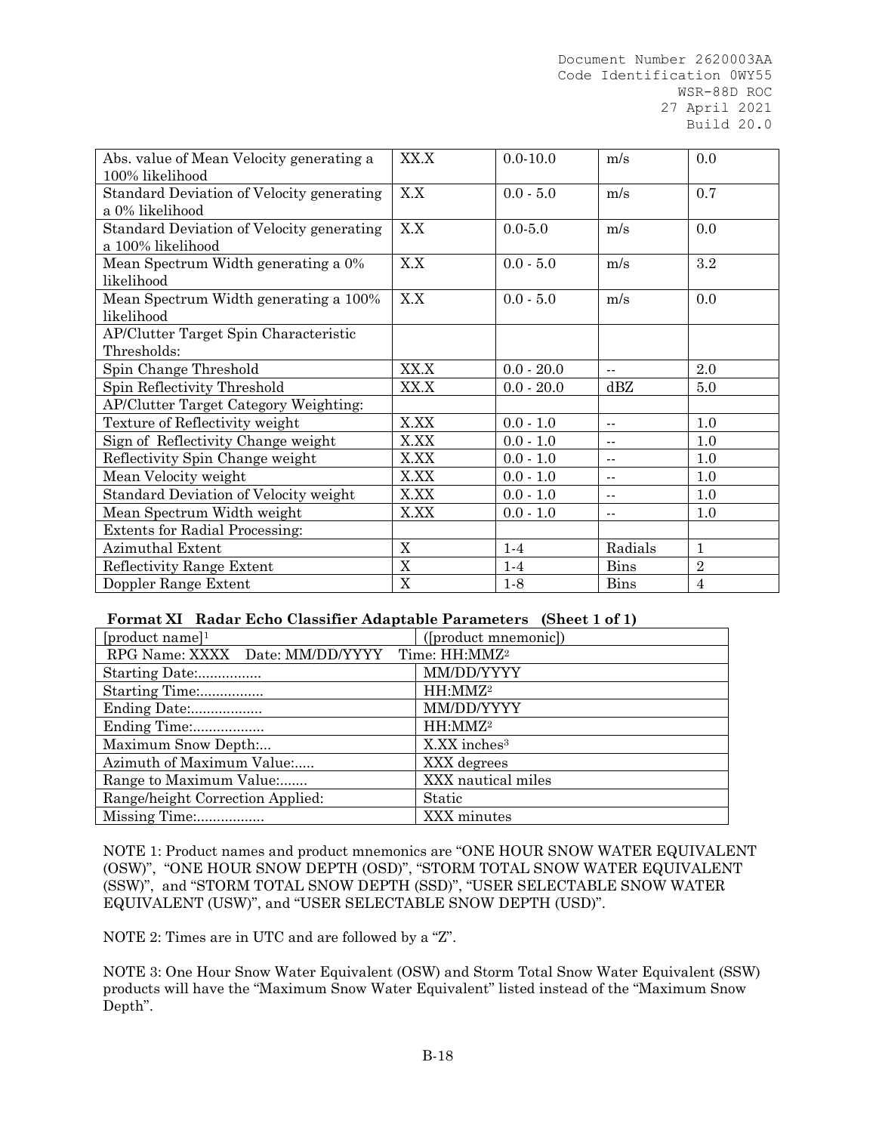| Abs. value of Mean Velocity generating a  | XX.X                  | $0.0 - 10.0$ | m/s            | 0.0            |
|-------------------------------------------|-----------------------|--------------|----------------|----------------|
| 100% likelihood                           |                       |              |                |                |
| Standard Deviation of Velocity generating | X.X                   | $0.0 - 5.0$  | m/s            | 0.7            |
| a 0% likelihood                           |                       |              |                |                |
| Standard Deviation of Velocity generating | X.X                   | $0.0 - 5.0$  | m/s            | 0.0            |
| a 100% likelihood                         |                       |              |                |                |
| Mean Spectrum Width generating a 0%       | X.X                   | $0.0 - 5.0$  | m/s            | $3.2\,$        |
| likelihood                                |                       |              |                |                |
| Mean Spectrum Width generating a 100%     | X.X                   | $0.0 - 5.0$  | m/s            | 0.0            |
| likelihood                                |                       |              |                |                |
| AP/Clutter Target Spin Characteristic     |                       |              |                |                |
| Thresholds:                               |                       |              |                |                |
| Spin Change Threshold                     | XX.X                  | $0.0 - 20.0$ | $\overline{a}$ | 2.0            |
| Spin Reflectivity Threshold               | XX.X                  | $0.0 - 20.0$ | dBZ            | 5.0            |
| AP/Clutter Target Category Weighting:     |                       |              |                |                |
| Texture of Reflectivity weight            | X.XX                  | $0.0 - 1.0$  | $\sim$ $-$     | 1.0            |
| Sign of Reflectivity Change weight        | X.XX                  | $0.0 - 1.0$  | $-1$           | 1.0            |
| Reflectivity Spin Change weight           | X.XX                  | $0.0 - 1.0$  | $\sim$ $\sim$  | 1.0            |
| Mean Velocity weight                      | X.XX                  | $0.0 - 1.0$  | $-1$           | 1.0            |
| Standard Deviation of Velocity weight     | X.XX                  | $0.0 - 1.0$  | $\overline{a}$ | 1.0            |
| Mean Spectrum Width weight                | X.XX                  | $0.0 - 1.0$  | $\overline{a}$ | 1.0            |
| <b>Extents for Radial Processing:</b>     |                       |              |                |                |
| Azimuthal Extent                          | X                     | $1-4$        | Radials        | $\mathbf{1}$   |
| Reflectivity Range Extent                 | $\mathbf X$           | $1-4$        | <b>Bins</b>    | $\overline{2}$ |
| Doppler Range Extent                      | $\overline{\text{X}}$ | $1-8$        | <b>Bins</b>    | $\overline{4}$ |

### **Format XI Radar Echo Classifier Adaptable Parameters (Sheet 1 of 1)**

| [product name] $1$                                        | ([product mnemonic])         |
|-----------------------------------------------------------|------------------------------|
| RPG Name: XXXX Date: MM/DD/YYYY Time: HH:MMZ <sup>2</sup> |                              |
| Starting Date:                                            | MM/DD/YYYY                   |
| Starting Time:                                            | HH:MMZ <sup>2</sup>          |
| Ending Date:                                              | MM/DD/YYYY                   |
| Ending Time:                                              | HH:MMZ <sup>2</sup>          |
| Maximum Snow Depth:                                       | $X$ . XX inches <sup>3</sup> |
| Azimuth of Maximum Value:                                 | XXX degrees                  |
| Range to Maximum Value                                    | XXX nautical miles           |
| Range/height Correction Applied:                          | Static                       |
| Missing Time:                                             | XXX minutes                  |

NOTE 1: Product names and product mnemonics are "ONE HOUR SNOW WATER EQUIVALENT (OSW)", "ONE HOUR SNOW DEPTH (OSD)", "STORM TOTAL SNOW WATER EQUIVALENT (SSW)", and "STORM TOTAL SNOW DEPTH (SSD)", "USER SELECTABLE SNOW WATER EQUIVALENT (USW)", and "USER SELECTABLE SNOW DEPTH (USD)".

NOTE 2: Times are in UTC and are followed by a "Z".

NOTE 3: One Hour Snow Water Equivalent (OSW) and Storm Total Snow Water Equivalent (SSW) products will have the "Maximum Snow Water Equivalent" listed instead of the "Maximum Snow Depth".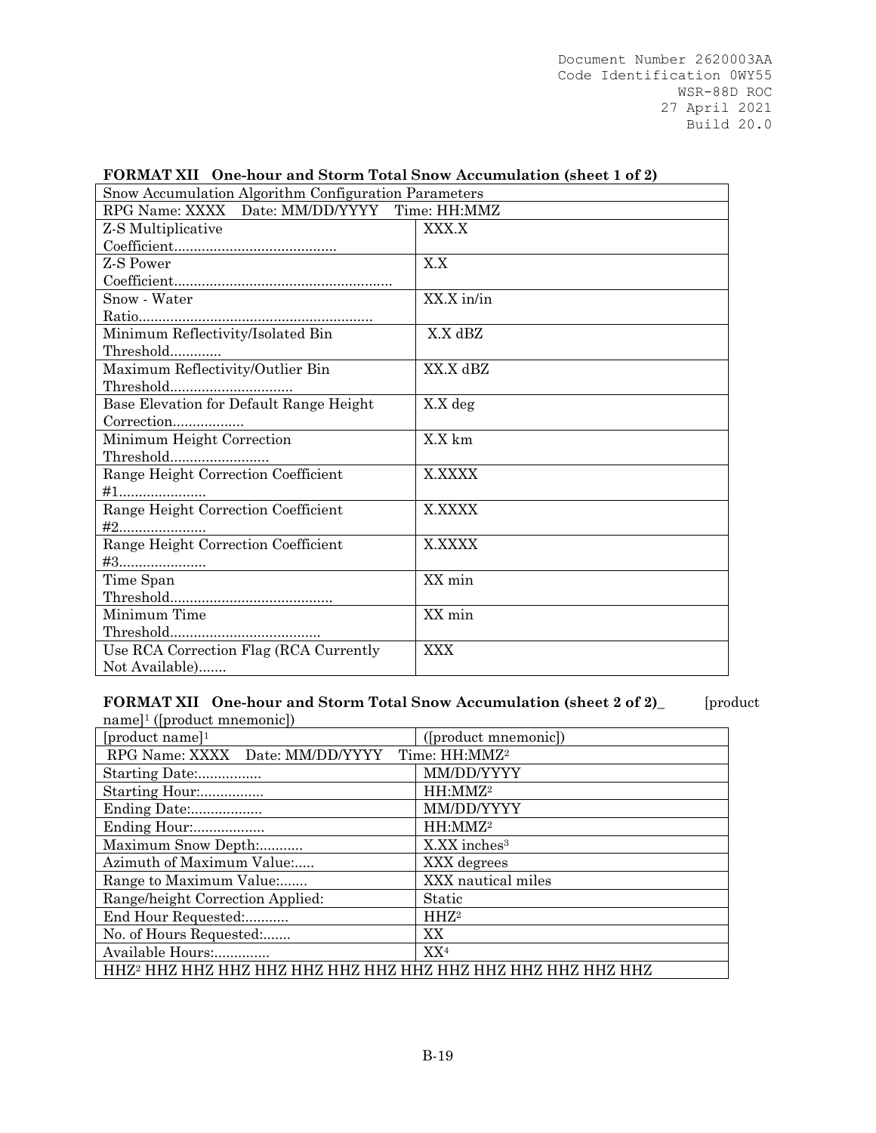| Snow Accumulation Algorithm Configuration Parameters |            |
|------------------------------------------------------|------------|
| RPG Name: XXXX Date: MM/DD/YYYY Time: HH:MMZ         |            |
| Z-S Multiplicative                                   | XXX.X      |
|                                                      |            |
| Z-S Power                                            | X.X        |
|                                                      |            |
| Snow - Water                                         | XX.X in/in |
|                                                      |            |
| Minimum Reflectivity/Isolated Bin                    | X.X dBZ    |
| Threshold                                            |            |
| Maximum Reflectivity/Outlier Bin                     | XX.X dBZ   |
|                                                      |            |
| Base Elevation for Default Range Height              | X.X deg    |
| Correction                                           |            |
| Minimum Height Correction                            | X.X km     |
| Threshold                                            |            |
| Range Height Correction Coefficient                  | X.XXXX     |
| $\#1$                                                |            |
| Range Height Correction Coefficient                  | X.XXXX     |
| $#2$                                                 |            |
| Range Height Correction Coefficient                  | X.XXXX     |
| #3                                                   |            |
| Time Span                                            | XX min     |
|                                                      |            |
| Minimum Time                                         | XX min     |
| $\label{thm:main} {\rm Threshold}$                   |            |
| Use RCA Correction Flag (RCA Currently               | <b>XXX</b> |
| Not Available)                                       |            |

#### **FORMAT XII One-hour and Storm Total Snow Accumulation (sheet 1 of 2)**

**FORMAT XII One-hour and Storm Total Snow Accumulation (sheet 2 of 2)**\_ [product name]1 ([product mnemonic])

| [product name] $1$                                        | ([product mnemonic])     |  |
|-----------------------------------------------------------|--------------------------|--|
| RPG Name: XXXX Date: MM/DD/YYYY Time: HH:MMZ <sup>2</sup> |                          |  |
| Starting Date:                                            | MM/DD/YYYY               |  |
| Starting Hour:                                            | HH:MMZ <sup>2</sup>      |  |
| Ending Date:                                              | MM/DD/YYYY               |  |
| Ending Hour:                                              | HH:MMZ <sup>2</sup>      |  |
| Maximum Snow Depth:                                       | X.XX inches <sup>3</sup> |  |
| Azimuth of Maximum Value:                                 | XXX degrees              |  |
| Range to Maximum Value:                                   | XXX nautical miles       |  |
| Range/height Correction Applied:                          | Static                   |  |
| End Hour Requested:                                       | HHZ <sup>2</sup>         |  |
| No. of Hours Requested:                                   | XX                       |  |
| Available Hours:                                          | XX <sup>4</sup>          |  |
|                                                           |                          |  |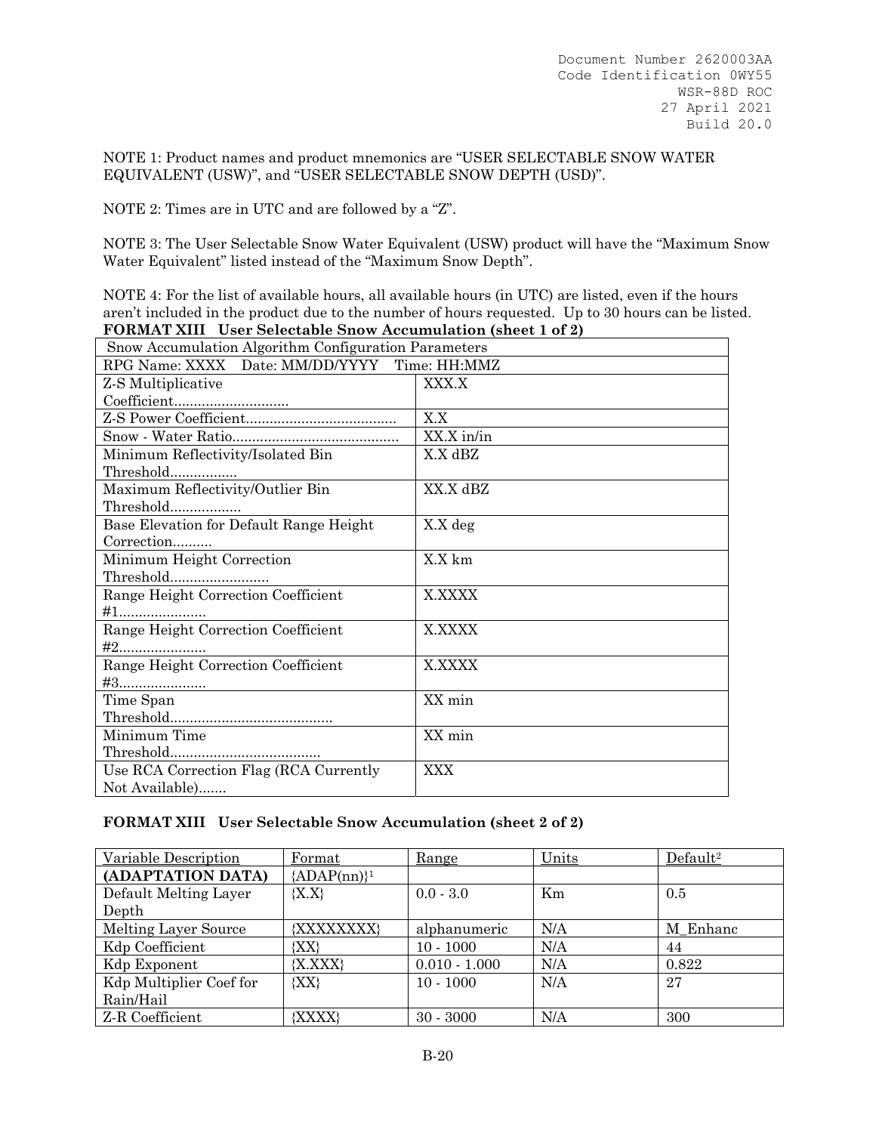NOTE 1: Product names and product mnemonics are "USER SELECTABLE SNOW WATER EQUIVALENT (USW)", and "USER SELECTABLE SNOW DEPTH (USD)".

NOTE 2: Times are in UTC and are followed by a "Z".

NOTE 3: The User Selectable Snow Water Equivalent (USW) product will have the "Maximum Snow Water Equivalent" listed instead of the "Maximum Snow Depth".

NOTE 4: For the list of available hours, all available hours (in UTC) are listed, even if the hours aren't included in the product due to the number of hours requested. Up to 30 hours can be listed. **FORMAT XIII User Selectable Snow Accumulation (sheet 1 of 2)**

| Snow Accumulation Algorithm Configuration Parameters |               |  |  |
|------------------------------------------------------|---------------|--|--|
| RPG Name: XXXX Date: MM/DD/YYYY Time: HH:MMZ         |               |  |  |
| Z-S Multiplicative                                   | XXX.X         |  |  |
|                                                      |               |  |  |
|                                                      | X.X           |  |  |
|                                                      | $XX.X$ in/in  |  |  |
| Minimum Reflectivity/Isolated Bin                    | X.X dBZ       |  |  |
| Threshold                                            |               |  |  |
| Maximum Reflectivity/Outlier Bin                     | XX.X dBZ      |  |  |
| Threshold                                            |               |  |  |
| Base Elevation for Default Range Height              | X.X deg       |  |  |
| Correction                                           |               |  |  |
| Minimum Height Correction                            | X.X km        |  |  |
| Threshold                                            |               |  |  |
| Range Height Correction Coefficient                  | <b>X.XXXX</b> |  |  |
| $\#1$                                                |               |  |  |
| Range Height Correction Coefficient                  | <b>X.XXXX</b> |  |  |
|                                                      |               |  |  |
| Range Height Correction Coefficient                  | X.XXXX        |  |  |
|                                                      |               |  |  |
| Time Span                                            | XX min        |  |  |
|                                                      |               |  |  |
| Minimum Time                                         | XX min        |  |  |
| $\label{prop:thm:nonlin} {\rm Threshold}. \dots$     |               |  |  |
| Use RCA Correction Flag (RCA Currently               | <b>XXX</b>    |  |  |
| Not Available)                                       |               |  |  |

#### **FORMAT XIII User Selectable Snow Accumulation (sheet 2 of 2)**

| Variable Description    | Format         | Range           | Units | Default <sup>2</sup> |
|-------------------------|----------------|-----------------|-------|----------------------|
| (ADAPTATION DATA)       | ${ADAP(nn)}^1$ |                 |       |                      |
| Default Melting Layer   | ${X.X}$        | $0.0 - 3.0$     | Km    | 0.5                  |
| Depth                   |                |                 |       |                      |
| Melting Layer Source    | {XXXXXXXX}     | alphanumeric    | N/A   | M Enhanc             |
| Kdp Coefficient         | $ XX\rangle$   | $10 - 1000$     | N/A   | 44                   |
| Kdp Exponent            | ${X, XXX}$     | $0.010 - 1.000$ | N/A   | 0.822                |
| Kdp Multiplier Coef for | ${XX}$         | $10 - 1000$     | N/A   | 27                   |
| Rain/Hail               |                |                 |       |                      |
| Z R Coefficient         | {XXXX}         | $30 - 3000$     | N/A   | 300                  |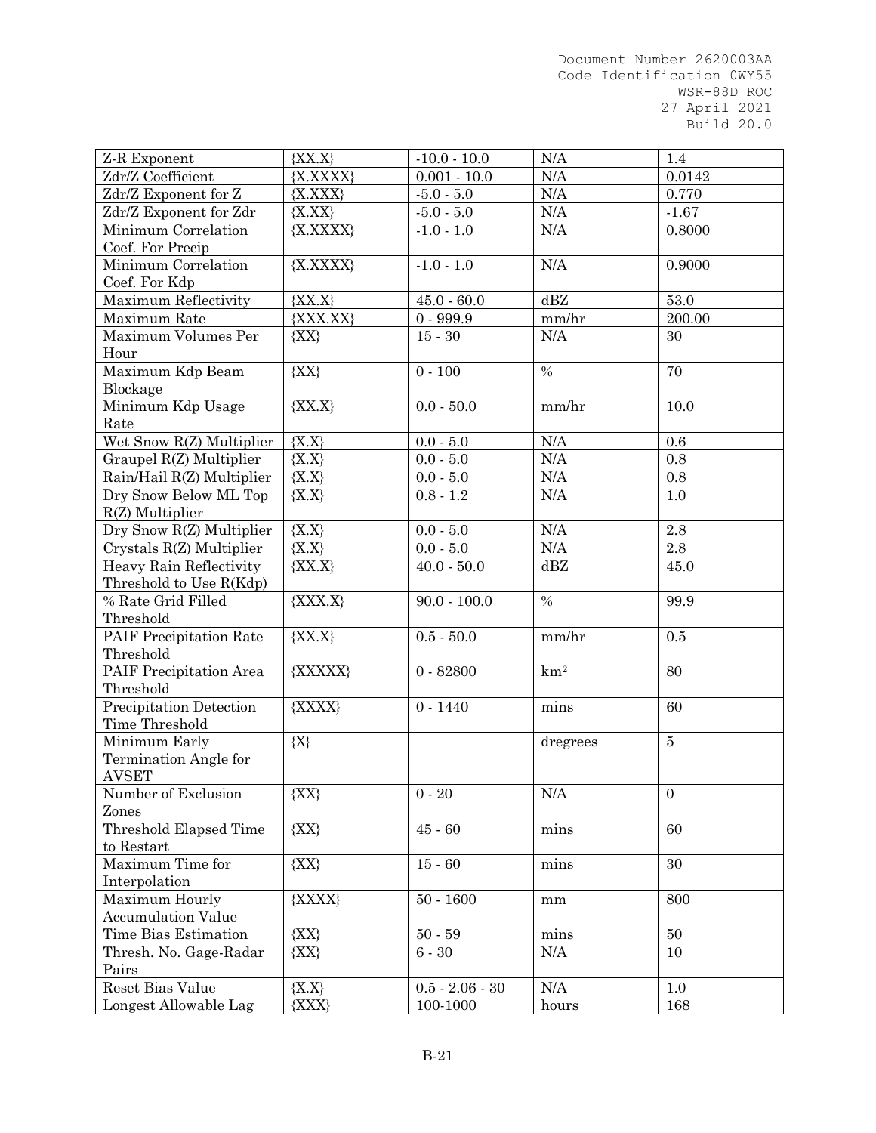| Z-R Exponent              | ${XX.X}$    | $-10.0 - 10.0$    | N/A           | 1.4              |
|---------------------------|-------------|-------------------|---------------|------------------|
| Zdr/Z Coefficient         | ${X.XXXX}$  | $0.001 - 10.0$    | N/A           | 0.0142           |
| Zdr/Z Exponent for Z      | ${X, XXX}$  | $-5.0 - 5.0$      | $\rm N/A$     | 0.770            |
| Zdr/Z Exponent for Zdr    | ${X,XX}$    | $-5.0 - 5.0$      | $\rm N/A$     | $-1.67$          |
| Minimum Correlation       | ${X, XXXX}$ | $-1.0 - 1.0$      | N/A           | 0.8000           |
| Coef. For Precip          |             |                   |               |                  |
| Minimum Correlation       | ${X, XXXX}$ | $-1.0 - 1.0$      | N/A           | 0.9000           |
| Coef. For Kdp             |             |                   |               |                  |
| Maximum Reflectivity      | ${XX.X}$    | $45.0 - 60.0$     | dBZ           | 53.0             |
| Maximum Rate              | ${XXX, XX}$ | $0 - 999.9$       | mm/hr         | 200.00           |
| Maximum Volumes Per       | ${XX}$      | $15 - 30$         | $\rm N/A$     | 30               |
| Hour                      |             |                   |               |                  |
| Maximum Kdp Beam          | ${XX}$      | $0 - 100$         | $\%$          | 70               |
| Blockage                  |             |                   |               |                  |
| Minimum Kdp Usage         | ${XX.X}$    | $0.0 - 50.0$      | mm/hr         | 10.0             |
| Rate                      |             |                   |               |                  |
| Wet Snow R(Z) Multiplier  | ${X.X}$     | $0.0 - 5.0$       | $\rm N/A$     | 0.6              |
| Graupel R(Z) Multiplier   | ${X.X}$     | $0.0 - 5.0$       | N/A           | 0.8              |
| Rain/Hail R(Z) Multiplier | ${X.X}$     | $0.0 - 5.0$       | $\rm N/A$     | $0.8\,$          |
| Dry Snow Below ML Top     | ${X.X}$     | $0.8 - 1.2$       | $\rm N/A$     | 1.0              |
| $R(Z)$ Multiplier         |             |                   |               |                  |
| Dry Snow R(Z) Multiplier  | ${X.X}$     | $0.0 - 5.0$       | N/A           | 2.8              |
| Crystals R(Z) Multiplier  | ${X.X}$     | $0.0 - 5.0$       | N/A           | $2.8\,$          |
| Heavy Rain Reflectivity   | ${XX.X}$    | $40.0 - 50.0$     | dBZ           | 45.0             |
| Threshold to Use R(Kdp)   |             |                   |               |                  |
| % Rate Grid Filled        | ${XXX.X}$   | $90.0 - 100.0$    | $\frac{0}{0}$ | 99.9             |
| Threshold                 |             |                   |               |                  |
| PAIF Precipitation Rate   | ${XX.X}$    | $0.5 - 50.0$      | mm/hr         | 0.5              |
| Threshold                 |             |                   |               |                  |
| PAIF Precipitation Area   | {XXXXX}     | $0 - 82800$       | $km^2$        | 80               |
| Threshold                 |             |                   |               |                  |
| Precipitation Detection   | {XXXX}      | $0 - 1440$        | mins          | 60               |
| Time Threshold            |             |                   |               |                  |
| Minimum Early             | ${X}$       |                   | dregrees      | $\overline{5}$   |
| Termination Angle for     |             |                   |               |                  |
| AVSET                     |             |                   |               |                  |
| Number of Exclusion       | ${XX}$      | $0 - 20$          | N/A           | $\boldsymbol{0}$ |
| Zones                     |             |                   |               |                  |
| Threshold Elapsed Time    | ${XX}$      | $45 - 60$         | $\min$        | 60               |
| to Restart                |             |                   |               |                  |
| Maximum Time for          | ${XX}$      | $15 - 60$         | mins          | 30               |
| Interpolation             |             |                   |               |                  |
| Maximum Hourly            | {XXXX}      | $50 - 1600$       | mm            | 800              |
| <b>Accumulation Value</b> |             |                   |               |                  |
| Time Bias Estimation      | ${XX}$      | $50 - 59$         | mins          | 50               |
| Thresh. No. Gage-Radar    | ${XX}$      | $6 - 30$          | N/A           | 10               |
| Pairs                     |             |                   |               |                  |
| Reset Bias Value          | ${X.X}$     | $0.5 - 2.06 - 30$ | N/A           | 1.0              |
| Longest Allowable Lag     | ${XXX}$     | 100-1000          | hours         | 168              |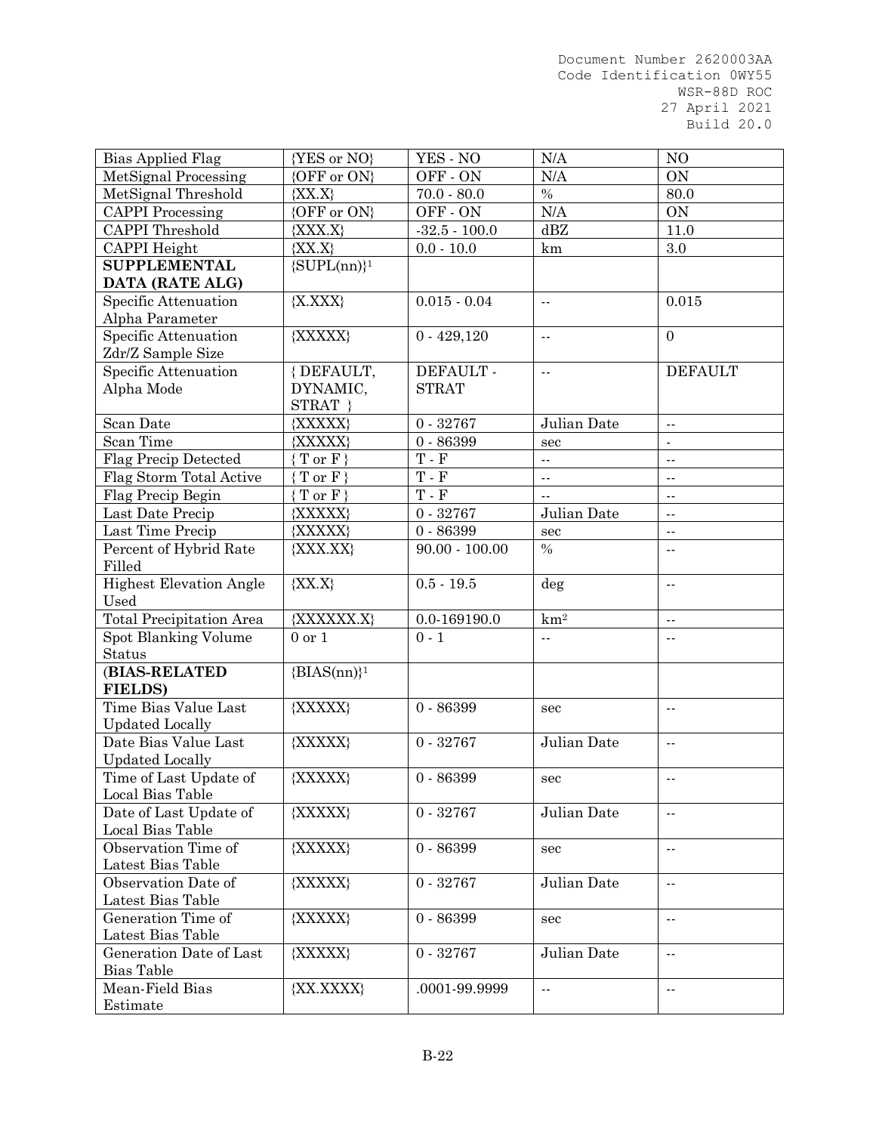| Bias Applied Flag               | {YES or NO}         | YES - NO                    | N/A                      | NO                         |
|---------------------------------|---------------------|-----------------------------|--------------------------|----------------------------|
| MetSignal Processing            | {OFF or ON}         | OFF-ON                      | N/A                      | <b>ON</b>                  |
| MetSignal Threshold             | ${XX.X}$            | $70.0 - 80.0$               | $\%$                     | 80.0                       |
| <b>CAPPI</b> Processing         | {OFF or ON}         | OFF-ON                      | N/A                      | ON                         |
| <b>CAPPI</b> Threshold          | ${XXX.X}$           | $-32.5 - 100.0$             | dBZ                      | 11.0                       |
| <b>CAPPI</b> Height             | ${XX.X}$            | $0.0 - 10.0$                | km                       | $3.0\,$                    |
| <b>SUPPLEMENTAL</b>             | $\{SUPL(nn)\}^1$    |                             |                          |                            |
| DATA (RATE ALG)                 |                     |                             |                          |                            |
| Specific Attenuation            | ${X, XXX}$          | $0.015 - 0.04$              | $\overline{a}$           | 0.015                      |
| Alpha Parameter                 |                     |                             |                          |                            |
| Specific Attenuation            | {XXXXX}             | $0 - 429,120$               | ۰.                       | $\overline{0}$             |
| Zdr/Z Sample Size               |                     |                             |                          |                            |
| Specific Attenuation            | {DEFAULT,           | DEFAULT -                   | $\ddotsc$                | <b>DEFAULT</b>             |
| Alpha Mode                      | DYNAMIC,            | <b>STRAT</b>                |                          |                            |
|                                 | STRAT }             |                             |                          |                            |
| Scan Date                       | {XXXXX}             | $0 - 32767$                 | Julian Date              | $\sim$ $-$                 |
| Scan Time                       | {XXXXX}             | $0 - 86399$                 | sec                      | $\blacksquare$             |
| <b>Flag Precip Detected</b>     | ${T \text{ or } F}$ | $\mathbf T$ - $\mathbf F$   | Ξ.                       | $\sim$ $\sim$              |
| Flag Storm Total Active         | $T$ or $F$ }        | $\mathcal T$ - $\mathcal F$ | ۰.                       | $\sim$ $-$                 |
| Flag Precip Begin               | $T$ or $F$ }        | $\mathcal T$ - $\mathcal F$ | $\overline{\phantom{a}}$ | $\mathbb{Z}^{\mathbb{Z}}$  |
| Last Date Precip                | {XXXXX}             | $0 - 32767$                 | Julian Date              | $\overline{\phantom{a}}$ . |
| Last Time Precip                | {XXXXX}             | $0 - 86399$                 | sec                      | $\sim$ $\sim$              |
| Percent of Hybrid Rate          | ${XXX, XX}$         | $90.00 - 100.00$            | $\%$                     | $\overline{\phantom{a}}$   |
| Filled                          |                     |                             |                          |                            |
| <b>Highest Elevation Angle</b>  | ${XX.X}$            | $0.5 - 19.5$                | deg                      | $\sim$ $\sim$              |
| Used                            |                     |                             |                          |                            |
| <b>Total Precipitation Area</b> | {XXXXXX.X}          | $0.0\hbox{-} 169190.0$      | $km^2$                   | $\overline{\phantom{a}}$   |
| Spot Blanking Volume            | $0$ or $1$          | $0 - 1$                     | Ц,                       | $\overline{a}$             |
| <b>Status</b>                   |                     |                             |                          |                            |
| (BIAS-RELATED                   | ${BIAS(nn)}^1$      |                             |                          |                            |
| <b>FIELDS)</b>                  |                     |                             |                          |                            |
| Time Bias Value Last            | {XXXXX}             | $0 - 86399$                 | sec                      | $\sim$                     |
| <b>Updated Locally</b>          |                     |                             |                          |                            |
| Date Bias Value Last            | {XXXXX}             | $0 - 32767$                 | Julian Date              | $\sim$                     |
| <b>Updated Locally</b>          |                     |                             |                          |                            |
| Time of Last Update of          | {XXXXX}             | $0 - 86399$                 | sec                      | $\sim$ $-$                 |
| Local Bias Table                |                     |                             |                          |                            |
| Date of Last Update of          | {XXXXX}             | $0 - 32767$                 | Julian Date              | $\overline{a}$             |
| Local Bias Table                |                     |                             |                          |                            |
| Observation Time of             | {XXXXX}             | $0 - 86399$                 | sec                      | $\sim$ $\sim$              |
| Latest Bias Table               |                     |                             |                          |                            |
| Observation Date of             | {XXXXX}             | $0 - 32767$                 | Julian Date              | $\bar{\omega}$             |
| Latest Bias Table               |                     |                             |                          |                            |
| Generation Time of              | {XXXXX}             | $0 - 86399$                 | sec                      | $\sim$ $\sim$              |
| Latest Bias Table               |                     |                             |                          |                            |
| Generation Date of Last         | {XXXXX}             | $0 - 32767$                 | Julian Date              | $\overline{a}$             |
| <b>Bias Table</b>               |                     |                             |                          |                            |
| Mean-Field Bias                 | {XX.XXXX}           | .0001-99.9999               | $\overline{\phantom{a}}$ | $\sim$ $-$                 |
| Estimate                        |                     |                             |                          |                            |
|                                 |                     |                             |                          |                            |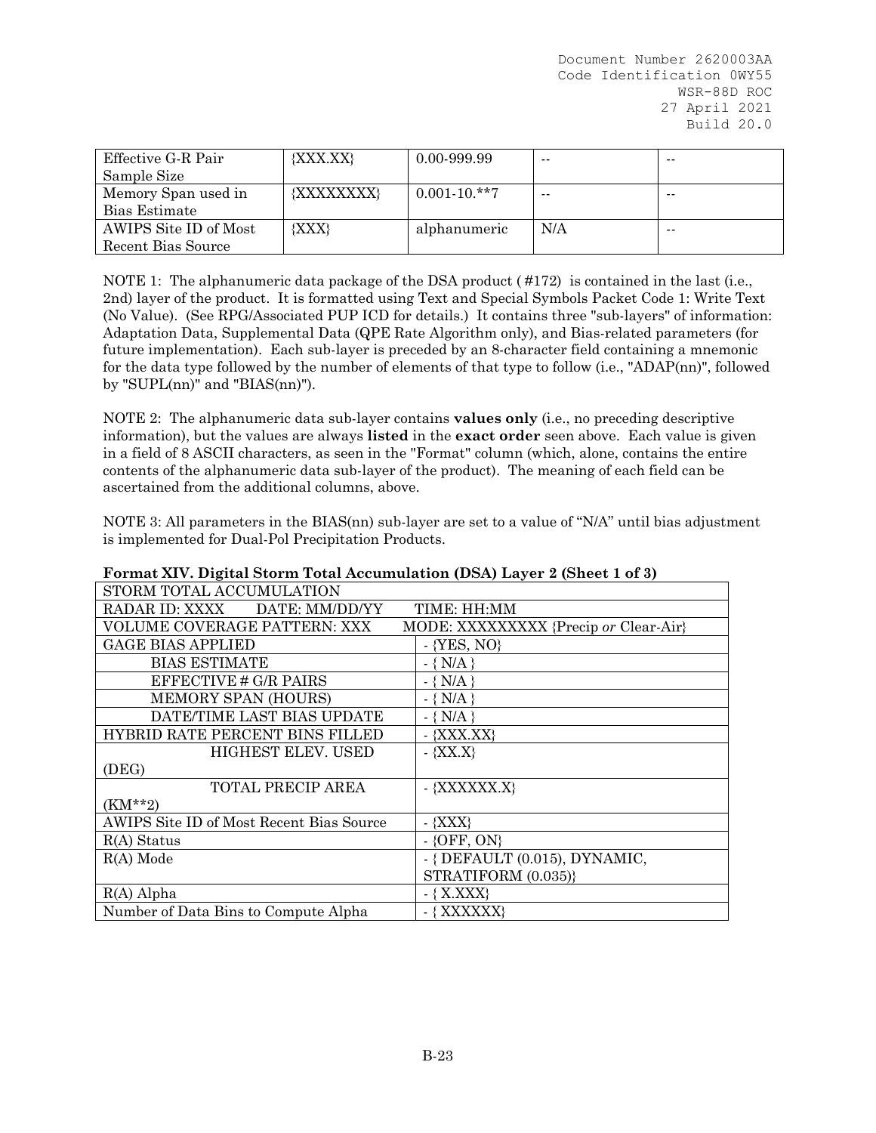| Effective G-R Pair    | ${XXX, XX}$ | 0.00-999.99      | $- -$ | $- -$ |
|-----------------------|-------------|------------------|-------|-------|
| Sample Size           |             |                  |       |       |
| Memory Span used in   | {XXXXXXXX}  | $0.001 - 10.**7$ | $- -$ | $- -$ |
| Bias Estimate         |             |                  |       |       |
| AWIPS Site ID of Most | ${XXX}$     | alphanumeric     | N/A   | $- -$ |
| Recent Bias Source    |             |                  |       |       |

NOTE 1: The alphanumeric data package of the DSA product ( #172) is contained in the last (i.e., 2nd) layer of the product. It is formatted using Text and Special Symbols Packet Code 1: Write Text (No Value). (See RPG/Associated PUP ICD for details.) It contains three "sub-layers" of information: Adaptation Data, Supplemental Data (QPE Rate Algorithm only), and Bias-related parameters (for future implementation). Each sub-layer is preceded by an 8-character field containing a mnemonic for the data type followed by the number of elements of that type to follow (i.e., "ADAP(nn)", followed by "SUPL(nn)" and "BIAS(nn)").

NOTE 2: The alphanumeric data sub-layer contains **values only** (i.e., no preceding descriptive information), but the values are always **listed** in the **exact order** seen above. Each value is given in a field of 8 ASCII characters, as seen in the "Format" column (which, alone, contains the entire contents of the alphanumeric data sub-layer of the product). The meaning of each field can be ascertained from the additional columns, above.

NOTE 3: All parameters in the BIAS(nn) sub-layer are set to a value of "N/A" until bias adjustment is implemented for Dual-Pol Precipitation Products.

| $\frac{1}{2}$ of $\frac{1}{2}$ (see Fig. ), $\frac{1}{2}$ (see Fig. ), $\frac{1}{2}$ (see Fig. ), $\frac{1}{2}$ (see Fig. ), $\frac{1}{2}$ |                                       |
|--------------------------------------------------------------------------------------------------------------------------------------------|---------------------------------------|
| STORM TOTAL ACCUMULATION                                                                                                                   |                                       |
| RADAR ID: XXXX DATE: MM/DD/YY                                                                                                              | TIME: HH:MM                           |
| VOLUME COVERAGE PATTERN: XXX                                                                                                               | MODE: XXXXXXXXX {Precip or Clear-Air} |
| <b>GAGE BIAS APPLIED</b>                                                                                                                   | $-$ {YES, NO}                         |
| <b>BIAS ESTIMATE</b>                                                                                                                       | $-$ { N/A }                           |
| EFFECTIVE # G/R PAIRS                                                                                                                      | $-$ { N/A }                           |
| MEMORY SPAN (HOURS)                                                                                                                        | $-$ { N/A }                           |
| DATE/TIME LAST BIAS UPDATE                                                                                                                 | $-$ { N/A }                           |
| <b>HYBRID RATE PERCENT BINS FILLED</b>                                                                                                     | $-$ {XXX.XX}                          |
| <b>HIGHEST ELEV. USED</b>                                                                                                                  | $-$ {XX.X}                            |
| (DEG)                                                                                                                                      |                                       |
| <b>TOTAL PRECIP AREA</b>                                                                                                                   | - {XXXXXX.X}                          |
| $(KM^{**}2)$                                                                                                                               |                                       |
| AWIPS Site ID of Most Recent Bias Source                                                                                                   | - {XXX}                               |
| $R(A)$ Status                                                                                                                              | $-$ {OFF, ON}                         |
| $R(A)$ Mode                                                                                                                                | $-$ { DEFAULT (0.015), DYNAMIC,       |
|                                                                                                                                            | STRATIFORM (0.035)}                   |
| $R(A)$ Alpha                                                                                                                               | $-$ { X.XXX}                          |
| Number of Data Bins to Compute Alpha                                                                                                       | - { XXXXXX}                           |

**Format XIV. Digital Storm Total Accumulation (DSA) Layer 2 (Sheet 1 of 3)**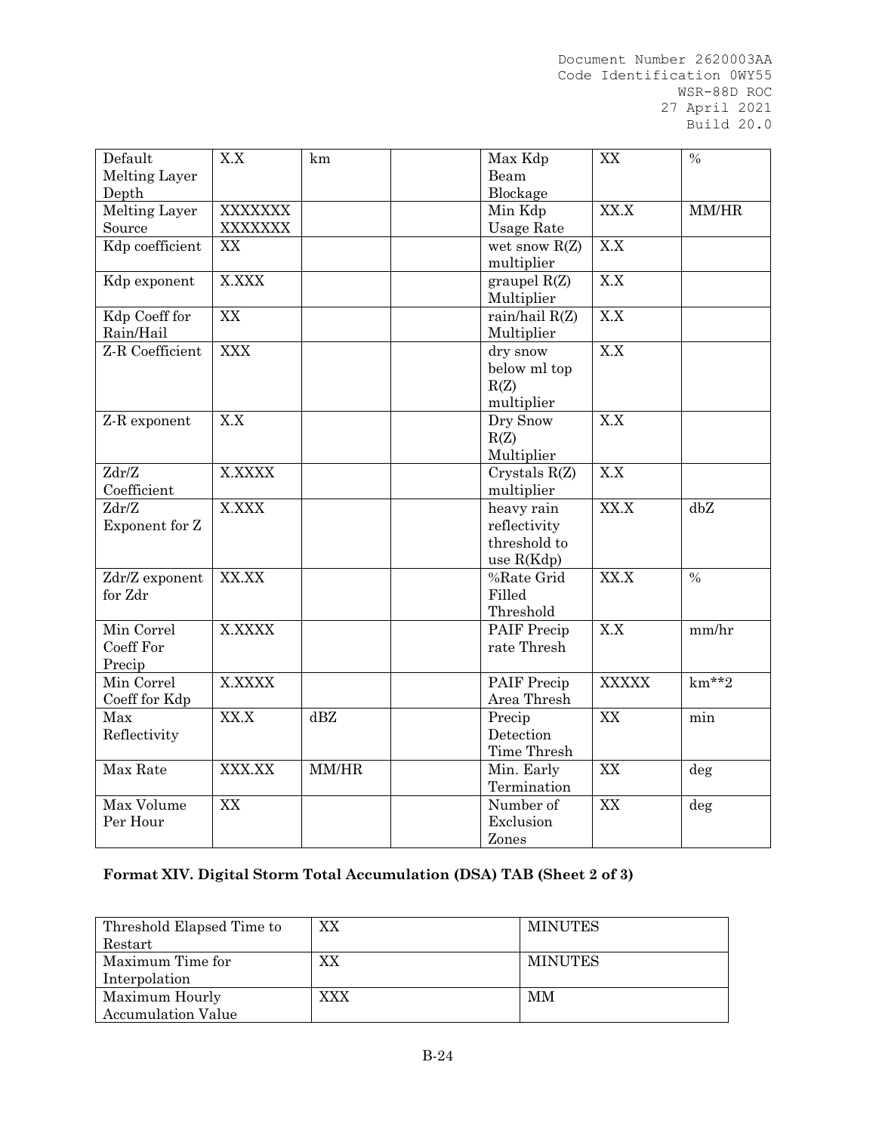| <b>Melting Layer</b><br>Beam<br>Blockage<br>Depth<br><b>Melting Layer</b><br>Min Kdp<br>XX.X<br><b>XXXXXXX</b><br>MM/HR<br>Source<br>XXXXXXX<br>Usage Rate<br>Kdp coefficient<br>X.X<br>XX<br>wet snow $R(Z)$<br>multiplier<br>X.XXX<br>X.X<br>graupel $R(Z)$<br>Kdp exponent<br>Multiplier<br>Kdp Coeff for<br>rain/hail R(Z)<br>XX<br>X.X<br>Rain/Hail<br>Multiplier<br>Z R Coefficient<br>X.X<br><b>XXX</b><br>dry snow<br>below ml top<br>R(Z)<br>multiplier<br>X.X<br>Dry Snow<br>X.X<br>Z-R exponent<br>R(Z)<br>Multiplier<br>Zdr/Z<br><b>X.XXXX</b><br>Crystals R(Z)<br>X.X<br>Coefficient<br>multiplier<br>XX.X<br>X.XXX<br>heavy rain<br>dbZ<br>Zdr/Z<br>reflectivity<br>Exponent for Z<br>threshold to<br>use $R(Kdp)$<br>$\sqrt[9]{\text{Rate}}$ Grid<br>XX.X<br>$\frac{0}{0}$<br>XX.XX<br>Zdr/Z exponent<br>for Zdr<br>Filled<br>Threshold<br>Min Correl<br>X.X<br><b>X.XXXX</b><br>PAIF Precip<br>mm/hr<br>rate Thresh<br>Coeff For<br>Precip<br>$km**2$<br>Min Correl<br><b>X.XXXX</b><br>PAIF Precip<br><b>XXXXX</b><br>Area Thresh<br>Coeff for Kdp<br>Max<br>XX.X<br>dBZ<br>Precip<br>XX<br>min<br>Detection<br>Reflectivity<br>Time Thresh<br>Max Rate<br>XXX.XX<br>$\rm MM/HR$<br>Min. Early<br>XX<br>deg<br>Termination<br>Number of<br>Max Volume<br>XX<br>XX<br>deg | Default  | X.X | km | Max Kdp   | XX | $\%$ |
|-------------------------------------------------------------------------------------------------------------------------------------------------------------------------------------------------------------------------------------------------------------------------------------------------------------------------------------------------------------------------------------------------------------------------------------------------------------------------------------------------------------------------------------------------------------------------------------------------------------------------------------------------------------------------------------------------------------------------------------------------------------------------------------------------------------------------------------------------------------------------------------------------------------------------------------------------------------------------------------------------------------------------------------------------------------------------------------------------------------------------------------------------------------------------------------------------------------------------------------------------------------------------------------------|----------|-----|----|-----------|----|------|
|                                                                                                                                                                                                                                                                                                                                                                                                                                                                                                                                                                                                                                                                                                                                                                                                                                                                                                                                                                                                                                                                                                                                                                                                                                                                                           |          |     |    |           |    |      |
|                                                                                                                                                                                                                                                                                                                                                                                                                                                                                                                                                                                                                                                                                                                                                                                                                                                                                                                                                                                                                                                                                                                                                                                                                                                                                           |          |     |    |           |    |      |
|                                                                                                                                                                                                                                                                                                                                                                                                                                                                                                                                                                                                                                                                                                                                                                                                                                                                                                                                                                                                                                                                                                                                                                                                                                                                                           |          |     |    |           |    |      |
|                                                                                                                                                                                                                                                                                                                                                                                                                                                                                                                                                                                                                                                                                                                                                                                                                                                                                                                                                                                                                                                                                                                                                                                                                                                                                           |          |     |    |           |    |      |
|                                                                                                                                                                                                                                                                                                                                                                                                                                                                                                                                                                                                                                                                                                                                                                                                                                                                                                                                                                                                                                                                                                                                                                                                                                                                                           |          |     |    |           |    |      |
|                                                                                                                                                                                                                                                                                                                                                                                                                                                                                                                                                                                                                                                                                                                                                                                                                                                                                                                                                                                                                                                                                                                                                                                                                                                                                           |          |     |    |           |    |      |
|                                                                                                                                                                                                                                                                                                                                                                                                                                                                                                                                                                                                                                                                                                                                                                                                                                                                                                                                                                                                                                                                                                                                                                                                                                                                                           |          |     |    |           |    |      |
|                                                                                                                                                                                                                                                                                                                                                                                                                                                                                                                                                                                                                                                                                                                                                                                                                                                                                                                                                                                                                                                                                                                                                                                                                                                                                           |          |     |    |           |    |      |
|                                                                                                                                                                                                                                                                                                                                                                                                                                                                                                                                                                                                                                                                                                                                                                                                                                                                                                                                                                                                                                                                                                                                                                                                                                                                                           |          |     |    |           |    |      |
|                                                                                                                                                                                                                                                                                                                                                                                                                                                                                                                                                                                                                                                                                                                                                                                                                                                                                                                                                                                                                                                                                                                                                                                                                                                                                           |          |     |    |           |    |      |
|                                                                                                                                                                                                                                                                                                                                                                                                                                                                                                                                                                                                                                                                                                                                                                                                                                                                                                                                                                                                                                                                                                                                                                                                                                                                                           |          |     |    |           |    |      |
|                                                                                                                                                                                                                                                                                                                                                                                                                                                                                                                                                                                                                                                                                                                                                                                                                                                                                                                                                                                                                                                                                                                                                                                                                                                                                           |          |     |    |           |    |      |
|                                                                                                                                                                                                                                                                                                                                                                                                                                                                                                                                                                                                                                                                                                                                                                                                                                                                                                                                                                                                                                                                                                                                                                                                                                                                                           |          |     |    |           |    |      |
|                                                                                                                                                                                                                                                                                                                                                                                                                                                                                                                                                                                                                                                                                                                                                                                                                                                                                                                                                                                                                                                                                                                                                                                                                                                                                           |          |     |    |           |    |      |
|                                                                                                                                                                                                                                                                                                                                                                                                                                                                                                                                                                                                                                                                                                                                                                                                                                                                                                                                                                                                                                                                                                                                                                                                                                                                                           |          |     |    |           |    |      |
|                                                                                                                                                                                                                                                                                                                                                                                                                                                                                                                                                                                                                                                                                                                                                                                                                                                                                                                                                                                                                                                                                                                                                                                                                                                                                           |          |     |    |           |    |      |
|                                                                                                                                                                                                                                                                                                                                                                                                                                                                                                                                                                                                                                                                                                                                                                                                                                                                                                                                                                                                                                                                                                                                                                                                                                                                                           |          |     |    |           |    |      |
|                                                                                                                                                                                                                                                                                                                                                                                                                                                                                                                                                                                                                                                                                                                                                                                                                                                                                                                                                                                                                                                                                                                                                                                                                                                                                           |          |     |    |           |    |      |
|                                                                                                                                                                                                                                                                                                                                                                                                                                                                                                                                                                                                                                                                                                                                                                                                                                                                                                                                                                                                                                                                                                                                                                                                                                                                                           |          |     |    |           |    |      |
|                                                                                                                                                                                                                                                                                                                                                                                                                                                                                                                                                                                                                                                                                                                                                                                                                                                                                                                                                                                                                                                                                                                                                                                                                                                                                           |          |     |    |           |    |      |
|                                                                                                                                                                                                                                                                                                                                                                                                                                                                                                                                                                                                                                                                                                                                                                                                                                                                                                                                                                                                                                                                                                                                                                                                                                                                                           |          |     |    |           |    |      |
|                                                                                                                                                                                                                                                                                                                                                                                                                                                                                                                                                                                                                                                                                                                                                                                                                                                                                                                                                                                                                                                                                                                                                                                                                                                                                           |          |     |    |           |    |      |
|                                                                                                                                                                                                                                                                                                                                                                                                                                                                                                                                                                                                                                                                                                                                                                                                                                                                                                                                                                                                                                                                                                                                                                                                                                                                                           |          |     |    |           |    |      |
|                                                                                                                                                                                                                                                                                                                                                                                                                                                                                                                                                                                                                                                                                                                                                                                                                                                                                                                                                                                                                                                                                                                                                                                                                                                                                           |          |     |    |           |    |      |
|                                                                                                                                                                                                                                                                                                                                                                                                                                                                                                                                                                                                                                                                                                                                                                                                                                                                                                                                                                                                                                                                                                                                                                                                                                                                                           |          |     |    |           |    |      |
|                                                                                                                                                                                                                                                                                                                                                                                                                                                                                                                                                                                                                                                                                                                                                                                                                                                                                                                                                                                                                                                                                                                                                                                                                                                                                           |          |     |    |           |    |      |
|                                                                                                                                                                                                                                                                                                                                                                                                                                                                                                                                                                                                                                                                                                                                                                                                                                                                                                                                                                                                                                                                                                                                                                                                                                                                                           |          |     |    |           |    |      |
|                                                                                                                                                                                                                                                                                                                                                                                                                                                                                                                                                                                                                                                                                                                                                                                                                                                                                                                                                                                                                                                                                                                                                                                                                                                                                           |          |     |    |           |    |      |
|                                                                                                                                                                                                                                                                                                                                                                                                                                                                                                                                                                                                                                                                                                                                                                                                                                                                                                                                                                                                                                                                                                                                                                                                                                                                                           |          |     |    |           |    |      |
|                                                                                                                                                                                                                                                                                                                                                                                                                                                                                                                                                                                                                                                                                                                                                                                                                                                                                                                                                                                                                                                                                                                                                                                                                                                                                           |          |     |    |           |    |      |
|                                                                                                                                                                                                                                                                                                                                                                                                                                                                                                                                                                                                                                                                                                                                                                                                                                                                                                                                                                                                                                                                                                                                                                                                                                                                                           |          |     |    |           |    |      |
|                                                                                                                                                                                                                                                                                                                                                                                                                                                                                                                                                                                                                                                                                                                                                                                                                                                                                                                                                                                                                                                                                                                                                                                                                                                                                           |          |     |    |           |    |      |
|                                                                                                                                                                                                                                                                                                                                                                                                                                                                                                                                                                                                                                                                                                                                                                                                                                                                                                                                                                                                                                                                                                                                                                                                                                                                                           |          |     |    |           |    |      |
|                                                                                                                                                                                                                                                                                                                                                                                                                                                                                                                                                                                                                                                                                                                                                                                                                                                                                                                                                                                                                                                                                                                                                                                                                                                                                           |          |     |    |           |    |      |
|                                                                                                                                                                                                                                                                                                                                                                                                                                                                                                                                                                                                                                                                                                                                                                                                                                                                                                                                                                                                                                                                                                                                                                                                                                                                                           |          |     |    |           |    |      |
|                                                                                                                                                                                                                                                                                                                                                                                                                                                                                                                                                                                                                                                                                                                                                                                                                                                                                                                                                                                                                                                                                                                                                                                                                                                                                           |          |     |    |           |    |      |
|                                                                                                                                                                                                                                                                                                                                                                                                                                                                                                                                                                                                                                                                                                                                                                                                                                                                                                                                                                                                                                                                                                                                                                                                                                                                                           |          |     |    |           |    |      |
|                                                                                                                                                                                                                                                                                                                                                                                                                                                                                                                                                                                                                                                                                                                                                                                                                                                                                                                                                                                                                                                                                                                                                                                                                                                                                           | Per Hour |     |    | Exclusion |    |      |
| Zones                                                                                                                                                                                                                                                                                                                                                                                                                                                                                                                                                                                                                                                                                                                                                                                                                                                                                                                                                                                                                                                                                                                                                                                                                                                                                     |          |     |    |           |    |      |

# **Format XIV. Digital Storm Total Accumulation (DSA) TAB (Sheet 2 of 3)**

| Threshold Elapsed Time to | XХ        | <b>MINUTES</b> |
|---------------------------|-----------|----------------|
| Restart                   |           |                |
| Maximum Time for          | XХ        | <b>MINUTES</b> |
| Interpolation             |           |                |
| Maximum Hourly            | $\rm XXX$ | MM             |
| <b>Accumulation Value</b> |           |                |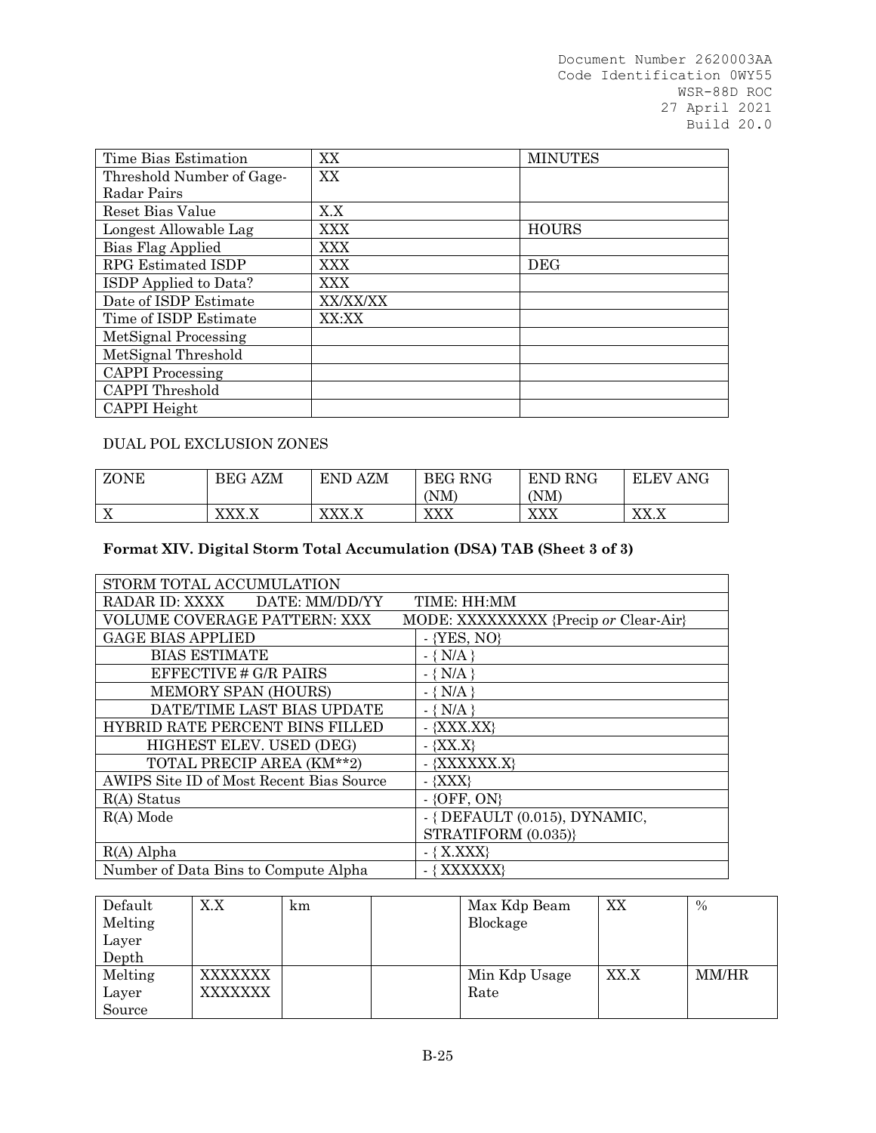| Time Bias Estimation      | XX         | <b>MINUTES</b> |
|---------------------------|------------|----------------|
| Threshold Number of Gage- | XX         |                |
| Radar Pairs               |            |                |
| Reset Bias Value          | X.X        |                |
| Longest Allowable Lag     | <b>XXX</b> | <b>HOURS</b>   |
| Bias Flag Applied         | <b>XXX</b> |                |
| RPG Estimated ISDP        | <b>XXX</b> | <b>DEG</b>     |
| ISDP Applied to Data?     | <b>XXX</b> |                |
| Date of ISDP Estimate     | XX/XX/XX   |                |
| Time of ISDP Estimate     | XX:XX      |                |
| MetSignal Processing      |            |                |
| MetSignal Threshold       |            |                |
| <b>CAPPI</b> Processing   |            |                |
| <b>CAPPI</b> Threshold    |            |                |
| CAPPI Height              |            |                |

# DUAL POL EXCLUSION ZONES

| ZONE                   | <b>BEG AZM</b> | <b>END AZM</b>                             | <b>BEG RNG</b>                        | END RNG                               | ANG<br><b>ELEV</b>                          |
|------------------------|----------------|--------------------------------------------|---------------------------------------|---------------------------------------|---------------------------------------------|
|                        |                |                                            | 'NM                                   | (NM)                                  |                                             |
| $\tau$<br>$\mathbf{A}$ | vvv v          | vvv<br>$\Lambda\Lambda\Lambda$ . $\Lambda$ | <b>VVV</b><br>$\Lambda\Lambda\Lambda$ | <b>VVV</b><br>$\Lambda\Lambda\Lambda$ | <b>VV V</b><br>$\Lambda\Lambda$ . $\Lambda$ |

# **Format XIV. Digital Storm Total Accumulation (DSA) TAB (Sheet 3 of 3)**

| STORM TOTAL ACCUMULATION                 |                                       |
|------------------------------------------|---------------------------------------|
| RADAR ID: XXXX DATE: MM/DD/YY            | TIME: HH:MM                           |
| VOLUME COVERAGE PATTERN: XXX             | MODE: XXXXXXXXX {Precip or Clear-Air} |
| <b>GAGE BIAS APPLIED</b>                 | $-$ {YES, NO}                         |
| <b>BIAS ESTIMATE</b>                     | $-\{ N/A \}$                          |
| EFFECTIVE # G/R PAIRS                    | $-\{ N/A \}$                          |
| MEMORY SPAN (HOURS)                      | $-$ { N/A }                           |
| DATE/TIME LAST BIAS UPDATE               | $-$ { N/A }                           |
| HYBRID RATE PERCENT BINS FILLED          | $-$ {XXX.XX}                          |
| HIGHEST ELEV. USED (DEG)                 | $-$ {XX.X}                            |
| TOTAL PRECIP AREA (KM**2)                | - {XXXXXX.X}                          |
| AWIPS Site ID of Most Recent Bias Source | $-$ {XXX}                             |
| $R(A)$ Status                            | $-$ {OFF, ON}                         |
| $R(A)$ Mode                              | $-$ { DEFAULT (0.015), DYNAMIC,       |
|                                          | STRATIFORM (0.035)}                   |
| $R(A)$ Alpha                             | $-$ { X.XXX}                          |
| Number of Data Bins to Compute Alpha     | $-$ { XXXXXX}                         |

| Default | X.X     | km | Max Kdp Beam  | XX   | $\%$  |
|---------|---------|----|---------------|------|-------|
| Melting |         |    | Blockage      |      |       |
| Layer   |         |    |               |      |       |
| Depth   |         |    |               |      |       |
| Melting | XXXXXXX |    | Min Kdp Usage | XX.X | MM/HR |
| Layer   | XXXXXXX |    | Rate          |      |       |
| Source  |         |    |               |      |       |